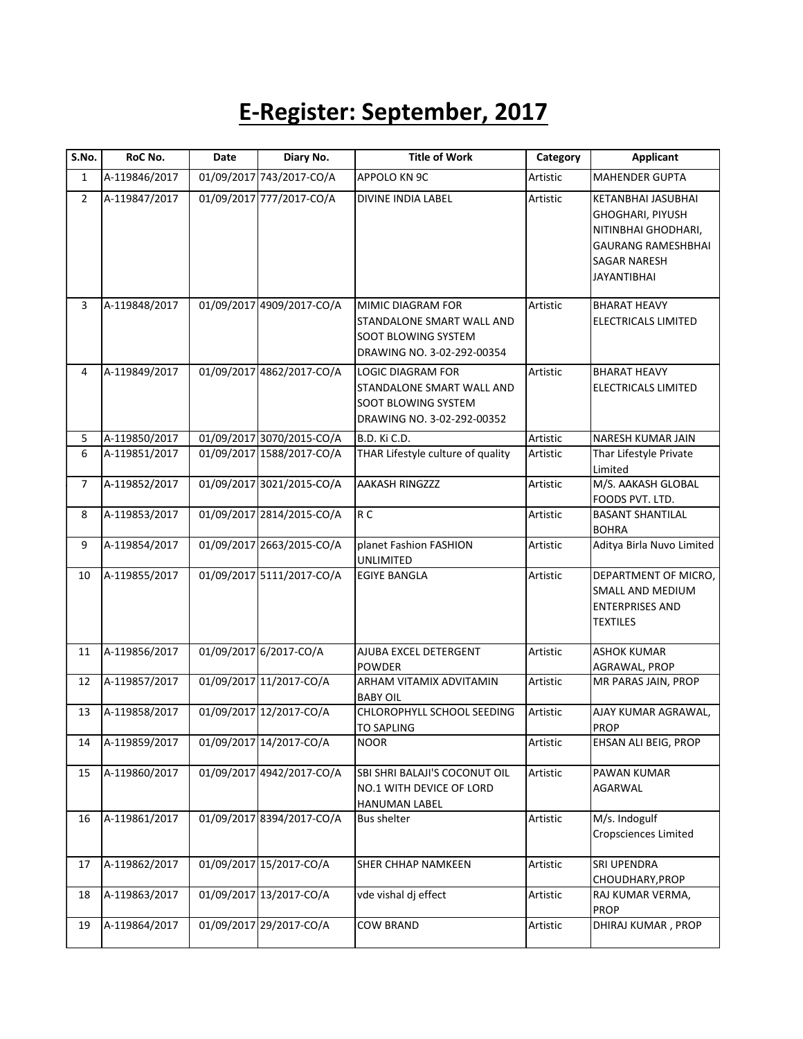## **E-Register: September, 2017**

| RoC No.       | Date                                                                              | Diary No. | <b>Title of Work</b>                                                                                                                                                                                                                                                                                                                                                                                                                                                                                                                               | Category                                                                                  | Applicant                                                                                                                                      |
|---------------|-----------------------------------------------------------------------------------|-----------|----------------------------------------------------------------------------------------------------------------------------------------------------------------------------------------------------------------------------------------------------------------------------------------------------------------------------------------------------------------------------------------------------------------------------------------------------------------------------------------------------------------------------------------------------|-------------------------------------------------------------------------------------------|------------------------------------------------------------------------------------------------------------------------------------------------|
| A-119846/2017 |                                                                                   |           | APPOLO KN 9C                                                                                                                                                                                                                                                                                                                                                                                                                                                                                                                                       | Artistic                                                                                  | <b>MAHENDER GUPTA</b>                                                                                                                          |
| A-119847/2017 |                                                                                   |           | <b>DIVINE INDIA LABEL</b>                                                                                                                                                                                                                                                                                                                                                                                                                                                                                                                          | Artistic                                                                                  | <b>KETANBHAI JASUBHAI</b><br><b>GHOGHARI, PIYUSH</b><br>NITINBHAI GHODHARI,<br><b>GAURANG RAMESHBHAI</b><br>SAGAR NARESH<br><b>JAYANTIBHAI</b> |
| A-119848/2017 |                                                                                   |           | MIMIC DIAGRAM FOR<br>STANDALONE SMART WALL AND<br><b>SOOT BLOWING SYSTEM</b><br>DRAWING NO. 3-02-292-00354                                                                                                                                                                                                                                                                                                                                                                                                                                         | Artistic                                                                                  | <b>BHARAT HEAVY</b><br><b>ELECTRICALS LIMITED</b>                                                                                              |
| A-119849/2017 |                                                                                   |           | LOGIC DIAGRAM FOR<br>STANDALONE SMART WALL AND<br>SOOT BLOWING SYSTEM<br>DRAWING NO. 3-02-292-00352                                                                                                                                                                                                                                                                                                                                                                                                                                                | Artistic                                                                                  | <b>BHARAT HEAVY</b><br>ELECTRICALS LIMITED                                                                                                     |
| A-119850/2017 |                                                                                   |           | B.D. Ki C.D.                                                                                                                                                                                                                                                                                                                                                                                                                                                                                                                                       | Artistic                                                                                  | NARESH KUMAR JAIN                                                                                                                              |
| A-119851/2017 |                                                                                   |           |                                                                                                                                                                                                                                                                                                                                                                                                                                                                                                                                                    | Artistic                                                                                  | Thar Lifestyle Private<br>Limited                                                                                                              |
| A-119852/2017 |                                                                                   |           | <b>AAKASH RINGZZZ</b>                                                                                                                                                                                                                                                                                                                                                                                                                                                                                                                              | Artistic                                                                                  | M/S. AAKASH GLOBAL<br>FOODS PVT. LTD.                                                                                                          |
| A-119853/2017 |                                                                                   |           | R <sub>C</sub>                                                                                                                                                                                                                                                                                                                                                                                                                                                                                                                                     | Artistic                                                                                  | <b>BASANT SHANTILAL</b><br><b>BOHRA</b>                                                                                                        |
| A-119854/2017 |                                                                                   |           | planet Fashion FASHION                                                                                                                                                                                                                                                                                                                                                                                                                                                                                                                             | Artistic                                                                                  | Aditya Birla Nuvo Limited                                                                                                                      |
| A-119855/2017 |                                                                                   |           | <b>EGIYE BANGLA</b>                                                                                                                                                                                                                                                                                                                                                                                                                                                                                                                                | Artistic                                                                                  | DEPARTMENT OF MICRO,<br>SMALL AND MEDIUM<br><b>ENTERPRISES AND</b><br>TEXTILES                                                                 |
|               |                                                                                   |           | AJUBA EXCEL DETERGENT                                                                                                                                                                                                                                                                                                                                                                                                                                                                                                                              | Artistic                                                                                  | <b>ASHOK KUMAR</b><br>AGRAWAL, PROP                                                                                                            |
|               |                                                                                   |           | ARHAM VITAMIX ADVITAMIN                                                                                                                                                                                                                                                                                                                                                                                                                                                                                                                            | Artistic                                                                                  | MR PARAS JAIN, PROP                                                                                                                            |
| A-119858/2017 |                                                                                   |           | CHLOROPHYLL SCHOOL SEEDING<br><b>TO SAPLING</b>                                                                                                                                                                                                                                                                                                                                                                                                                                                                                                    | Artistic                                                                                  | AJAY KUMAR AGRAWAL,<br><b>PROP</b>                                                                                                             |
|               |                                                                                   |           | <b>NOOR</b>                                                                                                                                                                                                                                                                                                                                                                                                                                                                                                                                        | Artistic                                                                                  | EHSAN ALI BEIG, PROP                                                                                                                           |
| A-119860/2017 |                                                                                   |           | SBI SHRI BALAJI'S COCONUT OIL<br>NO.1 WITH DEVICE OF LORD<br><b>HANUMAN LABEL</b>                                                                                                                                                                                                                                                                                                                                                                                                                                                                  | Artistic                                                                                  | PAWAN KUMAR<br>AGARWAL                                                                                                                         |
|               |                                                                                   |           | <b>Bus shelter</b>                                                                                                                                                                                                                                                                                                                                                                                                                                                                                                                                 | Artistic                                                                                  | M/s. Indogulf<br><b>Cropsciences Limited</b>                                                                                                   |
|               |                                                                                   |           | SHER CHHAP NAMKEEN                                                                                                                                                                                                                                                                                                                                                                                                                                                                                                                                 | Artistic                                                                                  | <b>SRI UPENDRA</b><br>CHOUDHARY, PROP                                                                                                          |
| A-119863/2017 |                                                                                   |           | vde vishal dj effect                                                                                                                                                                                                                                                                                                                                                                                                                                                                                                                               | Artistic                                                                                  | RAJ KUMAR VERMA,<br><b>PROP</b>                                                                                                                |
| A-119864/2017 |                                                                                   |           | COW BRAND                                                                                                                                                                                                                                                                                                                                                                                                                                                                                                                                          | Artistic                                                                                  | DHIRAJ KUMAR, PROP                                                                                                                             |
|               | A-119856/2017<br>A-119857/2017<br>A-119859/2017<br>A-119861/2017<br>A-119862/2017 |           | 01/09/2017 743/2017-CO/A<br>01/09/2017 777/2017-CO/A<br>01/09/2017 4909/2017-CO/A<br>01/09/2017 4862/2017-CO/A<br>01/09/2017 3070/2015-CO/A<br>01/09/2017 1588/2017-CO/A<br>01/09/2017 3021/2015-CO/A<br>01/09/2017 2814/2015-CO/A<br>01/09/2017 2663/2015-CO/A<br>01/09/2017 5111/2017-CO/A<br>01/09/2017 6/2017-CO/A<br>01/09/2017 11/2017-CO/A<br>01/09/2017 12/2017-CO/A<br>01/09/2017 14/2017-CO/A<br>01/09/2017 4942/2017-CO/A<br>01/09/2017 8394/2017-CO/A<br>01/09/2017 15/2017-CO/A<br>01/09/2017 13/2017-CO/A<br>01/09/2017 29/2017-CO/A | THAR Lifestyle culture of quality<br><b>UNLIMITED</b><br><b>POWDER</b><br><b>BABY OIL</b> |                                                                                                                                                |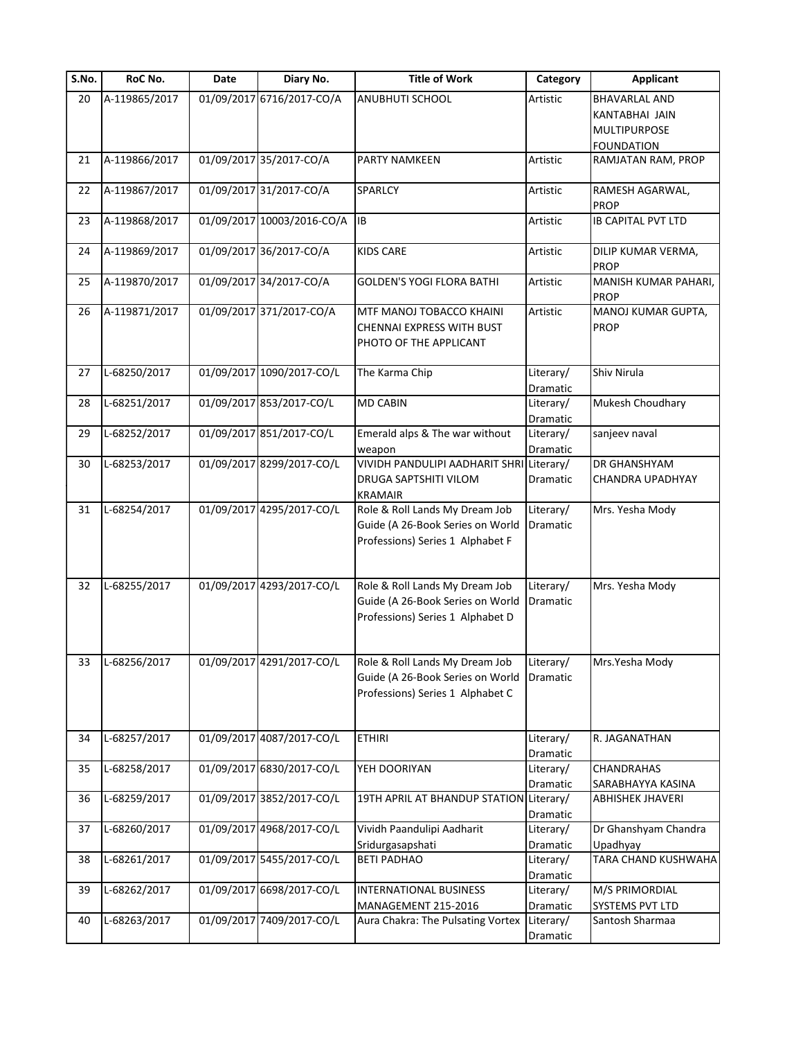| S.No. | RoC No.       | Date | Diary No.                  | <b>Title of Work</b>                     | Category              | <b>Applicant</b>                    |
|-------|---------------|------|----------------------------|------------------------------------------|-----------------------|-------------------------------------|
| 20    | A-119865/2017 |      | 01/09/2017 6716/2017-CO/A  | ANUBHUTI SCHOOL                          | Artistic              | <b>BHAVARLAL AND</b>                |
|       |               |      |                            |                                          |                       | KANTABHAI JAIN                      |
|       |               |      |                            |                                          |                       | MULTIPURPOSE                        |
|       |               |      |                            |                                          |                       | <b>FOUNDATION</b>                   |
| 21    | A-119866/2017 |      | 01/09/2017 35/2017-CO/A    | PARTY NAMKEEN                            | Artistic              | RAMJATAN RAM, PROP                  |
| 22    | A-119867/2017 |      | 01/09/2017 31/2017-CO/A    | SPARLCY                                  | Artistic              | RAMESH AGARWAL,<br><b>PROP</b>      |
| 23    | A-119868/2017 |      | 01/09/2017 10003/2016-CO/A | <b>IB</b>                                | Artistic              | <b>IB CAPITAL PVT LTD</b>           |
| 24    | A-119869/2017 |      | 01/09/2017 36/2017-CO/A    | <b>KIDS CARE</b>                         | Artistic              | DILIP KUMAR VERMA,<br><b>PROP</b>   |
| 25    | A-119870/2017 |      | 01/09/2017 34/2017-CO/A    | <b>GOLDEN'S YOGI FLORA BATHI</b>         | Artistic              | MANISH KUMAR PAHARI,<br><b>PROP</b> |
| 26    | A-119871/2017 |      | 01/09/2017 371/2017-CO/A   | MTF MANOJ TOBACCO KHAINI                 | Artistic              | MANOJ KUMAR GUPTA,                  |
|       |               |      |                            | CHENNAI EXPRESS WITH BUST                |                       | <b>PROP</b>                         |
|       |               |      |                            | PHOTO OF THE APPLICANT                   |                       |                                     |
| 27    | L-68250/2017  |      | 01/09/2017 1090/2017-CO/L  | The Karma Chip                           | Literary/             | Shiv Nirula                         |
| 28    | L-68251/2017  |      | 01/09/2017 853/2017-CO/L   | <b>MD CABIN</b>                          | Dramatic<br>Literary/ | Mukesh Choudhary                    |
|       |               |      |                            |                                          | Dramatic              |                                     |
| 29    | L-68252/2017  |      | 01/09/2017 851/2017-CO/L   | Emerald alps & The war without           | Literary/             | sanjeev naval                       |
|       |               |      |                            | weapon                                   | Dramatic              |                                     |
| 30    | L-68253/2017  |      | 01/09/2017 8299/2017-CO/L  | VIVIDH PANDULIPI AADHARIT SHRI Literary/ |                       | DR GHANSHYAM                        |
|       |               |      |                            | DRUGA SAPTSHITI VILOM                    | Dramatic              | CHANDRA UPADHYAY                    |
|       |               |      |                            | <b>KRAMAIR</b>                           |                       |                                     |
| 31    | L-68254/2017  |      | 01/09/2017 4295/2017-CO/L  | Role & Roll Lands My Dream Job           | Literary/             | Mrs. Yesha Mody                     |
|       |               |      |                            | Guide (A 26-Book Series on World         | Dramatic              |                                     |
|       |               |      |                            | Professions) Series 1 Alphabet F         |                       |                                     |
|       |               |      |                            |                                          |                       |                                     |
| 32    | L-68255/2017  |      | 01/09/2017 4293/2017-CO/L  | Role & Roll Lands My Dream Job           | Literary/             |                                     |
|       |               |      |                            | Guide (A 26-Book Series on World         | Dramatic              | Mrs. Yesha Mody                     |
|       |               |      |                            | Professions) Series 1 Alphabet D         |                       |                                     |
|       |               |      |                            |                                          |                       |                                     |
|       |               |      |                            |                                          |                       |                                     |
| 33    | L-68256/2017  |      | 01/09/2017 4291/2017-CO/L  | Role & Roll Lands My Dream Job           | Literary/             | Mrs.Yesha Mody                      |
|       |               |      |                            | Guide (A 26-Book Series on World         | Dramatic              |                                     |
|       |               |      |                            | Professions) Series 1 Alphabet C         |                       |                                     |
| 34    | L-68257/2017  |      | 01/09/2017 4087/2017-CO/L  | <b>ETHIRI</b>                            | Literary/             | R. JAGANATHAN                       |
|       |               |      |                            |                                          | Dramatic              |                                     |
| 35    | L-68258/2017  |      | 01/09/2017 6830/2017-CO/L  | YEH DOORIYAN                             | Literary/             | CHANDRAHAS                          |
|       |               |      |                            |                                          | Dramatic              | SARABHAYYA KASINA                   |
| 36    | L-68259/2017  |      | 01/09/2017 3852/2017-CO/L  | 19TH APRIL AT BHANDUP STATION Literary/  |                       | ABHISHEK JHAVERI                    |
|       |               |      |                            |                                          | Dramatic              |                                     |
| 37    | L-68260/2017  |      | 01/09/2017 4968/2017-CO/L  | Vividh Paandulipi Aadharit               | Literary/             | Dr Ghanshyam Chandra                |
|       |               |      |                            | Sridurgasapshati                         | Dramatic              | Upadhyay                            |
| 38    | L-68261/2017  |      | 01/09/2017 5455/2017-CO/L  | <b>BETI PADHAO</b>                       | Literary/             | TARA CHAND KUSHWAHA                 |
|       |               |      |                            |                                          | Dramatic              |                                     |
| 39    | L-68262/2017  |      | 01/09/2017 6698/2017-CO/L  | INTERNATIONAL BUSINESS                   | Literary/             | M/S PRIMORDIAL                      |
|       |               |      |                            | MANAGEMENT 215-2016                      | Dramatic              | SYSTEMS PVT LTD                     |
| 40    | L-68263/2017  |      | 01/09/2017 7409/2017-CO/L  | Aura Chakra: The Pulsating Vortex        | Literary/             | Santosh Sharmaa                     |
|       |               |      |                            |                                          | Dramatic              |                                     |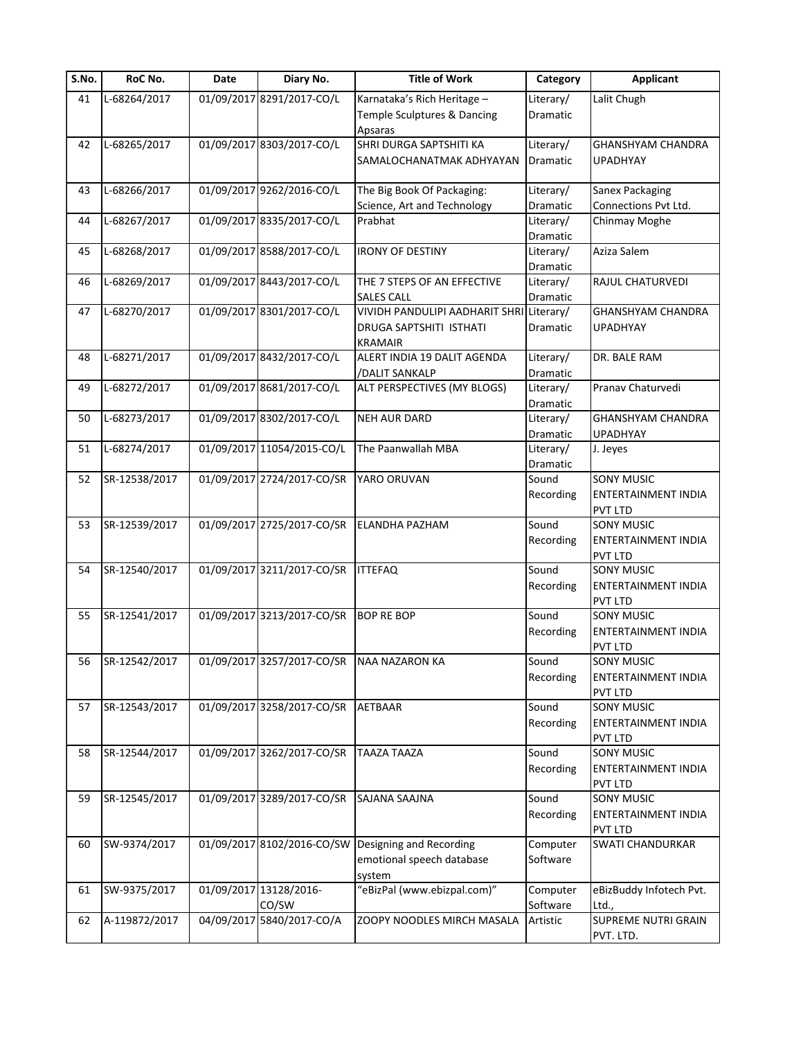| S.No. | RoC No.       | Date       | Diary No.                                 | <b>Title of Work</b>                     | Category        | <b>Applicant</b>           |
|-------|---------------|------------|-------------------------------------------|------------------------------------------|-----------------|----------------------------|
| 41    | L-68264/2017  |            | 01/09/2017 8291/2017-CO/L                 | Karnataka's Rich Heritage -              | Literary/       | Lalit Chugh                |
|       |               |            |                                           | Temple Sculptures & Dancing              | Dramatic        |                            |
|       |               |            |                                           | Apsaras                                  |                 |                            |
| 42    | L-68265/2017  |            | 01/09/2017 8303/2017-CO/L                 | SHRI DURGA SAPTSHITI KA                  | Literary/       | <b>GHANSHYAM CHANDRA</b>   |
|       |               |            |                                           | SAMALOCHANATMAK ADHYAYAN                 | Dramatic        | <b>UPADHYAY</b>            |
|       |               |            |                                           |                                          |                 |                            |
| 43    | L-68266/2017  |            | 01/09/2017 9262/2016-CO/L                 | The Big Book Of Packaging:               | Literary/       | Sanex Packaging            |
|       |               |            |                                           | Science, Art and Technology              | Dramatic        | Connections Pvt Ltd.       |
| 44    | L-68267/2017  |            | 01/09/2017 8335/2017-CO/L                 | Prabhat                                  | Literary/       | Chinmay Moghe              |
|       |               |            |                                           |                                          | <b>Dramatic</b> |                            |
| 45    | L-68268/2017  |            | 01/09/2017 8588/2017-CO/L                 | <b>IRONY OF DESTINY</b>                  | Literary/       | Aziza Salem                |
|       |               |            |                                           |                                          | Dramatic        |                            |
| 46    | L-68269/2017  |            | 01/09/2017 8443/2017-CO/L                 | THE 7 STEPS OF AN EFFECTIVE              | Literary/       | RAJUL CHATURVEDI           |
|       |               |            |                                           | <b>SALES CALL</b>                        | Dramatic        |                            |
| 47    | L-68270/2017  |            | 01/09/2017 8301/2017-CO/L                 | VIVIDH PANDULIPI AADHARIT SHRI Literary/ |                 | <b>GHANSHYAM CHANDRA</b>   |
|       |               |            |                                           | DRUGA SAPTSHITI ISTHATI                  | Dramatic        | <b>UPADHYAY</b>            |
|       |               |            |                                           | <b>KRAMAIR</b>                           |                 |                            |
| 48    | L-68271/2017  |            | 01/09/2017 8432/2017-CO/L                 | ALERT INDIA 19 DALIT AGENDA              | Literary/       | DR. BALE RAM               |
|       |               |            |                                           | /DALIT SANKALP                           | Dramatic        |                            |
| 49    | L-68272/2017  |            | 01/09/2017 8681/2017-CO/L                 | ALT PERSPECTIVES (MY BLOGS)              | Literary/       | Pranav Chaturvedi          |
|       |               |            |                                           |                                          | Dramatic        |                            |
|       | L-68273/2017  |            | 01/09/2017 8302/2017-CO/L                 |                                          |                 | <b>GHANSHYAM CHANDRA</b>   |
| 50    |               |            |                                           | <b>NEH AUR DARD</b>                      | Literary/       |                            |
|       |               |            |                                           |                                          | Dramatic        | <b>UPADHYAY</b>            |
| 51    | L-68274/2017  |            | 01/09/2017 11054/2015-CO/L                | The Paanwallah MBA                       | Literary/       | J. Jeyes                   |
|       |               |            |                                           |                                          | Dramatic        |                            |
| 52    | SR-12538/2017 |            | 01/09/2017 2724/2017-CO/SR                | YARO ORUVAN                              | Sound           | <b>SONY MUSIC</b>          |
|       |               |            |                                           |                                          | Recording       | ENTERTAINMENT INDIA        |
|       |               |            |                                           |                                          |                 | <b>PVT LTD</b>             |
| 53    | SR-12539/2017 |            | 01/09/2017 2725/2017-CO/SR                | <b>ELANDHA PAZHAM</b>                    | Sound           | <b>SONY MUSIC</b>          |
|       |               |            |                                           |                                          | Recording       | ENTERTAINMENT INDIA        |
|       |               |            |                                           |                                          |                 | PVT LTD                    |
| 54    | SR-12540/2017 |            | 01/09/2017 3211/2017-CO/SR                | <b>ITTEFAQ</b>                           | Sound           | <b>SONY MUSIC</b>          |
|       |               |            |                                           |                                          | Recording       | <b>ENTERTAINMENT INDIA</b> |
|       |               |            |                                           |                                          |                 | <b>PVT LTD</b>             |
| 55    | SR-12541/2017 |            | 01/09/2017 3213/2017-CO/SR                | <b>BOP RE BOP</b>                        | Sound           | <b>SONY MUSIC</b>          |
|       |               |            |                                           |                                          | Recording       | ENTERTAINMENT INDIA        |
|       |               |            |                                           |                                          |                 | PVT LTD                    |
| 56    | SR-12542/2017 |            | 01/09/2017 3257/2017-CO/SR NAA NAZARON KA |                                          | Sound           | SONY MUSIC                 |
|       |               |            |                                           |                                          | Recording       | <b>ENTERTAINMENT INDIA</b> |
|       |               |            |                                           |                                          |                 | PVT LTD                    |
| 57    | SR-12543/2017 |            | 01/09/2017 3258/2017-CO/SR                | AETBAAR                                  | Sound           | <b>SONY MUSIC</b>          |
|       |               |            |                                           |                                          | Recording       | ENTERTAINMENT INDIA        |
|       |               |            |                                           |                                          |                 | <b>PVT LTD</b>             |
| 58    | SR-12544/2017 |            | 01/09/2017 3262/2017-CO/SR                | TAAZA TAAZA                              | Sound           | <b>SONY MUSIC</b>          |
|       |               |            |                                           |                                          | Recording       | ENTERTAINMENT INDIA        |
|       |               |            |                                           |                                          |                 | <b>PVT LTD</b>             |
| 59    | SR-12545/2017 |            | 01/09/2017 3289/2017-CO/SR                | SAJANA SAAJNA                            | Sound           | <b>SONY MUSIC</b>          |
|       |               |            |                                           |                                          | Recording       | ENTERTAINMENT INDIA        |
|       |               |            |                                           |                                          |                 |                            |
|       |               |            |                                           |                                          |                 | <b>PVT LTD</b>             |
| 60    | SW-9374/2017  |            | 01/09/2017 8102/2016-CO/SW                | Designing and Recording                  | Computer        | SWATI CHANDURKAR           |
|       |               |            |                                           | emotional speech database                | Software        |                            |
|       |               |            |                                           | system                                   |                 |                            |
| 61    | SW-9375/2017  |            | 01/09/2017 13128/2016-                    | "eBizPal (www.ebizpal.com)"              | Computer        | eBizBuddy Infotech Pvt.    |
|       |               |            | CO/SW                                     |                                          | Software        | Ltd.,                      |
| 62    | A-119872/2017 | 04/09/2017 | 5840/2017-CO/A                            | ZOOPY NOODLES MIRCH MASALA               | Artistic        | SUPREME NUTRI GRAIN        |
|       |               |            |                                           |                                          |                 | PVT. LTD.                  |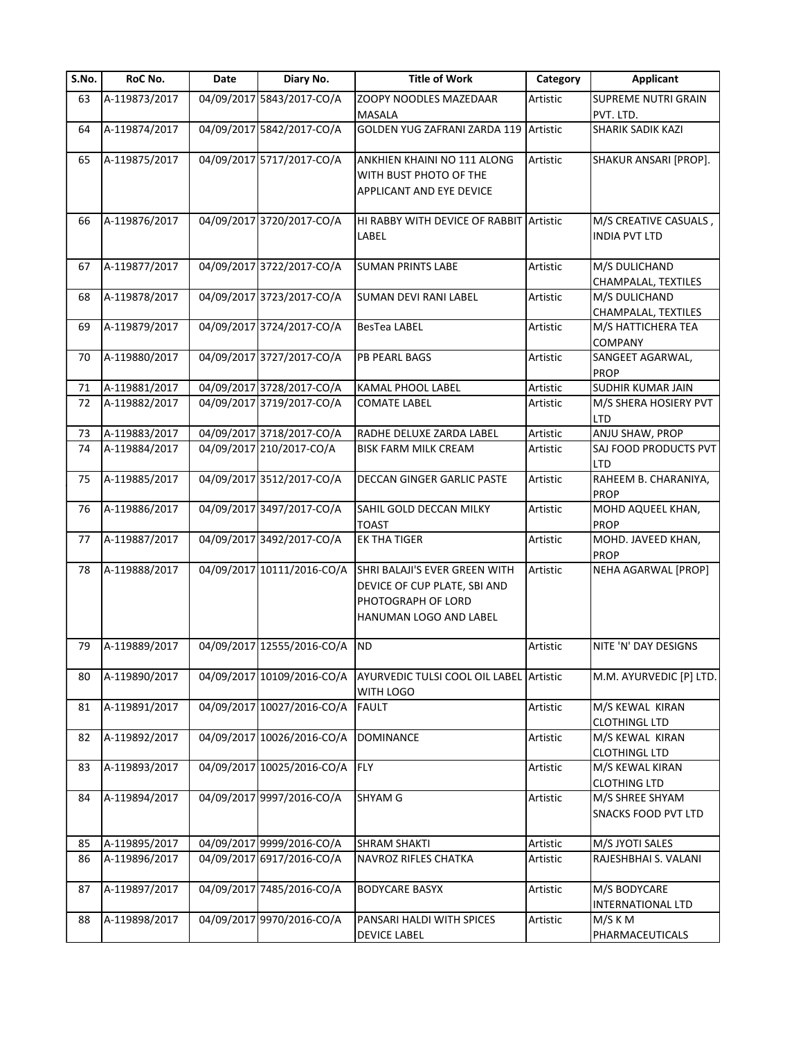| S.No. | RoC No.       | Date | Diary No.                  | <b>Title of Work</b>                                                                                          | Category | <b>Applicant</b>                              |
|-------|---------------|------|----------------------------|---------------------------------------------------------------------------------------------------------------|----------|-----------------------------------------------|
| 63    | A-119873/2017 |      | 04/09/2017 5843/2017-CO/A  | ZOOPY NOODLES MAZEDAAR                                                                                        | Artistic | <b>SUPREME NUTRI GRAIN</b>                    |
|       |               |      |                            | MASALA                                                                                                        |          | PVT. LTD.                                     |
| 64    | A-119874/2017 |      | 04/09/2017 5842/2017-CO/A  | GOLDEN YUG ZAFRANI ZARDA 119 Artistic                                                                         |          | SHARIK SADIK KAZI                             |
| 65    | A-119875/2017 |      | 04/09/2017 5717/2017-CO/A  | ANKHIEN KHAINI NO 111 ALONG<br>WITH BUST PHOTO OF THE<br>APPLICANT AND EYE DEVICE                             | Artistic | SHAKUR ANSARI [PROP].                         |
| 66    | A-119876/2017 |      | 04/09/2017 3720/2017-CO/A  | HI RABBY WITH DEVICE OF RABBIT Artistic<br>LABEL                                                              |          | M/S CREATIVE CASUALS,<br><b>INDIA PVT LTD</b> |
| 67    | A-119877/2017 |      | 04/09/2017 3722/2017-CO/A  | <b>SUMAN PRINTS LABE</b>                                                                                      | Artistic | M/S DULICHAND<br>CHAMPALAL, TEXTILES          |
| 68    | A-119878/2017 |      | 04/09/2017 3723/2017-CO/A  | <b>SUMAN DEVI RANI LABEL</b>                                                                                  | Artistic | M/S DULICHAND<br>CHAMPALAL, TEXTILES          |
| 69    | A-119879/2017 |      | 04/09/2017 3724/2017-CO/A  | BesTea LABEL                                                                                                  | Artistic | M/S HATTICHERA TEA<br><b>COMPANY</b>          |
| 70    | A-119880/2017 |      | 04/09/2017 3727/2017-CO/A  | <b>PB PEARL BAGS</b>                                                                                          | Artistic | SANGEET AGARWAL,<br><b>PROP</b>               |
| 71    | A-119881/2017 |      | 04/09/2017 3728/2017-CO/A  | KAMAL PHOOL LABEL                                                                                             | Artistic | SUDHIR KUMAR JAIN                             |
| 72    | A-119882/2017 |      | 04/09/2017 3719/2017-CO/A  | <b>COMATE LABEL</b>                                                                                           | Artistic | M/S SHERA HOSIERY PVT<br><b>LTD</b>           |
| 73    | A-119883/2017 |      | 04/09/2017 3718/2017-CO/A  | RADHE DELUXE ZARDA LABEL                                                                                      | Artistic | ANJU SHAW, PROP                               |
| 74    | A-119884/2017 |      | 04/09/2017 210/2017-CO/A   | <b>BISK FARM MILK CREAM</b>                                                                                   | Artistic | SAJ FOOD PRODUCTS PVT<br><b>LTD</b>           |
| 75    | A-119885/2017 |      | 04/09/2017 3512/2017-CO/A  | DECCAN GINGER GARLIC PASTE                                                                                    | Artistic | RAHEEM B. CHARANIYA,<br><b>PROP</b>           |
| 76    | A-119886/2017 |      | 04/09/2017 3497/2017-CO/A  | SAHIL GOLD DECCAN MILKY<br><b>TOAST</b>                                                                       | Artistic | MOHD AQUEEL KHAN,<br><b>PROP</b>              |
| 77    | A-119887/2017 |      | 04/09/2017 3492/2017-CO/A  | <b>EK THA TIGER</b>                                                                                           | Artistic | MOHD. JAVEED KHAN,<br><b>PROP</b>             |
| 78    | A-119888/2017 |      | 04/09/2017 10111/2016-CO/A | SHRI BALAJI'S EVER GREEN WITH<br>DEVICE OF CUP PLATE, SBI AND<br>PHOTOGRAPH OF LORD<br>HANUMAN LOGO AND LABEL | Artistic | NEHA AGARWAL [PROP]                           |
| 79    | A-119889/2017 |      | 04/09/2017 12555/2016-CO/A | <b>ND</b>                                                                                                     | Artistic | NITE 'N' DAY DESIGNS                          |
| 80    | A-119890/2017 |      | 04/09/2017 10109/2016-CO/A | AYURVEDIC TULSI COOL OIL LABEL Artistic<br>WITH LOGO                                                          |          | M.M. AYURVEDIC [P] LTD.                       |
| 81    | A-119891/2017 |      | 04/09/2017 10027/2016-CO/A | <b>FAULT</b>                                                                                                  | Artistic | M/S KEWAL KIRAN<br><b>CLOTHINGL LTD</b>       |
| 82    | A-119892/2017 |      | 04/09/2017 10026/2016-CO/A | <b>DOMINANCE</b>                                                                                              | Artistic | M/S KEWAL KIRAN<br><b>CLOTHINGL LTD</b>       |
| 83    | A-119893/2017 |      | 04/09/2017 10025/2016-CO/A | <b>FLY</b>                                                                                                    | Artistic | M/S KEWAL KIRAN<br><b>CLOTHING LTD</b>        |
| 84    | A-119894/2017 |      | 04/09/2017 9997/2016-CO/A  | SHYAM G                                                                                                       | Artistic | M/S SHREE SHYAM<br><b>SNACKS FOOD PVT LTD</b> |
| 85    | A-119895/2017 |      | 04/09/2017 9999/2016-CO/A  | <b>SHRAM SHAKTI</b>                                                                                           | Artistic | M/S JYOTI SALES                               |
| 86    | A-119896/2017 |      | 04/09/2017 6917/2016-CO/A  | <b>NAVROZ RIFLES CHATKA</b>                                                                                   | Artistic | RAJESHBHAI S. VALANI                          |
| 87    | A-119897/2017 |      | 04/09/2017 7485/2016-CO/A  | <b>BODYCARE BASYX</b>                                                                                         | Artistic | M/S BODYCARE<br>INTERNATIONAL LTD             |
| 88    | A-119898/2017 |      | 04/09/2017 9970/2016-CO/A  | PANSARI HALDI WITH SPICES<br><b>DEVICE LABEL</b>                                                              | Artistic | M/S K M<br>PHARMACEUTICALS                    |
|       |               |      |                            |                                                                                                               |          |                                               |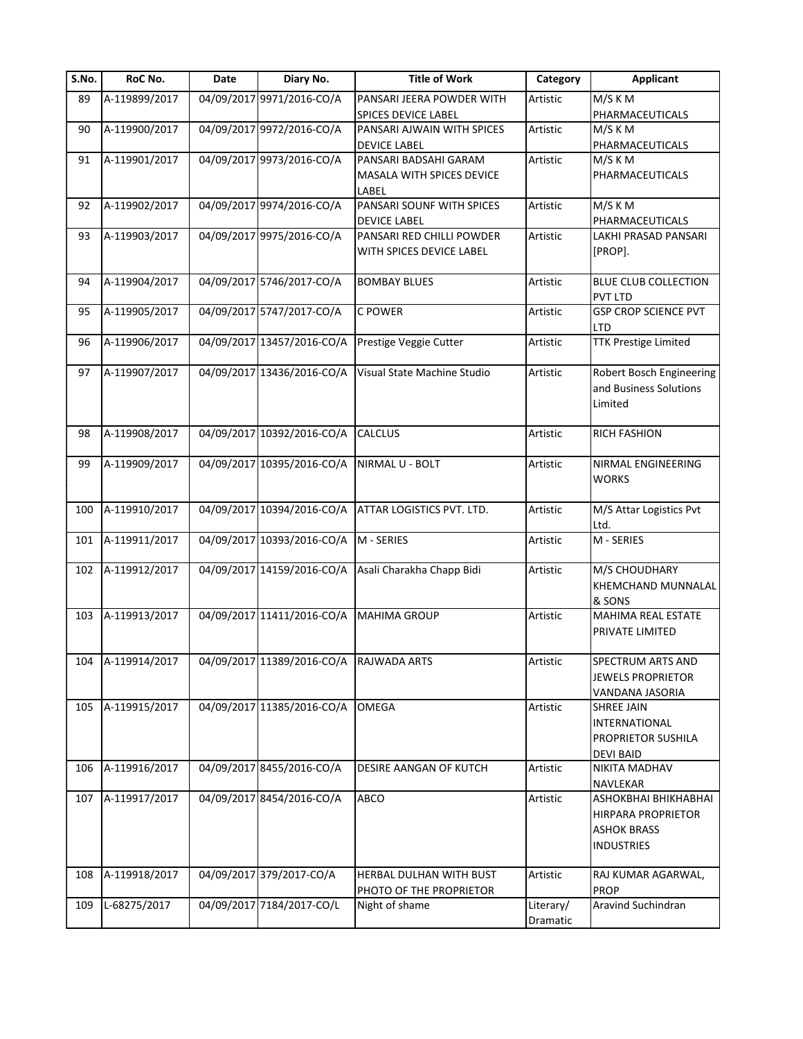| S.No. | RoC No.           | Date | Diary No.                               | <b>Title of Work</b>        | Category  | <b>Applicant</b>            |
|-------|-------------------|------|-----------------------------------------|-----------------------------|-----------|-----------------------------|
| 89    | A-119899/2017     |      | 04/09/2017 9971/2016-CO/A               | PANSARI JEERA POWDER WITH   | Artistic  | M/S K M                     |
|       |                   |      |                                         | <b>SPICES DEVICE LABEL</b>  |           | PHARMACEUTICALS             |
| 90    | A-119900/2017     |      | 04/09/2017 9972/2016-CO/A               | PANSARI AJWAIN WITH SPICES  | Artistic  | M/S K M                     |
|       |                   |      |                                         | <b>DEVICE LABEL</b>         |           | PHARMACEUTICALS             |
| 91    | A-119901/2017     |      | 04/09/2017 9973/2016-CO/A               | PANSARI BADSAHI GARAM       | Artistic  | M/S K M                     |
|       |                   |      |                                         | MASALA WITH SPICES DEVICE   |           | PHARMACEUTICALS             |
|       |                   |      |                                         | LABEL                       |           |                             |
| 92    | A-119902/2017     |      | 04/09/2017 9974/2016-CO/A               | PANSARI SOUNF WITH SPICES   | Artistic  | M/S K M                     |
|       |                   |      |                                         | <b>DEVICE LABEL</b>         |           | PHARMACEUTICALS             |
| 93    | A-119903/2017     |      | 04/09/2017 9975/2016-CO/A               | PANSARI RED CHILLI POWDER   | Artistic  | LAKHI PRASAD PANSARI        |
|       |                   |      |                                         | WITH SPICES DEVICE LABEL    |           | [PROP].                     |
|       |                   |      |                                         |                             |           |                             |
| 94    | A-119904/2017     |      | 04/09/2017 5746/2017-CO/A               | <b>BOMBAY BLUES</b>         | Artistic  | <b>BLUE CLUB COLLECTION</b> |
|       |                   |      |                                         |                             |           | PVT LTD                     |
| 95    | A-119905/2017     |      | 04/09/2017 5747/2017-CO/A               | C POWER                     | Artistic  | <b>GSP CROP SCIENCE PVT</b> |
|       |                   |      |                                         |                             |           | <b>LTD</b>                  |
| 96    | A-119906/2017     |      | 04/09/2017 13457/2016-CO/A              | Prestige Veggie Cutter      | Artistic  | <b>TTK Prestige Limited</b> |
|       |                   |      |                                         |                             |           |                             |
| 97    | A-119907/2017     |      | 04/09/2017 13436/2016-CO/A              | Visual State Machine Studio | Artistic  | Robert Bosch Engineering    |
|       |                   |      |                                         |                             |           | and Business Solutions      |
|       |                   |      |                                         |                             |           | Limited                     |
|       |                   |      |                                         |                             |           |                             |
| 98    | A-119908/2017     |      | 04/09/2017 10392/2016-CO/A              | <b>CALCLUS</b>              | Artistic  | <b>RICH FASHION</b>         |
|       |                   |      |                                         |                             |           |                             |
| 99    | A-119909/2017     |      | 04/09/2017 10395/2016-CO/A              | NIRMAL U - BOLT             | Artistic  | NIRMAL ENGINEERING          |
|       |                   |      |                                         |                             |           |                             |
|       |                   |      |                                         |                             |           | <b>WORKS</b>                |
| 100   | A-119910/2017     |      | 04/09/2017 10394/2016-CO/A              | ATTAR LOGISTICS PVT. LTD.   | Artistic  | M/S Attar Logistics Pvt     |
|       |                   |      |                                         |                             |           |                             |
|       | A-119911/2017     |      | 04/09/2017 10393/2016-CO/A              | M - SERIES                  | Artistic  | Ltd.<br>M - SERIES          |
| 101   |                   |      |                                         |                             |           |                             |
|       |                   |      | 04/09/2017 14159/2016-CO/A              |                             |           |                             |
| 102   | A-119912/2017     |      |                                         | Asali Charakha Chapp Bidi   | Artistic  | M/S CHOUDHARY               |
|       |                   |      |                                         |                             |           | KHEMCHAND MUNNALAL          |
|       |                   |      |                                         |                             |           | & SONS                      |
| 103   | A-119913/2017     |      | 04/09/2017 11411/2016-CO/A              | <b>MAHIMA GROUP</b>         | Artistic  | MAHIMA REAL ESTATE          |
|       |                   |      |                                         |                             |           | PRIVATE LIMITED             |
|       |                   |      |                                         |                             |           |                             |
|       | 104 A-119914/2017 |      | 04/09/2017 11389/2016-CO/A RAJWADA ARTS |                             | Artistic  | SPECTRUM ARTS AND           |
|       |                   |      |                                         |                             |           | <b>JEWELS PROPRIETOR</b>    |
|       |                   |      |                                         |                             |           | VANDANA JASORIA             |
| 105   | A-119915/2017     |      | 04/09/2017 11385/2016-CO/A              | <b>OMEGA</b>                | Artistic  | <b>SHREE JAIN</b>           |
|       |                   |      |                                         |                             |           | <b>INTERNATIONAL</b>        |
|       |                   |      |                                         |                             |           | PROPRIETOR SUSHILA          |
|       |                   |      |                                         |                             |           | <b>DEVI BAID</b>            |
| 106   | A-119916/2017     |      | 04/09/2017 8455/2016-CO/A               | DESIRE AANGAN OF KUTCH      | Artistic  | <b>NIKITA MADHAV</b>        |
|       |                   |      |                                         |                             |           | NAVLEKAR                    |
| 107   | A-119917/2017     |      | 04/09/2017 8454/2016-CO/A               | <b>ABCO</b>                 | Artistic  | <b>ASHOKBHAI BHIKHABHAI</b> |
|       |                   |      |                                         |                             |           | <b>HIRPARA PROPRIETOR</b>   |
|       |                   |      |                                         |                             |           | <b>ASHOK BRASS</b>          |
|       |                   |      |                                         |                             |           | <b>INDUSTRIES</b>           |
|       |                   |      |                                         |                             |           |                             |
| 108   | A-119918/2017     |      | 04/09/2017 379/2017-CO/A                | HERBAL DULHAN WITH BUST     | Artistic  | RAJ KUMAR AGARWAL,          |
|       |                   |      |                                         | PHOTO OF THE PROPRIETOR     |           | <b>PROP</b>                 |
| 109   | L-68275/2017      |      | 04/09/2017 7184/2017-CO/L               | Night of shame              | Literary/ | Aravind Suchindran          |
|       |                   |      |                                         |                             | Dramatic  |                             |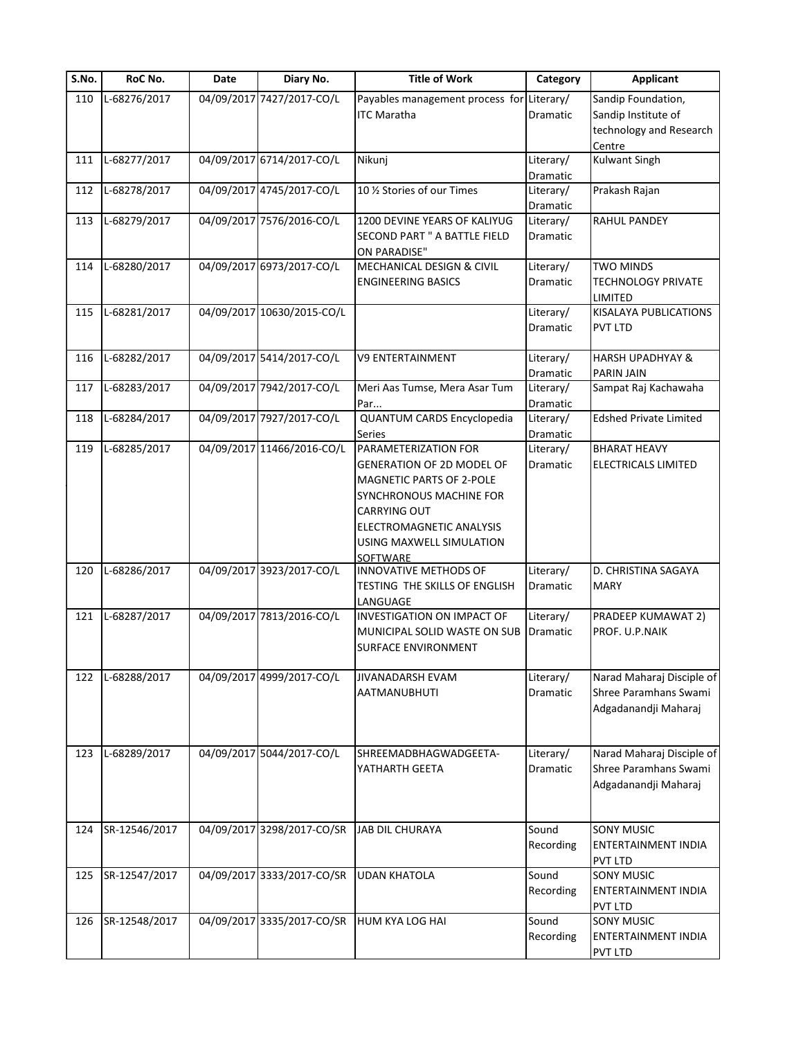| S.No. | RoC No.       | Date | Diary No.                  | <b>Title of Work</b>                                                                                                                                                                                | Category                          | <b>Applicant</b>                                                               |
|-------|---------------|------|----------------------------|-----------------------------------------------------------------------------------------------------------------------------------------------------------------------------------------------------|-----------------------------------|--------------------------------------------------------------------------------|
| 110   | L-68276/2017  |      | 04/09/2017 7427/2017-CO/L  | Payables management process for Literary/<br><b>ITC Maratha</b>                                                                                                                                     | Dramatic                          | Sandip Foundation,<br>Sandip Institute of<br>technology and Research<br>Centre |
| 111   | L-68277/2017  |      | 04/09/2017 6714/2017-CO/L  | Nikunj                                                                                                                                                                                              | Literary/<br>Dramatic             | <b>Kulwant Singh</b>                                                           |
| 112   | L-68278/2017  |      | 04/09/2017 4745/2017-CO/L  | 10 1/2 Stories of our Times                                                                                                                                                                         | Literary/<br>Dramatic             | Prakash Rajan                                                                  |
| 113   | L-68279/2017  |      | 04/09/2017 7576/2016-CO/L  | 1200 DEVINE YEARS OF KALIYUG<br>SECOND PART " A BATTLE FIELD<br>ON PARADISE"                                                                                                                        | Literary/<br><b>Dramatic</b>      | RAHUL PANDEY                                                                   |
| 114   | L-68280/2017  |      | 04/09/2017 6973/2017-CO/L  | MECHANICAL DESIGN & CIVIL<br><b>ENGINEERING BASICS</b>                                                                                                                                              | Literary/<br>Dramatic             | <b>TWO MINDS</b><br><b>TECHNOLOGY PRIVATE</b><br>LIMITED                       |
| 115   | L-68281/2017  |      | 04/09/2017 10630/2015-CO/L |                                                                                                                                                                                                     | Literary/<br>Dramatic             | <b>KISALAYA PUBLICATIONS</b><br><b>PVT LTD</b>                                 |
| 116   | L-68282/2017  |      | 04/09/2017 5414/2017-CO/L  | <b>V9 ENTERTAINMENT</b>                                                                                                                                                                             | Literary/                         | <b>HARSH UPADHYAY &amp;</b>                                                    |
| 117   | L-68283/2017  |      | 04/09/2017 7942/2017-CO/L  | Meri Aas Tumse, Mera Asar Tum<br>Par                                                                                                                                                                | Dramatic<br>Literary/<br>Dramatic | <b>PARIN JAIN</b><br>Sampat Raj Kachawaha                                      |
| 118   | L-68284/2017  |      | 04/09/2017 7927/2017-CO/L  | QUANTUM CARDS Encyclopedia<br><b>Series</b>                                                                                                                                                         | Literary/<br>Dramatic             | <b>Edshed Private Limited</b>                                                  |
| 119   | L-68285/2017  |      | 04/09/2017 11466/2016-CO/L | PARAMETERIZATION FOR<br>GENERATION OF 2D MODEL OF<br>MAGNETIC PARTS OF 2-POLE<br>SYNCHRONOUS MACHINE FOR<br><b>CARRYING OUT</b><br>ELECTROMAGNETIC ANALYSIS<br>USING MAXWELL SIMULATION<br>SOFTWARE | Literary/<br>Dramatic             | <b>BHARAT HEAVY</b><br>ELECTRICALS LIMITED                                     |
| 120   | L-68286/2017  |      | 04/09/2017 3923/2017-CO/L  | INNOVATIVE METHODS OF<br>TESTING THE SKILLS OF ENGLISH<br>LANGUAGE                                                                                                                                  | Literary/<br><b>Dramatic</b>      | D. CHRISTINA SAGAYA<br><b>MARY</b>                                             |
| 121   | L-68287/2017  |      | 04/09/2017 7813/2016-CO/L  | INVESTIGATION ON IMPACT OF<br>MUNICIPAL SOLID WASTE ON SUB<br>SURFACE ENVIRONMENT                                                                                                                   | Literary/<br>Dramatic             | PRADEEP KUMAWAT 2)<br>PROF. U.P.NAIK                                           |
| 122   | L-68288/2017  |      | 04/09/2017 4999/2017-CO/L  | JIVANADARSH EVAM<br><b>AATMANUBHUTI</b>                                                                                                                                                             | Literary/<br>Dramatic             | Narad Maharaj Disciple of<br>Shree Paramhans Swami<br>Adgadanandji Maharaj     |
| 123   | L-68289/2017  |      | 04/09/2017 5044/2017-CO/L  | SHREEMADBHAGWADGEETA-<br>YATHARTH GEETA                                                                                                                                                             | Literary/<br>Dramatic             | Narad Maharaj Disciple of<br>Shree Paramhans Swami<br>Adgadanandji Maharaj     |
| 124   | SR-12546/2017 |      | 04/09/2017 3298/2017-CO/SR | JAB DIL CHURAYA                                                                                                                                                                                     | Sound<br>Recording                | <b>SONY MUSIC</b><br><b>ENTERTAINMENT INDIA</b><br><b>PVT LTD</b>              |
| 125   | SR-12547/2017 |      | 04/09/2017 3333/2017-CO/SR | <b>UDAN KHATOLA</b>                                                                                                                                                                                 | Sound<br>Recording                | <b>SONY MUSIC</b><br>ENTERTAINMENT INDIA<br><b>PVT LTD</b>                     |
| 126   | SR-12548/2017 |      | 04/09/2017 3335/2017-CO/SR | HUM KYA LOG HAI                                                                                                                                                                                     | Sound<br>Recording                | <b>SONY MUSIC</b><br>ENTERTAINMENT INDIA<br><b>PVT LTD</b>                     |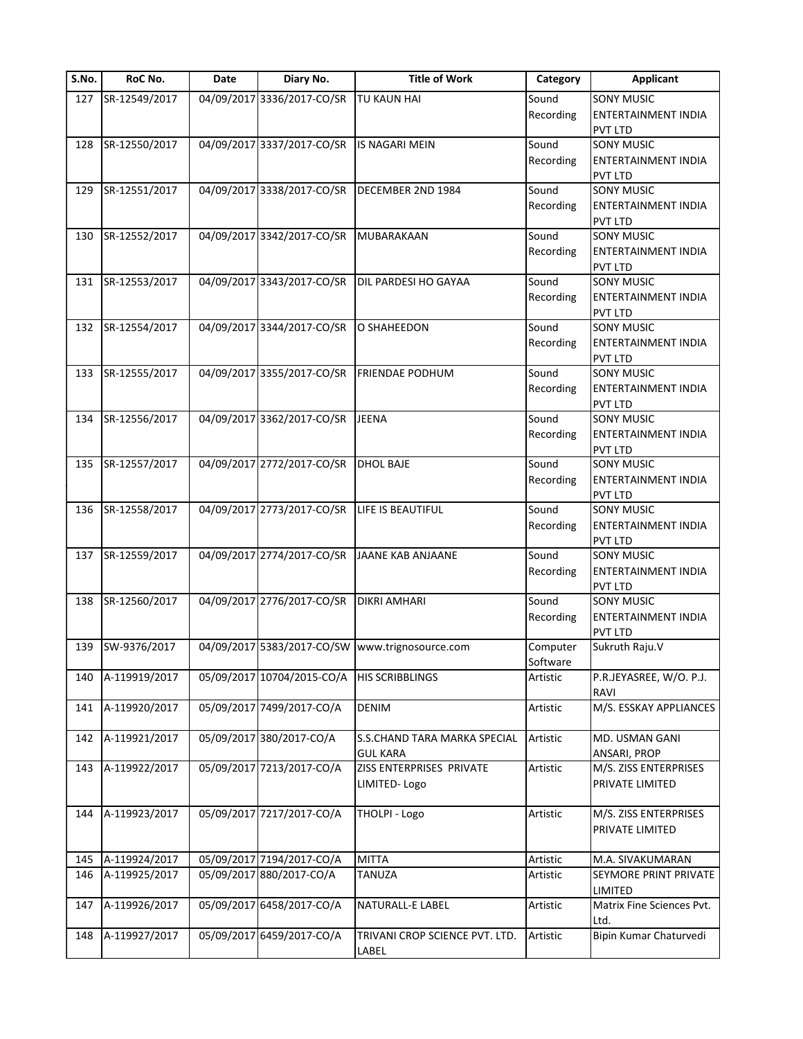| S.No. | RoC No.       | Date | Diary No.                  | <b>Title of Work</b>                            | Category  | <b>Applicant</b>             |
|-------|---------------|------|----------------------------|-------------------------------------------------|-----------|------------------------------|
| 127   | SR-12549/2017 |      | 04/09/2017 3336/2017-CO/SR | TU KAUN HAI                                     | Sound     | <b>SONY MUSIC</b>            |
|       |               |      |                            |                                                 | Recording | <b>ENTERTAINMENT INDIA</b>   |
|       |               |      |                            |                                                 |           | <b>PVT LTD</b>               |
| 128   | SR-12550/2017 |      | 04/09/2017 3337/2017-CO/SR | IS NAGARI MEIN                                  | Sound     | <b>SONY MUSIC</b>            |
|       |               |      |                            |                                                 | Recording | ENTERTAINMENT INDIA          |
|       |               |      |                            |                                                 |           | <b>PVT LTD</b>               |
| 129   | SR-12551/2017 |      | 04/09/2017 3338/2017-CO/SR | DECEMBER 2ND 1984                               | Sound     | <b>SONY MUSIC</b>            |
|       |               |      |                            |                                                 | Recording | ENTERTAINMENT INDIA          |
|       |               |      |                            |                                                 |           | <b>PVT LTD</b>               |
| 130   | SR-12552/2017 |      | 04/09/2017 3342/2017-CO/SR | MUBARAKAAN                                      | Sound     | <b>SONY MUSIC</b>            |
|       |               |      |                            |                                                 | Recording | <b>ENTERTAINMENT INDIA</b>   |
|       |               |      |                            |                                                 |           | <b>PVT LTD</b>               |
| 131   | SR-12553/2017 |      | 04/09/2017 3343/2017-CO/SR | DIL PARDESI HO GAYAA                            | Sound     | <b>SONY MUSIC</b>            |
|       |               |      |                            |                                                 | Recording | ENTERTAINMENT INDIA          |
|       |               |      |                            |                                                 |           | <b>PVT LTD</b>               |
| 132   | SR-12554/2017 |      | 04/09/2017 3344/2017-CO/SR | O SHAHEEDON                                     | Sound     | <b>SONY MUSIC</b>            |
|       |               |      |                            |                                                 | Recording | ENTERTAINMENT INDIA          |
|       |               |      |                            |                                                 |           |                              |
|       |               |      |                            | <b>FRIENDAE PODHUM</b>                          | Sound     | <b>PVT LTD</b><br>SONY MUSIC |
| 133   | SR-12555/2017 |      | 04/09/2017 3355/2017-CO/SR |                                                 |           |                              |
|       |               |      |                            |                                                 | Recording | ENTERTAINMENT INDIA          |
|       |               |      |                            |                                                 |           | <b>PVT LTD</b>               |
| 134   | SR-12556/2017 |      | 04/09/2017 3362/2017-CO/SR | JEENA                                           | Sound     | <b>SONY MUSIC</b>            |
|       |               |      |                            |                                                 | Recording | ENTERTAINMENT INDIA          |
|       |               |      |                            |                                                 |           | PVT LTD                      |
| 135   | SR-12557/2017 |      | 04/09/2017 2772/2017-CO/SR | <b>DHOL BAJE</b>                                | Sound     | <b>SONY MUSIC</b>            |
|       |               |      |                            |                                                 | Recording | ENTERTAINMENT INDIA          |
|       |               |      |                            |                                                 |           | PVT LTD                      |
| 136   | SR-12558/2017 |      | 04/09/2017 2773/2017-CO/SR | LIFE IS BEAUTIFUL                               | Sound     | <b>SONY MUSIC</b>            |
|       |               |      |                            |                                                 | Recording | ENTERTAINMENT INDIA          |
|       |               |      |                            |                                                 |           | PVT LTD                      |
| 137   | SR-12559/2017 |      | 04/09/2017 2774/2017-CO/SR | JAANE KAB ANJAANE                               | Sound     | <b>SONY MUSIC</b>            |
|       |               |      |                            |                                                 | Recording | ENTERTAINMENT INDIA          |
|       |               |      |                            |                                                 |           | <b>PVT LTD</b>               |
| 138   | SR-12560/2017 |      | 04/09/2017 2776/2017-CO/SR | DIKRI AMHARI                                    | Sound     | <b>SONY MUSIC</b>            |
|       |               |      |                            |                                                 | Recording | <b>ENTERTAINMENT INDIA</b>   |
|       |               |      |                            |                                                 |           | PVT LTD                      |
| 139   | SW-9376/2017  |      |                            | 04/09/2017 5383/2017-CO/SW www.trignosource.com | Computer  | Sukruth Raju.V               |
|       |               |      |                            |                                                 | Software  |                              |
| 140   | A-119919/2017 |      | 05/09/2017 10704/2015-CO/A | <b>HIS SCRIBBLINGS</b>                          | Artistic  | P.R.JEYASREE, W/O. P.J.      |
|       |               |      |                            |                                                 |           | RAVI                         |
| 141   | A-119920/2017 |      | 05/09/2017 7499/2017-CO/A  | <b>DENIM</b>                                    | Artistic  | M/S. ESSKAY APPLIANCES       |
|       |               |      |                            |                                                 |           |                              |
| 142   | A-119921/2017 |      | 05/09/2017 380/2017-CO/A   | S.S.CHAND TARA MARKA SPECIAL                    | Artistic  | MD. USMAN GANI               |
|       |               |      |                            | <b>GUL KARA</b>                                 |           | ANSARI, PROP                 |
| 143   | A-119922/2017 |      | 05/09/2017 7213/2017-CO/A  | ZISS ENTERPRISES PRIVATE                        | Artistic  | M/S. ZISS ENTERPRISES        |
|       |               |      |                            | LIMITED-Logo                                    |           | PRIVATE LIMITED              |
|       |               |      |                            |                                                 |           |                              |
| 144   | A-119923/2017 |      | 05/09/2017 7217/2017-CO/A  | THOLPI - Logo                                   | Artistic  | M/S. ZISS ENTERPRISES        |
|       |               |      |                            |                                                 |           | PRIVATE LIMITED              |
|       |               |      |                            |                                                 |           |                              |
| 145   | A-119924/2017 |      | 05/09/2017 7194/2017-CO/A  | <b>MITTA</b>                                    | Artistic  | M.A. SIVAKUMARAN             |
| 146   | A-119925/2017 |      | 05/09/2017 880/2017-CO/A   | TANUZA                                          | Artistic  | SEYMORE PRINT PRIVATE        |
|       |               |      |                            |                                                 |           | LIMITED                      |
| 147   | A-119926/2017 |      | 05/09/2017 6458/2017-CO/A  | NATURALL-E LABEL                                | Artistic  | Matrix Fine Sciences Pvt.    |
|       |               |      |                            |                                                 |           | Ltd.                         |
| 148   | A-119927/2017 |      | 05/09/2017 6459/2017-CO/A  | TRIVANI CROP SCIENCE PVT. LTD.                  | Artistic  | Bipin Kumar Chaturvedi       |
|       |               |      |                            |                                                 |           |                              |
|       |               |      |                            | LABEL                                           |           |                              |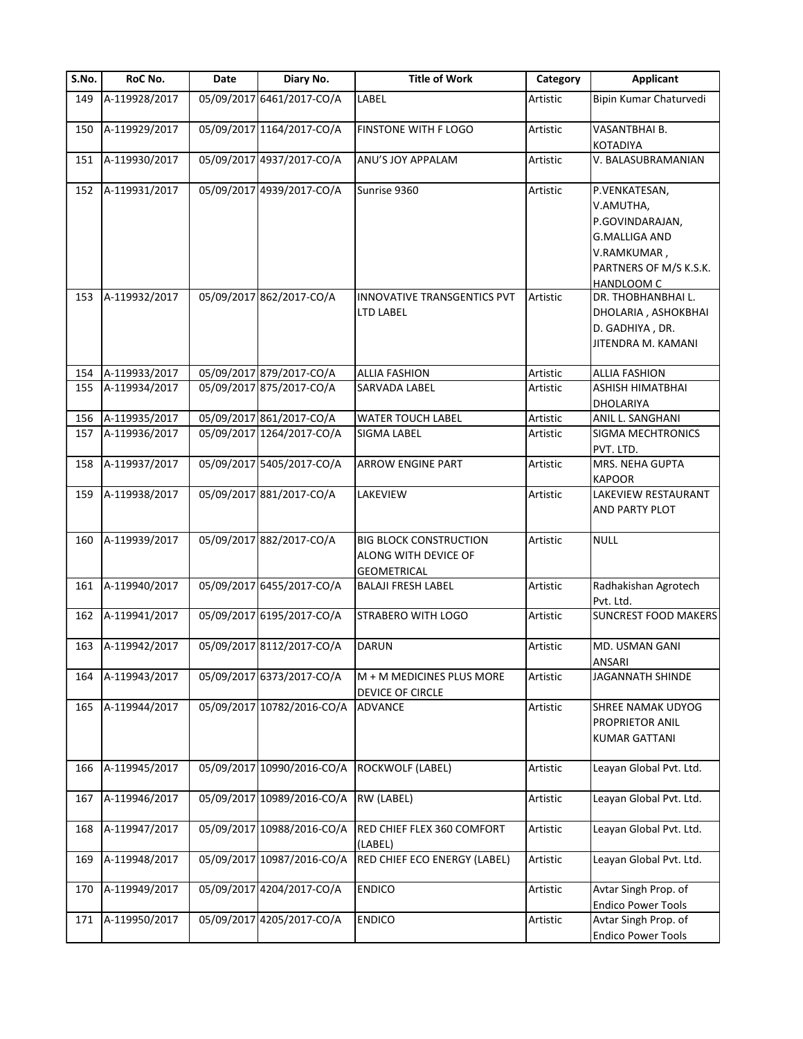| S.No. | RoC No.       | Date | Diary No.                  | <b>Title of Work</b>                                                        | Category | <b>Applicant</b>                                                                                                             |
|-------|---------------|------|----------------------------|-----------------------------------------------------------------------------|----------|------------------------------------------------------------------------------------------------------------------------------|
| 149   | A-119928/2017 |      | 05/09/2017 6461/2017-CO/A  | LABEL                                                                       | Artistic | Bipin Kumar Chaturvedi                                                                                                       |
| 150   | A-119929/2017 |      | 05/09/2017 1164/2017-CO/A  | FINSTONE WITH F LOGO                                                        | Artistic | VASANTBHAI B.<br>KOTADIYA                                                                                                    |
| 151   | A-119930/2017 |      | 05/09/2017 4937/2017-CO/A  | ANU'S JOY APPALAM                                                           | Artistic | V. BALASUBRAMANIAN                                                                                                           |
| 152   | A-119931/2017 |      | 05/09/2017 4939/2017-CO/A  | Sunrise 9360                                                                | Artistic | P.VENKATESAN,<br>V.AMUTHA,<br>P.GOVINDARAJAN,<br><b>G.MALLIGA AND</b><br>V.RAMKUMAR,<br>PARTNERS OF M/S K.S.K.<br>HANDLOOM C |
| 153   | A-119932/2017 |      | 05/09/2017 862/2017-CO/A   | INNOVATIVE TRANSGENTICS PVT<br>LTD LABEL                                    | Artistic | DR. THOBHANBHAI L.<br>DHOLARIA, ASHOKBHAI<br>D. GADHIYA, DR.<br>JITENDRA M. KAMANI                                           |
| 154   | A-119933/2017 |      | 05/09/2017 879/2017-CO/A   | <b>ALLIA FASHION</b>                                                        | Artistic | <b>ALLIA FASHION</b>                                                                                                         |
| 155   | A-119934/2017 |      | 05/09/2017 875/2017-CO/A   | SARVADA LABEL                                                               | Artistic | ASHISH HIMATBHAI<br>DHOLARIYA                                                                                                |
| 156   | A-119935/2017 |      | 05/09/2017 861/2017-CO/A   | <b>WATER TOUCH LABEL</b>                                                    | Artistic | ANIL L. SANGHANI                                                                                                             |
| 157   | A-119936/2017 |      | 05/09/2017 1264/2017-CO/A  | SIGMA LABEL                                                                 | Artistic | SIGMA MECHTRONICS<br>PVT. LTD.                                                                                               |
| 158   | A-119937/2017 |      | 05/09/2017 5405/2017-CO/A  | <b>ARROW ENGINE PART</b>                                                    | Artistic | MRS. NEHA GUPTA<br><b>KAPOOR</b>                                                                                             |
| 159   | A-119938/2017 |      | 05/09/2017 881/2017-CO/A   | LAKEVIEW                                                                    | Artistic | LAKEVIEW RESTAURANT<br>AND PARTY PLOT                                                                                        |
| 160   | A-119939/2017 |      | 05/09/2017 882/2017-CO/A   | <b>BIG BLOCK CONSTRUCTION</b><br>ALONG WITH DEVICE OF<br><b>GEOMETRICAL</b> | Artistic | <b>NULL</b>                                                                                                                  |
| 161   | A-119940/2017 |      | 05/09/2017 6455/2017-CO/A  | <b>BALAJI FRESH LABEL</b>                                                   | Artistic | Radhakishan Agrotech<br>Pvt. Ltd.                                                                                            |
| 162   | A-119941/2017 |      | 05/09/2017 6195/2017-CO/A  | STRABERO WITH LOGO                                                          | Artistic | <b>SUNCREST FOOD MAKERS</b>                                                                                                  |
| 163   | A-119942/2017 |      | 05/09/2017 8112/2017-CO/A  | <b>DARUN</b>                                                                | Artistic | MD. USMAN GANI<br>ANSARI                                                                                                     |
| 164   | A-119943/2017 |      | 05/09/2017 6373/2017-CO/A  | M + M MEDICINES PLUS MORE<br>DEVICE OF CIRCLE                               | Artistic | JAGANNATH SHINDE                                                                                                             |
| 165   | A-119944/2017 |      | 05/09/2017 10782/2016-CO/A | ADVANCE                                                                     | Artistic | <b>SHREE NAMAK UDYOG</b><br>PROPRIETOR ANIL<br><b>KUMAR GATTANI</b>                                                          |
| 166   | A-119945/2017 |      | 05/09/2017 10990/2016-CO/A | ROCKWOLF (LABEL)                                                            | Artistic | Leayan Global Pvt. Ltd.                                                                                                      |
| 167   | A-119946/2017 |      | 05/09/2017 10989/2016-CO/A | RW (LABEL)                                                                  | Artistic | Leayan Global Pvt. Ltd.                                                                                                      |
| 168   | A-119947/2017 |      | 05/09/2017 10988/2016-CO/A | RED CHIEF FLEX 360 COMFORT<br>(LABEL)                                       | Artistic | Leayan Global Pvt. Ltd.                                                                                                      |
| 169   | A-119948/2017 |      | 05/09/2017 10987/2016-CO/A | RED CHIEF ECO ENERGY (LABEL)                                                | Artistic | Leayan Global Pvt. Ltd.                                                                                                      |
| 170   | A-119949/2017 |      | 05/09/2017 4204/2017-CO/A  | <b>ENDICO</b>                                                               | Artistic | Avtar Singh Prop. of<br><b>Endico Power Tools</b>                                                                            |
| 171   | A-119950/2017 |      | 05/09/2017 4205/2017-CO/A  | <b>ENDICO</b>                                                               | Artistic | Avtar Singh Prop. of<br><b>Endico Power Tools</b>                                                                            |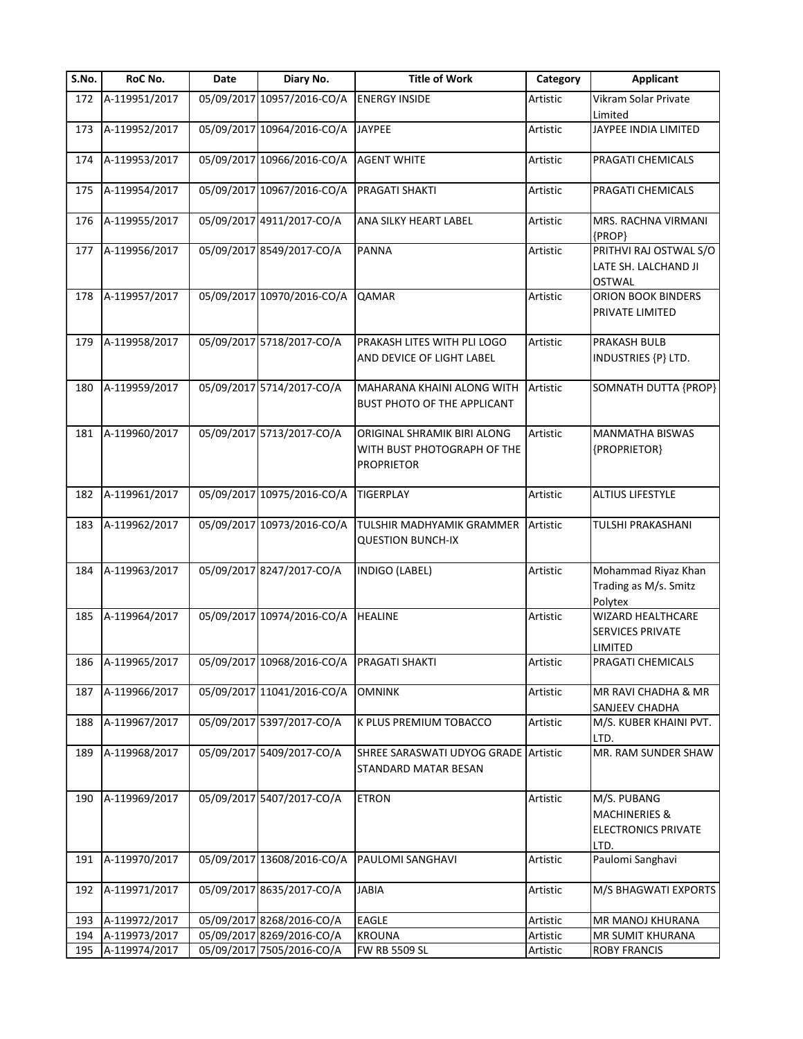| S.No. | RoC No.           | Date | Diary No.                                 | <b>Title of Work</b>                                                            | Category | <b>Applicant</b>                                                              |
|-------|-------------------|------|-------------------------------------------|---------------------------------------------------------------------------------|----------|-------------------------------------------------------------------------------|
| 172   | A-119951/2017     |      | 05/09/2017 10957/2016-CO/A                | <b>ENERGY INSIDE</b>                                                            | Artistic | Vikram Solar Private<br>Limited                                               |
| 173   | A-119952/2017     |      | 05/09/2017 10964/2016-CO/A                | <b>JAYPEE</b>                                                                   | Artistic | JAYPEE INDIA LIMITED                                                          |
| 174   | A-119953/2017     |      | 05/09/2017 10966/2016-CO/A                | <b>AGENT WHITE</b>                                                              | Artistic | PRAGATI CHEMICALS                                                             |
| 175   | A-119954/2017     |      | 05/09/2017 10967/2016-CO/A                | PRAGATI SHAKTI                                                                  | Artistic | PRAGATI CHEMICALS                                                             |
| 176   | A-119955/2017     |      | 05/09/2017 4911/2017-CO/A                 | ANA SILKY HEART LABEL                                                           | Artistic | MRS. RACHNA VIRMANI<br>{PROP}                                                 |
| 177   | A-119956/2017     |      | 05/09/2017 8549/2017-CO/A                 | <b>PANNA</b>                                                                    | Artistic | PRITHVI RAJ OSTWAL S/O<br>LATE SH. LALCHAND JI<br><b>OSTWAL</b>               |
| 178   | A-119957/2017     |      | 05/09/2017 10970/2016-CO/A                | <b>QAMAR</b>                                                                    | Artistic | ORION BOOK BINDERS<br>PRIVATE LIMITED                                         |
| 179   | A-119958/2017     |      | 05/09/2017 5718/2017-CO/A                 | PRAKASH LITES WITH PLI LOGO<br>AND DEVICE OF LIGHT LABEL                        | Artistic | PRAKASH BULB<br>INDUSTRIES {P} LTD.                                           |
| 180   | A-119959/2017     |      | 05/09/2017 5714/2017-CO/A                 | MAHARANA KHAINI ALONG WITH<br>BUST PHOTO OF THE APPLICANT                       | Artistic | SOMNATH DUTTA {PROP}                                                          |
| 181   | A-119960/2017     |      | 05/09/2017 5713/2017-CO/A                 | ORIGINAL SHRAMIK BIRI ALONG<br>WITH BUST PHOTOGRAPH OF THE<br><b>PROPRIETOR</b> | Artistic | <b>MANMATHA BISWAS</b><br>{PROPRIETOR}                                        |
| 182   | A-119961/2017     |      | 05/09/2017 10975/2016-CO/A                | <b>TIGERPLAY</b>                                                                | Artistic | <b>ALTIUS LIFESTYLE</b>                                                       |
| 183   | A-119962/2017     |      | 05/09/2017 10973/2016-CO/A                | TULSHIR MADHYAMIK GRAMMER<br><b>QUESTION BUNCH-IX</b>                           | Artistic | TULSHI PRAKASHANI                                                             |
| 184   | A-119963/2017     |      | 05/09/2017 8247/2017-CO/A                 | INDIGO (LABEL)                                                                  | Artistic | Mohammad Riyaz Khan<br>Trading as M/s. Smitz<br>Polytex                       |
| 185   | A-119964/2017     |      | 05/09/2017 10974/2016-CO/A                | <b>HEALINE</b>                                                                  | Artistic | <b>WIZARD HEALTHCARE</b><br><b>SERVICES PRIVATE</b><br>LIMITED                |
|       | 186 A-119965/2017 |      | 05/09/2017 10968/2016-CO/A PRAGATI SHAKTI |                                                                                 | Artistic | PRAGATI CHEMICALS                                                             |
| 187   | A-119966/2017     |      | 05/09/2017 11041/2016-CO/A                | <b>OMNINK</b>                                                                   | Artistic | MR RAVI CHADHA & MR<br>SANJEEV CHADHA                                         |
| 188   | A-119967/2017     |      | 05/09/2017 5397/2017-CO/A                 | K PLUS PREMIUM TOBACCO                                                          | Artistic | M/S. KUBER KHAINI PVT.<br>LTD.                                                |
| 189   | A-119968/2017     |      | 05/09/2017 5409/2017-CO/A                 | SHREE SARASWATI UDYOG GRADE Artistic<br>STANDARD MATAR BESAN                    |          | MR. RAM SUNDER SHAW                                                           |
| 190   | A-119969/2017     |      | 05/09/2017 5407/2017-CO/A                 | <b>ETRON</b>                                                                    | Artistic | M/S. PUBANG<br><b>MACHINERIES &amp;</b><br><b>ELECTRONICS PRIVATE</b><br>LTD. |
| 191   | A-119970/2017     |      | 05/09/2017 13608/2016-CO/A                | PAULOMI SANGHAVI                                                                | Artistic | Paulomi Sanghavi                                                              |
| 192   | A-119971/2017     |      | 05/09/2017 8635/2017-CO/A                 | <b>JABIA</b>                                                                    | Artistic | M/S BHAGWATI EXPORTS                                                          |
| 193   | A-119972/2017     |      | 05/09/2017 8268/2016-CO/A                 | EAGLE                                                                           | Artistic | MR MANOJ KHURANA                                                              |
| 194   | A-119973/2017     |      | 05/09/2017 8269/2016-CO/A                 | <b>KROUNA</b>                                                                   | Artistic | MR SUMIT KHURANA                                                              |
| 195   | A-119974/2017     |      | 05/09/2017 7505/2016-CO/A                 | <b>FW RB 5509 SL</b>                                                            | Artistic | <b>ROBY FRANCIS</b>                                                           |
|       |                   |      |                                           |                                                                                 |          |                                                                               |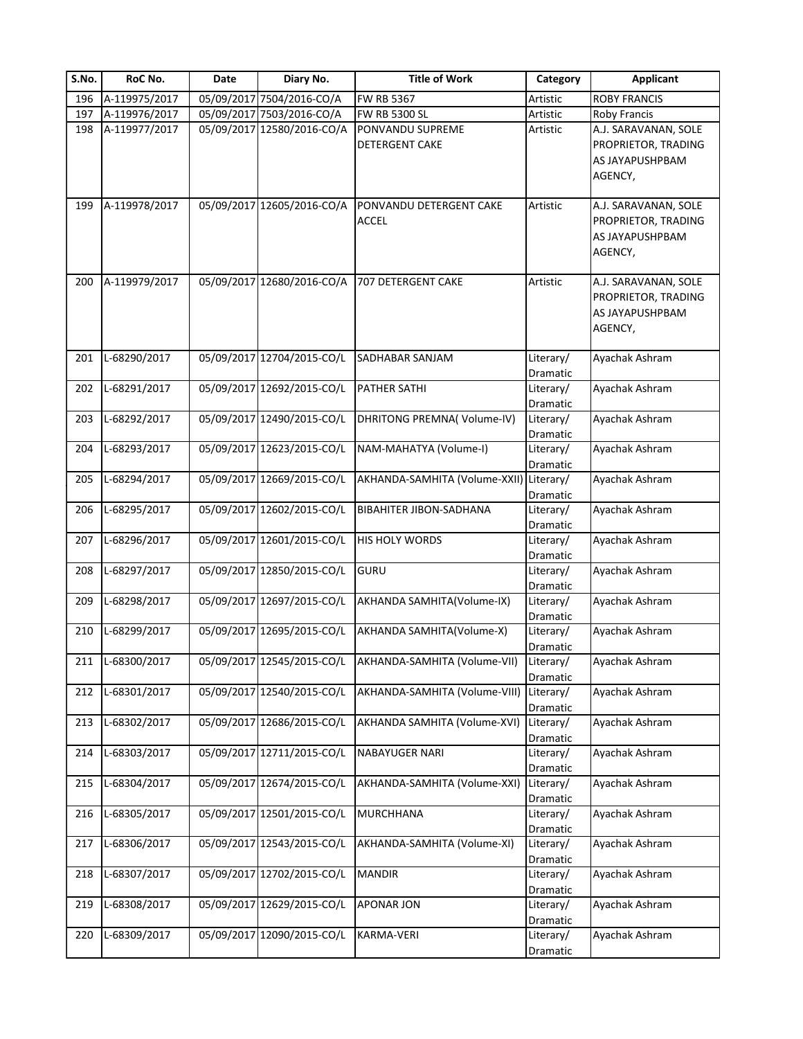| S.No. | RoC No.       | Date       | Diary No.                  | <b>Title of Work</b>                      | Category              | <b>Applicant</b>                                                          |
|-------|---------------|------------|----------------------------|-------------------------------------------|-----------------------|---------------------------------------------------------------------------|
| 196   | A-119975/2017 | 05/09/2017 | 7504/2016-CO/A             | FW RB 5367                                | Artistic              | <b>ROBY FRANCIS</b>                                                       |
| 197   | A-119976/2017 | 05/09/2017 | 7503/2016-CO/A             | FW RB 5300 SL                             | Artistic              | Roby Francis                                                              |
| 198   | A-119977/2017 |            | 05/09/2017 12580/2016-CO/A | PONVANDU SUPREME<br><b>DETERGENT CAKE</b> | Artistic              | A.J. SARAVANAN, SOLE<br>PROPRIETOR, TRADING<br>AS JAYAPUSHPBAM<br>AGENCY, |
| 199   | A-119978/2017 |            | 05/09/2017 12605/2016-CO/A | PONVANDU DETERGENT CAKE<br><b>ACCEL</b>   | Artistic              | A.J. SARAVANAN, SOLE<br>PROPRIETOR, TRADING<br>AS JAYAPUSHPBAM<br>AGENCY, |
| 200   | A-119979/2017 |            | 05/09/2017 12680/2016-CO/A | 707 DETERGENT CAKE                        | Artistic              | A.J. SARAVANAN, SOLE<br>PROPRIETOR, TRADING<br>AS JAYAPUSHPBAM<br>AGENCY, |
| 201   | L-68290/2017  |            | 05/09/2017 12704/2015-CO/L | SADHABAR SANJAM                           | Literary/<br>Dramatic | Ayachak Ashram                                                            |
| 202   | L-68291/2017  |            | 05/09/2017 12692/2015-CO/L | <b>PATHER SATHI</b>                       | Literary/<br>Dramatic | Ayachak Ashram                                                            |
| 203   | L-68292/2017  |            | 05/09/2017 12490/2015-CO/L | DHRITONG PREMNA(Volume-IV)                | Literary/<br>Dramatic | Ayachak Ashram                                                            |
| 204   | L-68293/2017  |            | 05/09/2017 12623/2015-CO/L | NAM-MAHATYA (Volume-I)                    | Literary/<br>Dramatic | Ayachak Ashram                                                            |
| 205   | L-68294/2017  |            | 05/09/2017 12669/2015-CO/L | AKHANDA-SAMHITA (Volume-XXII) Literary/   | Dramatic              | Ayachak Ashram                                                            |
| 206   | L-68295/2017  |            | 05/09/2017 12602/2015-CO/L | <b>BIBAHITER JIBON-SADHANA</b>            | Literary/<br>Dramatic | Ayachak Ashram                                                            |
| 207   | L-68296/2017  |            | 05/09/2017 12601/2015-CO/L | <b>HIS HOLY WORDS</b>                     | Literary/<br>Dramatic | Ayachak Ashram                                                            |
| 208   | L-68297/2017  |            | 05/09/2017 12850/2015-CO/L | <b>GURU</b>                               | Literary/<br>Dramatic | Ayachak Ashram                                                            |
| 209   | L-68298/2017  |            | 05/09/2017 12697/2015-CO/L | AKHANDA SAMHITA(Volume-IX)                | Literary/<br>Dramatic | Ayachak Ashram                                                            |
| 210   | L-68299/2017  |            | 05/09/2017 12695/2015-CO/L | AKHANDA SAMHITA(Volume-X)                 | Literary/<br>Dramatic | Ayachak Ashram                                                            |
| 211   | L-68300/2017  |            | 05/09/2017 12545/2015-CO/L | AKHANDA-SAMHITA (Volume-VII)              | Literary/<br>Dramatic | Ayachak Ashram                                                            |
| 212   | L-68301/2017  |            | 05/09/2017 12540/2015-CO/L | AKHANDA-SAMHITA (Volume-VIII)             | Literary/<br>Dramatic | Ayachak Ashram                                                            |
| 213   | L-68302/2017  |            | 05/09/2017 12686/2015-CO/L | AKHANDA SAMHITA (Volume-XVI)              | Literary/<br>Dramatic | Ayachak Ashram                                                            |
| 214   | L-68303/2017  |            | 05/09/2017 12711/2015-CO/L | <b>NABAYUGER NARI</b>                     | Literary/<br>Dramatic | Ayachak Ashram                                                            |
| 215   | L-68304/2017  |            | 05/09/2017 12674/2015-CO/L | AKHANDA-SAMHITA (Volume-XXI)              | Literary/<br>Dramatic | Ayachak Ashram                                                            |
| 216   | L-68305/2017  |            | 05/09/2017 12501/2015-CO/L | <b>MURCHHANA</b>                          | Literary/<br>Dramatic | Ayachak Ashram                                                            |
| 217   | L-68306/2017  |            | 05/09/2017 12543/2015-CO/L | AKHANDA-SAMHITA (Volume-XI)               | Literary/<br>Dramatic | Ayachak Ashram                                                            |
| 218   | L-68307/2017  |            | 05/09/2017 12702/2015-CO/L | <b>MANDIR</b>                             | Literary/<br>Dramatic | Ayachak Ashram                                                            |
| 219   | L-68308/2017  |            | 05/09/2017 12629/2015-CO/L | APONAR JON                                | Literary/<br>Dramatic | Ayachak Ashram                                                            |
| 220   | L-68309/2017  |            | 05/09/2017 12090/2015-CO/L | KARMA-VERI                                | Literary/<br>Dramatic | Ayachak Ashram                                                            |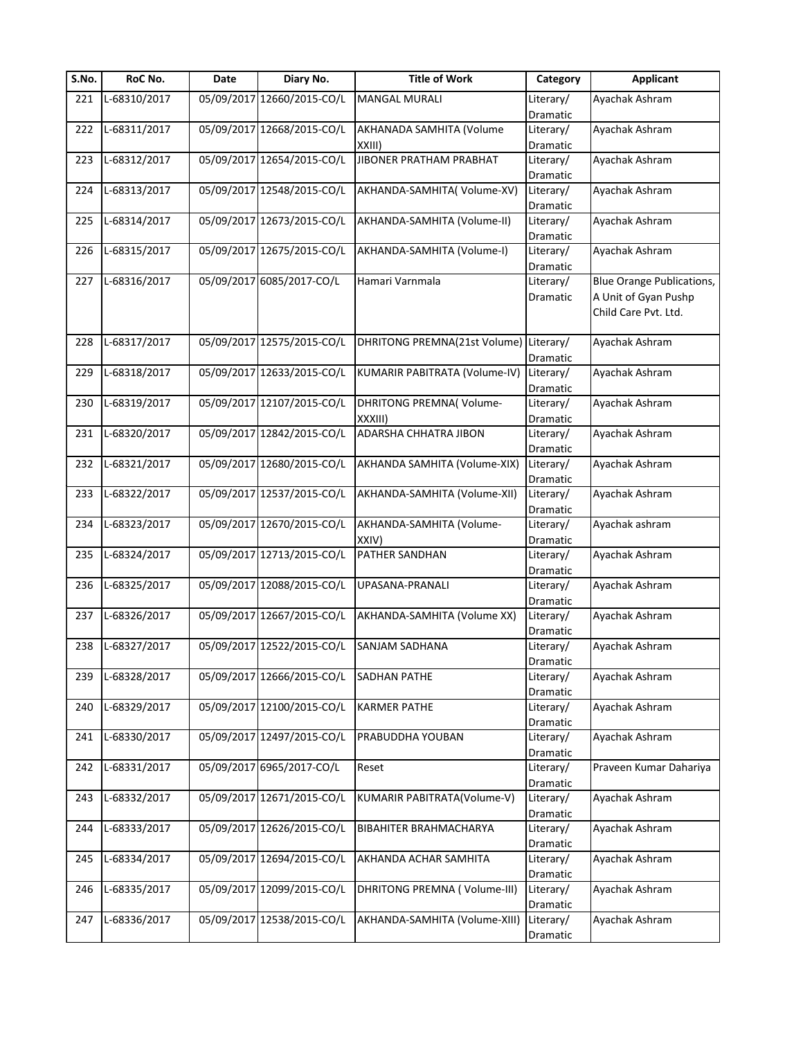| S.No. | RoC No.      | Date | Diary No.                  | <b>Title of Work</b>          | Category              | <b>Applicant</b>                 |
|-------|--------------|------|----------------------------|-------------------------------|-----------------------|----------------------------------|
| 221   | L-68310/2017 |      | 05/09/2017 12660/2015-CO/L | MANGAL MURALI                 | Literary/             | Ayachak Ashram                   |
|       |              |      |                            |                               | Dramatic              |                                  |
| 222   | L-68311/2017 |      | 05/09/2017 12668/2015-CO/L | AKHANADA SAMHITA (Volume      | Literary/             | Ayachak Ashram                   |
|       |              |      |                            | XXIII)                        | Dramatic              |                                  |
| 223   | L-68312/2017 |      | 05/09/2017 12654/2015-CO/L | JIBONER PRATHAM PRABHAT       | Literary/             | Ayachak Ashram                   |
|       |              |      |                            |                               | Dramatic              |                                  |
| 224   | L-68313/2017 |      | 05/09/2017 12548/2015-CO/L | AKHANDA-SAMHITA(Volume-XV)    | Literary/             | Ayachak Ashram                   |
|       |              |      |                            |                               | Dramatic              |                                  |
| 225   | L-68314/2017 |      | 05/09/2017 12673/2015-CO/L | AKHANDA-SAMHITA (Volume-II)   | Literary/             | Ayachak Ashram                   |
|       |              |      |                            |                               | Dramatic              |                                  |
| 226   | L-68315/2017 |      | 05/09/2017 12675/2015-CO/L | AKHANDA-SAMHITA (Volume-I)    | Literary/             | Ayachak Ashram                   |
|       |              |      |                            |                               | Dramatic              |                                  |
| 227   | L-68316/2017 |      | 05/09/2017 6085/2017-CO/L  | Hamari Varnmala               | Literary/             | <b>Blue Orange Publications,</b> |
|       |              |      |                            |                               | Dramatic              | A Unit of Gyan Pushp             |
|       |              |      |                            |                               |                       | Child Care Pvt. Ltd.             |
|       |              |      |                            |                               |                       |                                  |
| 228   | L-68317/2017 |      | 05/09/2017 12575/2015-CO/L | DHRITONG PREMNA(21st Volume)  | Literary/             | Ayachak Ashram                   |
|       |              |      |                            |                               | Dramatic              |                                  |
| 229   | L-68318/2017 |      | 05/09/2017 12633/2015-CO/L | KUMARIR PABITRATA (Volume-IV) | Literary/             | Ayachak Ashram                   |
|       |              |      |                            |                               | Dramatic              |                                  |
| 230   | L-68319/2017 |      | 05/09/2017 12107/2015-CO/L | DHRITONG PREMNA(Volume-       | Literary/             | Ayachak Ashram                   |
|       |              |      |                            | XXXIII)                       | Dramatic              |                                  |
| 231   | L-68320/2017 |      | 05/09/2017 12842/2015-CO/L | ADARSHA CHHATRA JIBON         | Literary/             | Ayachak Ashram                   |
|       |              |      |                            |                               | Dramatic              |                                  |
| 232   | L-68321/2017 |      | 05/09/2017 12680/2015-CO/L | AKHANDA SAMHITA (Volume-XIX)  | Literary/             | Ayachak Ashram                   |
|       |              |      |                            |                               | Dramatic              |                                  |
| 233   | L-68322/2017 |      | 05/09/2017 12537/2015-CO/L | AKHANDA-SAMHITA (Volume-XII)  | Literary/             | Ayachak Ashram                   |
|       |              |      |                            |                               | Dramatic              |                                  |
| 234   | L-68323/2017 |      | 05/09/2017 12670/2015-CO/L | AKHANDA-SAMHITA (Volume-      | Literary/             | Ayachak ashram                   |
|       |              |      |                            | XXIV)                         | Dramatic              |                                  |
| 235   | L-68324/2017 |      | 05/09/2017 12713/2015-CO/L | PATHER SANDHAN                | Literary/             | Ayachak Ashram                   |
|       |              |      |                            |                               | Dramatic              |                                  |
| 236   | L-68325/2017 |      | 05/09/2017 12088/2015-CO/L | UPASANA-PRANALI               | Literary/             | Ayachak Ashram                   |
|       |              |      |                            |                               | Dramatic              |                                  |
| 237   | L-68326/2017 |      | 05/09/2017 12667/2015-CO/L | AKHANDA-SAMHITA (Volume XX)   | Literary/             | Ayachak Ashram                   |
|       |              |      |                            |                               | Dramatic              |                                  |
| 238   | L-68327/2017 |      | 05/09/2017 12522/2015-CO/L | SANJAM SADHANA                | Literary/             | Ayachak Ashram                   |
|       |              |      |                            |                               | Dramatic              |                                  |
| 239   | L-68328/2017 |      | 05/09/2017 12666/2015-CO/L | SADHAN PATHE                  | Literary/             | Ayachak Ashram                   |
|       |              |      |                            |                               | Dramatic              |                                  |
| 240   | L-68329/2017 |      | 05/09/2017 12100/2015-CO/L | <b>KARMER PATHE</b>           | Literary/             | Ayachak Ashram                   |
|       | L-68330/2017 |      | 05/09/2017 12497/2015-CO/L |                               | Dramatic              |                                  |
| 241   |              |      |                            | PRABUDDHA YOUBAN              | Literary/             | Ayachak Ashram                   |
| 242   | L-68331/2017 |      | 05/09/2017 6965/2017-CO/L  | Reset                         | Dramatic<br>Literary/ | Praveen Kumar Dahariya           |
|       |              |      |                            |                               |                       |                                  |
|       | L-68332/2017 |      | 05/09/2017 12671/2015-CO/L | KUMARIR PABITRATA(Volume-V)   | Dramatic              | Ayachak Ashram                   |
| 243   |              |      |                            |                               | Literary/             |                                  |
|       | L-68333/2017 |      | 05/09/2017 12626/2015-CO/L | BIBAHITER BRAHMACHARYA        | Dramatic              | Ayachak Ashram                   |
| 244   |              |      |                            |                               | Literary/             |                                  |
|       |              |      | 05/09/2017 12694/2015-CO/L |                               | Dramatic              |                                  |
| 245   | L-68334/2017 |      |                            | AKHANDA ACHAR SAMHITA         | Literary/             | Ayachak Ashram                   |
|       |              |      | 05/09/2017 12099/2015-CO/L | DHRITONG PREMNA (Volume-III)  | Dramatic              |                                  |
| 246   | L-68335/2017 |      |                            |                               | Literary/             | Ayachak Ashram                   |
|       |              |      | 05/09/2017 12538/2015-CO/L |                               | Dramatic              |                                  |
| 247   | L-68336/2017 |      |                            | AKHANDA-SAMHITA (Volume-XIII) | Literary/             | Ayachak Ashram                   |
|       |              |      |                            |                               | Dramatic              |                                  |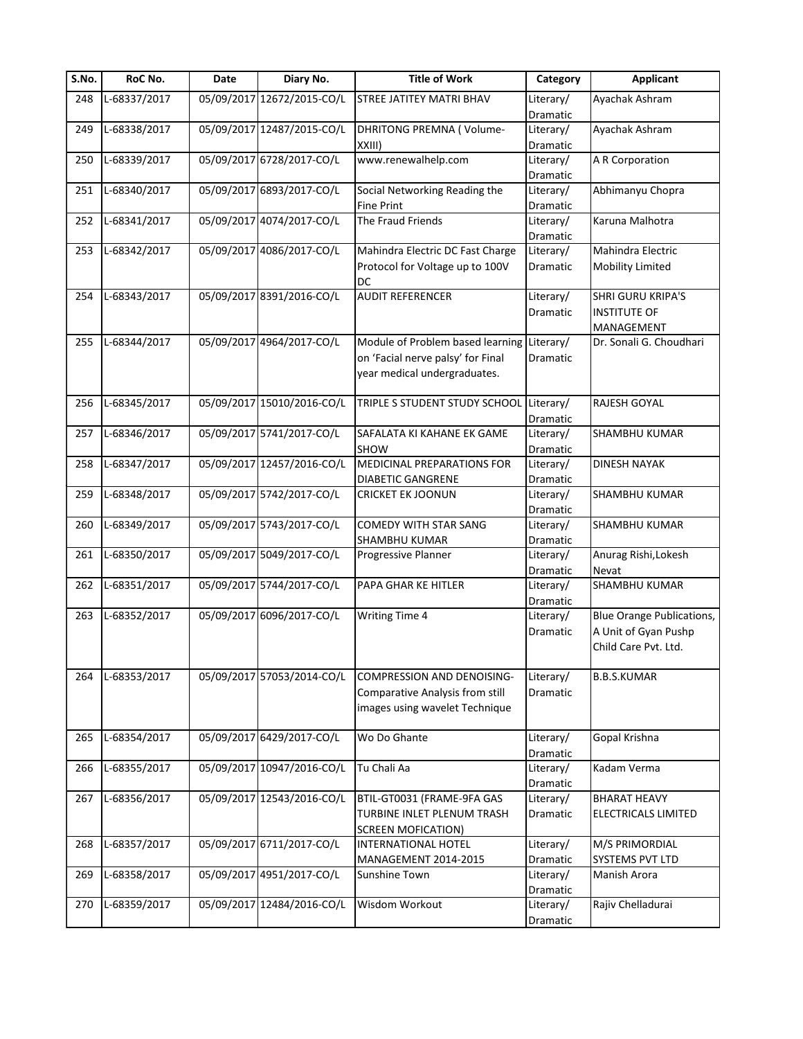| S.No. | RoC No.      | Date | Diary No.                  | <b>Title of Work</b>                       | Category        | <b>Applicant</b>                 |
|-------|--------------|------|----------------------------|--------------------------------------------|-----------------|----------------------------------|
| 248   | L-68337/2017 |      | 05/09/2017 12672/2015-CO/L | <b>STREE JATITEY MATRI BHAV</b>            | Literary/       | Ayachak Ashram                   |
|       |              |      |                            |                                            | Dramatic        |                                  |
| 249   | L-68338/2017 |      | 05/09/2017 12487/2015-CO/L | DHRITONG PREMNA (Volume-                   | Literary/       | Ayachak Ashram                   |
|       |              |      |                            | XXIII)                                     | Dramatic        |                                  |
| 250   | L-68339/2017 |      | 05/09/2017 6728/2017-CO/L  | www.renewalhelp.com                        | Literary/       | A R Corporation                  |
|       |              |      |                            |                                            | Dramatic        |                                  |
| 251   | L-68340/2017 |      | 05/09/2017 6893/2017-CO/L  | Social Networking Reading the              | Literary/       | Abhimanyu Chopra                 |
|       |              |      |                            | <b>Fine Print</b>                          | Dramatic        |                                  |
| 252   | L-68341/2017 |      | 05/09/2017 4074/2017-CO/L  | The Fraud Friends                          | Literary/       | Karuna Malhotra                  |
|       |              |      |                            |                                            | Dramatic        |                                  |
| 253   | L-68342/2017 |      | 05/09/2017 4086/2017-CO/L  | Mahindra Electric DC Fast Charge           | Literary/       | Mahindra Electric                |
|       |              |      |                            | Protocol for Voltage up to 100V            | Dramatic        | Mobility Limited                 |
| 254   | L-68343/2017 |      | 05/09/2017 8391/2016-CO/L  | DC<br><b>AUDIT REFERENCER</b>              | Literary/       | <b>SHRI GURU KRIPA'S</b>         |
|       |              |      |                            |                                            | Dramatic        | <b>INSTITUTE OF</b>              |
|       |              |      |                            |                                            |                 | MANAGEMENT                       |
| 255   | L-68344/2017 |      | 05/09/2017 4964/2017-CO/L  | Module of Problem based learning Literary/ |                 | Dr. Sonali G. Choudhari          |
|       |              |      |                            | on 'Facial nerve palsy' for Final          | <b>Dramatic</b> |                                  |
|       |              |      |                            | year medical undergraduates.               |                 |                                  |
|       |              |      |                            |                                            |                 |                                  |
| 256   | L-68345/2017 |      | 05/09/2017 15010/2016-CO/L | TRIPLE S STUDENT STUDY SCHOOL              | Literary/       | RAJESH GOYAL                     |
|       |              |      |                            |                                            | Dramatic        |                                  |
| 257   | L-68346/2017 |      | 05/09/2017 5741/2017-CO/L  | SAFALATA KI KAHANE EK GAME                 | Literary/       | SHAMBHU KUMAR                    |
|       |              |      |                            | SHOW                                       | Dramatic        |                                  |
| 258   | L-68347/2017 |      | 05/09/2017 12457/2016-CO/L | MEDICINAL PREPARATIONS FOR                 | Literary/       | <b>DINESH NAYAK</b>              |
|       |              |      |                            | <b>DIABETIC GANGRENE</b>                   | Dramatic        |                                  |
| 259   | L-68348/2017 |      | 05/09/2017 5742/2017-CO/L  | <b>CRICKET EK JOONUN</b>                   | Literary/       | SHAMBHU KUMAR                    |
|       |              |      |                            |                                            | Dramatic        |                                  |
| 260   | L-68349/2017 |      | 05/09/2017 5743/2017-CO/L  | <b>COMEDY WITH STAR SANG</b>               | Literary/       | <b>SHAMBHU KUMAR</b>             |
|       |              |      |                            | SHAMBHU KUMAR                              | Dramatic        |                                  |
| 261   | L-68350/2017 |      | 05/09/2017 5049/2017-CO/L  | Progressive Planner                        | Literary/       | Anurag Rishi, Lokesh             |
|       |              |      |                            |                                            | Dramatic        | Nevat                            |
| 262   | L-68351/2017 |      | 05/09/2017 5744/2017-CO/L  | PAPA GHAR KE HITLER                        | Literary/       | SHAMBHU KUMAR                    |
|       |              |      |                            |                                            | Dramatic        |                                  |
| 263   | L-68352/2017 |      | 05/09/2017 6096/2017-CO/L  | <b>Writing Time 4</b>                      | Literary/       | <b>Blue Orange Publications,</b> |
|       |              |      |                            |                                            | Dramatic        | A Unit of Gyan Pushp             |
|       |              |      |                            |                                            |                 | Child Care Pvt. Ltd.             |
|       |              |      |                            |                                            |                 |                                  |
| 264   | L-68353/2017 |      | 05/09/2017 57053/2014-CO/L | <b>COMPRESSION AND DENOISING-</b>          | Literary/       | <b>B.B.S.KUMAR</b>               |
|       |              |      |                            | Comparative Analysis from still            | Dramatic        |                                  |
|       |              |      |                            | images using wavelet Technique             |                 |                                  |
| 265   | L-68354/2017 |      | 05/09/2017 6429/2017-CO/L  | Wo Do Ghante                               | Literary/       | Gopal Krishna                    |
|       |              |      |                            |                                            | Dramatic        |                                  |
| 266   | L-68355/2017 |      | 05/09/2017 10947/2016-CO/L | Tu Chali Aa                                | Literary/       | Kadam Verma                      |
|       |              |      |                            |                                            | Dramatic        |                                  |
| 267   | L-68356/2017 |      | 05/09/2017 12543/2016-CO/L | BTIL-GT0031 (FRAME-9FA GAS                 | Literary/       | <b>BHARAT HEAVY</b>              |
|       |              |      |                            | TURBINE INLET PLENUM TRASH                 | Dramatic        | <b>ELECTRICALS LIMITED</b>       |
|       |              |      |                            | <b>SCREEN MOFICATION)</b>                  |                 |                                  |
| 268   | L-68357/2017 |      | 05/09/2017 6711/2017-CO/L  | INTERNATIONAL HOTEL                        | Literary/       | M/S PRIMORDIAL                   |
|       |              |      |                            | MANAGEMENT 2014-2015                       | Dramatic        | SYSTEMS PVT LTD                  |
| 269   | L-68358/2017 |      | 05/09/2017 4951/2017-CO/L  | Sunshine Town                              | Literary/       | Manish Arora                     |
|       |              |      |                            |                                            | Dramatic        |                                  |
| 270   | L-68359/2017 |      | 05/09/2017 12484/2016-CO/L | Wisdom Workout                             | Literary/       | Rajiv Chelladurai                |
|       |              |      |                            |                                            | Dramatic        |                                  |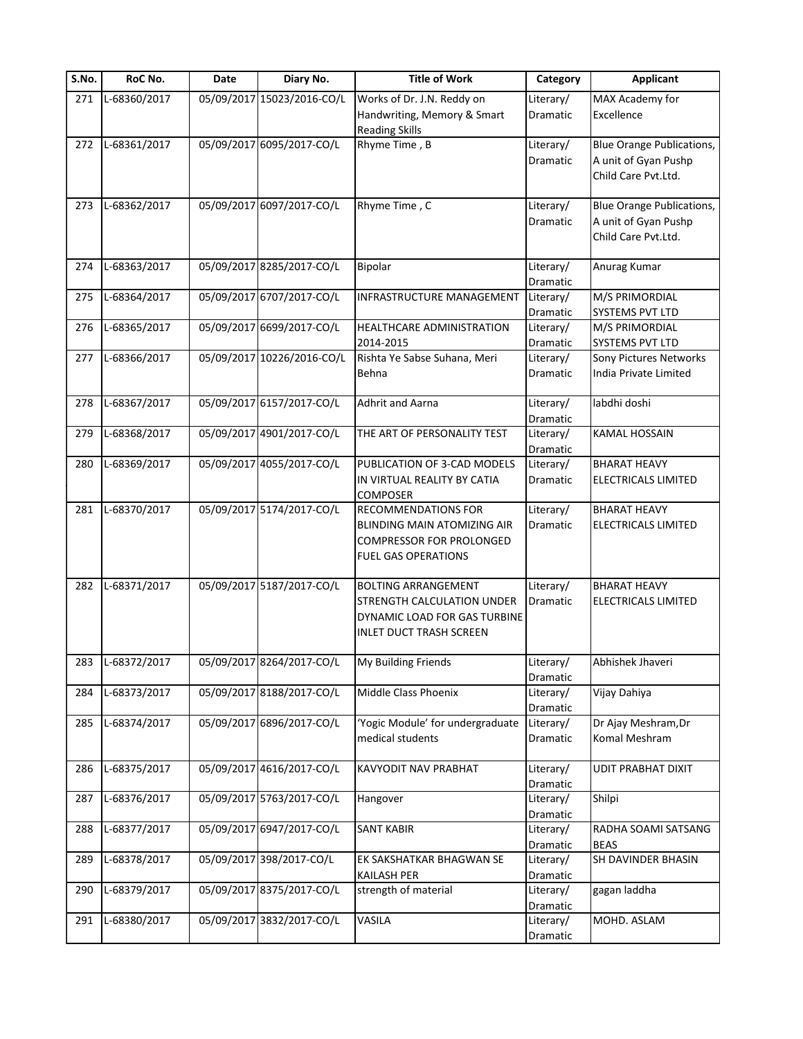| S.No. | RoC No.      | Date | Diary No.                  | <b>Title of Work</b>              | Category              | <b>Applicant</b>                 |
|-------|--------------|------|----------------------------|-----------------------------------|-----------------------|----------------------------------|
| 271   | L-68360/2017 |      | 05/09/2017 15023/2016-CO/L | Works of Dr. J.N. Reddy on        | Literary/             | MAX Academy for                  |
|       |              |      |                            | Handwriting, Memory & Smart       | Dramatic              | Excellence                       |
|       |              |      |                            | <b>Reading Skills</b>             |                       |                                  |
| 272   | L-68361/2017 |      | 05/09/2017 6095/2017-CO/L  | Rhyme Time, B                     | Literary/             | <b>Blue Orange Publications,</b> |
|       |              |      |                            |                                   | Dramatic              | A unit of Gyan Pushp             |
|       |              |      |                            |                                   |                       | Child Care Pvt.Ltd.              |
| 273   | L-68362/2017 |      | 05/09/2017 6097/2017-CO/L  | Rhyme Time, C                     | Literary/             | <b>Blue Orange Publications,</b> |
|       |              |      |                            |                                   | Dramatic              | A unit of Gyan Pushp             |
|       |              |      |                            |                                   |                       | Child Care Pvt.Ltd.              |
|       |              |      |                            |                                   |                       |                                  |
| 274   | L-68363/2017 |      | 05/09/2017 8285/2017-CO/L  | Bipolar                           | Literary/             | Anurag Kumar                     |
|       |              |      |                            |                                   | Dramatic              |                                  |
| 275   | L-68364/2017 |      | 05/09/2017 6707/2017-CO/L  | INFRASTRUCTURE MANAGEMENT         | Literary/             | M/S PRIMORDIAL                   |
|       |              |      |                            |                                   | Dramatic              | SYSTEMS PVT LTD                  |
| 276   | L-68365/2017 |      | 05/09/2017 6699/2017-CO/L  | HEALTHCARE ADMINISTRATION         | Literary/             | M/S PRIMORDIAL                   |
|       |              |      |                            | 2014-2015                         | Dramatic              | SYSTEMS PVT LTD                  |
| 277   | L-68366/2017 |      | 05/09/2017 10226/2016-CO/L | Rishta Ye Sabse Suhana, Meri      | Literary/             | Sony Pictures Networks           |
|       |              |      |                            | Behna                             | Dramatic              | India Private Limited            |
|       |              |      |                            |                                   |                       |                                  |
| 278   | L-68367/2017 |      | 05/09/2017 6157/2017-CO/L  | <b>Adhrit and Aarna</b>           | Literary/             | labdhi doshi                     |
|       |              |      |                            |                                   | Dramatic              |                                  |
| 279   | L-68368/2017 |      | 05/09/2017 4901/2017-CO/L  | THE ART OF PERSONALITY TEST       | Literary/             | <b>KAMAL HOSSAIN</b>             |
| 280   | L-68369/2017 |      | 05/09/2017 4055/2017-CO/L  | PUBLICATION OF 3-CAD MODELS       | Dramatic<br>Literary/ | <b>BHARAT HEAVY</b>              |
|       |              |      |                            | IN VIRTUAL REALITY BY CATIA       | Dramatic              | ELECTRICALS LIMITED              |
|       |              |      |                            | <b>COMPOSER</b>                   |                       |                                  |
| 281   | L-68370/2017 |      | 05/09/2017 5174/2017-CO/L  | <b>RECOMMENDATIONS FOR</b>        | Literary/             | <b>BHARAT HEAVY</b>              |
|       |              |      |                            | BLINDING MAIN ATOMIZING AIR       | Dramatic              | ELECTRICALS LIMITED              |
|       |              |      |                            | <b>COMPRESSOR FOR PROLONGED</b>   |                       |                                  |
|       |              |      |                            | <b>FUEL GAS OPERATIONS</b>        |                       |                                  |
|       |              |      |                            |                                   |                       |                                  |
| 282   | L-68371/2017 |      | 05/09/2017 5187/2017-CO/L  | <b>BOLTING ARRANGEMENT</b>        | Literary/             | <b>BHARAT HEAVY</b>              |
|       |              |      |                            | <b>STRENGTH CALCULATION UNDER</b> | Dramatic              | <b>ELECTRICALS LIMITED</b>       |
|       |              |      |                            | DYNAMIC LOAD FOR GAS TURBINE      |                       |                                  |
|       |              |      |                            | <b>INLET DUCT TRASH SCREEN</b>    |                       |                                  |
|       |              |      |                            |                                   |                       |                                  |
| 283   | L-68372/2017 |      | 05/09/2017 8264/2017-CO/L  | <b>My Building Friends</b>        | Literary/             | Abhishek Jhaveri                 |
|       |              |      |                            |                                   | Dramatic              |                                  |
| 284   | L-68373/2017 |      | 05/09/2017 8188/2017-CO/L  | Middle Class Phoenix              | Literary/             | Vijay Dahiya                     |
|       |              |      |                            |                                   | Dramatic              |                                  |
| 285   | L-68374/2017 |      | 05/09/2017 6896/2017-CO/L  | 'Yogic Module' for undergraduate  | Literary/             | Dr Ajay Meshram, Dr              |
|       |              |      |                            | medical students                  | Dramatic              | Komal Meshram                    |
| 286   | L-68375/2017 |      | 05/09/2017 4616/2017-CO/L  | <b>KAVYODIT NAV PRABHAT</b>       | Literary/             | UDIT PRABHAT DIXIT               |
|       |              |      |                            |                                   | Dramatic              |                                  |
| 287   | L-68376/2017 |      | 05/09/2017 5763/2017-CO/L  | Hangover                          | Literary/             | Shilpi                           |
|       |              |      |                            |                                   | <b>Dramatic</b>       |                                  |
| 288   | L-68377/2017 |      | 05/09/2017 6947/2017-CO/L  | <b>SANT KABIR</b>                 | Literary/             | RADHA SOAMI SATSANG              |
|       |              |      |                            |                                   | Dramatic              | <b>BEAS</b>                      |
| 289   | L-68378/2017 |      | 05/09/2017 398/2017-CO/L   | EK SAKSHATKAR BHAGWAN SE          | Literary/             | SH DAVINDER BHASIN               |
|       |              |      |                            | <b>KAILASH PER</b>                | Dramatic              |                                  |
| 290   | L-68379/2017 |      | 05/09/2017 8375/2017-CO/L  | strength of material              | Literary/             | gagan laddha                     |
|       |              |      |                            |                                   | Dramatic              |                                  |
| 291   | L-68380/2017 |      | 05/09/2017 3832/2017-CO/L  | VASILA                            | Literary/             | MOHD. ASLAM                      |
|       |              |      |                            |                                   | Dramatic              |                                  |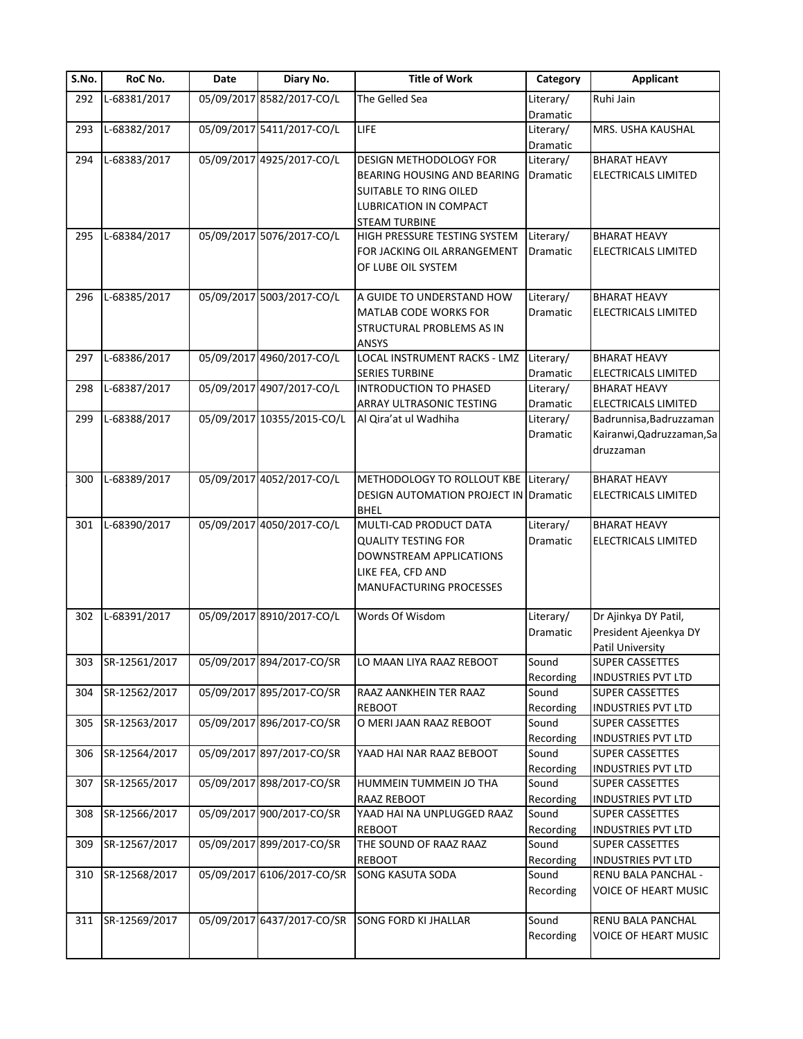| S.No. | RoC No.       | Date | Diary No.                  | <b>Title of Work</b>                  | Category        | <b>Applicant</b>            |
|-------|---------------|------|----------------------------|---------------------------------------|-----------------|-----------------------------|
| 292   | L-68381/2017  |      | 05/09/2017 8582/2017-CO/L  | The Gelled Sea                        | Literary/       | Ruhi Jain                   |
|       |               |      |                            |                                       | Dramatic        |                             |
| 293   | L-68382/2017  |      | 05/09/2017 5411/2017-CO/L  | LIFE                                  | Literary/       | MRS. USHA KAUSHAL           |
|       |               |      |                            |                                       | Dramatic        |                             |
| 294   | L-68383/2017  |      | 05/09/2017 4925/2017-CO/L  | DESIGN METHODOLOGY FOR                | Literary/       | <b>BHARAT HEAVY</b>         |
|       |               |      |                            | BEARING HOUSING AND BEARING           | <b>Dramatic</b> | <b>ELECTRICALS LIMITED</b>  |
|       |               |      |                            | <b>SUITABLE TO RING OILED</b>         |                 |                             |
|       |               |      |                            | LUBRICATION IN COMPACT                |                 |                             |
|       |               |      |                            | <b>STEAM TURBINE</b>                  |                 |                             |
| 295   | L-68384/2017  |      | 05/09/2017 5076/2017-CO/L  | HIGH PRESSURE TESTING SYSTEM          | Literary/       | <b>BHARAT HEAVY</b>         |
|       |               |      |                            | FOR JACKING OIL ARRANGEMENT           | Dramatic        | ELECTRICALS LIMITED         |
|       |               |      |                            | OF LUBE OIL SYSTEM                    |                 |                             |
|       |               |      |                            |                                       |                 |                             |
| 296   | L-68385/2017  |      | 05/09/2017 5003/2017-CO/L  | A GUIDE TO UNDERSTAND HOW             | Literary/       | <b>BHARAT HEAVY</b>         |
|       |               |      |                            |                                       | Dramatic        | <b>ELECTRICALS LIMITED</b>  |
|       |               |      |                            | MATLAB CODE WORKS FOR                 |                 |                             |
|       |               |      |                            | STRUCTURAL PROBLEMS AS IN             |                 |                             |
|       |               |      |                            | <b>ANSYS</b>                          |                 |                             |
| 297   | L-68386/2017  |      | 05/09/2017 4960/2017-CO/L  | <b>LOCAL INSTRUMENT RACKS - LMZ</b>   | Literary/       | <b>BHARAT HEAVY</b>         |
|       |               |      |                            | <b>SERIES TURBINE</b>                 | Dramatic        | ELECTRICALS LIMITED         |
| 298   | L-68387/2017  |      | 05/09/2017 4907/2017-CO/L  | INTRODUCTION TO PHASED                | Literary/       | <b>BHARAT HEAVY</b>         |
|       |               |      |                            | ARRAY ULTRASONIC TESTING              | Dramatic        | ELECTRICALS LIMITED         |
| 299   | L-68388/2017  |      | 05/09/2017 10355/2015-CO/L | Al Qira'at ul Wadhiha                 | Literary/       | Badrunnisa, Badruzzaman     |
|       |               |      |                            |                                       | Dramatic        | Kairanwi, Qadruzzaman, Sa   |
|       |               |      |                            |                                       |                 | druzzaman                   |
|       |               |      |                            |                                       |                 |                             |
| 300   | L-68389/2017  |      | 05/09/2017 4052/2017-CO/L  | METHODOLOGY TO ROLLOUT KBE Literary/  |                 | <b>BHARAT HEAVY</b>         |
|       |               |      |                            | DESIGN AUTOMATION PROJECT IN Dramatic |                 | ELECTRICALS LIMITED         |
|       |               |      |                            | <b>BHEL</b>                           |                 |                             |
| 301   | L-68390/2017  |      | 05/09/2017 4050/2017-CO/L  | MULTI-CAD PRODUCT DATA                | Literary/       | <b>BHARAT HEAVY</b>         |
|       |               |      |                            | <b>QUALITY TESTING FOR</b>            | Dramatic        | <b>ELECTRICALS LIMITED</b>  |
|       |               |      |                            | DOWNSTREAM APPLICATIONS               |                 |                             |
|       |               |      |                            | LIKE FEA, CFD AND                     |                 |                             |
|       |               |      |                            | <b>MANUFACTURING PROCESSES</b>        |                 |                             |
|       |               |      |                            |                                       |                 |                             |
| 302   | L-68391/2017  |      | 05/09/2017 8910/2017-CO/L  | Words Of Wisdom                       | Literary/       | Dr Ajinkya DY Patil,        |
|       |               |      |                            |                                       |                 |                             |
|       |               |      |                            |                                       | Dramatic        | President Ajeenkya DY       |
|       |               |      |                            |                                       |                 | Patil University            |
| 303   | SR-12561/2017 |      | 05/09/2017 894/2017-CO/SR  | LO MAAN LIYA RAAZ REBOOT              | Sound           | SUPER CASSETTES             |
|       |               |      |                            |                                       | Recording       | <b>INDUSTRIES PVT LTD</b>   |
| 304   | SR-12562/2017 |      | 05/09/2017 895/2017-CO/SR  | RAAZ AANKHEIN TER RAAZ                | Sound           | <b>SUPER CASSETTES</b>      |
|       |               |      |                            | <b>REBOOT</b>                         | Recording       | <b>INDUSTRIES PVT LTD</b>   |
| 305   | SR-12563/2017 |      | 05/09/2017 896/2017-CO/SR  | O MERI JAAN RAAZ REBOOT               | Sound           | <b>SUPER CASSETTES</b>      |
|       |               |      |                            |                                       | Recording       | <b>INDUSTRIES PVT LTD</b>   |
| 306   | SR-12564/2017 |      | 05/09/2017 897/2017-CO/SR  | YAAD HAI NAR RAAZ BEBOOT              | Sound           | SUPER CASSETTES             |
|       |               |      |                            |                                       | Recording       | <b>INDUSTRIES PVT LTD</b>   |
| 307   | SR-12565/2017 |      | 05/09/2017 898/2017-CO/SR  | HUMMEIN TUMMEIN JO THA                | Sound           | SUPER CASSETTES             |
|       |               |      |                            | <b>RAAZ REBOOT</b>                    | Recording       | <b>INDUSTRIES PVT LTD</b>   |
| 308   | SR-12566/2017 |      | 05/09/2017 900/2017-CO/SR  | YAAD HAI NA UNPLUGGED RAAZ            | Sound           | <b>SUPER CASSETTES</b>      |
|       |               |      |                            | <b>REBOOT</b>                         | Recording       | <b>INDUSTRIES PVT LTD</b>   |
| 309   | SR-12567/2017 |      | 05/09/2017 899/2017-CO/SR  | THE SOUND OF RAAZ RAAZ                | Sound           | <b>SUPER CASSETTES</b>      |
|       |               |      |                            | <b>REBOOT</b>                         | Recording       | <b>INDUSTRIES PVT LTD</b>   |
| 310   | SR-12568/2017 |      | 05/09/2017 6106/2017-CO/SR | SONG KASUTA SODA                      | Sound           | RENU BALA PANCHAL -         |
|       |               |      |                            |                                       | Recording       | <b>VOICE OF HEART MUSIC</b> |
|       |               |      |                            |                                       |                 |                             |
|       | SR-12569/2017 |      | 05/09/2017 6437/2017-CO/SR | SONG FORD KI JHALLAR                  | Sound           | RENU BALA PANCHAL           |
| 311   |               |      |                            |                                       |                 |                             |
|       |               |      |                            |                                       | Recording       | <b>VOICE OF HEART MUSIC</b> |
|       |               |      |                            |                                       |                 |                             |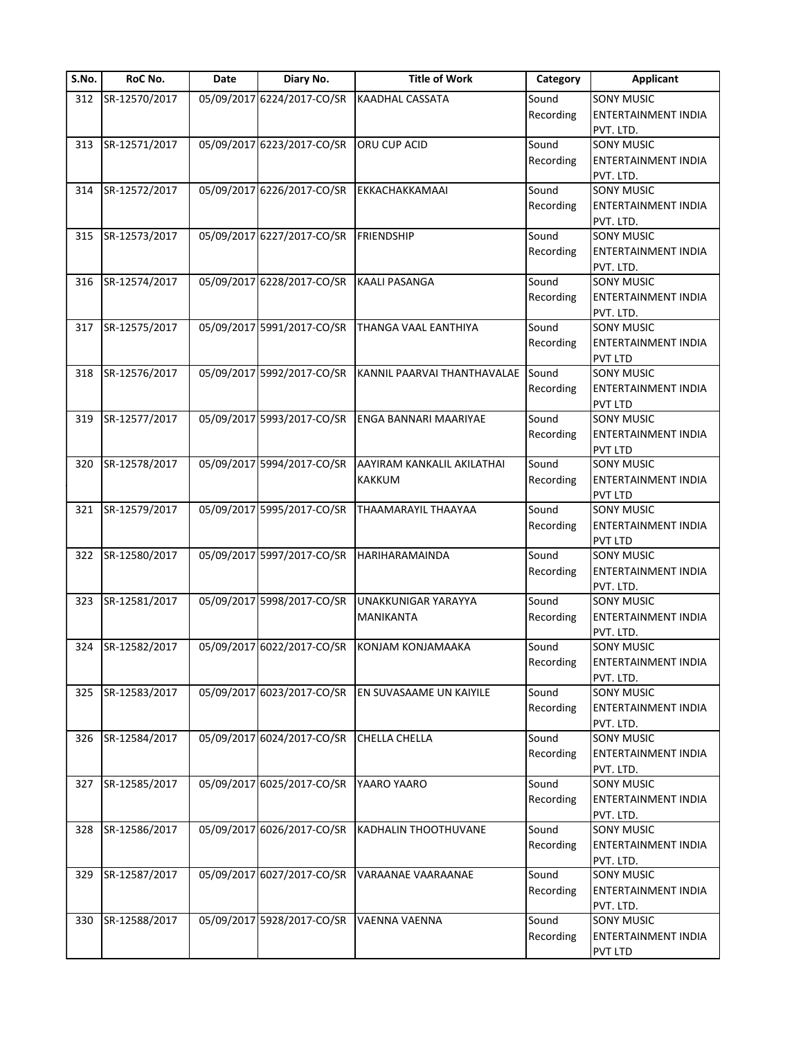| S.No. | RoC No.       | Date | Diary No.                  | <b>Title of Work</b>        | Category  | <b>Applicant</b>           |
|-------|---------------|------|----------------------------|-----------------------------|-----------|----------------------------|
| 312   | SR-12570/2017 |      | 05/09/2017 6224/2017-CO/SR | <b>KAADHAL CASSATA</b>      | Sound     | <b>SONY MUSIC</b>          |
|       |               |      |                            |                             | Recording | ENTERTAINMENT INDIA        |
|       |               |      |                            |                             |           | PVT. LTD.                  |
| 313   | SR-12571/2017 |      | 05/09/2017 6223/2017-CO/SR | ORU CUP ACID                | Sound     | <b>SONY MUSIC</b>          |
|       |               |      |                            |                             | Recording | ENTERTAINMENT INDIA        |
|       |               |      |                            |                             |           | PVT. LTD.                  |
| 314   | SR-12572/2017 |      | 05/09/2017 6226/2017-CO/SR | EKKACHAKKAMAAI              | Sound     | SONY MUSIC                 |
|       |               |      |                            |                             | Recording | ENTERTAINMENT INDIA        |
|       |               |      |                            |                             |           | PVT. LTD.                  |
| 315   | SR-12573/2017 |      | 05/09/2017 6227/2017-CO/SR | <b>FRIENDSHIP</b>           | Sound     | <b>SONY MUSIC</b>          |
|       |               |      |                            |                             | Recording | <b>ENTERTAINMENT INDIA</b> |
|       |               |      |                            |                             |           | PVT. LTD.                  |
| 316   | SR-12574/2017 |      | 05/09/2017 6228/2017-CO/SR | <b>KAALI PASANGA</b>        | Sound     | <b>SONY MUSIC</b>          |
|       |               |      |                            |                             | Recording | ENTERTAINMENT INDIA        |
|       |               |      |                            |                             |           | PVT. LTD.                  |
| 317   | SR-12575/2017 |      | 05/09/2017 5991/2017-CO/SR | THANGA VAAL EANTHIYA        | Sound     | <b>SONY MUSIC</b>          |
|       |               |      |                            |                             | Recording | ENTERTAINMENT INDIA        |
|       |               |      |                            |                             |           | <b>PVT LTD</b>             |
| 318   | SR-12576/2017 |      | 05/09/2017 5992/2017-CO/SR | KANNIL PAARVAI THANTHAVALAE | Sound     | SONY MUSIC                 |
|       |               |      |                            |                             |           |                            |
|       |               |      |                            |                             | Recording | ENTERTAINMENT INDIA        |
|       |               |      |                            |                             |           | <b>PVT LTD</b>             |
| 319   | SR-12577/2017 |      | 05/09/2017 5993/2017-CO/SR | ENGA BANNARI MAARIYAE       | Sound     | <b>SONY MUSIC</b>          |
|       |               |      |                            |                             | Recording | <b>ENTERTAINMENT INDIA</b> |
|       |               |      |                            |                             |           | PVT LTD                    |
| 320   | SR-12578/2017 |      | 05/09/2017 5994/2017-CO/SR | AAYIRAM KANKALIL AKILATHAI  | Sound     | <b>SONY MUSIC</b>          |
|       |               |      |                            | <b>KAKKUM</b>               | Recording | ENTERTAINMENT INDIA        |
|       |               |      |                            |                             |           | PVT LTD                    |
| 321   | SR-12579/2017 |      | 05/09/2017 5995/2017-CO/SR | THAAMARAYIL THAAYAA         | Sound     | <b>SONY MUSIC</b>          |
|       |               |      |                            |                             | Recording | ENTERTAINMENT INDIA        |
|       |               |      |                            |                             |           | PVT LTD                    |
| 322   | SR-12580/2017 |      | 05/09/2017 5997/2017-CO/SR | HARIHARAMAINDA              | Sound     | <b>SONY MUSIC</b>          |
|       |               |      |                            |                             | Recording | ENTERTAINMENT INDIA        |
|       |               |      |                            |                             |           | PVT. LTD.                  |
| 323   | SR-12581/2017 |      | 05/09/2017 5998/2017-CO/SR | UNAKKUNIGAR YARAYYA         | Sound     | <b>SONY MUSIC</b>          |
|       |               |      |                            | MANIKANTA                   | Recording | ENTERTAINMENT INDIA        |
|       |               |      |                            |                             |           | PVT. LTD.                  |
| 324   | SR-12582/2017 |      | 05/09/2017 6022/2017-CO/SR | <b>KONJAM KONJAMAAKA</b>    | Sound     | SONY MUSIC                 |
|       |               |      |                            |                             | Recording | ENTERTAINMENT INDIA        |
|       |               |      |                            |                             |           | PVT. LTD.                  |
| 325   | SR-12583/2017 |      | 05/09/2017 6023/2017-CO/SR | EN SUVASAAME UN KAIYILE     | Sound     | SONY MUSIC                 |
|       |               |      |                            |                             | Recording | ENTERTAINMENT INDIA        |
|       |               |      |                            |                             |           | PVT. LTD.                  |
| 326   | SR-12584/2017 |      | 05/09/2017 6024/2017-CO/SR | CHELLA CHELLA               | Sound     | <b>SONY MUSIC</b>          |
|       |               |      |                            |                             | Recording | ENTERTAINMENT INDIA        |
|       |               |      |                            |                             |           | PVT. LTD.                  |
| 327   | SR-12585/2017 |      | 05/09/2017 6025/2017-CO/SR | YAARO YAARO                 | Sound     | <b>SONY MUSIC</b>          |
|       |               |      |                            |                             | Recording | <b>ENTERTAINMENT INDIA</b> |
|       |               |      |                            |                             |           | PVT. LTD.                  |
| 328   | SR-12586/2017 |      | 05/09/2017 6026/2017-CO/SR | KADHALIN THOOTHUVANE        | Sound     | <b>SONY MUSIC</b>          |
|       |               |      |                            |                             | Recording | ENTERTAINMENT INDIA        |
|       |               |      |                            |                             |           | PVT. LTD.                  |
|       | SR-12587/2017 |      | 05/09/2017 6027/2017-CO/SR | VARAANAE VAARAANAE          | Sound     | <b>SONY MUSIC</b>          |
| 329   |               |      |                            |                             |           |                            |
|       |               |      |                            |                             | Recording | ENTERTAINMENT INDIA        |
|       |               |      |                            |                             |           | PVT. LTD.                  |
| 330   | SR-12588/2017 |      | 05/09/2017 5928/2017-CO/SR | VAENNA VAENNA               | Sound     | <b>SONY MUSIC</b>          |
|       |               |      |                            |                             | Recording | ENTERTAINMENT INDIA        |
|       |               |      |                            |                             |           | PVT LTD                    |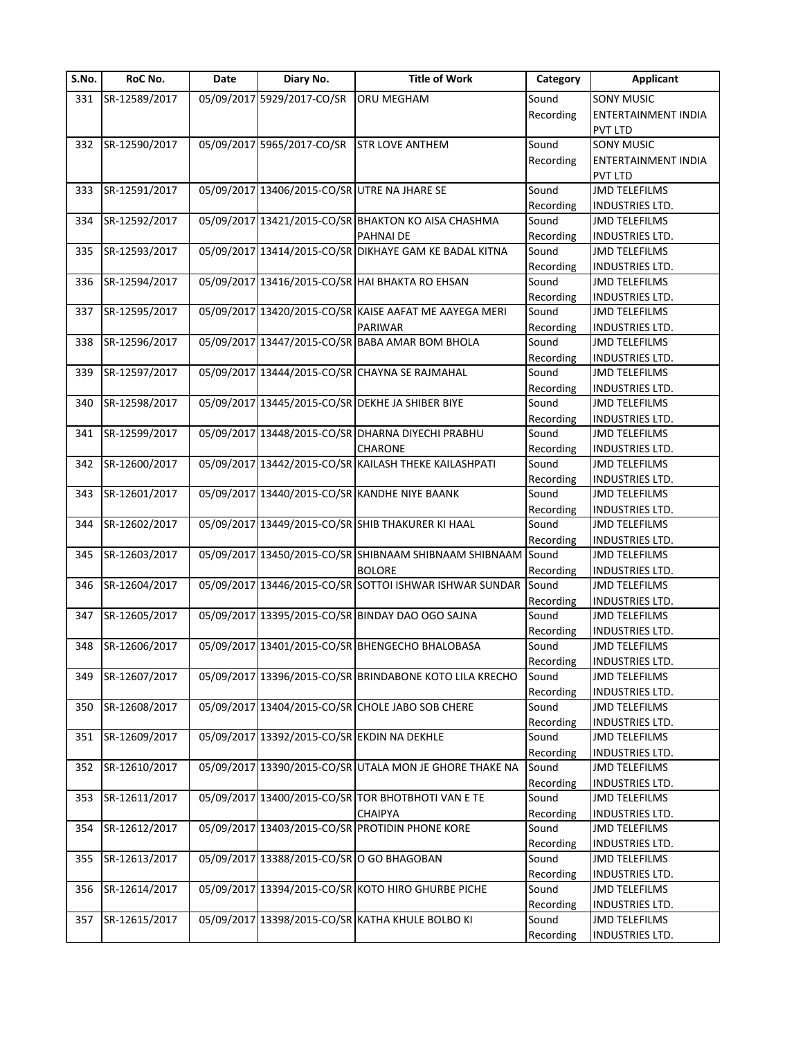| S.No. | RoC No.       | Date | Diary No.                                    | <b>Title of Work</b>                                         | Category  | <b>Applicant</b>       |
|-------|---------------|------|----------------------------------------------|--------------------------------------------------------------|-----------|------------------------|
| 331   | SR-12589/2017 |      | 05/09/2017 5929/2017-CO/SR                   | <b>ORU MEGHAM</b>                                            | Sound     | <b>SONY MUSIC</b>      |
|       |               |      |                                              |                                                              | Recording | ENTERTAINMENT INDIA    |
|       |               |      |                                              |                                                              |           | <b>PVT LTD</b>         |
| 332   | SR-12590/2017 |      | 05/09/2017 5965/2017-CO/SR STR LOVE ANTHEM   |                                                              | Sound     | <b>SONY MUSIC</b>      |
|       |               |      |                                              |                                                              | Recording | ENTERTAINMENT INDIA    |
|       |               |      |                                              |                                                              |           | <b>PVT LTD</b>         |
| 333   | SR-12591/2017 |      | 05/09/2017 13406/2015-CO/SR UTRE NA JHARE SE |                                                              | Sound     | <b>JMD TELEFILMS</b>   |
|       |               |      |                                              |                                                              | Recording | INDUSTRIES LTD.        |
| 334   | SR-12592/2017 |      |                                              | 05/09/2017 13421/2015-CO/SR BHAKTON KO AISA CHASHMA          | Sound     | <b>JMD TELEFILMS</b>   |
|       |               |      |                                              | <b>PAHNAI DE</b>                                             | Recording | INDUSTRIES LTD.        |
| 335   | SR-12593/2017 |      |                                              | 05/09/2017 13414/2015-CO/SR DIKHAYE GAM KE BADAL KITNA       | Sound     | <b>JMD TELEFILMS</b>   |
|       |               |      |                                              |                                                              | Recording | <b>INDUSTRIES LTD.</b> |
| 336   | SR-12594/2017 |      |                                              | 05/09/2017 13416/2015-CO/SR HAI BHAKTA RO EHSAN              | Sound     | <b>JMD TELEFILMS</b>   |
|       |               |      |                                              |                                                              | Recording | INDUSTRIES LTD.        |
| 337   | SR-12595/2017 |      |                                              | 05/09/2017 13420/2015-CO/SR KAISE AAFAT ME AAYEGA MERI       | Sound     | <b>JMD TELEFILMS</b>   |
|       |               |      |                                              | <b>PARIWAR</b>                                               | Recording | <b>INDUSTRIES LTD.</b> |
| 338   | SR-12596/2017 |      |                                              | 05/09/2017 13447/2015-CO/SR BABA AMAR BOM BHOLA              | Sound     | <b>JMD TELEFILMS</b>   |
|       |               |      |                                              |                                                              | Recording | INDUSTRIES LTD.        |
| 339   | SR-12597/2017 |      |                                              | 05/09/2017 13444/2015-CO/SR CHAYNA SE RAJMAHAL               | Sound     | <b>JMD TELEFILMS</b>   |
|       |               |      |                                              |                                                              | Recording | INDUSTRIES LTD.        |
| 340   | SR-12598/2017 |      |                                              | 05/09/2017 13445/2015-CO/SR DEKHE JA SHIBER BIYE             | Sound     | <b>JMD TELEFILMS</b>   |
|       |               |      |                                              |                                                              | Recording | INDUSTRIES LTD.        |
| 341   | SR-12599/2017 |      |                                              | 05/09/2017 13448/2015-CO/SR DHARNA DIYECHI PRABHU            | Sound     | <b>JMD TELEFILMS</b>   |
|       |               |      |                                              | <b>CHARONE</b>                                               | Recording | INDUSTRIES LTD.        |
| 342   | SR-12600/2017 |      |                                              | 05/09/2017 13442/2015-CO/SR KAILASH THEKE KAILASHPATI        | Sound     | <b>JMD TELEFILMS</b>   |
|       |               |      |                                              |                                                              | Recording | INDUSTRIES LTD.        |
| 343   | SR-12601/2017 |      |                                              | 05/09/2017 13440/2015-CO/SR KANDHE NIYE BAANK                | Sound     | <b>JMD TELEFILMS</b>   |
|       |               |      |                                              |                                                              | Recording | INDUSTRIES LTD.        |
| 344   | SR-12602/2017 |      |                                              | 05/09/2017 13449/2015-CO/SR SHIB THAKURER KI HAAL            | Sound     | <b>JMD TELEFILMS</b>   |
|       |               |      |                                              |                                                              | Recording | INDUSTRIES LTD.        |
| 345   | SR-12603/2017 |      |                                              | 05/09/2017 13450/2015-CO/SR SHIBNAAM SHIBNAAM SHIBNAAM Sound |           | <b>JMD TELEFILMS</b>   |
|       |               |      |                                              | <b>BOLORE</b>                                                | Recording | INDUSTRIES LTD.        |
| 346   | SR-12604/2017 |      |                                              | 05/09/2017 13446/2015-CO/SR SOTTOI ISHWAR ISHWAR SUNDAR      | Sound     | <b>JMD TELEFILMS</b>   |
|       |               |      |                                              |                                                              | Recording | <b>INDUSTRIES LTD.</b> |
| 347   | SR-12605/2017 |      |                                              | 05/09/2017 13395/2015-CO/SR BINDAY DAO OGO SAJNA             | Sound     | <b>JMD TELEFILMS</b>   |
|       |               |      |                                              |                                                              | Recording | INDUSTRIES LTD.        |
| 348   | SR-12606/2017 |      |                                              | 05/09/2017 13401/2015-CO/SR BHENGECHO BHALOBASA              | Sound     | <b>JMD TELEFILMS</b>   |
|       |               |      |                                              |                                                              | Recording | <b>INDUSTRIES LTD.</b> |
| 349   | SR-12607/2017 |      |                                              | 05/09/2017 13396/2015-CO/SR BRINDABONE KOTO LILA KRECHO      | Sound     | <b>JMD TELEFILMS</b>   |
|       |               |      |                                              |                                                              | Recording | INDUSTRIES LTD.        |
| 350   | SR-12608/2017 |      |                                              | 05/09/2017 13404/2015-CO/SR CHOLE JABO SOB CHERE             | Sound     | <b>JMD TELEFILMS</b>   |
|       |               |      |                                              |                                                              | Recording | INDUSTRIES LTD.        |
| 351   | SR-12609/2017 |      | 05/09/2017 13392/2015-CO/SR EKDIN NA DEKHLE  |                                                              | Sound     | <b>JMD TELEFILMS</b>   |
|       |               |      |                                              |                                                              | Recording | INDUSTRIES LTD.        |
| 352   | SR-12610/2017 |      |                                              | 05/09/2017 13390/2015-CO/SR UTALA MON JE GHORE THAKE NA      | Sound     | <b>JMD TELEFILMS</b>   |
|       |               |      |                                              |                                                              | Recording | INDUSTRIES LTD.        |
| 353   | SR-12611/2017 |      |                                              | 05/09/2017 13400/2015-CO/SR TOR BHOTBHOTI VAN E TE           | Sound     | <b>JMD TELEFILMS</b>   |
|       |               |      |                                              | <b>CHAIPYA</b>                                               | Recording | INDUSTRIES LTD.        |
| 354   | SR-12612/2017 |      |                                              | 05/09/2017 13403/2015-CO/SR PROTIDIN PHONE KORE              | Sound     | <b>JMD TELEFILMS</b>   |
|       |               |      |                                              |                                                              | Recording | INDUSTRIES LTD.        |
| 355   | SR-12613/2017 |      | 05/09/2017 13388/2015-CO/SR O GO BHAGOBAN    |                                                              | Sound     | <b>JMD TELEFILMS</b>   |
|       |               |      |                                              |                                                              | Recording | INDUSTRIES LTD.        |
| 356   | SR-12614/2017 |      |                                              | 05/09/2017 13394/2015-CO/SR KOTO HIRO GHURBE PICHE           | Sound     | <b>JMD TELEFILMS</b>   |
|       |               |      |                                              |                                                              | Recording | INDUSTRIES LTD.        |
| 357   | SR-12615/2017 |      |                                              | 05/09/2017 13398/2015-CO/SR KATHA KHULE BOLBO KI             | Sound     | <b>JMD TELEFILMS</b>   |
|       |               |      |                                              |                                                              | Recording | INDUSTRIES LTD.        |
|       |               |      |                                              |                                                              |           |                        |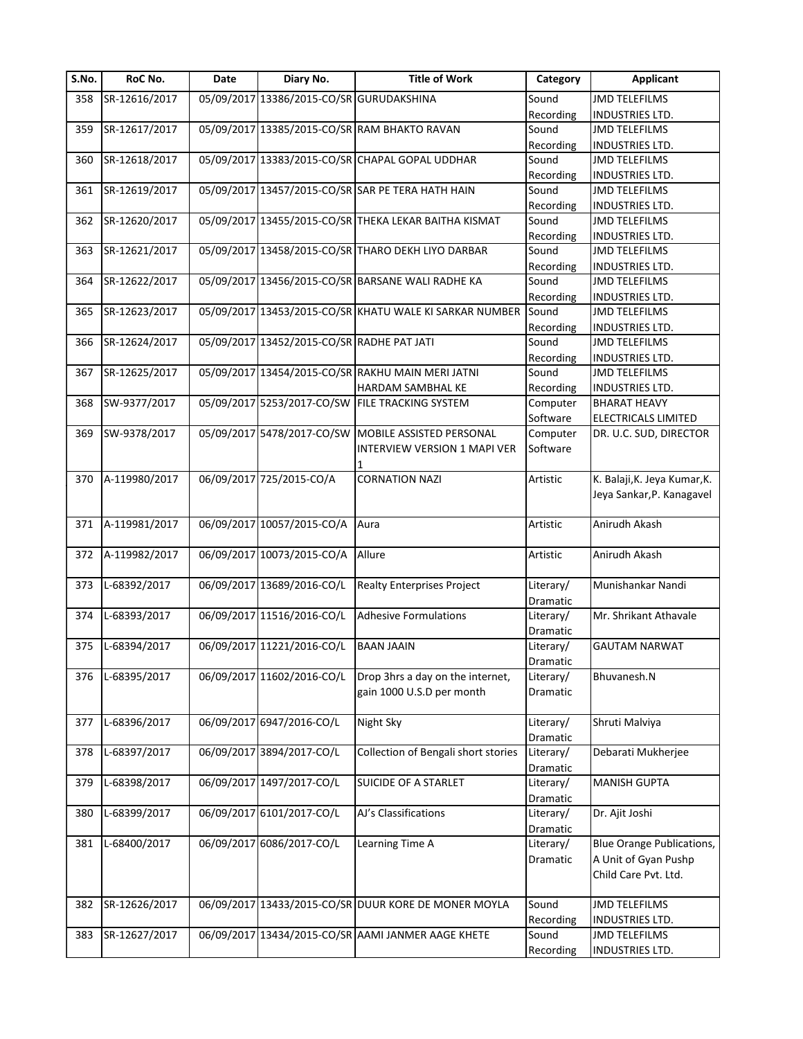| S.No. | RoC No.       | Date | Diary No.                                  | <b>Title of Work</b>                                    | Category  | <b>Applicant</b>                 |
|-------|---------------|------|--------------------------------------------|---------------------------------------------------------|-----------|----------------------------------|
| 358   | SR-12616/2017 |      | 05/09/2017 13386/2015-CO/SR GURUDAKSHINA   |                                                         | Sound     | <b>JMD TELEFILMS</b>             |
|       |               |      |                                            |                                                         | Recording | <b>INDUSTRIES LTD.</b>           |
| 359   | SR-12617/2017 |      |                                            | 05/09/2017 13385/2015-CO/SR RAM BHAKTO RAVAN            | Sound     | <b>JMD TELEFILMS</b>             |
|       |               |      |                                            |                                                         | Recording | <b>INDUSTRIES LTD.</b>           |
| 360   | SR-12618/2017 |      |                                            | 05/09/2017 13383/2015-CO/SR CHAPAL GOPAL UDDHAR         | Sound     | <b>JMD TELEFILMS</b>             |
|       |               |      |                                            |                                                         | Recording | INDUSTRIES LTD.                  |
| 361   | SR-12619/2017 |      |                                            | 05/09/2017 13457/2015-CO/SR SAR PE TERA HATH HAIN       | Sound     | <b>JMD TELEFILMS</b>             |
|       |               |      |                                            |                                                         | Recording | <b>INDUSTRIES LTD.</b>           |
| 362   | SR-12620/2017 |      |                                            | 05/09/2017 13455/2015-CO/SR THEKA LEKAR BAITHA KISMAT   | Sound     | <b>JMD TELEFILMS</b>             |
|       |               |      |                                            |                                                         | Recording | INDUSTRIES LTD.                  |
| 363   | SR-12621/2017 |      |                                            | 05/09/2017 13458/2015-CO/SR THARO DEKH LIYO DARBAR      | Sound     | <b>JMD TELEFILMS</b>             |
|       |               |      |                                            |                                                         | Recording | <b>INDUSTRIES LTD.</b>           |
| 364   | SR-12622/2017 |      |                                            | 05/09/2017 13456/2015-CO/SR BARSANE WALI RADHE KA       | Sound     | <b>JMD TELEFILMS</b>             |
|       |               |      |                                            |                                                         | Recording | <b>INDUSTRIES LTD.</b>           |
| 365   | SR-12623/2017 |      |                                            | 05/09/2017 13453/2015-CO/SR KHATU WALE KI SARKAR NUMBER | Sound     | <b>JMD TELEFILMS</b>             |
|       |               |      |                                            |                                                         | Recording | <b>INDUSTRIES LTD.</b>           |
| 366   | SR-12624/2017 |      | 05/09/2017 13452/2015-CO/SR RADHE PAT JATI |                                                         | Sound     | <b>JMD TELEFILMS</b>             |
|       |               |      |                                            |                                                         | Recording | <b>INDUSTRIES LTD.</b>           |
| 367   | SR-12625/2017 |      |                                            | 05/09/2017 13454/2015-CO/SR RAKHU MAIN MERI JATNI       | Sound     | <b>JMD TELEFILMS</b>             |
|       |               |      |                                            | HARDAM SAMBHAL KE                                       | Recording | INDUSTRIES LTD.                  |
| 368   | SW-9377/2017  |      | 05/09/2017 5253/2017-CO/SW                 | <b>FILE TRACKING SYSTEM</b>                             | Computer  | <b>BHARAT HEAVY</b>              |
|       |               |      |                                            |                                                         | Software  | ELECTRICALS LIMITED              |
| 369   | SW-9378/2017  |      |                                            | 05/09/2017 5478/2017-CO/SW MOBILE ASSISTED PERSONAL     | Computer  | DR. U.C. SUD, DIRECTOR           |
|       |               |      |                                            | INTERVIEW VERSION 1 MAPI VER                            | Software  |                                  |
|       |               |      |                                            |                                                         |           |                                  |
| 370   | A-119980/2017 |      | 06/09/2017 725/2015-CO/A                   | <b>CORNATION NAZI</b>                                   | Artistic  | K. Balaji, K. Jeya Kumar, K.     |
|       |               |      |                                            |                                                         |           | Jeya Sankar, P. Kanagavel        |
| 371   | A-119981/2017 |      | 06/09/2017 10057/2015-CO/A                 | Aura                                                    | Artistic  | Anirudh Akash                    |
|       |               |      |                                            |                                                         |           |                                  |
| 372   | A-119982/2017 |      | 06/09/2017 10073/2015-CO/A                 | Allure                                                  | Artistic  | Anirudh Akash                    |
|       |               |      |                                            |                                                         |           |                                  |
| 373   | L-68392/2017  |      | 06/09/2017 13689/2016-CO/L                 | <b>Realty Enterprises Project</b>                       | Literary/ | Munishankar Nandi                |
|       |               |      |                                            |                                                         | Dramatic  |                                  |
| 374   | L-68393/2017  |      | 06/09/2017 11516/2016-CO/L                 | <b>Adhesive Formulations</b>                            | Literary/ | Mr. Shrikant Athavale            |
|       |               |      |                                            |                                                         | Dramatic  |                                  |
| 375   | L-68394/2017  |      | 06/09/2017 11221/2016-CO/L                 | <b>BAAN JAAIN</b>                                       | Literary/ | <b>GAUTAM NARWAT</b>             |
|       |               |      |                                            |                                                         | Dramatic  |                                  |
| 376   | L-68395/2017  |      | 06/09/2017 11602/2016-CO/L                 | Drop 3hrs a day on the internet,                        | Literary/ | Bhuvanesh.N                      |
|       |               |      |                                            | gain 1000 U.S.D per month                               | Dramatic  |                                  |
|       |               |      |                                            |                                                         |           |                                  |
| 377   | L-68396/2017  |      | 06/09/2017 6947/2016-CO/L                  | Night Sky                                               | Literary/ | Shruti Malviya                   |
|       |               |      |                                            |                                                         | Dramatic  |                                  |
| 378   | L-68397/2017  |      | 06/09/2017 3894/2017-CO/L                  | Collection of Bengali short stories                     | Literary/ | Debarati Mukherjee               |
|       |               |      |                                            |                                                         | Dramatic  |                                  |
| 379   | L-68398/2017  |      | 06/09/2017 1497/2017-CO/L                  | SUICIDE OF A STARLET                                    | Literary/ | <b>MANISH GUPTA</b>              |
|       |               |      |                                            |                                                         | Dramatic  |                                  |
| 380   | L-68399/2017  |      | 06/09/2017 6101/2017-CO/L                  | AJ's Classifications                                    | Literary/ | Dr. Ajit Joshi                   |
|       |               |      |                                            |                                                         | Dramatic  |                                  |
| 381   | L-68400/2017  |      | 06/09/2017 6086/2017-CO/L                  | Learning Time A                                         | Literary/ | <b>Blue Orange Publications,</b> |
|       |               |      |                                            |                                                         | Dramatic  | A Unit of Gyan Pushp             |
|       |               |      |                                            |                                                         |           | Child Care Pvt. Ltd.             |
|       |               |      |                                            |                                                         |           |                                  |
| 382   | SR-12626/2017 |      |                                            | 06/09/2017 13433/2015-CO/SR DUUR KORE DE MONER MOYLA    | Sound     | <b>JMD TELEFILMS</b>             |
|       |               |      |                                            |                                                         | Recording | INDUSTRIES LTD.                  |
| 383   | SR-12627/2017 |      |                                            | 06/09/2017 13434/2015-CO/SR AAMI JANMER AAGE KHETE      | Sound     | <b>JMD TELEFILMS</b>             |
|       |               |      |                                            |                                                         | Recording | <b>INDUSTRIES LTD.</b>           |
|       |               |      |                                            |                                                         |           |                                  |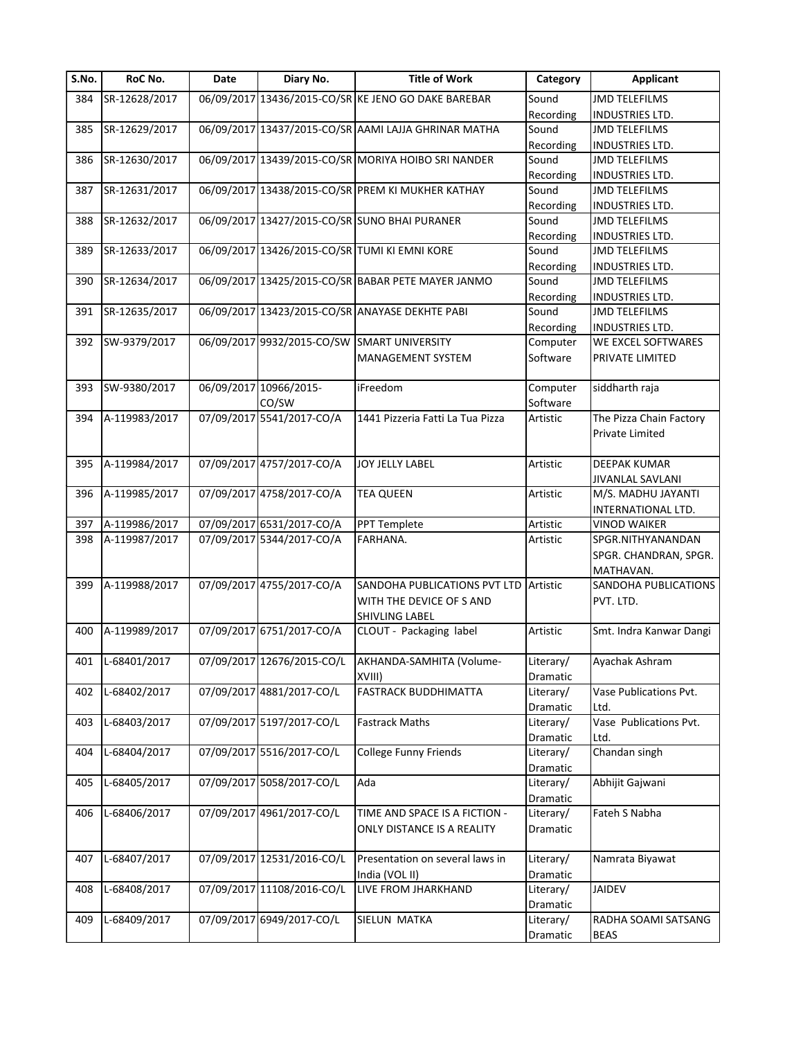| S.No. | RoC No.          | <b>Date</b> | Diary No.                  | <b>Title of Work</b>                                 | Category  | <b>Applicant</b>          |
|-------|------------------|-------------|----------------------------|------------------------------------------------------|-----------|---------------------------|
| 384   | SR-12628/2017    |             |                            | 06/09/2017 13436/2015-CO/SR KE JENO GO DAKE BAREBAR  | Sound     | <b>JMD TELEFILMS</b>      |
|       |                  |             |                            |                                                      | Recording | INDUSTRIES LTD.           |
| 385   | SR-12629/2017    |             |                            | 06/09/2017 13437/2015-CO/SR AAMI LAJJA GHRINAR MATHA | Sound     | <b>JMD TELEFILMS</b>      |
|       |                  |             |                            |                                                      | Recording | INDUSTRIES LTD.           |
| 386   | SR-12630/2017    |             |                            | 06/09/2017 13439/2015-CO/SR MORIYA HOIBO SRI NANDER  | Sound     | <b>JMD TELEFILMS</b>      |
|       |                  |             |                            |                                                      | Recording | INDUSTRIES LTD.           |
| 387   | SR-12631/2017    |             |                            | 06/09/2017 13438/2015-CO/SR PREM KI MUKHER KATHAY    | Sound     | <b>JMD TELEFILMS</b>      |
|       |                  |             |                            |                                                      | Recording | INDUSTRIES LTD.           |
| 388   | SR-12632/2017    |             |                            | 06/09/2017 13427/2015-CO/SR SUNO BHAI PURANER        | Sound     | <b>JMD TELEFILMS</b>      |
|       |                  |             |                            |                                                      | Recording | INDUSTRIES LTD.           |
| 389   | SR-12633/2017    |             |                            | 06/09/2017 13426/2015-CO/SR TUMI KI EMNI KORE        | Sound     | <b>JMD TELEFILMS</b>      |
|       |                  |             |                            |                                                      | Recording | <b>INDUSTRIES LTD.</b>    |
| 390   | SR-12634/2017    |             |                            | 06/09/2017 13425/2015-CO/SR BABAR PETE MAYER JANMO   | Sound     | <b>JMD TELEFILMS</b>      |
|       |                  |             |                            |                                                      | Recording | <b>INDUSTRIES LTD.</b>    |
| 391   | SR-12635/2017    |             |                            | 06/09/2017 13423/2015-CO/SR ANAYASE DEKHTE PABI      | Sound     | <b>JMD TELEFILMS</b>      |
|       |                  |             |                            |                                                      | Recording | <b>INDUSTRIES LTD.</b>    |
| 392   | SW-9379/2017     |             |                            | 06/09/2017 9932/2015-CO/SW SMART UNIVERSITY          | Computer  | <b>WE EXCEL SOFTWARES</b> |
|       |                  |             |                            | MANAGEMENT SYSTEM                                    | Software  | PRIVATE LIMITED           |
|       |                  |             |                            |                                                      |           |                           |
| 393   | SW-9380/2017     |             | 06/09/2017 10966/2015-     | iFreedom                                             | Computer  | siddharth raja            |
|       |                  |             | CO/SW                      |                                                      | Software  |                           |
| 394   | A-119983/2017    |             | 07/09/2017 5541/2017-CO/A  | 1441 Pizzeria Fatti La Tua Pizza                     | Artistic  | The Pizza Chain Factory   |
|       |                  |             |                            |                                                      |           | Private Limited           |
|       |                  |             |                            |                                                      |           |                           |
| 395   | A-119984/2017    |             | 07/09/2017 4757/2017-CO/A  | JOY JELLY LABEL                                      | Artistic  | <b>DEEPAK KUMAR</b>       |
|       |                  |             |                            |                                                      |           | <b>JIVANLAL SAVLANI</b>   |
| 396   | A-119985/2017    |             | 07/09/2017 4758/2017-CO/A  | <b>TEA QUEEN</b>                                     | Artistic  | M/S. MADHU JAYANTI        |
|       |                  |             |                            |                                                      |           | INTERNATIONAL LTD.        |
| 397   | A-119986/2017    |             | 07/09/2017 6531/2017-CO/A  | PPT Templete                                         | Artistic  | <b>VINOD WAIKER</b>       |
| 398   | A-119987/2017    |             | 07/09/2017 5344/2017-CO/A  | FARHANA.                                             | Artistic  | SPGR.NITHYANANDAN         |
|       |                  |             |                            |                                                      |           | SPGR. CHANDRAN, SPGR.     |
|       |                  |             |                            |                                                      |           | MATHAVAN.                 |
| 399   | A-119988/2017    |             | 07/09/2017 4755/2017-CO/A  | SANDOHA PUBLICATIONS PVT LTD                         | Artistic  | SANDOHA PUBLICATIONS      |
|       |                  |             |                            | WITH THE DEVICE OF S AND                             |           | PVT. LTD.                 |
|       |                  |             |                            |                                                      |           |                           |
| 400   | A-119989/2017    |             | 07/09/2017 6751/2017-CO/A  | <b>SHIVLING LABEL</b><br>CLOUT - Packaging label     | Artistic  | Smt. Indra Kanwar Dangi   |
|       |                  |             |                            |                                                      |           |                           |
|       | 401 L-68401/2017 |             |                            | 07/09/2017 12676/2015-CO/L AKHANDA-SAMHITA (Volume-  | Literary/ | Ayachak Ashram            |
|       |                  |             |                            |                                                      |           |                           |
|       |                  |             |                            | XVIII)                                               | Dramatic  |                           |
| 402   | L-68402/2017     |             | 07/09/2017 4881/2017-CO/L  | <b>FASTRACK BUDDHIMATTA</b>                          | Literary/ | Vase Publications Pvt.    |
|       |                  |             |                            |                                                      | Dramatic  | Ltd.                      |
| 403   | L-68403/2017     |             | 07/09/2017 5197/2017-CO/L  | <b>Fastrack Maths</b>                                | Literary/ | Vase Publications Pvt.    |
|       |                  |             |                            |                                                      | Dramatic  | Ltd.                      |
| 404   | L-68404/2017     |             | 07/09/2017 5516/2017-CO/L  | College Funny Friends                                | Literary/ | Chandan singh             |
|       |                  |             |                            |                                                      | Dramatic  |                           |
| 405   | L-68405/2017     |             | 07/09/2017 5058/2017-CO/L  | Ada                                                  | Literary/ | Abhijit Gajwani           |
|       |                  |             |                            |                                                      | Dramatic  |                           |
| 406   | L-68406/2017     |             | 07/09/2017 4961/2017-CO/L  | TIME AND SPACE IS A FICTION -                        | Literary/ | Fateh S Nabha             |
|       |                  |             |                            | ONLY DISTANCE IS A REALITY                           | Dramatic  |                           |
|       |                  |             |                            |                                                      |           |                           |
| 407   | L-68407/2017     |             | 07/09/2017 12531/2016-CO/L | Presentation on several laws in                      | Literary/ | Namrata Biyawat           |
|       |                  |             |                            | India (VOL II)                                       | Dramatic  |                           |
| 408   | L-68408/2017     |             | 07/09/2017 11108/2016-CO/L | LIVE FROM JHARKHAND                                  | Literary/ | <b>JAIDEV</b>             |
|       |                  |             |                            |                                                      | Dramatic  |                           |
| 409   | L-68409/2017     |             | 07/09/2017 6949/2017-CO/L  | SIELUN MATKA                                         | Literary/ | RADHA SOAMI SATSANG       |
|       |                  |             |                            |                                                      | Dramatic  | <b>BEAS</b>               |
|       |                  |             |                            |                                                      |           |                           |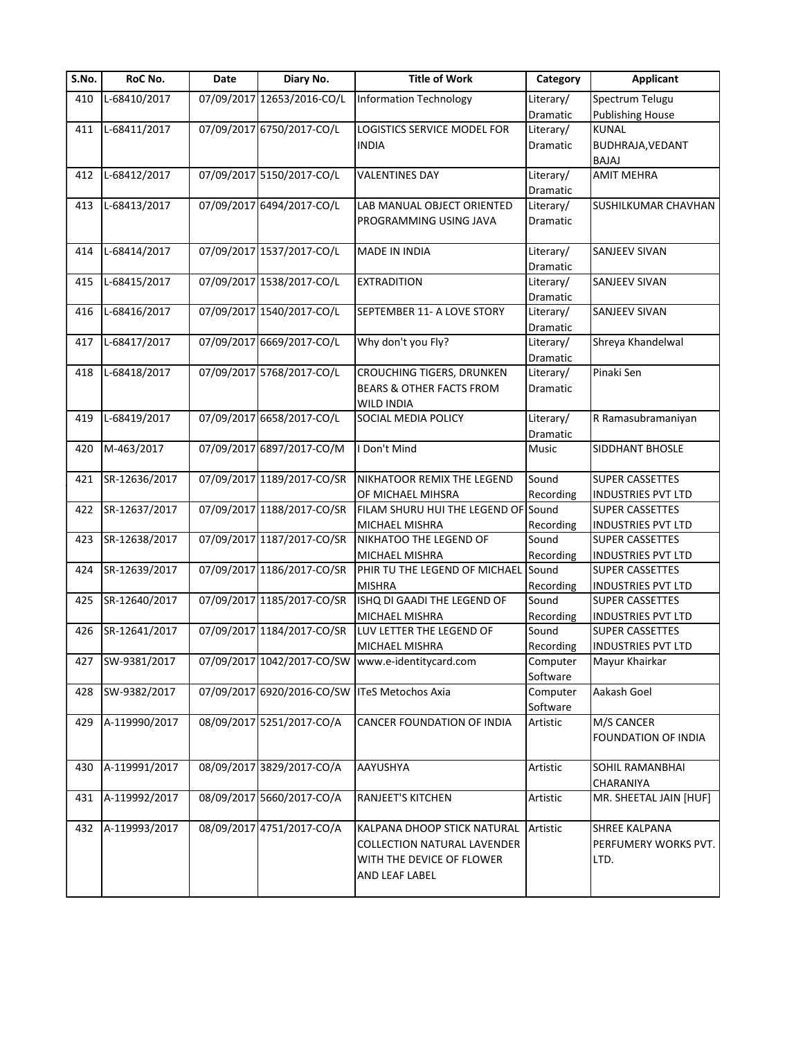| S.No. | RoC No.          | Date | Diary No.                  | <b>Title of Work</b>                              | Category             | <b>Applicant</b>          |
|-------|------------------|------|----------------------------|---------------------------------------------------|----------------------|---------------------------|
| 410   | L-68410/2017     |      | 07/09/2017 12653/2016-CO/L | <b>Information Technology</b>                     | Literary/            | Spectrum Telugu           |
|       |                  |      |                            |                                                   | Dramatic             | <b>Publishing House</b>   |
| 411   | L-68411/2017     |      | 07/09/2017 6750/2017-CO/L  | LOGISTICS SERVICE MODEL FOR                       | Literary/            | <b>KUNAL</b>              |
|       |                  |      |                            | <b>INDIA</b>                                      | Dramatic             | BUDHRAJA, VEDANT          |
|       |                  |      |                            |                                                   |                      | BAJAJ                     |
| 412   | L-68412/2017     |      | 07/09/2017 5150/2017-CO/L  | <b>VALENTINES DAY</b>                             | Literary/            | <b>AMIT MEHRA</b>         |
|       |                  |      |                            |                                                   | Dramatic             |                           |
| 413   | L-68413/2017     |      | 07/09/2017 6494/2017-CO/L  | LAB MANUAL OBJECT ORIENTED                        | Literary/            | SUSHILKUMAR CHAVHAN       |
|       |                  |      |                            | PROGRAMMING USING JAVA                            | <b>Dramatic</b>      |                           |
|       |                  |      |                            |                                                   |                      |                           |
| 414   | L-68414/2017     |      | 07/09/2017 1537/2017-CO/L  | <b>MADE IN INDIA</b>                              | Literary/            | SANJEEV SIVAN             |
|       |                  |      |                            |                                                   | Dramatic             |                           |
| 415   | L-68415/2017     |      | 07/09/2017 1538/2017-CO/L  | <b>EXTRADITION</b>                                | Literary/            | SANJEEV SIVAN             |
|       |                  |      |                            |                                                   | Dramatic             |                           |
| 416   | L-68416/2017     |      | 07/09/2017 1540/2017-CO/L  | SEPTEMBER 11- A LOVE STORY                        |                      | SANJEEV SIVAN             |
|       |                  |      |                            |                                                   | Literary/            |                           |
|       |                  |      |                            |                                                   | Dramatic             |                           |
| 417   | L-68417/2017     |      | 07/09/2017 6669/2017-CO/L  | Why don't you Fly?                                | Literary/            | Shreya Khandelwal         |
|       |                  |      |                            |                                                   | Dramatic             |                           |
| 418   | L-68418/2017     |      | 07/09/2017 5768/2017-CO/L  | <b>CROUCHING TIGERS, DRUNKEN</b>                  | Literary/            | Pinaki Sen                |
|       |                  |      |                            | <b>BEARS &amp; OTHER FACTS FROM</b>               | Dramatic             |                           |
|       |                  |      |                            | <b>WILD INDIA</b>                                 |                      |                           |
| 419   | L-68419/2017     |      | 07/09/2017 6658/2017-CO/L  | SOCIAL MEDIA POLICY                               | Literary/            | R Ramasubramaniyan        |
|       |                  |      |                            |                                                   | Dramatic             |                           |
| 420   | M-463/2017       |      | 07/09/2017 6897/2017-CO/M  | I Don't Mind                                      | Music                | SIDDHANT BHOSLE           |
|       |                  |      |                            |                                                   |                      |                           |
| 421   | SR-12636/2017    |      | 07/09/2017 1189/2017-CO/SR | NIKHATOOR REMIX THE LEGEND                        | Sound                | <b>SUPER CASSETTES</b>    |
|       |                  |      |                            | OF MICHAEL MIHSRA                                 | Recording            | <b>INDUSTRIES PVT LTD</b> |
| 422   | SR-12637/2017    |      | 07/09/2017 1188/2017-CO/SR | FILAM SHURU HUI THE LEGEND OF Sound               |                      | <b>SUPER CASSETTES</b>    |
|       |                  |      |                            | MICHAEL MISHRA                                    | Recording            | <b>INDUSTRIES PVT LTD</b> |
| 423   | SR-12638/2017    |      | 07/09/2017 1187/2017-CO/SR | NIKHATOO THE LEGEND OF                            | Sound                | <b>SUPER CASSETTES</b>    |
|       |                  |      |                            | <b>MICHAEL MISHRA</b>                             | Recording            | <b>INDUSTRIES PVT LTD</b> |
| 424   | SR-12639/2017    |      | 07/09/2017 1186/2017-CO/SR | PHIR TU THE LEGEND OF MICHAEL                     | Sound                | SUPER CASSETTES           |
|       |                  |      |                            | <b>MISHRA</b>                                     | Recording            | <b>INDUSTRIES PVT LTD</b> |
| 425   | SR-12640/2017    |      | 07/09/2017 1185/2017-CO/SR | ISHQ DI GAADI THE LEGEND OF                       | Sound                | <b>SUPER CASSETTES</b>    |
|       |                  |      |                            | MICHAEL MISHRA                                    | Recording            | <b>INDUSTRIES PVT LTD</b> |
| 426   | SR-12641/2017    |      | 07/09/2017 1184/2017-CO/SR | LUV LETTER THE LEGEND OF                          | Sound                | <b>SUPER CASSETTES</b>    |
|       |                  |      |                            | MICHAEL MISHRA                                    | Recording            | <b>INDUSTRIES PVT LTD</b> |
|       | 427 SW-9381/2017 |      |                            | 07/09/2017 1042/2017-CO/SW www.e-identitycard.com |                      | Mayur Khairkar            |
|       |                  |      |                            |                                                   | Computer<br>Software |                           |
| 428   | SW-9382/2017     |      |                            | 07/09/2017 6920/2016-CO/SW ITeS Metochos Axia     |                      | Aakash Goel               |
|       |                  |      |                            |                                                   | Computer             |                           |
|       | A-119990/2017    |      |                            |                                                   | Software             |                           |
| 429   |                  |      | 08/09/2017 5251/2017-CO/A  | CANCER FOUNDATION OF INDIA                        | Artistic             | M/S CANCER                |
|       |                  |      |                            |                                                   |                      | FOUNDATION OF INDIA       |
|       |                  |      |                            |                                                   |                      |                           |
| 430   | A-119991/2017    |      | 08/09/2017 3829/2017-CO/A  | AAYUSHYA                                          | Artistic             | SOHIL RAMANBHAI           |
|       |                  |      |                            |                                                   |                      | CHARANIYA                 |
| 431   | A-119992/2017    |      | 08/09/2017 5660/2017-CO/A  | <b>RANJEET'S KITCHEN</b>                          | Artistic             | MR. SHEETAL JAIN [HUF]    |
|       |                  |      |                            |                                                   |                      |                           |
| 432   | A-119993/2017    |      | 08/09/2017 4751/2017-CO/A  | KALPANA DHOOP STICK NATURAL                       | Artistic             | SHREE KALPANA             |
|       |                  |      |                            | <b>COLLECTION NATURAL LAVENDER</b>                |                      | PERFUMERY WORKS PVT.      |
|       |                  |      |                            | WITH THE DEVICE OF FLOWER                         |                      | LTD.                      |
|       |                  |      |                            | AND LEAF LABEL                                    |                      |                           |
|       |                  |      |                            |                                                   |                      |                           |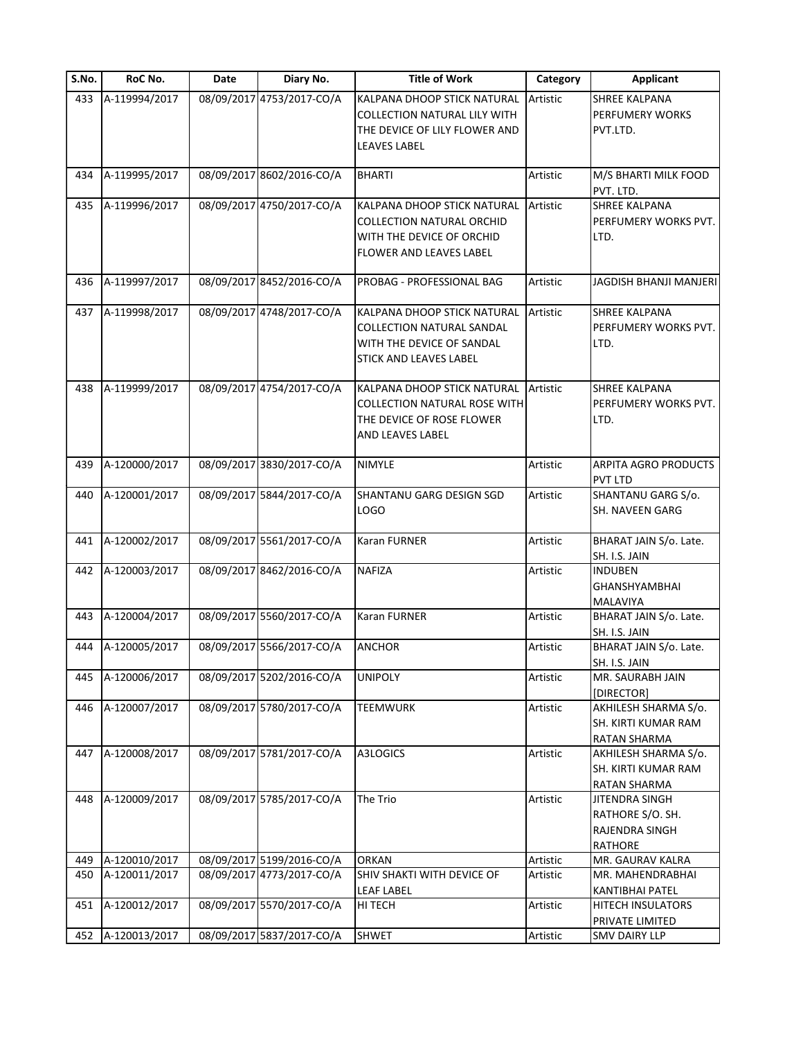| S.No. | RoC No.       | Date | Diary No.                 | <b>Title of Work</b>                | Category | <b>Applicant</b>       |
|-------|---------------|------|---------------------------|-------------------------------------|----------|------------------------|
| 433   | A-119994/2017 |      | 08/09/2017 4753/2017-CO/A | KALPANA DHOOP STICK NATURAL         | Artistic | SHREE KALPANA          |
|       |               |      |                           | <b>COLLECTION NATURAL LILY WITH</b> |          | PERFUMERY WORKS        |
|       |               |      |                           | THE DEVICE OF LILY FLOWER AND       |          | PVT.LTD.               |
|       |               |      |                           | <b>LEAVES LABEL</b>                 |          |                        |
|       |               |      |                           |                                     |          |                        |
| 434   | A-119995/2017 |      | 08/09/2017 8602/2016-CO/A | <b>BHARTI</b>                       | Artistic | M/S BHARTI MILK FOOD   |
|       |               |      |                           |                                     |          | PVT. LTD.              |
| 435   | A-119996/2017 |      | 08/09/2017 4750/2017-CO/A | KALPANA DHOOP STICK NATURAL         | Artistic | <b>SHREE KALPANA</b>   |
|       |               |      |                           | <b>COLLECTION NATURAL ORCHID</b>    |          | PERFUMERY WORKS PVT.   |
|       |               |      |                           | WITH THE DEVICE OF ORCHID           |          | LTD.                   |
|       |               |      |                           | FLOWER AND LEAVES LABEL             |          |                        |
|       |               |      |                           |                                     |          |                        |
| 436   | A-119997/2017 |      | 08/09/2017 8452/2016-CO/A | PROBAG - PROFESSIONAL BAG           | Artistic | JAGDISH BHANJI MANJERI |
|       |               |      |                           |                                     |          |                        |
| 437   | A-119998/2017 |      | 08/09/2017 4748/2017-CO/A | KALPANA DHOOP STICK NATURAL         | Artistic | <b>SHREE KALPANA</b>   |
|       |               |      |                           | COLLECTION NATURAL SANDAL           |          | PERFUMERY WORKS PVT.   |
|       |               |      |                           |                                     |          |                        |
|       |               |      |                           | WITH THE DEVICE OF SANDAL           |          | LTD.                   |
|       |               |      |                           | STICK AND LEAVES LABEL              |          |                        |
| 438   | A-119999/2017 |      | 08/09/2017 4754/2017-CO/A | KALPANA DHOOP STICK NATURAL         | Artistic | SHREE KALPANA          |
|       |               |      |                           |                                     |          | PERFUMERY WORKS PVT.   |
|       |               |      |                           | COLLECTION NATURAL ROSE WITH        |          |                        |
|       |               |      |                           | THE DEVICE OF ROSE FLOWER           |          | LTD.                   |
|       |               |      |                           | AND LEAVES LABEL                    |          |                        |
|       |               |      | 08/09/2017 3830/2017-CO/A |                                     |          |                        |
| 439   | A-120000/2017 |      |                           | NIMYLE                              | Artistic | ARPITA AGRO PRODUCTS   |
|       |               |      |                           |                                     |          | PVT LTD                |
| 440   | A-120001/2017 |      | 08/09/2017 5844/2017-CO/A | SHANTANU GARG DESIGN SGD            | Artistic | SHANTANU GARG S/o.     |
|       |               |      |                           | LOGO                                |          | SH. NAVEEN GARG        |
|       | A-120002/2017 |      | 08/09/2017 5561/2017-CO/A | Karan FURNER                        | Artistic | BHARAT JAIN S/o. Late. |
| 441   |               |      |                           |                                     |          |                        |
|       |               |      |                           |                                     |          | SH. I.S. JAIN          |
| 442   | A-120003/2017 |      | 08/09/2017 8462/2016-CO/A | NAFIZA                              | Artistic | <b>INDUBEN</b>         |
|       |               |      |                           |                                     |          | <b>GHANSHYAMBHAI</b>   |
|       |               |      |                           |                                     |          | MALAVIYA               |
| 443   | A-120004/2017 |      | 08/09/2017 5560/2017-CO/A | Karan FURNER                        | Artistic | BHARAT JAIN S/o. Late. |
|       |               |      |                           |                                     |          | SH. I.S. JAIN          |
| 444   | A-120005/2017 |      | 08/09/2017 5566/2017-CO/A | <b>ANCHOR</b>                       | Artistic | BHARAT JAIN S/o. Late. |
|       |               |      |                           |                                     |          | SH. I.S. JAIN          |
| 445   | A-120006/2017 |      | 08/09/2017 5202/2016-CO/A | <b>UNIPOLY</b>                      | Artistic | MR. SAURABH JAIN       |
|       |               |      |                           |                                     |          | [DIRECTOR]             |
| 446   | A-120007/2017 |      | 08/09/2017 5780/2017-CO/A | <b>TEEMWURK</b>                     | Artistic | AKHILESH SHARMA S/o.   |
|       |               |      |                           |                                     |          | SH. KIRTI KUMAR RAM    |
|       |               |      |                           |                                     |          | <b>RATAN SHARMA</b>    |
| 447   | A-120008/2017 |      | 08/09/2017 5781/2017-CO/A | A3LOGICS                            | Artistic | AKHILESH SHARMA S/o.   |
|       |               |      |                           |                                     |          | SH. KIRTI KUMAR RAM    |
|       |               |      |                           |                                     |          | RATAN SHARMA           |
| 448   | A-120009/2017 |      | 08/09/2017 5785/2017-CO/A | The Trio                            | Artistic | JITENDRA SINGH         |
|       |               |      |                           |                                     |          | RATHORE S/O. SH.       |
|       |               |      |                           |                                     |          | RAJENDRA SINGH         |
|       |               |      |                           |                                     |          | RATHORE                |
| 449   | A-120010/2017 |      | 08/09/2017 5199/2016-CO/A | <b>ORKAN</b>                        | Artistic | MR. GAURAV KALRA       |
| 450   | A-120011/2017 |      | 08/09/2017 4773/2017-CO/A | SHIV SHAKTI WITH DEVICE OF          | Artistic | MR. MAHENDRABHAI       |
|       |               |      |                           | LEAF LABEL                          |          | KANTIBHAI PATEL        |
| 451   | A-120012/2017 |      | 08/09/2017 5570/2017-CO/A | HI TECH                             | Artistic | HITECH INSULATORS      |
|       |               |      |                           |                                     |          | PRIVATE LIMITED        |
| 452   | A-120013/2017 |      | 08/09/2017 5837/2017-CO/A | <b>SHWET</b>                        | Artistic | <b>SMV DAIRY LLP</b>   |
|       |               |      |                           |                                     |          |                        |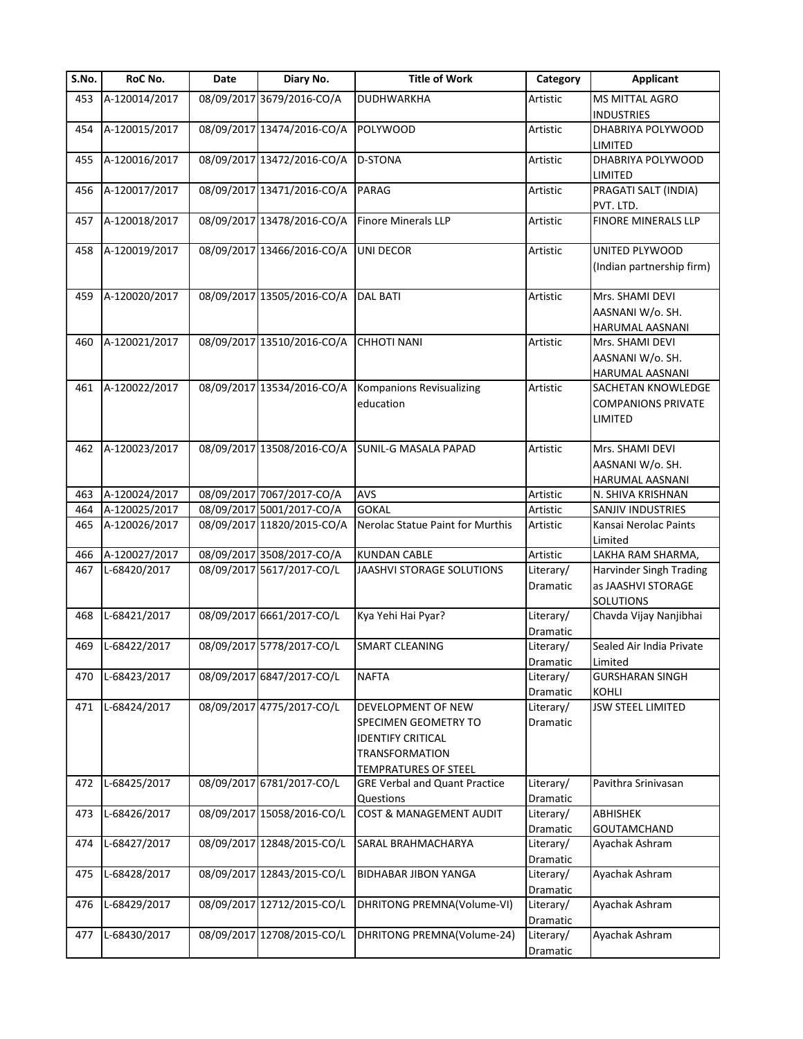| S.No. | RoC No.       | Date       | Diary No.                  | <b>Title of Work</b>                                                                                                           | Category              | <b>Applicant</b>                                           |
|-------|---------------|------------|----------------------------|--------------------------------------------------------------------------------------------------------------------------------|-----------------------|------------------------------------------------------------|
| 453   | A-120014/2017 |            | 08/09/2017 3679/2016-CO/A  | <b>DUDHWARKHA</b>                                                                                                              | Artistic              | <b>MS MITTAL AGRO</b><br><b>INDUSTRIES</b>                 |
| 454   | A-120015/2017 |            | 08/09/2017 13474/2016-CO/A | <b>POLYWOOD</b>                                                                                                                | Artistic              | DHABRIYA POLYWOOD<br>LIMITED                               |
| 455   | A-120016/2017 |            | 08/09/2017 13472/2016-CO/A | <b>D-STONA</b>                                                                                                                 | Artistic              | DHABRIYA POLYWOOD<br>LIMITED                               |
| 456   | A-120017/2017 |            | 08/09/2017 13471/2016-CO/A | <b>PARAG</b>                                                                                                                   | Artistic              | PRAGATI SALT (INDIA)<br>PVT. LTD.                          |
| 457   | A-120018/2017 |            | 08/09/2017 13478/2016-CO/A | <b>Finore Minerals LLP</b>                                                                                                     | Artistic              | FINORE MINERALS LLP                                        |
| 458   | A-120019/2017 |            | 08/09/2017 13466/2016-CO/A | UNI DECOR                                                                                                                      | Artistic              | UNITED PLYWOOD<br>(Indian partnership firm)                |
| 459   | A-120020/2017 |            | 08/09/2017 13505/2016-CO/A | <b>DAL BATI</b>                                                                                                                | Artistic              | Mrs. SHAMI DEVI<br>AASNANI W/o. SH.<br>HARUMAL AASNANI     |
| 460   | A-120021/2017 |            | 08/09/2017 13510/2016-CO/A | <b>CHHOTI NANI</b>                                                                                                             | Artistic              | Mrs. SHAMI DEVI<br>AASNANI W/o. SH.<br>HARUMAL AASNANI     |
| 461   | A-120022/2017 |            | 08/09/2017 13534/2016-CO/A | Kompanions Revisualizing<br>education                                                                                          | Artistic              | SACHETAN KNOWLEDGE<br><b>COMPANIONS PRIVATE</b><br>LIMITED |
| 462   | A-120023/2017 |            | 08/09/2017 13508/2016-CO/A | <b>SUNIL-G MASALA PAPAD</b>                                                                                                    | Artistic              | Mrs. SHAMI DEVI<br>AASNANI W/o. SH.<br>HARUMAL AASNANI     |
| 463   | A-120024/2017 |            | 08/09/2017 7067/2017-CO/A  | <b>AVS</b>                                                                                                                     | Artistic              | N. SHIVA KRISHNAN                                          |
| 464   | A-120025/2017 |            | 08/09/2017 5001/2017-CO/A  | <b>GOKAL</b>                                                                                                                   | Artistic              | SANJIV INDUSTRIES                                          |
| 465   | A-120026/2017 |            | 08/09/2017 11820/2015-CO/A | Nerolac Statue Paint for Murthis                                                                                               | Artistic              | Kansai Nerolac Paints<br>Limited                           |
| 466   | A-120027/2017 |            | 08/09/2017 3508/2017-CO/A  | <b>KUNDAN CABLE</b>                                                                                                            | Artistic              | LAKHA RAM SHARMA,                                          |
| 467   | L-68420/2017  |            | 08/09/2017 5617/2017-CO/L  | JAASHVI STORAGE SOLUTIONS                                                                                                      | Literary/<br>Dramatic | Harvinder Singh Trading<br>as JAASHVI STORAGE<br>SOLUTIONS |
| 468   | L-68421/2017  |            | 08/09/2017 6661/2017-CO/L  | Kya Yehi Hai Pyar?                                                                                                             | Literary/<br>Dramatic | Chavda Vijay Nanjibhai                                     |
| 469   | L-68422/2017  |            | 08/09/2017 5778/2017-CO/L  | <b>SMART CLEANING</b>                                                                                                          | Literary/<br>Dramatic | Sealed Air India Private<br>Limited                        |
| 470   | L-68423/2017  |            | 08/09/2017 6847/2017-CO/L  | <b>NAFTA</b>                                                                                                                   | Literary/<br>Dramatic | <b>GURSHARAN SINGH</b><br>KOHLI                            |
| 471   | L-68424/2017  |            | 08/09/2017 4775/2017-CO/L  | DEVELOPMENT OF NEW<br>SPECIMEN GEOMETRY TO<br><b>IDENTIFY CRITICAL</b><br><b>TRANSFORMATION</b><br><b>TEMPRATURES OF STEEL</b> | Literary/<br>Dramatic | <b>JSW STEEL LIMITED</b>                                   |
| 472   | L-68425/2017  | 08/09/2017 | 6781/2017-CO/L             | <b>GRE Verbal and Quant Practice</b><br>Questions                                                                              | Literary/<br>Dramatic | Pavithra Srinivasan                                        |
| 473   | L-68426/2017  |            | 08/09/2017 15058/2016-CO/L | COST & MANAGEMENT AUDIT                                                                                                        | Literary/<br>Dramatic | <b>ABHISHEK</b><br>GOUTAMCHAND                             |
| 474   | L-68427/2017  |            | 08/09/2017 12848/2015-CO/L | SARAL BRAHMACHARYA                                                                                                             | Literary/<br>Dramatic | Ayachak Ashram                                             |
| 475   | L-68428/2017  |            | 08/09/2017 12843/2015-CO/L | <b>BIDHABAR JIBON YANGA</b>                                                                                                    | Literary/<br>Dramatic | Ayachak Ashram                                             |
| 476   | L-68429/2017  |            | 08/09/2017 12712/2015-CO/L | DHRITONG PREMNA(Volume-VI)                                                                                                     | Literary/<br>Dramatic | Ayachak Ashram                                             |
| 477   | L-68430/2017  |            | 08/09/2017 12708/2015-CO/L | DHRITONG PREMNA(Volume-24)                                                                                                     | Literary/<br>Dramatic | Ayachak Ashram                                             |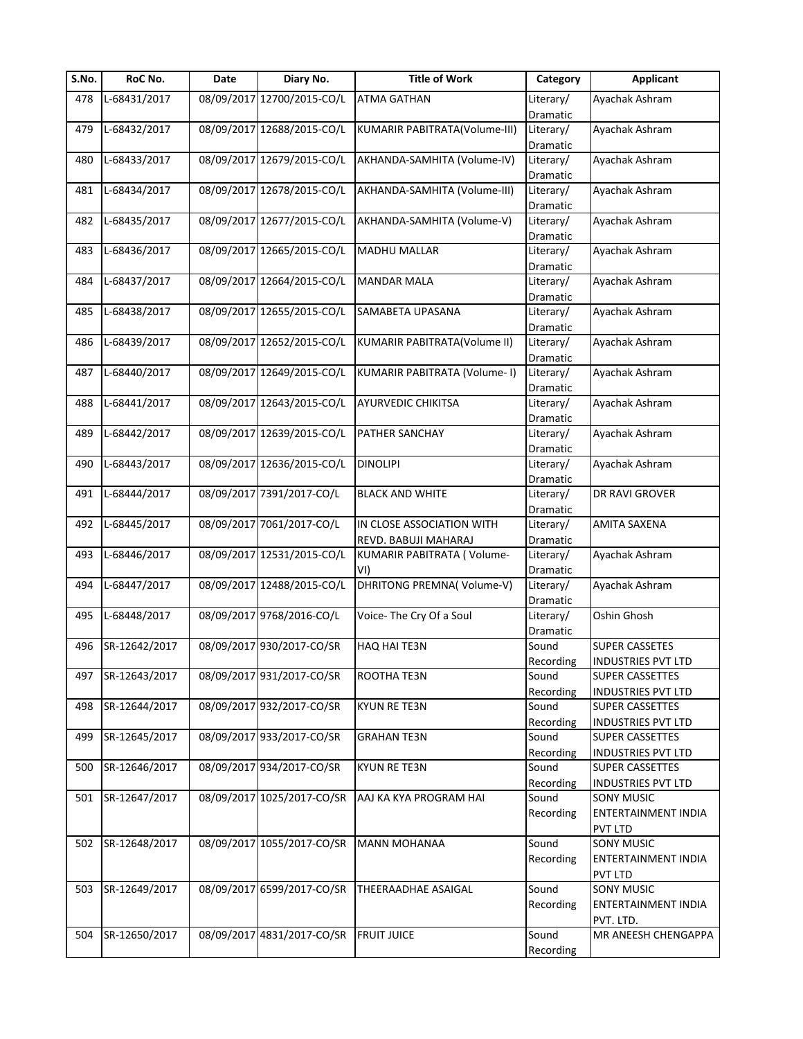| S.No. | RoC No.       | Date | Diary No.                  | <b>Title of Work</b>                | Category              | <b>Applicant</b>          |
|-------|---------------|------|----------------------------|-------------------------------------|-----------------------|---------------------------|
| 478   | L-68431/2017  |      | 08/09/2017 12700/2015-CO/L | <b>ATMA GATHAN</b>                  | Literary/             | Ayachak Ashram            |
|       |               |      |                            |                                     | Dramatic              |                           |
| 479   | L-68432/2017  |      | 08/09/2017 12688/2015-CO/L | KUMARIR PABITRATA(Volume-III)       | Literary/             | Ayachak Ashram            |
|       |               |      |                            |                                     | Dramatic              |                           |
| 480   | L-68433/2017  |      | 08/09/2017 12679/2015-CO/L | AKHANDA-SAMHITA (Volume-IV)         | Literary/             | Ayachak Ashram            |
|       |               |      |                            |                                     | Dramatic              |                           |
| 481   | L-68434/2017  |      | 08/09/2017 12678/2015-CO/L | AKHANDA-SAMHITA (Volume-III)        | Literary/             | Ayachak Ashram            |
|       |               |      |                            |                                     | Dramatic              |                           |
| 482   | L-68435/2017  |      | 08/09/2017 12677/2015-CO/L | AKHANDA-SAMHITA (Volume-V)          | Literary/             | Ayachak Ashram            |
|       |               |      |                            |                                     | Dramatic              |                           |
| 483   | L-68436/2017  |      | 08/09/2017 12665/2015-CO/L | <b>MADHU MALLAR</b>                 | Literary/             | Ayachak Ashram            |
|       |               |      |                            |                                     | Dramatic              |                           |
| 484   | L-68437/2017  |      | 08/09/2017 12664/2015-CO/L | <b>MANDAR MALA</b>                  | Literary/             | Ayachak Ashram            |
|       |               |      |                            |                                     | Dramatic              |                           |
| 485   | L-68438/2017  |      | 08/09/2017 12655/2015-CO/L | SAMABETA UPASANA                    | Literary/             | Ayachak Ashram            |
|       |               |      |                            |                                     | Dramatic              |                           |
| 486   | L-68439/2017  |      | 08/09/2017 12652/2015-CO/L | <b>KUMARIR PABITRATA(Volume II)</b> | Literary/             | Ayachak Ashram            |
|       |               |      |                            |                                     | Dramatic              |                           |
| 487   | L-68440/2017  |      | 08/09/2017 12649/2015-CO/L | KUMARIR PABITRATA (Volume- I)       | Literary/             | Ayachak Ashram            |
|       |               |      |                            |                                     |                       |                           |
|       | L-68441/2017  |      | 08/09/2017 12643/2015-CO/L | <b>AYURVEDIC CHIKITSA</b>           | Dramatic              |                           |
| 488   |               |      |                            |                                     | Literary/<br>Dramatic | Ayachak Ashram            |
|       |               |      |                            |                                     |                       |                           |
| 489   | L-68442/2017  |      | 08/09/2017 12639/2015-CO/L | <b>PATHER SANCHAY</b>               | Literary/             | Ayachak Ashram            |
|       |               |      |                            |                                     | Dramatic              |                           |
| 490   | L-68443/2017  |      | 08/09/2017 12636/2015-CO/L | <b>DINOLIPI</b>                     | Literary/             | Ayachak Ashram            |
|       |               |      |                            |                                     | Dramatic              |                           |
| 491   | L-68444/2017  |      | 08/09/2017 7391/2017-CO/L  | <b>BLACK AND WHITE</b>              | Literary/             | DR RAVI GROVER            |
|       |               |      |                            |                                     | Dramatic              |                           |
| 492   | L-68445/2017  |      | 08/09/2017 7061/2017-CO/L  | IN CLOSE ASSOCIATION WITH           | Literary/             | AMITA SAXENA              |
|       |               |      |                            | REVD. BABUJI MAHARAJ                | Dramatic              |                           |
| 493   | L-68446/2017  |      | 08/09/2017 12531/2015-CO/L | KUMARIR PABITRATA (Volume-          | Literary/             | Ayachak Ashram            |
|       |               |      |                            | VI)                                 | Dramatic              |                           |
| 494   | L-68447/2017  |      | 08/09/2017 12488/2015-CO/L | DHRITONG PREMNA(Volume-V)           | Literary/             | Ayachak Ashram            |
|       |               |      |                            |                                     | Dramatic              |                           |
| 495   | L-68448/2017  |      | 08/09/2017 9768/2016-CO/L  | Voice- The Cry Of a Soul            | Literary/             | Oshin Ghosh               |
|       |               |      |                            |                                     | Dramatic              |                           |
| 496   | SR-12642/2017 |      | 08/09/2017 930/2017-CO/SR  | <b>HAQ HAI TE3N</b>                 | Sound                 | <b>SUPER CASSETES</b>     |
|       |               |      |                            |                                     | Recording             | <b>INDUSTRIES PVT LTD</b> |
| 497   | SR-12643/2017 |      | 08/09/2017 931/2017-CO/SR  | ROOTHA TE3N                         | Sound                 | SUPER CASSETTES           |
|       |               |      |                            |                                     | Recording             | <b>INDUSTRIES PVT LTD</b> |
| 498   | SR-12644/2017 |      | 08/09/2017 932/2017-CO/SR  | <b>KYUN RE TE3N</b>                 | Sound                 | SUPER CASSETTES           |
|       |               |      |                            |                                     | Recording             | <b>INDUSTRIES PVT LTD</b> |
| 499   | SR-12645/2017 |      | 08/09/2017 933/2017-CO/SR  | <b>GRAHAN TE3N</b>                  | Sound                 | <b>SUPER CASSETTES</b>    |
|       |               |      |                            |                                     | Recording             | INDUSTRIES PVT LTD        |
| 500   | SR-12646/2017 |      | 08/09/2017 934/2017-CO/SR  | <b>KYUN RE TE3N</b>                 | Sound                 | <b>SUPER CASSETTES</b>    |
|       |               |      |                            |                                     | Recording             | <b>INDUSTRIES PVT LTD</b> |
| 501   | SR-12647/2017 |      | 08/09/2017 1025/2017-CO/SR | AAJ KA KYA PROGRAM HAI              | Sound                 | <b>SONY MUSIC</b>         |
|       |               |      |                            |                                     | Recording             | ENTERTAINMENT INDIA       |
|       |               |      |                            |                                     |                       | PVT LTD                   |
| 502   | SR-12648/2017 |      | 08/09/2017 1055/2017-CO/SR | <b>MANN MOHANAA</b>                 | Sound                 | SONY MUSIC                |
|       |               |      |                            |                                     | Recording             |                           |
|       |               |      |                            |                                     |                       | ENTERTAINMENT INDIA       |
|       |               |      |                            |                                     |                       | <b>PVT LTD</b>            |
| 503   | SR-12649/2017 |      | 08/09/2017 6599/2017-CO/SR | THEERAADHAE ASAIGAL                 | Sound                 | SONY MUSIC                |
|       |               |      |                            |                                     | Recording             | ENTERTAINMENT INDIA       |
|       |               |      |                            |                                     |                       | PVT. LTD.                 |
| 504   | SR-12650/2017 |      | 08/09/2017 4831/2017-CO/SR | <b>FRUIT JUICE</b>                  | Sound                 | MR ANEESH CHENGAPPA       |
|       |               |      |                            |                                     | Recording             |                           |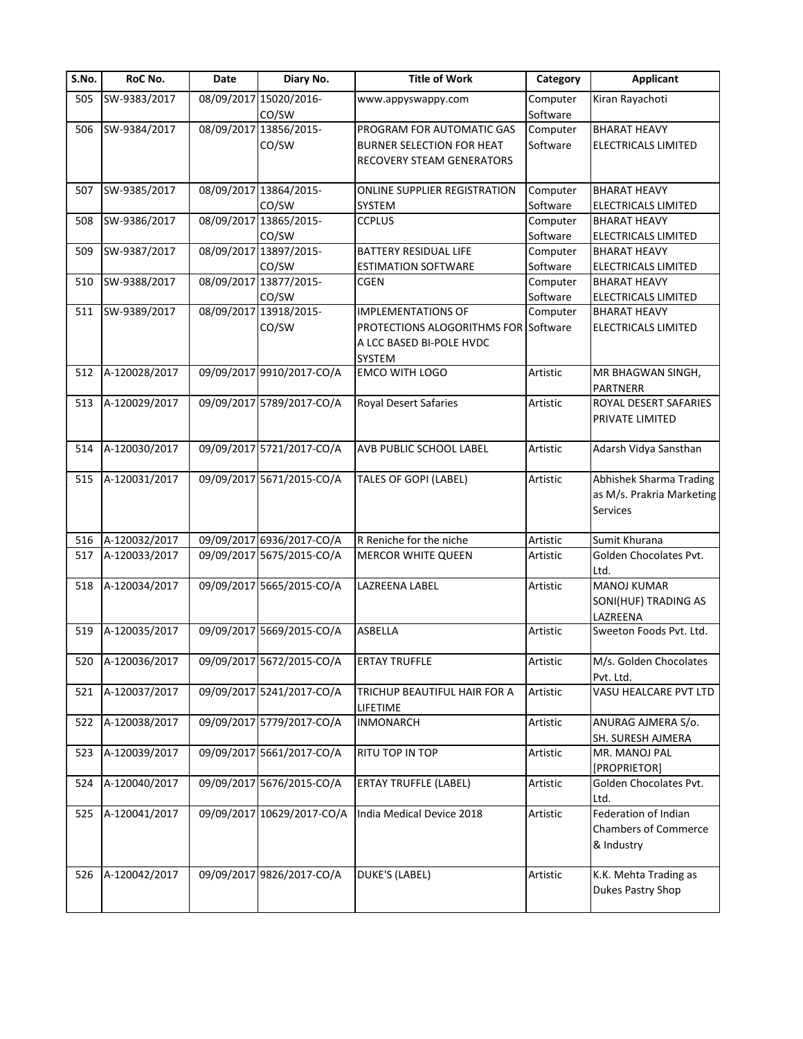| S.No. | RoC No.       | Date | Diary No.                  | <b>Title of Work</b>                 | Category | <b>Applicant</b>            |
|-------|---------------|------|----------------------------|--------------------------------------|----------|-----------------------------|
| 505   | SW-9383/2017  |      | 08/09/2017 15020/2016-     | www.appyswappy.com                   | Computer | Kiran Rayachoti             |
|       |               |      | CO/SW                      |                                      | Software |                             |
| 506   | SW-9384/2017  |      | 08/09/2017 13856/2015-     | PROGRAM FOR AUTOMATIC GAS            | Computer | <b>BHARAT HEAVY</b>         |
|       |               |      | CO/SW                      | BURNER SELECTION FOR HEAT            | Software | <b>ELECTRICALS LIMITED</b>  |
|       |               |      |                            | <b>RECOVERY STEAM GENERATORS</b>     |          |                             |
|       |               |      |                            |                                      |          |                             |
| 507   | SW-9385/2017  |      | 08/09/2017 13864/2015-     | ONLINE SUPPLIER REGISTRATION         | Computer | <b>BHARAT HEAVY</b>         |
|       |               |      | CO/SW                      | SYSTEM                               | Software | ELECTRICALS LIMITED         |
| 508   | SW-9386/2017  |      | 08/09/2017 13865/2015-     | <b>CCPLUS</b>                        | Computer | <b>BHARAT HEAVY</b>         |
|       |               |      | CO/SW                      |                                      | Software | ELECTRICALS LIMITED         |
| 509   | SW-9387/2017  |      | 08/09/2017 13897/2015-     | <b>BATTERY RESIDUAL LIFE</b>         | Computer | <b>BHARAT HEAVY</b>         |
|       |               |      | CO/SW                      | <b>ESTIMATION SOFTWARE</b>           | Software | ELECTRICALS LIMITED         |
| 510   | SW-9388/2017  |      | 08/09/2017 13877/2015-     | <b>CGEN</b>                          | Computer | <b>BHARAT HEAVY</b>         |
|       |               |      | CO/SW                      |                                      | Software | ELECTRICALS LIMITED         |
| 511   | SW-9389/2017  |      | 08/09/2017 13918/2015-     | <b>IMPLEMENTATIONS OF</b>            | Computer | <b>BHARAT HEAVY</b>         |
|       |               |      | CO/SW                      | PROTECTIONS ALOGORITHMS FOR Software |          | ELECTRICALS LIMITED         |
|       |               |      |                            | A LCC BASED BI-POLE HVDC             |          |                             |
|       |               |      |                            | <b>SYSTEM</b>                        |          |                             |
| 512   | A-120028/2017 |      | 09/09/2017 9910/2017-CO/A  | <b>EMCO WITH LOGO</b>                | Artistic | MR BHAGWAN SINGH,           |
|       |               |      |                            |                                      |          | PARTNERR                    |
| 513   | A-120029/2017 |      | 09/09/2017 5789/2017-CO/A  | <b>Royal Desert Safaries</b>         | Artistic | ROYAL DESERT SAFARIES       |
|       |               |      |                            |                                      |          | PRIVATE LIMITED             |
|       |               |      |                            |                                      |          |                             |
| 514   | A-120030/2017 |      | 09/09/2017 5721/2017-CO/A  | AVB PUBLIC SCHOOL LABEL              | Artistic | Adarsh Vidya Sansthan       |
|       |               |      |                            |                                      |          |                             |
| 515   | A-120031/2017 |      | 09/09/2017 5671/2015-CO/A  | TALES OF GOPI (LABEL)                | Artistic | Abhishek Sharma Trading     |
|       |               |      |                            |                                      |          | as M/s. Prakria Marketing   |
|       |               |      |                            |                                      |          | <b>Services</b>             |
|       |               |      |                            |                                      |          |                             |
| 516   | A-120032/2017 |      | 09/09/2017 6936/2017-CO/A  | R Reniche for the niche              | Artistic | Sumit Khurana               |
| 517   | A-120033/2017 |      | 09/09/2017 5675/2015-CO/A  | <b>MERCOR WHITE QUEEN</b>            | Artistic | Golden Chocolates Pvt.      |
|       |               |      |                            |                                      |          | Ltd.                        |
| 518   | A-120034/2017 |      | 09/09/2017 5665/2015-CO/A  | LAZREENA LABEL                       | Artistic | <b>MANOJ KUMAR</b>          |
|       |               |      |                            |                                      |          | SONI(HUF) TRADING AS        |
|       |               |      |                            |                                      |          | LAZREENA                    |
| 519   | A-120035/2017 |      | 09/09/2017 5669/2015-CO/A  | <b>ASBELLA</b>                       | Artistic | Sweeton Foods Pvt. Ltd.     |
|       |               |      |                            |                                      |          |                             |
| 520   | A-120036/2017 |      | 09/09/2017 5672/2015-CO/A  | <b>ERTAY TRUFFLE</b>                 | Artistic | M/s. Golden Chocolates      |
|       |               |      |                            |                                      |          | Pvt. Ltd.                   |
| 521   | A-120037/2017 |      | 09/09/2017 5241/2017-CO/A  | TRICHUP BEAUTIFUL HAIR FOR A         | Artistic | VASU HEALCARE PVT LTD       |
|       |               |      |                            | LIFETIME                             |          |                             |
| 522   | A-120038/2017 |      | 09/09/2017 5779/2017-CO/A  | <b>INMONARCH</b>                     | Artistic | ANURAG AJMERA S/o.          |
|       |               |      |                            |                                      |          | SH. SURESH AJMERA           |
| 523   | A-120039/2017 |      | 09/09/2017 5661/2017-CO/A  | RITU TOP IN TOP                      | Artistic | MR. MANOJ PAL               |
|       |               |      |                            |                                      |          | [PROPRIETOR]                |
| 524   | A-120040/2017 |      | 09/09/2017 5676/2015-CO/A  | <b>ERTAY TRUFFLE (LABEL)</b>         | Artistic | Golden Chocolates Pvt.      |
|       |               |      |                            |                                      |          | Ltd.                        |
| 525   | A-120041/2017 |      | 09/09/2017 10629/2017-CO/A | India Medical Device 2018            | Artistic | Federation of Indian        |
|       |               |      |                            |                                      |          | <b>Chambers of Commerce</b> |
|       |               |      |                            |                                      |          |                             |
|       |               |      |                            |                                      |          | & Industry                  |
|       |               |      |                            |                                      |          |                             |
| 526   | A-120042/2017 |      | 09/09/2017 9826/2017-CO/A  | <b>DUKE'S (LABEL)</b>                | Artistic | K.K. Mehta Trading as       |
|       |               |      |                            |                                      |          | Dukes Pastry Shop           |
|       |               |      |                            |                                      |          |                             |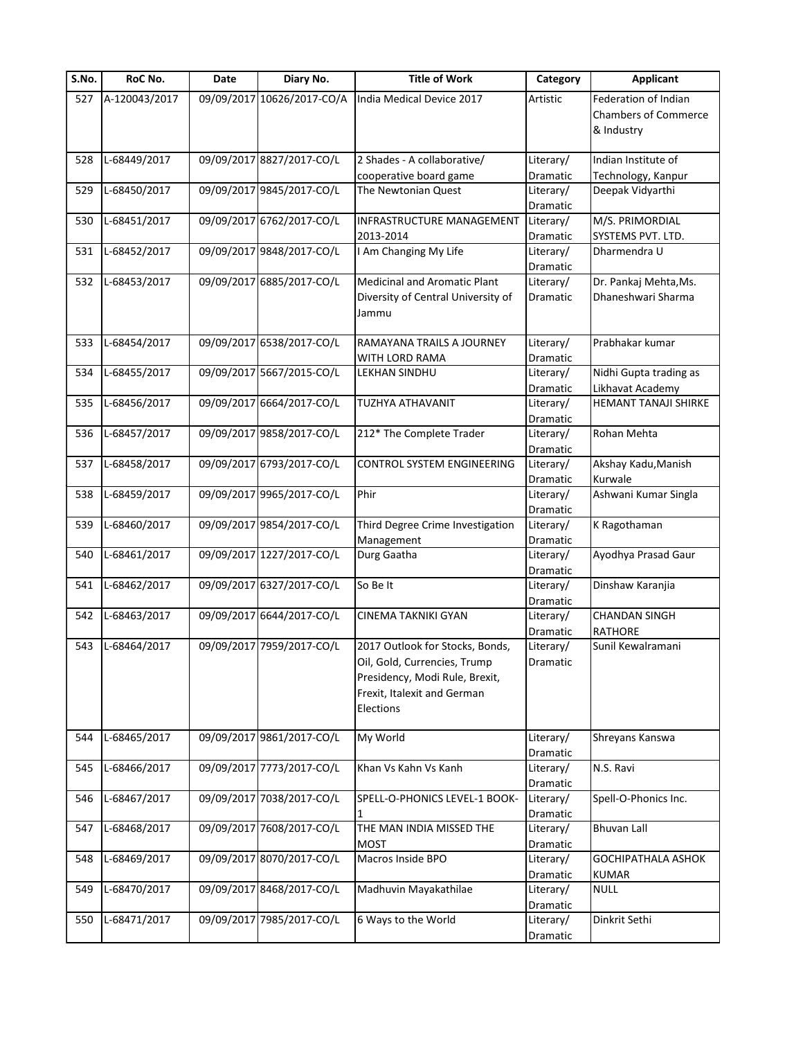| S.No. | RoC No.       | Date | Diary No.                  | <b>Title of Work</b>                                                                                                                          | Category                     | <b>Applicant</b>                                                  |
|-------|---------------|------|----------------------------|-----------------------------------------------------------------------------------------------------------------------------------------------|------------------------------|-------------------------------------------------------------------|
| 527   | A-120043/2017 |      | 09/09/2017 10626/2017-CO/A | India Medical Device 2017                                                                                                                     | Artistic                     | Federation of Indian<br><b>Chambers of Commerce</b><br>& Industry |
| 528   | L-68449/2017  |      | 09/09/2017 8827/2017-CO/L  | 2 Shades - A collaborative/                                                                                                                   | Literary/                    | Indian Institute of                                               |
|       |               |      |                            | cooperative board game                                                                                                                        | Dramatic                     | Technology, Kanpur                                                |
| 529   | L-68450/2017  |      | 09/09/2017 9845/2017-CO/L  | The Newtonian Quest                                                                                                                           | Literary/<br>Dramatic        | Deepak Vidyarthi                                                  |
| 530   | L-68451/2017  |      | 09/09/2017 6762/2017-CO/L  | INFRASTRUCTURE MANAGEMENT<br>2013-2014                                                                                                        | Literary/<br>Dramatic        | M/S. PRIMORDIAL<br>SYSTEMS PVT. LTD.                              |
| 531   | L-68452/2017  |      | 09/09/2017 9848/2017-CO/L  | I Am Changing My Life                                                                                                                         | Literary/<br>Dramatic        | Dharmendra U                                                      |
| 532   | L-68453/2017  |      | 09/09/2017 6885/2017-CO/L  | <b>Medicinal and Aromatic Plant</b><br>Diversity of Central University of<br>Jammu                                                            | Literary/<br>Dramatic        | Dr. Pankaj Mehta, Ms.<br>Dhaneshwari Sharma                       |
| 533   | L-68454/2017  |      | 09/09/2017 6538/2017-CO/L  | RAMAYANA TRAILS A JOURNEY<br>WITH LORD RAMA                                                                                                   | Literary/<br>Dramatic        | Prabhakar kumar                                                   |
| 534   | L-68455/2017  |      | 09/09/2017 5667/2015-CO/L  | <b>LEKHAN SINDHU</b>                                                                                                                          | Literary/<br>Dramatic        | Nidhi Gupta trading as<br>Likhavat Academy                        |
| 535   | L-68456/2017  |      | 09/09/2017 6664/2017-CO/L  | TUZHYA ATHAVANIT                                                                                                                              | Literary/<br>Dramatic        | HEMANT TANAJI SHIRKE                                              |
| 536   | L-68457/2017  |      | 09/09/2017 9858/2017-CO/L  | 212* The Complete Trader                                                                                                                      | Literary/<br>Dramatic        | Rohan Mehta                                                       |
| 537   | L-68458/2017  |      | 09/09/2017 6793/2017-CO/L  | <b>CONTROL SYSTEM ENGINEERING</b>                                                                                                             | Literary/<br>Dramatic        | Akshay Kadu, Manish<br>Kurwale                                    |
| 538   | L-68459/2017  |      | 09/09/2017 9965/2017-CO/L  | Phir                                                                                                                                          | Literary/<br>Dramatic        | Ashwani Kumar Singla                                              |
| 539   | L-68460/2017  |      | 09/09/2017 9854/2017-CO/L  | Third Degree Crime Investigation<br>Management                                                                                                | Literary/<br>Dramatic        | K Ragothaman                                                      |
| 540   | L-68461/2017  |      | 09/09/2017 1227/2017-CO/L  | Durg Gaatha                                                                                                                                   | Literary/<br>Dramatic        | Ayodhya Prasad Gaur                                               |
| 541   | L-68462/2017  |      | 09/09/2017 6327/2017-CO/L  | So Be It                                                                                                                                      | Literary/<br>Dramatic        | Dinshaw Karanjia                                                  |
| 542   | L-68463/2017  |      | 09/09/2017 6644/2017-CO/L  | CINEMA TAKNIKI GYAN                                                                                                                           | Literary/<br><b>Dramatic</b> | <b>CHANDAN SINGH</b><br><b>RATHORE</b>                            |
| 543   | L-68464/2017  |      | 09/09/2017 7959/2017-CO/L  | 2017 Outlook for Stocks, Bonds,<br>Oil, Gold, Currencies, Trump<br>Presidency, Modi Rule, Brexit,<br>Frexit, Italexit and German<br>Elections | Literary/<br>Dramatic        | Sunil Kewalramani                                                 |
| 544   | L-68465/2017  |      | 09/09/2017 9861/2017-CO/L  | My World                                                                                                                                      | Literary/<br>Dramatic        | Shreyans Kanswa                                                   |
| 545   | L-68466/2017  |      | 09/09/2017 7773/2017-CO/L  | Khan Vs Kahn Vs Kanh                                                                                                                          | Literary/<br>Dramatic        | N.S. Ravi                                                         |
| 546   | L-68467/2017  |      | 09/09/2017 7038/2017-CO/L  | SPELL-O-PHONICS LEVEL-1 BOOK-                                                                                                                 | Literary/<br>Dramatic        | Spell-O-Phonics Inc.                                              |
| 547   | L-68468/2017  |      | 09/09/2017 7608/2017-CO/L  | THE MAN INDIA MISSED THE<br><b>MOST</b>                                                                                                       | Literary/<br>Dramatic        | <b>Bhuvan Lall</b>                                                |
| 548   | L-68469/2017  |      | 09/09/2017 8070/2017-CO/L  | Macros Inside BPO                                                                                                                             | Literary/<br>Dramatic        | GOCHIPATHALA ASHOK<br><b>KUMAR</b>                                |
| 549   | L-68470/2017  |      | 09/09/2017 8468/2017-CO/L  | Madhuvin Mayakathilae                                                                                                                         | Literary/<br>Dramatic        | <b>NULL</b>                                                       |
| 550   | L-68471/2017  |      | 09/09/2017 7985/2017-CO/L  | 6 Ways to the World                                                                                                                           | Literary/<br>Dramatic        | Dinkrit Sethi                                                     |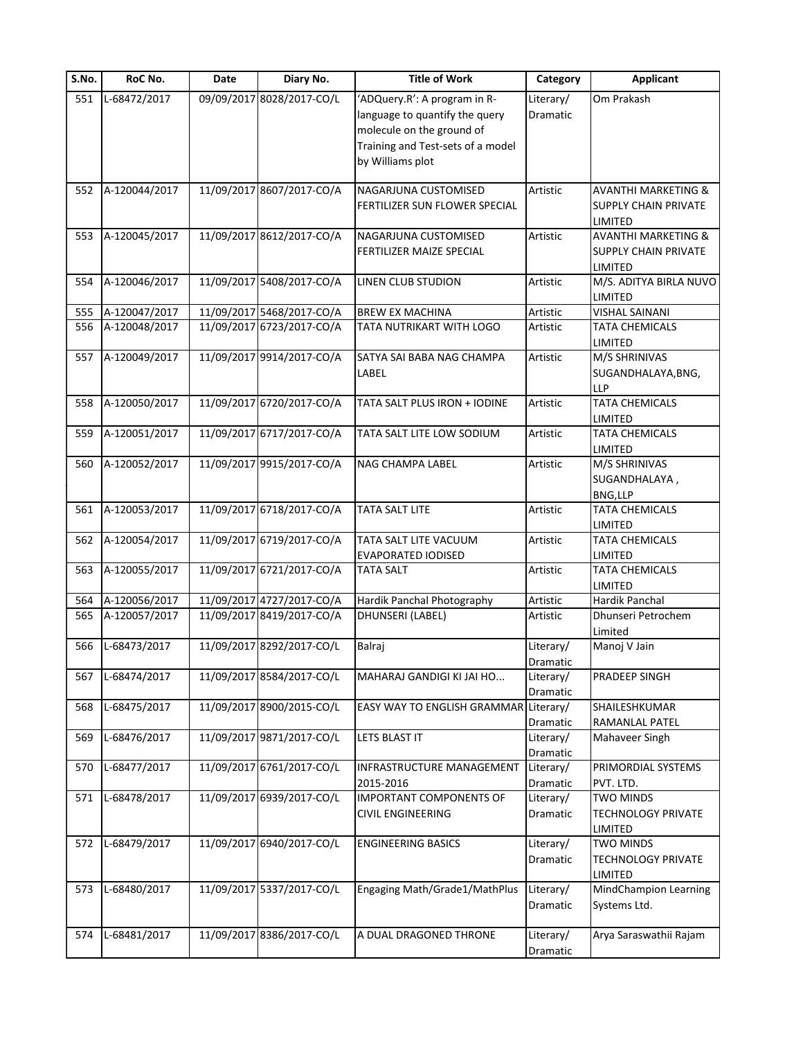| S.No. | RoC No.       | Date | Diary No.                 | <b>Title of Work</b>                                                                                                                                 | Category              | <b>Applicant</b>                                                         |
|-------|---------------|------|---------------------------|------------------------------------------------------------------------------------------------------------------------------------------------------|-----------------------|--------------------------------------------------------------------------|
| 551   | L-68472/2017  |      | 09/09/2017 8028/2017-CO/L | 'ADQuery.R': A program in R-<br>language to quantify the query<br>molecule on the ground of<br>Training and Test-sets of a model<br>by Williams plot | Literary/<br>Dramatic | Om Prakash                                                               |
| 552   | A-120044/2017 |      | 11/09/2017 8607/2017-CO/A | NAGARJUNA CUSTOMISED                                                                                                                                 | Artistic              | <b>AVANTHI MARKETING &amp;</b>                                           |
|       |               |      |                           | FERTILIZER SUN FLOWER SPECIAL                                                                                                                        |                       | <b>SUPPLY CHAIN PRIVATE</b><br>LIMITED                                   |
| 553   | A-120045/2017 |      | 11/09/2017 8612/2017-CO/A | NAGARJUNA CUSTOMISED<br>FERTILIZER MAIZE SPECIAL                                                                                                     | Artistic              | <b>AVANTHI MARKETING &amp;</b><br><b>SUPPLY CHAIN PRIVATE</b><br>LIMITED |
| 554   | A-120046/2017 |      | 11/09/2017 5408/2017-CO/A | LINEN CLUB STUDION                                                                                                                                   | Artistic              | M/S. ADITYA BIRLA NUVO<br>LIMITED                                        |
| 555   | A-120047/2017 |      | 11/09/2017 5468/2017-CO/A | <b>BREW EX MACHINA</b>                                                                                                                               | Artistic              | <b>VISHAL SAINANI</b>                                                    |
| 556   | A-120048/2017 |      | 11/09/2017 6723/2017-CO/A | TATA NUTRIKART WITH LOGO                                                                                                                             | Artistic              | TATA CHEMICALS<br><b>LIMITED</b>                                         |
| 557   | A-120049/2017 |      | 11/09/2017 9914/2017-CO/A | SATYA SAI BABA NAG CHAMPA<br>LABEL                                                                                                                   | Artistic              | M/S SHRINIVAS<br>SUGANDHALAYA, BNG,<br><b>LLP</b>                        |
| 558   | A-120050/2017 |      | 11/09/2017 6720/2017-CO/A | TATA SALT PLUS IRON + IODINE                                                                                                                         | Artistic              | TATA CHEMICALS<br>LIMITED                                                |
| 559   | A-120051/2017 |      | 11/09/2017 6717/2017-CO/A | TATA SALT LITE LOW SODIUM                                                                                                                            | Artistic              | TATA CHEMICALS<br><b>LIMITED</b>                                         |
| 560   | A-120052/2017 |      | 11/09/2017 9915/2017-CO/A | <b>NAG CHAMPA LABEL</b>                                                                                                                              | Artistic              | M/S SHRINIVAS<br>SUGANDHALAYA,<br>BNG,LLP                                |
| 561   | A-120053/2017 |      | 11/09/2017 6718/2017-CO/A | <b>TATA SALT LITE</b>                                                                                                                                | Artistic              | <b>TATA CHEMICALS</b><br>LIMITED                                         |
| 562   | A-120054/2017 |      | 11/09/2017 6719/2017-CO/A | TATA SALT LITE VACUUM<br><b>EVAPORATED IODISED</b>                                                                                                   | Artistic              | <b>TATA CHEMICALS</b><br>LIMITED                                         |
| 563   | A-120055/2017 |      | 11/09/2017 6721/2017-CO/A | <b>TATA SALT</b>                                                                                                                                     | Artistic              | <b>TATA CHEMICALS</b><br>LIMITED                                         |
| 564   | A-120056/2017 |      | 11/09/2017 4727/2017-CO/A | Hardik Panchal Photography                                                                                                                           | Artistic              | Hardik Panchal                                                           |
| 565   | A-120057/2017 |      | 11/09/2017 8419/2017-CO/A | DHUNSERI (LABEL)                                                                                                                                     | Artistic              | Dhunseri Petrochem<br>Limited                                            |
| 566   | L-68473/2017  |      | 11/09/2017 8292/2017-CO/L | Balraj                                                                                                                                               | Literary/<br>Dramatic | Manoj V Jain                                                             |
| 567   | L-68474/2017  |      | 11/09/2017 8584/2017-CO/L | MAHARAJ GANDIGI KI JAI HO                                                                                                                            | Literary/<br>Dramatic | PRADEEP SINGH                                                            |
| 568   | L-68475/2017  |      | 11/09/2017 8900/2015-CO/L | EASY WAY TO ENGLISH GRAMMAR Literary/                                                                                                                | Dramatic              | SHAILESHKUMAR<br>RAMANLAL PATEL                                          |
| 569   | L-68476/2017  |      | 11/09/2017 9871/2017-CO/L | LETS BLAST IT                                                                                                                                        | Literary/<br>Dramatic | Mahaveer Singh                                                           |
| 570   | L-68477/2017  |      | 11/09/2017 6761/2017-CO/L | INFRASTRUCTURE MANAGEMENT<br>2015-2016                                                                                                               | Literary/<br>Dramatic | PRIMORDIAL SYSTEMS<br>PVT. LTD.                                          |
| 571   | L-68478/2017  |      | 11/09/2017 6939/2017-CO/L | <b>IMPORTANT COMPONENTS OF</b><br><b>CIVIL ENGINEERING</b>                                                                                           | Literary/<br>Dramatic | <b>TWO MINDS</b><br><b>TECHNOLOGY PRIVATE</b><br>LIMITED                 |
| 572   | L-68479/2017  |      | 11/09/2017 6940/2017-CO/L | <b>ENGINEERING BASICS</b>                                                                                                                            | Literary/<br>Dramatic | <b>TWO MINDS</b><br><b>TECHNOLOGY PRIVATE</b><br>LIMITED                 |
| 573   | L-68480/2017  |      | 11/09/2017 5337/2017-CO/L | Engaging Math/Grade1/MathPlus                                                                                                                        | Literary/<br>Dramatic | MindChampion Learning<br>Systems Ltd.                                    |
| 574   | L-68481/2017  |      | 11/09/2017 8386/2017-CO/L | A DUAL DRAGONED THRONE                                                                                                                               | Literary/<br>Dramatic | Arya Saraswathii Rajam                                                   |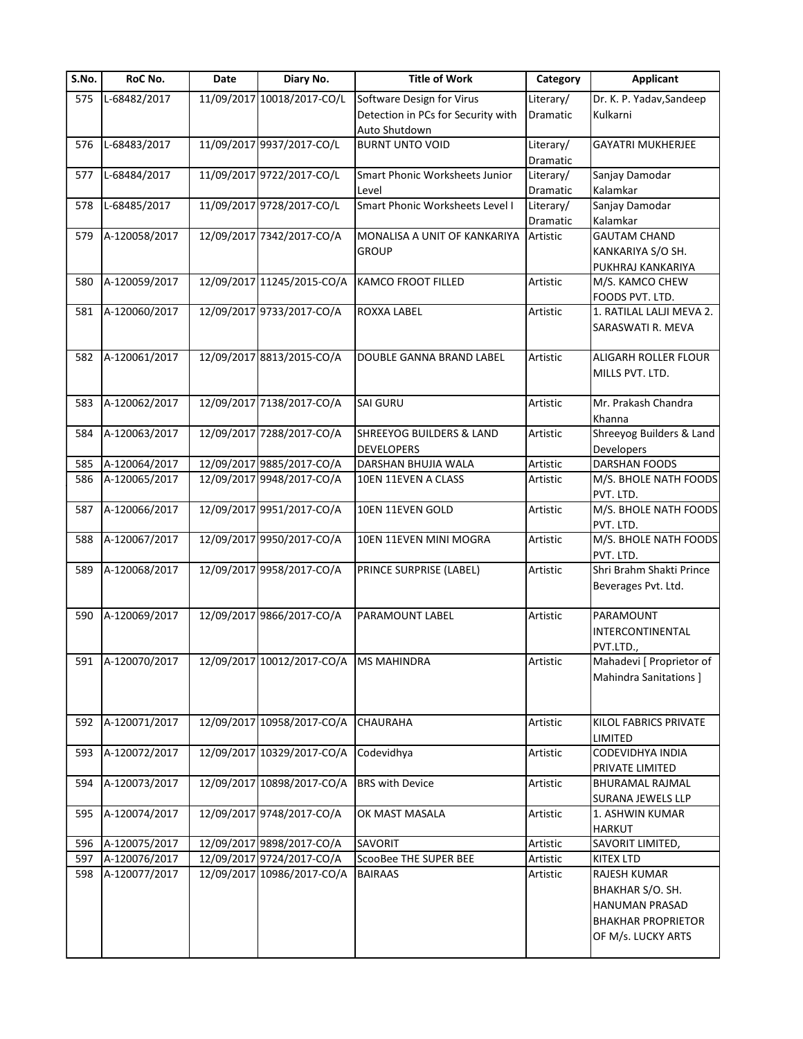| S.No. | RoC No.           | Date | Diary No.                              | <b>Title of Work</b>                | Category  | <b>Applicant</b>                      |
|-------|-------------------|------|----------------------------------------|-------------------------------------|-----------|---------------------------------------|
| 575   | L-68482/2017      |      | 11/09/2017 10018/2017-CO/L             | Software Design for Virus           | Literary/ | Dr. K. P. Yadav, Sandeep              |
|       |                   |      |                                        | Detection in PCs for Security with  | Dramatic  | Kulkarni                              |
|       |                   |      |                                        | Auto Shutdown                       |           |                                       |
| 576   | L-68483/2017      |      | 11/09/2017 9937/2017-CO/L              | <b>BURNT UNTO VOID</b>              | Literary/ | <b>GAYATRI MUKHERJEE</b>              |
|       |                   |      |                                        |                                     | Dramatic  |                                       |
| 577   | L-68484/2017      |      | 11/09/2017 9722/2017-CO/L              | Smart Phonic Worksheets Junior      | Literary/ | Sanjay Damodar                        |
|       |                   |      |                                        | Level                               | Dramatic  | Kalamkar                              |
| 578   | L-68485/2017      |      | 11/09/2017 9728/2017-CO/L              | Smart Phonic Worksheets Level I     | Literary/ | Sanjay Damodar                        |
|       |                   |      |                                        |                                     | Dramatic  | Kalamkar                              |
| 579   | A-120058/2017     |      | 12/09/2017 7342/2017-CO/A              | MONALISA A UNIT OF KANKARIYA        | Artistic  | <b>GAUTAM CHAND</b>                   |
|       |                   |      |                                        | <b>GROUP</b>                        |           | KANKARIYA S/O SH.                     |
|       |                   |      |                                        |                                     |           | PUKHRAJ KANKARIYA                     |
| 580   | A-120059/2017     |      | 12/09/2017 11245/2015-CO/A             | <b>KAMCO FROOT FILLED</b>           | Artistic  | M/S. KAMCO CHEW                       |
|       |                   |      |                                        |                                     |           | FOODS PVT. LTD.                       |
| 581   | A-120060/2017     |      | 12/09/2017 9733/2017-CO/A              | ROXXA LABEL                         | Artistic  | 1. RATILAL LALJI MEVA 2.              |
|       |                   |      |                                        |                                     |           | SARASWATI R. MEVA                     |
|       |                   |      |                                        |                                     |           |                                       |
| 582   | A-120061/2017     |      | 12/09/2017 8813/2015-CO/A              | <b>DOUBLE GANNA BRAND LABEL</b>     | Artistic  | ALIGARH ROLLER FLOUR                  |
|       |                   |      |                                        |                                     |           | MILLS PVT. LTD.                       |
|       |                   |      |                                        |                                     |           |                                       |
| 583   | A-120062/2017     |      | 12/09/2017 7138/2017-CO/A              | <b>SAI GURU</b>                     | Artistic  | Mr. Prakash Chandra                   |
|       |                   |      |                                        |                                     |           | Khanna                                |
| 584   | A-120063/2017     |      | 12/09/2017 7288/2017-CO/A              | <b>SHREEYOG BUILDERS &amp; LAND</b> | Artistic  | Shreeyog Builders & Land              |
|       |                   |      |                                        | <b>DEVELOPERS</b>                   |           | Developers                            |
| 585   | A-120064/2017     |      | 12/09/2017 9885/2017-CO/A              | DARSHAN BHUJIA WALA                 | Artistic  | DARSHAN FOODS                         |
| 586   | A-120065/2017     |      | 12/09/2017 9948/2017-CO/A              | 10EN 11EVEN A CLASS                 | Artistic  | M/S. BHOLE NATH FOODS                 |
|       |                   |      |                                        |                                     |           | PVT. LTD.                             |
| 587   | A-120066/2017     |      | 12/09/2017 9951/2017-CO/A              | 10EN 11EVEN GOLD                    | Artistic  | M/S. BHOLE NATH FOODS                 |
|       |                   |      |                                        |                                     |           | PVT. LTD.                             |
| 588   | A-120067/2017     |      | 12/09/2017 9950/2017-CO/A              | 10EN 11EVEN MINI MOGRA              | Artistic  | M/S. BHOLE NATH FOODS                 |
|       |                   |      |                                        |                                     |           | PVT. LTD.                             |
| 589   | A-120068/2017     |      | 12/09/2017 9958/2017-CO/A              | PRINCE SURPRISE (LABEL)             | Artistic  | Shri Brahm Shakti Prince              |
|       |                   |      |                                        |                                     |           | Beverages Pvt. Ltd.                   |
|       |                   |      |                                        |                                     |           |                                       |
| 590   | A-120069/2017     |      | 12/09/2017 9866/2017-CO/A              | PARAMOUNT LABEL                     | Artistic  | PARAMOUNT                             |
|       |                   |      |                                        |                                     |           | <b>INTERCONTINENTAL</b>               |
|       |                   |      | 12/09/2017 10012/2017-CO/A MS MAHINDRA |                                     |           | PVT.LTD.,<br>Mahadevi [ Proprietor of |
|       | 591 A-120070/2017 |      |                                        |                                     | Artistic  |                                       |
|       |                   |      |                                        |                                     |           | Mahindra Sanitations ]                |
|       |                   |      |                                        |                                     |           |                                       |
| 592   | A-120071/2017     |      | 12/09/2017 10958/2017-CO/A             | <b>CHAURAHA</b>                     | Artistic  | KILOL FABRICS PRIVATE                 |
|       |                   |      |                                        |                                     |           | LIMITED                               |
| 593   | A-120072/2017     |      | 12/09/2017 10329/2017-CO/A             | Codevidhya                          | Artistic  | <b>CODEVIDHYA INDIA</b>               |
|       |                   |      |                                        |                                     |           | PRIVATE LIMITED                       |
| 594   | A-120073/2017     |      | 12/09/2017 10898/2017-CO/A             | <b>BRS with Device</b>              | Artistic  | BHURAMAL RAJMAL                       |
|       |                   |      |                                        |                                     |           | SURANA JEWELS LLP                     |
| 595   | A-120074/2017     |      | 12/09/2017 9748/2017-CO/A              | OK MAST MASALA                      | Artistic  | 1. ASHWIN KUMAR                       |
|       |                   |      |                                        |                                     |           | <b>HARKUT</b>                         |
| 596   | A-120075/2017     |      | 12/09/2017 9898/2017-CO/A              | SAVORIT                             | Artistic  | SAVORIT LIMITED,                      |
| 597   | A-120076/2017     |      | 12/09/2017 9724/2017-CO/A              | ScooBee THE SUPER BEE               | Artistic  | KITEX LTD                             |
| 598   | A-120077/2017     |      | 12/09/2017 10986/2017-CO/A             | <b>BAIRAAS</b>                      | Artistic  | RAJESH KUMAR                          |
|       |                   |      |                                        |                                     |           | BHAKHAR S/O. SH.                      |
|       |                   |      |                                        |                                     |           | HANUMAN PRASAD                        |
|       |                   |      |                                        |                                     |           | <b>BHAKHAR PROPRIETOR</b>             |
|       |                   |      |                                        |                                     |           |                                       |
|       |                   |      |                                        |                                     |           | OF M/s. LUCKY ARTS                    |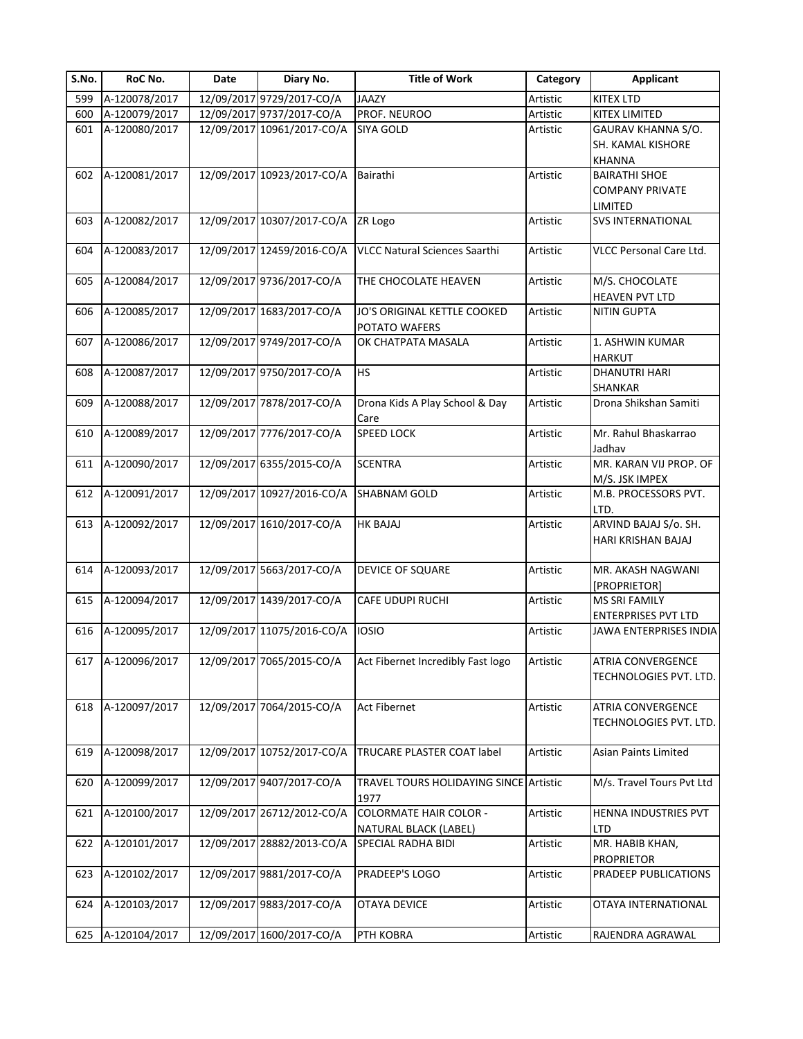| S.No. | RoC No.           | Date | Diary No.                  | <b>Title of Work</b>                           | Category | <b>Applicant</b>                                     |
|-------|-------------------|------|----------------------------|------------------------------------------------|----------|------------------------------------------------------|
| 599   | A-120078/2017     |      | 12/09/2017 9729/2017-CO/A  | <b>JAAZY</b>                                   | Artistic | <b>KITEX LTD</b>                                     |
| 600   | A-120079/2017     |      | 12/09/2017 9737/2017-CO/A  | PROF. NEUROO                                   | Artistic | KITEX LIMITED                                        |
| 601   | A-120080/2017     |      | 12/09/2017 10961/2017-CO/A | <b>SIYA GOLD</b>                               | Artistic | GAURAV KHANNA S/O.<br>SH. KAMAL KISHORE              |
|       |                   |      |                            |                                                |          | KHANNA                                               |
| 602   | A-120081/2017     |      | 12/09/2017 10923/2017-CO/A | Bairathi                                       | Artistic | <b>BAIRATHI SHOE</b>                                 |
|       |                   |      |                            |                                                |          | <b>COMPANY PRIVATE</b>                               |
|       |                   |      |                            |                                                |          | LIMITED                                              |
| 603   | A-120082/2017     |      | 12/09/2017 10307/2017-CO/A | ZR Logo                                        | Artistic | <b>SVS INTERNATIONAL</b>                             |
| 604   | A-120083/2017     |      | 12/09/2017 12459/2016-CO/A | <b>VLCC Natural Sciences Saarthi</b>           | Artistic | VLCC Personal Care Ltd.                              |
| 605   | A-120084/2017     |      | 12/09/2017 9736/2017-CO/A  | THE CHOCOLATE HEAVEN                           | Artistic | M/S. CHOCOLATE<br>HEAVEN PVT LTD                     |
| 606   | A-120085/2017     |      | 12/09/2017 1683/2017-CO/A  | JO'S ORIGINAL KETTLE COOKED                    | Artistic | <b>NITIN GUPTA</b>                                   |
|       |                   |      |                            | POTATO WAFERS                                  |          |                                                      |
| 607   | A-120086/2017     |      | 12/09/2017 9749/2017-CO/A  | OK CHATPATA MASALA                             | Artistic | 1. ASHWIN KUMAR<br><b>HARKUT</b>                     |
| 608   | A-120087/2017     |      | 12/09/2017 9750/2017-CO/A  | <b>HS</b>                                      | Artistic | <b>DHANUTRI HARI</b>                                 |
|       |                   |      |                            |                                                |          | SHANKAR                                              |
| 609   | A-120088/2017     |      | 12/09/2017 7878/2017-CO/A  | Drona Kids A Play School & Day<br>Care         | Artistic | Drona Shikshan Samiti                                |
| 610   | A-120089/2017     |      | 12/09/2017 7776/2017-CO/A  | <b>SPEED LOCK</b>                              | Artistic | Mr. Rahul Bhaskarrao                                 |
|       |                   |      |                            |                                                |          | Jadhav                                               |
| 611   | A-120090/2017     |      | 12/09/2017 6355/2015-CO/A  | <b>SCENTRA</b>                                 | Artistic | MR. KARAN VIJ PROP. OF                               |
|       |                   |      |                            |                                                |          | M/S. JSK IMPEX                                       |
| 612   | A-120091/2017     |      | 12/09/2017 10927/2016-CO/A | <b>SHABNAM GOLD</b>                            | Artistic | M.B. PROCESSORS PVT.                                 |
|       |                   |      |                            |                                                |          | LTD.<br>ARVIND BAJAJ S/o. SH.                        |
| 613   | A-120092/2017     |      | 12/09/2017 1610/2017-CO/A  | <b>HK BAJAJ</b>                                | Artistic |                                                      |
|       |                   |      |                            |                                                |          | HARI KRISHAN BAJAJ                                   |
|       | A-120093/2017     |      | 12/09/2017 5663/2017-CO/A  |                                                | Artistic | MR. AKASH NAGWANI                                    |
| 614   |                   |      |                            | DEVICE OF SQUARE                               |          |                                                      |
| 615   | A-120094/2017     |      | 12/09/2017 1439/2017-CO/A  | CAFE UDUPI RUCHI                               | Artistic | [PROPRIETOR]<br><b>MS SRI FAMILY</b>                 |
|       |                   |      |                            |                                                |          |                                                      |
| 616   | A-120095/2017     |      | 12/09/2017 11075/2016-CO/A | <b>IOSIO</b>                                   | Artistic | <b>ENTERPRISES PVT LTD</b><br>JAWA ENTERPRISES INDIA |
|       |                   |      |                            |                                                |          |                                                      |
|       | 617 A-120096/2017 |      | 12/09/2017 7065/2015-CO/A  | Act Fibernet Incredibly Fast logo              | Artistic | <b>ATRIA CONVERGENCE</b>                             |
|       |                   |      |                            |                                                |          | TECHNOLOGIES PVT. LTD.                               |
|       |                   |      |                            |                                                |          |                                                      |
| 618   | A-120097/2017     |      | 12/09/2017 7064/2015-CO/A  | <b>Act Fibernet</b>                            | Artistic | ATRIA CONVERGENCE                                    |
|       |                   |      |                            |                                                |          | TECHNOLOGIES PVT. LTD.                               |
|       |                   |      |                            |                                                |          |                                                      |
| 619   | A-120098/2017     |      | 12/09/2017 10752/2017-CO/A | TRUCARE PLASTER COAT label                     | Artistic | <b>Asian Paints Limited</b>                          |
|       |                   |      | 12/09/2017 9407/2017-CO/A  |                                                |          | M/s. Travel Tours Pvt Ltd                            |
| 620   | A-120099/2017     |      |                            | TRAVEL TOURS HOLIDAYING SINCE Artistic<br>1977 |          |                                                      |
| 621   | A-120100/2017     |      | 12/09/2017 26712/2012-CO/A | <b>COLORMATE HAIR COLOR -</b>                  | Artistic | HENNA INDUSTRIES PVT                                 |
|       |                   |      |                            | NATURAL BLACK (LABEL)                          |          | LTD                                                  |
| 622   | A-120101/2017     |      | 12/09/2017 28882/2013-CO/A | SPECIAL RADHA BIDI                             | Artistic | MR. HABIB KHAN,<br><b>PROPRIETOR</b>                 |
| 623   | A-120102/2017     |      | 12/09/2017 9881/2017-CO/A  | PRADEEP'S LOGO                                 | Artistic | PRADEEP PUBLICATIONS                                 |
|       |                   |      |                            |                                                |          |                                                      |
| 624   | A-120103/2017     |      | 12/09/2017 9883/2017-CO/A  | OTAYA DEVICE                                   | Artistic | OTAYA INTERNATIONAL                                  |
| 625   | A-120104/2017     |      | 12/09/2017 1600/2017-CO/A  | PTH KOBRA                                      | Artistic | RAJENDRA AGRAWAL                                     |
|       |                   |      |                            |                                                |          |                                                      |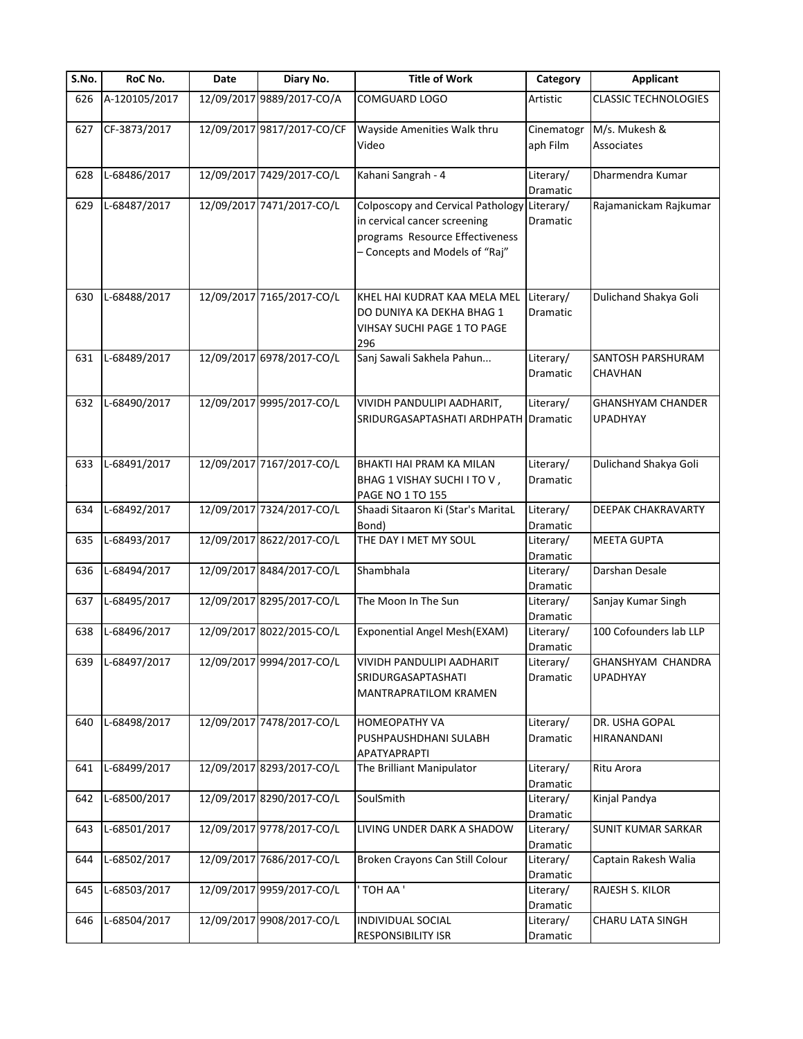| S.No. | RoC No.       | Date | Diary No.                  | <b>Title of Work</b>                                                                                                                   | Category               | Applicant                                   |
|-------|---------------|------|----------------------------|----------------------------------------------------------------------------------------------------------------------------------------|------------------------|---------------------------------------------|
| 626   | A-120105/2017 |      | 12/09/2017 9889/2017-CO/A  | COMGUARD LOGO                                                                                                                          | Artistic               | <b>CLASSIC TECHNOLOGIES</b>                 |
| 627   | CF-3873/2017  |      | 12/09/2017 9817/2017-CO/CF | Wayside Amenities Walk thru<br>Video                                                                                                   | Cinematogr<br>aph Film | M/s. Mukesh &<br>Associates                 |
| 628   | L-68486/2017  |      | 12/09/2017 7429/2017-CO/L  | Kahani Sangrah - 4                                                                                                                     | Literary/<br>Dramatic  | Dharmendra Kumar                            |
| 629   | L-68487/2017  |      | 12/09/2017 7471/2017-CO/L  | Colposcopy and Cervical Pathology<br>in cervical cancer screening<br>programs Resource Effectiveness<br>- Concepts and Models of "Raj" | Literary/<br>Dramatic  | Rajamanickam Rajkumar                       |
| 630   | L-68488/2017  |      | 12/09/2017 7165/2017-CO/L  | KHEL HAI KUDRAT KAA MELA MEL<br>DO DUNIYA KA DEKHA BHAG 1<br>VIHSAY SUCHI PAGE 1 TO PAGE<br>296                                        | Literary/<br>Dramatic  | Dulichand Shakya Goli                       |
| 631   | L-68489/2017  |      | 12/09/2017 6978/2017-CO/L  | Sanj Sawali Sakhela Pahun                                                                                                              | Literary/<br>Dramatic  | SANTOSH PARSHURAM<br>CHAVHAN                |
| 632   | L-68490/2017  |      | 12/09/2017 9995/2017-CO/L  | VIVIDH PANDULIPI AADHARIT,<br>SRIDURGASAPTASHATI ARDHPATH Dramatic                                                                     | Literary/              | <b>GHANSHYAM CHANDER</b><br><b>UPADHYAY</b> |
| 633   | L-68491/2017  |      | 12/09/2017 7167/2017-CO/L  | BHAKTI HAI PRAM KA MILAN<br>BHAG 1 VISHAY SUCHI I TO V,<br>PAGE NO 1 TO 155                                                            | Literary/<br>Dramatic  | Dulichand Shakya Goli                       |
| 634   | L-68492/2017  |      | 12/09/2017 7324/2017-CO/L  | Shaadi Sitaaron Ki (Star's MaritaL<br>Bond)                                                                                            | Literary/<br>Dramatic  | DEEPAK CHAKRAVARTY                          |
| 635   | L-68493/2017  |      | 12/09/2017 8622/2017-CO/L  | THE DAY I MET MY SOUL                                                                                                                  | Literary/<br>Dramatic  | <b>MEETA GUPTA</b>                          |
| 636   | L-68494/2017  |      | 12/09/2017 8484/2017-CO/L  | Shambhala                                                                                                                              | Literary/<br>Dramatic  | Darshan Desale                              |
| 637   | L-68495/2017  |      | 12/09/2017 8295/2017-CO/L  | The Moon In The Sun                                                                                                                    | Literary/<br>Dramatic  | Sanjay Kumar Singh                          |
| 638   | L-68496/2017  |      | 12/09/2017 8022/2015-CO/L  | Exponential Angel Mesh(EXAM)                                                                                                           | Literary/<br>Dramatic  | 100 Cofounders lab LLP                      |
| 639   | L-68497/2017  |      | 12/09/2017 9994/2017-CO/L  | VIVIDH PANDULIPI AADHARIT<br>SRIDURGASAPTASHATI<br><b>MANTRAPRATILOM KRAMEN</b>                                                        | Literary/<br>Dramatic  | GHANSHYAM CHANDRA<br><b>UPADHYAY</b>        |
| 640   | L-68498/2017  |      | 12/09/2017 7478/2017-CO/L  | <b>HOMEOPATHY VA</b><br>PUSHPAUSHDHANI SULABH<br>APATYAPRAPTI                                                                          | Literary/<br>Dramatic  | DR. USHA GOPAL<br>HIRANANDANI               |
| 641   | L-68499/2017  |      | 12/09/2017 8293/2017-CO/L  | The Brilliant Manipulator                                                                                                              | Literary/<br>Dramatic  | Ritu Arora                                  |
| 642   | L-68500/2017  |      | 12/09/2017 8290/2017-CO/L  | SoulSmith                                                                                                                              | Literary/<br>Dramatic  | Kinjal Pandya                               |
| 643   | L-68501/2017  |      | 12/09/2017 9778/2017-CO/L  | LIVING UNDER DARK A SHADOW                                                                                                             | Literary/<br>Dramatic  | <b>SUNIT KUMAR SARKAR</b>                   |
| 644   | L-68502/2017  |      | 12/09/2017 7686/2017-CO/L  | Broken Crayons Can Still Colour                                                                                                        | Literary/<br>Dramatic  | Captain Rakesh Walia                        |
| 645   | L-68503/2017  |      | 12/09/2017 9959/2017-CO/L  | TOH AA'                                                                                                                                | Literary/<br>Dramatic  | RAJESH S. KILOR                             |
| 646   | L-68504/2017  |      | 12/09/2017 9908/2017-CO/L  | <b>INDIVIDUAL SOCIAL</b><br>RESPONSIBILITY ISR                                                                                         | Literary/<br>Dramatic  | CHARU LATA SINGH                            |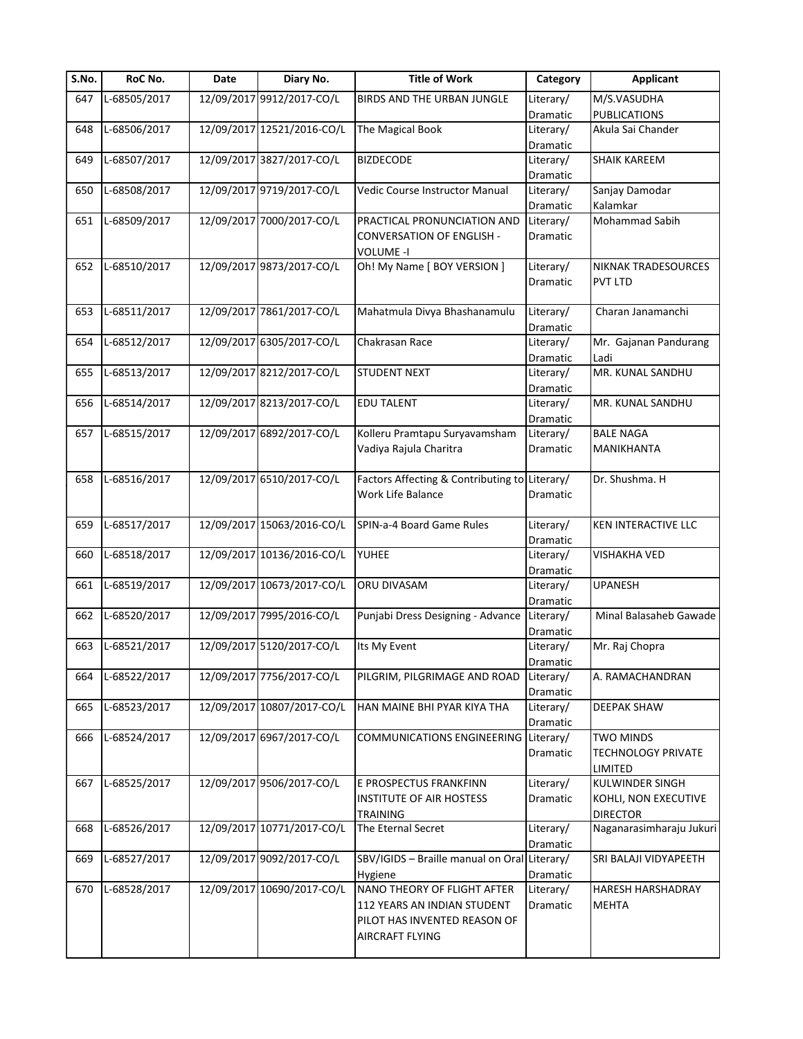| S.No. | RoC No.      | Date | Diary No.                  | <b>Title of Work</b>                          | Category              | <b>Applicant</b>          |
|-------|--------------|------|----------------------------|-----------------------------------------------|-----------------------|---------------------------|
| 647   | L-68505/2017 |      | 12/09/2017 9912/2017-CO/L  | BIRDS AND THE URBAN JUNGLE                    | Literary/             | M/S.VASUDHA               |
|       |              |      |                            |                                               | Dramatic              | <b>PUBLICATIONS</b>       |
| 648   | L-68506/2017 |      | 12/09/2017 12521/2016-CO/L | The Magical Book                              | Literary/             | Akula Sai Chander         |
|       |              |      |                            |                                               | Dramatic              |                           |
| 649   | L-68507/2017 |      | 12/09/2017 3827/2017-CO/L  | <b>BIZDECODE</b>                              | Literary/             | SHAIK KAREEM              |
|       |              |      |                            |                                               | Dramatic              |                           |
| 650   | L-68508/2017 |      | 12/09/2017 9719/2017-CO/L  | Vedic Course Instructor Manual                | Literary/             | Sanjay Damodar            |
|       |              |      |                            |                                               | Dramatic              | Kalamkar                  |
| 651   | L-68509/2017 |      | 12/09/2017 7000/2017-CO/L  | PRACTICAL PRONUNCIATION AND                   | Literary/             | <b>Mohammad Sabih</b>     |
|       |              |      |                            | CONVERSATION OF ENGLISH -                     | Dramatic              |                           |
|       |              |      |                            | <b>VOLUME -I</b>                              |                       |                           |
| 652   | L-68510/2017 |      | 12/09/2017 9873/2017-CO/L  | Oh! My Name [ BOY VERSION ]                   | Literary/             | NIKNAK TRADESOURCES       |
|       |              |      |                            |                                               | Dramatic              | <b>PVT LTD</b>            |
|       |              |      |                            |                                               |                       |                           |
| 653   | L-68511/2017 |      | 12/09/2017 7861/2017-CO/L  | Mahatmula Divya Bhashanamulu                  | Literary/             | Charan Janamanchi         |
|       |              |      |                            |                                               |                       |                           |
|       | L-68512/2017 |      | 12/09/2017 6305/2017-CO/L  | Chakrasan Race                                | Dramatic<br>Literary/ |                           |
| 654   |              |      |                            |                                               |                       | Mr. Gajanan Pandurang     |
|       |              |      |                            |                                               | Dramatic              | Ladi                      |
| 655   | L-68513/2017 |      | 12/09/2017 8212/2017-CO/L  | <b>STUDENT NEXT</b>                           | Literary/             | MR. KUNAL SANDHU          |
|       |              |      |                            |                                               | Dramatic              |                           |
| 656   | L-68514/2017 |      | 12/09/2017 8213/2017-CO/L  | EDU TALENT                                    | Literary/             | MR. KUNAL SANDHU          |
|       |              |      |                            |                                               | Dramatic              |                           |
| 657   | L-68515/2017 |      | 12/09/2017 6892/2017-CO/L  | Kolleru Pramtapu Suryavamsham                 | Literary/             | <b>BALE NAGA</b>          |
|       |              |      |                            | Vadiya Rajula Charitra                        | Dramatic              | MANIKHANTA                |
|       |              |      |                            |                                               |                       |                           |
| 658   | L-68516/2017 |      | 12/09/2017 6510/2017-CO/L  | Factors Affecting & Contributing to Literary/ |                       | Dr. Shushma. H            |
|       |              |      |                            | Work Life Balance                             | Dramatic              |                           |
|       |              |      |                            |                                               |                       |                           |
| 659   | L-68517/2017 |      | 12/09/2017 15063/2016-CO/L | SPIN-a-4 Board Game Rules                     | Literary/             | KEN INTERACTIVE LLC       |
|       |              |      |                            |                                               | Dramatic              |                           |
| 660   | L-68518/2017 |      | 12/09/2017 10136/2016-CO/L | YUHEE                                         | Literary/             | <b>VISHAKHA VED</b>       |
|       |              |      |                            |                                               | Dramatic              |                           |
| 661   | L-68519/2017 |      | 12/09/2017 10673/2017-CO/L | ORU DIVASAM                                   | Literary/             | <b>UPANESH</b>            |
|       |              |      |                            |                                               | Dramatic              |                           |
| 662   | L-68520/2017 |      | 12/09/2017 7995/2016-CO/L  | Punjabi Dress Designing - Advance             | Literary/             | Minal Balasaheb Gawade    |
|       |              |      |                            |                                               | Dramatic              |                           |
| 663   | L-68521/2017 |      | 12/09/2017 5120/2017-CO/L  | Its My Event                                  | Literary/             | Mr. Raj Chopra            |
|       |              |      |                            |                                               |                       |                           |
| 664   | L-68522/2017 |      | 12/09/2017 7756/2017-CO/L  | PILGRIM, PILGRIMAGE AND ROAD                  | Dramatic<br>Literary/ | A. RAMACHANDRAN           |
|       |              |      |                            |                                               | Dramatic              |                           |
| 665   | L-68523/2017 |      | 12/09/2017 10807/2017-CO/L | HAN MAINE BHI PYAR KIYA THA                   | Literary/             | <b>DEEPAK SHAW</b>        |
|       |              |      |                            |                                               |                       |                           |
|       |              |      |                            |                                               | Dramatic              |                           |
| 666   | L-68524/2017 |      | 12/09/2017 6967/2017-CO/L  | COMMUNICATIONS ENGINEERING Literary/          |                       | <b>TWO MINDS</b>          |
|       |              |      |                            |                                               | Dramatic              | <b>TECHNOLOGY PRIVATE</b> |
|       |              |      |                            |                                               |                       | LIMITED                   |
| 667   | L-68525/2017 |      | 12/09/2017 9506/2017-CO/L  | E PROSPECTUS FRANKFINN                        | Literary/             | KULWINDER SINGH           |
|       |              |      |                            | <b>INSTITUTE OF AIR HOSTESS</b>               | Dramatic              | KOHLI, NON EXECUTIVE      |
|       |              |      |                            | <b>TRAINING</b>                               |                       | <b>DIRECTOR</b>           |
| 668   | L-68526/2017 |      | 12/09/2017 10771/2017-CO/L | The Eternal Secret                            | Literary/             | Naganarasimharaju Jukuri  |
|       |              |      |                            |                                               | Dramatic              |                           |
| 669   | L-68527/2017 |      | 12/09/2017 9092/2017-CO/L  | SBV/IGIDS - Braille manual on Oral Literary/  |                       | SRI BALAJI VIDYAPEETH     |
|       |              |      |                            | Hygiene                                       | Dramatic              |                           |
| 670   | L-68528/2017 |      | 12/09/2017 10690/2017-CO/L | NANO THEORY OF FLIGHT AFTER                   | Literary/             | HARESH HARSHADRAY         |
|       |              |      |                            | 112 YEARS AN INDIAN STUDENT                   | Dramatic              | <b>MEHTA</b>              |
|       |              |      |                            | PILOT HAS INVENTED REASON OF                  |                       |                           |
|       |              |      |                            | AIRCRAFT FLYING                               |                       |                           |
|       |              |      |                            |                                               |                       |                           |
|       |              |      |                            |                                               |                       |                           |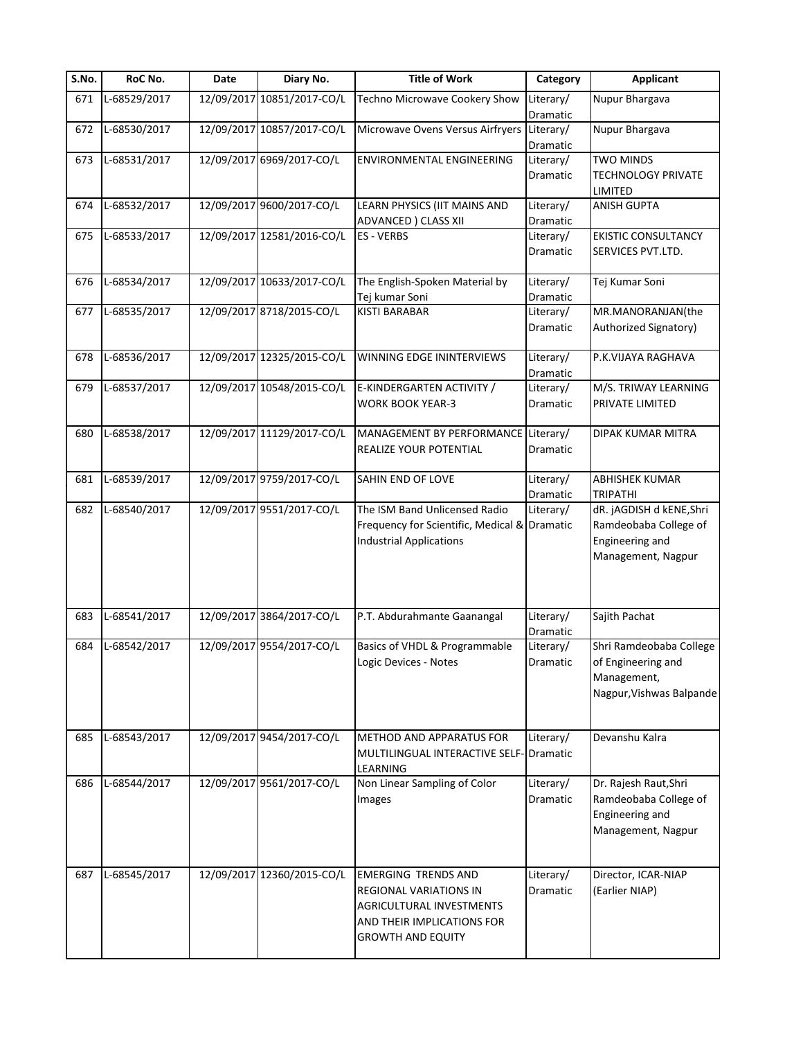| S.No. | RoC No.      | Date       | Diary No.                  | <b>Title of Work</b>                           | Category  | <b>Applicant</b>           |
|-------|--------------|------------|----------------------------|------------------------------------------------|-----------|----------------------------|
| 671   | L-68529/2017 | 12/09/2017 | 10851/2017-CO/L            | Techno Microwave Cookery Show                  | Literary/ | Nupur Bhargava             |
|       |              |            |                            |                                                | Dramatic  |                            |
| 672   | L-68530/2017 |            | 12/09/2017 10857/2017-CO/L | Microwave Ovens Versus Airfryers               | Literary/ | Nupur Bhargava             |
|       |              |            |                            |                                                | Dramatic  |                            |
| 673   | L-68531/2017 |            | 12/09/2017 6969/2017-CO/L  | ENVIRONMENTAL ENGINEERING                      | Literary/ | <b>TWO MINDS</b>           |
|       |              |            |                            |                                                | Dramatic  | <b>TECHNOLOGY PRIVATE</b>  |
|       |              |            |                            |                                                |           | LIMITED                    |
| 674   | L-68532/2017 |            | 12/09/2017 9600/2017-CO/L  | LEARN PHYSICS (IIT MAINS AND                   | Literary/ | ANISH GUPTA                |
|       |              |            |                            | ADVANCED ) CLASS XII                           | Dramatic  |                            |
| 675   | L-68533/2017 |            | 12/09/2017 12581/2016-CO/L | <b>ES-VERBS</b>                                | Literary/ | <b>EKISTIC CONSULTANCY</b> |
|       |              |            |                            |                                                | Dramatic  | SERVICES PVT.LTD.          |
|       |              |            |                            |                                                |           |                            |
| 676   | L-68534/2017 |            | 12/09/2017 10633/2017-CO/L | The English-Spoken Material by                 | Literary/ | Tej Kumar Soni             |
|       |              |            |                            | Tej kumar Soni                                 | Dramatic  |                            |
| 677   | L-68535/2017 |            | 12/09/2017 8718/2015-CO/L  | <b>KISTI BARABAR</b>                           | Literary/ | MR.MANORANJAN(the          |
|       |              |            |                            |                                                | Dramatic  | Authorized Signatory)      |
|       |              |            |                            |                                                |           |                            |
| 678   | L-68536/2017 |            | 12/09/2017 12325/2015-CO/L | WINNING EDGE ININTERVIEWS                      | Literary/ | P.K.VIJAYA RAGHAVA         |
|       |              |            |                            |                                                | Dramatic  |                            |
| 679   | L-68537/2017 |            | 12/09/2017 10548/2015-CO/L | E-KINDERGARTEN ACTIVITY /                      | Literary/ | M/S. TRIWAY LEARNING       |
|       |              |            |                            | <b>WORK BOOK YEAR-3</b>                        | Dramatic  | PRIVATE LIMITED            |
|       |              |            |                            |                                                |           |                            |
| 680   | L-68538/2017 |            | 12/09/2017 11129/2017-CO/L | MANAGEMENT BY PERFORMANCE                      | Literary/ | DIPAK KUMAR MITRA          |
|       |              |            |                            | REALIZE YOUR POTENTIAL                         | Dramatic  |                            |
|       |              |            |                            |                                                |           |                            |
| 681   | L-68539/2017 |            | 12/09/2017 9759/2017-CO/L  | SAHIN END OF LOVE                              | Literary/ | <b>ABHISHEK KUMAR</b>      |
|       |              |            |                            |                                                | Dramatic  | <b>TRIPATHI</b>            |
| 682   | L-68540/2017 |            | 12/09/2017 9551/2017-CO/L  | The ISM Band Unlicensed Radio                  | Literary/ | dR. jAGDISH d kENE, Shri   |
|       |              |            |                            | Frequency for Scientific, Medical & Dramatic   |           | Ramdeobaba College of      |
|       |              |            |                            | <b>Industrial Applications</b>                 |           | Engineering and            |
|       |              |            |                            |                                                |           | Management, Nagpur         |
|       |              |            |                            |                                                |           |                            |
|       |              |            |                            |                                                |           |                            |
|       |              |            |                            |                                                |           |                            |
| 683   | L-68541/2017 |            | 12/09/2017 3864/2017-CO/L  | P.T. Abdurahmante Gaanangal                    | Literary/ | Sajith Pachat              |
|       |              |            |                            |                                                | Dramatic  |                            |
| 684   | L-68542/2017 |            | 12/09/2017 9554/2017-CO/L  | Basics of VHDL & Programmable                  | Literary/ | Shri Ramdeobaba College    |
|       |              |            |                            | Logic Devices - Notes                          | Dramatic  | of Engineering and         |
|       |              |            |                            |                                                |           | Management,                |
|       |              |            |                            |                                                |           |                            |
|       |              |            |                            |                                                |           | Nagpur, Vishwas Balpande   |
|       |              |            |                            |                                                |           |                            |
| 685   | L-68543/2017 |            | 12/09/2017 9454/2017-CO/L  | METHOD AND APPARATUS FOR                       | Literary/ | Devanshu Kalra             |
|       |              |            |                            | <b>MULTILINGUAL INTERACTIVE SELF-ODTAMATIC</b> |           |                            |
|       |              |            |                            |                                                |           |                            |
| 686   | L-68544/2017 |            | 12/09/2017 9561/2017-CO/L  | LEARNING<br>Non Linear Sampling of Color       | Literary/ | Dr. Rajesh Raut, Shri      |
|       |              |            |                            |                                                |           |                            |
|       |              |            |                            | Images                                         | Dramatic  | Ramdeobaba College of      |
|       |              |            |                            |                                                |           | Engineering and            |
|       |              |            |                            |                                                |           | Management, Nagpur         |
|       |              |            |                            |                                                |           |                            |
|       |              |            |                            |                                                |           |                            |
| 687   | L-68545/2017 |            | 12/09/2017 12360/2015-CO/L | <b>EMERGING TRENDS AND</b>                     | Literary/ | Director, ICAR-NIAP        |
|       |              |            |                            | REGIONAL VARIATIONS IN                         | Dramatic  | (Earlier NIAP)             |
|       |              |            |                            | AGRICULTURAL INVESTMENTS                       |           |                            |
|       |              |            |                            | AND THEIR IMPLICATIONS FOR                     |           |                            |
|       |              |            |                            | <b>GROWTH AND EQUITY</b>                       |           |                            |
|       |              |            |                            |                                                |           |                            |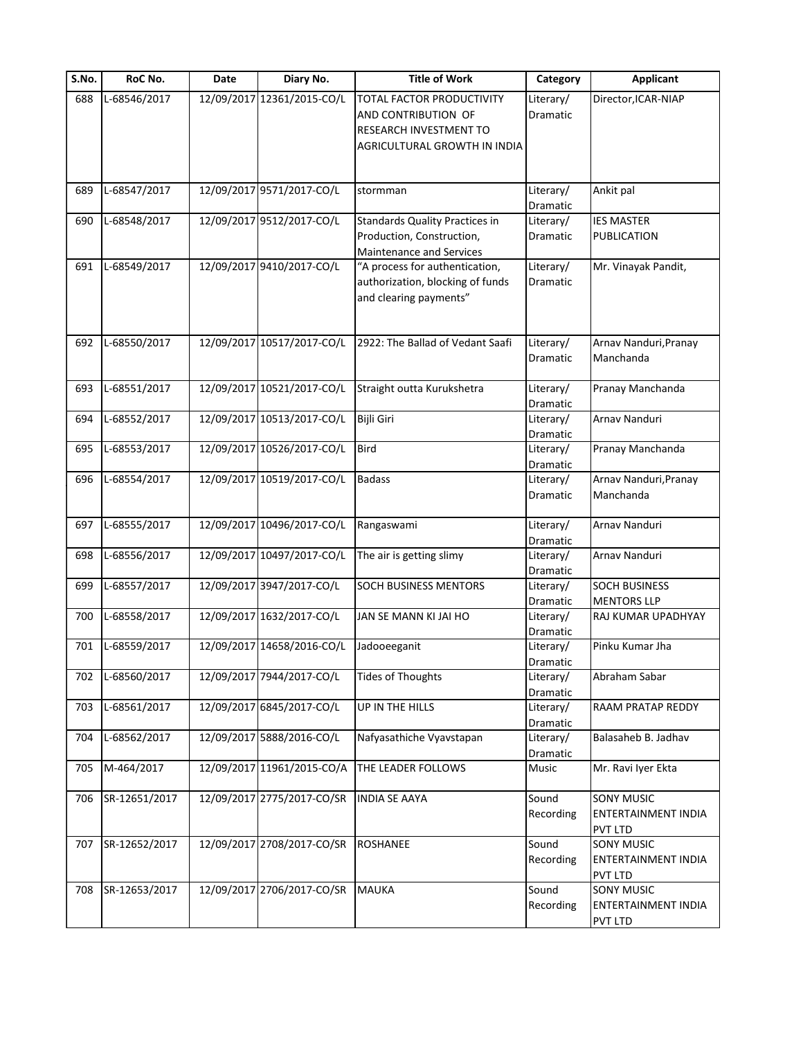| S.No. | RoC No.       | Date | Diary No.                  | <b>Title of Work</b>                                                                                              | Category                          | <b>Applicant</b>                                           |
|-------|---------------|------|----------------------------|-------------------------------------------------------------------------------------------------------------------|-----------------------------------|------------------------------------------------------------|
| 688   | L-68546/2017  |      | 12/09/2017 12361/2015-CO/L | TOTAL FACTOR PRODUCTIVITY<br>AND CONTRIBUTION OF<br><b>RESEARCH INVESTMENT TO</b><br>AGRICULTURAL GROWTH IN INDIA | Literary/<br>Dramatic             | Director, ICAR-NIAP                                        |
|       |               |      |                            |                                                                                                                   |                                   |                                                            |
| 689   | L-68547/2017  |      | 12/09/2017 9571/2017-CO/L  | stormman                                                                                                          | Literary/<br>Dramatic             | Ankit pal                                                  |
| 690   | L-68548/2017  |      | 12/09/2017 9512/2017-CO/L  | <b>Standards Quality Practices in</b><br>Production, Construction,<br><b>Maintenance and Services</b>             | Literary/<br>Dramatic             | <b>IES MASTER</b><br>PUBLICATION                           |
| 691   | L-68549/2017  |      | 12/09/2017 9410/2017-CO/L  | "A process for authentication,<br>authorization, blocking of funds<br>and clearing payments"                      | Literary/<br>Dramatic             | Mr. Vinayak Pandit,                                        |
| 692   | L-68550/2017  |      | 12/09/2017 10517/2017-CO/L | 2922: The Ballad of Vedant Saafi                                                                                  | Literary/<br>Dramatic             | Arnav Nanduri, Pranay<br>Manchanda                         |
| 693   | L-68551/2017  |      | 12/09/2017 10521/2017-CO/L | Straight outta Kurukshetra                                                                                        | Literary/<br>Dramatic             | Pranay Manchanda                                           |
| 694   | L-68552/2017  |      | 12/09/2017 10513/2017-CO/L | <b>Bijli Giri</b>                                                                                                 | Literary/<br>Dramatic             | Arnav Nanduri                                              |
| 695   | L-68553/2017  |      | 12/09/2017 10526/2017-CO/L | <b>Bird</b>                                                                                                       | Literary/<br>Dramatic             | Pranay Manchanda                                           |
| 696   | L-68554/2017  |      | 12/09/2017 10519/2017-CO/L | <b>Badass</b>                                                                                                     | Literary/<br>Dramatic             | Arnav Nanduri, Pranay<br>Manchanda                         |
| 697   | L-68555/2017  |      | 12/09/2017 10496/2017-CO/L | Rangaswami                                                                                                        | Literary/                         | Arnav Nanduri                                              |
| 698   | L-68556/2017  |      | 12/09/2017 10497/2017-CO/L | The air is getting slimy                                                                                          | Dramatic<br>Literary/<br>Dramatic | Arnav Nanduri                                              |
| 699   | L-68557/2017  |      | 12/09/2017 3947/2017-CO/L  | <b>SOCH BUSINESS MENTORS</b>                                                                                      | Literary/<br>Dramatic             | <b>SOCH BUSINESS</b><br><b>MENTORS LLP</b>                 |
| 700   | L-68558/2017  |      | 12/09/2017 1632/2017-CO/L  | JAN SE MANN KI JAI HO                                                                                             | Literary/<br>Dramatic             | RAJ KUMAR UPADHYAY                                         |
| 701   | L-68559/2017  |      | 12/09/2017 14658/2016-CO/L | Jadooeeganit                                                                                                      | Literary/<br>Dramatic             | Pinku Kumar Jha                                            |
| 702   | L-68560/2017  |      | 12/09/2017 7944/2017-CO/L  | <b>Tides of Thoughts</b>                                                                                          | Literary/<br>Dramatic             | Abraham Sabar                                              |
| 703   | L-68561/2017  |      | 12/09/2017 6845/2017-CO/L  | UP IN THE HILLS                                                                                                   | Literary/<br>Dramatic             | RAAM PRATAP REDDY                                          |
| 704   | L-68562/2017  |      | 12/09/2017 5888/2016-CO/L  | Nafyasathiche Vyavstapan                                                                                          | Literary/<br>Dramatic             | Balasaheb B. Jadhav                                        |
| 705   | M-464/2017    |      | 12/09/2017 11961/2015-CO/A | THE LEADER FOLLOWS                                                                                                | Music                             | Mr. Ravi Iyer Ekta                                         |
| 706   | SR-12651/2017 |      | 12/09/2017 2775/2017-CO/SR | <b>INDIA SE AAYA</b>                                                                                              | Sound<br>Recording                | <b>SONY MUSIC</b><br>ENTERTAINMENT INDIA<br><b>PVT LTD</b> |
| 707   | SR-12652/2017 |      | 12/09/2017 2708/2017-CO/SR | <b>ROSHANEE</b>                                                                                                   | Sound<br>Recording                | <b>SONY MUSIC</b><br>ENTERTAINMENT INDIA<br>PVT LTD        |
| 708   | SR-12653/2017 |      | 12/09/2017 2706/2017-CO/SR | <b>MAUKA</b>                                                                                                      | Sound<br>Recording                | SONY MUSIC<br>ENTERTAINMENT INDIA<br>PVT LTD               |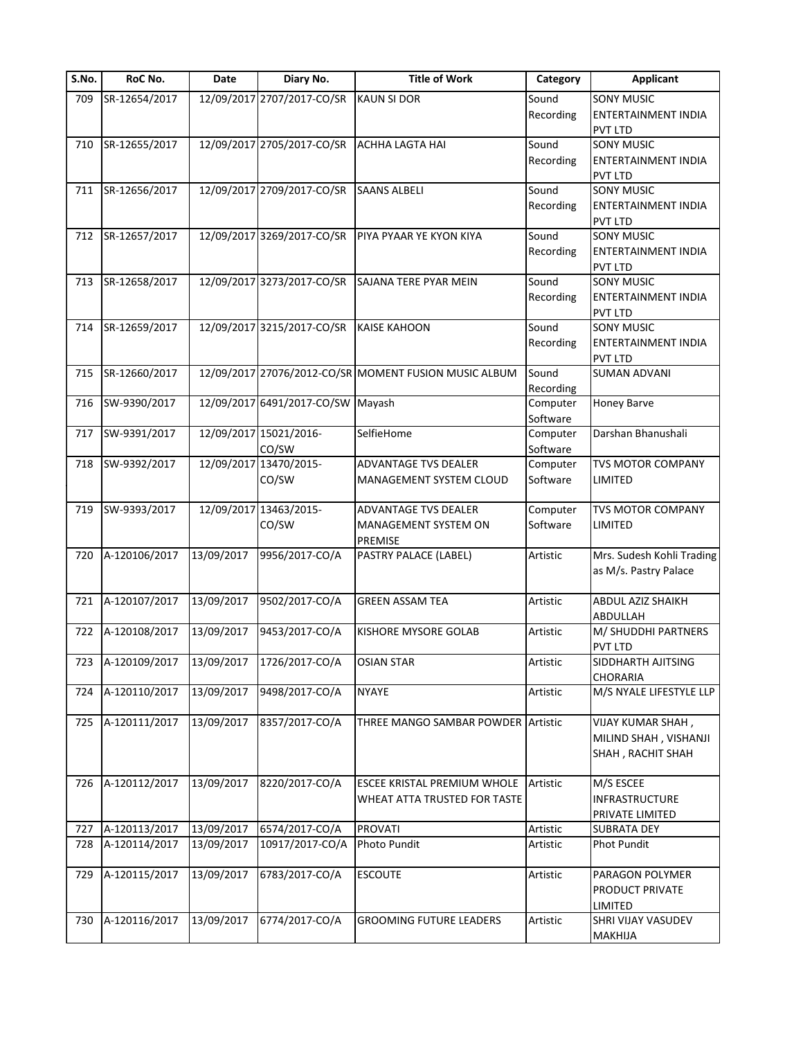| S.No. | RoC No.           | Date       | Diary No.                       | <b>Title of Work</b>                                           | Category             | <b>Applicant</b>                                                  |
|-------|-------------------|------------|---------------------------------|----------------------------------------------------------------|----------------------|-------------------------------------------------------------------|
| 709   | SR-12654/2017     |            | 12/09/2017 2707/2017-CO/SR      | <b>KAUN SI DOR</b>                                             | Sound<br>Recording   | <b>SONY MUSIC</b><br>ENTERTAINMENT INDIA<br><b>PVT LTD</b>        |
| 710   | SR-12655/2017     |            | 12/09/2017 2705/2017-CO/SR      | ACHHA LAGTA HAI                                                | Sound<br>Recording   | <b>SONY MUSIC</b><br><b>ENTERTAINMENT INDIA</b><br><b>PVT LTD</b> |
| 711   | SR-12656/2017     |            | 12/09/2017 2709/2017-CO/SR      | <b>SAANS ALBELI</b>                                            | Sound<br>Recording   | SONY MUSIC<br>ENTERTAINMENT INDIA<br><b>PVT LTD</b>               |
| 712   | SR-12657/2017     |            | 12/09/2017 3269/2017-CO/SR      | PIYA PYAAR YE KYON KIYA                                        | Sound<br>Recording   | <b>SONY MUSIC</b><br>ENTERTAINMENT INDIA<br><b>PVT LTD</b>        |
| 713   | SR-12658/2017     |            | 12/09/2017 3273/2017-CO/SR      | SAJANA TERE PYAR MEIN                                          | Sound<br>Recording   | <b>SONY MUSIC</b><br>ENTERTAINMENT INDIA<br>PVT LTD               |
| 714   | SR-12659/2017     |            | 12/09/2017 3215/2017-CO/SR      | <b>KAISE KAHOON</b>                                            | Sound<br>Recording   | <b>SONY MUSIC</b><br>ENTERTAINMENT INDIA<br><b>PVT LTD</b>        |
| 715   | SR-12660/2017     |            |                                 | 12/09/2017 27076/2012-CO/SR MOMENT FUSION MUSIC ALBUM          | Sound<br>Recording   | <b>SUMAN ADVANI</b>                                               |
| 716   | SW-9390/2017      |            | 12/09/2017 6491/2017-CO/SW      | Mayash                                                         | Computer<br>Software | Honey Barve                                                       |
| 717   | SW-9391/2017      |            | 12/09/2017 15021/2016-<br>CO/SW | SelfieHome                                                     | Computer<br>Software | Darshan Bhanushali                                                |
| 718   | SW-9392/2017      |            | 12/09/2017 13470/2015-<br>CO/SW | <b>ADVANTAGE TVS DEALER</b><br>MANAGEMENT SYSTEM CLOUD         | Computer<br>Software | TVS MOTOR COMPANY<br>LIMITED                                      |
| 719   | SW-9393/2017      |            | 12/09/2017 13463/2015-<br>CO/SW | <b>ADVANTAGE TVS DEALER</b><br>MANAGEMENT SYSTEM ON<br>PREMISE | Computer<br>Software | <b>TVS MOTOR COMPANY</b><br>LIMITED                               |
| 720   | A-120106/2017     | 13/09/2017 | 9956/2017-CO/A                  | PASTRY PALACE (LABEL)                                          | Artistic             | Mrs. Sudesh Kohli Trading<br>as M/s. Pastry Palace                |
| 721   | A-120107/2017     | 13/09/2017 | 9502/2017-CO/A                  | <b>GREEN ASSAM TEA</b>                                         | Artistic             | ABDUL AZIZ SHAIKH<br>ABDULLAH                                     |
| 722   | A-120108/2017     | 13/09/2017 | 9453/2017-CO/A                  | KISHORE MYSORE GOLAB                                           | Artistic             | M/ SHUDDHI PARTNERS<br><b>PVT LTD</b>                             |
|       | 723 A-120109/2017 | 13/09/2017 | 1726/2017-CO/A                  | <b>OSIAN STAR</b>                                              | Artistic             | SIDDHARTH AJITSING<br><b>CHORARIA</b>                             |
| 724   | A-120110/2017     | 13/09/2017 | 9498/2017-CO/A                  | <b>NYAYE</b>                                                   | Artistic             | M/S NYALE LIFESTYLE LLP                                           |
| 725   | A-120111/2017     | 13/09/2017 | 8357/2017-CO/A                  | THREE MANGO SAMBAR POWDER Artistic                             |                      | VIJAY KUMAR SHAH,<br>MILIND SHAH, VISHANJI<br>SHAH, RACHIT SHAH   |
| 726   | A-120112/2017     | 13/09/2017 | 8220/2017-CO/A                  | ESCEE KRISTAL PREMIUM WHOLE<br>WHEAT ATTA TRUSTED FOR TASTE    | Artistic             | M/S ESCEE<br><b>INFRASTRUCTURE</b><br>PRIVATE LIMITED             |
| 727   | A-120113/2017     | 13/09/2017 | 6574/2017-CO/A                  | <b>PROVATI</b>                                                 | Artistic             | <b>SUBRATA DEY</b>                                                |
| 728   | A-120114/2017     | 13/09/2017 | 10917/2017-CO/A                 | Photo Pundit                                                   | Artistic             | <b>Phot Pundit</b>                                                |
| 729   | A-120115/2017     | 13/09/2017 | 6783/2017-CO/A                  | <b>ESCOUTE</b>                                                 | Artistic             | PARAGON POLYMER<br>PRODUCT PRIVATE<br>LIMITED                     |
| 730   | A-120116/2017     | 13/09/2017 | 6774/2017-CO/A                  | <b>GROOMING FUTURE LEADERS</b>                                 | Artistic             | SHRI VIJAY VASUDEV<br>MAKHIJA                                     |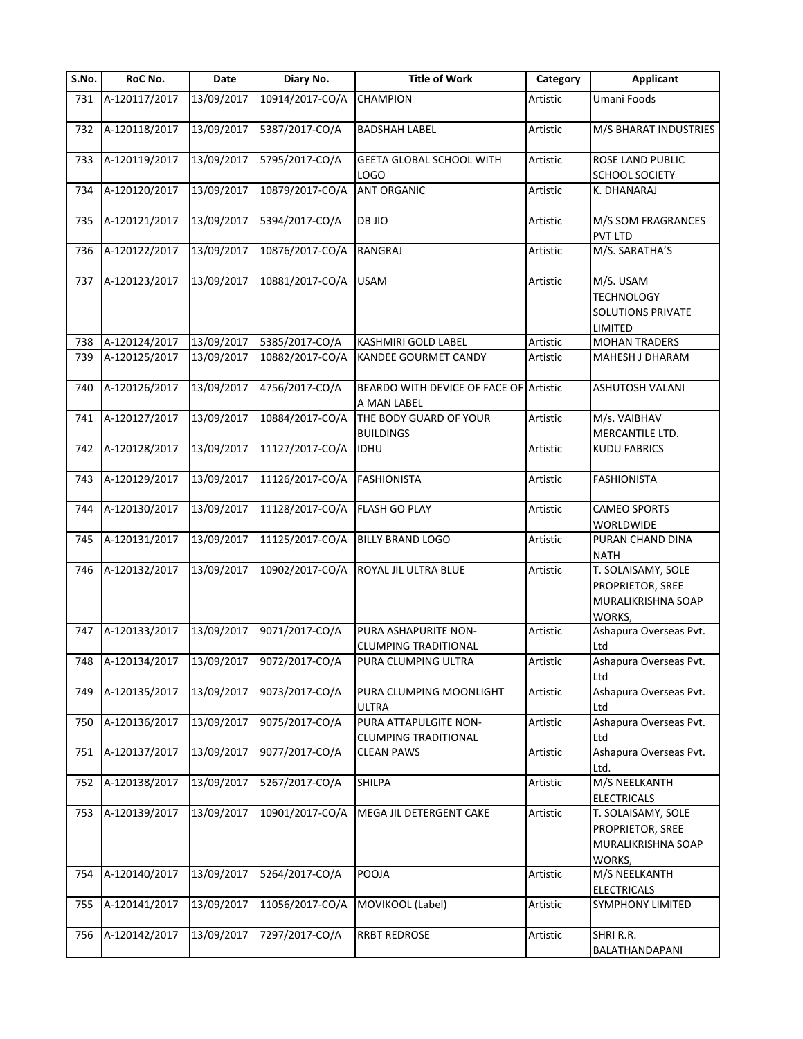| S.No. | RoC No.           | Date       | Diary No.       | <b>Title of Work</b>                                  | Category | <b>Applicant</b>                                                       |
|-------|-------------------|------------|-----------------|-------------------------------------------------------|----------|------------------------------------------------------------------------|
| 731   | A-120117/2017     | 13/09/2017 | 10914/2017-CO/A | CHAMPION                                              | Artistic | Umani Foods                                                            |
| 732   | A-120118/2017     | 13/09/2017 | 5387/2017-CO/A  | <b>BADSHAH LABEL</b>                                  | Artistic | M/S BHARAT INDUSTRIES                                                  |
| 733   | A-120119/2017     | 13/09/2017 | 5795/2017-CO/A  | GEETA GLOBAL SCHOOL WITH                              | Artistic | ROSE LAND PUBLIC                                                       |
|       |                   |            |                 | LOGO                                                  |          | SCHOOL SOCIETY                                                         |
| 734   | A-120120/2017     | 13/09/2017 | 10879/2017-CO/A | <b>ANT ORGANIC</b>                                    | Artistic | K. DHANARAJ                                                            |
| 735   | A-120121/2017     | 13/09/2017 | 5394/2017-CO/A  | DB JIO                                                | Artistic | M/S SOM FRAGRANCES<br>PVT LTD                                          |
| 736   | A-120122/2017     | 13/09/2017 | 10876/2017-CO/A | RANGRAJ                                               | Artistic | M/S. SARATHA'S                                                         |
| 737   | A-120123/2017     | 13/09/2017 | 10881/2017-CO/A | <b>USAM</b>                                           | Artistic | M/S. USAM<br><b>TECHNOLOGY</b><br>SOLUTIONS PRIVATE<br>LIMITED         |
| 738   | A-120124/2017     | 13/09/2017 | 5385/2017-CO/A  | KASHMIRI GOLD LABEL                                   | Artistic | <b>MOHAN TRADERS</b>                                                   |
| 739   | A-120125/2017     | 13/09/2017 | 10882/2017-CO/A | KANDEE GOURMET CANDY                                  | Artistic | MAHESH J DHARAM                                                        |
| 740   | A-120126/2017     | 13/09/2017 | 4756/2017-CO/A  | BEARDO WITH DEVICE OF FACE OF Artistic<br>A MAN LABEL |          | ASHUTOSH VALANI                                                        |
| 741   | A-120127/2017     | 13/09/2017 | 10884/2017-CO/A | THE BODY GUARD OF YOUR<br><b>BUILDINGS</b>            | Artistic | M/s. VAIBHAV<br>MERCANTILE LTD.                                        |
| 742   | A-120128/2017     | 13/09/2017 | 11127/2017-CO/A | <b>IDHU</b>                                           | Artistic | <b>KUDU FABRICS</b>                                                    |
| 743   | A-120129/2017     | 13/09/2017 | 11126/2017-CO/A | <b>FASHIONISTA</b>                                    | Artistic | <b>FASHIONISTA</b>                                                     |
| 744   | A-120130/2017     | 13/09/2017 | 11128/2017-CO/A | FLASH GO PLAY                                         | Artistic | <b>CAMEO SPORTS</b><br>WORLDWIDE                                       |
| 745   | A-120131/2017     | 13/09/2017 | 11125/2017-CO/A | <b>BILLY BRAND LOGO</b>                               | Artistic | PURAN CHAND DINA<br>NATH                                               |
| 746   | A-120132/2017     | 13/09/2017 | 10902/2017-CO/A | ROYAL JIL ULTRA BLUE                                  | Artistic | T. SOLAISAMY, SOLE<br>PROPRIETOR, SREE<br>MURALIKRISHNA SOAP<br>WORKS, |
| 747   | A-120133/2017     | 13/09/2017 | 9071/2017-CO/A  | PURA ASHAPURITE NON-<br><b>CLUMPING TRADITIONAL</b>   | Artistic | Ashapura Overseas Pvt.<br>Ltd                                          |
|       | 748 A-120134/2017 | 13/09/2017 | 9072/2017-CO/A  | PURA CLUMPING ULTRA                                   | Artistic | Ashapura Overseas Pvt.<br>Ltd                                          |
| 749   | A-120135/2017     | 13/09/2017 | 9073/2017-CO/A  | PURA CLUMPING MOONLIGHT<br>ULTRA                      | Artistic | Ashapura Overseas Pvt.<br>Ltd                                          |
| 750   | A-120136/2017     | 13/09/2017 | 9075/2017-CO/A  | PURA ATTAPULGITE NON-<br><b>CLUMPING TRADITIONAL</b>  | Artistic | Ashapura Overseas Pvt.<br>Ltd                                          |
| 751   | A-120137/2017     | 13/09/2017 | 9077/2017-CO/A  | <b>CLEAN PAWS</b>                                     | Artistic | Ashapura Overseas Pvt.<br>Ltd.                                         |
| 752   | A-120138/2017     | 13/09/2017 | 5267/2017-CO/A  | SHILPA                                                | Artistic | M/S NEELKANTH<br><b>ELECTRICALS</b>                                    |
| 753   | A-120139/2017     | 13/09/2017 | 10901/2017-CO/A | MEGA JIL DETERGENT CAKE                               | Artistic | T. SOLAISAMY, SOLE<br>PROPRIETOR, SREE<br>MURALIKRISHNA SOAP<br>WORKS, |
| 754   | A-120140/2017     | 13/09/2017 | 5264/2017-CO/A  | POOJA                                                 | Artistic | M/S NEELKANTH<br>ELECTRICALS                                           |
| 755   | A-120141/2017     | 13/09/2017 | 11056/2017-CO/A | MOVIKOOL (Label)                                      | Artistic | SYMPHONY LIMITED                                                       |
| 756   | A-120142/2017     | 13/09/2017 | 7297/2017-CO/A  | <b>RRBT REDROSE</b>                                   | Artistic | SHRI R.R.<br>BALATHANDAPANI                                            |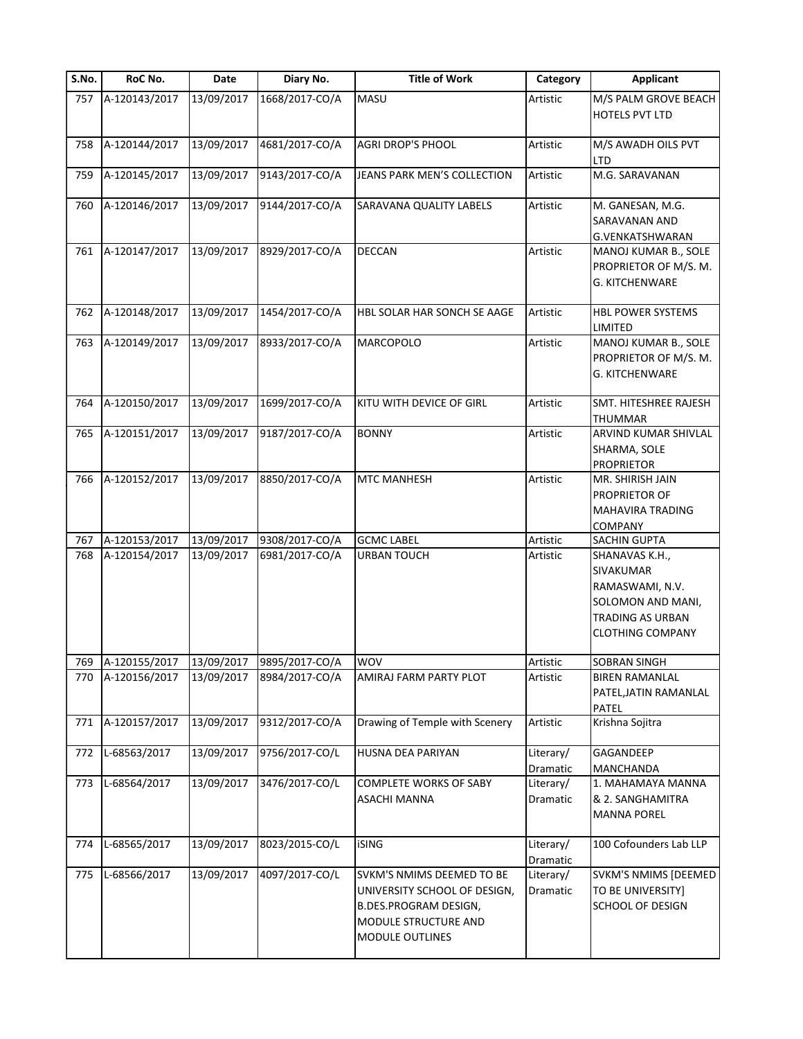| S.No. | RoC No.           | Date       | Diary No.      | <b>Title of Work</b>                                                                                                                        | Category              | <b>Applicant</b>                                                                                                   |
|-------|-------------------|------------|----------------|---------------------------------------------------------------------------------------------------------------------------------------------|-----------------------|--------------------------------------------------------------------------------------------------------------------|
| 757   | A-120143/2017     | 13/09/2017 | 1668/2017-CO/A | MASU                                                                                                                                        | Artistic              | M/S PALM GROVE BEACH<br><b>HOTELS PVT LTD</b>                                                                      |
| 758   | A-120144/2017     | 13/09/2017 | 4681/2017-CO/A | <b>AGRI DROP'S PHOOL</b>                                                                                                                    | Artistic              | M/S AWADH OILS PVT<br>LTD                                                                                          |
| 759   | A-120145/2017     | 13/09/2017 | 9143/2017-CO/A | JEANS PARK MEN'S COLLECTION                                                                                                                 | Artistic              | M.G. SARAVANAN                                                                                                     |
| 760   | A-120146/2017     | 13/09/2017 | 9144/2017-CO/A | SARAVANA QUALITY LABELS                                                                                                                     | Artistic              | M. GANESAN, M.G.<br>SARAVANAN AND<br>G.VENKATSHWARAN                                                               |
| 761   | A-120147/2017     | 13/09/2017 | 8929/2017-CO/A | <b>DECCAN</b>                                                                                                                               | Artistic              | MANOJ KUMAR B., SOLE<br>PROPRIETOR OF M/S. M.<br><b>G. KITCHENWARE</b>                                             |
| 762   | A-120148/2017     | 13/09/2017 | 1454/2017-CO/A | HBL SOLAR HAR SONCH SE AAGE                                                                                                                 | Artistic              | <b>HBL POWER SYSTEMS</b><br>LIMITED                                                                                |
| 763   | A-120149/2017     | 13/09/2017 | 8933/2017-CO/A | <b>MARCOPOLO</b>                                                                                                                            | Artistic              | MANOJ KUMAR B., SOLE<br>PROPRIETOR OF M/S. M.<br><b>G. KITCHENWARE</b>                                             |
| 764   | A-120150/2017     | 13/09/2017 | 1699/2017-CO/A | KITU WITH DEVICE OF GIRL                                                                                                                    | Artistic              | SMT. HITESHREE RAJESH<br>THUMMAR                                                                                   |
| 765   | A-120151/2017     | 13/09/2017 | 9187/2017-CO/A | <b>BONNY</b>                                                                                                                                | Artistic              | ARVIND KUMAR SHIVLAL<br>SHARMA, SOLE<br><b>PROPRIETOR</b>                                                          |
| 766   | A-120152/2017     | 13/09/2017 | 8850/2017-CO/A | <b>MTC MANHESH</b>                                                                                                                          | Artistic              | MR. SHIRISH JAIN<br>PROPRIETOR OF<br>MAHAVIRA TRADING<br>COMPANY                                                   |
| 767   | A-120153/2017     | 13/09/2017 | 9308/2017-CO/A | <b>GCMC LABEL</b>                                                                                                                           | Artistic              | SACHIN GUPTA                                                                                                       |
| 768   | A-120154/2017     | 13/09/2017 | 6981/2017-CO/A | <b>URBAN TOUCH</b>                                                                                                                          | Artistic              | SHANAVAS K.H.,<br>SIVAKUMAR<br>RAMASWAMI, N.V.<br>SOLOMON AND MANI,<br>TRADING AS URBAN<br><b>CLOTHING COMPANY</b> |
|       | 769 A-120155/2017 | 13/09/2017 | 9895/2017-CO/A | <b>WOV</b>                                                                                                                                  | Artistic              | <b>SOBRAN SINGH</b>                                                                                                |
| 770   | A-120156/2017     | 13/09/2017 | 8984/2017-CO/A | AMIRAJ FARM PARTY PLOT                                                                                                                      | Artistic              | <b>BIREN RAMANLAL</b><br>PATEL, JATIN RAMANLAL<br>PATEL                                                            |
| 771   | A-120157/2017     | 13/09/2017 | 9312/2017-CO/A | Drawing of Temple with Scenery                                                                                                              | Artistic              | Krishna Sojitra                                                                                                    |
| 772   | L-68563/2017      | 13/09/2017 | 9756/2017-CO/L | <b>HUSNA DEA PARIYAN</b>                                                                                                                    | Literary/<br>Dramatic | GAGANDEEP<br>MANCHANDA                                                                                             |
| 773   | L-68564/2017      | 13/09/2017 | 3476/2017-CO/L | COMPLETE WORKS OF SABY<br><b>ASACHI MANNA</b>                                                                                               | Literary/<br>Dramatic | 1. MAHAMAYA MANNA<br>& 2. SANGHAMITRA<br><b>MANNA POREL</b>                                                        |
| 774   | L-68565/2017      | 13/09/2017 | 8023/2015-CO/L | <b>iSING</b>                                                                                                                                | Literary/<br>Dramatic | 100 Cofounders Lab LLP                                                                                             |
| 775   | L-68566/2017      | 13/09/2017 | 4097/2017-CO/L | SVKM'S NMIMS DEEMED TO BE<br>UNIVERSITY SCHOOL OF DESIGN,<br><b>B.DES.PROGRAM DESIGN,</b><br>MODULE STRUCTURE AND<br><b>MODULE OUTLINES</b> | Literary/<br>Dramatic | SVKM'S NMIMS [DEEMED<br>TO BE UNIVERSITY]<br>SCHOOL OF DESIGN                                                      |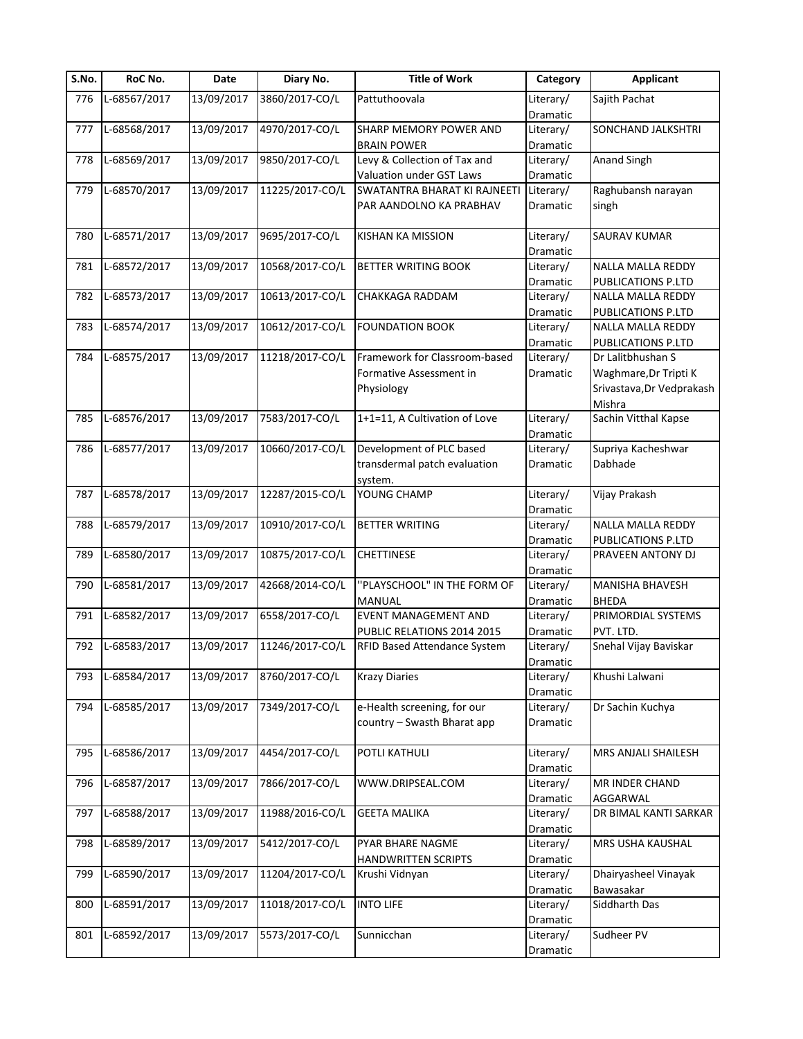| S.No. | RoC No.      | Date       | Diary No.       | <b>Title of Work</b>                | Category  | <b>Applicant</b>          |
|-------|--------------|------------|-----------------|-------------------------------------|-----------|---------------------------|
| 776   | L-68567/2017 | 13/09/2017 | 3860/2017-CO/L  | Pattuthoovala                       | Literary/ | Sajith Pachat             |
|       |              |            |                 |                                     | Dramatic  |                           |
| 777   | L-68568/2017 | 13/09/2017 | 4970/2017-CO/L  | SHARP MEMORY POWER AND              | Literary/ | SONCHAND JALKSHTRI        |
|       |              |            |                 | <b>BRAIN POWER</b>                  | Dramatic  |                           |
| 778   | L-68569/2017 | 13/09/2017 | 9850/2017-CO/L  | Levy & Collection of Tax and        | Literary/ | <b>Anand Singh</b>        |
|       |              |            |                 | Valuation under GST Laws            | Dramatic  |                           |
| 779   | L-68570/2017 | 13/09/2017 | 11225/2017-CO/L | SWATANTRA BHARAT KI RAJNEETI        | Literary/ | Raghubansh narayan        |
|       |              |            |                 | PAR AANDOLNO KA PRABHAV             | Dramatic  | singh                     |
|       |              |            |                 |                                     |           |                           |
| 780   | L-68571/2017 | 13/09/2017 | 9695/2017-CO/L  | <b>KISHAN KA MISSION</b>            | Literary/ | SAURAV KUMAR              |
|       |              |            |                 |                                     | Dramatic  |                           |
| 781   | L-68572/2017 | 13/09/2017 | 10568/2017-CO/L | <b>BETTER WRITING BOOK</b>          | Literary/ | NALLA MALLA REDDY         |
|       |              |            |                 |                                     | Dramatic  | PUBLICATIONS P.LTD        |
| 782   | L-68573/2017 | 13/09/2017 | 10613/2017-CO/L | CHAKKAGA RADDAM                     | Literary/ | NALLA MALLA REDDY         |
|       |              |            |                 |                                     | Dramatic  | PUBLICATIONS P.LTD        |
| 783   | L-68574/2017 | 13/09/2017 | 10612/2017-CO/L | <b>FOUNDATION BOOK</b>              | Literary/ | NALLA MALLA REDDY         |
|       |              |            |                 |                                     | Dramatic  | PUBLICATIONS P.LTD        |
| 784   | L-68575/2017 | 13/09/2017 | 11218/2017-CO/L | Framework for Classroom-based       | Literary/ | Dr Lalitbhushan S         |
|       |              |            |                 | Formative Assessment in             | Dramatic  | Waghmare, Dr Tripti K     |
|       |              |            |                 | Physiology                          |           | Srivastava, Dr Vedprakash |
|       |              |            |                 |                                     |           | Mishra                    |
| 785   | L-68576/2017 | 13/09/2017 | 7583/2017-CO/L  | 1+1=11, A Cultivation of Love       | Literary/ | Sachin Vitthal Kapse      |
|       |              |            |                 |                                     | Dramatic  |                           |
| 786   | L-68577/2017 | 13/09/2017 | 10660/2017-CO/L | Development of PLC based            | Literary/ | Supriya Kacheshwar        |
|       |              |            |                 | transdermal patch evaluation        | Dramatic  | Dabhade                   |
|       |              |            |                 | system.                             |           |                           |
| 787   | L-68578/2017 | 13/09/2017 | 12287/2015-CO/L | YOUNG CHAMP                         | Literary/ | Vijay Prakash             |
|       |              |            |                 |                                     | Dramatic  |                           |
| 788   | L-68579/2017 | 13/09/2017 | 10910/2017-CO/L | <b>BETTER WRITING</b>               | Literary/ | NALLA MALLA REDDY         |
|       |              |            |                 |                                     | Dramatic  | <b>PUBLICATIONS P.LTD</b> |
| 789   | L-68580/2017 | 13/09/2017 | 10875/2017-CO/L | <b>CHETTINESE</b>                   | Literary/ | PRAVEEN ANTONY DJ         |
|       |              |            |                 |                                     | Dramatic  |                           |
| 790   | L-68581/2017 | 13/09/2017 | 42668/2014-CO/L | "PLAYSCHOOL" IN THE FORM OF         | Literary/ | <b>MANISHA BHAVESH</b>    |
|       |              |            |                 | MANUAL                              | Dramatic  | <b>BHEDA</b>              |
| 791   | L-68582/2017 | 13/09/2017 | 6558/2017-CO/L  | <b>EVENT MANAGEMENT AND</b>         | Literary/ | PRIMORDIAL SYSTEMS        |
|       |              |            |                 | PUBLIC RELATIONS 2014 2015          | Dramatic  | PVT. LTD.                 |
| 792   | L-68583/2017 | 13/09/2017 | 11246/2017-CO/L | <b>RFID Based Attendance System</b> | Literary/ | Snehal Vijay Baviskar     |
|       |              |            |                 |                                     | Dramatic  |                           |
| 793   | L-68584/2017 | 13/09/2017 | 8760/2017-CO/L  | <b>Krazy Diaries</b>                | Literary/ | Khushi Lalwani            |
|       |              |            |                 |                                     | Dramatic  |                           |
| 794   | L-68585/2017 | 13/09/2017 | 7349/2017-CO/L  | e-Health screening, for our         | Literary/ | Dr Sachin Kuchya          |
|       |              |            |                 | country - Swasth Bharat app         | Dramatic  |                           |
|       |              |            |                 |                                     |           |                           |
| 795   | L-68586/2017 | 13/09/2017 | 4454/2017-CO/L  | POTLI KATHULI                       | Literary/ | MRS ANJALI SHAILESH       |
|       |              |            |                 |                                     | Dramatic  |                           |
| 796   | L-68587/2017 | 13/09/2017 | 7866/2017-CO/L  | WWW.DRIPSEAL.COM                    | Literary/ | MR INDER CHAND            |
|       |              |            |                 |                                     | Dramatic  | AGGARWAL                  |
| 797   | L-68588/2017 | 13/09/2017 | 11988/2016-CO/L | <b>GEETA MALIKA</b>                 | Literary/ | DR BIMAL KANTI SARKAR     |
|       |              |            |                 |                                     | Dramatic  |                           |
| 798   | L-68589/2017 | 13/09/2017 | 5412/2017-CO/L  | PYAR BHARE NAGME                    | Literary/ | MRS USHA KAUSHAL          |
|       |              |            |                 |                                     |           |                           |
|       |              |            |                 | HANDWRITTEN SCRIPTS                 | Dramatic  |                           |
| 799   | L-68590/2017 | 13/09/2017 | 11204/2017-CO/L | Krushi Vidnyan                      | Literary/ | Dhairyasheel Vinayak      |
|       |              |            |                 |                                     | Dramatic  | Bawasakar                 |
| 800   | L-68591/2017 | 13/09/2017 | 11018/2017-CO/L | <b>INTO LIFE</b>                    | Literary/ | Siddharth Das             |
|       |              |            |                 |                                     | Dramatic  |                           |
| 801   | L-68592/2017 | 13/09/2017 | 5573/2017-CO/L  | Sunnicchan                          | Literary/ | Sudheer PV                |
|       |              |            |                 |                                     | Dramatic  |                           |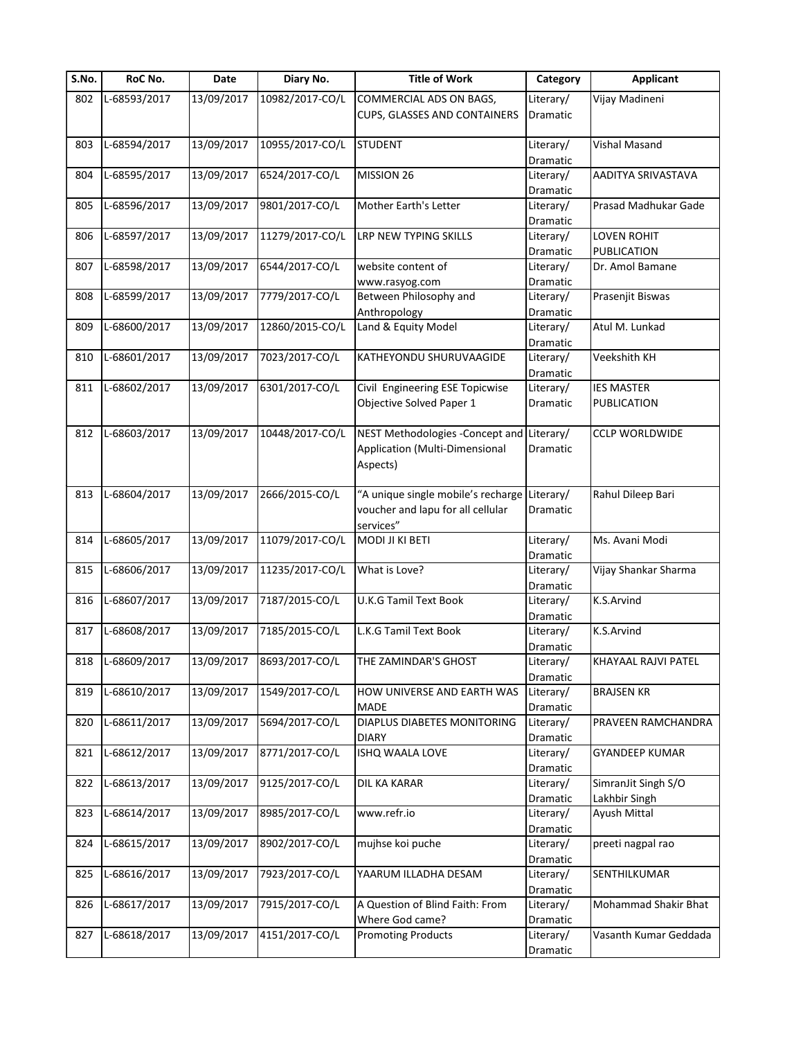| S.No. | RoC No.      | Date       | Diary No.       | <b>Title of Work</b>                         | Category  | <b>Applicant</b>      |
|-------|--------------|------------|-----------------|----------------------------------------------|-----------|-----------------------|
| 802   | L-68593/2017 | 13/09/2017 | 10982/2017-CO/L | COMMERCIAL ADS ON BAGS,                      | Literary/ | Vijay Madineni        |
|       |              |            |                 | CUPS, GLASSES AND CONTAINERS                 | Dramatic  |                       |
|       |              |            |                 |                                              |           |                       |
| 803   | L-68594/2017 | 13/09/2017 | 10955/2017-CO/L | <b>STUDENT</b>                               | Literary/ | Vishal Masand         |
|       |              |            |                 |                                              | Dramatic  |                       |
| 804   | L-68595/2017 | 13/09/2017 | 6524/2017-CO/L  | MISSION 26                                   | Literary/ | AADITYA SRIVASTAVA    |
|       |              |            |                 |                                              | Dramatic  |                       |
| 805   | L-68596/2017 | 13/09/2017 | 9801/2017-CO/L  | Mother Earth's Letter                        | Literary/ | Prasad Madhukar Gade  |
|       |              |            |                 |                                              | Dramatic  |                       |
| 806   | L-68597/2017 | 13/09/2017 | 11279/2017-CO/L | LRP NEW TYPING SKILLS                        | Literary/ | <b>LOVEN ROHIT</b>    |
|       |              |            |                 |                                              | Dramatic  | PUBLICATION           |
| 807   | L-68598/2017 | 13/09/2017 | 6544/2017-CO/L  | website content of                           | Literary/ | Dr. Amol Bamane       |
|       |              |            |                 | www.rasyog.com                               | Dramatic  |                       |
| 808   | L-68599/2017 | 13/09/2017 | 7779/2017-CO/L  | Between Philosophy and                       | Literary/ | Prasenjit Biswas      |
|       |              |            |                 | Anthropology                                 | Dramatic  |                       |
| 809   | L-68600/2017 | 13/09/2017 | 12860/2015-CO/L | Land & Equity Model                          | Literary/ | Atul M. Lunkad        |
|       |              |            |                 |                                              | Dramatic  |                       |
| 810   | L-68601/2017 | 13/09/2017 | 7023/2017-CO/L  | KATHEYONDU SHURUVAAGIDE                      | Literary/ | Veekshith KH          |
|       |              |            |                 |                                              | Dramatic  |                       |
| 811   | L-68602/2017 | 13/09/2017 | 6301/2017-CO/L  | Civil Engineering ESE Topicwise              | Literary/ | <b>IES MASTER</b>     |
|       |              |            |                 | Objective Solved Paper 1                     | Dramatic  | PUBLICATION           |
|       |              |            |                 |                                              |           |                       |
| 812   | L-68603/2017 | 13/09/2017 | 10448/2017-CO/L | NEST Methodologies - Concept and             | Literary/ | <b>CCLP WORLDWIDE</b> |
|       |              |            |                 | Application (Multi-Dimensional               | Dramatic  |                       |
|       |              |            |                 | Aspects)                                     |           |                       |
|       |              |            |                 |                                              |           |                       |
| 813   | L-68604/2017 | 13/09/2017 | 2666/2015-CO/L  | "A unique single mobile's recharge Literary/ |           | Rahul Dileep Bari     |
|       |              |            |                 | voucher and lapu for all cellular            | Dramatic  |                       |
|       |              |            |                 | services"                                    |           |                       |
| 814   | L-68605/2017 | 13/09/2017 | 11079/2017-CO/L | MODI JI KI BETI                              | Literary/ | Ms. Avani Modi        |
|       |              |            |                 |                                              | Dramatic  |                       |
| 815   | L-68606/2017 | 13/09/2017 | 11235/2017-CO/L | What is Love?                                | Literary/ | Vijay Shankar Sharma  |
|       |              |            |                 |                                              | Dramatic  |                       |
| 816   | L-68607/2017 | 13/09/2017 | 7187/2015-CO/L  | U.K.G Tamil Text Book                        | Literary/ | K.S.Arvind            |
|       |              |            |                 |                                              | Dramatic  |                       |
| 817   | L-68608/2017 | 13/09/2017 | 7185/2015-CO/L  | L.K.G Tamil Text Book                        | Literary/ | K.S.Arvind            |
|       |              |            |                 |                                              | Dramatic  |                       |
| 818   | L-68609/2017 | 13/09/2017 | 8693/2017-CO/L  | THE ZAMINDAR'S GHOST                         | Literary/ | KHAYAAL RAJVI PATEL   |
|       |              |            |                 |                                              | Dramatic  |                       |
| 819   | L-68610/2017 | 13/09/2017 | 1549/2017-CO/L  | HOW UNIVERSE AND EARTH WAS                   | Literary/ | <b>BRAJSEN KR</b>     |
|       |              |            |                 | MADE                                         | Dramatic  |                       |
| 820   | L-68611/2017 | 13/09/2017 | 5694/2017-CO/L  | DIAPLUS DIABETES MONITORING                  | Literary/ | PRAVEEN RAMCHANDRA    |
|       |              |            |                 | <b>DIARY</b>                                 | Dramatic  |                       |
| 821   | L-68612/2017 | 13/09/2017 | 8771/2017-CO/L  | ISHQ WAALA LOVE                              | Literary/ | <b>GYANDEEP KUMAR</b> |
|       |              |            |                 |                                              | Dramatic  |                       |
| 822   | L-68613/2017 | 13/09/2017 | 9125/2017-CO/L  | DIL KA KARAR                                 | Literary/ | SimranJit Singh S/O   |
|       |              |            |                 |                                              | Dramatic  | Lakhbir Singh         |
| 823   | L-68614/2017 | 13/09/2017 | 8985/2017-CO/L  | www.refr.io                                  | Literary/ | Ayush Mittal          |
|       |              |            |                 |                                              | Dramatic  |                       |
| 824   | L-68615/2017 | 13/09/2017 | 8902/2017-CO/L  | mujhse koi puche                             | Literary/ | preeti nagpal rao     |
|       |              |            |                 |                                              | Dramatic  |                       |
| 825   | L-68616/2017 | 13/09/2017 | 7923/2017-CO/L  | YAARUM ILLADHA DESAM                         | Literary/ | SENTHILKUMAR          |
|       |              |            |                 |                                              | Dramatic  |                       |
| 826   | L-68617/2017 | 13/09/2017 | 7915/2017-CO/L  | A Question of Blind Faith: From              | Literary/ | Mohammad Shakir Bhat  |
|       |              |            |                 | Where God came?                              | Dramatic  |                       |
| 827   | L-68618/2017 | 13/09/2017 | 4151/2017-CO/L  | <b>Promoting Products</b>                    | Literary/ | Vasanth Kumar Geddada |
|       |              |            |                 |                                              | Dramatic  |                       |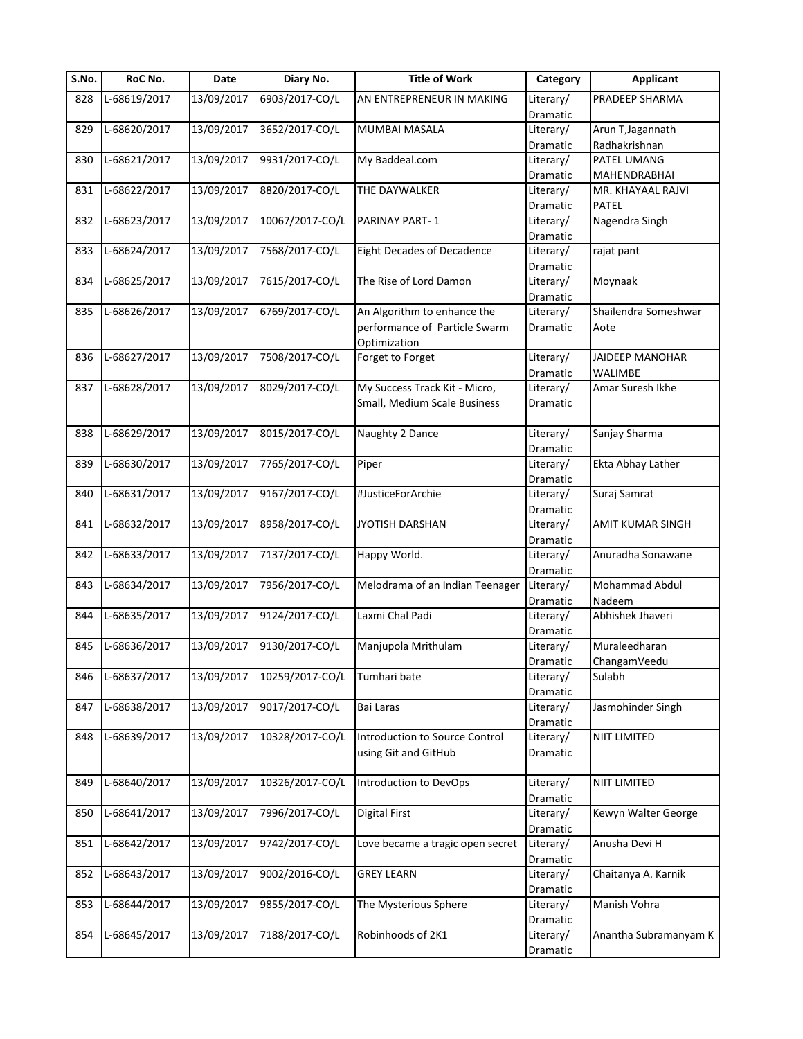| S.No. | RoC No.      | Date       | Diary No.       | <b>Title of Work</b>              | Category  | <b>Applicant</b>       |
|-------|--------------|------------|-----------------|-----------------------------------|-----------|------------------------|
| 828   | L-68619/2017 | 13/09/2017 | 6903/2017-CO/L  | AN ENTREPRENEUR IN MAKING         | Literary/ | PRADEEP SHARMA         |
|       |              |            |                 |                                   | Dramatic  |                        |
| 829   | L-68620/2017 | 13/09/2017 | 3652/2017-CO/L  | MUMBAI MASALA                     | Literary/ | Arun T, Jagannath      |
|       |              |            |                 |                                   | Dramatic  | Radhakrishnan          |
| 830   | L-68621/2017 | 13/09/2017 | 9931/2017-CO/L  | My Baddeal.com                    | Literary/ | PATEL UMANG            |
|       |              |            |                 |                                   | Dramatic  | MAHENDRABHAI           |
| 831   | L-68622/2017 | 13/09/2017 | 8820/2017-CO/L  | THE DAYWALKER                     | Literary/ | MR. KHAYAAL RAJVI      |
|       |              |            |                 |                                   | Dramatic  | PATEL                  |
| 832   | L-68623/2017 | 13/09/2017 | 10067/2017-CO/L | PARINAY PART-1                    | Literary/ | Nagendra Singh         |
|       |              |            |                 |                                   | Dramatic  |                        |
| 833   | L-68624/2017 | 13/09/2017 | 7568/2017-CO/L  | <b>Eight Decades of Decadence</b> | Literary/ | rajat pant             |
|       |              |            |                 |                                   | Dramatic  |                        |
| 834   | L-68625/2017 | 13/09/2017 | 7615/2017-CO/L  | The Rise of Lord Damon            | Literary/ | Moynaak                |
|       |              |            |                 |                                   | Dramatic  |                        |
| 835   | L-68626/2017 | 13/09/2017 | 6769/2017-CO/L  | An Algorithm to enhance the       | Literary/ | Shailendra Someshwar   |
|       |              |            |                 | performance of Particle Swarm     | Dramatic  | Aote                   |
|       |              |            |                 | Optimization                      |           |                        |
| 836   | L-68627/2017 | 13/09/2017 | 7508/2017-CO/L  | Forget to Forget                  | Literary/ | <b>JAIDEEP MANOHAR</b> |
|       |              |            |                 |                                   |           |                        |
|       |              |            |                 |                                   | Dramatic  | WALIMBE                |
| 837   | L-68628/2017 | 13/09/2017 | 8029/2017-CO/L  | My Success Track Kit - Micro,     | Literary/ | Amar Suresh Ikhe       |
|       |              |            |                 | Small, Medium Scale Business      | Dramatic  |                        |
|       |              |            |                 |                                   |           |                        |
| 838   | L-68629/2017 | 13/09/2017 | 8015/2017-CO/L  | Naughty 2 Dance                   | Literary/ | Sanjay Sharma          |
|       |              |            |                 |                                   | Dramatic  |                        |
| 839   | L-68630/2017 | 13/09/2017 | 7765/2017-CO/L  | Piper                             | Literary/ | Ekta Abhay Lather      |
|       |              |            |                 |                                   | Dramatic  |                        |
| 840   | L-68631/2017 | 13/09/2017 | 9167/2017-CO/L  | #JusticeForArchie                 | Literary/ | Suraj Samrat           |
|       |              |            |                 |                                   | Dramatic  |                        |
| 841   | L-68632/2017 | 13/09/2017 | 8958/2017-CO/L  | JYOTISH DARSHAN                   | Literary/ | AMIT KUMAR SINGH       |
|       |              |            |                 |                                   | Dramatic  |                        |
| 842   | L-68633/2017 | 13/09/2017 | 7137/2017-CO/L  | Happy World.                      | Literary/ | Anuradha Sonawane      |
|       |              |            |                 |                                   | Dramatic  |                        |
| 843   | L-68634/2017 | 13/09/2017 | 7956/2017-CO/L  | Melodrama of an Indian Teenager   | Literary/ | Mohammad Abdul         |
|       |              |            |                 |                                   | Dramatic  | Nadeem                 |
| 844   | L-68635/2017 | 13/09/2017 | 9124/2017-CO/L  | Laxmi Chal Padi                   | Literary/ | Abhishek Jhaveri       |
|       |              |            |                 |                                   | Dramatic  |                        |
| 845   | L-68636/2017 | 13/09/2017 | 9130/2017-CO/L  | Manjupola Mrithulam               | Literary/ | Muraleedharan          |
|       |              |            |                 |                                   | Dramatic  | ChangamVeedu           |
| 846   | L-68637/2017 | 13/09/2017 | 10259/2017-CO/L | Tumhari bate                      | Literary/ | Sulabh                 |
|       |              |            |                 |                                   | Dramatic  |                        |
| 847   | L-68638/2017 | 13/09/2017 | 9017/2017-CO/L  | Bai Laras                         | Literary/ | Jasmohinder Singh      |
|       |              |            |                 |                                   | Dramatic  |                        |
| 848   | L-68639/2017 | 13/09/2017 | 10328/2017-CO/L | Introduction to Source Control    | Literary/ | NIIT LIMITED           |
|       |              |            |                 | using Git and GitHub              | Dramatic  |                        |
|       |              |            |                 |                                   |           |                        |
| 849   | L-68640/2017 | 13/09/2017 | 10326/2017-CO/L | Introduction to DevOps            | Literary/ | NIIT LIMITED           |
|       |              |            |                 |                                   | Dramatic  |                        |
| 850   | L-68641/2017 | 13/09/2017 | 7996/2017-CO/L  | <b>Digital First</b>              | Literary/ | Kewyn Walter George    |
|       |              |            |                 |                                   |           |                        |
|       | L-68642/2017 | 13/09/2017 | 9742/2017-CO/L  |                                   | Dramatic  | Anusha Devi H          |
| 851   |              |            |                 | Love became a tragic open secret  | Literary/ |                        |
|       |              |            |                 |                                   | Dramatic  |                        |
| 852   | L-68643/2017 | 13/09/2017 | 9002/2016-CO/L  | <b>GREY LEARN</b>                 | Literary/ | Chaitanya A. Karnik    |
|       |              |            |                 |                                   | Dramatic  |                        |
| 853   | L-68644/2017 | 13/09/2017 | 9855/2017-CO/L  | The Mysterious Sphere             | Literary/ | Manish Vohra           |
|       |              |            |                 |                                   | Dramatic  |                        |
| 854   | L-68645/2017 | 13/09/2017 | 7188/2017-CO/L  | Robinhoods of 2K1                 | Literary/ | Anantha Subramanyam K  |
|       |              |            |                 |                                   | Dramatic  |                        |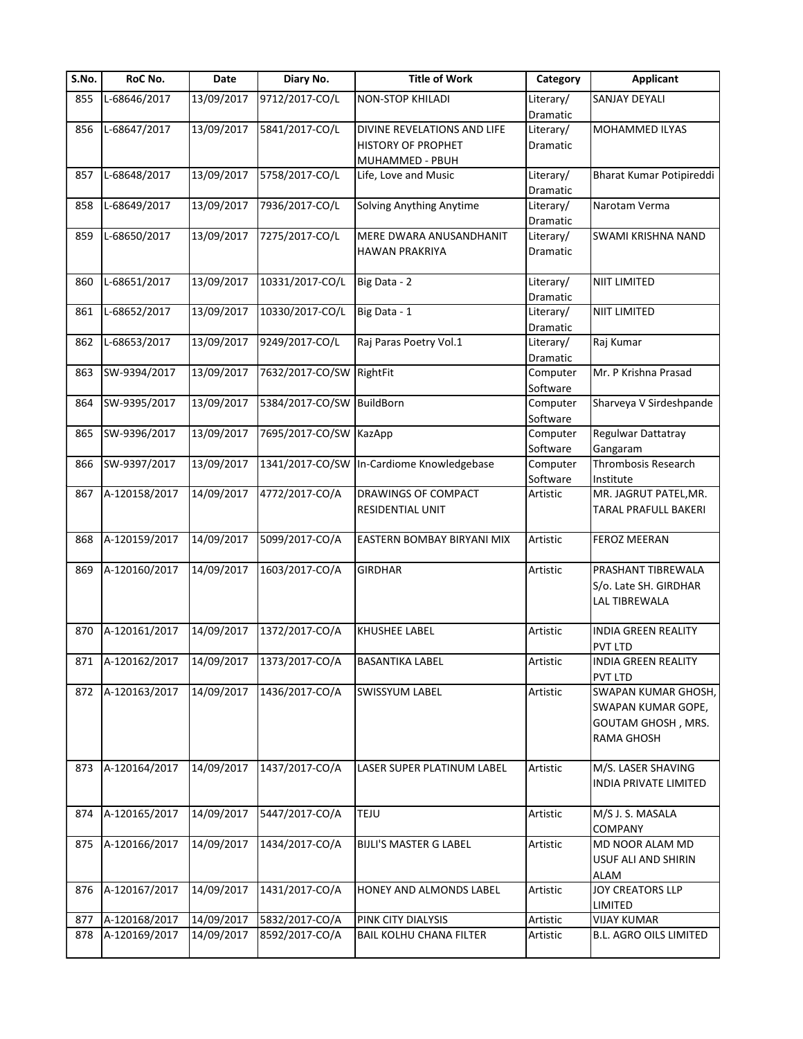| S.No. | RoC No.           | Date       | Diary No.       | <b>Title of Work</b>                      | Category  | <b>Applicant</b>            |
|-------|-------------------|------------|-----------------|-------------------------------------------|-----------|-----------------------------|
| 855   | L-68646/2017      | 13/09/2017 | 9712/2017-CO/L  | <b>NON-STOP KHILADI</b>                   | Literary/ | SANJAY DEYALI               |
|       |                   |            |                 |                                           | Dramatic  |                             |
| 856   | L-68647/2017      | 13/09/2017 | 5841/2017-CO/L  | DIVINE REVELATIONS AND LIFE               | Literary/ | MOHAMMED ILYAS              |
|       |                   |            |                 | <b>HISTORY OF PROPHET</b>                 | Dramatic  |                             |
|       |                   |            |                 | MUHAMMED - PBUH                           |           |                             |
| 857   | L-68648/2017      | 13/09/2017 | 5758/2017-CO/L  | Life, Love and Music                      | Literary/ | Bharat Kumar Potipireddi    |
|       |                   |            |                 |                                           | Dramatic  |                             |
| 858   | L-68649/2017      | 13/09/2017 | 7936/2017-CO/L  | Solving Anything Anytime                  | Literary/ | Narotam Verma               |
|       |                   |            |                 |                                           | Dramatic  |                             |
| 859   | L-68650/2017      | 13/09/2017 | 7275/2017-CO/L  | MERE DWARA ANUSANDHANIT                   | Literary/ | SWAMI KRISHNA NAND          |
|       |                   |            |                 | <b>HAWAN PRAKRIYA</b>                     | Dramatic  |                             |
|       |                   |            |                 |                                           |           |                             |
| 860   | L-68651/2017      | 13/09/2017 | 10331/2017-CO/L | Big Data - 2                              | Literary/ | <b>NIIT LIMITED</b>         |
|       |                   |            |                 |                                           | Dramatic  |                             |
| 861   | L-68652/2017      | 13/09/2017 | 10330/2017-CO/L | Big Data - 1                              | Literary/ | <b>NIIT LIMITED</b>         |
|       |                   |            |                 |                                           |           |                             |
|       |                   |            |                 |                                           | Dramatic  |                             |
| 862   | L-68653/2017      | 13/09/2017 | 9249/2017-CO/L  | Raj Paras Poetry Vol.1                    | Literary/ | Raj Kumar                   |
|       |                   |            |                 |                                           | Dramatic  |                             |
| 863   | SW-9394/2017      | 13/09/2017 | 7632/2017-CO/SW | RightFit                                  | Computer  | Mr. P Krishna Prasad        |
|       |                   |            |                 |                                           | Software  |                             |
| 864   | SW-9395/2017      | 13/09/2017 | 5384/2017-CO/SW | <b>BuildBorn</b>                          | Computer  | Sharveya V Sirdeshpande     |
|       |                   |            |                 |                                           | Software  |                             |
| 865   | SW-9396/2017      | 13/09/2017 | 7695/2017-CO/SW | KazApp                                    | Computer  | Regulwar Dattatray          |
|       |                   |            |                 |                                           | Software  | Gangaram                    |
| 866   | SW-9397/2017      | 13/09/2017 |                 | 1341/2017-CO/SW In-Cardiome Knowledgebase | Computer  | Thrombosis Research         |
|       |                   |            |                 |                                           | Software  | Institute                   |
| 867   | A-120158/2017     | 14/09/2017 | 4772/2017-CO/A  | DRAWINGS OF COMPACT                       | Artistic  | MR. JAGRUT PATEL, MR.       |
|       |                   |            |                 | <b>RESIDENTIAL UNIT</b>                   |           | <b>TARAL PRAFULL BAKERI</b> |
|       |                   |            |                 |                                           |           |                             |
| 868   | A-120159/2017     | 14/09/2017 | 5099/2017-CO/A  | EASTERN BOMBAY BIRYANI MIX                | Artistic  | <b>FEROZ MEERAN</b>         |
|       |                   |            |                 |                                           |           |                             |
| 869   | A-120160/2017     | 14/09/2017 | 1603/2017-CO/A  | <b>GIRDHAR</b>                            | Artistic  | PRASHANT TIBREWALA          |
|       |                   |            |                 |                                           |           | S/o. Late SH. GIRDHAR       |
|       |                   |            |                 |                                           |           | <b>LAL TIBREWALA</b>        |
|       |                   |            |                 |                                           |           |                             |
|       | A-120161/2017     | 14/09/2017 | 1372/2017-CO/A  |                                           |           | <b>INDIA GREEN REALITY</b>  |
| 870   |                   |            |                 | KHUSHEE LABEL                             | Artistic  |                             |
|       |                   | 14/09/2017 |                 |                                           |           | <b>PVT LTD</b>              |
|       | 871 A-120162/2017 |            | 1373/2017-CO/A  | <b>BASANTIKA LABEL</b>                    | Artistic  | <b>INDIA GREEN REALITY</b>  |
|       |                   |            |                 |                                           |           | <b>PVT LTD</b>              |
| 872   | A-120163/2017     | 14/09/2017 | 1436/2017-CO/A  | <b>SWISSYUM LABEL</b>                     | Artistic  | SWAPAN KUMAR GHOSH,         |
|       |                   |            |                 |                                           |           | SWAPAN KUMAR GOPE,          |
|       |                   |            |                 |                                           |           | GOUTAM GHOSH, MRS.          |
|       |                   |            |                 |                                           |           | RAMA GHOSH                  |
|       |                   |            |                 |                                           |           |                             |
| 873   | A-120164/2017     | 14/09/2017 | 1437/2017-CO/A  | LASER SUPER PLATINUM LABEL                | Artistic  | M/S. LASER SHAVING          |
|       |                   |            |                 |                                           |           | INDIA PRIVATE LIMITED       |
|       |                   |            |                 |                                           |           |                             |
| 874   | A-120165/2017     | 14/09/2017 | 5447/2017-CO/A  | TEJU                                      | Artistic  | M/S J. S. MASALA            |
|       |                   |            |                 |                                           |           | COMPANY                     |
| 875   | A-120166/2017     | 14/09/2017 | 1434/2017-CO/A  | <b>BIJLI'S MASTER G LABEL</b>             | Artistic  | MD NOOR ALAM MD             |
|       |                   |            |                 |                                           |           | USUF ALI AND SHIRIN         |
|       |                   |            |                 |                                           |           | ALAM                        |
| 876   | A-120167/2017     | 14/09/2017 | 1431/2017-CO/A  | HONEY AND ALMONDS LABEL                   | Artistic  | JOY CREATORS LLP            |
|       |                   |            |                 |                                           |           | LIMITED                     |
| 877   | A-120168/2017     | 14/09/2017 | 5832/2017-CO/A  | PINK CITY DIALYSIS                        | Artistic  | <b>VIJAY KUMAR</b>          |
|       | A-120169/2017     | 14/09/2017 | 8592/2017-CO/A  | <b>BAIL KOLHU CHANA FILTER</b>            | Artistic  | B.L. AGRO OILS LIMITED      |
| 878   |                   |            |                 |                                           |           |                             |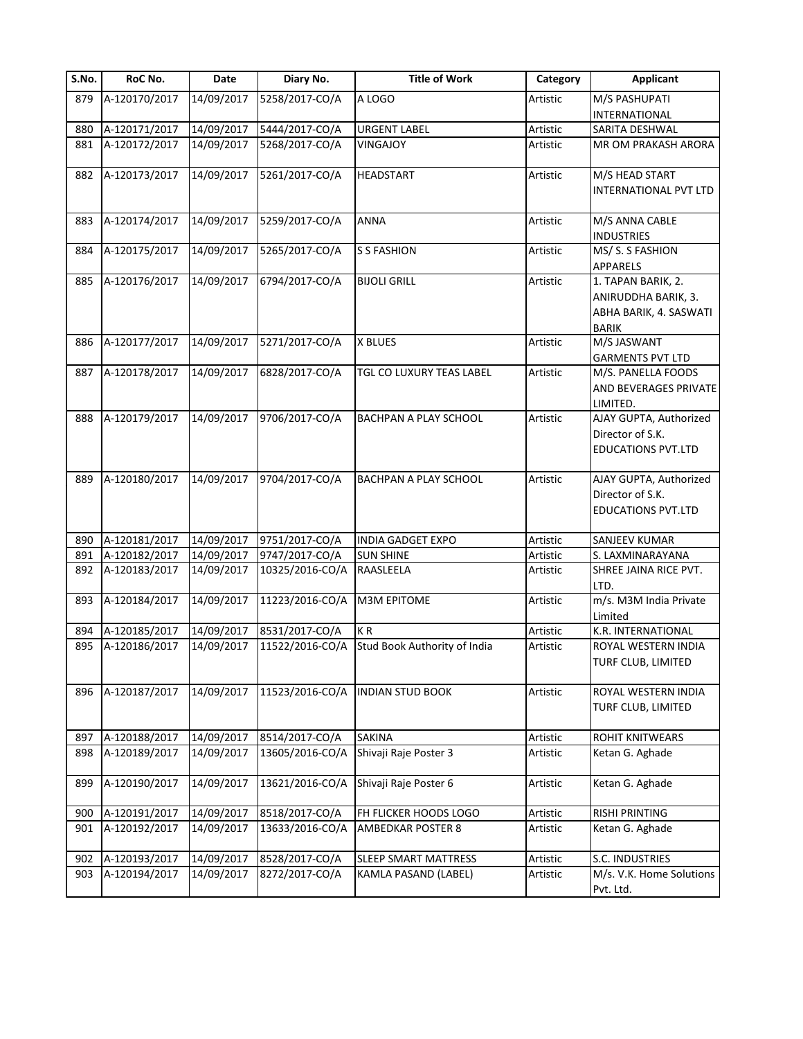| S.No. | RoC No.       | Date       | Diary No.       | <b>Title of Work</b>         | Category | <b>Applicant</b>                                                                    |
|-------|---------------|------------|-----------------|------------------------------|----------|-------------------------------------------------------------------------------------|
| 879   | A-120170/2017 | 14/09/2017 | 5258/2017-CO/A  | A LOGO                       | Artistic | M/S PASHUPATI                                                                       |
|       |               |            |                 |                              |          | INTERNATIONAL                                                                       |
| 880   | A-120171/2017 | 14/09/2017 | 5444/2017-CO/A  | <b>URGENT LABEL</b>          | Artistic | SARITA DESHWAL                                                                      |
| 881   | A-120172/2017 | 14/09/2017 | 5268/2017-CO/A  | <b>VINGAJOY</b>              | Artistic | MR OM PRAKASH ARORA                                                                 |
| 882   | A-120173/2017 | 14/09/2017 | 5261/2017-CO/A  | <b>HEADSTART</b>             | Artistic | M/S HEAD START                                                                      |
|       |               |            |                 |                              |          | INTERNATIONAL PVT LTD                                                               |
| 883   | A-120174/2017 | 14/09/2017 | 5259/2017-CO/A  | <b>ANNA</b>                  | Artistic | M/S ANNA CABLE<br><b>INDUSTRIES</b>                                                 |
| 884   | A-120175/2017 | 14/09/2017 | 5265/2017-CO/A  | <b>S S FASHION</b>           | Artistic | MS/ S. S FASHION<br>APPARELS                                                        |
| 885   | A-120176/2017 | 14/09/2017 | 6794/2017-CO/A  | <b>BIJOLI GRILL</b>          | Artistic | 1. TAPAN BARIK, 2.<br>ANIRUDDHA BARIK, 3.<br>ABHA BARIK, 4. SASWATI<br><b>BARIK</b> |
| 886   | A-120177/2017 | 14/09/2017 | 5271/2017-CO/A  | X BLUES                      | Artistic | M/S JASWANT<br><b>GARMENTS PVT LTD</b>                                              |
| 887   | A-120178/2017 | 14/09/2017 | 6828/2017-CO/A  | TGL CO LUXURY TEAS LABEL     | Artistic | M/S. PANELLA FOODS<br>AND BEVERAGES PRIVATE<br>LIMITED.                             |
| 888   | A-120179/2017 | 14/09/2017 | 9706/2017-CO/A  | BACHPAN A PLAY SCHOOL        | Artistic | AJAY GUPTA, Authorized<br>Director of S.K.<br><b>EDUCATIONS PVT.LTD</b>             |
| 889   | A-120180/2017 | 14/09/2017 | 9704/2017-CO/A  | BACHPAN A PLAY SCHOOL        | Artistic | AJAY GUPTA, Authorized<br>Director of S.K.<br><b>EDUCATIONS PVT.LTD</b>             |
| 890   | A-120181/2017 | 14/09/2017 | 9751/2017-CO/A  | <b>INDIA GADGET EXPO</b>     | Artistic | SANJEEV KUMAR                                                                       |
| 891   | A-120182/2017 | 14/09/2017 | 9747/2017-CO/A  | <b>SUN SHINE</b>             | Artistic | S. LAXMINARAYANA                                                                    |
| 892   | A-120183/2017 | 14/09/2017 | 10325/2016-CO/A | RAASLEELA                    | Artistic | SHREE JAINA RICE PVT.<br>LTD.                                                       |
| 893   | A-120184/2017 | 14/09/2017 | 11223/2016-CO/A | <b>M3M EPITOME</b>           | Artistic | m/s. M3M India Private<br>Limited                                                   |
| 894   | A-120185/2017 | 14/09/2017 | 8531/2017-CO/A  | KR                           | Artistic | K.R. INTERNATIONAL                                                                  |
| 895   | A-120186/2017 | 14/09/2017 | 11522/2016-CO/A | Stud Book Authority of India | Artistic | ROYAL WESTERN INDIA<br>TURF CLUB, LIMITED                                           |
| 896   | A-120187/2017 | 14/09/2017 | 11523/2016-CO/A | <b>INDIAN STUD BOOK</b>      | Artistic | ROYAL WESTERN INDIA<br>TURF CLUB, LIMITED                                           |
| 897   | A-120188/2017 | 14/09/2017 | 8514/2017-CO/A  | <b>SAKINA</b>                | Artistic | ROHIT KNITWEARS                                                                     |
| 898   | A-120189/2017 | 14/09/2017 | 13605/2016-CO/A | Shivaji Raje Poster 3        | Artistic | Ketan G. Aghade                                                                     |
| 899   | A-120190/2017 | 14/09/2017 | 13621/2016-CO/A | Shivaji Raje Poster 6        | Artistic | Ketan G. Aghade                                                                     |
| 900   | A-120191/2017 | 14/09/2017 | 8518/2017-CO/A  | FH FLICKER HOODS LOGO        | Artistic | <b>RISHI PRINTING</b>                                                               |
| 901   | A-120192/2017 | 14/09/2017 | 13633/2016-CO/A | <b>AMBEDKAR POSTER 8</b>     | Artistic | Ketan G. Aghade                                                                     |
| 902   | A-120193/2017 | 14/09/2017 | 8528/2017-CO/A  | <b>SLEEP SMART MATTRESS</b>  | Artistic | S.C. INDUSTRIES                                                                     |
| 903   | A-120194/2017 | 14/09/2017 | 8272/2017-CO/A  | KAMLA PASAND (LABEL)         | Artistic | M/s. V.K. Home Solutions<br>Pvt. Ltd.                                               |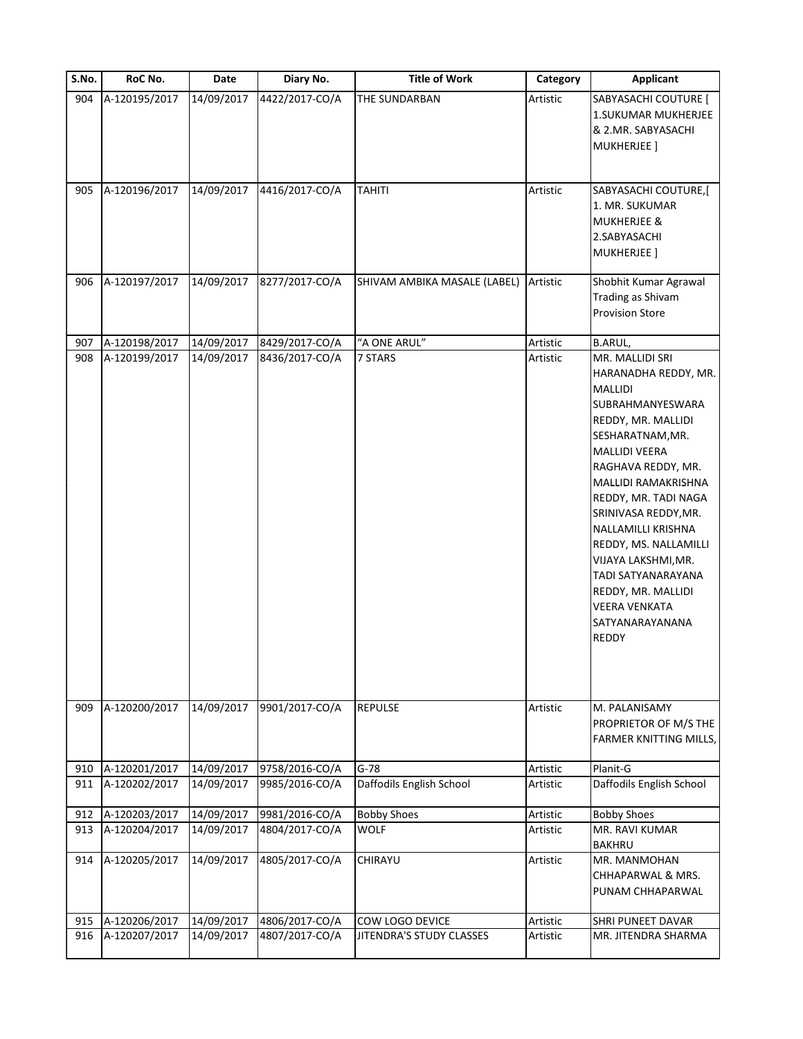| S.No. | RoC No.       | Date       | Diary No.      | <b>Title of Work</b>         | Category | <b>Applicant</b>                                                                                                                                                                                                                                                                                                                                                                                                   |
|-------|---------------|------------|----------------|------------------------------|----------|--------------------------------------------------------------------------------------------------------------------------------------------------------------------------------------------------------------------------------------------------------------------------------------------------------------------------------------------------------------------------------------------------------------------|
| 904   | A-120195/2017 | 14/09/2017 | 4422/2017-CO/A | THE SUNDARBAN                | Artistic | SABYASACHI COUTURE [<br>1.SUKUMAR MUKHERJEE<br>& 2.MR. SABYASACHI<br>MUKHERJEE]                                                                                                                                                                                                                                                                                                                                    |
| 905   | A-120196/2017 | 14/09/2017 | 4416/2017-CO/A | <b>TAHITI</b>                | Artistic | SABYASACHI COUTURE,[<br>1. MR. SUKUMAR<br><b>MUKHERJEE &amp;</b><br>2.SABYASACHI<br><b>MUKHERJEE</b> ]                                                                                                                                                                                                                                                                                                             |
| 906   | A-120197/2017 | 14/09/2017 | 8277/2017-CO/A | SHIVAM AMBIKA MASALE (LABEL) | Artistic | Shobhit Kumar Agrawal<br>Trading as Shivam<br><b>Provision Store</b>                                                                                                                                                                                                                                                                                                                                               |
| 907   | A-120198/2017 | 14/09/2017 | 8429/2017-CO/A | "A ONE ARUL"                 | Artistic | <b>B.ARUL,</b>                                                                                                                                                                                                                                                                                                                                                                                                     |
| 908   | A-120199/2017 | 14/09/2017 | 8436/2017-CO/A | 7 STARS                      | Artistic | MR. MALLIDI SRI<br>HARANADHA REDDY, MR.<br><b>MALLIDI</b><br>SUBRAHMANYESWARA<br>REDDY, MR. MALLIDI<br>SESHARATNAM, MR.<br><b>MALLIDI VEERA</b><br>RAGHAVA REDDY, MR.<br>MALLIDI RAMAKRISHNA<br>REDDY, MR. TADI NAGA<br>SRINIVASA REDDY, MR.<br>NALLAMILLI KRISHNA<br>REDDY, MS. NALLAMILLI<br>VIJAYA LAKSHMI, MR.<br>TADI SATYANARAYANA<br>REDDY, MR. MALLIDI<br><b>VEERA VENKATA</b><br>SATYANARAYANANA<br>REDDY |
| 909   | A-120200/2017 | 14/09/2017 | 9901/2017-CO/A | <b>REPULSE</b>               | Artistic | M. PALANISAMY<br>PROPRIETOR OF M/S THE<br>FARMER KNITTING MILLS,                                                                                                                                                                                                                                                                                                                                                   |
| 910   | A-120201/2017 | 14/09/2017 | 9758/2016-CO/A | $G-78$                       | Artistic | Planit-G                                                                                                                                                                                                                                                                                                                                                                                                           |
| 911   | A-120202/2017 | 14/09/2017 | 9985/2016-CO/A | Daffodils English School     | Artistic | Daffodils English School                                                                                                                                                                                                                                                                                                                                                                                           |
|       |               |            |                |                              |          |                                                                                                                                                                                                                                                                                                                                                                                                                    |
| 912   | A-120203/2017 | 14/09/2017 | 9981/2016-CO/A | <b>Bobby Shoes</b>           | Artistic | <b>Bobby Shoes</b>                                                                                                                                                                                                                                                                                                                                                                                                 |
| 913   | A-120204/2017 | 14/09/2017 | 4804/2017-CO/A | <b>WOLF</b>                  | Artistic | MR. RAVI KUMAR<br><b>BAKHRU</b>                                                                                                                                                                                                                                                                                                                                                                                    |
| 914   | A-120205/2017 | 14/09/2017 | 4805/2017-CO/A | CHIRAYU                      | Artistic | MR. MANMOHAN<br>CHHAPARWAL & MRS.<br>PUNAM CHHAPARWAL                                                                                                                                                                                                                                                                                                                                                              |
| 915   | A-120206/2017 | 14/09/2017 | 4806/2017-CO/A | COW LOGO DEVICE              | Artistic | SHRI PUNEET DAVAR                                                                                                                                                                                                                                                                                                                                                                                                  |
| 916   | A-120207/2017 | 14/09/2017 | 4807/2017-CO/A | JITENDRA'S STUDY CLASSES     | Artistic | MR. JITENDRA SHARMA                                                                                                                                                                                                                                                                                                                                                                                                |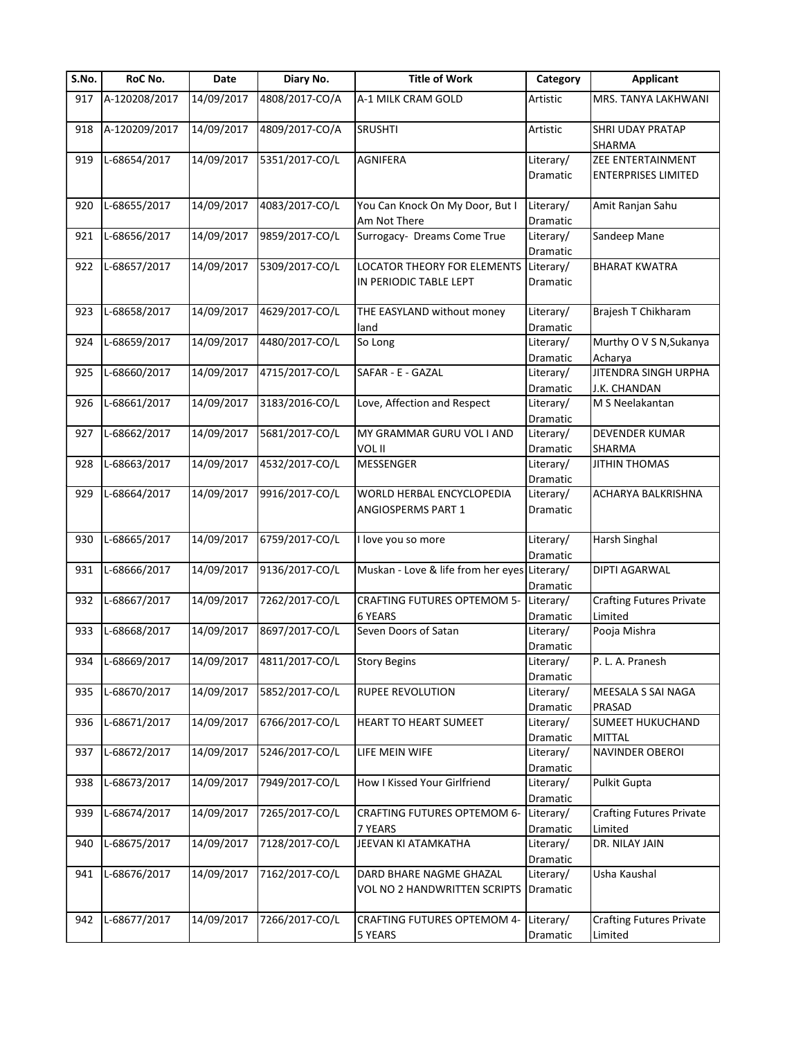| S.No. | RoC No.       | Date       | Diary No.      | <b>Title of Work</b>                         | Category  | <b>Applicant</b>                |
|-------|---------------|------------|----------------|----------------------------------------------|-----------|---------------------------------|
| 917   | A-120208/2017 | 14/09/2017 | 4808/2017-CO/A | A-1 MILK CRAM GOLD                           | Artistic  | MRS. TANYA LAKHWANI             |
| 918   | A-120209/2017 | 14/09/2017 | 4809/2017-CO/A | <b>SRUSHTI</b>                               | Artistic  | SHRI UDAY PRATAP<br>SHARMA      |
| 919   | L-68654/2017  | 14/09/2017 | 5351/2017-CO/L | <b>AGNIFERA</b>                              | Literary/ | ZEE ENTERTAINMENT               |
|       |               |            |                |                                              | Dramatic  | <b>ENTERPRISES LIMITED</b>      |
|       |               |            |                |                                              |           |                                 |
| 920   | L-68655/2017  | 14/09/2017 | 4083/2017-CO/L | You Can Knock On My Door, But I              | Literary/ | Amit Ranjan Sahu                |
|       |               |            |                | Am Not There                                 | Dramatic  |                                 |
| 921   | L-68656/2017  | 14/09/2017 | 9859/2017-CO/L | Surrogacy- Dreams Come True                  | Literary/ | Sandeep Mane                    |
|       |               |            |                |                                              | Dramatic  |                                 |
| 922   | L-68657/2017  | 14/09/2017 | 5309/2017-CO/L | LOCATOR THEORY FOR ELEMENTS                  | Literary/ | <b>BHARAT KWATRA</b>            |
|       |               |            |                | IN PERIODIC TABLE LEPT                       | Dramatic  |                                 |
|       |               |            |                |                                              |           |                                 |
| 923   | L-68658/2017  | 14/09/2017 | 4629/2017-CO/L | THE EASYLAND without money                   | Literary/ | Brajesh T Chikharam             |
|       |               |            |                | land                                         | Dramatic  |                                 |
| 924   | L-68659/2017  | 14/09/2017 | 4480/2017-CO/L | So Long                                      | Literary/ | Murthy O V S N, Sukanya         |
|       |               |            |                |                                              | Dramatic  | Acharya                         |
| 925   | L-68660/2017  | 14/09/2017 | 4715/2017-CO/L | SAFAR - E - GAZAL                            | Literary/ | <b>JITENDRA SINGH URPHA</b>     |
|       |               |            |                |                                              | Dramatic  | J.K. CHANDAN                    |
| 926   | L-68661/2017  | 14/09/2017 | 3183/2016-CO/L | Love, Affection and Respect                  | Literary/ | M S Neelakantan                 |
|       |               |            |                |                                              | Dramatic  |                                 |
| 927   | L-68662/2017  | 14/09/2017 | 5681/2017-CO/L | MY GRAMMAR GURU VOL I AND                    | Literary/ | DEVENDER KUMAR                  |
|       |               |            |                | VOL II                                       | Dramatic  | SHARMA                          |
| 928   | L-68663/2017  | 14/09/2017 | 4532/2017-CO/L | <b>MESSENGER</b>                             | Literary/ | <b>JITHIN THOMAS</b>            |
|       |               |            |                |                                              | Dramatic  |                                 |
| 929   | L-68664/2017  | 14/09/2017 | 9916/2017-CO/L | WORLD HERBAL ENCYCLOPEDIA                    | Literary/ | ACHARYA BALKRISHNA              |
|       |               |            |                | <b>ANGIOSPERMS PART 1</b>                    | Dramatic  |                                 |
| 930   | L-68665/2017  | 14/09/2017 | 6759/2017-CO/L |                                              | Literary/ | Harsh Singhal                   |
|       |               |            |                | I love you so more                           | Dramatic  |                                 |
| 931   | L-68666/2017  | 14/09/2017 | 9136/2017-CO/L | Muskan - Love & life from her eyes Literary/ |           | <b>DIPTI AGARWAL</b>            |
|       |               |            |                |                                              | Dramatic  |                                 |
| 932   | L-68667/2017  | 14/09/2017 | 7262/2017-CO/L | <b>CRAFTING FUTURES OPTEMOM 5-</b>           | Literary/ | <b>Crafting Futures Private</b> |
|       |               |            |                | <b>6 YEARS</b>                               | Dramatic  | Limited                         |
| 933   | L-68668/2017  | 14/09/2017 | 8697/2017-CO/L | Seven Doors of Satan                         | Literary/ | Pooja Mishra                    |
|       |               |            |                |                                              | Dramatic  |                                 |
| 934   | L-68669/2017  | 14/09/2017 | 4811/2017-CO/L | <b>Story Begins</b>                          | Literary/ | P. L. A. Pranesh                |
|       |               |            |                |                                              | Dramatic  |                                 |
| 935   | L-68670/2017  | 14/09/2017 | 5852/2017-CO/L | RUPEE REVOLUTION                             | Literary/ | MEESALA S SAI NAGA              |
|       |               |            |                |                                              | Dramatic  | PRASAD                          |
| 936   | L-68671/2017  | 14/09/2017 | 6766/2017-CO/L | HEART TO HEART SUMEET                        | Literary/ | SUMEET HUKUCHAND                |
|       |               |            |                |                                              | Dramatic  | <b>MITTAL</b>                   |
| 937   | L-68672/2017  | 14/09/2017 | 5246/2017-CO/L | LIFE MEIN WIFE                               | Literary/ | NAVINDER OBEROI                 |
|       |               |            |                |                                              | Dramatic  |                                 |
| 938   | L-68673/2017  | 14/09/2017 | 7949/2017-CO/L | How I Kissed Your Girlfriend                 | Literary/ | <b>Pulkit Gupta</b>             |
|       |               |            |                |                                              | Dramatic  |                                 |
| 939   | L-68674/2017  | 14/09/2017 | 7265/2017-CO/L | <b>CRAFTING FUTURES OPTEMOM 6-</b>           | Literary/ | <b>Crafting Futures Private</b> |
|       |               |            |                | 7 YEARS                                      | Dramatic  | Limited                         |
| 940   | L-68675/2017  | 14/09/2017 | 7128/2017-CO/L | JEEVAN KI ATAMKATHA                          | Literary/ | DR. NILAY JAIN                  |
|       |               |            |                |                                              | Dramatic  |                                 |
| 941   | L-68676/2017  | 14/09/2017 | 7162/2017-CO/L | DARD BHARE NAGME GHAZAL                      | Literary/ | Usha Kaushal                    |
|       |               |            |                | VOL NO 2 HANDWRITTEN SCRIPTS                 | Dramatic  |                                 |
|       |               |            |                |                                              |           |                                 |
| 942   | L-68677/2017  | 14/09/2017 | 7266/2017-CO/L | CRAFTING FUTURES OPTEMOM 4-                  | Literary/ | <b>Crafting Futures Private</b> |
|       |               |            |                | 5 YEARS                                      | Dramatic  | Limited                         |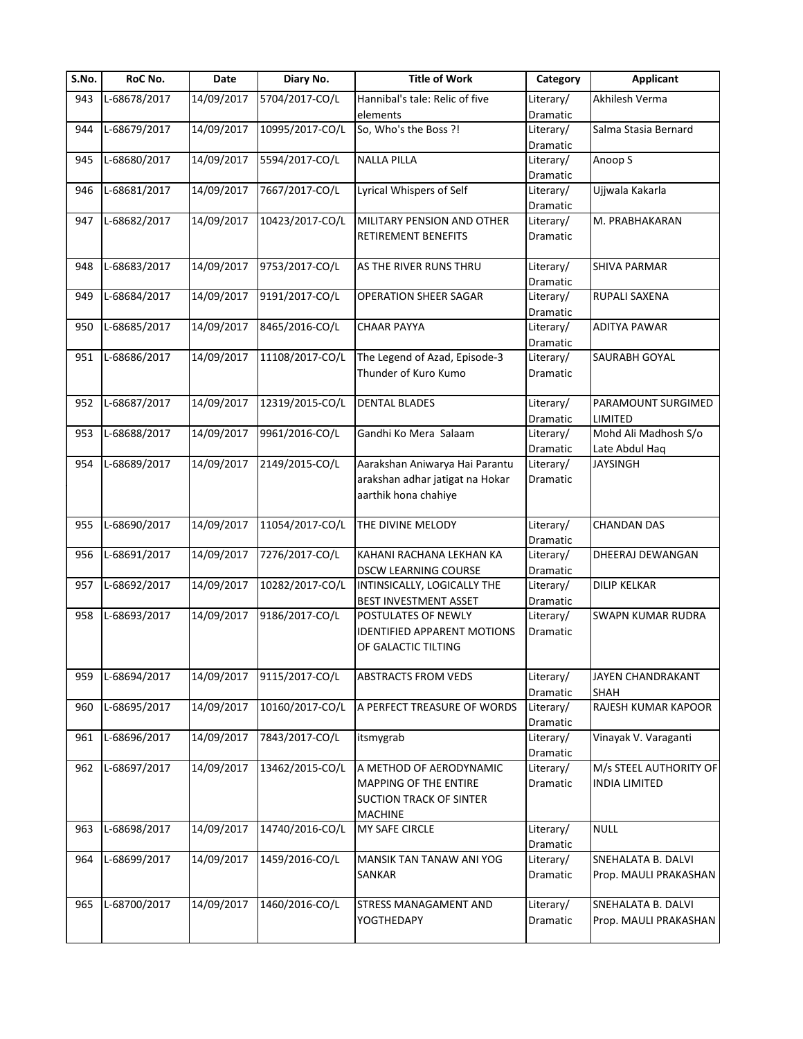| S.No. | RoC No.      | Date       | Diary No.       | <b>Title of Work</b>               | Category  | <b>Applicant</b>       |
|-------|--------------|------------|-----------------|------------------------------------|-----------|------------------------|
| 943   | L-68678/2017 | 14/09/2017 | 5704/2017-CO/L  | Hannibal's tale: Relic of five     | Literary/ | Akhilesh Verma         |
|       |              |            |                 | elements                           | Dramatic  |                        |
| 944   | L-68679/2017 | 14/09/2017 | 10995/2017-CO/L | So, Who's the Boss ?!              | Literary/ | Salma Stasia Bernard   |
|       |              |            |                 |                                    | Dramatic  |                        |
| 945   | L-68680/2017 | 14/09/2017 | 5594/2017-CO/L  | <b>NALLA PILLA</b>                 | Literary/ | Anoop S                |
|       |              |            |                 |                                    | Dramatic  |                        |
| 946   | L-68681/2017 | 14/09/2017 | 7667/2017-CO/L  | Lyrical Whispers of Self           | Literary/ | Ujjwala Kakarla        |
|       |              |            |                 |                                    | Dramatic  |                        |
| 947   | L-68682/2017 | 14/09/2017 | 10423/2017-CO/L | MILITARY PENSION AND OTHER         | Literary/ | M. PRABHAKARAN         |
|       |              |            |                 | <b>RETIREMENT BENEFITS</b>         | Dramatic  |                        |
|       |              |            |                 |                                    |           |                        |
| 948   | L-68683/2017 | 14/09/2017 | 9753/2017-CO/L  | AS THE RIVER RUNS THRU             | Literary/ | <b>SHIVA PARMAR</b>    |
|       |              |            |                 |                                    | Dramatic  |                        |
| 949   | L-68684/2017 | 14/09/2017 | 9191/2017-CO/L  | <b>OPERATION SHEER SAGAR</b>       | Literary/ | RUPALI SAXENA          |
|       |              |            |                 |                                    | Dramatic  |                        |
| 950   | L-68685/2017 | 14/09/2017 | 8465/2016-CO/L  | <b>CHAAR PAYYA</b>                 | Literary/ | <b>ADITYA PAWAR</b>    |
|       |              |            |                 |                                    | Dramatic  |                        |
| 951   | L-68686/2017 | 14/09/2017 | 11108/2017-CO/L | The Legend of Azad, Episode-3      | Literary/ | SAURABH GOYAL          |
|       |              |            |                 | Thunder of Kuro Kumo               | Dramatic  |                        |
|       |              |            |                 |                                    |           |                        |
| 952   | L-68687/2017 | 14/09/2017 | 12319/2015-CO/L | <b>DENTAL BLADES</b>               | Literary/ | PARAMOUNT SURGIMED     |
|       |              |            |                 |                                    | Dramatic  | LIMITED                |
| 953   | L-68688/2017 | 14/09/2017 | 9961/2016-CO/L  | Gandhi Ko Mera Salaam              | Literary/ | Mohd Ali Madhosh S/o   |
|       |              |            |                 |                                    | Dramatic  | Late Abdul Haq         |
| 954   | L-68689/2017 | 14/09/2017 | 2149/2015-CO/L  | Aarakshan Aniwarya Hai Parantu     | Literary/ | <b>JAYSINGH</b>        |
|       |              |            |                 | arakshan adhar jatigat na Hokar    | Dramatic  |                        |
|       |              |            |                 | aarthik hona chahiye               |           |                        |
|       |              |            |                 |                                    |           |                        |
| 955   | L-68690/2017 | 14/09/2017 | 11054/2017-CO/L | THE DIVINE MELODY                  | Literary/ | <b>CHANDAN DAS</b>     |
|       |              |            |                 |                                    | Dramatic  |                        |
| 956   | L-68691/2017 | 14/09/2017 | 7276/2017-CO/L  | KAHANI RACHANA LEKHAN KA           | Literary/ | DHEERAJ DEWANGAN       |
|       |              |            |                 | <b>DSCW LEARNING COURSE</b>        | Dramatic  |                        |
| 957   | L-68692/2017 | 14/09/2017 | 10282/2017-CO/L | INTINSICALLY, LOGICALLY THE        | Literary/ | <b>DILIP KELKAR</b>    |
|       |              |            |                 | <b>BEST INVESTMENT ASSET</b>       | Dramatic  |                        |
| 958   | L-68693/2017 | 14/09/2017 | 9186/2017-CO/L  | POSTULATES OF NEWLY                | Literary/ | SWAPN KUMAR RUDRA      |
|       |              |            |                 | <b>IDENTIFIED APPARENT MOTIONS</b> | Dramatic  |                        |
|       |              |            |                 | OF GALACTIC TILTING                |           |                        |
|       |              |            |                 |                                    |           |                        |
| 959   | L-68694/2017 | 14/09/2017 | 9115/2017-CO/L  | <b>ABSTRACTS FROM VEDS</b>         | Literary/ | JAYEN CHANDRAKANT      |
|       |              |            |                 |                                    | Dramatic  | <b>SHAH</b>            |
| 960   | L-68695/2017 | 14/09/2017 | 10160/2017-CO/L | A PERFECT TREASURE OF WORDS        | Literary/ | RAJESH KUMAR KAPOOR    |
|       |              |            |                 |                                    | Dramatic  |                        |
| 961   | L-68696/2017 | 14/09/2017 | 7843/2017-CO/L  | itsmygrab                          | Literary/ | Vinayak V. Varaganti   |
|       |              |            |                 |                                    | Dramatic  |                        |
| 962   | L-68697/2017 | 14/09/2017 | 13462/2015-CO/L | A METHOD OF AERODYNAMIC            | Literary/ | M/s STEEL AUTHORITY OF |
|       |              |            |                 | MAPPING OF THE ENTIRE              | Dramatic  | <b>INDIA LIMITED</b>   |
|       |              |            |                 | <b>SUCTION TRACK OF SINTER</b>     |           |                        |
|       |              |            |                 | <b>MACHINE</b>                     |           |                        |
| 963   | L-68698/2017 | 14/09/2017 | 14740/2016-CO/L | MY SAFE CIRCLE                     | Literary/ | <b>NULL</b>            |
|       |              |            |                 |                                    | Dramatic  |                        |
| 964   | L-68699/2017 | 14/09/2017 | 1459/2016-CO/L  | MANSIK TAN TANAW ANI YOG           | Literary/ | SNEHALATA B. DALVI     |
|       |              |            |                 | SANKAR                             | Dramatic  | Prop. MAULI PRAKASHAN  |
|       |              |            |                 |                                    |           |                        |
| 965   | L-68700/2017 | 14/09/2017 | 1460/2016-CO/L  | STRESS MANAGAMENT AND              | Literary/ | SNEHALATA B. DALVI     |
|       |              |            |                 | YOGTHEDAPY                         | Dramatic  | Prop. MAULI PRAKASHAN  |
|       |              |            |                 |                                    |           |                        |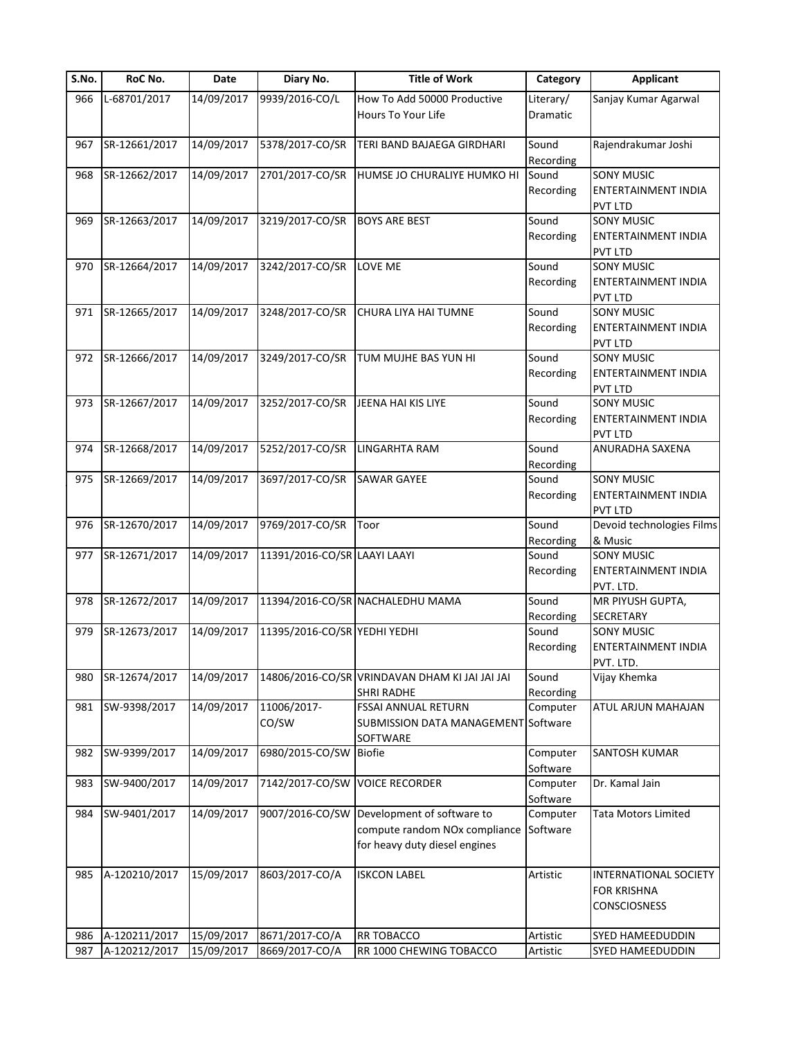| S.No. | RoC No.       | Date       | Diary No.                    | <b>Title of Work</b>                                                                         | Category              | <b>Applicant</b>                                                   |
|-------|---------------|------------|------------------------------|----------------------------------------------------------------------------------------------|-----------------------|--------------------------------------------------------------------|
| 966   | L-68701/2017  | 14/09/2017 | 9939/2016-CO/L               | How To Add 50000 Productive<br><b>Hours To Your Life</b>                                     | Literary/<br>Dramatic | Sanjay Kumar Agarwal                                               |
| 967   | SR-12661/2017 | 14/09/2017 | 5378/2017-CO/SR              | TERI BAND BAJAEGA GIRDHARI                                                                   | Sound<br>Recording    | Rajendrakumar Joshi                                                |
| 968   | SR-12662/2017 | 14/09/2017 | 2701/2017-CO/SR              | HUMSE JO CHURALIYE HUMKO HI                                                                  | Sound<br>Recording    | <b>SONY MUSIC</b><br>ENTERTAINMENT INDIA<br>PVT LTD                |
| 969   | SR-12663/2017 | 14/09/2017 | 3219/2017-CO/SR              | <b>BOYS ARE BEST</b>                                                                         | Sound<br>Recording    | SONY MUSIC<br>ENTERTAINMENT INDIA<br>PVT LTD                       |
| 970   | SR-12664/2017 | 14/09/2017 | 3242/2017-CO/SR              | LOVE ME                                                                                      | Sound<br>Recording    | <b>SONY MUSIC</b><br>ENTERTAINMENT INDIA<br>PVT LTD                |
| 971   | SR-12665/2017 | 14/09/2017 | 3248/2017-CO/SR              | CHURA LIYA HAI TUMNE                                                                         | Sound<br>Recording    | <b>SONY MUSIC</b><br>ENTERTAINMENT INDIA<br>PVT LTD                |
| 972   | SR-12666/2017 | 14/09/2017 | 3249/2017-CO/SR              | TUM MUJHE BAS YUN HI                                                                         | Sound<br>Recording    | <b>SONY MUSIC</b><br>ENTERTAINMENT INDIA<br>PVT LTD                |
| 973   | SR-12667/2017 | 14/09/2017 | 3252/2017-CO/SR              | JEENA HAI KIS LIYE                                                                           | Sound<br>Recording    | <b>SONY MUSIC</b><br>ENTERTAINMENT INDIA<br>PVT LTD                |
| 974   | SR-12668/2017 | 14/09/2017 | 5252/2017-CO/SR              | LINGARHTA RAM                                                                                | Sound<br>Recording    | ANURADHA SAXENA                                                    |
| 975   | SR-12669/2017 | 14/09/2017 | 3697/2017-CO/SR              | <b>SAWAR GAYEE</b>                                                                           | Sound<br>Recording    | <b>SONY MUSIC</b><br>ENTERTAINMENT INDIA<br>PVT LTD                |
| 976   | SR-12670/2017 | 14/09/2017 | 9769/2017-CO/SR              | Toor                                                                                         | Sound<br>Recording    | Devoid technologies Films<br>& Music                               |
| 977   | SR-12671/2017 | 14/09/2017 | 11391/2016-CO/SR LAAYI LAAYI |                                                                                              | Sound<br>Recording    | <b>SONY MUSIC</b><br>ENTERTAINMENT INDIA<br>PVT. LTD.              |
| 978   | SR-12672/2017 | 14/09/2017 |                              | 11394/2016-CO/SR NACHALEDHU MAMA                                                             | Sound<br>Recording    | MR PIYUSH GUPTA,<br><b>SECRETARY</b>                               |
| 979   | SR-12673/2017 | 14/09/2017 | 11395/2016-CO/SR YEDHI YEDHI |                                                                                              | Sound<br>Recording    | <b>SONY MUSIC</b><br>ENTERTAINMENT INDIA<br>PVT. LTD.              |
| 980   | SR-12674/2017 | 14/09/2017 |                              | 14806/2016-CO/SR VRINDAVAN DHAM KI JAI JAI JAI<br><b>SHRI RADHE</b>                          | Sound<br>Recording    | Vijay Khemka                                                       |
| 981   | SW-9398/2017  | 14/09/2017 | 11006/2017-<br>CO/SW         | <b>FSSAI ANNUAL RETURN</b><br>SUBMISSION DATA MANAGEMENT Software<br>SOFTWARE                | Computer              | ATUL ARJUN MAHAJAN                                                 |
| 982   | SW-9399/2017  | 14/09/2017 | 6980/2015-CO/SW              | <b>Biofie</b>                                                                                | Computer<br>Software  | SANTOSH KUMAR                                                      |
| 983   | SW-9400/2017  | 14/09/2017 | 7142/2017-CO/SW              | <b>VOICE RECORDER</b>                                                                        | Computer<br>Software  | Dr. Kamal Jain                                                     |
| 984   | SW-9401/2017  | 14/09/2017 | 9007/2016-CO/SW              | Development of software to<br>compute random NOx compliance<br>for heavy duty diesel engines | Computer<br>Software  | Tata Motors Limited                                                |
| 985   | A-120210/2017 | 15/09/2017 | 8603/2017-CO/A               | <b>ISKCON LABEL</b>                                                                          | Artistic              | <b>INTERNATIONAL SOCIETY</b><br><b>FOR KRISHNA</b><br>CONSCIOSNESS |
| 986   | A-120211/2017 | 15/09/2017 | 8671/2017-CO/A               | RR TOBACCO                                                                                   | Artistic              | SYED HAMEEDUDDIN                                                   |
| 987   | A-120212/2017 | 15/09/2017 | 8669/2017-CO/A               | RR 1000 CHEWING TOBACCO                                                                      | Artistic              | SYED HAMEEDUDDIN                                                   |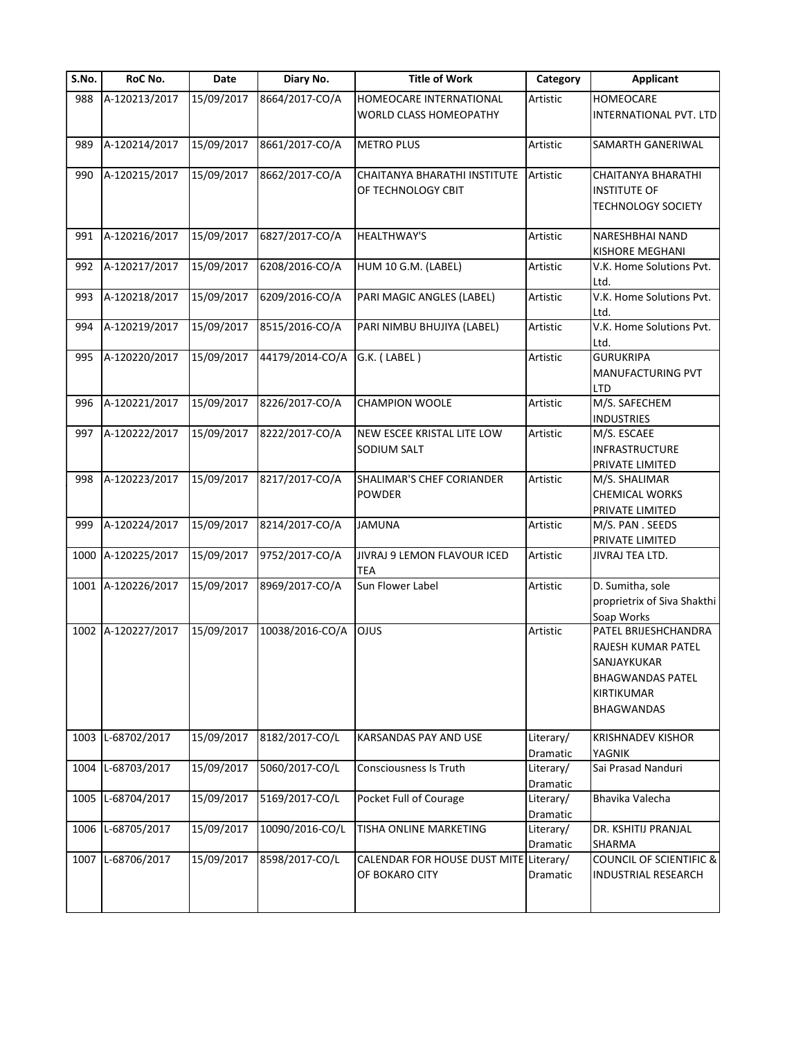| S.No. | RoC No.            | Date       | Diary No.       | <b>Title of Work</b>                                     | Category              | <b>Applicant</b>                                                                                                        |
|-------|--------------------|------------|-----------------|----------------------------------------------------------|-----------------------|-------------------------------------------------------------------------------------------------------------------------|
| 988   | A-120213/2017      | 15/09/2017 | 8664/2017-CO/A  | HOMEOCARE INTERNATIONAL<br><b>WORLD CLASS HOMEOPATHY</b> | Artistic              | HOMEOCARE<br>INTERNATIONAL PVT. LTD                                                                                     |
| 989   | A-120214/2017      | 15/09/2017 | 8661/2017-CO/A  | <b>METRO PLUS</b>                                        | Artistic              | SAMARTH GANERIWAL                                                                                                       |
| 990   | A-120215/2017      | 15/09/2017 | 8662/2017-CO/A  | CHAITANYA BHARATHI INSTITUTE<br>OF TECHNOLOGY CBIT       | Artistic              | CHAITANYA BHARATHI<br><b>INSTITUTE OF</b><br><b>TECHNOLOGY SOCIETY</b>                                                  |
| 991   | A-120216/2017      | 15/09/2017 | 6827/2017-CO/A  | <b>HEALTHWAY'S</b>                                       | Artistic              | NARESHBHAI NAND<br><b>KISHORE MEGHANI</b>                                                                               |
| 992   | A-120217/2017      | 15/09/2017 | 6208/2016-CO/A  | HUM 10 G.M. (LABEL)                                      | Artistic              | V.K. Home Solutions Pvt.<br>Ltd.                                                                                        |
| 993   | A-120218/2017      | 15/09/2017 | 6209/2016-CO/A  | PARI MAGIC ANGLES (LABEL)                                | Artistic              | V.K. Home Solutions Pvt.<br>Ltd.                                                                                        |
| 994   | A-120219/2017      | 15/09/2017 | 8515/2016-CO/A  | PARI NIMBU BHUJIYA (LABEL)                               | Artistic              | V.K. Home Solutions Pvt.<br>Ltd.                                                                                        |
| 995   | A-120220/2017      | 15/09/2017 | 44179/2014-CO/A | G.K. (LABEL)                                             | Artistic              | <b>GURUKRIPA</b><br><b>MANUFACTURING PVT</b><br><b>LTD</b>                                                              |
| 996   | A-120221/2017      | 15/09/2017 | 8226/2017-CO/A  | <b>CHAMPION WOOLE</b>                                    | Artistic              | M/S. SAFECHEM<br><b>INDUSTRIES</b>                                                                                      |
| 997   | A-120222/2017      | 15/09/2017 | 8222/2017-CO/A  | NEW ESCEE KRISTAL LITE LOW<br>SODIUM SALT                | Artistic              | M/S. ESCAEE<br><b>INFRASTRUCTURE</b><br>PRIVATE LIMITED                                                                 |
| 998   | A-120223/2017      | 15/09/2017 | 8217/2017-CO/A  | SHALIMAR'S CHEF CORIANDER<br><b>POWDER</b>               | Artistic              | M/S. SHALIMAR<br><b>CHEMICAL WORKS</b><br>PRIVATE LIMITED                                                               |
| 999   | A-120224/2017      | 15/09/2017 | 8214/2017-CO/A  | <b>JAMUNA</b>                                            | Artistic              | M/S. PAN . SEEDS<br>PRIVATE LIMITED                                                                                     |
|       | 1000 A-120225/2017 | 15/09/2017 | 9752/2017-CO/A  | JIVRAJ 9 LEMON FLAVOUR ICED<br><b>TEA</b>                | Artistic              | JIVRAJ TEA LTD.                                                                                                         |
|       | 1001 A-120226/2017 | 15/09/2017 | 8969/2017-CO/A  | Sun Flower Label                                         | Artistic              | D. Sumitha, sole<br>proprietrix of Siva Shakthi<br>Soap Works                                                           |
|       | 1002 A-120227/2017 | 15/09/2017 | 10038/2016-CO/A | <b>OJUS</b>                                              | Artistic              | PATEL BRIJESHCHANDRA<br>RAJESH KUMAR PATEL<br>SANJAYKUKAR<br><b>BHAGWANDAS PATEL</b><br>KIRTIKUMAR<br><b>BHAGWANDAS</b> |
|       | 1003 L-68702/2017  | 15/09/2017 | 8182/2017-CO/L  | <b>KARSANDAS PAY AND USE</b>                             | Literary/<br>Dramatic | <b>KRISHNADEV KISHOR</b><br>YAGNIK                                                                                      |
| 1004  | L-68703/2017       | 15/09/2017 | 5060/2017-CO/L  | <b>Consciousness Is Truth</b>                            | Literary/<br>Dramatic | Sai Prasad Nanduri                                                                                                      |
|       | 1005 L-68704/2017  | 15/09/2017 | 5169/2017-CO/L  | Pocket Full of Courage                                   | Literary/<br>Dramatic | Bhavika Valecha                                                                                                         |
|       | 1006 L-68705/2017  | 15/09/2017 | 10090/2016-CO/L | TISHA ONLINE MARKETING                                   | Literary/<br>Dramatic | DR. KSHITIJ PRANJAL<br>SHARMA                                                                                           |
| 1007  | L-68706/2017       | 15/09/2017 | 8598/2017-CO/L  | CALENDAR FOR HOUSE DUST MITE<br>OF BOKARO CITY           | Literary/<br>Dramatic | <b>COUNCIL OF SCIENTIFIC &amp;</b><br>INDUSTRIAL RESEARCH                                                               |
|       |                    |            |                 |                                                          |                       |                                                                                                                         |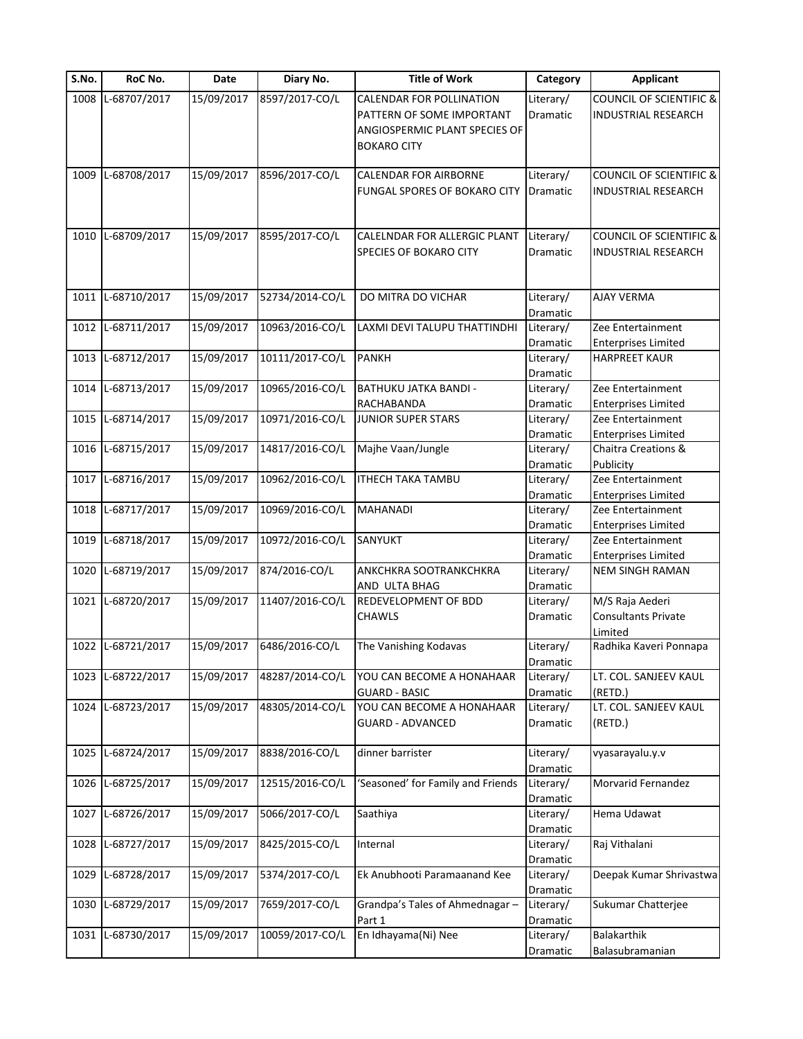| S.No. | RoC No.           | Date       | Diary No.       | <b>Title of Work</b>                                                                          | Category                     | <b>Applicant</b>                                                 |
|-------|-------------------|------------|-----------------|-----------------------------------------------------------------------------------------------|------------------------------|------------------------------------------------------------------|
|       | 1008 L-68707/2017 | 15/09/2017 | 8597/2017-CO/L  | <b>CALENDAR FOR POLLINATION</b><br>PATTERN OF SOME IMPORTANT<br>ANGIOSPERMIC PLANT SPECIES OF | Literary/<br><b>Dramatic</b> | <b>COUNCIL OF SCIENTIFIC &amp;</b><br><b>INDUSTRIAL RESEARCH</b> |
|       |                   |            |                 | <b>BOKARO CITY</b>                                                                            |                              |                                                                  |
|       | 1009 L-68708/2017 | 15/09/2017 | 8596/2017-CO/L  | CALENDAR FOR AIRBORNE                                                                         | Literary/                    | <b>COUNCIL OF SCIENTIFIC &amp;</b>                               |
|       |                   |            |                 | FUNGAL SPORES OF BOKARO CITY                                                                  | Dramatic                     | <b>INDUSTRIAL RESEARCH</b>                                       |
|       | 1010 L-68709/2017 | 15/09/2017 | 8595/2017-CO/L  | CALELNDAR FOR ALLERGIC PLANT                                                                  | Literary/                    | <b>COUNCIL OF SCIENTIFIC &amp;</b>                               |
|       |                   |            |                 | <b>SPECIES OF BOKARO CITY</b>                                                                 | Dramatic                     | <b>INDUSTRIAL RESEARCH</b>                                       |
|       |                   |            |                 |                                                                                               |                              |                                                                  |
| 1011  | L-68710/2017      | 15/09/2017 | 52734/2014-CO/L | DO MITRA DO VICHAR                                                                            | Literary/                    | <b>AJAY VERMA</b>                                                |
|       |                   |            |                 |                                                                                               | Dramatic                     |                                                                  |
|       | 1012 L-68711/2017 | 15/09/2017 | 10963/2016-CO/L | LAXMI DEVI TALUPU THATTINDHI                                                                  | Literary/                    | Zee Entertainment                                                |
|       |                   |            |                 |                                                                                               | Dramatic                     | <b>Enterprises Limited</b>                                       |
|       | 1013 L-68712/2017 | 15/09/2017 | 10111/2017-CO/L | <b>PANKH</b>                                                                                  | Literary/                    | <b>HARPREET KAUR</b>                                             |
|       | L-68713/2017      |            |                 |                                                                                               | Dramatic                     |                                                                  |
| 1014  |                   | 15/09/2017 | 10965/2016-CO/L | BATHUKU JATKA BANDI -<br>RACHABANDA                                                           | Literary/                    | Zee Entertainment                                                |
| 1015  | L-68714/2017      | 15/09/2017 | 10971/2016-CO/L | <b>JUNIOR SUPER STARS</b>                                                                     | Dramatic<br>Literary/        | <b>Enterprises Limited</b><br>Zee Entertainment                  |
|       |                   |            |                 |                                                                                               | Dramatic                     | <b>Enterprises Limited</b>                                       |
| 1016  | L-68715/2017      | 15/09/2017 | 14817/2016-CO/L | Majhe Vaan/Jungle                                                                             | Literary/                    | Chaitra Creations &                                              |
|       |                   |            |                 |                                                                                               | Dramatic                     | Publicity                                                        |
| 1017  | L-68716/2017      | 15/09/2017 | 10962/2016-CO/L | <b>ITHECH TAKA TAMBU</b>                                                                      | Literary/                    | Zee Entertainment                                                |
|       |                   |            |                 |                                                                                               | Dramatic                     | <b>Enterprises Limited</b>                                       |
|       | 1018 L-68717/2017 | 15/09/2017 | 10969/2016-CO/L | <b>MAHANADI</b>                                                                               | Literary/                    | Zee Entertainment                                                |
|       |                   |            |                 |                                                                                               | Dramatic                     | <b>Enterprises Limited</b>                                       |
| 1019  | L-68718/2017      | 15/09/2017 | 10972/2016-CO/L | SANYUKT                                                                                       | Literary/                    | Zee Entertainment                                                |
|       |                   |            |                 |                                                                                               | Dramatic                     | <b>Enterprises Limited</b>                                       |
| 1020  | L-68719/2017      | 15/09/2017 | 874/2016-CO/L   | ANKCHKRA SOOTRANKCHKRA                                                                        | Literary/                    | <b>NEM SINGH RAMAN</b>                                           |
|       |                   |            |                 | AND ULTA BHAG                                                                                 | Dramatic                     |                                                                  |
|       | 1021 L-68720/2017 | 15/09/2017 | 11407/2016-CO/L | REDEVELOPMENT OF BDD                                                                          | Literary/                    | M/S Raja Aederi                                                  |
|       |                   |            |                 | <b>CHAWLS</b>                                                                                 | Dramatic                     | <b>Consultants Private</b>                                       |
|       |                   |            |                 |                                                                                               |                              | Limited                                                          |
|       | 1022 L-68721/2017 | 15/09/2017 | 6486/2016-CO/L  | The Vanishing Kodavas                                                                         | Literary/<br>Dramatic        | Radhika Kaveri Ponnapa                                           |
| 1023  | L-68722/2017      | 15/09/2017 | 48287/2014-CO/L | YOU CAN BECOME A HONAHAAR                                                                     | Literary/                    | LT. COL. SANJEEV KAUL                                            |
|       |                   |            |                 | <b>GUARD - BASIC</b>                                                                          | Dramatic                     | (RETD.)                                                          |
|       | 1024 L-68723/2017 | 15/09/2017 | 48305/2014-CO/L | YOU CAN BECOME A HONAHAAR                                                                     | Literary/                    | LT. COL. SANJEEV KAUL                                            |
|       |                   |            |                 | <b>GUARD - ADVANCED</b>                                                                       | Dramatic                     | (RETD.)                                                          |
| 1025  | L-68724/2017      | 15/09/2017 | 8838/2016-CO/L  | dinner barrister                                                                              | Literary/                    | vyasarayalu.y.v                                                  |
|       |                   |            |                 |                                                                                               | Dramatic                     |                                                                  |
|       | 1026 L-68725/2017 | 15/09/2017 | 12515/2016-CO/L | 'Seasoned' for Family and Friends                                                             | Literary/                    | Morvarid Fernandez                                               |
|       |                   |            |                 |                                                                                               | Dramatic                     |                                                                  |
| 1027  | L-68726/2017      | 15/09/2017 | 5066/2017-CO/L  | Saathiya                                                                                      | Literary/                    | Hema Udawat                                                      |
|       |                   |            |                 |                                                                                               | Dramatic                     |                                                                  |
| 1028  | L-68727/2017      | 15/09/2017 | 8425/2015-CO/L  | Internal                                                                                      | Literary/                    | Raj Vithalani                                                    |
|       |                   |            |                 |                                                                                               | Dramatic                     |                                                                  |
| 1029  | L-68728/2017      | 15/09/2017 | 5374/2017-CO/L  | Ek Anubhooti Paramaanand Kee                                                                  | Literary/                    | Deepak Kumar Shrivastwa                                          |
|       |                   |            |                 |                                                                                               | Dramatic                     |                                                                  |
| 1030  | L-68729/2017      | 15/09/2017 | 7659/2017-CO/L  | Grandpa's Tales of Ahmednagar -                                                               | Literary/                    | Sukumar Chatterjee                                               |
|       |                   |            | 10059/2017-CO/L | Part 1                                                                                        | Dramatic                     | <b>Balakarthik</b>                                               |
| 1031  | L-68730/2017      | 15/09/2017 |                 | En Idhayama(Ni) Nee                                                                           | Literary/                    |                                                                  |
|       |                   |            |                 |                                                                                               | Dramatic                     | Balasubramanian                                                  |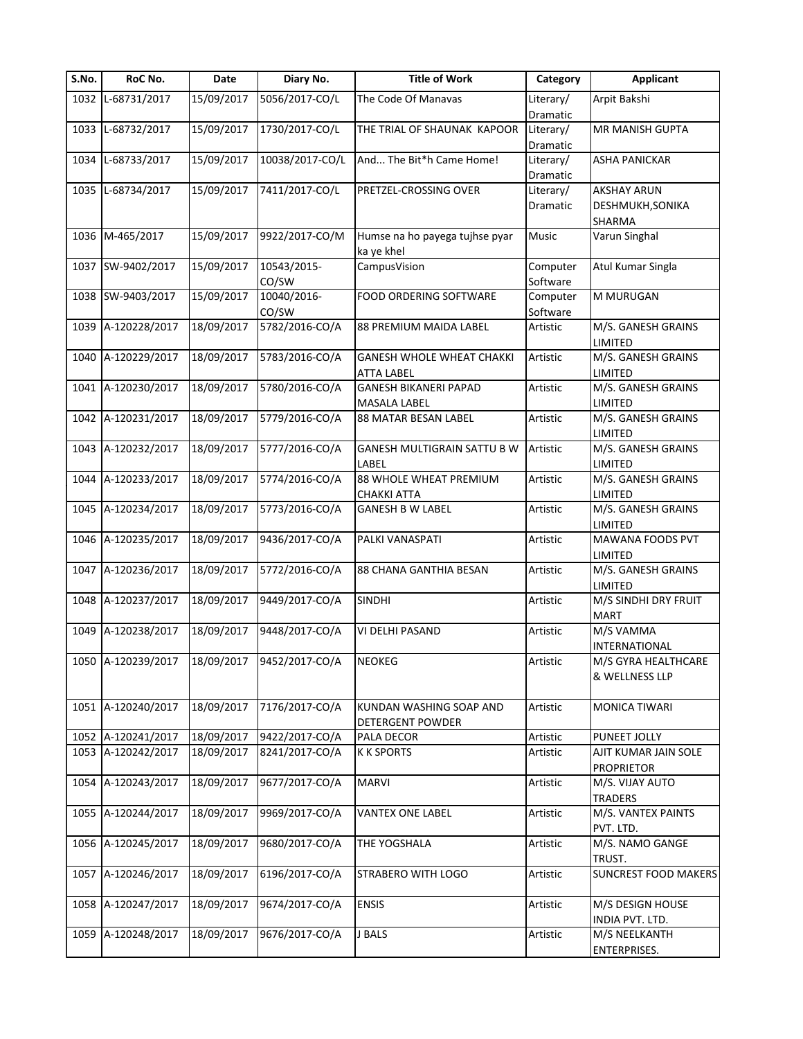| S.No. | RoC No.                       | Date       | Diary No.       | <b>Title of Work</b>               | Category  | <b>Applicant</b>            |
|-------|-------------------------------|------------|-----------------|------------------------------------|-----------|-----------------------------|
|       | 1032 L-68731/2017             | 15/09/2017 | 5056/2017-CO/L  | The Code Of Manavas                | Literary/ | Arpit Bakshi                |
|       |                               |            |                 |                                    | Dramatic  |                             |
|       | 1033 L-68732/2017             | 15/09/2017 | 1730/2017-CO/L  | THE TRIAL OF SHAUNAK KAPOOR        | Literary/ | MR MANISH GUPTA             |
|       |                               |            |                 |                                    | Dramatic  |                             |
| 1034  | L-68733/2017                  | 15/09/2017 | 10038/2017-CO/L | And The Bit*h Came Home!           | Literary/ | ASHA PANICKAR               |
|       |                               |            |                 |                                    | Dramatic  |                             |
|       | 1035 L-68734/2017             | 15/09/2017 | 7411/2017-CO/L  | PRETZEL-CROSSING OVER              | Literary/ | <b>AKSHAY ARUN</b>          |
|       |                               |            |                 |                                    | Dramatic  | DESHMUKH, SONIKA            |
|       |                               |            |                 |                                    |           | SHARMA                      |
|       | 1036 M-465/2017               | 15/09/2017 | 9922/2017-CO/M  | Humse na ho payega tujhse pyar     | Music     | Varun Singhal               |
|       |                               |            |                 | ka ye khel                         |           |                             |
|       | 1037 SW-9402/2017             | 15/09/2017 | 10543/2015-     | CampusVision                       | Computer  | Atul Kumar Singla           |
|       |                               |            | CO/SW           |                                    | Software  |                             |
|       | 1038 SW-9403/2017             | 15/09/2017 | 10040/2016-     | <b>FOOD ORDERING SOFTWARE</b>      | Computer  | M MURUGAN                   |
|       |                               |            | CO/SW           |                                    | Software  |                             |
|       | 1039 A-120228/2017            | 18/09/2017 | 5782/2016-CO/A  | 88 PREMIUM MAIDA LABEL             | Artistic  | M/S. GANESH GRAINS          |
|       |                               |            |                 |                                    |           | <b>LIMITED</b>              |
|       | 1040 A-120229/2017            | 18/09/2017 |                 |                                    |           |                             |
|       |                               |            | 5783/2016-CO/A  | <b>GANESH WHOLE WHEAT CHAKKI</b>   | Artistic  | M/S. GANESH GRAINS          |
|       |                               |            |                 | ATTA LABEL                         |           | <b>LIMITED</b>              |
|       | 1041 A-120230/2017            | 18/09/2017 | 5780/2016-CO/A  | <b>GANESH BIKANERI PAPAD</b>       | Artistic  | M/S. GANESH GRAINS          |
|       |                               |            |                 | <b>MASALA LABEL</b>                |           | LIMITED                     |
|       | 1042 A-120231/2017            | 18/09/2017 | 5779/2016-CO/A  | <b>88 MATAR BESAN LABEL</b>        | Artistic  | M/S. GANESH GRAINS          |
|       |                               |            |                 |                                    |           | LIMITED                     |
|       | 1043 A-120232/2017            | 18/09/2017 | 5777/2016-CO/A  | <b>GANESH MULTIGRAIN SATTU B W</b> | Artistic  | M/S. GANESH GRAINS          |
|       |                               |            |                 | LABEL                              |           | LIMITED                     |
|       | 1044 A-120233/2017            | 18/09/2017 | 5774/2016-CO/A  | 88 WHOLE WHEAT PREMIUM             | Artistic  | M/S. GANESH GRAINS          |
|       |                               |            |                 | <b>CHAKKI ATTA</b>                 |           | LIMITED                     |
|       | 1045 A-120234/2017            | 18/09/2017 | 5773/2016-CO/A  | <b>GANESH B W LABEL</b>            | Artistic  | M/S. GANESH GRAINS          |
|       |                               |            |                 |                                    |           | LIMITED                     |
|       | 1046 A-120235/2017            | 18/09/2017 | 9436/2017-CO/A  | PALKI VANASPATI                    | Artistic  | MAWANA FOODS PVT            |
|       |                               |            |                 |                                    |           | <b>LIMITED</b>              |
|       | 1047 A-120236/2017            | 18/09/2017 | 5772/2016-CO/A  | <b>88 CHANA GANTHIA BESAN</b>      | Artistic  | M/S. GANESH GRAINS          |
|       |                               |            |                 |                                    |           | LIMITED                     |
|       | 1048 A-120237/2017            | 18/09/2017 | 9449/2017-CO/A  | <b>SINDHI</b>                      | Artistic  | M/S SINDHI DRY FRUIT        |
|       |                               |            |                 |                                    |           | <b>MART</b>                 |
|       | 1049 A-120238/2017            | 18/09/2017 | 9448/2017-CO/A  | VI DELHI PASAND                    | Artistic  | M/S VAMMA                   |
|       |                               |            |                 |                                    |           |                             |
|       |                               |            |                 |                                    |           | <b>INTERNATIONAL</b>        |
|       | 1050 A-120239/2017 18/09/2017 |            | 9452/2017-CO/A  | <b>NEOKEG</b>                      | Artistic  | M/S GYRA HEALTHCARE         |
|       |                               |            |                 |                                    |           | & WELLNESS LLP              |
|       |                               |            |                 |                                    |           |                             |
|       | 1051 A-120240/2017            | 18/09/2017 | 7176/2017-CO/A  | KUNDAN WASHING SOAP AND            | Artistic  | <b>MONICA TIWARI</b>        |
|       |                               |            |                 | <b>DETERGENT POWDER</b>            |           |                             |
|       | 1052 A-120241/2017            | 18/09/2017 | 9422/2017-CO/A  | PALA DECOR                         | Artistic  | PUNEET JOLLY                |
|       | 1053 A-120242/2017            | 18/09/2017 | 8241/2017-CO/A  | <b>K K SPORTS</b>                  | Artistic  | AJIT KUMAR JAIN SOLE        |
|       |                               |            |                 |                                    |           | <b>PROPRIETOR</b>           |
|       | 1054 A-120243/2017            | 18/09/2017 | 9677/2017-CO/A  | <b>MARVI</b>                       | Artistic  | M/S. VIJAY AUTO             |
|       |                               |            |                 |                                    |           | <b>TRADERS</b>              |
|       | 1055 A-120244/2017            | 18/09/2017 | 9969/2017-CO/A  | <b>VANTEX ONE LABEL</b>            | Artistic  | M/S. VANTEX PAINTS          |
|       |                               |            |                 |                                    |           | PVT. LTD.                   |
|       | 1056 A-120245/2017            | 18/09/2017 | 9680/2017-CO/A  | THE YOGSHALA                       | Artistic  | M/S. NAMO GANGE             |
|       |                               |            |                 |                                    |           | TRUST.                      |
|       | 1057 A-120246/2017            | 18/09/2017 | 6196/2017-CO/A  | STRABERO WITH LOGO                 | Artistic  | <b>SUNCREST FOOD MAKERS</b> |
|       |                               |            |                 |                                    |           |                             |
|       | 1058 A-120247/2017            | 18/09/2017 | 9674/2017-CO/A  | <b>ENSIS</b>                       | Artistic  | M/S DESIGN HOUSE            |
|       |                               |            |                 |                                    |           | INDIA PVT. LTD.             |
|       | 1059 A-120248/2017            | 18/09/2017 | 9676/2017-CO/A  | J BALS                             | Artistic  | M/S NEELKANTH               |
|       |                               |            |                 |                                    |           | ENTERPRISES.                |
|       |                               |            |                 |                                    |           |                             |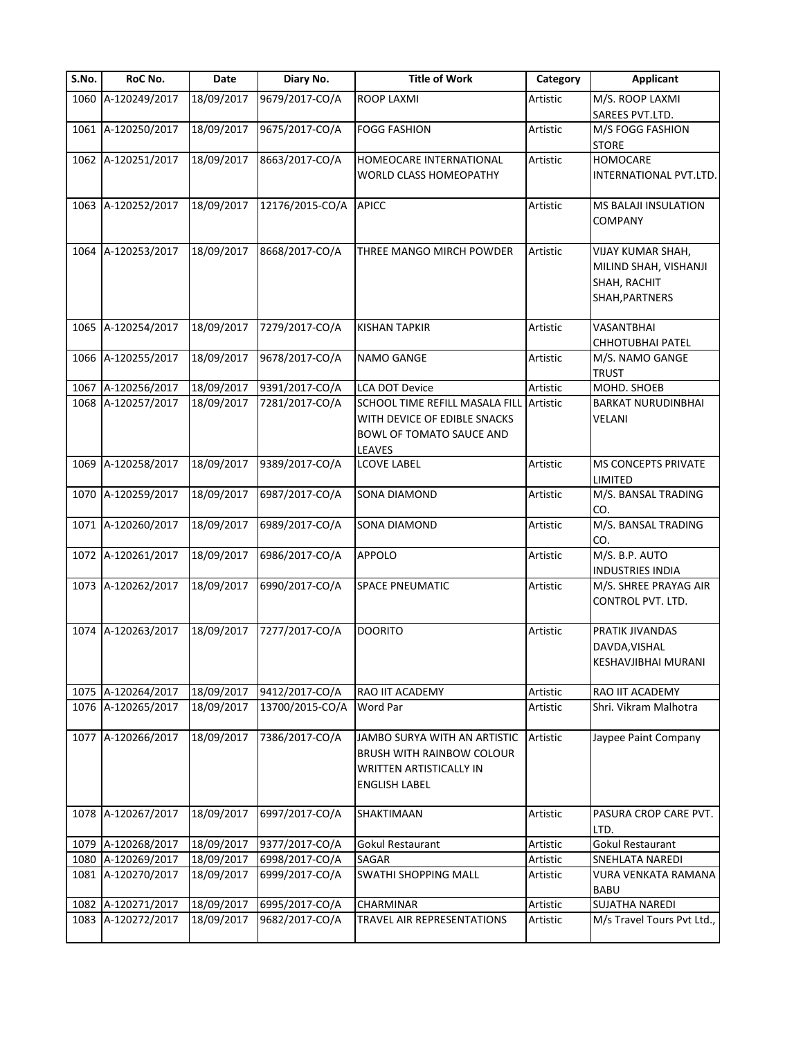| S.No. | RoC No.                                  | Date                     | Diary No.                        | <b>Title of Work</b>             | Category             | <b>Applicant</b>                       |
|-------|------------------------------------------|--------------------------|----------------------------------|----------------------------------|----------------------|----------------------------------------|
|       | 1060 A-120249/2017                       | 18/09/2017               | 9679/2017-CO/A                   | <b>ROOP LAXMI</b>                | Artistic             | M/S. ROOP LAXMI                        |
|       |                                          |                          |                                  |                                  |                      | SAREES PVT.LTD.                        |
|       | 1061 A-120250/2017                       | 18/09/2017               | 9675/2017-CO/A                   | <b>FOGG FASHION</b>              | Artistic             | M/S FOGG FASHION<br><b>STORE</b>       |
|       | 1062 A-120251/2017                       | 18/09/2017               | 8663/2017-CO/A                   | HOMEOCARE INTERNATIONAL          | Artistic             | <b>HOMOCARE</b>                        |
|       |                                          |                          |                                  | WORLD CLASS HOMEOPATHY           |                      | INTERNATIONAL PVT.LTD.                 |
|       | 1063 A-120252/2017                       | 18/09/2017               | 12176/2015-CO/A                  | <b>APICC</b>                     | Artistic             | MS BALAJI INSULATION                   |
|       |                                          |                          |                                  |                                  |                      | COMPANY                                |
|       | 1064 A-120253/2017                       | 18/09/2017               | 8668/2017-CO/A                   | THREE MANGO MIRCH POWDER         | Artistic             | VIJAY KUMAR SHAH,                      |
|       |                                          |                          |                                  |                                  |                      | MILIND SHAH, VISHANJI                  |
|       |                                          |                          |                                  |                                  |                      | SHAH, RACHIT                           |
|       |                                          |                          |                                  |                                  |                      | SHAH, PARTNERS                         |
|       | 1065 A-120254/2017                       | 18/09/2017               | 7279/2017-CO/A                   | <b>KISHAN TAPKIR</b>             | Artistic             | VASANTBHAI                             |
|       | 1066 A-120255/2017                       | 18/09/2017               | 9678/2017-CO/A                   | <b>NAMO GANGE</b>                | Artistic             | CHHOTUBHAI PATEL<br>M/S. NAMO GANGE    |
|       |                                          |                          |                                  |                                  |                      | <b>TRUST</b>                           |
| 1067  | A-120256/2017                            | 18/09/2017               | 9391/2017-CO/A                   | <b>LCA DOT Device</b>            | Artistic             | MOHD. SHOEB                            |
|       | 1068 A-120257/2017                       | 18/09/2017               | 7281/2017-CO/A                   | SCHOOL TIME REFILL MASALA FILL   | Artistic             | <b>BARKAT NURUDINBHAI</b>              |
|       |                                          |                          |                                  | WITH DEVICE OF EDIBLE SNACKS     |                      | VELANI                                 |
|       |                                          |                          |                                  | BOWL OF TOMATO SAUCE AND         |                      |                                        |
|       |                                          |                          |                                  | LEAVES                           |                      |                                        |
|       | 1069 A-120258/2017                       | 18/09/2017               | 9389/2017-CO/A                   | <b>LCOVE LABEL</b>               | Artistic             | MS CONCEPTS PRIVATE                    |
|       |                                          |                          |                                  |                                  |                      | LIMITED                                |
|       | 1070 A-120259/2017                       | 18/09/2017               | 6987/2017-CO/A                   | <b>SONA DIAMOND</b>              | Artistic             | M/S. BANSAL TRADING<br>CO.             |
|       | 1071 A-120260/2017                       | 18/09/2017               | 6989/2017-CO/A                   | <b>SONA DIAMOND</b>              | Artistic             | M/S. BANSAL TRADING<br>CO.             |
|       | 1072 A-120261/2017                       | 18/09/2017               | 6986/2017-CO/A                   | <b>APPOLO</b>                    | Artistic             | M/S. B.P. AUTO                         |
|       |                                          |                          |                                  |                                  |                      | <b>INDUSTRIES INDIA</b>                |
|       | 1073 A-120262/2017                       | 18/09/2017               | 6990/2017-CO/A                   | SPACE PNEUMATIC                  | Artistic             | M/S. SHREE PRAYAG AIR                  |
|       |                                          |                          |                                  |                                  |                      | CONTROL PVT. LTD.                      |
|       | 1074 A-120263/2017                       | 18/09/2017               | 7277/2017-CO/A                   | <b>DOORITO</b>                   | Artistic             | PRATIK JIVANDAS                        |
|       |                                          |                          |                                  |                                  |                      | DAVDA, VISHAL                          |
|       |                                          |                          |                                  |                                  |                      | KESHAVJIBHAI MURANI                    |
|       | 1075 A-120264/2017                       | 18/09/2017               | 9412/2017-CO/A                   | RAO IIT ACADEMY                  | Artistic             | RAO IIT ACADEMY                        |
|       | 1076 A-120265/2017                       | 18/09/2017               | 13700/2015-CO/A                  | Word Par                         | Artistic             | Shri. Vikram Malhotra                  |
|       | 1077 A-120266/2017                       | 18/09/2017               | 7386/2017-CO/A                   | JAMBO SURYA WITH AN ARTISTIC     | Artistic             | Jaypee Paint Company                   |
|       |                                          |                          |                                  | <b>BRUSH WITH RAINBOW COLOUR</b> |                      |                                        |
|       |                                          |                          |                                  | <b>WRITTEN ARTISTICALLY IN</b>   |                      |                                        |
|       |                                          |                          |                                  | <b>ENGLISH LABEL</b>             |                      |                                        |
|       | 1078 A-120267/2017                       | 18/09/2017               | 6997/2017-CO/A                   | SHAKTIMAAN                       | Artistic             | PASURA CROP CARE PVT.                  |
|       |                                          |                          |                                  |                                  |                      | LTD.                                   |
| 1079  | A-120268/2017                            | 18/09/2017               | 9377/2017-CO/A                   | Gokul Restaurant                 | Artistic             | <b>Gokul Restaurant</b>                |
|       | 1080 A-120269/2017<br>1081 A-120270/2017 | 18/09/2017<br>18/09/2017 | 6998/2017-CO/A<br>6999/2017-CO/A | SAGAR<br>SWATHI SHOPPING MALL    | Artistic<br>Artistic | SNEHLATA NAREDI<br>VURA VENKATA RAMANA |
|       |                                          |                          |                                  |                                  |                      | BABU                                   |
| 1082  | A-120271/2017                            | 18/09/2017               | 6995/2017-CO/A                   | CHARMINAR                        | Artistic             | <b>SUJATHA NAREDI</b>                  |
|       | 1083 A-120272/2017                       | 18/09/2017               | 9682/2017-CO/A                   | TRAVEL AIR REPRESENTATIONS       | Artistic             | M/s Travel Tours Pvt Ltd.,             |
|       |                                          |                          |                                  |                                  |                      |                                        |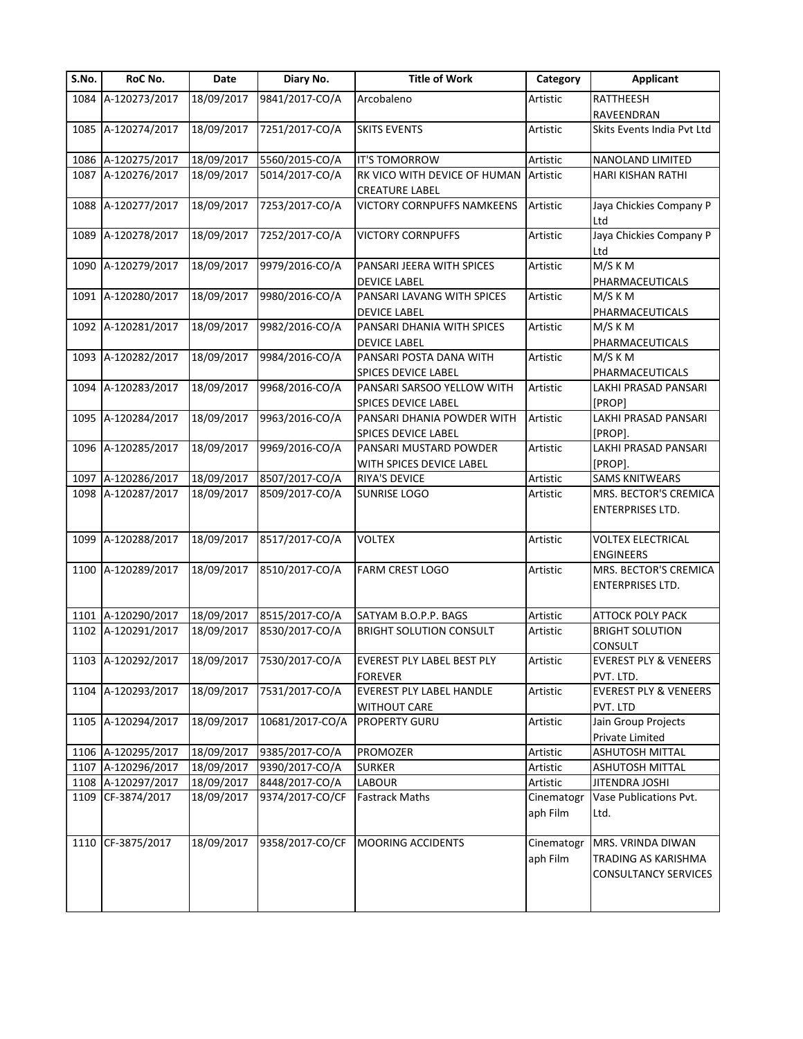| S.No. | RoC No.            | Date       | Diary No.       | <b>Title of Work</b>                                  | Category               | <b>Applicant</b>                                                        |
|-------|--------------------|------------|-----------------|-------------------------------------------------------|------------------------|-------------------------------------------------------------------------|
|       | 1084 A-120273/2017 | 18/09/2017 | 9841/2017-CO/A  | Arcobaleno                                            | Artistic               | RATTHEESH                                                               |
|       |                    |            |                 |                                                       |                        | RAVEENDRAN                                                              |
|       | 1085 A-120274/2017 | 18/09/2017 | 7251/2017-CO/A  | <b>SKITS EVENTS</b>                                   | Artistic               | Skits Events India Pvt Ltd                                              |
|       | 1086 A-120275/2017 | 18/09/2017 | 5560/2015-CO/A  | IT'S TOMORROW                                         | Artistic               | NANOLAND LIMITED                                                        |
| 1087  | A-120276/2017      | 18/09/2017 | 5014/2017-CO/A  | RK VICO WITH DEVICE OF HUMAN<br><b>CREATURE LABEL</b> | Artistic               | HARI KISHAN RATHI                                                       |
| 1088  | A-120277/2017      | 18/09/2017 | 7253/2017-CO/A  | <b>VICTORY CORNPUFFS NAMKEENS</b>                     | Artistic               | Jaya Chickies Company P<br>Ltd                                          |
| 1089  | A-120278/2017      | 18/09/2017 | 7252/2017-CO/A  | <b>VICTORY CORNPUFFS</b>                              | Artistic               | Jaya Chickies Company P<br>Ltd                                          |
| 1090  | A-120279/2017      | 18/09/2017 | 9979/2016-CO/A  | PANSARI JEERA WITH SPICES                             | Artistic               | M/S K M                                                                 |
|       |                    |            |                 | <b>DEVICE LABEL</b>                                   |                        | PHARMACEUTICALS                                                         |
|       | 1091 A-120280/2017 | 18/09/2017 | 9980/2016-CO/A  | PANSARI LAVANG WITH SPICES                            | Artistic               | M/S K M                                                                 |
|       |                    |            |                 | <b>DEVICE LABEL</b>                                   |                        | PHARMACEUTICALS                                                         |
|       | 1092 A-120281/2017 | 18/09/2017 | 9982/2016-CO/A  | PANSARI DHANIA WITH SPICES                            | Artistic               | M/S K M                                                                 |
|       |                    |            |                 | <b>DEVICE LABEL</b>                                   |                        | PHARMACEUTICALS                                                         |
|       | 1093 A-120282/2017 | 18/09/2017 | 9984/2016-CO/A  | PANSARI POSTA DANA WITH                               | Artistic               | M/S K M                                                                 |
|       |                    |            |                 | SPICES DEVICE LABEL                                   |                        | PHARMACEUTICALS                                                         |
| 1094  | A-120283/2017      | 18/09/2017 | 9968/2016-CO/A  | PANSARI SARSOO YELLOW WITH                            | Artistic               | LAKHI PRASAD PANSARI                                                    |
|       |                    |            |                 | SPICES DEVICE LABEL                                   |                        | [PROP]                                                                  |
|       | 1095 A-120284/2017 | 18/09/2017 | 9963/2016-CO/A  | PANSARI DHANIA POWDER WITH                            | Artistic               | LAKHI PRASAD PANSARI                                                    |
|       |                    |            |                 | SPICES DEVICE LABEL                                   |                        | [PROP].                                                                 |
|       | 1096 A-120285/2017 | 18/09/2017 | 9969/2016-CO/A  | PANSARI MUSTARD POWDER                                | Artistic               | LAKHI PRASAD PANSARI                                                    |
|       |                    |            |                 | WITH SPICES DEVICE LABEL                              |                        | [PROP].                                                                 |
| 1097  | A-120286/2017      | 18/09/2017 | 8507/2017-CO/A  | RIYA'S DEVICE                                         | Artistic               | <b>SAMS KNITWEARS</b>                                                   |
|       | 1098 A-120287/2017 | 18/09/2017 | 8509/2017-CO/A  | <b>SUNRISE LOGO</b>                                   | Artistic               | MRS. BECTOR'S CREMICA<br><b>ENTERPRISES LTD.</b>                        |
|       | 1099 A-120288/2017 | 18/09/2017 | 8517/2017-CO/A  | <b>VOLTEX</b>                                         | Artistic               | <b>VOLTEX ELECTRICAL</b><br><b>ENGINEERS</b>                            |
|       | 1100 A-120289/2017 | 18/09/2017 | 8510/2017-CO/A  | <b>FARM CREST LOGO</b>                                | Artistic               | MRS. BECTOR'S CREMICA<br><b>ENTERPRISES LTD.</b>                        |
| 1101  | A-120290/2017      | 18/09/2017 | 8515/2017-CO/A  | SATYAM B.O.P.P. BAGS                                  | Artistic               | <b>ATTOCK POLY PACK</b>                                                 |
|       | 1102 A-120291/2017 | 18/09/2017 | 8530/2017-CO/A  | <b>BRIGHT SOLUTION CONSULT</b>                        | Artistic               | <b>BRIGHT SOLUTION</b><br><b>CONSULT</b>                                |
|       | 1103 A-120292/2017 | 18/09/2017 | 7530/2017-CO/A  | <b>EVEREST PLY LABEL BEST PLY</b><br><b>FOREVER</b>   | Artistic               | <b>EVEREST PLY &amp; VENEERS</b><br>PVT. LTD.                           |
|       | 1104 A-120293/2017 | 18/09/2017 | 7531/2017-CO/A  | EVEREST PLY LABEL HANDLE                              | Artistic               | <b>EVEREST PLY &amp; VENEERS</b>                                        |
|       |                    |            |                 | <b>WITHOUT CARE</b>                                   |                        | PVT. LTD                                                                |
|       | 1105 A-120294/2017 | 18/09/2017 | 10681/2017-CO/A | <b>PROPERTY GURU</b>                                  | Artistic               | Jain Group Projects<br>Private Limited                                  |
|       | 1106 A-120295/2017 | 18/09/2017 | 9385/2017-CO/A  | PROMOZER                                              | Artistic               | <b>ASHUTOSH MITTAL</b>                                                  |
|       | 1107 A-120296/2017 | 18/09/2017 | 9390/2017-CO/A  | <b>SURKER</b>                                         | Artistic               | ASHUTOSH MITTAL                                                         |
|       | 1108 A-120297/2017 | 18/09/2017 | 8448/2017-CO/A  | LABOUR                                                | Artistic               | JITENDRA JOSHI                                                          |
|       | 1109 CF-3874/2017  | 18/09/2017 | 9374/2017-CO/CF | <b>Fastrack Maths</b>                                 | Cinematogr             | Vase Publications Pvt.                                                  |
|       |                    |            |                 |                                                       | aph Film               | Ltd.                                                                    |
|       | 1110 CF-3875/2017  | 18/09/2017 | 9358/2017-CO/CF | <b>MOORING ACCIDENTS</b>                              | Cinematogr<br>aph Film | MRS. VRINDA DIWAN<br>TRADING AS KARISHMA<br><b>CONSULTANCY SERVICES</b> |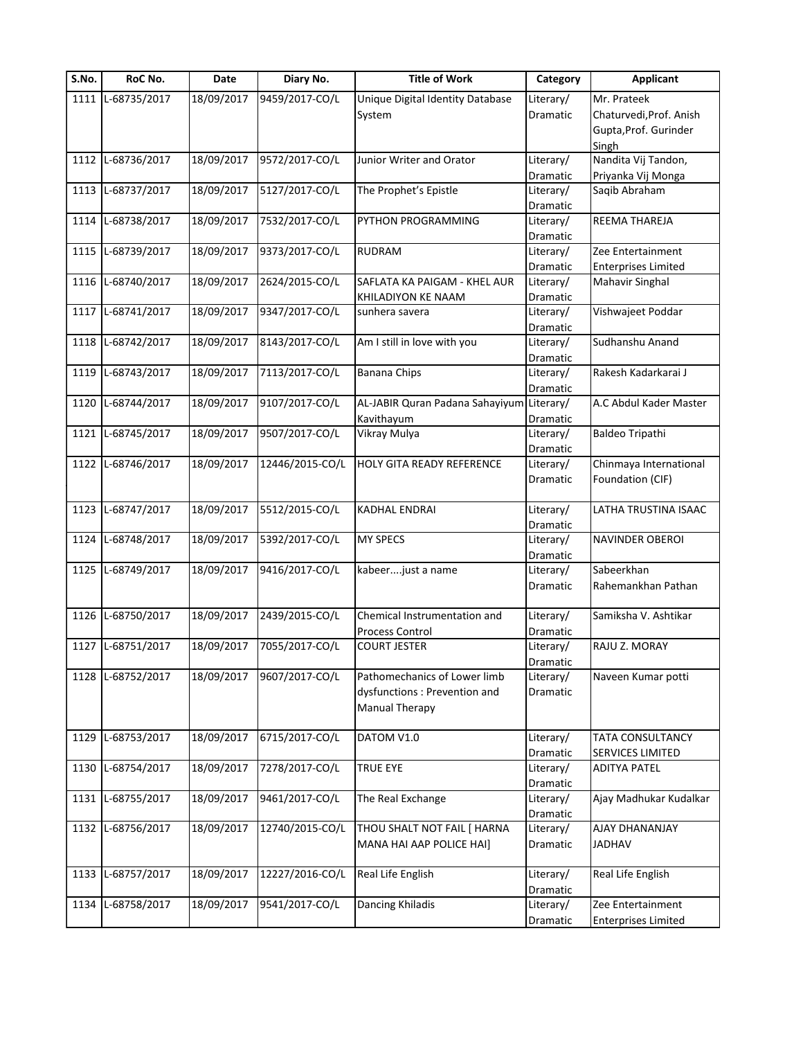| S.No. | RoC No.           | Date       | Diary No.       | <b>Title of Work</b>             | Category  | <b>Applicant</b>           |
|-------|-------------------|------------|-----------------|----------------------------------|-----------|----------------------------|
|       | 1111 L-68735/2017 | 18/09/2017 | 9459/2017-CO/L  | Unique Digital Identity Database | Literary/ | Mr. Prateek                |
|       |                   |            |                 | System                           | Dramatic  | Chaturvedi, Prof. Anish    |
|       |                   |            |                 |                                  |           | Gupta, Prof. Gurinder      |
|       |                   |            |                 |                                  |           | Singh                      |
| 1112  | L-68736/2017      | 18/09/2017 | 9572/2017-CO/L  | Junior Writer and Orator         | Literary/ | Nandita Vij Tandon,        |
|       |                   |            |                 |                                  | Dramatic  | Priyanka Vij Monga         |
|       | 1113 L-68737/2017 | 18/09/2017 | 5127/2017-CO/L  | The Prophet's Epistle            | Literary/ | Saqib Abraham              |
|       |                   |            |                 |                                  | Dramatic  |                            |
| 1114  | L-68738/2017      | 18/09/2017 | 7532/2017-CO/L  | PYTHON PROGRAMMING               | Literary/ | REEMA THAREJA              |
|       |                   |            |                 |                                  | Dramatic  |                            |
| 1115  | L-68739/2017      | 18/09/2017 | 9373/2017-CO/L  | RUDRAM                           | Literary/ | Zee Entertainment          |
|       |                   |            |                 |                                  | Dramatic  | <b>Enterprises Limited</b> |
| 1116  | L-68740/2017      | 18/09/2017 | 2624/2015-CO/L  | SAFLATA KA PAIGAM - KHEL AUR     | Literary/ | <b>Mahavir Singhal</b>     |
|       |                   |            |                 | KHILADIYON KE NAAM               | Dramatic  |                            |
|       | 1117 L-68741/2017 | 18/09/2017 | 9347/2017-CO/L  | sunhera savera                   | Literary/ | Vishwajeet Poddar          |
|       |                   |            |                 |                                  | Dramatic  |                            |
|       | 1118 L-68742/2017 | 18/09/2017 | 8143/2017-CO/L  | Am I still in love with you      | Literary/ | Sudhanshu Anand            |
|       |                   |            |                 |                                  | Dramatic  |                            |
| 1119  | L-68743/2017      | 18/09/2017 | 7113/2017-CO/L  | <b>Banana Chips</b>              | Literary/ | Rakesh Kadarkarai J        |
|       |                   |            |                 |                                  |           |                            |
|       |                   |            |                 |                                  | Dramatic  |                            |
| 1120  | L-68744/2017      | 18/09/2017 | 9107/2017-CO/L  | AL-JABIR Quran Padana Sahayiyum  | Literary/ | A.C Abdul Kader Master     |
|       |                   |            |                 | Kavithayum                       | Dramatic  |                            |
| 1121  | L-68745/2017      | 18/09/2017 | 9507/2017-CO/L  | Vikray Mulya                     | Literary/ | Baldeo Tripathi            |
|       |                   |            |                 |                                  | Dramatic  |                            |
|       | 1122 L-68746/2017 | 18/09/2017 | 12446/2015-CO/L | HOLY GITA READY REFERENCE        | Literary/ | Chinmaya International     |
|       |                   |            |                 |                                  | Dramatic  | Foundation (CIF)           |
|       |                   |            |                 |                                  |           |                            |
|       | 1123 L-68747/2017 | 18/09/2017 | 5512/2015-CO/L  | KADHAL ENDRAI                    | Literary/ | LATHA TRUSTINA ISAAC       |
|       |                   |            |                 |                                  | Dramatic  |                            |
|       | 1124 L-68748/2017 | 18/09/2017 | 5392/2017-CO/L  | <b>MY SPECS</b>                  | Literary/ | <b>NAVINDER OBEROI</b>     |
|       |                   |            |                 |                                  | Dramatic  |                            |
|       | 1125 L-68749/2017 | 18/09/2017 | 9416/2017-CO/L  | kabeerjust a name                | Literary/ | Sabeerkhan                 |
|       |                   |            |                 |                                  | Dramatic  | Rahemankhan Pathan         |
|       |                   |            |                 |                                  |           |                            |
| 1126  | L-68750/2017      | 18/09/2017 | 2439/2015-CO/L  | Chemical Instrumentation and     | Literary/ | Samiksha V. Ashtikar       |
|       |                   |            |                 | Process Control                  | Dramatic  |                            |
|       | 1127 L-68751/2017 | 18/09/2017 | 7055/2017-CO/L  | <b>COURT JESTER</b>              | Literary/ | RAJU Z. MORAY              |
|       |                   |            |                 |                                  |           |                            |
|       |                   |            |                 |                                  | Dramatic  |                            |
|       | 1128 L-68752/2017 | 18/09/2017 | 9607/2017-CO/L  | Pathomechanics of Lower limb     | Literary/ | Naveen Kumar potti         |
|       |                   |            |                 | dysfunctions : Prevention and    | Dramatic  |                            |
|       |                   |            |                 | Manual Therapy                   |           |                            |
|       |                   |            |                 |                                  |           |                            |
| 1129  | L-68753/2017      | 18/09/2017 | 6715/2017-CO/L  | DATOM V1.0                       | Literary/ | TATA CONSULTANCY           |
|       |                   |            |                 |                                  | Dramatic  | SERVICES LIMITED           |
|       | 1130 L-68754/2017 | 18/09/2017 | 7278/2017-CO/L  | <b>TRUE EYE</b>                  | Literary/ | <b>ADITYA PATEL</b>        |
|       |                   |            |                 |                                  | Dramatic  |                            |
|       | 1131 L-68755/2017 | 18/09/2017 | 9461/2017-CO/L  | The Real Exchange                | Literary/ | Ajay Madhukar Kudalkar     |
|       |                   |            |                 |                                  | Dramatic  |                            |
| 1132  | L-68756/2017      | 18/09/2017 | 12740/2015-CO/L | THOU SHALT NOT FAIL [ HARNA      | Literary/ | AJAY DHANANJAY             |
|       |                   |            |                 | MANA HAI AAP POLICE HAI]         | Dramatic  | <b>JADHAV</b>              |
|       |                   |            |                 |                                  |           |                            |
|       | 1133 L-68757/2017 | 18/09/2017 | 12227/2016-CO/L | Real Life English                | Literary/ | Real Life English          |
|       |                   |            |                 |                                  | Dramatic  |                            |
| 1134  | L-68758/2017      | 18/09/2017 | 9541/2017-CO/L  | Dancing Khiladis                 |           | Zee Entertainment          |
|       |                   |            |                 |                                  | Literary/ |                            |
|       |                   |            |                 |                                  | Dramatic  | <b>Enterprises Limited</b> |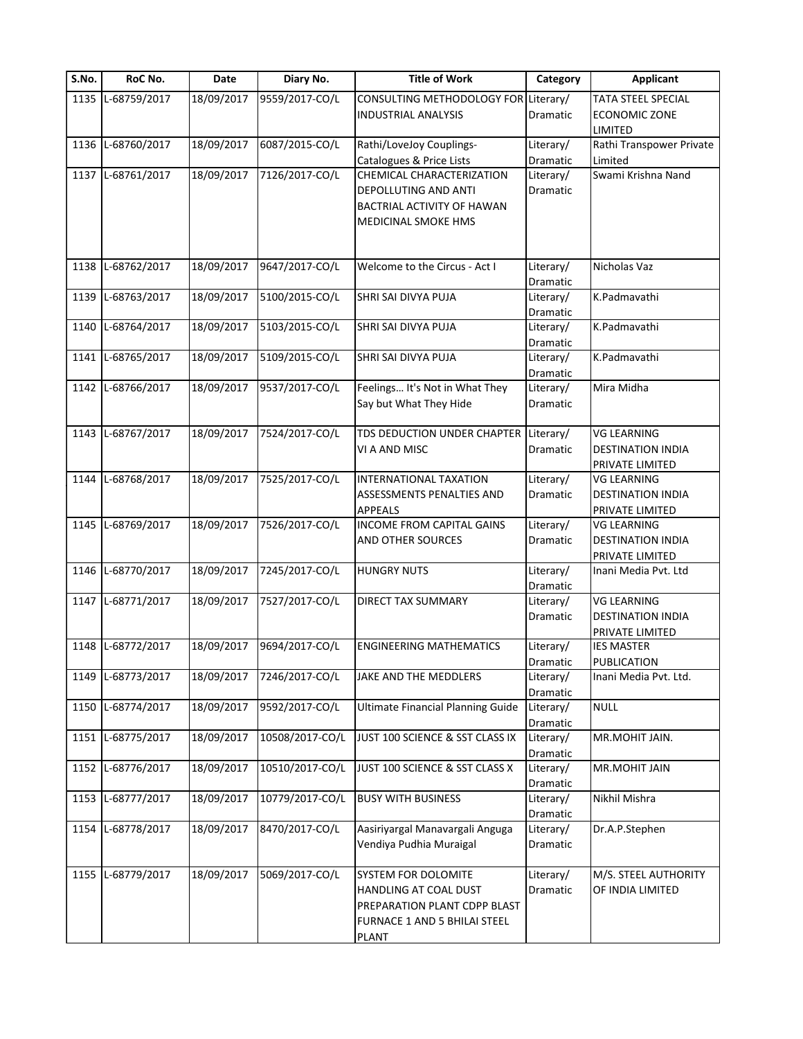| S.No. | RoC No.           | Date       | Diary No.       | <b>Title of Work</b>                                                                                                                      | Category                          | <b>Applicant</b>                                                  |
|-------|-------------------|------------|-----------------|-------------------------------------------------------------------------------------------------------------------------------------------|-----------------------------------|-------------------------------------------------------------------|
| 1135  | L-68759/2017      | 18/09/2017 | 9559/2017-CO/L  | CONSULTING METHODOLOGY FOR Literary/<br><b>INDUSTRIAL ANALYSIS</b>                                                                        | Dramatic                          | <b>TATA STEEL SPECIAL</b><br><b>ECONOMIC ZONE</b>                 |
| 1136  | L-68760/2017      | 18/09/2017 | 6087/2015-CO/L  | Rathi/LoveJoy Couplings-                                                                                                                  | Literary/                         | LIMITED<br>Rathi Transpower Private                               |
| 1137  | L-68761/2017      | 18/09/2017 | 7126/2017-CO/L  | Catalogues & Price Lists<br>CHEMICAL CHARACTERIZATION<br>DEPOLLUTING AND ANTI<br><b>BACTRIAL ACTIVITY OF HAWAN</b><br>MEDICINAL SMOKE HMS | Dramatic<br>Literary/<br>Dramatic | Limited<br>Swami Krishna Nand                                     |
| 1138  | L-68762/2017      | 18/09/2017 | 9647/2017-CO/L  | Welcome to the Circus - Act I                                                                                                             | Literary/<br>Dramatic             | Nicholas Vaz                                                      |
| 1139  | L-68763/2017      | 18/09/2017 | 5100/2015-CO/L  | SHRI SAI DIVYA PUJA                                                                                                                       | Literary/<br>Dramatic             | K.Padmavathi                                                      |
| 1140  | L-68764/2017      | 18/09/2017 | 5103/2015-CO/L  | SHRI SAI DIVYA PUJA                                                                                                                       | Literary/<br>Dramatic             | K.Padmavathi                                                      |
| 1141  | L-68765/2017      | 18/09/2017 | 5109/2015-CO/L  | SHRI SAI DIVYA PUJA                                                                                                                       | Literary/<br>Dramatic             | K.Padmavathi                                                      |
| 1142  | L-68766/2017      | 18/09/2017 | 9537/2017-CO/L  | Feelings It's Not in What They<br>Say but What They Hide                                                                                  | Literary/<br>Dramatic             | Mira Midha                                                        |
|       | 1143 L-68767/2017 | 18/09/2017 | 7524/2017-CO/L  | TDS DEDUCTION UNDER CHAPTER Literary/<br>VI A AND MISC                                                                                    | Dramatic                          | <b>VG LEARNING</b><br><b>DESTINATION INDIA</b><br>PRIVATE LIMITED |
| 1144  | L-68768/2017      | 18/09/2017 | 7525/2017-CO/L  | INTERNATIONAL TAXATION<br>ASSESSMENTS PENALTIES AND<br><b>APPEALS</b>                                                                     | Literary/<br>Dramatic             | <b>VG LEARNING</b><br><b>DESTINATION INDIA</b><br>PRIVATE LIMITED |
| 1145  | L-68769/2017      | 18/09/2017 | 7526/2017-CO/L  | INCOME FROM CAPITAL GAINS<br>AND OTHER SOURCES                                                                                            | Literary/<br>Dramatic             | <b>VG LEARNING</b><br><b>DESTINATION INDIA</b><br>PRIVATE LIMITED |
| 1146  | L-68770/2017      | 18/09/2017 | 7245/2017-CO/L  | <b>HUNGRY NUTS</b>                                                                                                                        | Literary/<br>Dramatic             | Inani Media Pvt. Ltd                                              |
| 1147  | L-68771/2017      | 18/09/2017 | 7527/2017-CO/L  | DIRECT TAX SUMMARY                                                                                                                        | Literary/<br>Dramatic             | <b>VG LEARNING</b><br><b>DESTINATION INDIA</b><br>PRIVATE LIMITED |
|       | 1148 L-68772/2017 | 18/09/2017 | 9694/2017-CO/L  | <b>ENGINEERING MATHEMATICS</b>                                                                                                            | Literary/<br>Dramatic             | <b>IES MASTER</b><br>PUBLICATION                                  |
| 1149  | L-68773/2017      | 18/09/2017 | 7246/2017-CO/L  | JAKE AND THE MEDDLERS                                                                                                                     | Literary/<br>Dramatic             | Inani Media Pvt. Ltd.                                             |
| 1150  | L-68774/2017      | 18/09/2017 | 9592/2017-CO/L  | <b>Ultimate Financial Planning Guide</b>                                                                                                  | Literary/<br>Dramatic             | <b>NULL</b>                                                       |
|       | 1151 L-68775/2017 | 18/09/2017 | 10508/2017-CO/L | JUST 100 SCIENCE & SST CLASS IX                                                                                                           | Literary/<br>Dramatic             | MR.MOHIT JAIN.                                                    |
| 1152  | L-68776/2017      | 18/09/2017 | 10510/2017-CO/L | JUST 100 SCIENCE & SST CLASS X                                                                                                            | Literary/<br>Dramatic             | MR.MOHIT JAIN                                                     |
| 1153  | L-68777/2017      | 18/09/2017 | 10779/2017-CO/L | <b>BUSY WITH BUSINESS</b>                                                                                                                 | Literary/<br>Dramatic             | Nikhil Mishra                                                     |
| 1154  | L-68778/2017      | 18/09/2017 | 8470/2017-CO/L  | Aasiriyargal Manavargali Anguga<br>Vendiya Pudhia Muraigal                                                                                | Literary/<br>Dramatic             | Dr.A.P.Stephen                                                    |
| 1155  | L-68779/2017      | 18/09/2017 | 5069/2017-CO/L  | SYSTEM FOR DOLOMITE<br>HANDLING AT COAL DUST<br>PREPARATION PLANT CDPP BLAST<br>FURNACE 1 AND 5 BHILAI STEEL<br><b>PLANT</b>              | Literary/<br><b>Dramatic</b>      | M/S. STEEL AUTHORITY<br>OF INDIA LIMITED                          |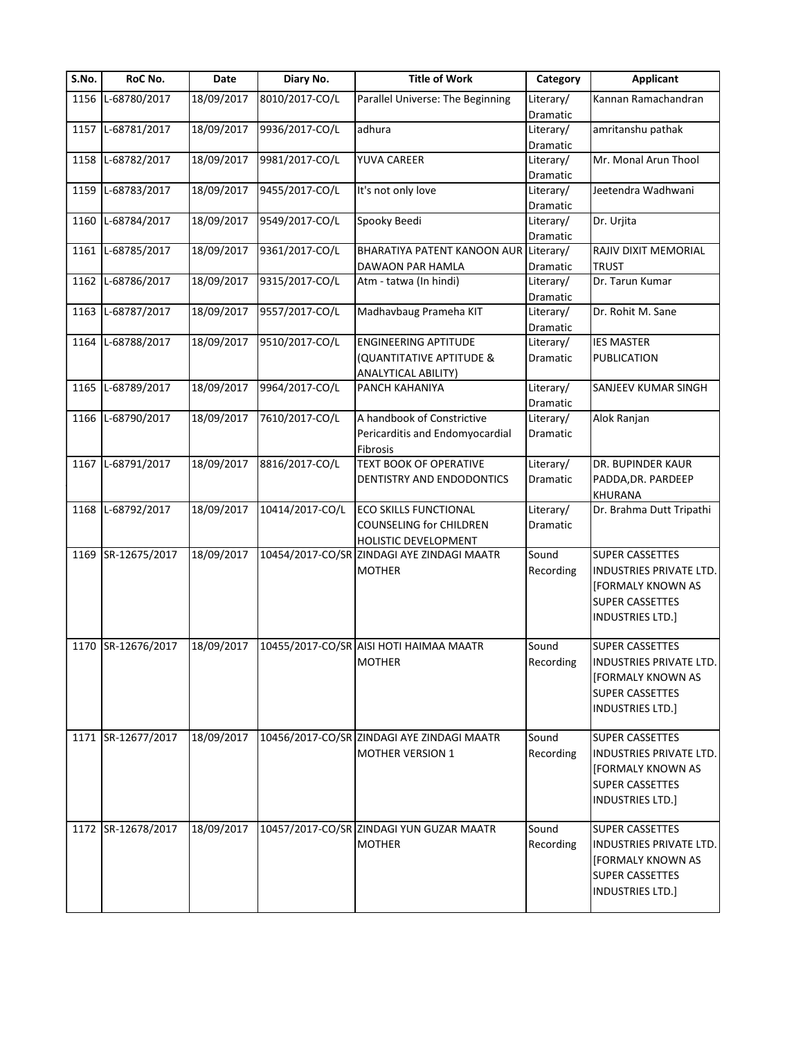| S.No. | RoC No.            | Date       | Diary No.       | <b>Title of Work</b>                                               | Category        | <b>Applicant</b>               |
|-------|--------------------|------------|-----------------|--------------------------------------------------------------------|-----------------|--------------------------------|
| 1156  | L-68780/2017       | 18/09/2017 | 8010/2017-CO/L  | Parallel Universe: The Beginning                                   | Literary/       | Kannan Ramachandran            |
|       |                    |            |                 |                                                                    | Dramatic        |                                |
| 1157  | L-68781/2017       | 18/09/2017 | 9936/2017-CO/L  | adhura                                                             | Literary/       | amritanshu pathak              |
|       |                    |            |                 |                                                                    | Dramatic        |                                |
| 1158  | L-68782/2017       | 18/09/2017 | 9981/2017-CO/L  | YUVA CAREER                                                        | Literary/       | Mr. Monal Arun Thool           |
|       |                    |            |                 |                                                                    | Dramatic        |                                |
| 1159  | L-68783/2017       | 18/09/2017 | 9455/2017-CO/L  | It's not only love                                                 | Literary/       | Jeetendra Wadhwani             |
|       |                    |            |                 |                                                                    | Dramatic        |                                |
| 1160  | L-68784/2017       | 18/09/2017 | 9549/2017-CO/L  | Spooky Beedi                                                       | Literary/       | Dr. Urjita                     |
|       |                    |            |                 |                                                                    | Dramatic        |                                |
| 1161  | L-68785/2017       | 18/09/2017 | 9361/2017-CO/L  | BHARATIYA PATENT KANOON AUR                                        | Literary/       | RAJIV DIXIT MEMORIAL           |
|       |                    |            |                 | DAWAON PAR HAMLA                                                   | Dramatic        | <b>TRUST</b>                   |
| 1162  | L-68786/2017       | 18/09/2017 | 9315/2017-CO/L  | Atm - tatwa (In hindi)                                             | Literary/       | Dr. Tarun Kumar                |
|       |                    |            |                 |                                                                    | Dramatic        |                                |
| 1163  | L-68787/2017       | 18/09/2017 | 9557/2017-CO/L  | Madhavbaug Prameha KIT                                             | Literary/       | Dr. Rohit M. Sane              |
|       |                    |            |                 |                                                                    | Dramatic        |                                |
| 1164  | L-68788/2017       | 18/09/2017 | 9510/2017-CO/L  | <b>ENGINEERING APTITUDE</b>                                        | Literary/       | <b>IES MASTER</b>              |
|       |                    |            |                 | (QUANTITATIVE APTITUDE &                                           | <b>Dramatic</b> | <b>PUBLICATION</b>             |
|       |                    |            |                 | ANALYTICAL ABILITY)                                                |                 |                                |
| 1165  | L-68789/2017       | 18/09/2017 | 9964/2017-CO/L  | PANCH KAHANIYA                                                     | Literary/       | SANJEEV KUMAR SINGH            |
|       |                    |            |                 |                                                                    | Dramatic        |                                |
| 1166  | L-68790/2017       | 18/09/2017 | 7610/2017-CO/L  | A handbook of Constrictive                                         | Literary/       | Alok Ranjan                    |
|       |                    |            |                 | Pericarditis and Endomyocardial                                    | <b>Dramatic</b> |                                |
|       |                    |            |                 | Fibrosis                                                           |                 |                                |
| 1167  | L-68791/2017       | 18/09/2017 | 8816/2017-CO/L  | TEXT BOOK OF OPERATIVE                                             | Literary/       | DR. BUPINDER KAUR              |
|       |                    |            |                 | DENTISTRY AND ENDODONTICS                                          | Dramatic        | PADDA, DR. PARDEEP             |
|       |                    |            |                 |                                                                    |                 | <b>KHURANA</b>                 |
|       | 1168 L-68792/2017  | 18/09/2017 | 10414/2017-CO/L | ECO SKILLS FUNCTIONAL                                              | Literary/       | Dr. Brahma Dutt Tripathi       |
|       |                    |            |                 |                                                                    |                 |                                |
|       |                    |            |                 | COUNSELING for CHILDREN                                            | Dramatic        |                                |
| 1169  | SR-12675/2017      | 18/09/2017 |                 | HOLISTIC DEVELOPMENT<br>10454/2017-CO/SR ZINDAGI AYE ZINDAGI MAATR | Sound           | <b>SUPER CASSETTES</b>         |
|       |                    |            |                 |                                                                    |                 |                                |
|       |                    |            |                 | <b>MOTHER</b>                                                      | Recording       | INDUSTRIES PRIVATE LTD.        |
|       |                    |            |                 |                                                                    |                 | [FORMALY KNOWN AS              |
|       |                    |            |                 |                                                                    |                 | <b>SUPER CASSETTES</b>         |
|       |                    |            |                 |                                                                    |                 | <b>INDUSTRIES LTD.]</b>        |
|       |                    |            |                 |                                                                    |                 |                                |
|       | 1170 SR-12676/2017 | 18/09/2017 |                 | 10455/2017-CO/SR AISI HOTI HAIMAA MAATR                            | Sound           | SUPER CASSETTES                |
|       |                    |            |                 | <b>MOTHER</b>                                                      | Recording       | INDUSTRIES PRIVATE LTD.        |
|       |                    |            |                 |                                                                    |                 | <b>[FORMALY KNOWN AS</b>       |
|       |                    |            |                 |                                                                    |                 | <b>SUPER CASSETTES</b>         |
|       |                    |            |                 |                                                                    |                 | <b>INDUSTRIES LTD.]</b>        |
|       |                    |            |                 |                                                                    |                 |                                |
|       | 1171 SR-12677/2017 | 18/09/2017 |                 | 10456/2017-CO/SR ZINDAGI AYE ZINDAGI MAATR                         | Sound           | SUPER CASSETTES                |
|       |                    |            |                 | <b>MOTHER VERSION 1</b>                                            | Recording       | <b>INDUSTRIES PRIVATE LTD.</b> |
|       |                    |            |                 |                                                                    |                 | <b>[FORMALY KNOWN AS</b>       |
|       |                    |            |                 |                                                                    |                 | <b>SUPER CASSETTES</b>         |
|       |                    |            |                 |                                                                    |                 | <b>INDUSTRIES LTD.]</b>        |
|       |                    |            |                 |                                                                    |                 |                                |
|       | 1172 SR-12678/2017 | 18/09/2017 |                 | 10457/2017-CO/SR ZINDAGI YUN GUZAR MAATR                           | Sound           | <b>SUPER CASSETTES</b>         |
|       |                    |            |                 | <b>MOTHER</b>                                                      | Recording       | <b>INDUSTRIES PRIVATE LTD.</b> |
|       |                    |            |                 |                                                                    |                 | <b>[FORMALY KNOWN AS</b>       |
|       |                    |            |                 |                                                                    |                 | <b>SUPER CASSETTES</b>         |
|       |                    |            |                 |                                                                    |                 |                                |
|       |                    |            |                 |                                                                    |                 | INDUSTRIES LTD.]               |
|       |                    |            |                 |                                                                    |                 |                                |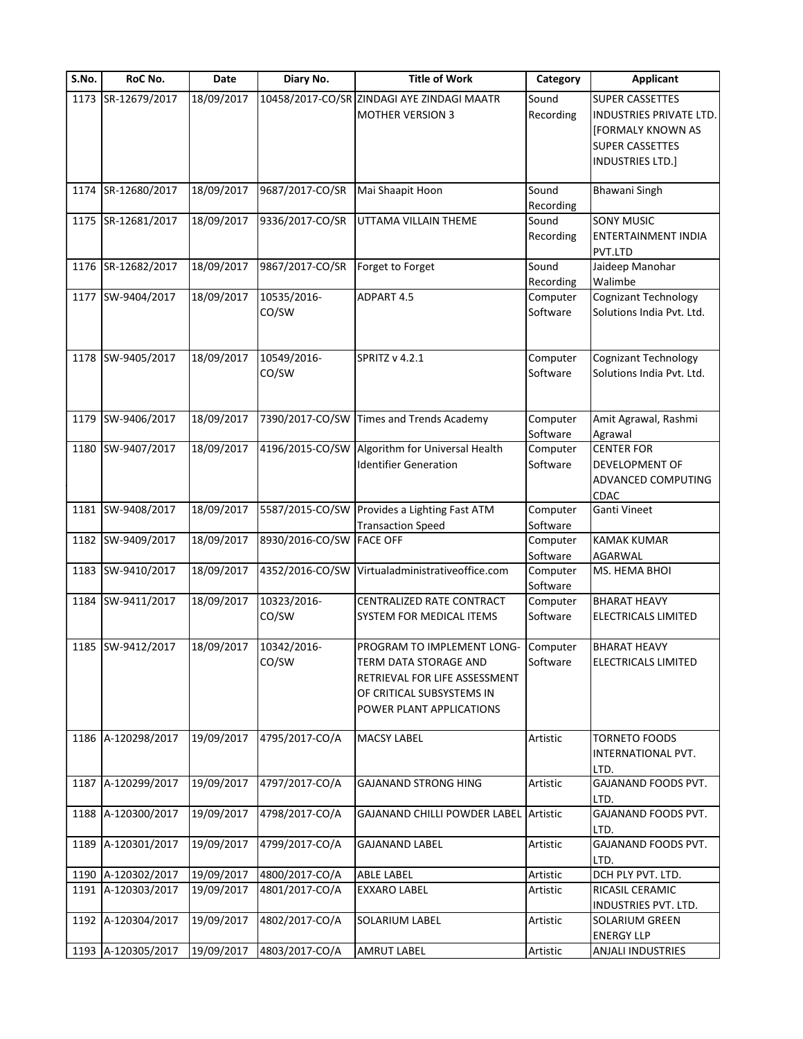| S.No. | RoC No.            | Date       | Diary No.                | <b>Title of Work</b>                                                                                                                          | Category             | <b>Applicant</b>                                                                                                     |
|-------|--------------------|------------|--------------------------|-----------------------------------------------------------------------------------------------------------------------------------------------|----------------------|----------------------------------------------------------------------------------------------------------------------|
|       | 1173 SR-12679/2017 | 18/09/2017 |                          | 10458/2017-CO/SR ZINDAGI AYE ZINDAGI MAATR<br><b>MOTHER VERSION 3</b>                                                                         | Sound<br>Recording   | <b>SUPER CASSETTES</b><br>INDUSTRIES PRIVATE LTD.<br>[FORMALY KNOWN AS<br><b>SUPER CASSETTES</b><br>INDUSTRIES LTD.] |
|       | 1174 SR-12680/2017 | 18/09/2017 | 9687/2017-CO/SR          | Mai Shaapit Hoon                                                                                                                              | Sound<br>Recording   | <b>Bhawani Singh</b>                                                                                                 |
|       | 1175 SR-12681/2017 | 18/09/2017 | 9336/2017-CO/SR          | UTTAMA VILLAIN THEME                                                                                                                          | Sound<br>Recording   | <b>SONY MUSIC</b><br>ENTERTAINMENT INDIA<br>PVT.LTD                                                                  |
|       | 1176 SR-12682/2017 | 18/09/2017 | 9867/2017-CO/SR          | Forget to Forget                                                                                                                              | Sound<br>Recording   | Jaideep Manohar<br>Walimbe                                                                                           |
|       | 1177 SW-9404/2017  | 18/09/2017 | 10535/2016-<br>CO/SW     | ADPART 4.5                                                                                                                                    | Computer<br>Software | Cognizant Technology<br>Solutions India Pvt. Ltd.                                                                    |
|       | 1178 SW-9405/2017  | 18/09/2017 | 10549/2016-<br>CO/SW     | <b>SPRITZ v 4.2.1</b>                                                                                                                         | Computer<br>Software | Cognizant Technology<br>Solutions India Pvt. Ltd.                                                                    |
| 1179  | SW-9406/2017       | 18/09/2017 | 7390/2017-CO/SW          | <b>Times and Trends Academy</b>                                                                                                               | Computer<br>Software | Amit Agrawal, Rashmi<br>Agrawal                                                                                      |
|       | 1180 SW-9407/2017  | 18/09/2017 | 4196/2015-CO/SW          | Algorithm for Universal Health<br><b>Identifier Generation</b>                                                                                | Computer<br>Software | <b>CENTER FOR</b><br>DEVELOPMENT OF<br>ADVANCED COMPUTING<br>CDAC                                                    |
|       | 1181 SW-9408/2017  | 18/09/2017 | 5587/2015-CO/SW          | Provides a Lighting Fast ATM<br><b>Transaction Speed</b>                                                                                      | Computer<br>Software | Ganti Vineet                                                                                                         |
|       | 1182 SW-9409/2017  | 18/09/2017 | 8930/2016-CO/SW FACE OFF |                                                                                                                                               | Computer<br>Software | <b>KAMAK KUMAR</b><br>AGARWAL                                                                                        |
|       | 1183 SW-9410/2017  | 18/09/2017 | 4352/2016-CO/SW          | Virtualadministrativeoffice.com                                                                                                               | Computer<br>Software | MS. HEMA BHOI                                                                                                        |
|       | 1184 SW-9411/2017  | 18/09/2017 | 10323/2016-<br>CO/SW     | CENTRALIZED RATE CONTRACT<br>SYSTEM FOR MEDICAL ITEMS                                                                                         | Computer<br>Software | <b>BHARAT HEAVY</b><br>ELECTRICALS LIMITED                                                                           |
|       | 1185 SW-9412/2017  | 18/09/2017 | 10342/2016-<br>CO/SW     | PROGRAM TO IMPLEMENT LONG-<br>TERM DATA STORAGE AND<br>RETRIEVAL FOR LIFE ASSESSMENT<br>OF CRITICAL SUBSYSTEMS IN<br>POWER PLANT APPLICATIONS | Computer<br>Software | <b>BHARAT HEAVY</b><br>ELECTRICALS LIMITED                                                                           |
|       | 1186 A-120298/2017 | 19/09/2017 | 4795/2017-CO/A           | <b>MACSY LABEL</b>                                                                                                                            | Artistic             | <b>TORNETO FOODS</b><br>INTERNATIONAL PVT.<br>LTD.                                                                   |
|       | 1187 A-120299/2017 | 19/09/2017 | 4797/2017-CO/A           | <b>GAJANAND STRONG HING</b>                                                                                                                   | Artistic             | GAJANAND FOODS PVT.<br>LTD.                                                                                          |
|       | 1188 A-120300/2017 | 19/09/2017 | 4798/2017-CO/A           | <b>GAJANAND CHILLI POWDER LABEL Artistic</b>                                                                                                  |                      | GAJANAND FOODS PVT.<br>LTD.                                                                                          |
| 1189  | A-120301/2017      | 19/09/2017 | 4799/2017-CO/A           | <b>GAJANAND LABEL</b>                                                                                                                         | Artistic             | GAJANAND FOODS PVT.<br>LTD.                                                                                          |
|       | 1190 A-120302/2017 | 19/09/2017 | 4800/2017-CO/A           | <b>ABLE LABEL</b>                                                                                                                             | Artistic             | DCH PLY PVT. LTD.                                                                                                    |
|       | 1191 A-120303/2017 | 19/09/2017 | 4801/2017-CO/A           | EXXARO LABEL                                                                                                                                  | Artistic             | RICASIL CERAMIC<br>INDUSTRIES PVT. LTD.                                                                              |
|       | 1192 A-120304/2017 | 19/09/2017 | 4802/2017-CO/A           | SOLARIUM LABEL                                                                                                                                | Artistic             | SOLARIUM GREEN<br><b>ENERGY LLP</b>                                                                                  |
|       | 1193 A-120305/2017 | 19/09/2017 | 4803/2017-CO/A           | <b>AMRUT LABEL</b>                                                                                                                            | Artistic             | ANJALI INDUSTRIES                                                                                                    |
|       |                    |            |                          |                                                                                                                                               |                      |                                                                                                                      |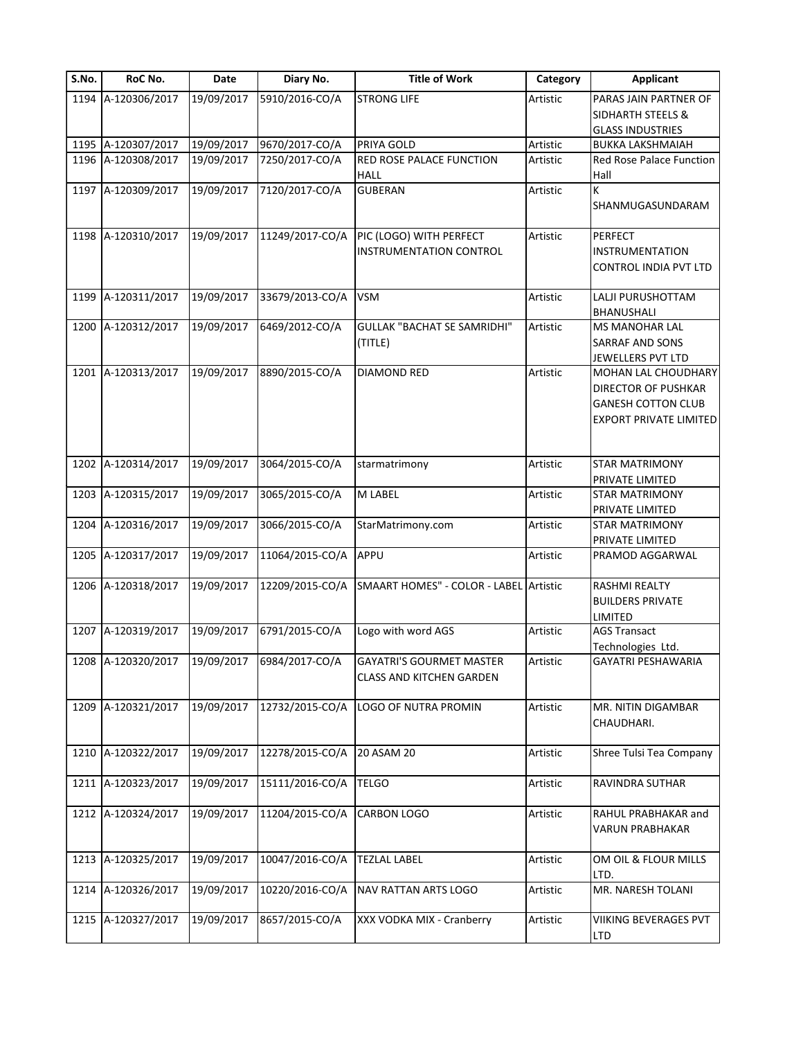| S.No. | RoC No.            | Date       | Diary No.                 | <b>Title of Work</b>                                        | Category | <b>Applicant</b>                              |
|-------|--------------------|------------|---------------------------|-------------------------------------------------------------|----------|-----------------------------------------------|
|       | 1194 A-120306/2017 | 19/09/2017 | 5910/2016-CO/A            | <b>STRONG LIFE</b>                                          | Artistic | PARAS JAIN PARTNER OF                         |
|       |                    |            |                           |                                                             |          | <b>SIDHARTH STEELS &amp;</b>                  |
|       |                    |            |                           |                                                             |          | <b>GLASS INDUSTRIES</b>                       |
|       | 1195 A-120307/2017 | 19/09/2017 | 9670/2017-CO/A            | PRIYA GOLD                                                  | Artistic | <b>BUKKA LAKSHMAIAH</b>                       |
| 1196  | A-120308/2017      | 19/09/2017 | 7250/2017-CO/A            | RED ROSE PALACE FUNCTION                                    | Artistic | Red Rose Palace Function                      |
|       |                    |            |                           | <b>HALL</b>                                                 |          | Hall                                          |
| 1197  | A-120309/2017      | 19/09/2017 | 7120/2017-CO/A            | <b>GUBERAN</b>                                              | Artistic | K<br>SHANMUGASUNDARAM                         |
|       | 1198 A-120310/2017 | 19/09/2017 | 11249/2017-CO/A           | PIC (LOGO) WITH PERFECT                                     | Artistic | <b>PERFECT</b>                                |
|       |                    |            |                           | <b>INSTRUMENTATION CONTROL</b>                              |          | <b>INSTRUMENTATION</b>                        |
|       |                    |            |                           |                                                             |          | CONTROL INDIA PVT LTD                         |
| 1199  | A-120311/2017      | 19/09/2017 | 33679/2013-CO/A           | <b>VSM</b>                                                  | Artistic | LALJI PURUSHOTTAM                             |
|       |                    |            |                           |                                                             |          | BHANUSHALI                                    |
| 1200  | A-120312/2017      | 19/09/2017 | 6469/2012-CO/A            | <b>GULLAK "BACHAT SE SAMRIDHI"</b>                          | Artistic | MS MANOHAR LAL                                |
|       |                    |            |                           | (TITLE)                                                     |          | SARRAF AND SONS                               |
|       |                    |            |                           |                                                             |          | JEWELLERS PVT LTD                             |
| 1201  | A-120313/2017      | 19/09/2017 | 8890/2015-CO/A            | <b>DIAMOND RED</b>                                          | Artistic | <b>MOHAN LAL CHOUDHARY</b>                    |
|       |                    |            |                           |                                                             |          | DIRECTOR OF PUSHKAR                           |
|       |                    |            |                           |                                                             |          | <b>GANESH COTTON CLUB</b>                     |
|       |                    |            |                           |                                                             |          | <b>EXPORT PRIVATE LIMITED</b>                 |
| 1202  | A-120314/2017      | 19/09/2017 | 3064/2015-CO/A            | starmatrimony                                               | Artistic | <b>STAR MATRIMONY</b>                         |
|       |                    |            |                           |                                                             |          | PRIVATE LIMITED                               |
| 1203  | A-120315/2017      | 19/09/2017 | 3065/2015-CO/A            | M LABEL                                                     | Artistic | STAR MATRIMONY                                |
|       |                    |            |                           |                                                             |          | PRIVATE LIMITED                               |
| 1204  | A-120316/2017      | 19/09/2017 | 3066/2015-CO/A            | StarMatrimony.com                                           | Artistic | <b>STAR MATRIMONY</b>                         |
|       |                    |            |                           |                                                             |          | PRIVATE LIMITED                               |
|       | 1205 A-120317/2017 | 19/09/2017 | 11064/2015-CO/A           | APPU                                                        | Artistic | PRAMOD AGGARWAL                               |
|       | 1206 A-120318/2017 | 19/09/2017 | 12209/2015-CO/A           | SMAART HOMES" - COLOR - LABEL Artistic                      |          | <b>RASHMI REALTY</b>                          |
|       |                    |            |                           |                                                             |          | <b>BUILDERS PRIVATE</b>                       |
|       |                    |            |                           |                                                             |          | LIMITED                                       |
| 1207  | A-120319/2017      | 19/09/2017 | 6791/2015-CO/A            | Logo with word AGS                                          | Artistic | <b>AGS Transact</b>                           |
|       |                    |            |                           |                                                             |          | Technologies Ltd.                             |
|       | 1208 A-120320/2017 |            | 19/09/2017 6984/2017-CO/A | GAYATRI'S GOURMET MASTER<br><b>CLASS AND KITCHEN GARDEN</b> | Artistic | GAYATRI PESHAWARIA                            |
|       | 1209 A-120321/2017 | 19/09/2017 | 12732/2015-CO/A           | LOGO OF NUTRA PROMIN                                        | Artistic | MR. NITIN DIGAMBAR<br>CHAUDHARI.              |
| 1210  | A-120322/2017      | 19/09/2017 | 12278/2015-CO/A           | 20 ASAM 20                                                  | Artistic | Shree Tulsi Tea Company                       |
| 1211  | A-120323/2017      | 19/09/2017 | 15111/2016-CO/A           | <b>TELGO</b>                                                | Artistic | RAVINDRA SUTHAR                               |
|       | 1212 A-120324/2017 | 19/09/2017 | 11204/2015-CO/A           | <b>CARBON LOGO</b>                                          | Artistic | RAHUL PRABHAKAR and<br><b>VARUN PRABHAKAR</b> |
| 1213  | A-120325/2017      | 19/09/2017 | 10047/2016-CO/A           | <b>TEZLAL LABEL</b>                                         | Artistic | OM OIL & FLOUR MILLS<br>LTD.                  |
| 1214  | A-120326/2017      | 19/09/2017 | 10220/2016-CO/A           | NAV RATTAN ARTS LOGO                                        | Artistic | MR. NARESH TOLANI                             |
|       | 1215 A-120327/2017 | 19/09/2017 | 8657/2015-CO/A            | XXX VODKA MIX - Cranberry                                   | Artistic | VIIKING BEVERAGES PVT<br>LTD                  |
|       |                    |            |                           |                                                             |          |                                               |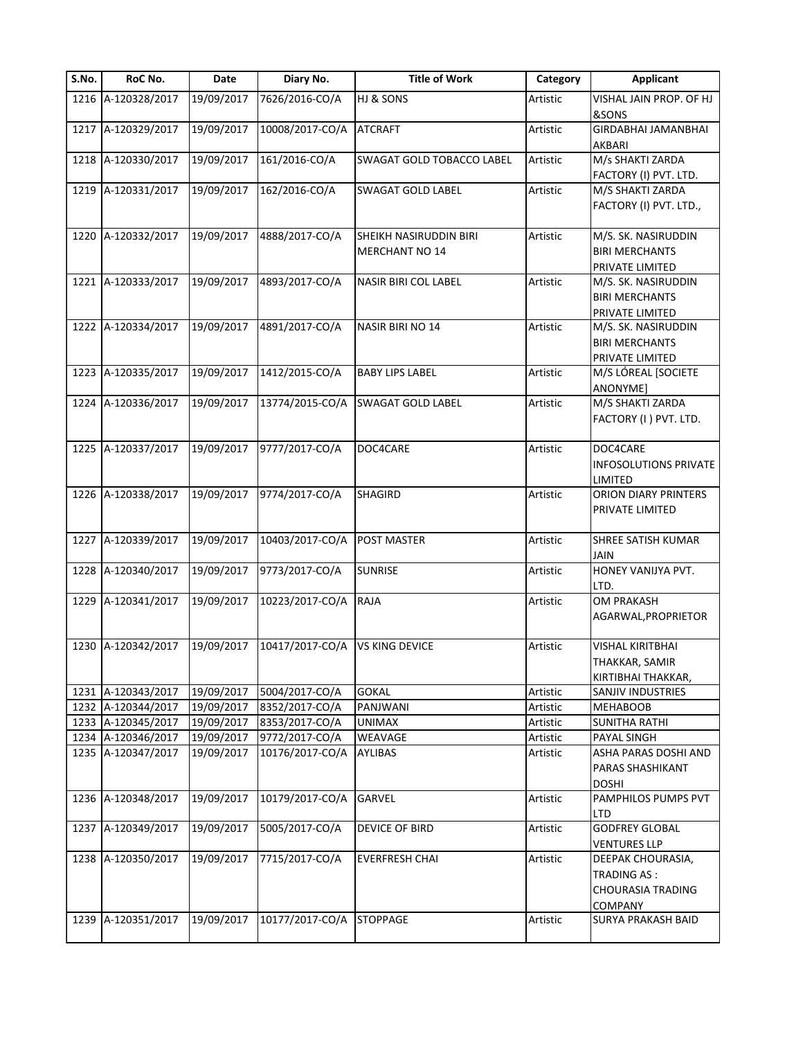| S.No. | RoC No.            | Date       | Diary No.       | <b>Title of Work</b>      | Category | <b>Applicant</b>                                                    |
|-------|--------------------|------------|-----------------|---------------------------|----------|---------------------------------------------------------------------|
|       | 1216 A-120328/2017 | 19/09/2017 | 7626/2016-CO/A  | HJ & SONS                 | Artistic | VISHAL JAIN PROP. OF HJ<br>&SONS                                    |
|       | 1217 A-120329/2017 | 19/09/2017 | 10008/2017-CO/A | <b>ATCRAFT</b>            | Artistic | GIRDABHAI JAMANBHAI<br>AKBARI                                       |
|       | 1218 A-120330/2017 | 19/09/2017 | 161/2016-CO/A   | SWAGAT GOLD TOBACCO LABEL | Artistic | M/s SHAKTI ZARDA                                                    |
|       |                    |            |                 |                           |          | FACTORY (I) PVT. LTD.                                               |
|       | 1219 A-120331/2017 | 19/09/2017 | 162/2016-CO/A   | SWAGAT GOLD LABEL         | Artistic | M/S SHAKTI ZARDA<br>FACTORY (I) PVT. LTD.,                          |
|       | 1220 A-120332/2017 | 19/09/2017 | 4888/2017-CO/A  | SHEIKH NASIRUDDIN BIRI    | Artistic | M/S. SK. NASIRUDDIN                                                 |
|       |                    |            |                 | <b>MERCHANT NO 14</b>     |          | <b>BIRI MERCHANTS</b>                                               |
|       |                    |            |                 |                           |          | PRIVATE LIMITED                                                     |
|       | 1221 A-120333/2017 | 19/09/2017 | 4893/2017-CO/A  | NASIR BIRI COL LABEL      | Artistic | M/S. SK. NASIRUDDIN<br><b>BIRI MERCHANTS</b>                        |
|       |                    |            |                 |                           |          | PRIVATE LIMITED                                                     |
|       | 1222 A-120334/2017 | 19/09/2017 | 4891/2017-CO/A  | NASIR BIRI NO 14          | Artistic | M/S. SK. NASIRUDDIN<br><b>BIRI MERCHANTS</b>                        |
|       |                    |            |                 |                           |          | PRIVATE LIMITED                                                     |
| 1223  | A-120335/2017      | 19/09/2017 | 1412/2015-CO/A  | <b>BABY LIPS LABEL</b>    | Artistic | M/S LÓREAL [SOCIETE<br>ANONYME]                                     |
|       | 1224 A-120336/2017 | 19/09/2017 | 13774/2015-CO/A | SWAGAT GOLD LABEL         | Artistic | M/S SHAKTI ZARDA<br>FACTORY (I) PVT. LTD.                           |
|       | 1225 A-120337/2017 | 19/09/2017 | 9777/2017-CO/A  | DOC4CARE                  | Artistic | DOC4CARE                                                            |
|       |                    |            |                 |                           |          | <b>INFOSOLUTIONS PRIVATE</b><br>LIMITED                             |
|       | 1226 A-120338/2017 | 19/09/2017 | 9774/2017-CO/A  | <b>SHAGIRD</b>            | Artistic | ORION DIARY PRINTERS                                                |
|       |                    |            |                 |                           |          | PRIVATE LIMITED                                                     |
|       | 1227 A-120339/2017 | 19/09/2017 | 10403/2017-CO/A | POST MASTER               | Artistic | SHREE SATISH KUMAR<br>JAIN                                          |
|       | 1228 A-120340/2017 | 19/09/2017 | 9773/2017-CO/A  | <b>SUNRISE</b>            | Artistic | HONEY VANIJYA PVT.                                                  |
|       |                    |            |                 |                           |          | LTD.                                                                |
|       | 1229 A-120341/2017 | 19/09/2017 | 10223/2017-CO/A | RAJA                      | Artistic | <b>OM PRAKASH</b>                                                   |
|       |                    |            |                 |                           |          | AGARWAL, PROPRIETOR                                                 |
|       | 1230 A-120342/2017 | 19/09/2017 | 10417/2017-CO/A | VS KING DEVICE            | Artistic | VISHAL KIRITBHAI                                                    |
|       |                    |            |                 |                           |          | THAKKAR, SAMIR                                                      |
|       |                    |            |                 |                           |          | KIRTIBHAI THAKKAR,                                                  |
|       | 1231 A-120343/2017 | 19/09/2017 | 5004/2017-CO/A  | <b>GOKAL</b>              | Artistic | SANJIV INDUSTRIES                                                   |
|       | 1232 A-120344/2017 | 19/09/2017 | 8352/2017-CO/A  | PANJWANI                  | Artistic | <b>MEHABOOB</b>                                                     |
|       | 1233 A-120345/2017 | 19/09/2017 | 8353/2017-CO/A  | <b>UNIMAX</b>             | Artistic | <b>SUNITHA RATHI</b>                                                |
|       | 1234 A-120346/2017 | 19/09/2017 | 9772/2017-CO/A  | WEAVAGE                   | Artistic | PAYAL SINGH                                                         |
|       | 1235 A-120347/2017 | 19/09/2017 | 10176/2017-CO/A | AYLIBAS                   | Artistic | ASHA PARAS DOSHI AND<br>PARAS SHASHIKANT<br><b>DOSHI</b>            |
|       | 1236 A-120348/2017 | 19/09/2017 | 10179/2017-CO/A | GARVEL                    | Artistic | PAMPHILOS PUMPS PVT<br>LTD                                          |
|       | 1237 A-120349/2017 | 19/09/2017 | 5005/2017-CO/A  | <b>DEVICE OF BIRD</b>     | Artistic | <b>GODFREY GLOBAL</b>                                               |
|       |                    |            |                 |                           |          | <b>VENTURES LLP</b>                                                 |
|       | 1238 A-120350/2017 | 19/09/2017 | 7715/2017-CO/A  | <b>EVERFRESH CHAI</b>     | Artistic | DEEPAK CHOURASIA,<br><b>TRADING AS:</b><br><b>CHOURASIA TRADING</b> |
|       | 1239 A-120351/2017 | 19/09/2017 | 10177/2017-CO/A | <b>STOPPAGE</b>           | Artistic | <b>COMPANY</b><br><b>SURYA PRAKASH BAID</b>                         |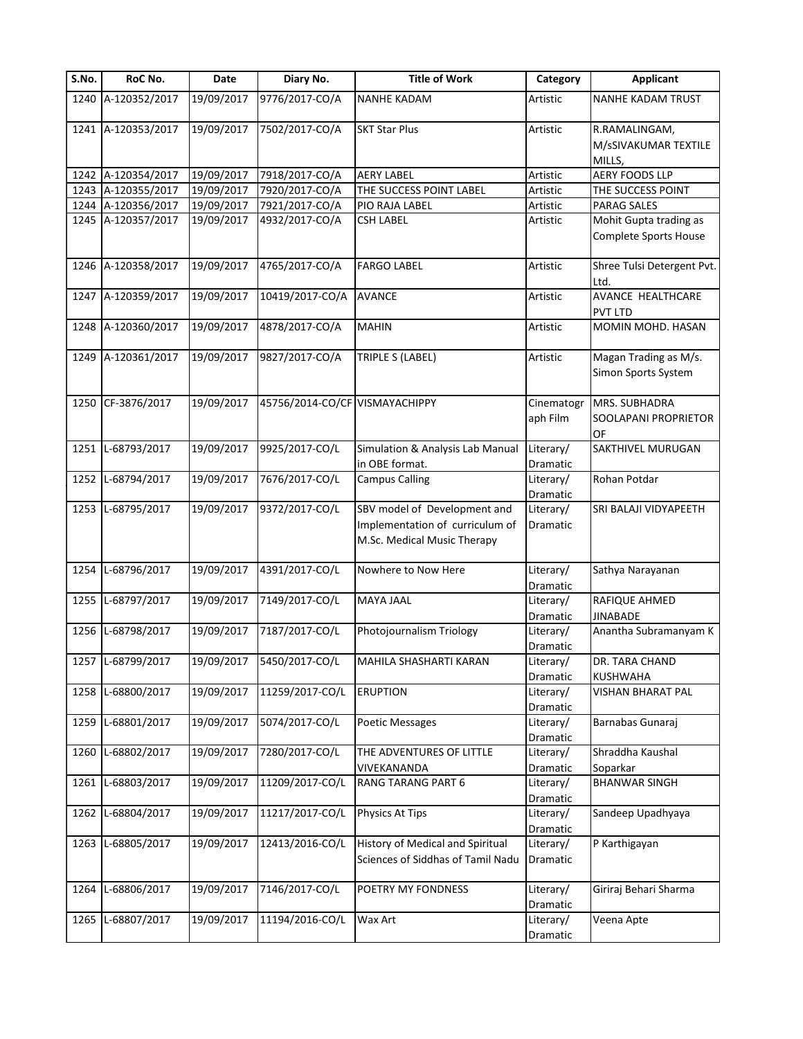| S.No. | RoC No.            | Date       | Diary No.                      | <b>Title of Work</b>              | Category              | <b>Applicant</b>             |
|-------|--------------------|------------|--------------------------------|-----------------------------------|-----------------------|------------------------------|
|       | 1240 A-120352/2017 | 19/09/2017 | 9776/2017-CO/A                 | <b>NANHE KADAM</b>                | Artistic              | <b>NANHE KADAM TRUST</b>     |
|       | 1241 A-120353/2017 | 19/09/2017 | 7502/2017-CO/A                 | <b>SKT Star Plus</b>              | Artistic              | R.RAMALINGAM,                |
|       |                    |            |                                |                                   |                       | M/sSIVAKUMAR TEXTILE         |
|       |                    |            |                                |                                   |                       | MILLS,                       |
|       | 1242 A-120354/2017 | 19/09/2017 | 7918/2017-CO/A                 | <b>AERY LABEL</b>                 | Artistic              | AERY FOODS LLP               |
|       | 1243 A-120355/2017 | 19/09/2017 | 7920/2017-CO/A                 | THE SUCCESS POINT LABEL           | Artistic              | THE SUCCESS POINT            |
|       | 1244 A-120356/2017 | 19/09/2017 | 7921/2017-CO/A                 | PIO RAJA LABEL                    | Artistic              | PARAG SALES                  |
|       | 1245 A-120357/2017 | 19/09/2017 | 4932/2017-CO/A                 | <b>CSH LABEL</b>                  | Artistic              | Mohit Gupta trading as       |
|       |                    |            |                                |                                   |                       | <b>Complete Sports House</b> |
|       | 1246 A-120358/2017 | 19/09/2017 | 4765/2017-CO/A                 | <b>FARGO LABEL</b>                | Artistic              | Shree Tulsi Detergent Pvt.   |
|       |                    |            |                                |                                   |                       | Ltd.                         |
|       | 1247 A-120359/2017 | 19/09/2017 | 10419/2017-CO/A                | <b>AVANCE</b>                     | Artistic              | AVANCE HEALTHCARE            |
|       |                    |            |                                |                                   |                       | <b>PVT LTD</b>               |
|       | 1248 A-120360/2017 | 19/09/2017 | 4878/2017-CO/A                 | <b>MAHIN</b>                      | Artistic              | MOMIN MOHD. HASAN            |
|       |                    |            |                                |                                   |                       |                              |
|       | 1249 A-120361/2017 | 19/09/2017 | 9827/2017-CO/A                 | TRIPLE S (LABEL)                  | Artistic              | Magan Trading as M/s.        |
|       |                    |            |                                |                                   |                       | Simon Sports System          |
|       |                    |            |                                |                                   |                       |                              |
|       | 1250 CF-3876/2017  | 19/09/2017 | 45756/2014-CO/CF VISMAYACHIPPY |                                   | Cinematogr            | MRS. SUBHADRA                |
|       |                    |            |                                |                                   | aph Film              | SOOLAPANI PROPRIETOR         |
|       |                    |            |                                |                                   |                       | OF                           |
| 1251  | L-68793/2017       | 19/09/2017 | 9925/2017-CO/L                 | Simulation & Analysis Lab Manual  | Literary/             | SAKTHIVEL MURUGAN            |
|       |                    |            |                                | in OBE format.                    | Dramatic              |                              |
|       | 1252 L-68794/2017  | 19/09/2017 | 7676/2017-CO/L                 | <b>Campus Calling</b>             | Literary/             | Rohan Potdar                 |
|       |                    |            |                                |                                   | Dramatic              |                              |
|       | 1253 L-68795/2017  | 19/09/2017 | 9372/2017-CO/L                 | SBV model of Development and      | Literary/             | SRI BALAJI VIDYAPEETH        |
|       |                    |            |                                | Implementation of curriculum of   | Dramatic              |                              |
|       |                    |            |                                | M.Sc. Medical Music Therapy       |                       |                              |
|       | 1254 L-68796/2017  | 19/09/2017 | 4391/2017-CO/L                 | Nowhere to Now Here               | Literary/             | Sathya Narayanan             |
|       |                    |            |                                |                                   | Dramatic              |                              |
|       | 1255 L-68797/2017  | 19/09/2017 | 7149/2017-CO/L                 | MAYA JAAL                         | Literary/             | RAFIQUE AHMED                |
|       |                    |            |                                |                                   | Dramatic              | <b>JINABADE</b>              |
| 1256  | L-68798/2017       | 19/09/2017 | 7187/2017-CO/L                 | Photojournalism Triology          | Literary/             | Anantha Subramanyam K        |
|       |                    |            |                                |                                   | Dramatic              |                              |
|       | 1257 L-68799/2017  | 19/09/2017 | 5450/2017-CO/L                 | <b>MAHILA SHASHARTI KARAN</b>     | Literary/             | DR. TARA CHAND               |
|       |                    |            |                                |                                   | Dramatic              | KUSHWAHA                     |
|       | 1258 L-68800/2017  | 19/09/2017 | 11259/2017-CO/L                | <b>ERUPTION</b>                   | Literary/             | VISHAN BHARAT PAL            |
|       |                    |            |                                |                                   | Dramatic              |                              |
|       | 1259 L-68801/2017  | 19/09/2017 | 5074/2017-CO/L                 | Poetic Messages                   | Literary/             | Barnabas Gunaraj             |
|       |                    |            |                                |                                   | Dramatic              |                              |
|       | 1260 L-68802/2017  | 19/09/2017 | 7280/2017-CO/L                 | THE ADVENTURES OF LITTLE          | Literary/             | Shraddha Kaushal             |
|       |                    |            |                                | VIVEKANANDA                       | Dramatic              | Soparkar                     |
|       | 1261 L-68803/2017  | 19/09/2017 | 11209/2017-CO/L                | RANG TARANG PART 6                | Literary/             | <b>BHANWAR SINGH</b>         |
|       |                    |            |                                |                                   | Dramatic              |                              |
| 1262  | L-68804/2017       | 19/09/2017 | 11217/2017-CO/L                | Physics At Tips                   | Literary/             | Sandeep Upadhyaya            |
|       |                    |            |                                |                                   | Dramatic              |                              |
|       | 1263 L-68805/2017  | 19/09/2017 | 12413/2016-CO/L                | History of Medical and Spiritual  | Literary/             | P Karthigayan                |
|       |                    |            |                                | Sciences of Siddhas of Tamil Nadu | Dramatic              |                              |
|       |                    |            |                                |                                   |                       |                              |
| 1264  | L-68806/2017       | 19/09/2017 | 7146/2017-CO/L                 | POETRY MY FONDNESS                | Literary/<br>Dramatic | Giriraj Behari Sharma        |
|       | 1265 L-68807/2017  | 19/09/2017 | 11194/2016-CO/L                | Wax Art                           | Literary/             | Veena Apte                   |
|       |                    |            |                                |                                   |                       |                              |
|       |                    |            |                                |                                   | Dramatic              |                              |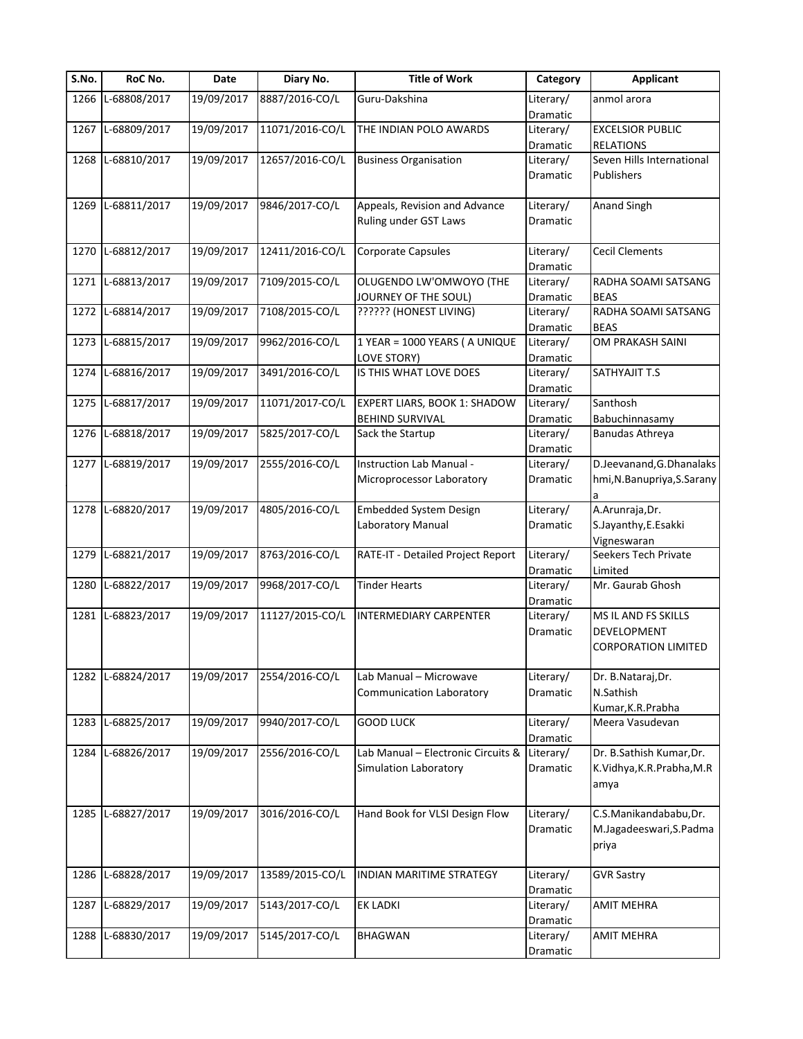| S.No. | RoC No.           | Date       | Diary No.       | <b>Title of Work</b>               | Category        | <b>Applicant</b>                    |
|-------|-------------------|------------|-----------------|------------------------------------|-----------------|-------------------------------------|
| 1266  | L-68808/2017      | 19/09/2017 | 8887/2016-CO/L  | Guru-Dakshina                      | Literary/       | anmol arora                         |
|       |                   |            |                 |                                    | Dramatic        |                                     |
| 1267  | L-68809/2017      | 19/09/2017 | 11071/2016-CO/L | THE INDIAN POLO AWARDS             | Literary/       | <b>EXCELSIOR PUBLIC</b>             |
|       |                   |            |                 |                                    | Dramatic        | <b>RELATIONS</b>                    |
|       | 1268 L-68810/2017 | 19/09/2017 | 12657/2016-CO/L | <b>Business Organisation</b>       | Literary/       | Seven Hills International           |
|       |                   |            |                 |                                    | Dramatic        | Publishers                          |
|       |                   |            |                 |                                    |                 |                                     |
| 1269  | L-68811/2017      | 19/09/2017 | 9846/2017-CO/L  | Appeals, Revision and Advance      | Literary/       | <b>Anand Singh</b>                  |
|       |                   |            |                 | Ruling under GST Laws              | Dramatic        |                                     |
|       |                   |            |                 |                                    |                 |                                     |
| 1270  | L-68812/2017      | 19/09/2017 | 12411/2016-CO/L | Corporate Capsules                 | Literary/       | <b>Cecil Clements</b>               |
|       |                   |            |                 |                                    | Dramatic        |                                     |
| 1271  | L-68813/2017      | 19/09/2017 | 7109/2015-CO/L  | OLUGENDO LW'OMWOYO (THE            | Literary/       | RADHA SOAMI SATSANG                 |
|       |                   |            |                 | JOURNEY OF THE SOUL)               | Dramatic        | <b>BEAS</b>                         |
| 1272  | L-68814/2017      | 19/09/2017 | 7108/2015-CO/L  | ?????? (HONEST LIVING)             | Literary/       | RADHA SOAMI SATSANG                 |
|       |                   |            |                 |                                    | Dramatic        | <b>BEAS</b>                         |
| 1273  | L-68815/2017      | 19/09/2017 | 9962/2016-CO/L  | 1 YEAR = 1000 YEARS ( A UNIQUE     | Literary/       | OM PRAKASH SAINI                    |
|       |                   |            |                 | LOVE STORY)                        | Dramatic        |                                     |
| 1274  | L-68816/2017      | 19/09/2017 | 3491/2016-CO/L  | IS THIS WHAT LOVE DOES             | Literary/       | SATHYAJIT T.S                       |
|       |                   |            |                 |                                    | Dramatic        |                                     |
| 1275  | L-68817/2017      | 19/09/2017 | 11071/2017-CO/L | EXPERT LIARS, BOOK 1: SHADOW       | Literary/       | Santhosh                            |
|       |                   |            |                 | <b>BEHIND SURVIVAL</b>             | Dramatic        | Babuchinnasamy                      |
| 1276  | L-68818/2017      | 19/09/2017 | 5825/2017-CO/L  | Sack the Startup                   | Literary/       | Banudas Athreya                     |
|       |                   |            |                 |                                    | Dramatic        |                                     |
| 1277  | L-68819/2017      | 19/09/2017 | 2555/2016-CO/L  | Instruction Lab Manual -           | Literary/       | D.Jeevanand, G.Dhanalaks            |
|       |                   |            |                 | Microprocessor Laboratory          | Dramatic        | hmi, N. Banupriya, S. Sarany        |
|       |                   |            |                 |                                    |                 |                                     |
|       | 1278 L-68820/2017 | 19/09/2017 | 4805/2016-CO/L  | <b>Embedded System Design</b>      | Literary/       | a<br>A.Arunraja,Dr.                 |
|       |                   |            |                 |                                    |                 |                                     |
|       |                   |            |                 | Laboratory Manual                  | Dramatic        | S.Jayanthy, E.Esakki                |
|       |                   |            |                 |                                    |                 | Vigneswaran<br>Seekers Tech Private |
| 1279  | L-68821/2017      | 19/09/2017 | 8763/2016-CO/L  | RATE-IT - Detailed Project Report  | Literary/       |                                     |
|       | L-68822/2017      |            |                 |                                    | Dramatic        | Limited                             |
| 1280  |                   | 19/09/2017 | 9968/2017-CO/L  | <b>Tinder Hearts</b>               | Literary/       | Mr. Gaurab Ghosh                    |
|       |                   |            |                 |                                    | <b>Dramatic</b> |                                     |
|       | 1281 L-68823/2017 | 19/09/2017 | 11127/2015-CO/L | INTERMEDIARY CARPENTER             | Literary/       | MS IL AND FS SKILLS                 |
|       |                   |            |                 |                                    | Dramatic        | DEVELOPMENT                         |
|       |                   |            |                 |                                    |                 | <b>CORPORATION LIMITED</b>          |
|       |                   |            |                 |                                    |                 |                                     |
|       | 1282 L-68824/2017 | 19/09/2017 | 2554/2016-CO/L  | Lab Manual - Microwave             | Literary/       | Dr. B.Nataraj, Dr.                  |
|       |                   |            |                 | <b>Communication Laboratory</b>    | Dramatic        | N.Sathish                           |
|       |                   |            |                 |                                    |                 | Kumar, K.R. Prabha                  |
| 1283  | L-68825/2017      | 19/09/2017 | 9940/2017-CO/L  | <b>GOOD LUCK</b>                   | Literary/       | Meera Vasudevan                     |
|       |                   |            |                 |                                    | Dramatic        |                                     |
| 1284  | L-68826/2017      | 19/09/2017 | 2556/2016-CO/L  | Lab Manual - Electronic Circuits & | Literary/       | Dr. B.Sathish Kumar, Dr.            |
|       |                   |            |                 | <b>Simulation Laboratory</b>       | Dramatic        | K.Vidhya, K.R.Prabha, M.R           |
|       |                   |            |                 |                                    |                 | amya                                |
|       |                   |            |                 |                                    |                 |                                     |
| 1285  | L-68827/2017      | 19/09/2017 | 3016/2016-CO/L  | Hand Book for VLSI Design Flow     | Literary/       | C.S.Manikandababu,Dr.               |
|       |                   |            |                 |                                    | Dramatic        | M.Jagadeeswari, S.Padma             |
|       |                   |            |                 |                                    |                 | priya                               |
|       |                   |            |                 |                                    |                 |                                     |
| 1286  | L-68828/2017      | 19/09/2017 | 13589/2015-CO/L | INDIAN MARITIME STRATEGY           | Literary/       | <b>GVR Sastry</b>                   |
|       |                   |            |                 |                                    | Dramatic        |                                     |
| 1287  | L-68829/2017      | 19/09/2017 | 5143/2017-CO/L  | <b>EK LADKI</b>                    | Literary/       | <b>AMIT MEHRA</b>                   |
|       |                   |            |                 |                                    | Dramatic        |                                     |
| 1288  | L-68830/2017      | 19/09/2017 | 5145/2017-CO/L  | <b>BHAGWAN</b>                     | Literary/       | <b>AMIT MEHRA</b>                   |
|       |                   |            |                 |                                    | Dramatic        |                                     |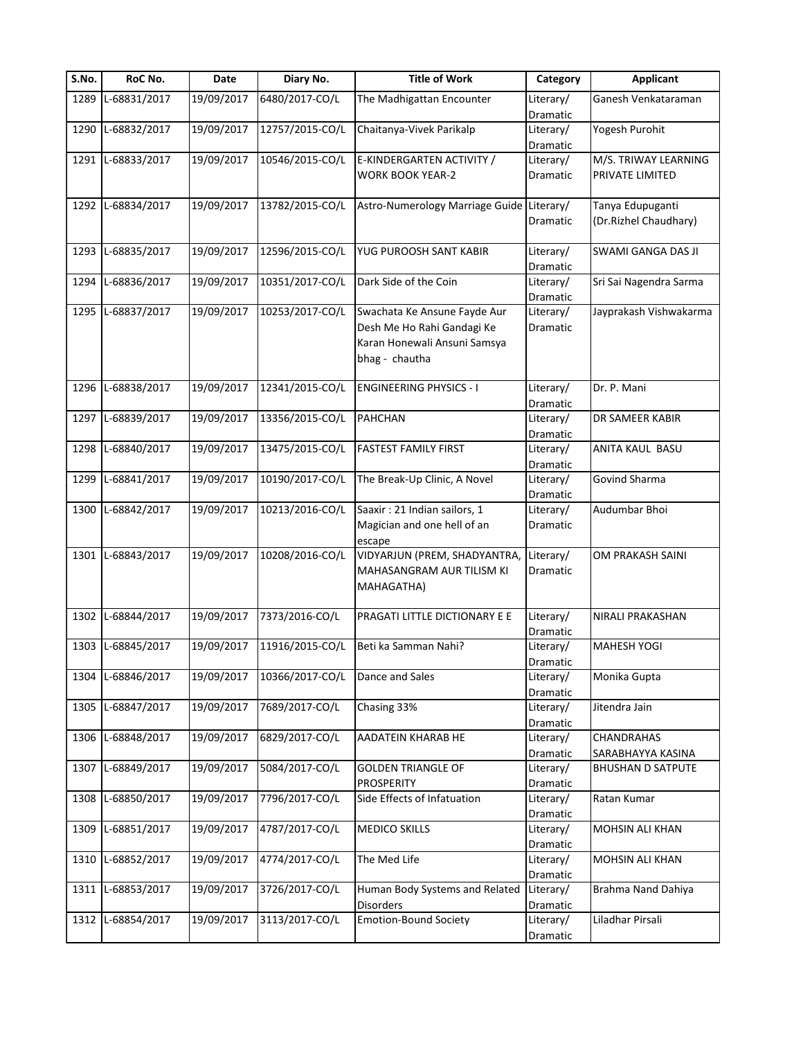| S.No. | RoC No.           | Date       | Diary No.       | <b>Title of Work</b>                      | Category              | <b>Applicant</b>         |
|-------|-------------------|------------|-----------------|-------------------------------------------|-----------------------|--------------------------|
| 1289  | L-68831/2017      | 19/09/2017 | 6480/2017-CO/L  | The Madhigattan Encounter                 | Literary/             | Ganesh Venkataraman      |
|       |                   |            |                 |                                           | Dramatic              |                          |
| 1290  | L-68832/2017      | 19/09/2017 | 12757/2015-CO/L | Chaitanya-Vivek Parikalp                  | Literary/             | Yogesh Purohit           |
|       |                   |            |                 |                                           | Dramatic              |                          |
| 1291  | L-68833/2017      | 19/09/2017 | 10546/2015-CO/L | E-KINDERGARTEN ACTIVITY /                 | Literary/             | M/S. TRIWAY LEARNING     |
|       |                   |            |                 | <b>WORK BOOK YEAR-2</b>                   | Dramatic              | PRIVATE LIMITED          |
|       |                   |            |                 |                                           |                       |                          |
|       | 1292 L-68834/2017 | 19/09/2017 | 13782/2015-CO/L | Astro-Numerology Marriage Guide Literary/ |                       | Tanya Edupuganti         |
|       |                   |            |                 |                                           | Dramatic              | (Dr.Rizhel Chaudhary)    |
|       |                   |            |                 |                                           |                       |                          |
| 1293  | L-68835/2017      | 19/09/2017 | 12596/2015-CO/L | YUG PUROOSH SANT KABIR                    | Literary/             | SWAMI GANGA DAS JI       |
|       |                   |            |                 |                                           | Dramatic              |                          |
| 1294  | L-68836/2017      | 19/09/2017 | 10351/2017-CO/L | Dark Side of the Coin                     | Literary/             | Sri Sai Nagendra Sarma   |
|       |                   |            |                 |                                           | Dramatic              |                          |
| 1295  | L-68837/2017      | 19/09/2017 | 10253/2017-CO/L | Swachata Ke Ansune Fayde Aur              | Literary/             | Jayprakash Vishwakarma   |
|       |                   |            |                 | Desh Me Ho Rahi Gandagi Ke                | Dramatic              |                          |
|       |                   |            |                 | Karan Honewali Ansuni Samsya              |                       |                          |
|       |                   |            |                 |                                           |                       |                          |
|       |                   |            |                 | bhag - chautha                            |                       |                          |
|       |                   |            |                 |                                           |                       |                          |
| 1296  | L-68838/2017      | 19/09/2017 | 12341/2015-CO/L | <b>ENGINEERING PHYSICS - I</b>            | Literary/             | Dr. P. Mani              |
|       |                   |            |                 |                                           | Dramatic              |                          |
| 1297  | L-68839/2017      | 19/09/2017 | 13356/2015-CO/L | <b>PAHCHAN</b>                            | Literary/             | DR SAMEER KABIR          |
|       |                   |            |                 |                                           | Dramatic              |                          |
| 1298  | L-68840/2017      | 19/09/2017 | 13475/2015-CO/L | <b>FASTEST FAMILY FIRST</b>               | Literary/             | ANITA KAUL BASU          |
|       |                   |            |                 |                                           | Dramatic              |                          |
| 1299  | L-68841/2017      | 19/09/2017 | 10190/2017-CO/L | The Break-Up Clinic, A Novel              | Literary/             | Govind Sharma            |
|       |                   |            |                 |                                           | Dramatic              |                          |
| 1300  | L-68842/2017      | 19/09/2017 | 10213/2016-CO/L | Saaxir: 21 Indian sailors, 1              | Literary/             | Audumbar Bhoi            |
|       |                   |            |                 | Magician and one hell of an               | Dramatic              |                          |
|       |                   |            |                 | escape                                    |                       |                          |
| 1301  | L-68843/2017      | 19/09/2017 | 10208/2016-CO/L | VIDYARJUN (PREM, SHADYANTRA,              | Literary/             | OM PRAKASH SAINI         |
|       |                   |            |                 | MAHASANGRAM AUR TILISM KI                 | Dramatic              |                          |
|       |                   |            |                 | MAHAGATHA)                                |                       |                          |
|       |                   |            |                 |                                           |                       |                          |
| 1302  | L-68844/2017      | 19/09/2017 | 7373/2016-CO/L  | PRAGATI LITTLE DICTIONARY E E             | Literary/             | NIRALI PRAKASHAN         |
|       |                   |            |                 |                                           | Dramatic              |                          |
|       | 1303 L-68845/2017 | 19/09/2017 | 11916/2015-CO/L | Beti ka Samman Nahi?                      | Literary/             | <b>MAHESH YOGI</b>       |
|       |                   |            |                 |                                           | Dramatic              |                          |
| 1304  | L-68846/2017      | 19/09/2017 | 10366/2017-CO/L | Dance and Sales                           | Literary/             | Monika Gupta             |
|       |                   |            |                 |                                           | Dramatic              |                          |
| 1305  | L-68847/2017      | 19/09/2017 | 7689/2017-CO/L  | Chasing 33%                               | Literary/             | Jitendra Jain            |
|       |                   |            |                 |                                           | Dramatic              |                          |
|       | 1306 L-68848/2017 | 19/09/2017 | 6829/2017-CO/L  | AADATEIN KHARAB HE                        | Literary/             | CHANDRAHAS               |
|       |                   |            |                 |                                           | Dramatic              | SARABHAYYA KASINA        |
| 1307  | L-68849/2017      | 19/09/2017 | 5084/2017-CO/L  | <b>GOLDEN TRIANGLE OF</b>                 | Literary/             | <b>BHUSHAN D SATPUTE</b> |
|       |                   |            |                 | <b>PROSPERITY</b>                         | Dramatic              |                          |
| 1308  | L-68850/2017      | 19/09/2017 | 7796/2017-CO/L  | Side Effects of Infatuation               | Literary/             | Ratan Kumar              |
|       |                   |            |                 |                                           |                       |                          |
| 1309  | L-68851/2017      | 19/09/2017 | 4787/2017-CO/L  | <b>MEDICO SKILLS</b>                      | Dramatic<br>Literary/ | MOHSIN ALI KHAN          |
|       |                   |            |                 |                                           |                       |                          |
|       |                   |            |                 |                                           | Dramatic              |                          |
| 1310  | L-68852/2017      | 19/09/2017 | 4774/2017-CO/L  | The Med Life                              | Literary/             | MOHSIN ALI KHAN          |
|       |                   |            |                 |                                           | Dramatic              |                          |
| 1311  | L-68853/2017      | 19/09/2017 | 3726/2017-CO/L  | Human Body Systems and Related            | Literary/             | Brahma Nand Dahiya       |
|       |                   |            |                 | Disorders                                 | Dramatic              |                          |
| 1312  | L-68854/2017      | 19/09/2017 | 3113/2017-CO/L  | <b>Emotion-Bound Society</b>              | Literary/             | Liladhar Pirsali         |
|       |                   |            |                 |                                           | Dramatic              |                          |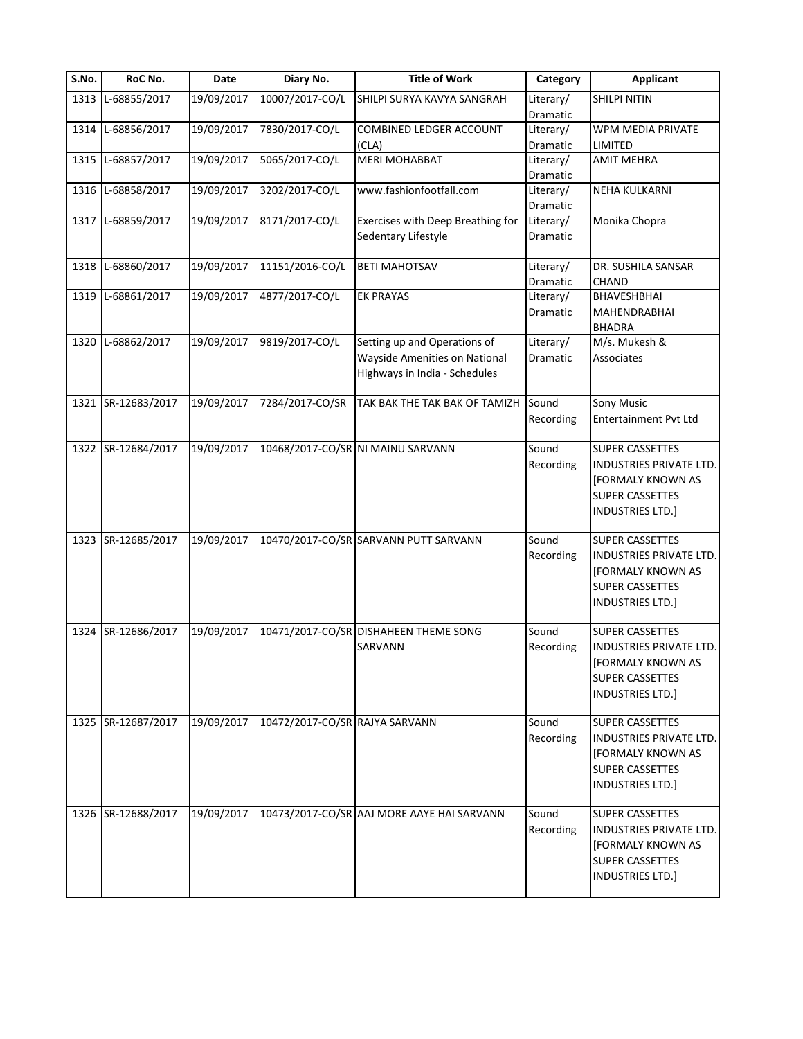| S.No. | RoC No.            | Date       | Diary No.                      | <b>Title of Work</b>                       | Category              | <b>Applicant</b>               |
|-------|--------------------|------------|--------------------------------|--------------------------------------------|-----------------------|--------------------------------|
|       | 1313 L-68855/2017  | 19/09/2017 | 10007/2017-CO/L                | SHILPI SURYA KAVYA SANGRAH                 | Literary/<br>Dramatic | <b>SHILPI NITIN</b>            |
|       | 1314 L-68856/2017  | 19/09/2017 | 7830/2017-CO/L                 | COMBINED LEDGER ACCOUNT                    | Literary/             | WPM MEDIA PRIVATE              |
|       |                    |            |                                | (CLA)                                      | Dramatic              | LIMITED                        |
|       | 1315 L-68857/2017  | 19/09/2017 | 5065/2017-CO/L                 | <b>MERI MOHABBAT</b>                       | Literary/             | <b>AMIT MEHRA</b>              |
|       | 1316 L-68858/2017  |            | 3202/2017-CO/L                 | www.fashionfootfall.com                    | Dramatic              |                                |
|       |                    | 19/09/2017 |                                |                                            | Literary/<br>Dramatic | <b>NEHA KULKARNI</b>           |
|       | 1317 L-68859/2017  | 19/09/2017 | 8171/2017-CO/L                 | Exercises with Deep Breathing for          | Literary/             | Monika Chopra                  |
|       |                    |            |                                | Sedentary Lifestyle                        | Dramatic              |                                |
|       | 1318 L-68860/2017  | 19/09/2017 | 11151/2016-CO/L                | <b>BETI MAHOTSAV</b>                       | Literary/             | DR. SUSHILA SANSAR             |
|       |                    |            |                                |                                            | Dramatic              | CHAND                          |
|       | 1319 L-68861/2017  | 19/09/2017 | 4877/2017-CO/L                 | <b>EK PRAYAS</b>                           | Literary/             | <b>BHAVESHBHAI</b>             |
|       |                    |            |                                |                                            | Dramatic              | MAHENDRABHAI                   |
|       |                    |            |                                |                                            |                       | <b>BHADRA</b>                  |
|       | 1320 L-68862/2017  | 19/09/2017 | 9819/2017-CO/L                 | Setting up and Operations of               | Literary/             | M/s. Mukesh &                  |
|       |                    |            |                                | <b>Wayside Amenities on National</b>       | Dramatic              | Associates                     |
|       |                    |            |                                | Highways in India - Schedules              |                       |                                |
|       | 1321 SR-12683/2017 | 19/09/2017 | 7284/2017-CO/SR                | TAK BAK THE TAK BAK OF TAMIZH              | Sound                 | <b>Sony Music</b>              |
|       |                    |            |                                |                                            | Recording             | <b>Entertainment Pvt Ltd</b>   |
|       | 1322 SR-12684/2017 | 19/09/2017 |                                | 10468/2017-CO/SR NI MAINU SARVANN          | Sound                 | <b>SUPER CASSETTES</b>         |
|       |                    |            |                                |                                            | Recording             | INDUSTRIES PRIVATE LTD.        |
|       |                    |            |                                |                                            |                       | [FORMALY KNOWN AS              |
|       |                    |            |                                |                                            |                       | SUPER CASSETTES                |
|       |                    |            |                                |                                            |                       | INDUSTRIES LTD.]               |
|       |                    |            |                                |                                            |                       |                                |
|       | 1323 SR-12685/2017 | 19/09/2017 |                                | 10470/2017-CO/SR SARVANN PUTT SARVANN      | Sound                 | <b>SUPER CASSETTES</b>         |
|       |                    |            |                                |                                            | Recording             | INDUSTRIES PRIVATE LTD.        |
|       |                    |            |                                |                                            |                       | [FORMALY KNOWN AS              |
|       |                    |            |                                |                                            |                       | <b>SUPER CASSETTES</b>         |
|       |                    |            |                                |                                            |                       | <b>INDUSTRIES LTD.]</b>        |
|       | 1324 SR-12686/2017 | 19/09/2017 |                                | 10471/2017-CO/SR DISHAHEEN THEME SONG      | Sound                 | <b>SUPER CASSETTES</b>         |
|       |                    |            |                                | SARVANN                                    | Recording             | <b>INDUSTRIES PRIVATE LTD.</b> |
|       |                    |            |                                |                                            |                       | [FORMALY KNOWN AS              |
|       |                    |            |                                |                                            |                       | <b>SUPER CASSETTES</b>         |
|       |                    |            |                                |                                            |                       | <b>INDUSTRIES LTD.]</b>        |
|       |                    |            |                                |                                            |                       |                                |
|       | 1325 SR-12687/2017 | 19/09/2017 | 10472/2017-CO/SR RAJYA SARVANN |                                            | Sound                 | <b>SUPER CASSETTES</b>         |
|       |                    |            |                                |                                            | Recording             | <b>INDUSTRIES PRIVATE LTD.</b> |
|       |                    |            |                                |                                            |                       | <b>FORMALY KNOWN AS</b>        |
|       |                    |            |                                |                                            |                       | <b>SUPER CASSETTES</b>         |
|       |                    |            |                                |                                            |                       | <b>INDUSTRIES LTD.]</b>        |
|       | 1326 SR-12688/2017 | 19/09/2017 |                                | 10473/2017-CO/SR AAJ MORE AAYE HAI SARVANN | Sound                 | <b>SUPER CASSETTES</b>         |
|       |                    |            |                                |                                            | Recording             | INDUSTRIES PRIVATE LTD.        |
|       |                    |            |                                |                                            |                       | <b>FORMALY KNOWN AS</b>        |
|       |                    |            |                                |                                            |                       | <b>SUPER CASSETTES</b>         |
|       |                    |            |                                |                                            |                       | <b>INDUSTRIES LTD.]</b>        |
|       |                    |            |                                |                                            |                       |                                |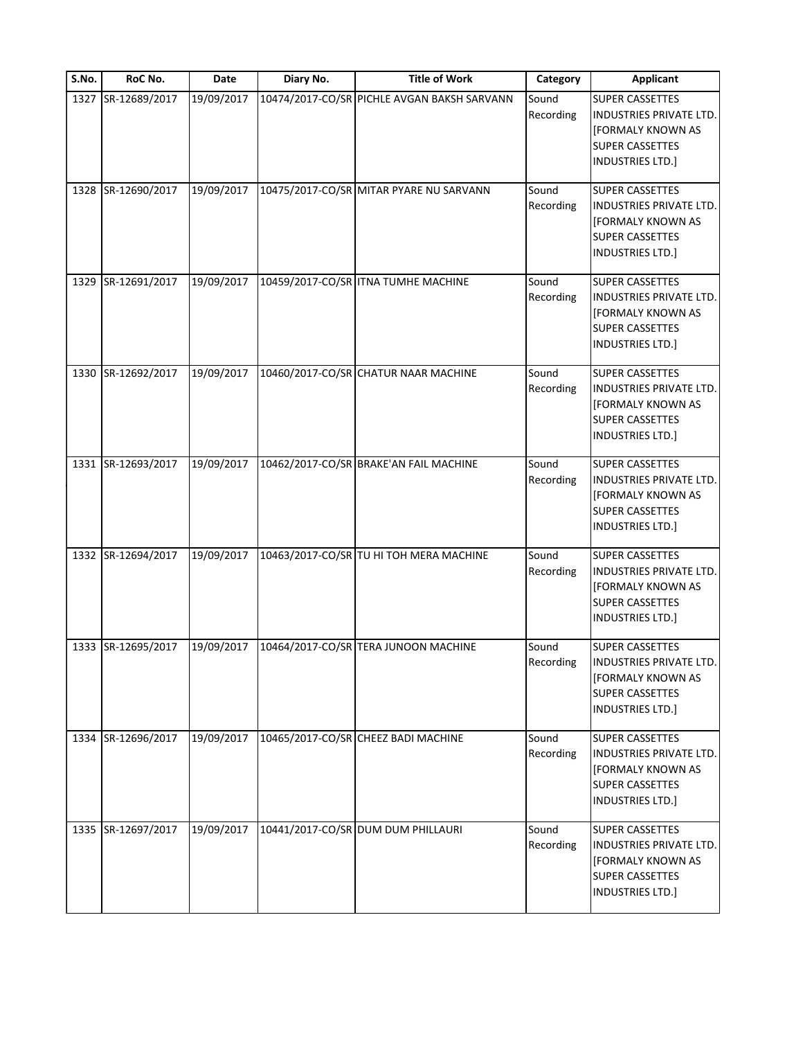| S.No. | RoC No.            | Date       | Diary No. | <b>Title of Work</b>                        | Category           | <b>Applicant</b>                                                                                                                          |
|-------|--------------------|------------|-----------|---------------------------------------------|--------------------|-------------------------------------------------------------------------------------------------------------------------------------------|
|       | 1327 SR-12689/2017 | 19/09/2017 |           | 10474/2017-CO/SR PICHLE AVGAN BAKSH SARVANN | Sound<br>Recording | <b>SUPER CASSETTES</b><br>INDUSTRIES PRIVATE LTD.<br>[FORMALY KNOWN AS<br><b>SUPER CASSETTES</b><br><b>INDUSTRIES LTD.]</b>               |
|       | 1328 SR-12690/2017 | 19/09/2017 |           | 10475/2017-CO/SR MITAR PYARE NU SARVANN     | Sound<br>Recording | <b>SUPER CASSETTES</b><br>INDUSTRIES PRIVATE LTD.<br><b>[FORMALY KNOWN AS</b><br><b>SUPER CASSETTES</b><br><b>INDUSTRIES LTD.]</b>        |
|       | 1329 SR-12691/2017 | 19/09/2017 |           | 10459/2017-CO/SR   ITNA TUMHE MACHINE       | Sound<br>Recording | <b>SUPER CASSETTES</b><br>INDUSTRIES PRIVATE LTD.<br>[FORMALY KNOWN AS<br><b>SUPER CASSETTES</b><br><b>INDUSTRIES LTD.]</b>               |
|       | 1330 SR-12692/2017 | 19/09/2017 |           | 10460/2017-CO/SR CHATUR NAAR MACHINE        | Sound<br>Recording | <b>SUPER CASSETTES</b><br><b>INDUSTRIES PRIVATE LTD.</b><br><b>[FORMALY KNOWN AS</b><br><b>SUPER CASSETTES</b><br><b>INDUSTRIES LTD.]</b> |
|       | 1331 SR-12693/2017 | 19/09/2017 |           | 10462/2017-CO/SR BRAKE'AN FAIL MACHINE      | Sound<br>Recording | <b>SUPER CASSETTES</b><br>INDUSTRIES PRIVATE LTD.<br><b>[FORMALY KNOWN AS</b><br><b>SUPER CASSETTES</b><br><b>INDUSTRIES LTD.]</b>        |
|       | 1332 SR-12694/2017 | 19/09/2017 |           | 10463/2017-CO/SR TU HI TOH MERA MACHINE     | Sound<br>Recording | <b>SUPER CASSETTES</b><br><b>INDUSTRIES PRIVATE LTD.</b><br>[FORMALY KNOWN AS<br><b>SUPER CASSETTES</b><br><b>INDUSTRIES LTD.]</b>        |
|       | 1333 SR-12695/2017 | 19/09/2017 |           | 10464/2017-CO/SR TERA JUNOON MACHINE        | Sound<br>Recording | SUPER CASSETTES<br><b>INDUSTRIES PRIVATE LTD.</b><br><b>[FORMALY KNOWN AS</b><br><b>SUPER CASSETTES</b><br><b>INDUSTRIES LTD.]</b>        |
|       | 1334 SR-12696/2017 | 19/09/2017 |           | 10465/2017-CO/SR CHEEZ BADI MACHINE         | Sound<br>Recording | <b>SUPER CASSETTES</b><br>INDUSTRIES PRIVATE LTD.<br><b>[FORMALY KNOWN AS</b><br><b>SUPER CASSETTES</b><br><b>INDUSTRIES LTD.]</b>        |
|       | 1335 SR-12697/2017 | 19/09/2017 |           | 10441/2017-CO/SR DUM DUM PHILLAURI          | Sound<br>Recording | <b>SUPER CASSETTES</b><br><b>INDUSTRIES PRIVATE LTD.</b><br><b>[FORMALY KNOWN AS</b><br><b>SUPER CASSETTES</b><br>INDUSTRIES LTD.]        |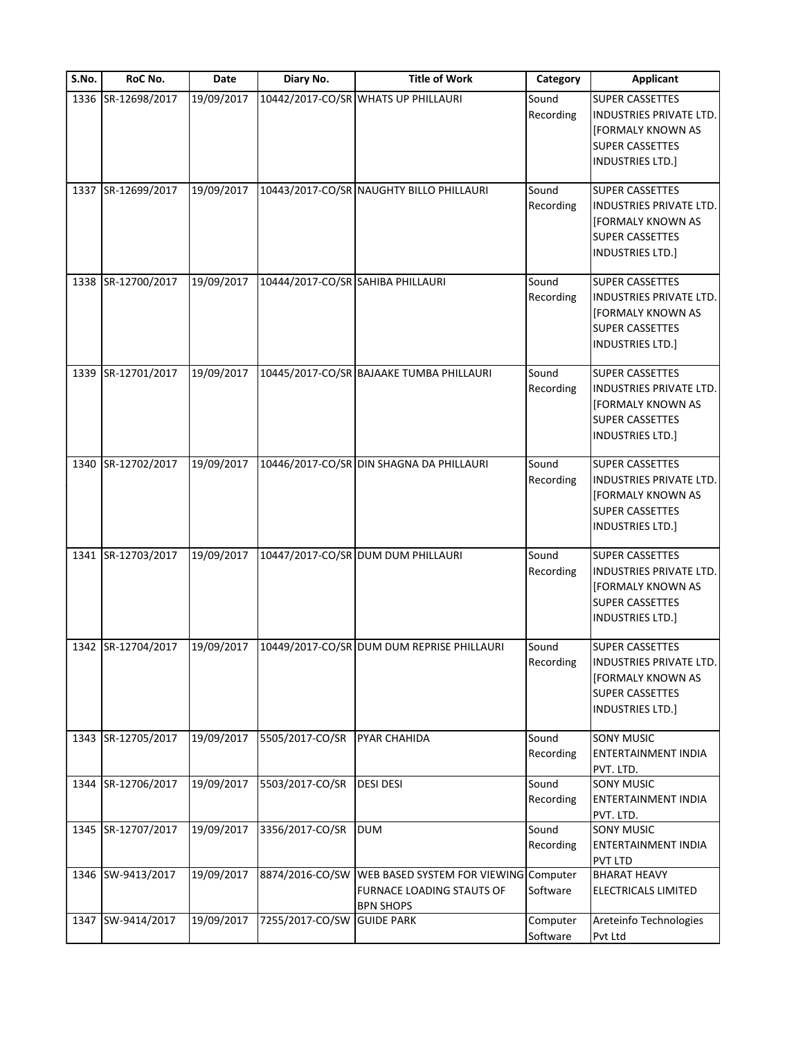| S.No. | RoC No.            | Date       | Diary No.                         | <b>Title of Work</b>                                                          | Category             | <b>Applicant</b>                                                                                                                          |
|-------|--------------------|------------|-----------------------------------|-------------------------------------------------------------------------------|----------------------|-------------------------------------------------------------------------------------------------------------------------------------------|
|       | 1336 SR-12698/2017 | 19/09/2017 |                                   | 10442/2017-CO/SR WHATS UP PHILLAURI                                           | Sound<br>Recording   | <b>SUPER CASSETTES</b><br>INDUSTRIES PRIVATE LTD.<br>[FORMALY KNOWN AS<br>SUPER CASSETTES<br><b>INDUSTRIES LTD.]</b>                      |
|       | 1337 SR-12699/2017 | 19/09/2017 |                                   | 10443/2017-CO/SR NAUGHTY BILLO PHILLAURI                                      | Sound<br>Recording   | <b>SUPER CASSETTES</b><br><b>INDUSTRIES PRIVATE LTD.</b><br><b>[FORMALY KNOWN AS</b><br><b>SUPER CASSETTES</b><br><b>INDUSTRIES LTD.]</b> |
|       | 1338 SR-12700/2017 | 19/09/2017 | 10444/2017-CO/SR SAHIBA PHILLAURI |                                                                               | Sound<br>Recording   | <b>SUPER CASSETTES</b><br>INDUSTRIES PRIVATE LTD.<br><b>FORMALY KNOWN AS</b><br><b>SUPER CASSETTES</b><br>INDUSTRIES LTD.]                |
|       | 1339 SR-12701/2017 | 19/09/2017 |                                   | 10445/2017-CO/SR BAJAAKE TUMBA PHILLAURI                                      | Sound<br>Recording   | <b>SUPER CASSETTES</b><br><b>INDUSTRIES PRIVATE LTD.</b><br>[FORMALY KNOWN AS<br><b>SUPER CASSETTES</b><br>INDUSTRIES LTD.]               |
|       | 1340 SR-12702/2017 | 19/09/2017 |                                   | 10446/2017-CO/SR DIN SHAGNA DA PHILLAURI                                      | Sound<br>Recording   | <b>SUPER CASSETTES</b><br>INDUSTRIES PRIVATE LTD.<br><b>[FORMALY KNOWN AS</b><br><b>SUPER CASSETTES</b><br>INDUSTRIES LTD.]               |
|       | 1341 SR-12703/2017 | 19/09/2017 |                                   | 10447/2017-CO/SR DUM DUM PHILLAURI                                            | Sound<br>Recording   | <b>SUPER CASSETTES</b><br>INDUSTRIES PRIVATE LTD.<br><b>[FORMALY KNOWN AS</b><br>SUPER CASSETTES<br><b>INDUSTRIES LTD.]</b>               |
|       | 1342 SR-12704/2017 | 19/09/2017 |                                   | 10449/2017-CO/SR DUM DUM REPRISE PHILLAURI                                    | Sound<br>Recording   | <b>SUPER CASSETTES</b><br>INDUSTRIES PRIVATE LTD.<br><b>FORMALY KNOWN AS</b><br><b>SUPER CASSETTES</b><br>INDUSTRIES LTD.]                |
|       | 1343 SR-12705/2017 | 19/09/2017 | 5505/2017-CO/SR                   | PYAR CHAHIDA                                                                  | Sound<br>Recording   | <b>SONY MUSIC</b><br>ENTERTAINMENT INDIA<br>PVT. LTD.                                                                                     |
|       | 1344 SR-12706/2017 | 19/09/2017 | 5503/2017-CO/SR                   | <b>DESI DESI</b>                                                              | Sound<br>Recording   | <b>SONY MUSIC</b><br>ENTERTAINMENT INDIA<br>PVT. LTD.                                                                                     |
|       | 1345 SR-12707/2017 | 19/09/2017 | 3356/2017-CO/SR                   | <b>DUM</b>                                                                    | Sound<br>Recording   | <b>SONY MUSIC</b><br>ENTERTAINMENT INDIA<br><b>PVT LTD</b>                                                                                |
|       | 1346 SW-9413/2017  | 19/09/2017 | 8874/2016-CO/SW                   | WEB BASED SYSTEM FOR VIEWING<br>FURNACE LOADING STAUTS OF<br><b>BPN SHOPS</b> | Computer<br>Software | <b>BHARAT HEAVY</b><br>ELECTRICALS LIMITED                                                                                                |
| 1347  | SW-9414/2017       | 19/09/2017 | 7255/2017-CO/SW                   | <b>GUIDE PARK</b>                                                             | Computer<br>Software | Areteinfo Technologies<br>Pvt Ltd                                                                                                         |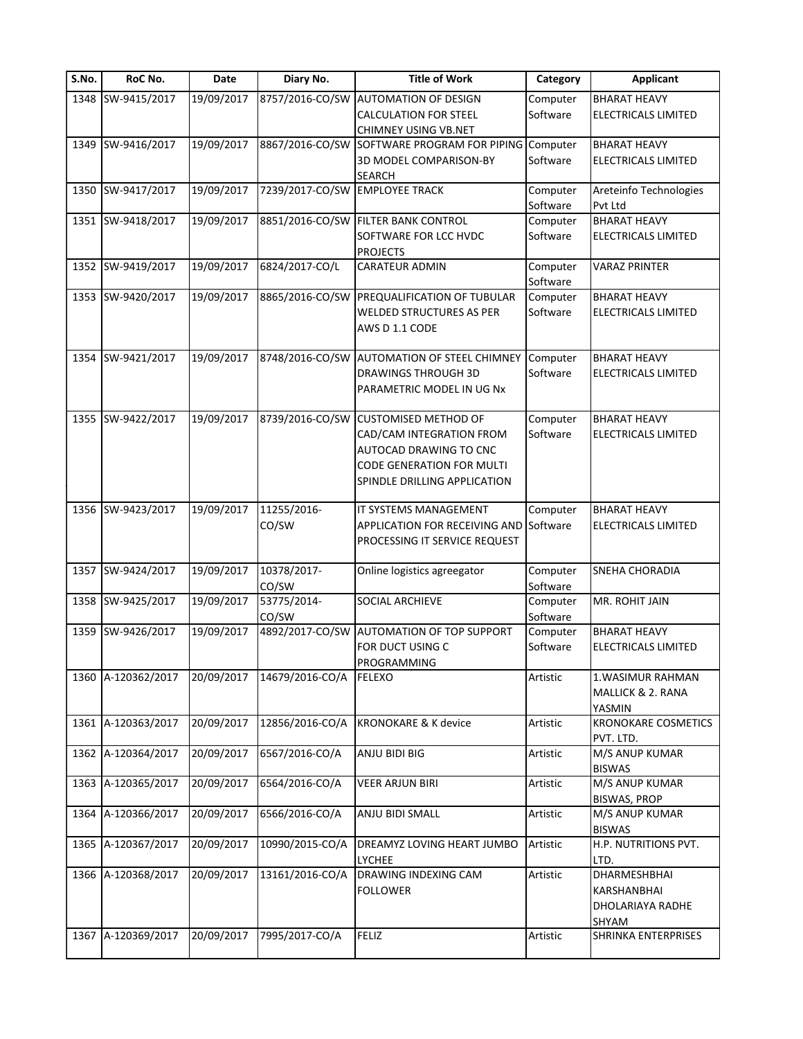| S.No. | RoC No.            | Date       | Diary No.            | <b>Title of Work</b>                                                    | Category             | <b>Applicant</b>                           |
|-------|--------------------|------------|----------------------|-------------------------------------------------------------------------|----------------------|--------------------------------------------|
|       | 1348 SW-9415/2017  | 19/09/2017 | 8757/2016-CO/SW      | <b>AUTOMATION OF DESIGN</b><br><b>CALCULATION FOR STEEL</b>             | Computer<br>Software | <b>BHARAT HEAVY</b><br>ELECTRICALS LIMITED |
|       |                    |            |                      | <b>CHIMNEY USING VB.NET</b>                                             |                      |                                            |
|       | 1349 SW-9416/2017  | 19/09/2017 | 8867/2016-CO/SW      | SOFTWARE PROGRAM FOR PIPING Computer                                    |                      | <b>BHARAT HEAVY</b>                        |
|       |                    |            |                      | 3D MODEL COMPARISON-BY                                                  | Software             | <b>ELECTRICALS LIMITED</b>                 |
|       |                    |            |                      | <b>SEARCH</b>                                                           |                      |                                            |
|       | 1350 SW-9417/2017  | 19/09/2017 | 7239/2017-CO/SW      | <b>EMPLOYEE TRACK</b>                                                   | Computer             | Areteinfo Technologies                     |
|       |                    |            |                      |                                                                         | Software             | Pvt Ltd                                    |
|       | 1351 SW-9418/2017  | 19/09/2017 | 8851/2016-CO/SW      | <b>FILTER BANK CONTROL</b>                                              | Computer             | <b>BHARAT HEAVY</b>                        |
|       |                    |            |                      | SOFTWARE FOR LCC HVDC<br><b>PROJECTS</b>                                | Software             | ELECTRICALS LIMITED                        |
|       | 1352 SW-9419/2017  | 19/09/2017 | 6824/2017-CO/L       | CARATEUR ADMIN                                                          | Computer             | <b>VARAZ PRINTER</b>                       |
|       |                    |            |                      |                                                                         | Software             |                                            |
|       | 1353 SW-9420/2017  | 19/09/2017 | 8865/2016-CO/SW      | PREQUALIFICATION OF TUBULAR                                             | Computer             | <b>BHARAT HEAVY</b>                        |
|       |                    |            |                      | <b>WELDED STRUCTURES AS PER</b><br>AWS D 1.1 CODE                       | Software             | <b>ELECTRICALS LIMITED</b>                 |
|       | 1354 SW-9421/2017  | 19/09/2017 | 8748/2016-CO/SW      | <b>AUTOMATION OF STEEL CHIMNEY</b>                                      | Computer             | <b>BHARAT HEAVY</b>                        |
|       |                    |            |                      | <b>DRAWINGS THROUGH 3D</b><br>PARAMETRIC MODEL IN UG Nx                 | Software             | ELECTRICALS LIMITED                        |
|       |                    |            |                      |                                                                         |                      |                                            |
|       | 1355 SW-9422/2017  | 19/09/2017 | 8739/2016-CO/SW      | <b>CUSTOMISED METHOD OF</b>                                             | Computer             | <b>BHARAT HEAVY</b>                        |
|       |                    |            |                      | CAD/CAM INTEGRATION FROM                                                | Software             | ELECTRICALS LIMITED                        |
|       |                    |            |                      | AUTOCAD DRAWING TO CNC                                                  |                      |                                            |
|       |                    |            |                      | <b>CODE GENERATION FOR MULTI</b>                                        |                      |                                            |
|       |                    |            |                      | SPINDLE DRILLING APPLICATION                                            |                      |                                            |
|       |                    |            |                      |                                                                         |                      |                                            |
|       | 1356 SW-9423/2017  | 19/09/2017 | 11255/2016-          | IT SYSTEMS MANAGEMENT                                                   | Computer             | <b>BHARAT HEAVY</b>                        |
|       |                    |            | CO/SW                | APPLICATION FOR RECEIVING AND Software<br>PROCESSING IT SERVICE REQUEST |                      | <b>ELECTRICALS LIMITED</b>                 |
|       | 1357 SW-9424/2017  | 19/09/2017 | 10378/2017-<br>CO/SW | Online logistics agreegator                                             | Computer<br>Software | SNEHA CHORADIA                             |
|       | 1358 SW-9425/2017  | 19/09/2017 | 53775/2014-<br>CO/SW | SOCIAL ARCHIEVE                                                         | Computer<br>Software | MR. ROHIT JAIN                             |
|       | 1359 SW-9426/2017  | 19/09/2017 | 4892/2017-CO/SW      | <b>AUTOMATION OF TOP SUPPORT</b>                                        | Computer             | <b>BHARAT HEAVY</b>                        |
|       |                    |            |                      | FOR DUCT USING C<br>PROGRAMMING                                         | Software             | ELECTRICALS LIMITED                        |
|       | 1360 A-120362/2017 | 20/09/2017 | 14679/2016-CO/A      | <b>FELEXO</b>                                                           | Artistic             | 1. WASIMUR RAHMAN                          |
|       |                    |            |                      |                                                                         |                      | MALLICK & 2. RANA                          |
|       |                    |            |                      |                                                                         |                      | YASMIN                                     |
|       | 1361 A-120363/2017 | 20/09/2017 | 12856/2016-CO/A      | <b>KRONOKARE &amp; K device</b>                                         | Artistic             | <b>KRONOKARE COSMETICS</b>                 |
|       |                    |            |                      |                                                                         |                      | PVT. LTD.                                  |
|       | 1362 A-120364/2017 | 20/09/2017 | 6567/2016-CO/A       | ANJU BIDI BIG                                                           | Artistic             | M/S ANUP KUMAR                             |
|       |                    |            |                      |                                                                         |                      | BISWAS                                     |
|       | 1363 A-120365/2017 | 20/09/2017 | 6564/2016-CO/A       | <b>VEER ARJUN BIRI</b>                                                  | Artistic             | M/S ANUP KUMAR                             |
|       |                    |            |                      |                                                                         |                      | <b>BISWAS, PROP</b>                        |
|       | 1364 A-120366/2017 | 20/09/2017 | 6566/2016-CO/A       | ANJU BIDI SMALL                                                         | Artistic             | M/S ANUP KUMAR                             |
|       |                    |            |                      |                                                                         |                      | <b>BISWAS</b>                              |
|       | 1365 A-120367/2017 | 20/09/2017 | 10990/2015-CO/A      | DREAMYZ LOVING HEART JUMBO                                              | Artistic             | H.P. NUTRITIONS PVT.                       |
|       |                    |            |                      | <b>LYCHEE</b>                                                           |                      | LTD.                                       |
|       | 1366 A-120368/2017 | 20/09/2017 | 13161/2016-CO/A      | DRAWING INDEXING CAM                                                    | Artistic             | DHARMESHBHAI                               |
|       |                    |            |                      |                                                                         |                      |                                            |
|       |                    |            |                      | <b>FOLLOWER</b>                                                         |                      | KARSHANBHAI                                |
|       |                    |            |                      |                                                                         |                      | DHOLARIAYA RADHE                           |
|       |                    |            |                      |                                                                         |                      |                                            |
|       | 1367 A-120369/2017 | 20/09/2017 | 7995/2017-CO/A       | <b>FELIZ</b>                                                            | Artistic             | SHYAM<br>SHRINKA ENTERPRISES               |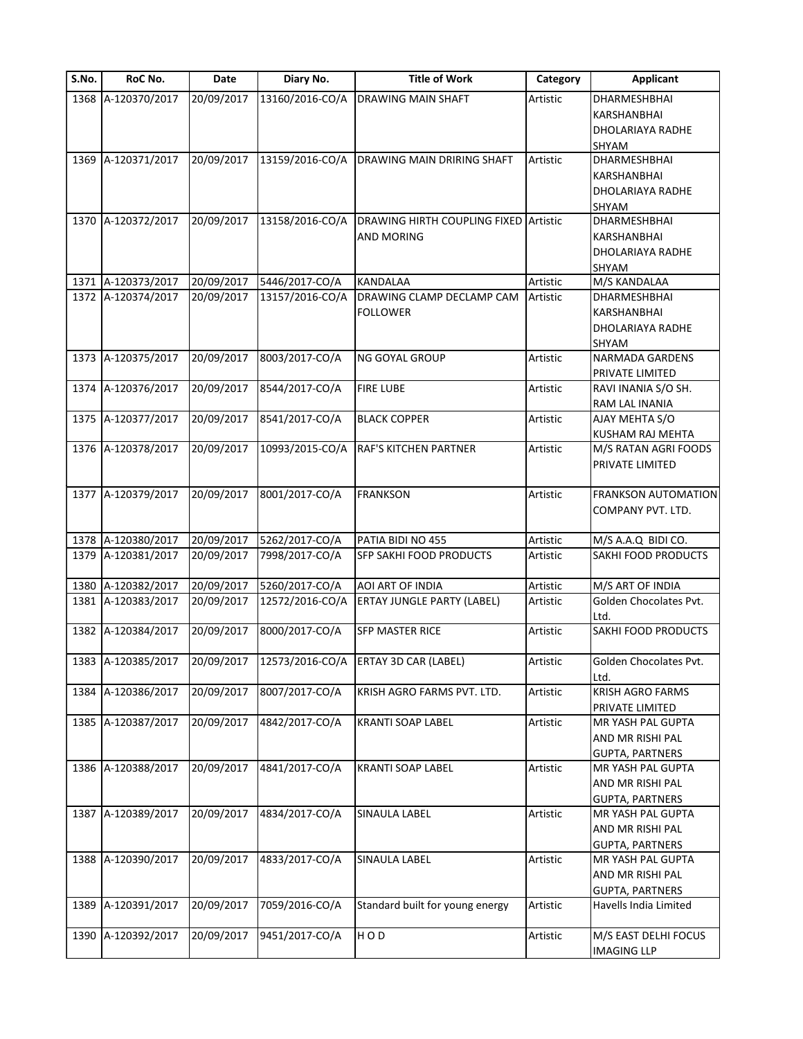| S.No. | RoC No.            | Date       | Diary No.       | <b>Title of Work</b>                  | Category | <b>Applicant</b>         |
|-------|--------------------|------------|-----------------|---------------------------------------|----------|--------------------------|
|       | 1368 A-120370/2017 | 20/09/2017 | 13160/2016-CO/A | DRAWING MAIN SHAFT                    | Artistic | DHARMESHBHAI             |
|       |                    |            |                 |                                       |          | KARSHANBHAI              |
|       |                    |            |                 |                                       |          | DHOLARIAYA RADHE         |
|       |                    |            |                 |                                       |          | SHYAM                    |
|       | 1369 A-120371/2017 | 20/09/2017 | 13159/2016-CO/A | DRAWING MAIN DRIRING SHAFT            | Artistic | DHARMESHBHAI             |
|       |                    |            |                 |                                       |          | KARSHANBHAI              |
|       |                    |            |                 |                                       |          |                          |
|       |                    |            |                 |                                       |          | DHOLARIAYA RADHE         |
|       |                    |            |                 |                                       |          | SHYAM                    |
|       | 1370 A-120372/2017 | 20/09/2017 | 13158/2016-CO/A | DRAWING HIRTH COUPLING FIXED Artistic |          | DHARMESHBHAI             |
|       |                    |            |                 | AND MORING                            |          | KARSHANBHAI              |
|       |                    |            |                 |                                       |          | DHOLARIAYA RADHE         |
|       |                    |            |                 |                                       |          | SHYAM                    |
| 1371  | A-120373/2017      | 20/09/2017 | 5446/2017-CO/A  | KANDALAA                              | Artistic | M/S KANDALAA             |
|       | 1372 A-120374/2017 | 20/09/2017 | 13157/2016-CO/A | DRAWING CLAMP DECLAMP CAM             | Artistic | DHARMESHBHAI             |
|       |                    |            |                 | <b>FOLLOWER</b>                       |          | KARSHANBHAI              |
|       |                    |            |                 |                                       |          | <b>DHOLARIAYA RADHE</b>  |
|       |                    |            |                 |                                       |          |                          |
|       | 1373 A-120375/2017 | 20/09/2017 | 8003/2017-CO/A  | <b>NG GOYAL GROUP</b>                 | Artistic | SHYAM<br>NARMADA GARDENS |
|       |                    |            |                 |                                       |          |                          |
|       |                    |            |                 |                                       |          | PRIVATE LIMITED          |
| 1374  | A-120376/2017      | 20/09/2017 | 8544/2017-CO/A  | <b>FIRE LUBE</b>                      | Artistic | RAVI INANIA S/O SH.      |
|       |                    |            |                 |                                       |          | RAM LAL INANIA           |
| 1375  | A-120377/2017      | 20/09/2017 | 8541/2017-CO/A  | <b>BLACK COPPER</b>                   | Artistic | AJAY MEHTA S/O           |
|       |                    |            |                 |                                       |          | KUSHAM RAJ MEHTA         |
|       | 1376 A-120378/2017 | 20/09/2017 | 10993/2015-CO/A | RAF'S KITCHEN PARTNER                 | Artistic | M/S RATAN AGRI FOODS     |
|       |                    |            |                 |                                       |          | PRIVATE LIMITED          |
|       |                    |            |                 |                                       |          |                          |
|       | 1377 A-120379/2017 | 20/09/2017 | 8001/2017-CO/A  | <b>FRANKSON</b>                       | Artistic | FRANKSON AUTOMATION      |
|       |                    |            |                 |                                       |          |                          |
|       |                    |            |                 |                                       |          | COMPANY PVT. LTD.        |
|       | 1378 A-120380/2017 | 20/09/2017 | 5262/2017-CO/A  | PATIA BIDI NO 455                     | Artistic | M/S A.A.Q BIDI CO.       |
|       | 1379 A-120381/2017 | 20/09/2017 | 7998/2017-CO/A  | SFP SAKHI FOOD PRODUCTS               | Artistic | SAKHI FOOD PRODUCTS      |
|       |                    |            |                 |                                       |          |                          |
|       |                    |            |                 |                                       |          |                          |
|       | 1380 A-120382/2017 | 20/09/2017 | 5260/2017-CO/A  | AOI ART OF INDIA                      | Artistic | M/S ART OF INDIA         |
|       | 1381 A-120383/2017 | 20/09/2017 | 12572/2016-CO/A | <b>ERTAY JUNGLE PARTY (LABEL)</b>     | Artistic | Golden Chocolates Pvt.   |
|       |                    |            |                 |                                       |          | Ltd.                     |
|       | 1382 A-120384/2017 | 20/09/2017 | 8000/2017-CO/A  | SFP MASTER RICE                       | Artistic | SAKHI FOOD PRODUCTS      |
|       |                    |            |                 |                                       |          |                          |
|       | 1383 A-120385/2017 | 20/09/2017 |                 | 12573/2016-CO/A ERTAY 3D CAR (LABEL)  | Artistic | Golden Chocolates Pvt.   |
|       |                    |            |                 |                                       |          | Ltd.                     |
|       | 1384 A-120386/2017 | 20/09/2017 | 8007/2017-CO/A  | KRISH AGRO FARMS PVT. LTD.            | Artistic | <b>KRISH AGRO FARMS</b>  |
|       |                    |            |                 |                                       |          | PRIVATE LIMITED          |
|       | 1385 A-120387/2017 | 20/09/2017 | 4842/2017-CO/A  | <b>KRANTI SOAP LABEL</b>              | Artistic | MR YASH PAL GUPTA        |
|       |                    |            |                 |                                       |          |                          |
|       |                    |            |                 |                                       |          | AND MR RISHI PAL         |
|       |                    |            |                 |                                       |          | <b>GUPTA, PARTNERS</b>   |
|       | 1386 A-120388/2017 | 20/09/2017 | 4841/2017-CO/A  | <b>KRANTI SOAP LABEL</b>              | Artistic | MR YASH PAL GUPTA        |
|       |                    |            |                 |                                       |          | AND MR RISHI PAL         |
|       |                    |            |                 |                                       |          | <b>GUPTA, PARTNERS</b>   |
|       | 1387 A-120389/2017 | 20/09/2017 | 4834/2017-CO/A  | SINAULA LABEL                         | Artistic | MR YASH PAL GUPTA        |
|       |                    |            |                 |                                       |          | AND MR RISHI PAL         |
|       |                    |            |                 |                                       |          | <b>GUPTA, PARTNERS</b>   |
|       | 1388 A-120390/2017 | 20/09/2017 | 4833/2017-CO/A  | SINAULA LABEL                         | Artistic | MR YASH PAL GUPTA        |
|       |                    |            |                 |                                       |          |                          |
|       |                    |            |                 |                                       |          | AND MR RISHI PAL         |
|       |                    |            |                 |                                       |          | <b>GUPTA, PARTNERS</b>   |
| 1389  | A-120391/2017      | 20/09/2017 | 7059/2016-CO/A  | Standard built for young energy       | Artistic | Havells India Limited    |
|       |                    |            |                 |                                       |          |                          |
| 1390  | A-120392/2017      | 20/09/2017 | 9451/2017-CO/A  | HOD                                   | Artistic | M/S EAST DELHI FOCUS     |
|       |                    |            |                 |                                       |          | <b>IMAGING LLP</b>       |
|       |                    |            |                 |                                       |          |                          |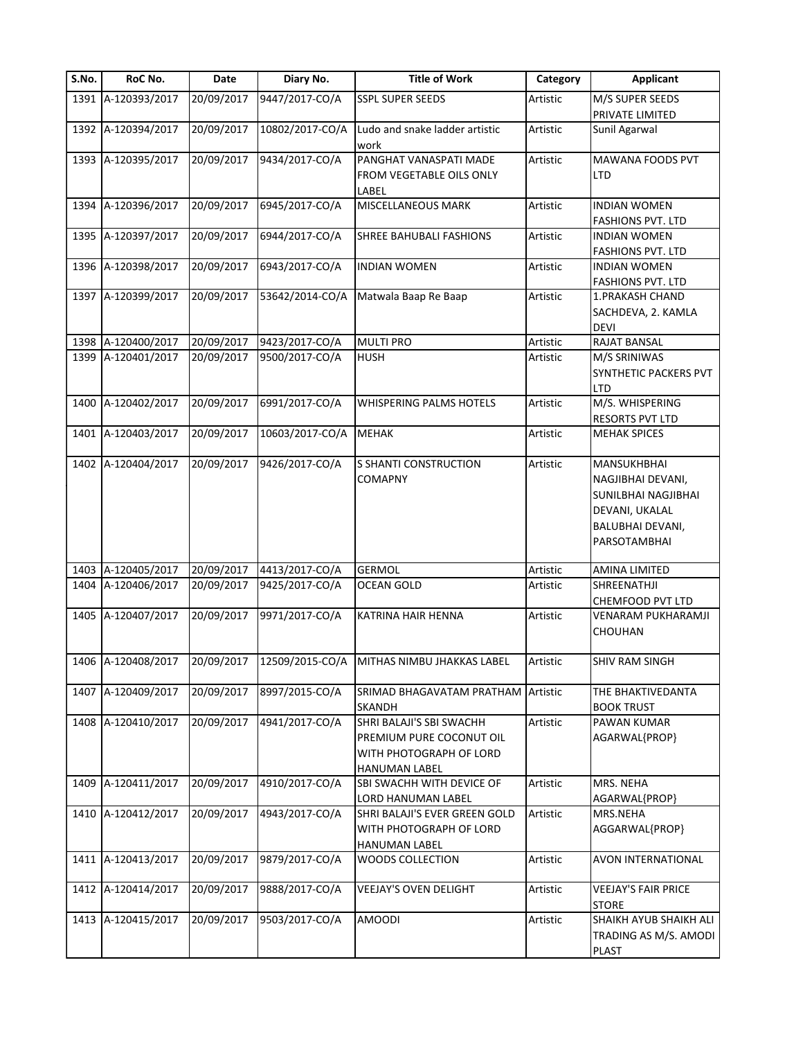| S.No. | RoC No.            | Date       | Diary No.       | <b>Title of Work</b>                                                     | Category | <b>Applicant</b>           |
|-------|--------------------|------------|-----------------|--------------------------------------------------------------------------|----------|----------------------------|
|       | 1391 A-120393/2017 | 20/09/2017 | 9447/2017-CO/A  | <b>SSPL SUPER SEEDS</b>                                                  | Artistic | M/S SUPER SEEDS            |
|       |                    |            |                 |                                                                          |          | PRIVATE LIMITED            |
|       | 1392 A-120394/2017 | 20/09/2017 | 10802/2017-CO/A | Ludo and snake ladder artistic<br>work                                   | Artistic | Sunil Agarwal              |
|       | 1393 A-120395/2017 | 20/09/2017 | 9434/2017-CO/A  | PANGHAT VANASPATI MADE                                                   | Artistic | MAWANA FOODS PVT           |
|       |                    |            |                 | FROM VEGETABLE OILS ONLY<br>LABEL                                        |          | <b>LTD</b>                 |
|       | 1394 A-120396/2017 | 20/09/2017 | 6945/2017-CO/A  | MISCELLANEOUS MARK                                                       | Artistic | <b>INDIAN WOMEN</b>        |
|       |                    |            |                 |                                                                          |          | <b>FASHIONS PVT. LTD</b>   |
|       | 1395 A-120397/2017 | 20/09/2017 | 6944/2017-CO/A  | SHREE BAHUBALI FASHIONS                                                  | Artistic | <b>INDIAN WOMEN</b>        |
|       |                    |            |                 |                                                                          |          | <b>FASHIONS PVT. LTD</b>   |
|       | 1396 A-120398/2017 | 20/09/2017 | 6943/2017-CO/A  | <b>INDIAN WOMEN</b>                                                      | Artistic | <b>INDIAN WOMEN</b>        |
|       |                    |            |                 |                                                                          |          | <b>FASHIONS PVT. LTD</b>   |
|       | 1397 A-120399/2017 | 20/09/2017 | 53642/2014-CO/A | Matwala Baap Re Baap                                                     | Artistic | 1. PRAKASH CHAND           |
|       |                    |            |                 |                                                                          |          | SACHDEVA, 2. KAMLA         |
|       |                    |            |                 |                                                                          |          | <b>DEVI</b>                |
|       | 1398 A-120400/2017 | 20/09/2017 | 9423/2017-CO/A  | <b>MULTI PRO</b>                                                         | Artistic | <b>RAJAT BANSAL</b>        |
|       | 1399 A-120401/2017 | 20/09/2017 | 9500/2017-CO/A  | <b>HUSH</b>                                                              | Artistic | M/S SRINIWAS               |
|       |                    |            |                 |                                                                          |          | SYNTHETIC PACKERS PVT      |
|       |                    |            |                 |                                                                          |          | <b>LTD</b>                 |
|       | 1400 A-120402/2017 | 20/09/2017 | 6991/2017-CO/A  | WHISPERING PALMS HOTELS                                                  | Artistic | M/S. WHISPERING            |
|       |                    |            |                 |                                                                          |          | RESORTS PVT LTD            |
|       | 1401 A-120403/2017 | 20/09/2017 | 10603/2017-CO/A | <b>MEHAK</b>                                                             | Artistic | <b>MEHAK SPICES</b>        |
|       | 1402 A-120404/2017 | 20/09/2017 | 9426/2017-CO/A  | <b>S SHANTI CONSTRUCTION</b>                                             | Artistic | MANSUKHBHAI                |
|       |                    |            |                 | <b>COMAPNY</b>                                                           |          | NAGJIBHAI DEVANI,          |
|       |                    |            |                 |                                                                          |          | SUNILBHAI NAGJIBHAI        |
|       |                    |            |                 |                                                                          |          | DEVANI, UKALAL             |
|       |                    |            |                 |                                                                          |          | <b>BALUBHAI DEVANI,</b>    |
|       |                    |            |                 |                                                                          |          | PARSOTAMBHAI               |
|       |                    |            |                 |                                                                          |          |                            |
|       | 1403 A-120405/2017 | 20/09/2017 | 4413/2017-CO/A  | <b>GERMOL</b>                                                            | Artistic | AMINA LIMITED              |
|       | 1404 A-120406/2017 | 20/09/2017 | 9425/2017-CO/A  | <b>OCEAN GOLD</b>                                                        | Artistic | SHREENATHJI                |
|       |                    |            |                 |                                                                          |          | CHEMFOOD PVT LTD           |
|       | 1405 A-120407/2017 | 20/09/2017 | 9971/2017-CO/A  | KATRINA HAIR HENNA                                                       | Artistic | VENARAM PUKHARAMJI         |
|       |                    |            |                 |                                                                          |          | CHOUHAN                    |
|       |                    |            |                 | 1406 A-120408/2017 20/09/2017 12509/2015-CO/A MITHAS NIMBU JHAKKAS LABEL | Artistic | <b>SHIV RAM SINGH</b>      |
|       |                    |            |                 |                                                                          |          |                            |
|       | 1407 A-120409/2017 | 20/09/2017 | 8997/2015-CO/A  | SRIMAD BHAGAVATAM PRATHAM Artistic                                       |          | THE BHAKTIVEDANTA          |
|       |                    |            |                 | <b>SKANDH</b>                                                            |          | <b>BOOK TRUST</b>          |
|       | 1408 A-120410/2017 | 20/09/2017 | 4941/2017-CO/A  | SHRI BALAJI'S SBI SWACHH                                                 | Artistic | PAWAN KUMAR                |
|       |                    |            |                 | PREMIUM PURE COCONUT OIL                                                 |          | AGARWAL{PROP}              |
|       |                    |            |                 | WITH PHOTOGRAPH OF LORD                                                  |          |                            |
|       |                    |            |                 | <b>HANUMAN LABEL</b>                                                     |          |                            |
|       | 1409 A-120411/2017 | 20/09/2017 | 4910/2017-CO/A  | <b>SBI SWACHH WITH DEVICE OF</b>                                         | Artistic | MRS. NEHA                  |
|       |                    |            |                 | LORD HANUMAN LABEL                                                       |          | AGARWAL{PROP}              |
|       | 1410 A-120412/2017 | 20/09/2017 | 4943/2017-CO/A  | SHRI BALAJI'S EVER GREEN GOLD                                            | Artistic | MRS.NEHA                   |
|       |                    |            |                 | WITH PHOTOGRAPH OF LORD                                                  |          | AGGARWAL{PROP}             |
|       |                    |            |                 | HANUMAN LABEL                                                            |          |                            |
|       | 1411 A-120413/2017 | 20/09/2017 | 9879/2017-CO/A  | WOODS COLLECTION                                                         | Artistic | AVON INTERNATIONAL         |
|       | 1412 A-120414/2017 | 20/09/2017 | 9888/2017-CO/A  | VEEJAY'S OVEN DELIGHT                                                    | Artistic | <b>VEEJAY'S FAIR PRICE</b> |
|       |                    |            |                 |                                                                          |          | <b>STORE</b>               |
|       | 1413 A-120415/2017 | 20/09/2017 | 9503/2017-CO/A  | <b>AMOODI</b>                                                            | Artistic | SHAIKH AYUB SHAIKH ALI     |
|       |                    |            |                 |                                                                          |          | TRADING AS M/S. AMODI      |
|       |                    |            |                 |                                                                          |          | <b>PLAST</b>               |
|       |                    |            |                 |                                                                          |          |                            |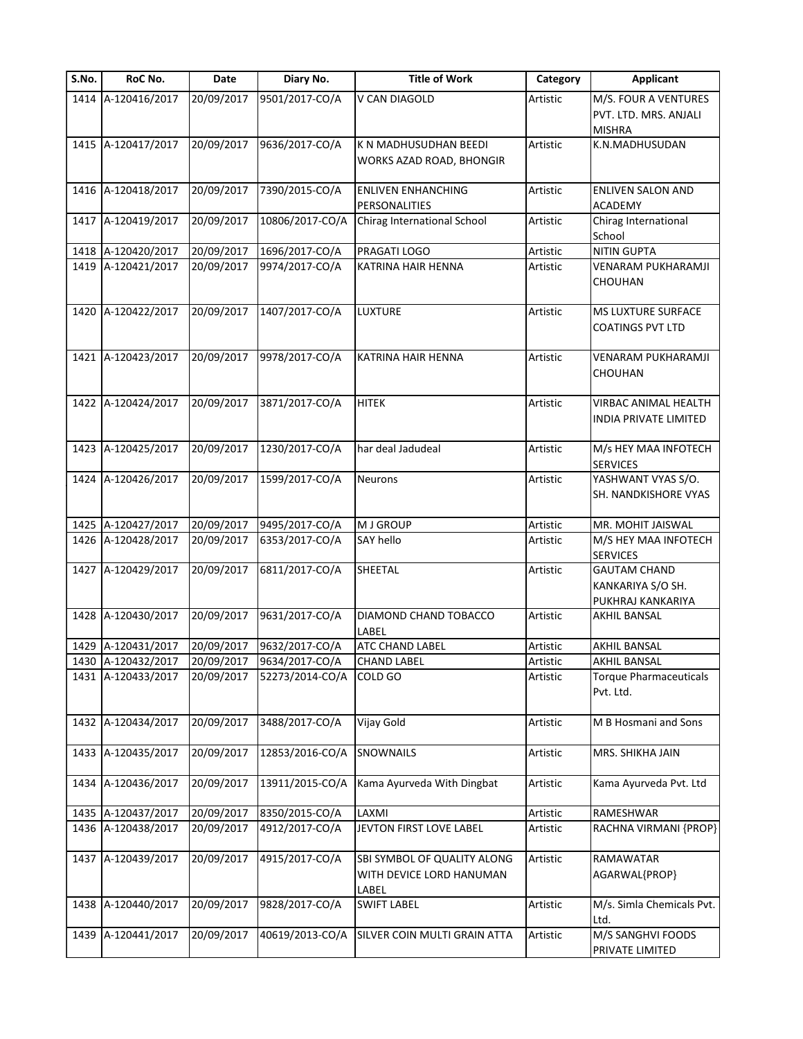| S.No. | RoC No.            | Date       | Diary No.       | <b>Title of Work</b>                                             | Category | <b>Applicant</b>                                               |
|-------|--------------------|------------|-----------------|------------------------------------------------------------------|----------|----------------------------------------------------------------|
|       | 1414 A-120416/2017 | 20/09/2017 | 9501/2017-CO/A  | V CAN DIAGOLD                                                    | Artistic | M/S. FOUR A VENTURES<br>PVT. LTD. MRS. ANJALI<br><b>MISHRA</b> |
|       | 1415 A-120417/2017 | 20/09/2017 | 9636/2017-CO/A  | K N MADHUSUDHAN BEEDI<br>WORKS AZAD ROAD, BHONGIR                | Artistic | K.N.MADHUSUDAN                                                 |
|       | 1416 A-120418/2017 | 20/09/2017 | 7390/2015-CO/A  | <b>ENLIVEN ENHANCHING</b><br>PERSONALITIES                       | Artistic | <b>ENLIVEN SALON AND</b><br><b>ACADEMY</b>                     |
| 1417  | A-120419/2017      | 20/09/2017 | 10806/2017-CO/A | Chirag International School                                      | Artistic | Chirag International<br>School                                 |
|       | 1418 A-120420/2017 | 20/09/2017 | 1696/2017-CO/A  | PRAGATI LOGO                                                     | Artistic | <b>NITIN GUPTA</b>                                             |
|       | 1419 A-120421/2017 | 20/09/2017 | 9974/2017-CO/A  | KATRINA HAIR HENNA                                               | Artistic | VENARAM PUKHARAMJI<br>CHOUHAN                                  |
|       | 1420 A-120422/2017 | 20/09/2017 | 1407/2017-CO/A  | <b>LUXTURE</b>                                                   | Artistic | MS LUXTURE SURFACE<br><b>COATINGS PVT LTD</b>                  |
| 1421  | A-120423/2017      | 20/09/2017 | 9978/2017-CO/A  | KATRINA HAIR HENNA                                               | Artistic | VENARAM PUKHARAMJI<br>CHOUHAN                                  |
|       | 1422 A-120424/2017 | 20/09/2017 | 3871/2017-CO/A  | <b>HITEK</b>                                                     | Artistic | VIRBAC ANIMAL HEALTH<br>INDIA PRIVATE LIMITED                  |
|       | 1423 A-120425/2017 | 20/09/2017 | 1230/2017-CO/A  | har deal Jadudeal                                                | Artistic | M/s HEY MAA INFOTECH<br><b>SERVICES</b>                        |
|       | 1424 A-120426/2017 | 20/09/2017 | 1599/2017-CO/A  | Neurons                                                          | Artistic | YASHWANT VYAS S/O.<br>SH. NANDKISHORE VYAS                     |
|       | 1425 A-120427/2017 | 20/09/2017 | 9495/2017-CO/A  | <b>MJ GROUP</b>                                                  | Artistic | MR. MOHIT JAISWAL                                              |
|       | 1426 A-120428/2017 | 20/09/2017 | 6353/2017-CO/A  | <b>SAY hello</b>                                                 | Artistic | M/S HEY MAA INFOTECH<br><b>SERVICES</b>                        |
|       | 1427 A-120429/2017 | 20/09/2017 | 6811/2017-CO/A  | SHEETAL                                                          | Artistic | <b>GAUTAM CHAND</b><br>KANKARIYA S/O SH.<br>PUKHRAJ KANKARIYA  |
|       | 1428 A-120430/2017 | 20/09/2017 | 9631/2017-CO/A  | DIAMOND CHAND TOBACCO<br>LABEL                                   | Artistic | AKHIL BANSAL                                                   |
|       | 1429 A-120431/2017 | 20/09/2017 | 9632/2017-CO/A  | ATC CHAND LABEL                                                  | Artistic | AKHIL BANSAL                                                   |
|       | 1430 A-120432/2017 | 20/09/2017 | 9634/2017-CO/A  | <b>CHAND LABEL</b>                                               | Artistic | <b>AKHIL BANSAL</b>                                            |
|       | 1431 A-120433/2017 | 20/09/2017 | 52273/2014-CO/A | COLD GO                                                          | Artistic | <b>Torque Pharmaceuticals</b><br>Pvt. Ltd.                     |
|       | 1432 A-120434/2017 | 20/09/2017 | 3488/2017-CO/A  | Vijay Gold                                                       | Artistic | M B Hosmani and Sons                                           |
|       | 1433 A-120435/2017 | 20/09/2017 | 12853/2016-CO/A | SNOWNAILS                                                        | Artistic | MRS. SHIKHA JAIN                                               |
| 1434  | A-120436/2017      | 20/09/2017 | 13911/2015-CO/A | Kama Ayurveda With Dingbat                                       | Artistic | Kama Ayurveda Pvt. Ltd                                         |
| 1435  | A-120437/2017      | 20/09/2017 | 8350/2015-CO/A  | LAXMI                                                            | Artistic | RAMESHWAR                                                      |
|       | 1436 A-120438/2017 | 20/09/2017 | 4912/2017-CO/A  | JEVTON FIRST LOVE LABEL                                          | Artistic | RACHNA VIRMANI {PROP}                                          |
|       | 1437 A-120439/2017 | 20/09/2017 | 4915/2017-CO/A  | SBI SYMBOL OF QUALITY ALONG<br>WITH DEVICE LORD HANUMAN<br>LABEL | Artistic | RAMAWATAR<br>AGARWAL{PROP}                                     |
| 1438  | A-120440/2017      | 20/09/2017 | 9828/2017-CO/A  | <b>SWIFT LABEL</b>                                               | Artistic | M/s. Simla Chemicals Pvt.<br>Ltd.                              |
| 1439  | A-120441/2017      | 20/09/2017 | 40619/2013-CO/A | SILVER COIN MULTI GRAIN ATTA                                     | Artistic | M/S SANGHVI FOODS<br>PRIVATE LIMITED                           |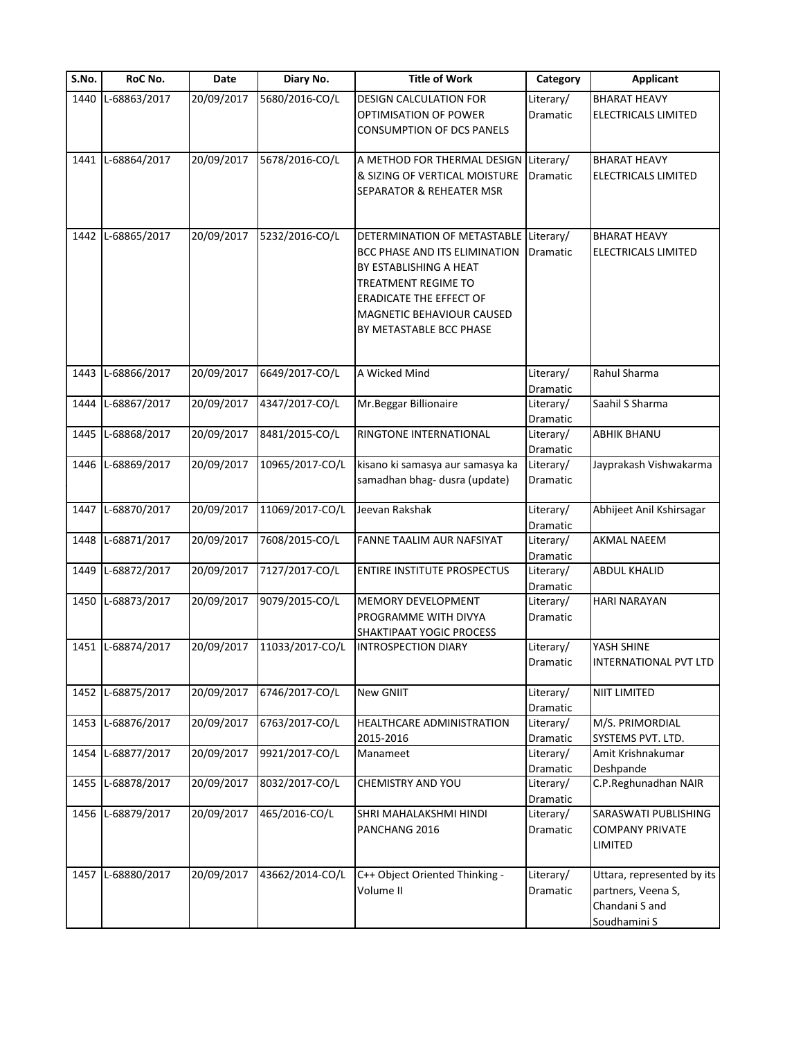| S.No. | RoC No.           | Date       | Diary No.       | <b>Title of Work</b>                                                                                                                                                                                    | Category                          | <b>Applicant</b>                                                                   |
|-------|-------------------|------------|-----------------|---------------------------------------------------------------------------------------------------------------------------------------------------------------------------------------------------------|-----------------------------------|------------------------------------------------------------------------------------|
| 1440  | L-68863/2017      | 20/09/2017 | 5680/2016-CO/L  | <b>DESIGN CALCULATION FOR</b><br>OPTIMISATION OF POWER<br><b>CONSUMPTION OF DCS PANELS</b>                                                                                                              | Literary/<br>Dramatic             | <b>BHARAT HEAVY</b><br>ELECTRICALS LIMITED                                         |
| 1441  | L-68864/2017      | 20/09/2017 | 5678/2016-CO/L  | A METHOD FOR THERMAL DESIGN<br>& SIZING OF VERTICAL MOISTURE<br>SEPARATOR & REHEATER MSR                                                                                                                | Literary/<br>Dramatic             | <b>BHARAT HEAVY</b><br><b>ELECTRICALS LIMITED</b>                                  |
| 1442  | L-68865/2017      | 20/09/2017 | 5232/2016-CO/L  | DETERMINATION OF METASTABLE<br>BCC PHASE AND ITS ELIMINATION<br>BY ESTABLISHING A HEAT<br>TREATMENT REGIME TO<br><b>ERADICATE THE EFFECT OF</b><br>MAGNETIC BEHAVIOUR CAUSED<br>BY METASTABLE BCC PHASE | Literary/<br>Dramatic             | <b>BHARAT HEAVY</b><br>ELECTRICALS LIMITED                                         |
| 1443  | L-68866/2017      | 20/09/2017 | 6649/2017-CO/L  | A Wicked Mind                                                                                                                                                                                           | Literary/                         | Rahul Sharma                                                                       |
| 1444  | L-68867/2017      | 20/09/2017 | 4347/2017-CO/L  | Mr.Beggar Billionaire                                                                                                                                                                                   | Dramatic<br>Literary/<br>Dramatic | Saahil S Sharma                                                                    |
| 1445  | L-68868/2017      | 20/09/2017 | 8481/2015-CO/L  | RINGTONE INTERNATIONAL                                                                                                                                                                                  | Literary/<br>Dramatic             | <b>ABHIK BHANU</b>                                                                 |
| 1446  | L-68869/2017      | 20/09/2017 | 10965/2017-CO/L | kisano ki samasya aur samasya ka<br>samadhan bhag- dusra (update)                                                                                                                                       | Literary/<br>Dramatic             | Jayprakash Vishwakarma                                                             |
| 1447  | L-68870/2017      | 20/09/2017 | 11069/2017-CO/L | Jeevan Rakshak                                                                                                                                                                                          | Literary/<br>Dramatic             | Abhijeet Anil Kshirsagar                                                           |
|       | 1448 L-68871/2017 | 20/09/2017 | 7608/2015-CO/L  | FANNE TAALIM AUR NAFSIYAT                                                                                                                                                                               | Literary/<br>Dramatic             | <b>AKMAL NAEEM</b>                                                                 |
| 1449  | L-68872/2017      | 20/09/2017 | 7127/2017-CO/L  | <b>ENTIRE INSTITUTE PROSPECTUS</b>                                                                                                                                                                      | Literary/<br>Dramatic             | <b>ABDUL KHALID</b>                                                                |
| 1450  | L-68873/2017      | 20/09/2017 | 9079/2015-CO/L  | MEMORY DEVELOPMENT<br>PROGRAMME WITH DIVYA<br>SHAKTIPAAT YOGIC PROCESS                                                                                                                                  | Literary/<br>Dramatic             | HARI NARAYAN                                                                       |
|       | 1451 L-68874/2017 | 20/09/2017 | 11033/2017-CO/L | <b>INTROSPECTION DIARY</b>                                                                                                                                                                              | Literary/<br>Dramatic             | YASH SHINE<br><b>INTERNATIONAL PVT LTD</b>                                         |
| 1452  | L-68875/2017      | 20/09/2017 | 6746/2017-CO/L  | New GNIIT                                                                                                                                                                                               | Literary/<br>Dramatic             | NIIT LIMITED                                                                       |
|       | 1453 L-68876/2017 | 20/09/2017 | 6763/2017-CO/L  | HEALTHCARE ADMINISTRATION<br>2015-2016                                                                                                                                                                  | Literary/<br>Dramatic             | M/S. PRIMORDIAL<br>SYSTEMS PVT. LTD.                                               |
| 1454  | L-68877/2017      | 20/09/2017 | 9921/2017-CO/L  | Manameet                                                                                                                                                                                                | Literary/                         | Amit Krishnakumar                                                                  |
|       | 1455 L-68878/2017 | 20/09/2017 | 8032/2017-CO/L  | <b>CHEMISTRY AND YOU</b>                                                                                                                                                                                | Dramatic<br>Literary/<br>Dramatic | Deshpande<br>C.P.Reghunadhan NAIR                                                  |
|       | 1456 L-68879/2017 | 20/09/2017 | 465/2016-CO/L   | SHRI MAHALAKSHMI HINDI<br>PANCHANG 2016                                                                                                                                                                 | Literary/<br>Dramatic             | SARASWATI PUBLISHING<br><b>COMPANY PRIVATE</b><br>LIMITED                          |
|       | 1457 L-68880/2017 | 20/09/2017 | 43662/2014-CO/L | C++ Object Oriented Thinking -<br>Volume II                                                                                                                                                             | Literary/<br>Dramatic             | Uttara, represented by its<br>partners, Veena S,<br>Chandani S and<br>Soudhamini S |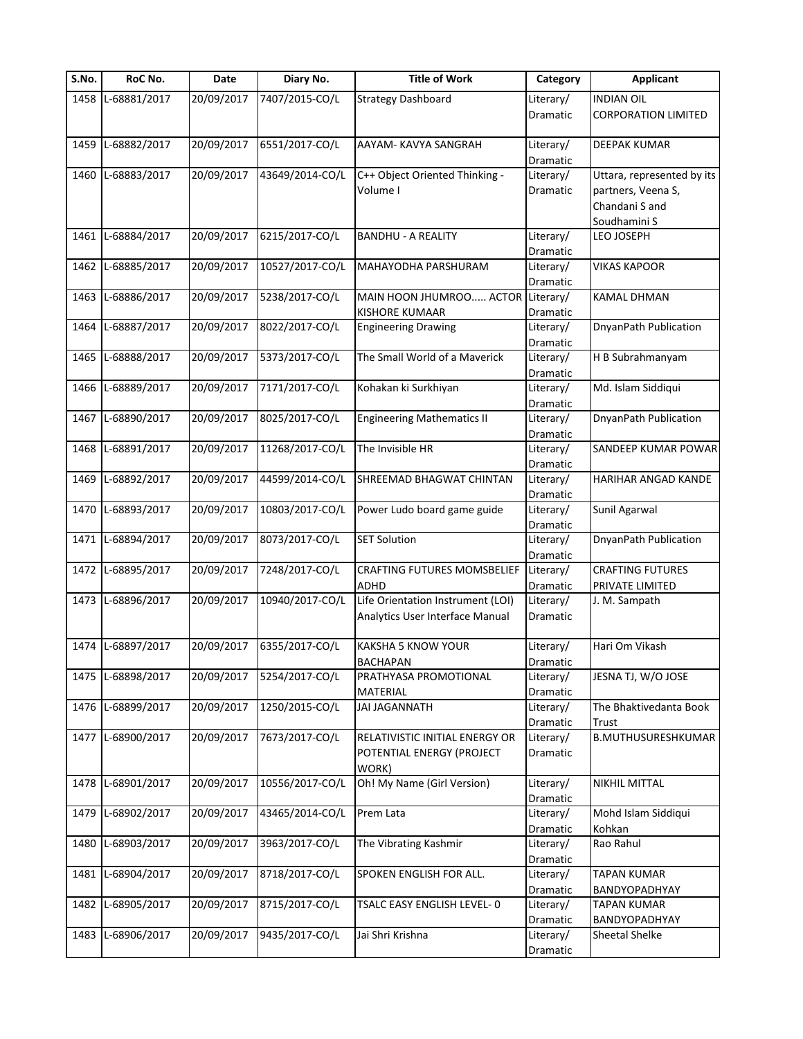| S.No. | RoC No.           | Date       | Diary No.       | <b>Title of Work</b>                      | Category              | <b>Applicant</b>           |
|-------|-------------------|------------|-----------------|-------------------------------------------|-----------------------|----------------------------|
| 1458  | L-68881/2017      | 20/09/2017 | 7407/2015-CO/L  | <b>Strategy Dashboard</b>                 | Literary/             | <b>INDIAN OIL</b>          |
|       |                   |            |                 |                                           | <b>Dramatic</b>       | <b>CORPORATION LIMITED</b> |
|       |                   |            |                 |                                           |                       |                            |
| 1459  | L-68882/2017      | 20/09/2017 | 6551/2017-CO/L  | AAYAM- KAVYA SANGRAH                      | Literary/             | DEEPAK KUMAR               |
| 1460  | L-68883/2017      | 20/09/2017 | 43649/2014-CO/L | C++ Object Oriented Thinking -            | Dramatic<br>Literary/ | Uttara, represented by its |
|       |                   |            |                 | Volume I                                  | Dramatic              | partners, Veena S,         |
|       |                   |            |                 |                                           |                       |                            |
|       |                   |            |                 |                                           |                       | Chandani S and             |
|       |                   |            |                 |                                           |                       | Soudhamini S               |
| 1461  | L-68884/2017      | 20/09/2017 | 6215/2017-CO/L  | <b>BANDHU - A REALITY</b>                 | Literary/             | LEO JOSEPH                 |
| 1462  | L-68885/2017      | 20/09/2017 | 10527/2017-CO/L | MAHAYODHA PARSHURAM                       | Dramatic<br>Literary/ | <b>VIKAS KAPOOR</b>        |
|       |                   |            |                 |                                           | Dramatic              |                            |
| 1463  | L-68886/2017      | 20/09/2017 | 5238/2017-CO/L  | MAIN HOON JHUMROO ACTOR Literary/         |                       | <b>KAMAL DHMAN</b>         |
|       |                   |            |                 | <b>KISHORE KUMAAR</b>                     | Dramatic              |                            |
| 1464  | L-68887/2017      | 20/09/2017 | 8022/2017-CO/L  | <b>Engineering Drawing</b>                | Literary/             | DnyanPath Publication      |
|       |                   |            |                 |                                           | Dramatic              |                            |
| 1465  | L-68888/2017      | 20/09/2017 | 5373/2017-CO/L  | The Small World of a Maverick             | Literary/             | H B Subrahmanyam           |
|       |                   |            |                 |                                           | Dramatic              |                            |
| 1466  | L-68889/2017      | 20/09/2017 | 7171/2017-CO/L  | Kohakan ki Surkhiyan                      | Literary/             | Md. Islam Siddiqui         |
|       |                   |            |                 |                                           | Dramatic              |                            |
| 1467  | L-68890/2017      | 20/09/2017 | 8025/2017-CO/L  | <b>Engineering Mathematics II</b>         | Literary/             | DnyanPath Publication      |
|       |                   |            |                 |                                           | Dramatic              |                            |
| 1468  | L-68891/2017      | 20/09/2017 | 11268/2017-CO/L | The Invisible HR                          | Literary/             | SANDEEP KUMAR POWAR        |
|       |                   |            |                 |                                           |                       |                            |
|       | L-68892/2017      | 20/09/2017 | 44599/2014-CO/L |                                           | Dramatic              | HARIHAR ANGAD KANDE        |
| 1469  |                   |            |                 | SHREEMAD BHAGWAT CHINTAN                  | Literary/             |                            |
| 1470  | L-68893/2017      | 20/09/2017 | 10803/2017-CO/L | Power Ludo board game guide               | Dramatic<br>Literary/ | Sunil Agarwal              |
|       |                   |            |                 |                                           |                       |                            |
| 1471  | L-68894/2017      | 20/09/2017 | 8073/2017-CO/L  | <b>SET Solution</b>                       | Dramatic              | DnyanPath Publication      |
|       |                   |            |                 |                                           | Literary/             |                            |
| 1472  | L-68895/2017      | 20/09/2017 | 7248/2017-CO/L  | <b>CRAFTING FUTURES MOMSBELIEF</b>        | Dramatic<br>Literary/ | <b>CRAFTING FUTURES</b>    |
|       |                   |            |                 |                                           |                       | PRIVATE LIMITED            |
|       | 1473 L-68896/2017 | 20/09/2017 | 10940/2017-CO/L | ADHD<br>Life Orientation Instrument (LOI) | Dramatic<br>Literary/ | J. M. Sampath              |
|       |                   |            |                 | Analytics User Interface Manual           | <b>Dramatic</b>       |                            |
|       |                   |            |                 |                                           |                       |                            |
|       | 1474 L-68897/2017 | 20/09/2017 | 6355/2017-CO/L  | KAKSHA 5 KNOW YOUR                        | Literary/             | Hari Om Vikash             |
|       |                   |            |                 | BACHAPAN                                  |                       |                            |
|       | 1475 L-68898/2017 | 20/09/2017 | 5254/2017-CO/L  | PRATHYASA PROMOTIONAL                     | Dramatic<br>Literary/ | JESNA TJ, W/O JOSE         |
|       |                   |            |                 | MATERIAL                                  | Dramatic              |                            |
|       | 1476 L-68899/2017 | 20/09/2017 | 1250/2015-CO/L  | <b>JAI JAGANNATH</b>                      | Literary/             | The Bhaktivedanta Book     |
|       |                   |            |                 |                                           | Dramatic              | Trust                      |
|       | 1477 L-68900/2017 | 20/09/2017 | 7673/2017-CO/L  | RELATIVISTIC INITIAL ENERGY OR            | Literary/             | B.MUTHUSURESHKUMAR         |
|       |                   |            |                 | POTENTIAL ENERGY (PROJECT                 | Dramatic              |                            |
|       |                   |            |                 | WORK)                                     |                       |                            |
|       | 1478 L-68901/2017 | 20/09/2017 | 10556/2017-CO/L | Oh! My Name (Girl Version)                | Literary/             | NIKHIL MITTAL              |
|       |                   |            |                 |                                           | Dramatic              |                            |
| 1479  | L-68902/2017      | 20/09/2017 | 43465/2014-CO/L | Prem Lata                                 | Literary/             | Mohd Islam Siddiqui        |
|       |                   |            |                 |                                           | Dramatic              | Kohkan                     |
| 1480  | L-68903/2017      | 20/09/2017 | 3963/2017-CO/L  | The Vibrating Kashmir                     | Literary/             | Rao Rahul                  |
|       |                   |            |                 |                                           | Dramatic              |                            |
| 1481  | L-68904/2017      | 20/09/2017 | 8718/2017-CO/L  | SPOKEN ENGLISH FOR ALL.                   | Literary/             | <b>TAPAN KUMAR</b>         |
|       |                   |            |                 |                                           | Dramatic              | BANDYOPADHYAY              |
| 1482  | L-68905/2017      | 20/09/2017 | 8715/2017-CO/L  | TSALC EASY ENGLISH LEVEL- 0               | Literary/             | <b>TAPAN KUMAR</b>         |
|       |                   |            |                 |                                           | Dramatic              | BANDYOPADHYAY              |
| 1483  | L-68906/2017      | 20/09/2017 | 9435/2017-CO/L  | Jai Shri Krishna                          | Literary/             | Sheetal Shelke             |
|       |                   |            |                 |                                           | Dramatic              |                            |
|       |                   |            |                 |                                           |                       |                            |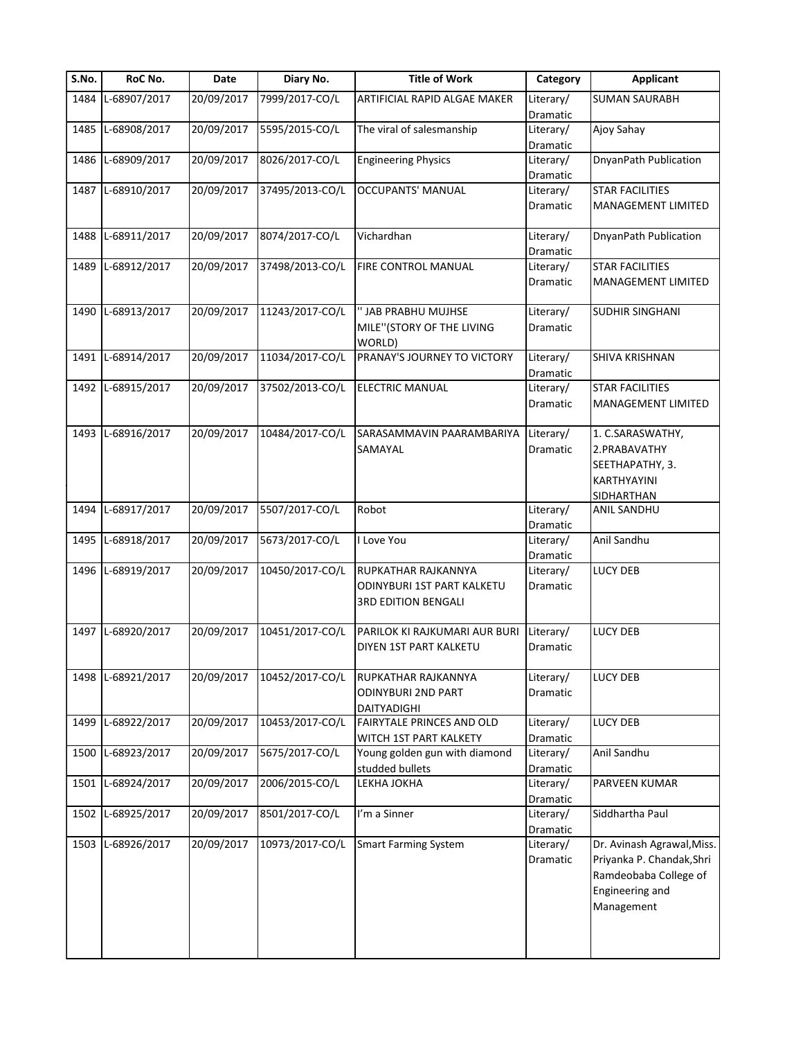| S.No. | RoC No.           | Date       | Diary No.       | <b>Title of Work</b>          | Category  | <b>Applicant</b>           |
|-------|-------------------|------------|-----------------|-------------------------------|-----------|----------------------------|
| 1484  | L-68907/2017      | 20/09/2017 | 7999/2017-CO/L  | ARTIFICIAL RAPID ALGAE MAKER  | Literary/ | <b>SUMAN SAURABH</b>       |
|       |                   |            |                 |                               | Dramatic  |                            |
|       | 1485 L-68908/2017 | 20/09/2017 | 5595/2015-CO/L  | The viral of salesmanship     | Literary/ | Ajoy Sahay                 |
|       |                   |            |                 |                               | Dramatic  |                            |
| 1486  | L-68909/2017      | 20/09/2017 | 8026/2017-CO/L  | <b>Engineering Physics</b>    | Literary/ | DnyanPath Publication      |
|       |                   |            |                 |                               | Dramatic  |                            |
|       | 1487 L-68910/2017 | 20/09/2017 | 37495/2013-CO/L | <b>OCCUPANTS' MANUAL</b>      | Literary/ | <b>STAR FACILITIES</b>     |
|       |                   |            |                 |                               | Dramatic  | MANAGEMENT LIMITED         |
|       | 1488 L-68911/2017 | 20/09/2017 | 8074/2017-CO/L  | Vichardhan                    | Literary/ | DnyanPath Publication      |
|       |                   |            |                 |                               | Dramatic  |                            |
| 1489  | L-68912/2017      | 20/09/2017 | 37498/2013-CO/L | FIRE CONTROL MANUAL           | Literary/ | <b>STAR FACILITIES</b>     |
|       |                   |            |                 |                               | Dramatic  | MANAGEMENT LIMITED         |
|       | 1490 L-68913/2017 | 20/09/2017 | 11243/2017-CO/L | " JAB PRABHU MUJHSE           | Literary/ | <b>SUDHIR SINGHANI</b>     |
|       |                   |            |                 | MILE" (STORY OF THE LIVING    | Dramatic  |                            |
|       |                   |            |                 | WORLD)                        |           |                            |
| 1491  | L-68914/2017      | 20/09/2017 | 11034/2017-CO/L | PRANAY'S JOURNEY TO VICTORY   | Literary/ | SHIVA KRISHNAN             |
|       |                   |            |                 |                               | Dramatic  |                            |
|       | 1492 L-68915/2017 | 20/09/2017 | 37502/2013-CO/L | <b>ELECTRIC MANUAL</b>        | Literary/ | <b>STAR FACILITIES</b>     |
|       |                   |            |                 |                               | Dramatic  | <b>MANAGEMENT LIMITED</b>  |
|       |                   |            |                 |                               |           |                            |
|       | 1493 L-68916/2017 | 20/09/2017 | 10484/2017-CO/L | SARASAMMAVIN PAARAMBARIYA     | Literary/ | 1. C.SARASWATHY,           |
|       |                   |            |                 |                               |           |                            |
|       |                   |            |                 | SAMAYAL                       | Dramatic  | 2.PRABAVATHY               |
|       |                   |            |                 |                               |           | SEETHAPATHY, 3.            |
|       |                   |            |                 |                               |           | KARTHYAYINI                |
|       |                   |            |                 |                               |           | SIDHARTHAN                 |
|       | 1494 L-68917/2017 | 20/09/2017 | 5507/2017-CO/L  | Robot                         | Literary/ | ANIL SANDHU                |
|       |                   |            |                 |                               | Dramatic  |                            |
| 1495  | L-68918/2017      | 20/09/2017 | 5673/2017-CO/L  | I Love You                    | Literary/ | Anil Sandhu                |
|       |                   |            |                 |                               | Dramatic  |                            |
|       | 1496 L-68919/2017 | 20/09/2017 | 10450/2017-CO/L | RUPKATHAR RAJKANNYA           | Literary/ | LUCY DEB                   |
|       |                   |            |                 | ODINYBURI 1ST PART KALKETU    | Dramatic  |                            |
|       |                   |            |                 | <b>3RD EDITION BENGALI</b>    |           |                            |
|       |                   |            |                 |                               |           |                            |
|       | 1497 L-68920/2017 | 20/09/2017 | 10451/2017-CO/L | PARILOK KI RAJKUMARI AUR BURI | Literary/ | <b>LUCY DEB</b>            |
|       |                   |            |                 | DIYEN 1ST PART KALKETU        | Dramatic  |                            |
|       |                   |            |                 |                               |           |                            |
|       | 1498 L-68921/2017 | 20/09/2017 | 10452/2017-CO/L | RUPKATHAR RAJKANNYA           | Literary/ | <b>LUCY DEB</b>            |
|       |                   |            |                 | <b>ODINYBURI 2ND PART</b>     | Dramatic  |                            |
|       |                   |            |                 | DAITYADIGHI                   |           |                            |
| 1499  | L-68922/2017      | 20/09/2017 | 10453/2017-CO/L | FAIRYTALE PRINCES AND OLD     | Literary/ | <b>LUCY DEB</b>            |
|       |                   |            |                 |                               |           |                            |
|       | 1500 L-68923/2017 | 20/09/2017 | 5675/2017-CO/L  | WITCH 1ST PART KALKETY        | Dramatic  | Anil Sandhu                |
|       |                   |            |                 | Young golden gun with diamond | Literary/ |                            |
|       |                   |            |                 | studded bullets               | Dramatic  |                            |
|       | 1501 L-68924/2017 | 20/09/2017 | 2006/2015-CO/L  | LEKHA JOKHA                   | Literary/ | PARVEEN KUMAR              |
|       |                   |            |                 |                               | Dramatic  |                            |
| 1502  | L-68925/2017      | 20/09/2017 | 8501/2017-CO/L  | I'm a Sinner                  | Literary/ | Siddhartha Paul            |
|       |                   |            |                 |                               | Dramatic  |                            |
| 1503  | L-68926/2017      | 20/09/2017 | 10973/2017-CO/L | <b>Smart Farming System</b>   | Literary/ | Dr. Avinash Agrawal, Miss. |
|       |                   |            |                 |                               | Dramatic  | Priyanka P. Chandak, Shri  |
|       |                   |            |                 |                               |           | Ramdeobaba College of      |
|       |                   |            |                 |                               |           | Engineering and            |
|       |                   |            |                 |                               |           | Management                 |
|       |                   |            |                 |                               |           |                            |
|       |                   |            |                 |                               |           |                            |
|       |                   |            |                 |                               |           |                            |
|       |                   |            |                 |                               |           |                            |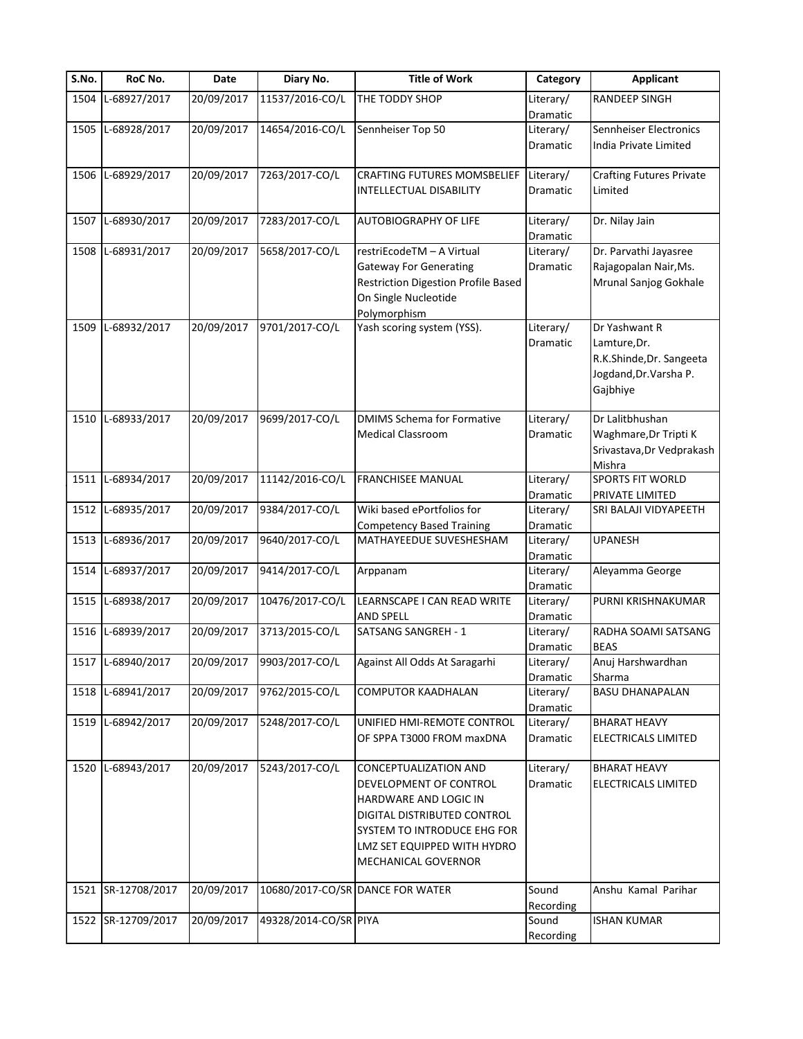| S.No. | RoC No.            | Date       | Diary No.             | <b>Title of Work</b>                                               | Category              | <b>Applicant</b>                |
|-------|--------------------|------------|-----------------------|--------------------------------------------------------------------|-----------------------|---------------------------------|
| 1504  | L-68927/2017       | 20/09/2017 | 11537/2016-CO/L       | THE TODDY SHOP                                                     | Literary/             | <b>RANDEEP SINGH</b>            |
|       |                    |            |                       |                                                                    | Dramatic              |                                 |
| 1505  | L-68928/2017       | 20/09/2017 | 14654/2016-CO/L       | Sennheiser Top 50                                                  | Literary/             | Sennheiser Electronics          |
|       |                    |            |                       |                                                                    | Dramatic              | India Private Limited           |
|       |                    |            |                       |                                                                    |                       |                                 |
|       | 1506 L-68929/2017  | 20/09/2017 | 7263/2017-CO/L        | CRAFTING FUTURES MOMSBELIEF                                        | Literary/             | <b>Crafting Futures Private</b> |
|       |                    |            |                       | <b>INTELLECTUAL DISABILITY</b>                                     | Dramatic              | Limited                         |
|       |                    |            |                       |                                                                    |                       |                                 |
| 1507  | L-68930/2017       | 20/09/2017 | 7283/2017-CO/L        | <b>AUTOBIOGRAPHY OF LIFE</b>                                       | Literary/             | Dr. Nilay Jain                  |
|       | L-68931/2017       | 20/09/2017 | 5658/2017-CO/L        | restriEcodeTM - A Virtual                                          | Dramatic              | Dr. Parvathi Jayasree           |
| 1508  |                    |            |                       |                                                                    | Literary/<br>Dramatic | Rajagopalan Nair, Ms.           |
|       |                    |            |                       | <b>Gateway For Generating</b>                                      |                       | Mrunal Sanjog Gokhale           |
|       |                    |            |                       | <b>Restriction Digestion Profile Based</b><br>On Single Nucleotide |                       |                                 |
|       |                    |            |                       |                                                                    |                       |                                 |
| 1509  | L-68932/2017       | 20/09/2017 | 9701/2017-CO/L        | Polymorphism<br>Yash scoring system (YSS).                         | Literary/             | Dr Yashwant R                   |
|       |                    |            |                       |                                                                    | Dramatic              | Lamture, Dr.                    |
|       |                    |            |                       |                                                                    |                       | R.K.Shinde, Dr. Sangeeta        |
|       |                    |            |                       |                                                                    |                       | Jogdand, Dr. Varsha P.          |
|       |                    |            |                       |                                                                    |                       | Gajbhiye                        |
|       |                    |            |                       |                                                                    |                       |                                 |
| 1510  | L-68933/2017       | 20/09/2017 | 9699/2017-CO/L        | <b>DMIMS Schema for Formative</b>                                  | Literary/             | Dr Lalitbhushan                 |
|       |                    |            |                       | <b>Medical Classroom</b>                                           | Dramatic              | Waghmare, Dr Tripti K           |
|       |                    |            |                       |                                                                    |                       | Srivastava, Dr Vedprakash       |
|       |                    |            |                       |                                                                    |                       | Mishra                          |
| 1511  | L-68934/2017       | 20/09/2017 | 11142/2016-CO/L       | FRANCHISEE MANUAL                                                  | Literary/             | SPORTS FIT WORLD                |
|       |                    |            |                       |                                                                    | Dramatic              | PRIVATE LIMITED                 |
|       | 1512 L-68935/2017  | 20/09/2017 | 9384/2017-CO/L        | Wiki based ePortfolios for                                         | Literary/             | SRI BALAJI VIDYAPEETH           |
|       |                    |            |                       | <b>Competency Based Training</b>                                   | Dramatic              |                                 |
|       | 1513 L-68936/2017  | 20/09/2017 | 9640/2017-CO/L        | MATHAYEEDUE SUVESHESHAM                                            | Literary/             | <b>UPANESH</b>                  |
|       |                    |            |                       |                                                                    | Dramatic              |                                 |
| 1514  | L-68937/2017       | 20/09/2017 | 9414/2017-CO/L        | Arppanam                                                           | Literary/             | Aleyamma George                 |
|       |                    |            |                       |                                                                    | Dramatic              |                                 |
| 1515  | L-68938/2017       | 20/09/2017 | 10476/2017-CO/L       | LEARNSCAPE I CAN READ WRITE                                        | Literary/             | PURNI KRISHNAKUMAR              |
|       |                    |            |                       | <b>AND SPELL</b>                                                   | Dramatic              |                                 |
| 1516  | L-68939/2017       | 20/09/2017 | 3713/2015-CO/L        | SATSANG SANGREH - 1                                                | Literary/             | RADHA SOAMI SATSANG             |
|       |                    |            |                       |                                                                    | Dramatic              | <b>BEAS</b>                     |
|       | 1517 L-68940/2017  | 20/09/2017 | 9903/2017-CO/L        | Against All Odds At Saragarhi                                      | Literary/             | Anuj Harshwardhan               |
|       |                    |            |                       |                                                                    | Dramatic              | Sharma                          |
|       | 1518 L-68941/2017  | 20/09/2017 | 9762/2015-CO/L        | <b>COMPUTOR KAADHALAN</b>                                          | Literary/             | <b>BASU DHANAPALAN</b>          |
|       |                    |            |                       |                                                                    | Dramatic              |                                 |
|       | 1519 L-68942/2017  | 20/09/2017 | 5248/2017-CO/L        | UNIFIED HMI-REMOTE CONTROL                                         | Literary/             | <b>BHARAT HEAVY</b>             |
|       |                    |            |                       | OF SPPA T3000 FROM maxDNA                                          | Dramatic              | ELECTRICALS LIMITED             |
| 1520  | L-68943/2017       | 20/09/2017 | 5243/2017-CO/L        | CONCEPTUALIZATION AND                                              | Literary/             | <b>BHARAT HEAVY</b>             |
|       |                    |            |                       | DEVELOPMENT OF CONTROL                                             | Dramatic              | ELECTRICALS LIMITED             |
|       |                    |            |                       | HARDWARE AND LOGIC IN                                              |                       |                                 |
|       |                    |            |                       | DIGITAL DISTRIBUTED CONTROL                                        |                       |                                 |
|       |                    |            |                       | SYSTEM TO INTRODUCE EHG FOR                                        |                       |                                 |
|       |                    |            |                       | LMZ SET EQUIPPED WITH HYDRO                                        |                       |                                 |
|       |                    |            |                       |                                                                    |                       |                                 |
|       |                    |            |                       | <b>MECHANICAL GOVERNOR</b>                                         |                       |                                 |
|       | 1521 SR-12708/2017 | 20/09/2017 |                       | 10680/2017-CO/SR DANCE FOR WATER                                   | Sound                 | Anshu Kamal Parihar             |
|       |                    |            |                       |                                                                    | Recording             |                                 |
|       | 1522 SR-12709/2017 | 20/09/2017 | 49328/2014-CO/SR PIYA |                                                                    | Sound                 | <b>ISHAN KUMAR</b>              |
|       |                    |            |                       |                                                                    | Recording             |                                 |
|       |                    |            |                       |                                                                    |                       |                                 |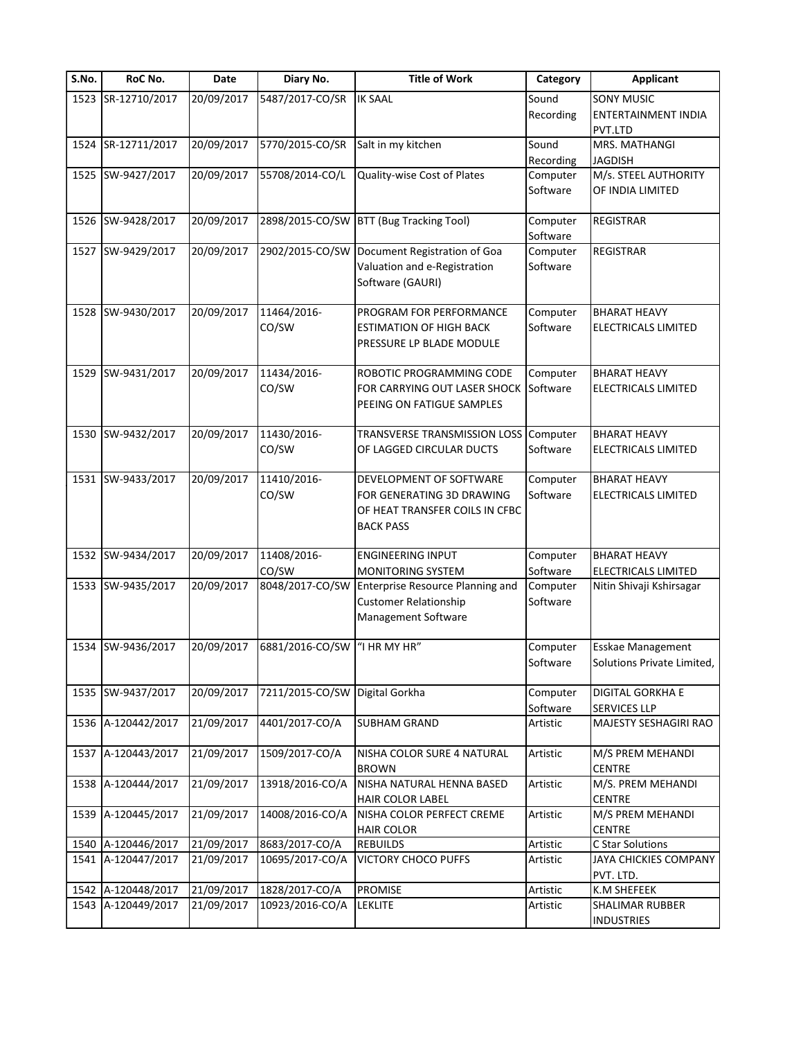| S.No. | RoC No.            | Date       | Diary No.            | <b>Title of Work</b>                                                                                       | Category             | <b>Applicant</b>                                    |
|-------|--------------------|------------|----------------------|------------------------------------------------------------------------------------------------------------|----------------------|-----------------------------------------------------|
|       | 1523 SR-12710/2017 | 20/09/2017 | 5487/2017-CO/SR      | <b>IK SAAL</b>                                                                                             | Sound<br>Recording   | <b>SONY MUSIC</b><br>ENTERTAINMENT INDIA<br>PVT.LTD |
| 1524  | SR-12711/2017      | 20/09/2017 | 5770/2015-CO/SR      | Salt in my kitchen                                                                                         | Sound<br>Recording   | MRS. MATHANGI<br><b>JAGDISH</b>                     |
| 1525  | SW-9427/2017       | 20/09/2017 | 55708/2014-CO/L      | Quality-wise Cost of Plates                                                                                | Computer<br>Software | M/s. STEEL AUTHORITY<br>OF INDIA LIMITED            |
|       | 1526 SW-9428/2017  | 20/09/2017 | 2898/2015-CO/SW      | BTT (Bug Tracking Tool)                                                                                    | Computer<br>Software | <b>REGISTRAR</b>                                    |
| 1527  | SW-9429/2017       | 20/09/2017 | 2902/2015-CO/SW      | Document Registration of Goa<br>Valuation and e-Registration<br>Software (GAURI)                           | Computer<br>Software | <b>REGISTRAR</b>                                    |
| 1528  | SW-9430/2017       | 20/09/2017 | 11464/2016-<br>CO/SW | PROGRAM FOR PERFORMANCE<br><b>ESTIMATION OF HIGH BACK</b><br>PRESSURE LP BLADE MODULE                      | Computer<br>Software | <b>BHARAT HEAVY</b><br>ELECTRICALS LIMITED          |
| 1529  | SW-9431/2017       | 20/09/2017 | 11434/2016-<br>CO/SW | ROBOTIC PROGRAMMING CODE<br>FOR CARRYING OUT LASER SHOCK<br>PEEING ON FATIGUE SAMPLES                      | Computer<br>Software | <b>BHARAT HEAVY</b><br>ELECTRICALS LIMITED          |
|       | 1530 SW-9432/2017  | 20/09/2017 | 11430/2016-<br>CO/SW | TRANSVERSE TRANSMISSION LOSS Computer<br>OF LAGGED CIRCULAR DUCTS                                          | Software             | <b>BHARAT HEAVY</b><br>ELECTRICALS LIMITED          |
|       | 1531 SW-9433/2017  | 20/09/2017 | 11410/2016-<br>CO/SW | DEVELOPMENT OF SOFTWARE<br>FOR GENERATING 3D DRAWING<br>OF HEAT TRANSFER COILS IN CFBC<br><b>BACK PASS</b> | Computer<br>Software | <b>BHARAT HEAVY</b><br>ELECTRICALS LIMITED          |
|       | 1532 SW-9434/2017  | 20/09/2017 | 11408/2016-<br>CO/SW | <b>ENGINEERING INPUT</b><br>MONITORING SYSTEM                                                              | Computer<br>Software | <b>BHARAT HEAVY</b><br><b>ELECTRICALS LIMITED</b>   |
|       | 1533 SW-9435/2017  | 20/09/2017 | 8048/2017-CO/SW      | Enterprise Resource Planning and<br><b>Customer Relationship</b><br>Management Software                    | Computer<br>Software | Nitin Shivaji Kshirsagar                            |
|       | 1534 SW-9436/2017  | 20/09/2017 | 6881/2016-CO/SW      | "I HR MY HR"                                                                                               | Computer<br>Software | Esskae Management<br>Solutions Private Limited,     |
|       | 1535 SW-9437/2017  | 20/09/2017 | 7211/2015-CO/SW      | Digital Gorkha                                                                                             | Computer<br>Software | DIGITAL GORKHA E<br><b>SERVICES LLP</b>             |
| 1536  | A-120442/2017      | 21/09/2017 | 4401/2017-CO/A       | <b>SUBHAM GRAND</b>                                                                                        | Artistic             | MAJESTY SESHAGIRI RAO                               |
| 1537  | A-120443/2017      | 21/09/2017 | 1509/2017-CO/A       | NISHA COLOR SURE 4 NATURAL<br><b>BROWN</b>                                                                 | Artistic             | M/S PREM MEHANDI<br><b>CENTRE</b>                   |
|       | 1538 A-120444/2017 | 21/09/2017 | 13918/2016-CO/A      | NISHA NATURAL HENNA BASED<br><b>HAIR COLOR LABEL</b>                                                       | Artistic             | M/S. PREM MEHANDI<br><b>CENTRE</b>                  |
| 1539  | A-120445/2017      | 21/09/2017 | 14008/2016-CO/A      | NISHA COLOR PERFECT CREME<br><b>HAIR COLOR</b>                                                             | Artistic             | M/S PREM MEHANDI<br><b>CENTRE</b>                   |
| 1540  | A-120446/2017      | 21/09/2017 | 8683/2017-CO/A       | <b>REBUILDS</b>                                                                                            | Artistic             | C Star Solutions                                    |
| 1541  | A-120447/2017      | 21/09/2017 | 10695/2017-CO/A      | <b>VICTORY CHOCO PUFFS</b>                                                                                 | Artistic             | JAYA CHICKIES COMPANY<br>PVT. LTD.                  |
| 1542  | A-120448/2017      | 21/09/2017 | 1828/2017-CO/A       | PROMISE                                                                                                    | Artistic             | K.M SHEFEEK                                         |
| 1543  | A-120449/2017      | 21/09/2017 | 10923/2016-CO/A      | <b>LEKLITE</b>                                                                                             | Artistic             | SHALIMAR RUBBER<br><b>INDUSTRIES</b>                |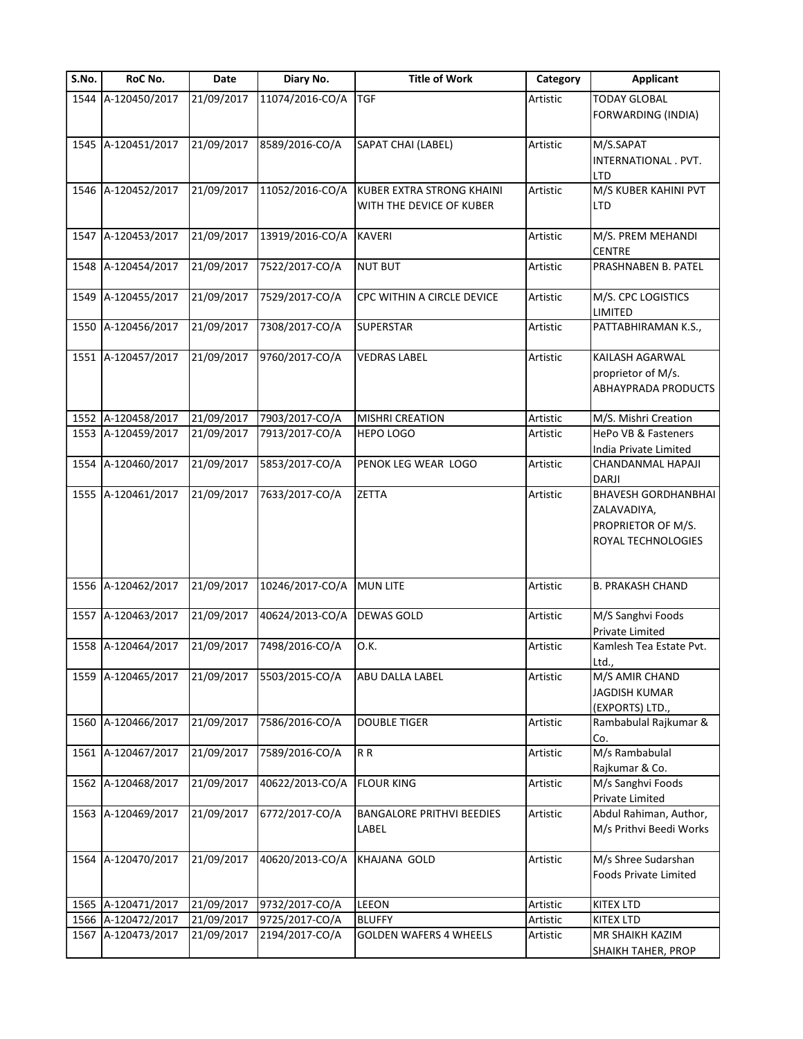| S.No. | RoC No.            | Date       | Diary No.       | <b>Title of Work</b>                                  | Category | <b>Applicant</b>                                                                      |
|-------|--------------------|------------|-----------------|-------------------------------------------------------|----------|---------------------------------------------------------------------------------------|
| 1544  | A-120450/2017      | 21/09/2017 | 11074/2016-CO/A | <b>TGF</b>                                            | Artistic | <b>TODAY GLOBAL</b><br>FORWARDING (INDIA)                                             |
|       | 1545 A-120451/2017 | 21/09/2017 | 8589/2016-CO/A  | SAPAT CHAI (LABEL)                                    | Artistic | M/S.SAPAT<br>INTERNATIONAL . PVT.<br>LTD                                              |
|       | 1546 A-120452/2017 | 21/09/2017 | 11052/2016-CO/A | KUBER EXTRA STRONG KHAINI<br>WITH THE DEVICE OF KUBER | Artistic | M/S KUBER KAHINI PVT<br>LTD                                                           |
| 1547  | A-120453/2017      | 21/09/2017 | 13919/2016-CO/A | <b>KAVERI</b>                                         | Artistic | M/S. PREM MEHANDI<br><b>CENTRE</b>                                                    |
| 1548  | A-120454/2017      | 21/09/2017 | 7522/2017-CO/A  | <b>NUT BUT</b>                                        | Artistic | PRASHNABEN B. PATEL                                                                   |
| 1549  | A-120455/2017      | 21/09/2017 | 7529/2017-CO/A  | CPC WITHIN A CIRCLE DEVICE                            | Artistic | M/S. CPC LOGISTICS<br>LIMITED                                                         |
|       | 1550 A-120456/2017 | 21/09/2017 | 7308/2017-CO/A  | <b>SUPERSTAR</b>                                      | Artistic | PATTABHIRAMAN K.S.,                                                                   |
|       | 1551 A-120457/2017 | 21/09/2017 | 9760/2017-CO/A  | <b>VEDRAS LABEL</b>                                   | Artistic | KAILASH AGARWAL<br>proprietor of M/s.<br>ABHAYPRADA PRODUCTS                          |
| 1552  | A-120458/2017      | 21/09/2017 | 7903/2017-CO/A  | <b>MISHRI CREATION</b>                                | Artistic | M/S. Mishri Creation                                                                  |
|       | 1553 A-120459/2017 | 21/09/2017 | 7913/2017-CO/A  | <b>HEPO LOGO</b>                                      | Artistic | HePo VB & Fasteners<br>India Private Limited                                          |
| 1554  | A-120460/2017      | 21/09/2017 | 5853/2017-CO/A  | PENOK LEG WEAR LOGO                                   | Artistic | CHANDANMAL HAPAJI<br><b>DARJI</b>                                                     |
|       | 1555 A-120461/2017 | 21/09/2017 | 7633/2017-CO/A  | ZETTA                                                 | Artistic | <b>BHAVESH GORDHANBHAI</b><br>ZALAVADIYA,<br>PROPRIETOR OF M/S.<br>ROYAL TECHNOLOGIES |
|       | 1556 A-120462/2017 | 21/09/2017 | 10246/2017-CO/A | <b>MUN LITE</b>                                       | Artistic | <b>B. PRAKASH CHAND</b>                                                               |
| 1557  | A-120463/2017      | 21/09/2017 | 40624/2013-CO/A | DEWAS GOLD                                            | Artistic | M/S Sanghvi Foods<br>Private Limited                                                  |
|       | 1558 A-120464/2017 | 21/09/2017 | 7498/2016-CO/A  | O.K.                                                  | Artistic | Kamlesh Tea Estate Pvt.<br>Ltd.,                                                      |
|       | 1559 A-120465/2017 | 21/09/2017 | 5503/2015-CO/A  | ABU DALLA LABEL                                       | Artistic | M/S AMIR CHAND<br><b>JAGDISH KUMAR</b><br>(EXPORTS) LTD.,                             |
|       | 1560 A-120466/2017 | 21/09/2017 | 7586/2016-CO/A  | <b>DOUBLE TIGER</b>                                   | Artistic | Rambabulal Rajkumar &<br>Co.                                                          |
| 1561  | A-120467/2017      | 21/09/2017 | 7589/2016-CO/A  | R <sub>R</sub>                                        | Artistic | M/s Rambabulal<br>Rajkumar & Co.                                                      |
| 1562  | A-120468/2017      | 21/09/2017 | 40622/2013-CO/A | <b>FLOUR KING</b>                                     | Artistic | M/s Sanghvi Foods<br>Private Limited                                                  |
| 1563  | A-120469/2017      | 21/09/2017 | 6772/2017-CO/A  | <b>BANGALORE PRITHVI BEEDIES</b><br>LABEL             | Artistic | Abdul Rahiman, Author,<br>M/s Prithvi Beedi Works                                     |
|       | 1564 A-120470/2017 | 21/09/2017 | 40620/2013-CO/A | KHAJANA GOLD                                          | Artistic | M/s Shree Sudarshan<br><b>Foods Private Limited</b>                                   |
| 1565  | A-120471/2017      | 21/09/2017 | 9732/2017-CO/A  | LEEON                                                 | Artistic | KITEX LTD                                                                             |
|       | 1566 A-120472/2017 | 21/09/2017 | 9725/2017-CO/A  | <b>BLUFFY</b>                                         | Artistic | KITEX LTD                                                                             |
|       | 1567 A-120473/2017 | 21/09/2017 | 2194/2017-CO/A  | <b>GOLDEN WAFERS 4 WHEELS</b>                         | Artistic | MR SHAIKH KAZIM<br>SHAIKH TAHER, PROP                                                 |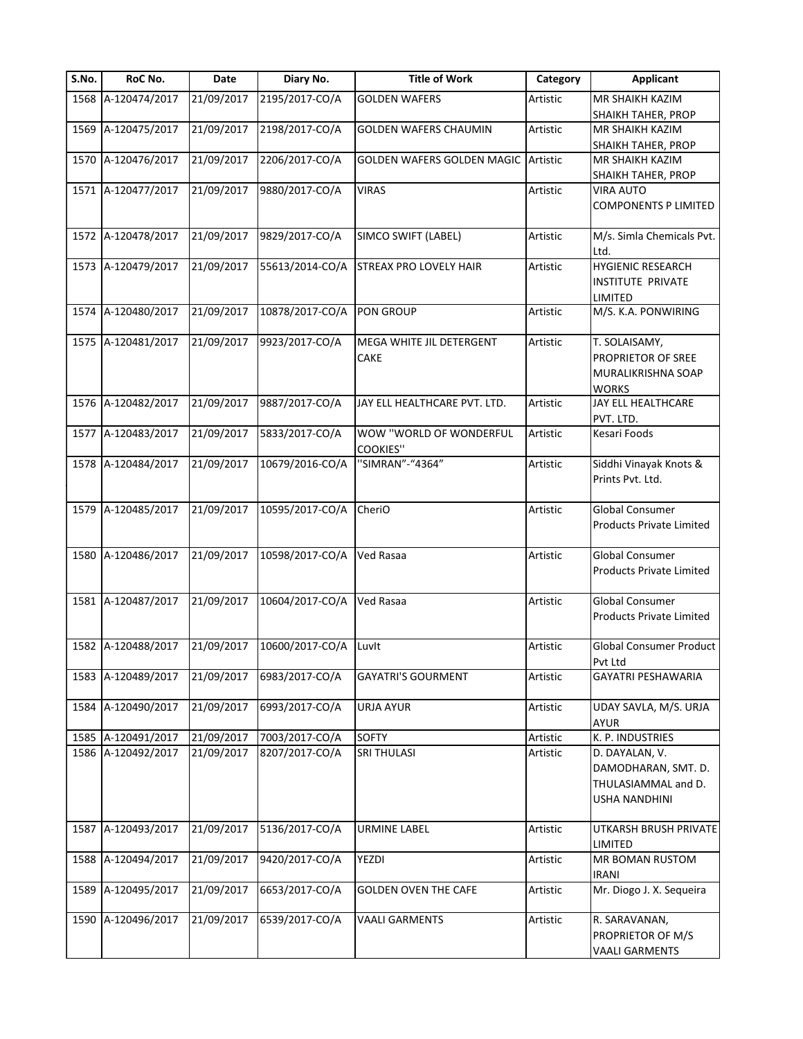| S.No. | RoC No.            | Date       | Diary No.       | <b>Title of Work</b>                       | Category | <b>Applicant</b>                                                                     |
|-------|--------------------|------------|-----------------|--------------------------------------------|----------|--------------------------------------------------------------------------------------|
|       | 1568 A-120474/2017 | 21/09/2017 | 2195/2017-CO/A  | <b>GOLDEN WAFERS</b>                       | Artistic | MR SHAIKH KAZIM                                                                      |
|       |                    |            |                 |                                            |          | SHAIKH TAHER, PROP                                                                   |
| 1569  | A-120475/2017      | 21/09/2017 | 2198/2017-CO/A  | <b>GOLDEN WAFERS CHAUMIN</b>               | Artistic | MR SHAIKH KAZIM                                                                      |
|       |                    |            |                 |                                            |          | SHAIKH TAHER, PROP                                                                   |
| 1570  | A-120476/2017      | 21/09/2017 | 2206/2017-CO/A  | GOLDEN WAFERS GOLDEN MAGIC                 | Artistic | MR SHAIKH KAZIM                                                                      |
|       |                    |            |                 |                                            |          | SHAIKH TAHER, PROP                                                                   |
| 1571  | A-120477/2017      | 21/09/2017 | 9880/2017-CO/A  | <b>VIRAS</b>                               | Artistic | VIRA AUTO<br>COMPONENTS P LIMITED                                                    |
| 1572  | A-120478/2017      | 21/09/2017 | 9829/2017-CO/A  | SIMCO SWIFT (LABEL)                        | Artistic | M/s. Simla Chemicals Pvt.<br>Ltd.                                                    |
|       | 1573 A-120479/2017 | 21/09/2017 | 55613/2014-CO/A | STREAX PRO LOVELY HAIR                     | Artistic | <b>HYGIENIC RESEARCH</b><br>INSTITUTE PRIVATE<br>LIMITED                             |
|       | 1574 A-120480/2017 | 21/09/2017 | 10878/2017-CO/A | <b>PON GROUP</b>                           | Artistic | M/S. K.A. PONWIRING                                                                  |
|       | 1575 A-120481/2017 | 21/09/2017 | 9923/2017-CO/A  | MEGA WHITE JIL DETERGENT<br>CAKE           | Artistic | T. SOLAISAMY,<br>PROPRIETOR OF SREE<br>MURALIKRISHNA SOAP<br><b>WORKS</b>            |
|       | 1576 A-120482/2017 | 21/09/2017 | 9887/2017-CO/A  | JAY ELL HEALTHCARE PVT. LTD.               | Artistic | JAY ELL HEALTHCARE<br>PVT. LTD.                                                      |
| 1577  | A-120483/2017      | 21/09/2017 | 5833/2017-CO/A  | WOW "WORLD OF WONDERFUL<br><b>COOKIES"</b> | Artistic | Kesari Foods                                                                         |
|       | 1578 A-120484/2017 | 21/09/2017 | 10679/2016-CO/A | "SIMRAN"-"4364"                            | Artistic | Siddhi Vinayak Knots &<br>Prints Pvt. Ltd.                                           |
|       | 1579 A-120485/2017 | 21/09/2017 | 10595/2017-CO/A | CheriO                                     | Artistic | <b>Global Consumer</b><br>Products Private Limited                                   |
|       | 1580 A-120486/2017 | 21/09/2017 | 10598/2017-CO/A | Ved Rasaa                                  | Artistic | Global Consumer<br><b>Products Private Limited</b>                                   |
|       | 1581 A-120487/2017 | 21/09/2017 | 10604/2017-CO/A | Ved Rasaa                                  | Artistic | Global Consumer<br>Products Private Limited                                          |
|       | 1582 A-120488/2017 | 21/09/2017 | 10600/2017-CO/A | Luvlt                                      | Artistic | <b>Global Consumer Product</b><br>Pvt Ltd                                            |
|       | 1583 A-120489/2017 | 21/09/2017 | 6983/2017-CO/A  | <b>GAYATRI'S GOURMENT</b>                  | Artistic | GAYATRI PESHAWARIA                                                                   |
| 1584  | A-120490/2017      | 21/09/2017 | 6993/2017-CO/A  | <b>URJA AYUR</b>                           | Artistic | UDAY SAVLA, M/S. URJA<br><b>AYUR</b>                                                 |
| 1585  | A-120491/2017      | 21/09/2017 | 7003/2017-CO/A  | <b>SOFTY</b>                               | Artistic | K. P. INDUSTRIES                                                                     |
|       | 1586 A-120492/2017 | 21/09/2017 | 8207/2017-CO/A  | <b>SRI THULASI</b>                         | Artistic | D. DAYALAN, V.<br>DAMODHARAN, SMT. D.<br>THULASIAMMAL and D.<br><b>USHA NANDHINI</b> |
| 1587  | A-120493/2017      | 21/09/2017 | 5136/2017-CO/A  | <b>URMINE LABEL</b>                        | Artistic | UTKARSH BRUSH PRIVATE<br>LIMITED                                                     |
| 1588  | A-120494/2017      | 21/09/2017 | 9420/2017-CO/A  | YEZDI                                      | Artistic | MR BOMAN RUSTOM<br><b>IRANI</b>                                                      |
| 1589  | A-120495/2017      | 21/09/2017 | 6653/2017-CO/A  | <b>GOLDEN OVEN THE CAFE</b>                | Artistic | Mr. Diogo J. X. Sequeira                                                             |
| 1590  | A-120496/2017      | 21/09/2017 | 6539/2017-CO/A  | <b>VAALI GARMENTS</b>                      | Artistic | R. SARAVANAN,<br>PROPRIETOR OF M/S<br><b>VAALI GARMENTS</b>                          |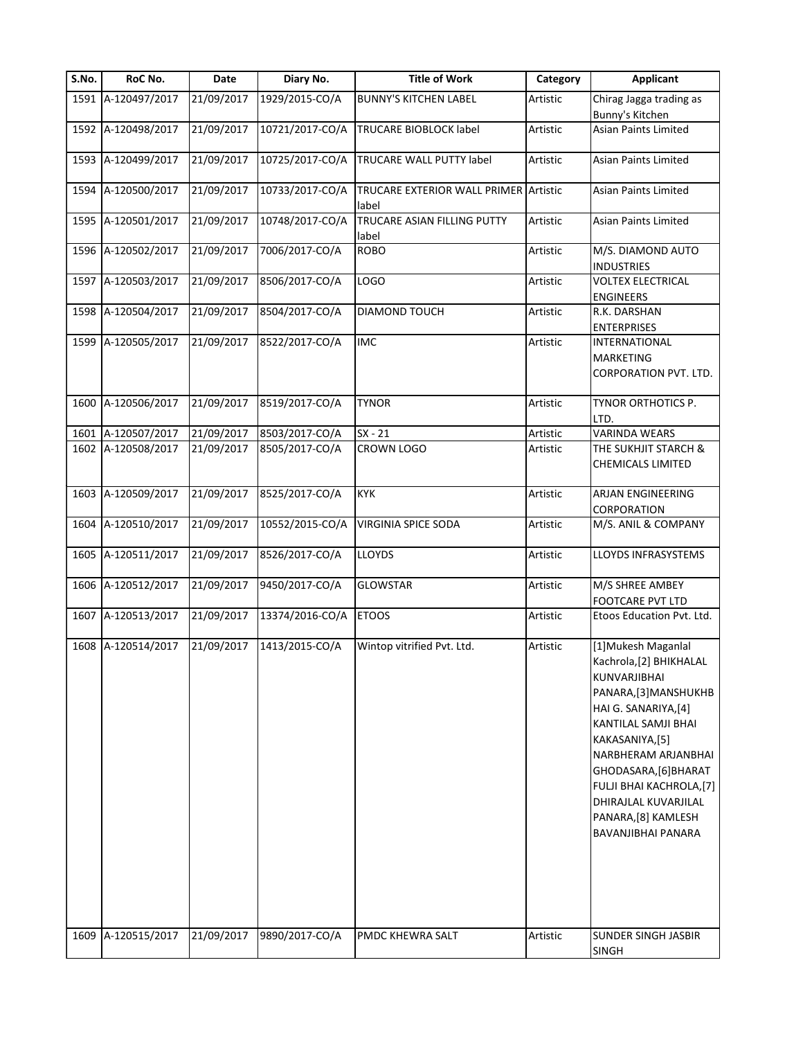| S.No. | RoC No.            | Date       | Diary No.       | <b>Title of Work</b>                  | Category | <b>Applicant</b>                                                                                                                                                                                                                                                                                                     |
|-------|--------------------|------------|-----------------|---------------------------------------|----------|----------------------------------------------------------------------------------------------------------------------------------------------------------------------------------------------------------------------------------------------------------------------------------------------------------------------|
|       | 1591 A-120497/2017 | 21/09/2017 | 1929/2015-CO/A  | <b>BUNNY'S KITCHEN LABEL</b>          | Artistic | Chirag Jagga trading as<br>Bunny's Kitchen                                                                                                                                                                                                                                                                           |
|       | 1592 A-120498/2017 | 21/09/2017 | 10721/2017-CO/A | TRUCARE BIOBLOCK label                | Artistic | Asian Paints Limited                                                                                                                                                                                                                                                                                                 |
|       | 1593 A-120499/2017 | 21/09/2017 | 10725/2017-CO/A | TRUCARE WALL PUTTY label              | Artistic | Asian Paints Limited                                                                                                                                                                                                                                                                                                 |
| 1594  | A-120500/2017      | 21/09/2017 | 10733/2017-CO/A | TRUCARE EXTERIOR WALL PRIMER<br>label | Artistic | Asian Paints Limited                                                                                                                                                                                                                                                                                                 |
|       | 1595 A-120501/2017 | 21/09/2017 | 10748/2017-CO/A | TRUCARE ASIAN FILLING PUTTY<br>label  | Artistic | Asian Paints Limited                                                                                                                                                                                                                                                                                                 |
|       | 1596 A-120502/2017 | 21/09/2017 | 7006/2017-CO/A  | <b>ROBO</b>                           | Artistic | M/S. DIAMOND AUTO<br><b>INDUSTRIES</b>                                                                                                                                                                                                                                                                               |
|       | 1597 A-120503/2017 | 21/09/2017 | 8506/2017-CO/A  | LOGO                                  | Artistic | <b>VOLTEX ELECTRICAL</b><br><b>ENGINEERS</b>                                                                                                                                                                                                                                                                         |
|       | 1598 A-120504/2017 | 21/09/2017 | 8504/2017-CO/A  | DIAMOND TOUCH                         | Artistic | R.K. DARSHAN<br><b>ENTERPRISES</b>                                                                                                                                                                                                                                                                                   |
| 1599  | A-120505/2017      | 21/09/2017 | 8522/2017-CO/A  | <b>IMC</b>                            | Artistic | INTERNATIONAL<br>MARKETING<br>CORPORATION PVT. LTD.                                                                                                                                                                                                                                                                  |
| 1600  | A-120506/2017      | 21/09/2017 | 8519/2017-CO/A  | TYNOR                                 | Artistic | TYNOR ORTHOTICS P.<br>LTD.                                                                                                                                                                                                                                                                                           |
| 1601  | A-120507/2017      | 21/09/2017 | 8503/2017-CO/A  | $SX - 21$                             | Artistic | <b>VARINDA WEARS</b>                                                                                                                                                                                                                                                                                                 |
| 1602  | A-120508/2017      | 21/09/2017 | 8505/2017-CO/A  | CROWN LOGO                            | Artistic | THE SUKHJIT STARCH &<br><b>CHEMICALS LIMITED</b>                                                                                                                                                                                                                                                                     |
|       | 1603 A-120509/2017 | 21/09/2017 | 8525/2017-CO/A  | <b>KYK</b>                            | Artistic | ARJAN ENGINEERING<br>CORPORATION                                                                                                                                                                                                                                                                                     |
|       | 1604 A-120510/2017 | 21/09/2017 | 10552/2015-CO/A | <b>VIRGINIA SPICE SODA</b>            | Artistic | M/S. ANIL & COMPANY                                                                                                                                                                                                                                                                                                  |
|       | 1605 A-120511/2017 | 21/09/2017 | 8526/2017-CO/A  | <b>LLOYDS</b>                         | Artistic | LLOYDS INFRASYSTEMS                                                                                                                                                                                                                                                                                                  |
|       | 1606 A-120512/2017 | 21/09/2017 | 9450/2017-CO/A  | <b>GLOWSTAR</b>                       | Artistic | M/S SHREE AMBEY<br>FOOTCARE PVT LTD                                                                                                                                                                                                                                                                                  |
| 1607  | A-120513/2017      | 21/09/2017 | 13374/2016-CO/A | <b>ETOOS</b>                          | Artistic | Etoos Education Pvt. Ltd.                                                                                                                                                                                                                                                                                            |
|       | 1608 A-120514/2017 | 21/09/2017 | 1413/2015-CO/A  | Wintop vitrified Pvt. Ltd.            | Artistic | [1] Mukesh Maganlal<br>Kachrola,[2] BHIKHALAL<br><b>KUNVARJIBHAI</b><br>PANARA, [3] MANSHUKHB<br>HAI G. SANARIYA,[4]<br><b>KANTILAL SAMJI BHAI</b><br>KAKASANIYA,[5]<br>NARBHERAM ARJANBHAI<br>GHODASARA, [6] BHARAT<br>FULJI BHAI KACHROLA,[7]<br>DHIRAJLAL KUVARJILAL<br>PANARA, [8] KAMLESH<br>BAVANJIBHAI PANARA |
|       | 1609 A-120515/2017 | 21/09/2017 | 9890/2017-CO/A  | PMDC KHEWRA SALT                      | Artistic | <b>SUNDER SINGH JASBIR</b><br><b>SINGH</b>                                                                                                                                                                                                                                                                           |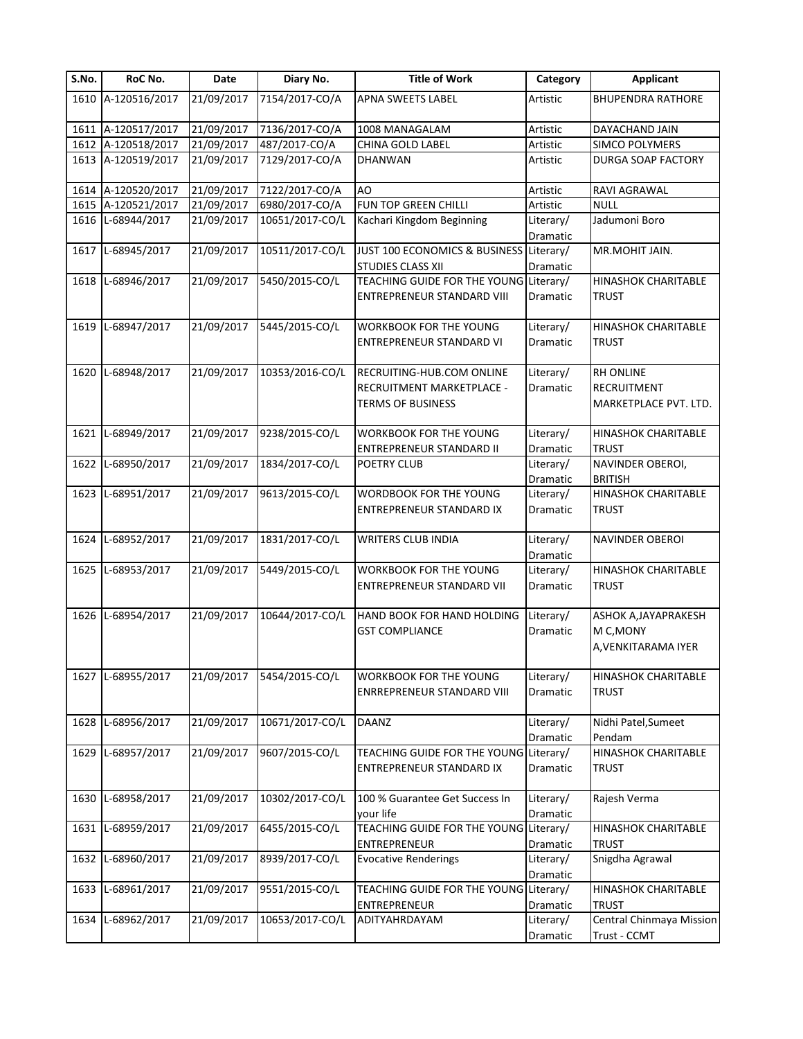| S.No. | RoC No.            | Date       | Diary No.       | <b>Title of Work</b>                                                | Category              | <b>Applicant</b>                           |
|-------|--------------------|------------|-----------------|---------------------------------------------------------------------|-----------------------|--------------------------------------------|
|       | 1610 A-120516/2017 | 21/09/2017 | 7154/2017-CO/A  | APNA SWEETS LABEL                                                   | Artistic              | <b>BHUPENDRA RATHORE</b>                   |
|       | 1611 A-120517/2017 | 21/09/2017 | 7136/2017-CO/A  | 1008 MANAGALAM                                                      | Artistic              | DAYACHAND JAIN                             |
|       | 1612 A-120518/2017 | 21/09/2017 | 487/2017-CO/A   | CHINA GOLD LABEL                                                    | Artistic              | SIMCO POLYMERS                             |
|       | 1613 A-120519/2017 | 21/09/2017 | 7129/2017-CO/A  | DHANWAN                                                             | Artistic              | DURGA SOAP FACTORY                         |
|       | 1614 A-120520/2017 | 21/09/2017 | 7122/2017-CO/A  | AO                                                                  | Artistic              | RAVI AGRAWAL                               |
|       | 1615 A-120521/2017 | 21/09/2017 | 6980/2017-CO/A  | FUN TOP GREEN CHILLI                                                | Artistic              | <b>NULL</b>                                |
|       | 1616 L-68944/2017  | 21/09/2017 | 10651/2017-CO/L | Kachari Kingdom Beginning                                           | Literary/<br>Dramatic | Jadumoni Boro                              |
|       | 1617 L-68945/2017  | 21/09/2017 | 10511/2017-CO/L | JUST 100 ECONOMICS & BUSINESS Literary/<br><b>STUDIES CLASS XII</b> | Dramatic              | MR.MOHIT JAIN.                             |
|       | 1618 L-68946/2017  | 21/09/2017 | 5450/2015-CO/L  | TEACHING GUIDE FOR THE YOUNG Literary/                              |                       | <b>HINASHOK CHARITABLE</b>                 |
|       |                    |            |                 | ENTREPRENEUR STANDARD VIII                                          | Dramatic              | <b>TRUST</b>                               |
| 1619  | L-68947/2017       | 21/09/2017 | 5445/2015-CO/L  | WORKBOOK FOR THE YOUNG                                              | Literary/             | <b>HINASHOK CHARITABLE</b>                 |
|       |                    |            |                 | ENTREPRENEUR STANDARD VI                                            | Dramatic              | <b>TRUST</b>                               |
| 1620  | L-68948/2017       | 21/09/2017 | 10353/2016-CO/L | RECRUITING-HUB.COM ONLINE                                           | Literary/             | <b>RH ONLINE</b>                           |
|       |                    |            |                 | RECRUITMENT MARKETPLACE -                                           | <b>Dramatic</b>       | <b>RECRUITMENT</b>                         |
|       |                    |            |                 | <b>TERMS OF BUSINESS</b>                                            |                       | MARKETPLACE PVT. LTD.                      |
| 1621  | L-68949/2017       | 21/09/2017 | 9238/2015-CO/L  | <b>WORKBOOK FOR THE YOUNG</b>                                       | Literary/             | <b>HINASHOK CHARITABLE</b>                 |
|       |                    |            |                 | ENTREPRENEUR STANDARD II                                            | Dramatic              | <b>TRUST</b>                               |
|       | 1622 L-68950/2017  | 21/09/2017 | 1834/2017-CO/L  | POETRY CLUB                                                         | Literary/             | NAVINDER OBEROI,                           |
|       |                    |            |                 |                                                                     | Dramatic              | <b>BRITISH</b>                             |
|       | 1623 L-68951/2017  | 21/09/2017 | 9613/2015-CO/L  | WORDBOOK FOR THE YOUNG                                              | Literary/             | <b>HINASHOK CHARITABLE</b>                 |
|       |                    |            |                 | ENTREPRENEUR STANDARD IX                                            | Dramatic              | <b>TRUST</b>                               |
|       | 1624 L-68952/2017  | 21/09/2017 | 1831/2017-CO/L  | <b>WRITERS CLUB INDIA</b>                                           | Literary/<br>Dramatic | NAVINDER OBEROI                            |
|       | 1625 L-68953/2017  | 21/09/2017 | 5449/2015-CO/L  | <b>WORKBOOK FOR THE YOUNG</b>                                       | Literary/             | <b>HINASHOK CHARITABLE</b>                 |
|       |                    |            |                 | ENTREPRENEUR STANDARD VII                                           | Dramatic              | <b>TRUST</b>                               |
|       | 1626 L-68954/2017  | 21/09/2017 | 10644/2017-CO/L | HAND BOOK FOR HAND HOLDING                                          | Literary/             | ASHOK A, JAYAPRAKESH                       |
|       |                    |            |                 | <b>GST COMPLIANCE</b>                                               | Dramatic              | M C, MONY<br>A, VENKITARAMA IYER           |
|       | 1627 L-68955/2017  | 21/09/2017 | 5454/2015-CO/L  | <b>WORKBOOK FOR THE YOUNG</b>                                       | Literary/             | <b>HINASHOK CHARITABLE</b>                 |
|       |                    |            |                 | <b>ENRREPRENEUR STANDARD VIII</b>                                   | Dramatic              | <b>TRUST</b>                               |
|       | 1628 L-68956/2017  | 21/09/2017 | 10671/2017-CO/L | <b>DAANZ</b>                                                        | Literary/             | Nidhi Patel, Sumeet                        |
|       |                    |            |                 |                                                                     | Dramatic              | Pendam                                     |
|       | 1629 L-68957/2017  | 21/09/2017 | 9607/2015-CO/L  | TEACHING GUIDE FOR THE YOUNG Literary/<br>ENTREPRENEUR STANDARD IX  | Dramatic              | <b>HINASHOK CHARITABLE</b><br><b>TRUST</b> |
| 1630  | L-68958/2017       | 21/09/2017 | 10302/2017-CO/L | 100 % Guarantee Get Success In                                      | Literary/             | Rajesh Verma                               |
|       |                    |            |                 | your life                                                           | Dramatic              |                                            |
| 1631  | L-68959/2017       | 21/09/2017 | 6455/2015-CO/L  | <b>TEACHING GUIDE FOR THE YOUNG</b>                                 | Literary/             | <b>HINASHOK CHARITABLE</b>                 |
|       |                    |            |                 | ENTREPRENEUR                                                        | Dramatic              | <b>TRUST</b>                               |
| 1632  | L-68960/2017       | 21/09/2017 | 8939/2017-CO/L  | <b>Evocative Renderings</b>                                         | Literary/<br>Dramatic | Snigdha Agrawal                            |
| 1633  | L-68961/2017       | 21/09/2017 | 9551/2015-CO/L  | TEACHING GUIDE FOR THE YOUNG                                        | Literary/             | <b>HINASHOK CHARITABLE</b>                 |
|       |                    |            |                 | ENTREPRENEUR                                                        | Dramatic              | <b>TRUST</b>                               |
| 1634  | L-68962/2017       | 21/09/2017 | 10653/2017-CO/L | ADITYAHRDAYAM                                                       | Literary/             | Central Chinmaya Mission                   |
|       |                    |            |                 |                                                                     | Dramatic              | Trust - CCMT                               |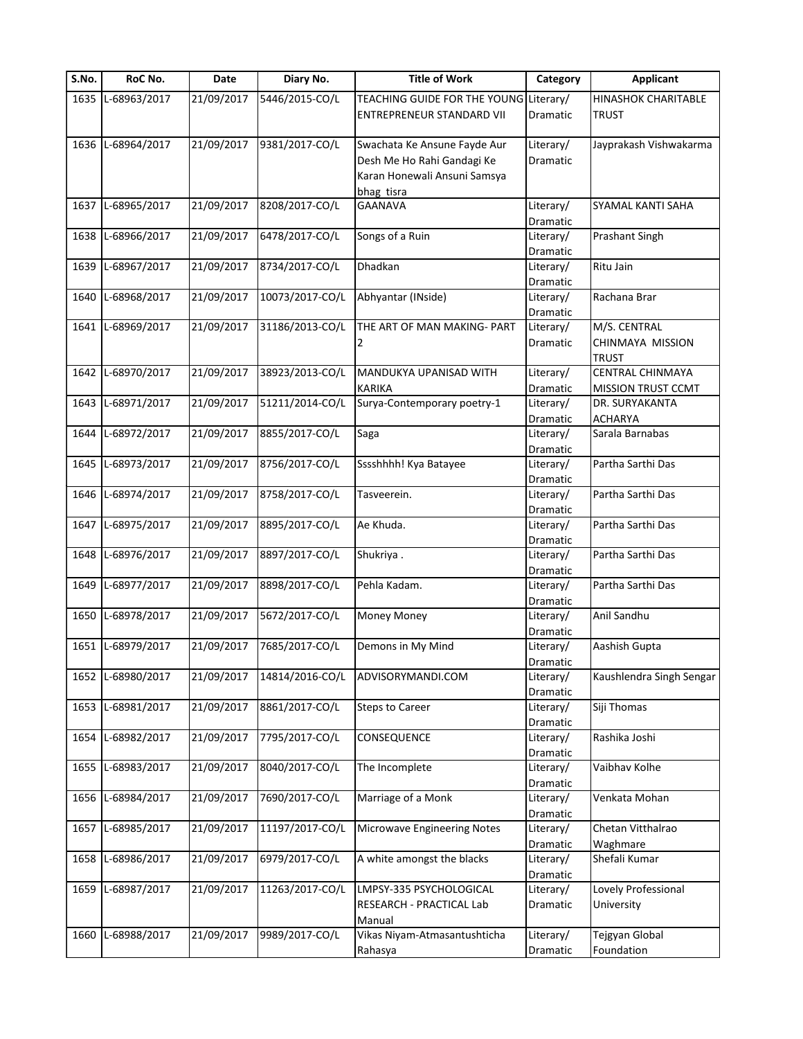| S.No. | RoC No.           | Date       | Diary No.       | <b>Title of Work</b>             | Category  | <b>Applicant</b>           |
|-------|-------------------|------------|-----------------|----------------------------------|-----------|----------------------------|
| 1635  | L-68963/2017      | 21/09/2017 | 5446/2015-CO/L  | TEACHING GUIDE FOR THE YOUNG     | Literary/ | <b>HINASHOK CHARITABLE</b> |
|       |                   |            |                 | <b>ENTREPRENEUR STANDARD VII</b> | Dramatic  | <b>TRUST</b>               |
|       |                   |            |                 |                                  |           |                            |
| 1636  | L-68964/2017      | 21/09/2017 | 9381/2017-CO/L  | Swachata Ke Ansune Fayde Aur     | Literary/ | Jayprakash Vishwakarma     |
|       |                   |            |                 | Desh Me Ho Rahi Gandagi Ke       | Dramatic  |                            |
|       |                   |            |                 | Karan Honewali Ansuni Samsya     |           |                            |
|       |                   |            |                 | bhag tisra                       |           |                            |
| 1637  | L-68965/2017      | 21/09/2017 | 8208/2017-CO/L  | <b>GAANAVA</b>                   | Literary/ | SYAMAL KANTI SAHA          |
|       |                   |            |                 |                                  | Dramatic  |                            |
| 1638  | L-68966/2017      | 21/09/2017 | 6478/2017-CO/L  | Songs of a Ruin                  | Literary/ | Prashant Singh             |
|       |                   |            |                 |                                  | Dramatic  |                            |
| 1639  | L-68967/2017      | 21/09/2017 | 8734/2017-CO/L  | Dhadkan                          | Literary/ | Ritu Jain                  |
|       |                   |            |                 |                                  | Dramatic  |                            |
| 1640  | L-68968/2017      | 21/09/2017 | 10073/2017-CO/L | Abhyantar (INside)               | Literary/ | Rachana Brar               |
|       |                   |            |                 |                                  | Dramatic  |                            |
| 1641  | L-68969/2017      | 21/09/2017 | 31186/2013-CO/L | THE ART OF MAN MAKING- PART      | Literary/ | M/S. CENTRAL               |
|       |                   |            |                 | 2                                | Dramatic  | CHINMAYA MISSION           |
|       |                   |            |                 |                                  |           | <b>TRUST</b>               |
| 1642  | L-68970/2017      | 21/09/2017 | 38923/2013-CO/L | MANDUKYA UPANISAD WITH           | Literary/ | CENTRAL CHINMAYA           |
|       |                   |            |                 | <b>KARIKA</b>                    | Dramatic  | <b>MISSION TRUST CCMT</b>  |
| 1643  | L-68971/2017      | 21/09/2017 | 51211/2014-CO/L | Surya-Contemporary poetry-1      | Literary/ | DR. SURYAKANTA             |
|       |                   |            |                 |                                  | Dramatic  | <b>ACHARYA</b>             |
| 1644  | L-68972/2017      | 21/09/2017 | 8855/2017-CO/L  | Saga                             | Literary/ | Sarala Barnabas            |
|       |                   |            |                 |                                  | Dramatic  |                            |
| 1645  | L-68973/2017      | 21/09/2017 | 8756/2017-CO/L  | Sssshhhh! Kya Batayee            | Literary/ | Partha Sarthi Das          |
|       |                   |            |                 |                                  | Dramatic  |                            |
| 1646  | L-68974/2017      | 21/09/2017 | 8758/2017-CO/L  | Tasveerein.                      | Literary/ | Partha Sarthi Das          |
|       |                   |            |                 |                                  | Dramatic  |                            |
|       | 1647 L-68975/2017 | 21/09/2017 | 8895/2017-CO/L  | Ae Khuda.                        | Literary/ | Partha Sarthi Das          |
|       |                   |            |                 |                                  | Dramatic  |                            |
| 1648  | L-68976/2017      | 21/09/2017 | 8897/2017-CO/L  | Shukriya.                        | Literary/ | Partha Sarthi Das          |
|       |                   |            |                 |                                  | Dramatic  |                            |
| 1649  | L-68977/2017      | 21/09/2017 | 8898/2017-CO/L  | Pehla Kadam.                     | Literary/ | Partha Sarthi Das          |
|       |                   |            |                 |                                  | Dramatic  |                            |
| 1650  | L-68978/2017      | 21/09/2017 | 5672/2017-CO/L  | Money Money                      | Literary/ | Anil Sandhu                |
|       |                   |            |                 |                                  | Dramatic  |                            |
|       | 1651 L-68979/2017 | 21/09/2017 | 7685/2017-CO/L  | Demons in My Mind                | Literary/ | Aashish Gupta              |
|       |                   |            |                 |                                  | Dramatic  |                            |
| 1652  | L-68980/2017      | 21/09/2017 | 14814/2016-CO/L | ADVISORYMANDI.COM                | Literary/ | Kaushlendra Singh Sengar   |
|       |                   |            |                 |                                  | Dramatic  |                            |
|       | 1653 L-68981/2017 | 21/09/2017 | 8861/2017-CO/L  | <b>Steps to Career</b>           | Literary/ | Siji Thomas                |
|       |                   |            |                 |                                  | Dramatic  |                            |
|       | 1654 L-68982/2017 | 21/09/2017 | 7795/2017-CO/L  | CONSEQUENCE                      | Literary/ | Rashika Joshi              |
|       |                   |            |                 |                                  | Dramatic  |                            |
| 1655  | L-68983/2017      | 21/09/2017 | 8040/2017-CO/L  | The Incomplete                   | Literary/ | Vaibhav Kolhe              |
|       |                   |            |                 |                                  | Dramatic  |                            |
| 1656  | L-68984/2017      | 21/09/2017 | 7690/2017-CO/L  | Marriage of a Monk               | Literary/ | Venkata Mohan              |
|       |                   |            |                 |                                  | Dramatic  |                            |
| 1657  | L-68985/2017      | 21/09/2017 | 11197/2017-CO/L | Microwave Engineering Notes      | Literary/ | Chetan Vitthalrao          |
|       |                   |            |                 |                                  | Dramatic  | Waghmare                   |
| 1658  | L-68986/2017      | 21/09/2017 | 6979/2017-CO/L  | A white amongst the blacks       | Literary/ | Shefali Kumar              |
|       |                   |            |                 |                                  | Dramatic  |                            |
| 1659  | L-68987/2017      | 21/09/2017 | 11263/2017-CO/L | LMPSY-335 PSYCHOLOGICAL          | Literary/ | Lovely Professional        |
|       |                   |            |                 | RESEARCH - PRACTICAL Lab         | Dramatic  | University                 |
|       |                   |            |                 | Manual                           |           |                            |
| 1660  | L-68988/2017      | 21/09/2017 | 9989/2017-CO/L  | Vikas Niyam-Atmasantushticha     | Literary/ | Tejgyan Global             |
|       |                   |            |                 | Rahasya                          | Dramatic  | Foundation                 |
|       |                   |            |                 |                                  |           |                            |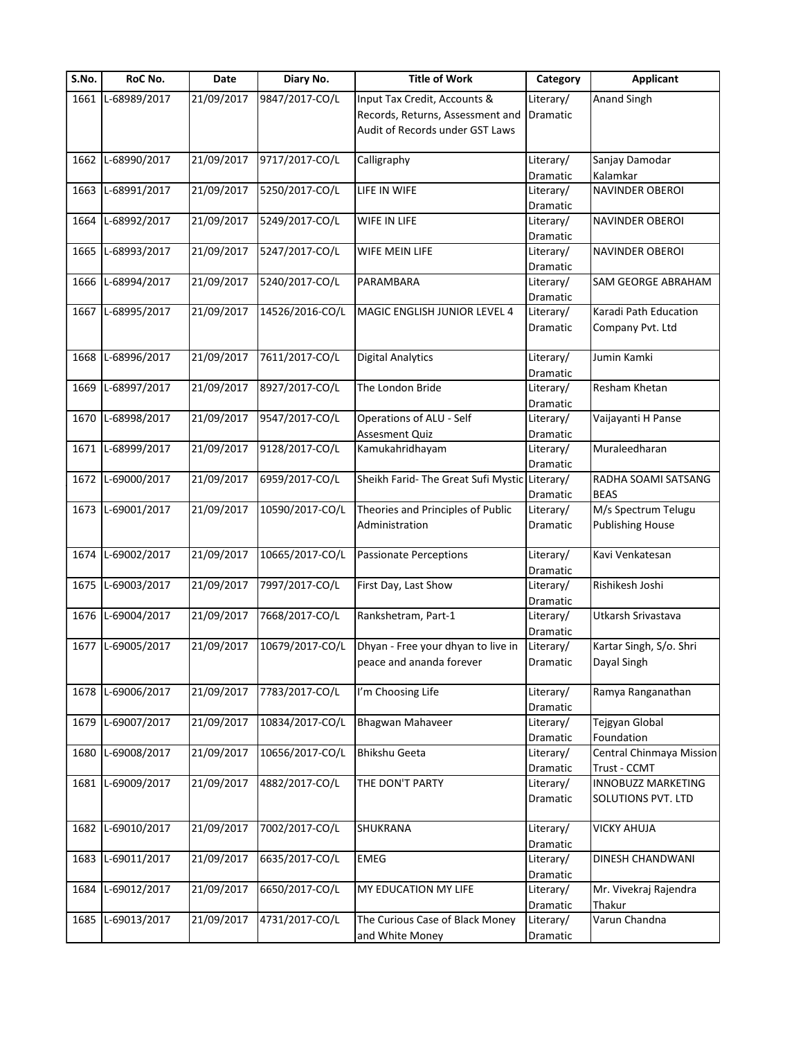| S.No. | RoC No.           | Date       | Diary No.       | <b>Title of Work</b>                          | Category              | <b>Applicant</b>         |
|-------|-------------------|------------|-----------------|-----------------------------------------------|-----------------------|--------------------------|
|       | 1661 L-68989/2017 | 21/09/2017 | 9847/2017-CO/L  | Input Tax Credit, Accounts &                  | Literary/             | <b>Anand Singh</b>       |
|       |                   |            |                 | Records, Returns, Assessment and              | Dramatic              |                          |
|       |                   |            |                 | Audit of Records under GST Laws               |                       |                          |
| 1662  | L-68990/2017      | 21/09/2017 | 9717/2017-CO/L  | Calligraphy                                   | Literary/             | Sanjay Damodar           |
|       |                   |            |                 |                                               | Dramatic              | Kalamkar                 |
| 1663  | L-68991/2017      | 21/09/2017 | 5250/2017-CO/L  | LIFE IN WIFE                                  | Literary/             | NAVINDER OBEROI          |
|       |                   |            |                 |                                               | Dramatic              |                          |
| 1664  | L-68992/2017      | 21/09/2017 | 5249/2017-CO/L  | WIFE IN LIFE                                  | Literary/             | NAVINDER OBEROI          |
|       |                   |            |                 |                                               | Dramatic              |                          |
| 1665  | L-68993/2017      | 21/09/2017 | 5247/2017-CO/L  | WIFE MEIN LIFE                                | Literary/             | NAVINDER OBEROI          |
|       |                   |            |                 |                                               | Dramatic              |                          |
| 1666  | L-68994/2017      | 21/09/2017 | 5240/2017-CO/L  | PARAMBARA                                     | Literary/             | SAM GEORGE ABRAHAM       |
|       |                   |            |                 |                                               | Dramatic              |                          |
|       | 1667 L-68995/2017 | 21/09/2017 | 14526/2016-CO/L | MAGIC ENGLISH JUNIOR LEVEL 4                  | Literary/             | Karadi Path Education    |
|       |                   |            |                 |                                               | Dramatic              | Company Pvt. Ltd         |
|       |                   |            |                 |                                               |                       |                          |
| 1668  | L-68996/2017      | 21/09/2017 | 7611/2017-CO/L  | <b>Digital Analytics</b>                      | Literary/             | Jumin Kamki              |
| 1669  | L-68997/2017      | 21/09/2017 | 8927/2017-CO/L  | The London Bride                              | Dramatic<br>Literary/ | Resham Khetan            |
|       |                   |            |                 |                                               | Dramatic              |                          |
| 1670  | L-68998/2017      | 21/09/2017 | 9547/2017-CO/L  | Operations of ALU - Self                      | Literary/             | Vaijayanti H Panse       |
|       |                   |            |                 | Assesment Quiz                                | Dramatic              |                          |
| 1671  | L-68999/2017      | 21/09/2017 | 9128/2017-CO/L  | Kamukahridhayam                               | Literary/             | Muraleedharan            |
|       |                   |            |                 |                                               | Dramatic              |                          |
| 1672  | L-69000/2017      | 21/09/2017 | 6959/2017-CO/L  | Sheikh Farid- The Great Sufi Mystic Literary/ |                       | RADHA SOAMI SATSANG      |
|       |                   |            |                 |                                               | Dramatic              | <b>BEAS</b>              |
|       | 1673 L-69001/2017 | 21/09/2017 | 10590/2017-CO/L | Theories and Principles of Public             | Literary/             | M/s Spectrum Telugu      |
|       |                   |            |                 | Administration                                | Dramatic              | <b>Publishing House</b>  |
|       |                   |            |                 |                                               |                       |                          |
|       | 1674 L-69002/2017 | 21/09/2017 | 10665/2017-CO/L | <b>Passionate Perceptions</b>                 | Literary/             | Kavi Venkatesan          |
|       | 1675 L-69003/2017 | 21/09/2017 | 7997/2017-CO/L  |                                               | Dramatic              | Rishikesh Joshi          |
|       |                   |            |                 | First Day, Last Show                          | Literary/<br>Dramatic |                          |
|       | 1676 L-69004/2017 | 21/09/2017 | 7668/2017-CO/L  | Rankshetram, Part-1                           | Literary/             | Utkarsh Srivastava       |
|       |                   |            |                 |                                               | Dramatic              |                          |
|       | 1677 L-69005/2017 | 21/09/2017 | 10679/2017-CO/L | Dhyan - Free your dhyan to live in            | Literary/             | Kartar Singh, S/o. Shri  |
|       |                   |            |                 | peace and ananda forever                      | Dramatic              | Dayal Singh              |
|       |                   |            |                 |                                               |                       |                          |
|       | 1678 L-69006/2017 | 21/09/2017 | 7783/2017-CO/L  | I'm Choosing Life                             | Literary/             | Ramya Ranganathan        |
|       |                   |            |                 |                                               | Dramatic              |                          |
| 1679  | L-69007/2017      | 21/09/2017 | 10834/2017-CO/L | Bhagwan Mahaveer                              | Literary/             | Tejgyan Global           |
|       |                   |            |                 |                                               | Dramatic              | Foundation               |
| 1680  | L-69008/2017      | 21/09/2017 | 10656/2017-CO/L | <b>Bhikshu Geeta</b>                          | Literary/             | Central Chinmaya Mission |
|       |                   |            |                 |                                               | Dramatic              | Trust - CCMT             |
|       | 1681 L-69009/2017 | 21/09/2017 | 4882/2017-CO/L  | THE DON'T PARTY                               | Literary/             | INNOBUZZ MARKETING       |
|       |                   |            |                 |                                               | Dramatic              | SOLUTIONS PVT. LTD       |
|       |                   | 21/09/2017 | 7002/2017-CO/L  |                                               |                       |                          |
| 1682  | L-69010/2017      |            |                 | SHUKRANA                                      | Literary/<br>Dramatic | <b>VICKY AHUJA</b>       |
| 1683  | L-69011/2017      | 21/09/2017 | 6635/2017-CO/L  | <b>EMEG</b>                                   | Literary/             | DINESH CHANDWANI         |
|       |                   |            |                 |                                               | Dramatic              |                          |
| 1684  | L-69012/2017      | 21/09/2017 | 6650/2017-CO/L  | MY EDUCATION MY LIFE                          | Literary/             | Mr. Vivekraj Rajendra    |
|       |                   |            |                 |                                               | Dramatic              | Thakur                   |
|       |                   |            |                 |                                               |                       |                          |
| 1685  | L-69013/2017      | 21/09/2017 | 4731/2017-CO/L  | The Curious Case of Black Money               | Literary/             | Varun Chandna            |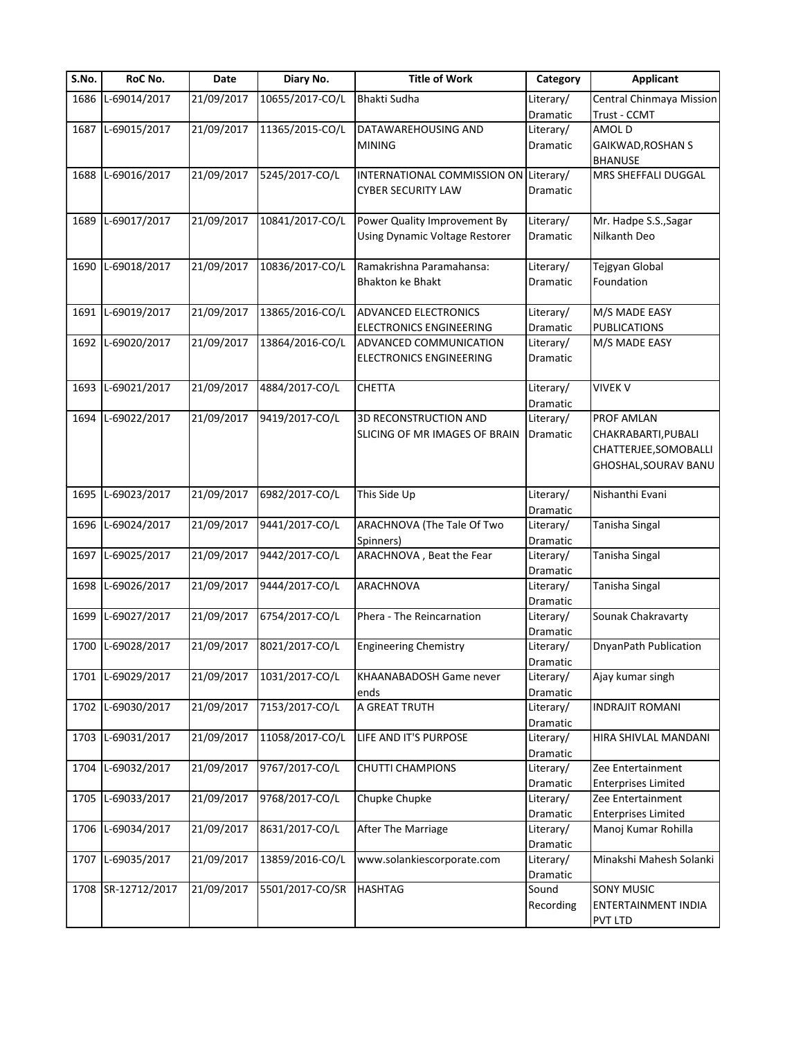| S.No. | RoC No.            | Date                    | Diary No.       | <b>Title of Work</b>                  | Category  | <b>Applicant</b>           |
|-------|--------------------|-------------------------|-----------------|---------------------------------------|-----------|----------------------------|
| 1686  | L-69014/2017       | 21/09/2017              | 10655/2017-CO/L | <b>Bhakti Sudha</b>                   | Literary/ | Central Chinmaya Mission   |
|       |                    |                         |                 |                                       | Dramatic  | Trust - CCMT               |
|       | 1687 L-69015/2017  | 21/09/2017              | 11365/2015-CO/L | DATAWAREHOUSING AND                   | Literary/ | AMOL D                     |
|       |                    |                         |                 | <b>MINING</b>                         | Dramatic  | GAIKWAD, ROSHAN S          |
|       |                    |                         |                 |                                       |           | <b>BHANUSE</b>             |
|       | 1688 L-69016/2017  | 21/09/2017              | 5245/2017-CO/L  | INTERNATIONAL COMMISSION ON Literary/ |           | MRS SHEFFALI DUGGAL        |
|       |                    |                         |                 | CYBER SECURITY LAW                    | Dramatic  |                            |
|       |                    |                         |                 |                                       |           |                            |
| 1689  | L-69017/2017       | 21/09/2017              | 10841/2017-CO/L | Power Quality Improvement By          | Literary/ | Mr. Hadpe S.S., Sagar      |
|       |                    |                         |                 | Using Dynamic Voltage Restorer        | Dramatic  | Nilkanth Deo               |
|       |                    |                         |                 |                                       |           |                            |
|       | 1690 L-69018/2017  | 21/09/2017              | 10836/2017-CO/L | Ramakrishna Paramahansa:              | Literary/ | Tejgyan Global             |
|       |                    |                         |                 | <b>Bhakton ke Bhakt</b>               | Dramatic  | Foundation                 |
|       |                    |                         |                 |                                       |           |                            |
|       | 1691 L-69019/2017  | 21/09/2017              | 13865/2016-CO/L | ADVANCED ELECTRONICS                  | Literary/ | M/S MADE EASY              |
|       |                    |                         |                 | <b>ELECTRONICS ENGINEERING</b>        | Dramatic  | <b>PUBLICATIONS</b>        |
| 1692  | L-69020/2017       | $\overline{21}/09/2017$ | 13864/2016-CO/L | ADVANCED COMMUNICATION                | Literary/ | M/S MADE EASY              |
|       |                    |                         |                 |                                       | Dramatic  |                            |
|       |                    |                         |                 | <b>ELECTRONICS ENGINEERING</b>        |           |                            |
|       | L-69021/2017       |                         |                 |                                       |           |                            |
| 1693  |                    | 21/09/2017              | 4884/2017-CO/L  | <b>CHETTA</b>                         | Literary/ | <b>VIVEK V</b>             |
|       |                    |                         |                 |                                       | Dramatic  |                            |
|       | 1694 L-69022/2017  | 21/09/2017              | 9419/2017-CO/L  | 3D RECONSTRUCTION AND                 | Literary/ | PROF AMLAN                 |
|       |                    |                         |                 | SLICING OF MR IMAGES OF BRAIN         | Dramatic  | CHAKRABARTI, PUBALI        |
|       |                    |                         |                 |                                       |           | CHATTERJEE, SOMOBALLI      |
|       |                    |                         |                 |                                       |           | GHOSHAL, SOURAV BANU       |
|       |                    |                         |                 |                                       |           |                            |
|       | 1695 L-69023/2017  | 21/09/2017              | 6982/2017-CO/L  | This Side Up                          | Literary/ | Nishanthi Evani            |
|       |                    |                         |                 |                                       | Dramatic  |                            |
|       | 1696 L-69024/2017  | 21/09/2017              | 9441/2017-CO/L  | ARACHNOVA (The Tale Of Two            | Literary/ | Tanisha Singal             |
|       |                    |                         |                 | Spinners)                             | Dramatic  |                            |
|       | 1697 L-69025/2017  | 21/09/2017              | 9442/2017-CO/L  | ARACHNOVA, Beat the Fear              | Literary/ | Tanisha Singal             |
|       |                    |                         |                 |                                       | Dramatic  |                            |
|       | 1698 L-69026/2017  | 21/09/2017              | 9444/2017-CO/L  | ARACHNOVA                             | Literary/ | Tanisha Singal             |
|       |                    |                         |                 |                                       | Dramatic  |                            |
| 1699  | L-69027/2017       | 21/09/2017              | 6754/2017-CO/L  | Phera - The Reincarnation             | Literary/ | Sounak Chakravarty         |
|       |                    |                         |                 |                                       | Dramatic  |                            |
|       | 1700 L-69028/2017  | 21/09/2017              | 8021/2017-CO/L  | <b>Engineering Chemistry</b>          | Literary/ | DnyanPath Publication      |
|       |                    |                         |                 |                                       | Dramatic  |                            |
|       | 1701 L-69029/2017  | 21/09/2017              | 1031/2017-CO/L  | KHAANABADOSH Game never               | Literary/ | Ajay kumar singh           |
|       |                    |                         |                 | ends                                  | Dramatic  |                            |
| 1702  | L-69030/2017       | 21/09/2017              | 7153/2017-CO/L  | A GREAT TRUTH                         | Literary/ | <b>INDRAJIT ROMANI</b>     |
|       |                    |                         |                 |                                       | Dramatic  |                            |
|       | 1703 L-69031/2017  | 21/09/2017              | 11058/2017-CO/L | LIFE AND IT'S PURPOSE                 | Literary/ | HIRA SHIVLAL MANDANI       |
|       |                    |                         |                 |                                       | Dramatic  |                            |
|       | 1704 L-69032/2017  | 21/09/2017              | 9767/2017-CO/L  | <b>CHUTTI CHAMPIONS</b>               | Literary/ | Zee Entertainment          |
|       |                    |                         |                 |                                       | Dramatic  | <b>Enterprises Limited</b> |
|       | 1705 L-69033/2017  | 21/09/2017              | 9768/2017-CO/L  | Chupke Chupke                         | Literary/ | Zee Entertainment          |
|       |                    |                         |                 |                                       | Dramatic  | <b>Enterprises Limited</b> |
|       | 1706 L-69034/2017  | 21/09/2017              | 8631/2017-CO/L  | After The Marriage                    | Literary/ | Manoj Kumar Rohilla        |
|       |                    |                         |                 |                                       |           |                            |
| 1707  | L-69035/2017       | 21/09/2017              | 13859/2016-CO/L | www.solankiescorporate.com            | Dramatic  | Minakshi Mahesh Solanki    |
|       |                    |                         |                 |                                       | Literary/ |                            |
|       |                    |                         |                 |                                       | Dramatic  |                            |
|       | 1708 SR-12712/2017 | 21/09/2017              | 5501/2017-CO/SR | <b>HASHTAG</b>                        | Sound     | <b>SONY MUSIC</b>          |
|       |                    |                         |                 |                                       | Recording | ENTERTAINMENT INDIA        |
|       |                    |                         |                 |                                       |           | PVT LTD                    |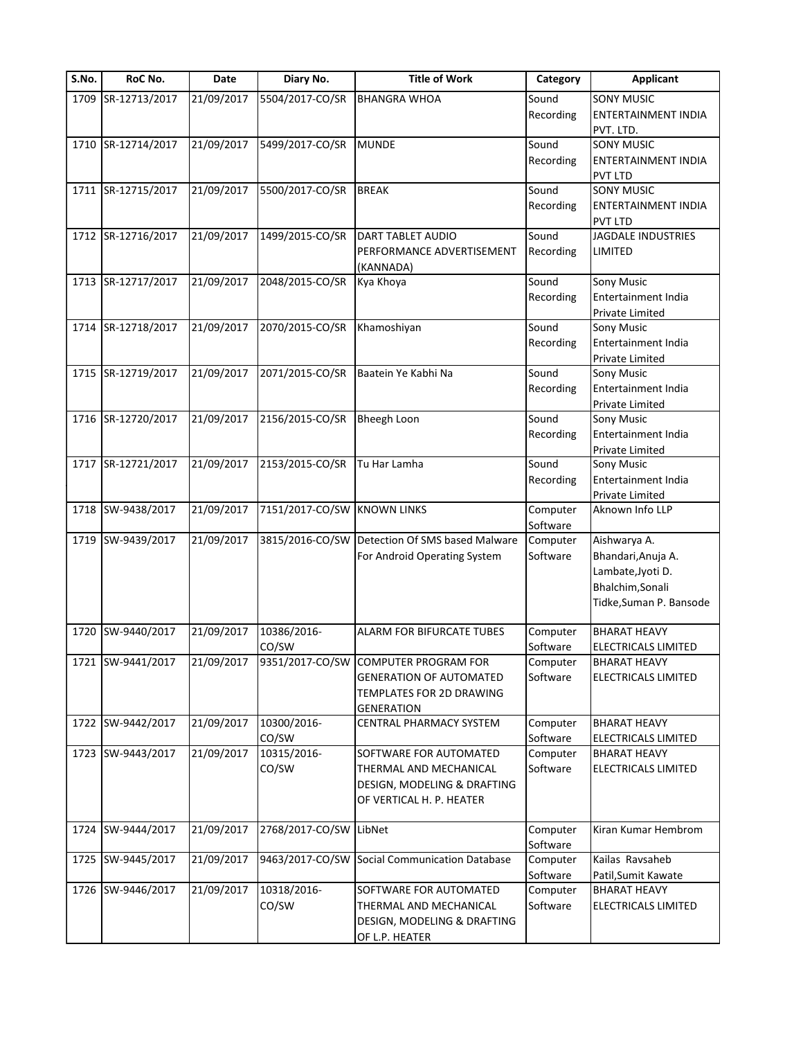| S.No. | RoC No.            | Date       | Diary No.       | <b>Title of Work</b>                            | Category  | <b>Applicant</b>           |
|-------|--------------------|------------|-----------------|-------------------------------------------------|-----------|----------------------------|
| 1709  | SR-12713/2017      | 21/09/2017 | 5504/2017-CO/SR | <b>BHANGRA WHOA</b>                             | Sound     | <b>SONY MUSIC</b>          |
|       |                    |            |                 |                                                 | Recording | ENTERTAINMENT INDIA        |
|       |                    |            |                 |                                                 |           | PVT. LTD.                  |
|       | 1710 SR-12714/2017 | 21/09/2017 | 5499/2017-CO/SR | <b>MUNDE</b>                                    | Sound     | <b>SONY MUSIC</b>          |
|       |                    |            |                 |                                                 | Recording | <b>ENTERTAINMENT INDIA</b> |
|       |                    |            |                 |                                                 |           | <b>PVT LTD</b>             |
| 1711  | SR-12715/2017      | 21/09/2017 | 5500/2017-CO/SR | <b>BREAK</b>                                    | Sound     | <b>SONY MUSIC</b>          |
|       |                    |            |                 |                                                 | Recording | ENTERTAINMENT INDIA        |
|       |                    |            |                 |                                                 |           | <b>PVT LTD</b>             |
|       | 1712 SR-12716/2017 | 21/09/2017 | 1499/2015-CO/SR | DART TABLET AUDIO                               | Sound     | <b>JAGDALE INDUSTRIES</b>  |
|       |                    |            |                 | PERFORMANCE ADVERTISEMENT                       | Recording | LIMITED                    |
|       |                    |            |                 | (KANNADA)                                       |           |                            |
| 1713  | SR-12717/2017      | 21/09/2017 | 2048/2015-CO/SR | Kya Khoya                                       | Sound     | Sony Music                 |
|       |                    |            |                 |                                                 | Recording | Entertainment India        |
|       |                    |            |                 |                                                 |           | Private Limited            |
| 1714  | SR-12718/2017      | 21/09/2017 | 2070/2015-CO/SR | Khamoshiyan                                     | Sound     | Sony Music                 |
|       |                    |            |                 |                                                 | Recording | Entertainment India        |
|       |                    |            |                 |                                                 |           | Private Limited            |
| 1715  | SR-12719/2017      | 21/09/2017 | 2071/2015-CO/SR | Baatein Ye Kabhi Na                             | Sound     | Sony Music                 |
|       |                    |            |                 |                                                 | Recording | Entertainment India        |
|       |                    |            |                 |                                                 |           | Private Limited            |
|       | 1716 SR-12720/2017 | 21/09/2017 | 2156/2015-CO/SR | <b>Bheegh Loon</b>                              | Sound     | Sony Music                 |
|       |                    |            |                 |                                                 | Recording | Entertainment India        |
|       |                    |            |                 |                                                 |           | Private Limited            |
|       | SR-12721/2017      | 21/09/2017 | 2153/2015-CO/SR | Tu Har Lamha                                    | Sound     | Sony Music                 |
| 1717  |                    |            |                 |                                                 |           |                            |
|       |                    |            |                 |                                                 | Recording | Entertainment India        |
|       |                    |            |                 |                                                 |           | Private Limited            |
|       | 1718 SW-9438/2017  | 21/09/2017 | 7151/2017-CO/SW | <b>KNOWN LINKS</b>                              | Computer  | Aknown Info LLP            |
|       |                    |            |                 |                                                 | Software  |                            |
| 1719  | SW-9439/2017       | 21/09/2017 | 3815/2016-CO/SW | Detection Of SMS based Malware                  | Computer  | Aishwarya A.               |
|       |                    |            |                 | For Android Operating System                    | Software  | Bhandari, Anuja A.         |
|       |                    |            |                 |                                                 |           | Lambate, Jyoti D.          |
|       |                    |            |                 |                                                 |           | Bhalchim, Sonali           |
|       |                    |            |                 |                                                 |           | Tidke, Suman P. Bansode    |
|       |                    |            |                 |                                                 |           |                            |
| 1720  | SW-9440/2017       | 21/09/2017 | 10386/2016-     | <b>ALARM FOR BIFURCATE TUBES</b>                | Computer  | <b>BHARAT HEAVY</b>        |
|       |                    |            | CO/SW           |                                                 | Software  | <b>ELECTRICALS LIMITED</b> |
|       | 1721 SW-9441/2017  |            |                 | 21/09/2017 9351/2017-CO/SW COMPUTER PROGRAM FOR | Computer  | <b>BHARAT HEAVY</b>        |
|       |                    |            |                 | <b>GENERATION OF AUTOMATED</b>                  | Software  | <b>ELECTRICALS LIMITED</b> |
|       |                    |            |                 | TEMPLATES FOR 2D DRAWING                        |           |                            |
|       |                    |            |                 | <b>GENERATION</b>                               |           |                            |
|       | 1722 SW-9442/2017  | 21/09/2017 | 10300/2016-     | CENTRAL PHARMACY SYSTEM                         | Computer  | <b>BHARAT HEAVY</b>        |
|       |                    |            | CO/SW           |                                                 | Software  | ELECTRICALS LIMITED        |
|       | 1723 SW-9443/2017  | 21/09/2017 | 10315/2016-     | SOFTWARE FOR AUTOMATED                          | Computer  | <b>BHARAT HEAVY</b>        |
|       |                    |            | CO/SW           | THERMAL AND MECHANICAL                          | Software  | <b>ELECTRICALS LIMITED</b> |
|       |                    |            |                 | DESIGN, MODELING & DRAFTING                     |           |                            |
|       |                    |            |                 | OF VERTICAL H. P. HEATER                        |           |                            |
|       |                    |            |                 |                                                 |           |                            |
| 1724  | SW-9444/2017       | 21/09/2017 | 2768/2017-CO/SW | LibNet                                          | Computer  | Kiran Kumar Hembrom        |
|       |                    |            |                 |                                                 | Software  |                            |
|       |                    |            |                 |                                                 |           |                            |
| 1725  | SW-9445/2017       | 21/09/2017 | 9463/2017-CO/SW | Social Communication Database                   | Computer  | Kailas Ravsaheb            |
|       |                    |            |                 |                                                 | Software  | Patil, Sumit Kawate        |
|       | 1726 SW-9446/2017  | 21/09/2017 | 10318/2016-     | SOFTWARE FOR AUTOMATED                          | Computer  | <b>BHARAT HEAVY</b>        |
|       |                    |            | CO/SW           | THERMAL AND MECHANICAL                          | Software  | ELECTRICALS LIMITED        |
|       |                    |            |                 | DESIGN, MODELING & DRAFTING                     |           |                            |
|       |                    |            |                 | OF L.P. HEATER                                  |           |                            |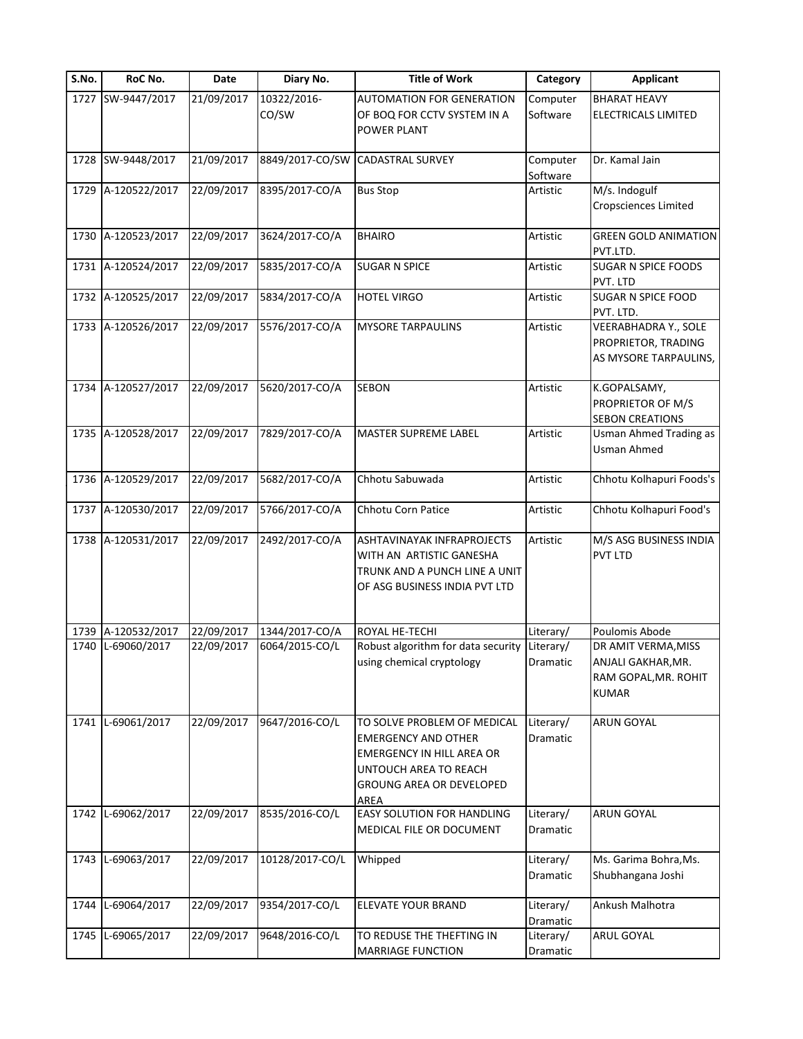| S.No. | RoC No.            | Date       | Diary No.            | <b>Title of Work</b>                                                                                                                                | Category                     | <b>Applicant</b>                                                                  |
|-------|--------------------|------------|----------------------|-----------------------------------------------------------------------------------------------------------------------------------------------------|------------------------------|-----------------------------------------------------------------------------------|
| 1727  | SW-9447/2017       | 21/09/2017 | 10322/2016-<br>CO/SW | <b>AUTOMATION FOR GENERATION</b><br>OF BOQ FOR CCTV SYSTEM IN A<br>POWER PLANT                                                                      | Computer<br>Software         | <b>BHARAT HEAVY</b><br>ELECTRICALS LIMITED                                        |
|       | 1728 SW-9448/2017  | 21/09/2017 | 8849/2017-CO/SW      | <b>CADASTRAL SURVEY</b>                                                                                                                             | Computer<br>Software         | Dr. Kamal Jain                                                                    |
| 1729  | A-120522/2017      | 22/09/2017 | 8395/2017-CO/A       | <b>Bus Stop</b>                                                                                                                                     | Artistic                     | M/s. Indogulf<br>Cropsciences Limited                                             |
| 1730  | A-120523/2017      | 22/09/2017 | 3624/2017-CO/A       | <b>BHAIRO</b>                                                                                                                                       | Artistic                     | <b>GREEN GOLD ANIMATION</b><br>PVT.LTD.                                           |
| 1731  | A-120524/2017      | 22/09/2017 | 5835/2017-CO/A       | <b>SUGAR N SPICE</b>                                                                                                                                | Artistic                     | SUGAR N SPICE FOODS<br>PVT. LTD                                                   |
|       | 1732 A-120525/2017 | 22/09/2017 | 5834/2017-CO/A       | <b>HOTEL VIRGO</b>                                                                                                                                  | Artistic                     | SUGAR N SPICE FOOD<br>PVT. LTD.                                                   |
|       | 1733 A-120526/2017 | 22/09/2017 | 5576/2017-CO/A       | <b>MYSORE TARPAULINS</b>                                                                                                                            | Artistic                     | VEERABHADRA Y., SOLE<br>PROPRIETOR, TRADING<br>AS MYSORE TARPAULINS,              |
|       | 1734 A-120527/2017 | 22/09/2017 | 5620/2017-CO/A       | <b>SEBON</b>                                                                                                                                        | Artistic                     | K.GOPALSAMY,<br>PROPRIETOR OF M/S<br><b>SEBON CREATIONS</b>                       |
|       | 1735 A-120528/2017 | 22/09/2017 | 7829/2017-CO/A       | <b>MASTER SUPREME LABEL</b>                                                                                                                         | Artistic                     | <b>Usman Ahmed Trading as</b><br><b>Usman Ahmed</b>                               |
|       | 1736 A-120529/2017 | 22/09/2017 | 5682/2017-CO/A       | Chhotu Sabuwada                                                                                                                                     | Artistic                     | Chhotu Kolhapuri Foods's                                                          |
| 1737  | A-120530/2017      | 22/09/2017 | 5766/2017-CO/A       | Chhotu Corn Patice                                                                                                                                  | Artistic                     | Chhotu Kolhapuri Food's                                                           |
|       | 1738 A-120531/2017 | 22/09/2017 | 2492/2017-CO/A       | ASHTAVINAYAK INFRAPROJECTS<br>WITH AN ARTISTIC GANESHA<br>TRUNK AND A PUNCH LINE A UNIT<br>OF ASG BUSINESS INDIA PVT LTD                            | Artistic                     | M/S ASG BUSINESS INDIA<br>PVT LTD                                                 |
| 1739  | A-120532/2017      | 22/09/2017 | 1344/2017-CO/A       | ROYAL HE-TECHI                                                                                                                                      | Literary/                    | Poulomis Abode                                                                    |
| 1740  | L-69060/2017       | 22/09/2017 | 6064/2015-CO/L       | Robust algorithm for data security<br>using chemical cryptology                                                                                     | Literary/<br>Dramatic        | DR AMIT VERMA, MISS<br>ANJALI GAKHAR, MR.<br>RAM GOPAL, MR. ROHIT<br><b>KUMAR</b> |
|       | 1741 L-69061/2017  | 22/09/2017 | 9647/2016-CO/L       | TO SOLVE PROBLEM OF MEDICAL<br><b>EMERGENCY AND OTHER</b><br>EMERGENCY IN HILL AREA OR<br>UNTOUCH AREA TO REACH<br>GROUNG AREA OR DEVELOPED<br>AREA | Literary/<br><b>Dramatic</b> | ARUN GOYAL                                                                        |
| 1742  | L-69062/2017       | 22/09/2017 | 8535/2016-CO/L       | <b>EASY SOLUTION FOR HANDLING</b><br>MEDICAL FILE OR DOCUMENT                                                                                       | Literary/<br>Dramatic        | ARUN GOYAL                                                                        |
| 1743  | L-69063/2017       | 22/09/2017 | 10128/2017-CO/L      | Whipped                                                                                                                                             | Literary/<br>Dramatic        | Ms. Garima Bohra, Ms.<br>Shubhangana Joshi                                        |
| 1744  | L-69064/2017       | 22/09/2017 | 9354/2017-CO/L       | ELEVATE YOUR BRAND                                                                                                                                  | Literary/<br>Dramatic        | Ankush Malhotra                                                                   |
| 1745  | L-69065/2017       | 22/09/2017 | 9648/2016-CO/L       | TO REDUSE THE THEFTING IN<br><b>MARRIAGE FUNCTION</b>                                                                                               | Literary/<br>Dramatic        | ARUL GOYAL                                                                        |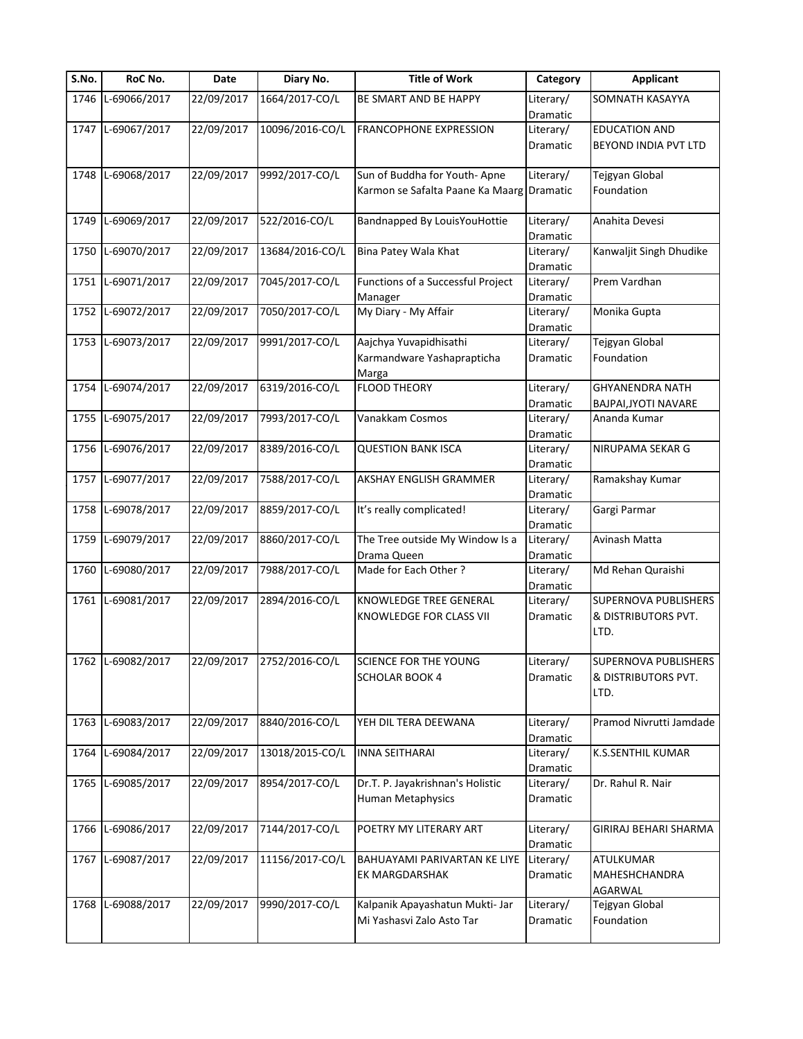| S.No. | RoC No.           | Date       | Diary No.       | <b>Title of Work</b>                      | Category              | <b>Applicant</b>            |
|-------|-------------------|------------|-----------------|-------------------------------------------|-----------------------|-----------------------------|
| 1746  | L-69066/2017      | 22/09/2017 | 1664/2017-CO/L  | BE SMART AND BE HAPPY                     | Literary/             | SOMNATH KASAYYA             |
|       |                   |            |                 |                                           | Dramatic              |                             |
|       | 1747 L-69067/2017 | 22/09/2017 | 10096/2016-CO/L | <b>FRANCOPHONE EXPRESSION</b>             | Literary/             | <b>EDUCATION AND</b>        |
|       |                   |            |                 |                                           | Dramatic              | BEYOND INDIA PVT LTD        |
|       |                   |            |                 |                                           |                       |                             |
|       | 1748 L-69068/2017 | 22/09/2017 | 9992/2017-CO/L  | Sun of Buddha for Youth-Apne              | Literary/             | Tejgyan Global              |
|       |                   |            |                 | Karmon se Safalta Paane Ka Maarg Dramatic |                       | Foundation                  |
|       |                   |            |                 |                                           |                       |                             |
| 1749  | L-69069/2017      | 22/09/2017 | 522/2016-CO/L   | Bandnapped By LouisYouHottie              | Literary/             | Anahita Devesi              |
|       |                   |            |                 |                                           | Dramatic              |                             |
| 1750  | L-69070/2017      | 22/09/2017 | 13684/2016-CO/L | Bina Patey Wala Khat                      | Literary/             | Kanwaljit Singh Dhudike     |
|       |                   |            |                 |                                           | Dramatic              |                             |
|       | 1751 L-69071/2017 | 22/09/2017 | 7045/2017-CO/L  | Functions of a Successful Project         | Literary/             | Prem Vardhan                |
|       |                   |            |                 | Manager                                   | Dramatic              |                             |
| 1752  | L-69072/2017      | 22/09/2017 | 7050/2017-CO/L  | My Diary - My Affair                      | Literary/             | Monika Gupta                |
|       |                   |            |                 |                                           | Dramatic              |                             |
|       | 1753 L-69073/2017 | 22/09/2017 | 9991/2017-CO/L  | Aajchya Yuvapidhisathi                    | Literary/             | Tejgyan Global              |
|       |                   |            |                 | Karmandware Yashaprapticha                | Dramatic              | Foundation                  |
|       |                   |            |                 |                                           |                       |                             |
|       | L-69074/2017      |            | 6319/2016-CO/L  | Marga<br><b>FLOOD THEORY</b>              |                       | <b>GHYANENDRA NATH</b>      |
| 1754  |                   | 22/09/2017 |                 |                                           | Literary/<br>Dramatic | BAJPAI, JYOTI NAVARE        |
|       |                   |            |                 |                                           |                       |                             |
|       | 1755 L-69075/2017 | 22/09/2017 | 7993/2017-CO/L  | Vanakkam Cosmos                           | Literary/             | Ananda Kumar                |
|       |                   |            |                 |                                           | Dramatic              |                             |
|       | 1756 L-69076/2017 | 22/09/2017 | 8389/2016-CO/L  | <b>QUESTION BANK ISCA</b>                 | Literary/             | NIRUPAMA SEKAR G            |
|       |                   |            |                 |                                           | Dramatic              |                             |
|       | 1757 L-69077/2017 | 22/09/2017 | 7588/2017-CO/L  | AKSHAY ENGLISH GRAMMER                    | Literary/             | Ramakshay Kumar             |
|       |                   |            |                 |                                           | Dramatic              |                             |
|       | 1758 L-69078/2017 | 22/09/2017 | 8859/2017-CO/L  | It's really complicated!                  | Literary/             | Gargi Parmar                |
|       |                   |            |                 |                                           | Dramatic              |                             |
| 1759  | L-69079/2017      | 22/09/2017 | 8860/2017-CO/L  | The Tree outside My Window Is a           | Literary/             | Avinash Matta               |
|       |                   |            |                 | Drama Queen                               | Dramatic              |                             |
| 1760  | L-69080/2017      | 22/09/2017 | 7988/2017-CO/L  | Made for Each Other?                      | Literary/             | Md Rehan Quraishi           |
|       |                   |            |                 |                                           | Dramatic              |                             |
|       | 1761 L-69081/2017 | 22/09/2017 | 2894/2016-CO/L  | KNOWLEDGE TREE GENERAL                    | Literary/             | SUPERNOVA PUBLISHERS        |
|       |                   |            |                 | KNOWLEDGE FOR CLASS VII                   | <b>Dramatic</b>       | & DISTRIBUTORS PVT.         |
|       |                   |            |                 |                                           |                       | LTD.                        |
|       |                   |            |                 |                                           |                       |                             |
|       | 1762 L-69082/2017 | 22/09/2017 | 2752/2016-CO/L  | <b>SCIENCE FOR THE YOUNG</b>              | Literary/             | <b>SUPERNOVA PUBLISHERS</b> |
|       |                   |            |                 | <b>SCHOLAR BOOK 4</b>                     | Dramatic              | & DISTRIBUTORS PVT.         |
|       |                   |            |                 |                                           |                       | LTD.                        |
|       |                   |            |                 |                                           |                       |                             |
|       | 1763 L-69083/2017 | 22/09/2017 | 8840/2016-CO/L  | YEH DIL TERA DEEWANA                      | Literary/             | Pramod Nivrutti Jamdade     |
|       |                   |            |                 |                                           | <b>Dramatic</b>       |                             |
| 1764  | L-69084/2017      | 22/09/2017 | 13018/2015-CO/L | <b>INNA SEITHARAI</b>                     | Literary/             | K.S.SENTHIL KUMAR           |
|       |                   |            |                 |                                           | Dramatic              |                             |
|       | 1765 L-69085/2017 | 22/09/2017 | 8954/2017-CO/L  | Dr.T. P. Jayakrishnan's Holistic          | Literary/             | Dr. Rahul R. Nair           |
|       |                   |            |                 | <b>Human Metaphysics</b>                  | Dramatic              |                             |
|       |                   |            |                 |                                           |                       |                             |
|       | 1766 L-69086/2017 | 22/09/2017 | 7144/2017-CO/L  | POETRY MY LITERARY ART                    | Literary/             | GIRIRAJ BEHARI SHARMA       |
|       |                   |            |                 |                                           |                       |                             |
|       |                   |            |                 |                                           | Dramatic              |                             |
|       | 1767 L-69087/2017 | 22/09/2017 | 11156/2017-CO/L | BAHUAYAMI PARIVARTAN KE LIYE              | Literary/             | ATULKUMAR                   |
|       |                   |            |                 | EK MARGDARSHAK                            | Dramatic              | MAHESHCHANDRA               |
|       |                   |            |                 |                                           |                       | AGARWAL                     |
|       | 1768 L-69088/2017 | 22/09/2017 | 9990/2017-CO/L  | Kalpanik Apayashatun Mukti- Jar           | Literary/             | Tejgyan Global              |
|       |                   |            |                 | Mi Yashasvi Zalo Asto Tar                 | Dramatic              | Foundation                  |
|       |                   |            |                 |                                           |                       |                             |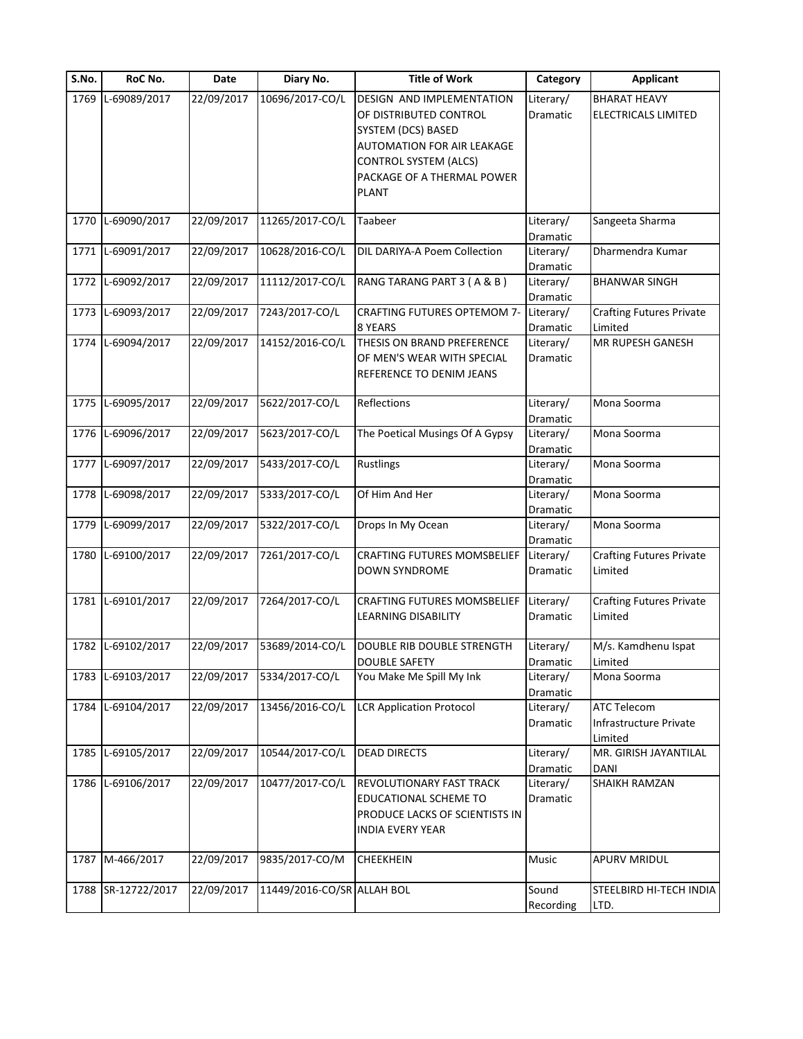| S.No. | RoC No.            | Date       | Diary No.                  | <b>Title of Work</b>               | Category        | <b>Applicant</b>                |
|-------|--------------------|------------|----------------------------|------------------------------------|-----------------|---------------------------------|
|       | 1769 L-69089/2017  | 22/09/2017 | 10696/2017-CO/L            | <b>DESIGN AND IMPLEMENTATION</b>   | Literary/       | <b>BHARAT HEAVY</b>             |
|       |                    |            |                            | OF DISTRIBUTED CONTROL             | Dramatic        | ELECTRICALS LIMITED             |
|       |                    |            |                            | SYSTEM (DCS) BASED                 |                 |                                 |
|       |                    |            |                            | <b>AUTOMATION FOR AIR LEAKAGE</b>  |                 |                                 |
|       |                    |            |                            | <b>CONTROL SYSTEM (ALCS)</b>       |                 |                                 |
|       |                    |            |                            | PACKAGE OF A THERMAL POWER         |                 |                                 |
|       |                    |            |                            | <b>PLANT</b>                       |                 |                                 |
|       |                    |            |                            |                                    |                 |                                 |
|       | 1770 L-69090/2017  | 22/09/2017 | 11265/2017-CO/L            | Taabeer                            | Literary/       | Sangeeta Sharma                 |
|       | L-69091/2017       | 22/09/2017 | 10628/2016-CO/L            | DIL DARIYA-A Poem Collection       | Dramatic        |                                 |
| 1771  |                    |            |                            |                                    | Literary/       | Dharmendra Kumar                |
|       |                    |            |                            |                                    | Dramatic        |                                 |
| 1772  | L-69092/2017       | 22/09/2017 | 11112/2017-CO/L            | RANG TARANG PART 3 (A & B)         | Literary/       | <b>BHANWAR SINGH</b>            |
|       |                    | 22/09/2017 | 7243/2017-CO/L             |                                    | Dramatic        |                                 |
| 1773  | L-69093/2017       |            |                            | <b>CRAFTING FUTURES OPTEMOM 7-</b> | Literary/       | <b>Crafting Futures Private</b> |
|       |                    |            | 14152/2016-CO/L            | 8 YEARS                            | Dramatic        | Limited                         |
| 1774  | L-69094/2017       | 22/09/2017 |                            | THESIS ON BRAND PREFERENCE         | Literary/       | MR RUPESH GANESH                |
|       |                    |            |                            | OF MEN'S WEAR WITH SPECIAL         | Dramatic        |                                 |
|       |                    |            |                            | REFERENCE TO DENIM JEANS           |                 |                                 |
|       | 1775 L-69095/2017  | 22/09/2017 | 5622/2017-CO/L             | Reflections                        | Literary/       | Mona Soorma                     |
|       |                    |            |                            |                                    | Dramatic        |                                 |
|       | 1776 L-69096/2017  | 22/09/2017 | 5623/2017-CO/L             | The Poetical Musings Of A Gypsy    | Literary/       | Mona Soorma                     |
|       |                    |            |                            |                                    | Dramatic        |                                 |
| 1777  | L-69097/2017       | 22/09/2017 | 5433/2017-CO/L             | <b>Rustlings</b>                   | Literary/       | Mona Soorma                     |
|       |                    |            |                            |                                    | Dramatic        |                                 |
|       | 1778 L-69098/2017  | 22/09/2017 | 5333/2017-CO/L             | Of Him And Her                     | Literary/       | Mona Soorma                     |
|       |                    |            |                            |                                    | Dramatic        |                                 |
| 1779  | L-69099/2017       | 22/09/2017 | 5322/2017-CO/L             | Drops In My Ocean                  | Literary/       | Mona Soorma                     |
|       |                    |            |                            |                                    | Dramatic        |                                 |
|       | 1780 L-69100/2017  | 22/09/2017 | 7261/2017-CO/L             | <b>CRAFTING FUTURES MOMSBELIEF</b> | Literary/       | <b>Crafting Futures Private</b> |
|       |                    |            |                            | <b>DOWN SYNDROME</b>               | Dramatic        | Limited                         |
|       |                    |            |                            |                                    |                 |                                 |
|       | 1781 L-69101/2017  | 22/09/2017 | 7264/2017-CO/L             | <b>CRAFTING FUTURES MOMSBELIEF</b> | Literary/       | <b>Crafting Futures Private</b> |
|       |                    |            |                            | <b>LEARNING DISABILITY</b>         | <b>Dramatic</b> | Limited                         |
|       |                    |            |                            |                                    |                 |                                 |
|       | 1782 L-69102/2017  | 22/09/2017 | 53689/2014-CO/L            | DOUBLE RIB DOUBLE STRENGTH         | Literary/       | M/s. Kamdhenu Ispat             |
|       |                    |            |                            | <b>DOUBLE SAFETY</b>               | Dramatic        | Limited                         |
| 1783  | L-69103/2017       | 22/09/2017 | 5334/2017-CO/L             | You Make Me Spill My Ink           | Literary/       | Mona Soorma                     |
|       |                    |            |                            |                                    | Dramatic        |                                 |
| 1784  | L-69104/2017       | 22/09/2017 | 13456/2016-CO/L            | <b>LCR Application Protocol</b>    | Literary/       | <b>ATC Telecom</b>              |
|       |                    |            |                            |                                    | Dramatic        | Infrastructure Private          |
|       |                    |            |                            |                                    |                 | Limited                         |
|       | 1785 L-69105/2017  | 22/09/2017 | 10544/2017-CO/L            | <b>DEAD DIRECTS</b>                | Literary/       | MR. GIRISH JAYANTILAL           |
|       |                    |            |                            |                                    | Dramatic        | <b>DANI</b>                     |
|       | 1786 L-69106/2017  | 22/09/2017 | 10477/2017-CO/L            | <b>REVOLUTIONARY FAST TRACK</b>    | Literary/       | SHAIKH RAMZAN                   |
|       |                    |            |                            | EDUCATIONAL SCHEME TO              | Dramatic        |                                 |
|       |                    |            |                            | PRODUCE LACKS OF SCIENTISTS IN     |                 |                                 |
|       |                    |            |                            | <b>INDIA EVERY YEAR</b>            |                 |                                 |
|       |                    |            |                            |                                    |                 |                                 |
| 1787  | M-466/2017         | 22/09/2017 | 9835/2017-CO/M             | <b>CHEEKHEIN</b>                   | Music           | APURV MRIDUL                    |
|       |                    |            |                            |                                    |                 |                                 |
|       | 1788 SR-12722/2017 | 22/09/2017 | 11449/2016-CO/SR ALLAH BOL |                                    | Sound           | STEELBIRD HI-TECH INDIA         |
|       |                    |            |                            |                                    | Recording       | LTD.                            |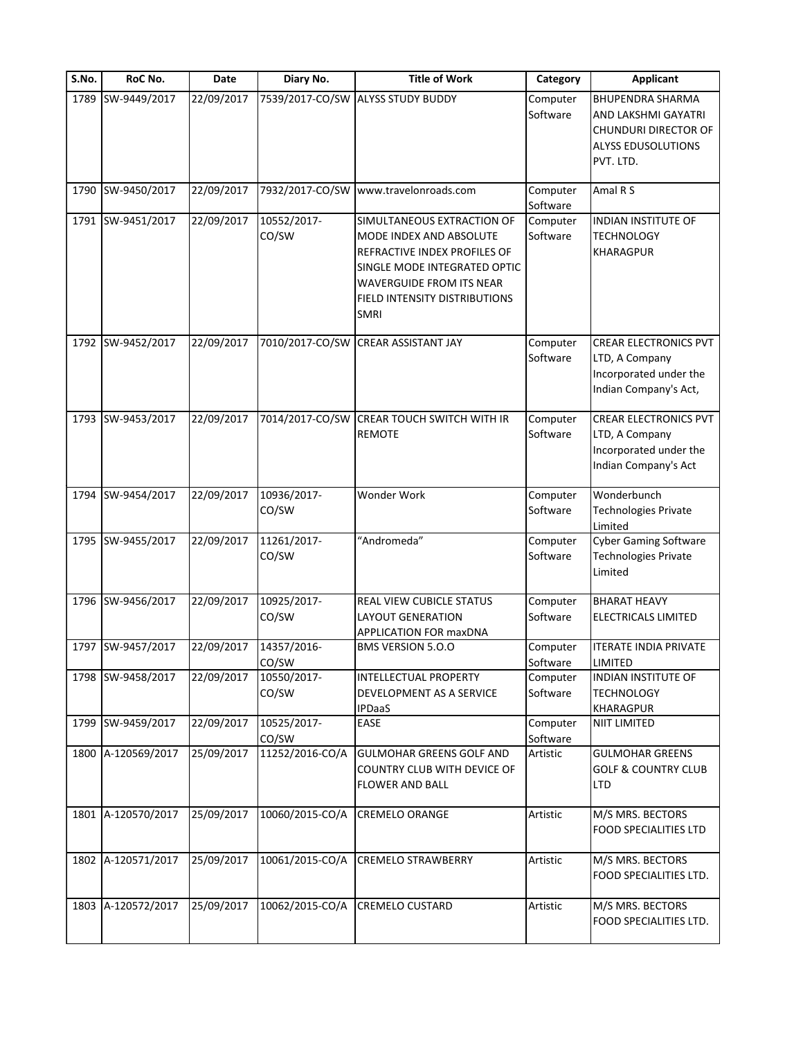| S.No. | RoC No.            | Date       | Diary No.            | <b>Title of Work</b>                                                                                                                                                                                     | Category             | <b>Applicant</b>                                                                                                 |
|-------|--------------------|------------|----------------------|----------------------------------------------------------------------------------------------------------------------------------------------------------------------------------------------------------|----------------------|------------------------------------------------------------------------------------------------------------------|
| 1789  | SW-9449/2017       | 22/09/2017 |                      | 7539/2017-CO/SW ALYSS STUDY BUDDY                                                                                                                                                                        | Computer<br>Software | <b>BHUPENDRA SHARMA</b><br>AND LAKSHMI GAYATRI<br><b>CHUNDURI DIRECTOR OF</b><br>ALYSS EDUSOLUTIONS<br>PVT. LTD. |
| 1790  | SW-9450/2017       | 22/09/2017 | 7932/2017-CO/SW      | www.travelonroads.com                                                                                                                                                                                    | Computer<br>Software | Amal R S                                                                                                         |
| 1791  | SW-9451/2017       | 22/09/2017 | 10552/2017-<br>CO/SW | SIMULTANEOUS EXTRACTION OF<br>MODE INDEX AND ABSOLUTE<br>REFRACTIVE INDEX PROFILES OF<br>SINGLE MODE INTEGRATED OPTIC<br><b>WAVERGUIDE FROM ITS NEAR</b><br>FIELD INTENSITY DISTRIBUTIONS<br><b>SMRI</b> | Computer<br>Software | <b>INDIAN INSTITUTE OF</b><br><b>TECHNOLOGY</b><br>KHARAGPUR                                                     |
|       | 1792 SW-9452/2017  | 22/09/2017 | 7010/2017-CO/SW      | <b>CREAR ASSISTANT JAY</b>                                                                                                                                                                               | Computer<br>Software | <b>CREAR ELECTRONICS PVT</b><br>LTD, A Company<br>Incorporated under the<br>Indian Company's Act,                |
| 1793  | SW-9453/2017       | 22/09/2017 | 7014/2017-CO/SW      | CREAR TOUCH SWITCH WITH IR<br><b>REMOTE</b>                                                                                                                                                              | Computer<br>Software | <b>CREAR ELECTRONICS PVT</b><br>LTD, A Company<br>Incorporated under the<br>Indian Company's Act                 |
|       | 1794 SW-9454/2017  | 22/09/2017 | 10936/2017-<br>CO/SW | Wonder Work                                                                                                                                                                                              | Computer<br>Software | Wonderbunch<br>Technologies Private<br>Limited                                                                   |
|       | 1795 SW-9455/2017  | 22/09/2017 | 11261/2017-<br>CO/SW | "Andromeda"                                                                                                                                                                                              | Computer<br>Software | <b>Cyber Gaming Software</b><br><b>Technologies Private</b><br>Limited                                           |
|       | 1796 SW-9456/2017  | 22/09/2017 | 10925/2017-<br>CO/SW | REAL VIEW CUBICLE STATUS<br><b>LAYOUT GENERATION</b><br><b>APPLICATION FOR maxDNA</b>                                                                                                                    | Computer<br>Software | <b>BHARAT HEAVY</b><br>ELECTRICALS LIMITED                                                                       |
|       | 1797 SW-9457/2017  | 22/09/2017 | 14357/2016-<br>CO/SW | <b>BMS VERSION 5.0.0</b>                                                                                                                                                                                 | Computer<br>Software | <b>ITERATE INDIA PRIVATE</b><br><b>LIMITED</b>                                                                   |
|       | 1798 SW-9458/2017  | 22/09/2017 | 10550/2017-<br>CO/SW | <b>INTELLECTUAL PROPERTY</b><br>DEVELOPMENT AS A SERVICE<br><b>IPDaaS</b>                                                                                                                                | Computer<br>Software | INDIAN INSTITUTE OF<br><b>TECHNOLOGY</b><br>KHARAGPUR                                                            |
| 1799  | SW-9459/2017       | 22/09/2017 | 10525/2017-<br>CO/SW | EASE                                                                                                                                                                                                     | Computer<br>Software | NIIT LIMITED                                                                                                     |
|       | 1800 A-120569/2017 | 25/09/2017 | 11252/2016-CO/A      | <b>GULMOHAR GREENS GOLF AND</b><br>COUNTRY CLUB WITH DEVICE OF<br><b>FLOWER AND BALL</b>                                                                                                                 | Artistic             | <b>GULMOHAR GREENS</b><br><b>GOLF &amp; COUNTRY CLUB</b><br><b>LTD</b>                                           |
|       | 1801 A-120570/2017 | 25/09/2017 | 10060/2015-CO/A      | <b>CREMELO ORANGE</b>                                                                                                                                                                                    | Artistic             | M/S MRS. BECTORS<br>FOOD SPECIALITIES LTD                                                                        |
|       | 1802 A-120571/2017 | 25/09/2017 | 10061/2015-CO/A      | <b>CREMELO STRAWBERRY</b>                                                                                                                                                                                | Artistic             | M/S MRS. BECTORS<br>FOOD SPECIALITIES LTD.                                                                       |
| 1803  | A-120572/2017      | 25/09/2017 | 10062/2015-CO/A      | <b>CREMELO CUSTARD</b>                                                                                                                                                                                   | Artistic             | M/S MRS. BECTORS<br>FOOD SPECIALITIES LTD.                                                                       |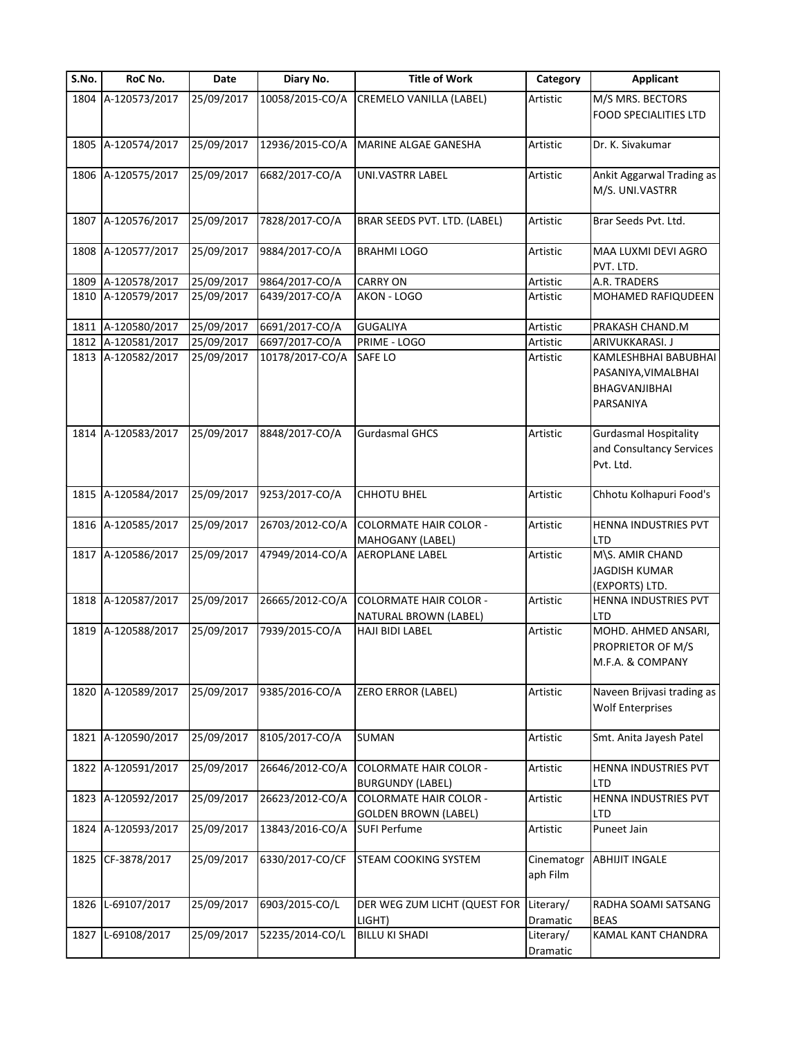| S.No. | RoC No.            | Date       | Diary No.       | <b>Title of Work</b>                                         | Category               | <b>Applicant</b>                                                                 |
|-------|--------------------|------------|-----------------|--------------------------------------------------------------|------------------------|----------------------------------------------------------------------------------|
|       | 1804 A-120573/2017 | 25/09/2017 | 10058/2015-CO/A | <b>CREMELO VANILLA (LABEL)</b>                               | Artistic               | M/S MRS. BECTORS<br><b>FOOD SPECIALITIES LTD</b>                                 |
| 1805  | A-120574/2017      | 25/09/2017 | 12936/2015-CO/A | MARINE ALGAE GANESHA                                         | Artistic               | Dr. K. Sivakumar                                                                 |
| 1806  | A-120575/2017      | 25/09/2017 | 6682/2017-CO/A  | UNI.VASTRR LABEL                                             | Artistic               | Ankit Aggarwal Trading as<br>M/S. UNI.VASTRR                                     |
| 1807  | A-120576/2017      | 25/09/2017 | 7828/2017-CO/A  | BRAR SEEDS PVT. LTD. (LABEL)                                 | Artistic               | Brar Seeds Pvt. Ltd.                                                             |
| 1808  | A-120577/2017      | 25/09/2017 | 9884/2017-CO/A  | <b>BRAHMI LOGO</b>                                           | Artistic               | MAA LUXMI DEVI AGRO<br>PVT. LTD.                                                 |
| 1809  | A-120578/2017      | 25/09/2017 | 9864/2017-CO/A  | <b>CARRY ON</b>                                              | Artistic               | A.R. TRADERS                                                                     |
| 1810  | A-120579/2017      | 25/09/2017 | 6439/2017-CO/A  | AKON - LOGO                                                  | Artistic               | MOHAMED RAFIQUDEEN                                                               |
| 1811  | A-120580/2017      | 25/09/2017 | 6691/2017-CO/A  | <b>GUGALIYA</b>                                              | Artistic               | PRAKASH CHAND.M                                                                  |
| 1812  | A-120581/2017      | 25/09/2017 | 6697/2017-CO/A  | PRIME - LOGO                                                 | Artistic               | ARIVUKKARASI. J                                                                  |
|       | 1813 A-120582/2017 | 25/09/2017 | 10178/2017-CO/A | SAFE LO                                                      | Artistic               | KAMLESHBHAI BABUBHAI<br>PASANIYA, VIMALBHAI<br><b>BHAGVANJIBHAI</b><br>PARSANIYA |
|       | 1814 A-120583/2017 | 25/09/2017 | 8848/2017-CO/A  | <b>Gurdasmal GHCS</b>                                        | Artistic               | <b>Gurdasmal Hospitality</b><br>and Consultancy Services<br>Pvt. Ltd.            |
| 1815  | A-120584/2017      | 25/09/2017 | 9253/2017-CO/A  | <b>CHHOTU BHEL</b>                                           | Artistic               | Chhotu Kolhapuri Food's                                                          |
|       | 1816 A-120585/2017 | 25/09/2017 | 26703/2012-CO/A | <b>COLORMATE HAIR COLOR -</b><br>MAHOGANY (LABEL)            | Artistic               | HENNA INDUSTRIES PVT<br>LTD                                                      |
| 1817  | A-120586/2017      | 25/09/2017 | 47949/2014-CO/A | <b>AEROPLANE LABEL</b>                                       | Artistic               | M\S. AMIR CHAND<br><b>JAGDISH KUMAR</b><br>(EXPORTS) LTD.                        |
|       | 1818 A-120587/2017 | 25/09/2017 | 26665/2012-CO/A | <b>COLORMATE HAIR COLOR -</b><br>NATURAL BROWN (LABEL)       | Artistic               | HENNA INDUSTRIES PVT<br>LTD                                                      |
| 1819  | A-120588/2017      | 25/09/2017 | 7939/2015-CO/A  | HAJI BIDI LABEL                                              | Artistic               | MOHD. AHMED ANSARI,<br>PROPRIETOR OF M/S<br>M.F.A. & COMPANY                     |
|       | 1820 A-120589/2017 | 25/09/2017 | 9385/2016-CO/A  | <b>ZERO ERROR (LABEL)</b>                                    | Artistic               | Naveen Brijvasi trading as<br><b>Wolf Enterprises</b>                            |
| 1821  | A-120590/2017      | 25/09/2017 | 8105/2017-CO/A  | <b>SUMAN</b>                                                 | Artistic               | Smt. Anita Jayesh Patel                                                          |
| 1822  | A-120591/2017      | 25/09/2017 | 26646/2012-CO/A | <b>COLORMATE HAIR COLOR -</b><br><b>BURGUNDY (LABEL)</b>     | Artistic               | HENNA INDUSTRIES PVT<br><b>LTD</b>                                               |
| 1823  | A-120592/2017      | 25/09/2017 | 26623/2012-CO/A | <b>COLORMATE HAIR COLOR -</b><br><b>GOLDEN BROWN (LABEL)</b> | Artistic               | HENNA INDUSTRIES PVT<br>LTD                                                      |
| 1824  | A-120593/2017      | 25/09/2017 | 13843/2016-CO/A | <b>SUFI Perfume</b>                                          | Artistic               | Puneet Jain                                                                      |
| 1825  | CF-3878/2017       | 25/09/2017 | 6330/2017-CO/CF | STEAM COOKING SYSTEM                                         | Cinematogr<br>aph Film | <b>ABHIJIT INGALE</b>                                                            |
| 1826  | L-69107/2017       | 25/09/2017 | 6903/2015-CO/L  | DER WEG ZUM LICHT (QUEST FOR Literary/<br>LIGHT)             | Dramatic               | RADHA SOAMI SATSANG<br><b>BEAS</b>                                               |
| 1827  | L-69108/2017       | 25/09/2017 | 52235/2014-CO/L | <b>BILLU KI SHADI</b>                                        | Literary/<br>Dramatic  | KAMAL KANT CHANDRA                                                               |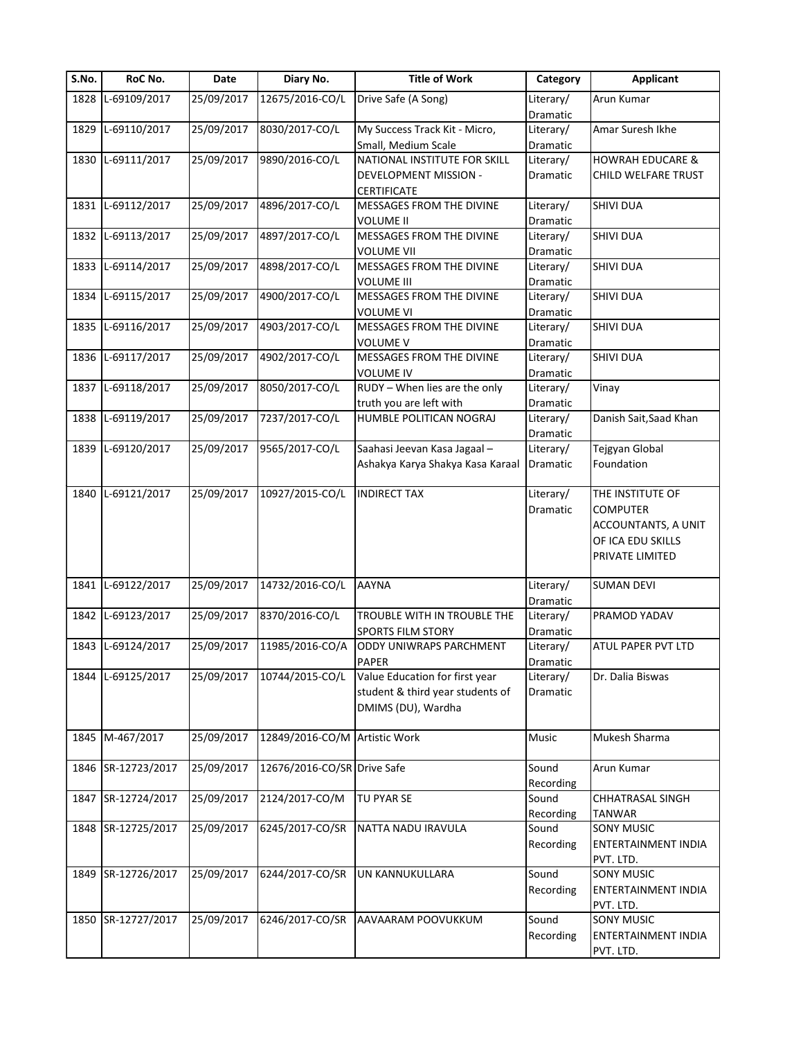| S.No. | RoC No.            | Date       | Diary No.                     | <b>Title of Work</b>                                       | Category              | <b>Applicant</b>            |
|-------|--------------------|------------|-------------------------------|------------------------------------------------------------|-----------------------|-----------------------------|
| 1828  | L-69109/2017       | 25/09/2017 | 12675/2016-CO/L               | Drive Safe (A Song)                                        | Literary/             | Arun Kumar                  |
|       |                    |            |                               |                                                            | Dramatic              |                             |
|       | 1829 L-69110/2017  | 25/09/2017 | 8030/2017-CO/L                | My Success Track Kit - Micro,                              | Literary/             | Amar Suresh Ikhe            |
|       |                    |            |                               | Small, Medium Scale                                        | Dramatic              |                             |
|       | 1830 L-69111/2017  | 25/09/2017 | 9890/2016-CO/L                | NATIONAL INSTITUTE FOR SKILL                               | Literary/             | <b>HOWRAH EDUCARE &amp;</b> |
|       |                    |            |                               | DEVELOPMENT MISSION -                                      | Dramatic              | CHILD WELFARE TRUST         |
|       |                    |            |                               | <b>CERTIFICATE</b>                                         |                       |                             |
|       | 1831 L-69112/2017  | 25/09/2017 | 4896/2017-CO/L                | MESSAGES FROM THE DIVINE                                   | Literary/             | <b>SHIVI DUA</b>            |
|       |                    |            |                               | <b>VOLUME II</b>                                           | Dramatic              |                             |
|       | 1832 L-69113/2017  | 25/09/2017 | 4897/2017-CO/L                | MESSAGES FROM THE DIVINE                                   | Literary/             | SHIVI DUA                   |
|       |                    |            |                               | <b>VOLUME VII</b>                                          | Dramatic              |                             |
|       | 1833 L-69114/2017  | 25/09/2017 | 4898/2017-CO/L                | MESSAGES FROM THE DIVINE                                   | Literary/             | SHIVI DUA                   |
|       |                    |            |                               | <b>VOLUME III</b>                                          | Dramatic              |                             |
|       | 1834 L-69115/2017  | 25/09/2017 | 4900/2017-CO/L                | MESSAGES FROM THE DIVINE                                   | Literary/             | <b>SHIVI DUA</b>            |
|       |                    |            |                               | <b>VOLUME VI</b>                                           | Dramatic              |                             |
|       | 1835 L-69116/2017  | 25/09/2017 | 4903/2017-CO/L                | MESSAGES FROM THE DIVINE                                   | Literary/             | <b>SHIVI DUA</b>            |
|       |                    |            |                               | <b>VOLUME V</b>                                            | Dramatic              |                             |
|       | 1836 L-69117/2017  | 25/09/2017 | 4902/2017-CO/L                | MESSAGES FROM THE DIVINE                                   | Literary/             | <b>SHIVI DUA</b>            |
|       |                    |            |                               | <b>VOLUME IV</b>                                           | Dramatic              |                             |
| 1837  | L-69118/2017       | 25/09/2017 | 8050/2017-CO/L                | RUDY - When lies are the only                              | Literary/             | Vinay                       |
|       |                    |            |                               | truth you are left with                                    | Dramatic              |                             |
|       | 1838 L-69119/2017  | 25/09/2017 | 7237/2017-CO/L                | HUMBLE POLITICAN NOGRAJ                                    | Literary/             | Danish Sait, Saad Khan      |
|       |                    |            |                               |                                                            | Dramatic              |                             |
|       | 1839 L-69120/2017  | 25/09/2017 | 9565/2017-CO/L                | Saahasi Jeevan Kasa Jagaal -                               | Literary/             | Tejgyan Global              |
|       |                    |            |                               | Ashakya Karya Shakya Kasa Karaal                           | Dramatic              | Foundation                  |
|       |                    |            |                               |                                                            |                       |                             |
|       | 1840 L-69121/2017  | 25/09/2017 | 10927/2015-CO/L               | <b>INDIRECT TAX</b>                                        | Literary/             | THE INSTITUTE OF            |
|       |                    |            |                               |                                                            | Dramatic              | <b>COMPUTER</b>             |
|       |                    |            |                               |                                                            |                       | ACCOUNTANTS, A UNIT         |
|       |                    |            |                               |                                                            |                       | OF ICA EDU SKILLS           |
|       |                    |            |                               |                                                            |                       | PRIVATE LIMITED             |
|       |                    |            |                               |                                                            |                       |                             |
|       | 1841 L-69122/2017  | 25/09/2017 | 14732/2016-CO/L               | <b>AAYNA</b>                                               | Literary/             | <b>SUMAN DEVI</b>           |
|       |                    |            |                               |                                                            | Dramatic              |                             |
| 1842  | L-69123/2017       | 25/09/2017 | 8370/2016-CO/L                | TROUBLE WITH IN TROUBLE THE                                | Literary/             | PRAMOD YADAV                |
|       |                    |            |                               |                                                            |                       |                             |
|       | 1843 L-69124/2017  | 25/09/2017 | 11985/2016-CO/A               | <b>SPORTS FILM STORY</b><br><b>ODDY UNIWRAPS PARCHMENT</b> | Dramatic<br>Literary/ | ATUL PAPER PVT LTD          |
|       |                    |            |                               |                                                            |                       |                             |
|       |                    |            |                               | <b>PAPER</b>                                               | Dramatic              |                             |
|       | 1844 L-69125/2017  | 25/09/2017 | 10744/2015-CO/L               | Value Education for first year                             | Literary/             | Dr. Dalia Biswas            |
|       |                    |            |                               | student & third year students of                           | Dramatic              |                             |
|       |                    |            |                               | DMIMS (DU), Wardha                                         |                       |                             |
|       |                    |            |                               |                                                            |                       |                             |
|       | 1845 M-467/2017    | 25/09/2017 | 12849/2016-CO/M Artistic Work |                                                            | Music                 | Mukesh Sharma               |
|       |                    |            |                               |                                                            |                       |                             |
|       | 1846 SR-12723/2017 | 25/09/2017 | 12676/2016-CO/SR Drive Safe   |                                                            | Sound                 | Arun Kumar                  |
|       |                    |            |                               |                                                            | Recording             |                             |
| 1847  | SR-12724/2017      | 25/09/2017 | 2124/2017-CO/M                | TU PYAR SE                                                 | Sound                 | CHHATRASAL SINGH            |
|       |                    |            |                               |                                                            | Recording             | TANWAR                      |
|       | 1848 SR-12725/2017 | 25/09/2017 | 6245/2017-CO/SR               | NATTA NADU IRAVULA                                         | Sound                 | <b>SONY MUSIC</b>           |
|       |                    |            |                               |                                                            | Recording             | ENTERTAINMENT INDIA         |
|       |                    |            |                               |                                                            |                       | PVT. LTD.                   |
|       | 1849 SR-12726/2017 | 25/09/2017 | 6244/2017-CO/SR               | UN KANNUKULLARA                                            | Sound                 | SONY MUSIC                  |
|       |                    |            |                               |                                                            | Recording             | ENTERTAINMENT INDIA         |
|       |                    |            |                               |                                                            |                       | PVT. LTD.                   |
|       | 1850 SR-12727/2017 | 25/09/2017 | 6246/2017-CO/SR               | AAVAARAM POOVUKKUM                                         | Sound                 | <b>SONY MUSIC</b>           |
|       |                    |            |                               |                                                            | Recording             | ENTERTAINMENT INDIA         |
|       |                    |            |                               |                                                            |                       | PVT. LTD.                   |
|       |                    |            |                               |                                                            |                       |                             |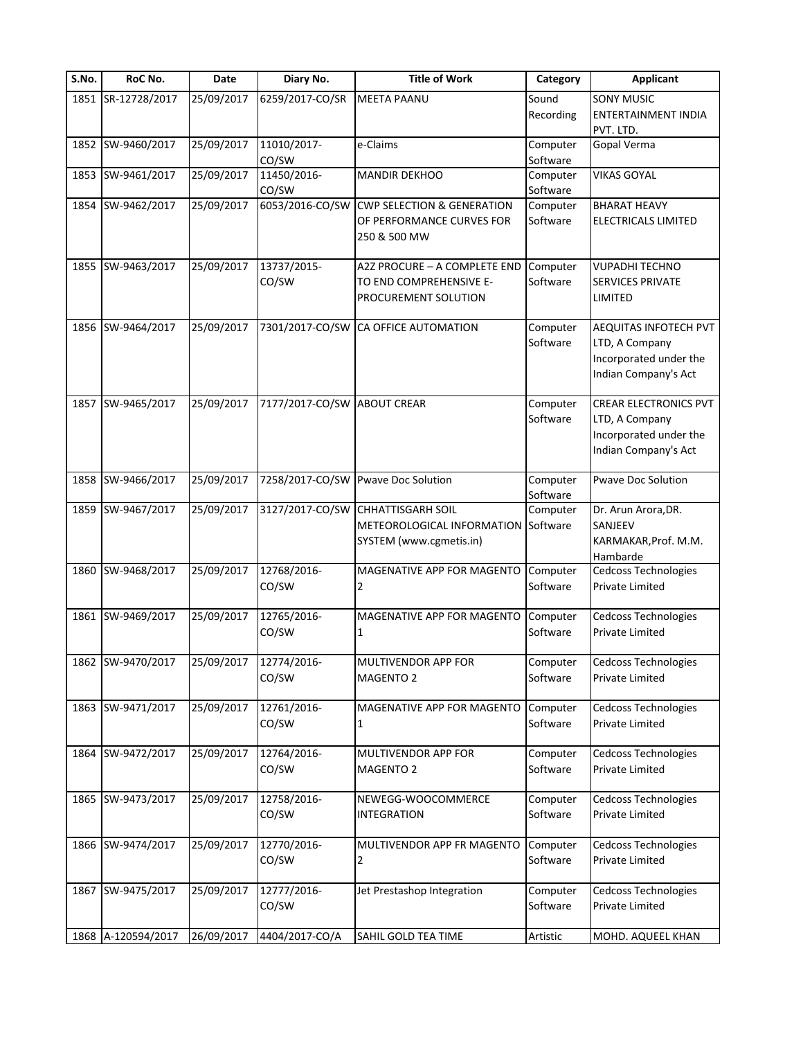| S.No. | RoC No.            | Date       | Diary No.            | <b>Title of Work</b>                                                                       | Category             | <b>Applicant</b>                                                                                 |
|-------|--------------------|------------|----------------------|--------------------------------------------------------------------------------------------|----------------------|--------------------------------------------------------------------------------------------------|
|       | 1851 SR-12728/2017 | 25/09/2017 | 6259/2017-CO/SR      | <b>MEETA PAANU</b>                                                                         | Sound<br>Recording   | <b>SONY MUSIC</b><br><b>ENTERTAINMENT INDIA</b><br>PVT. LTD.                                     |
|       | 1852 SW-9460/2017  | 25/09/2017 | 11010/2017-<br>CO/SW | e-Claims                                                                                   | Computer<br>Software | Gopal Verma                                                                                      |
|       | 1853 SW-9461/2017  | 25/09/2017 | 11450/2016-<br>CO/SW | <b>MANDIR DEKHOO</b>                                                                       | Computer<br>Software | <b>VIKAS GOYAL</b>                                                                               |
|       | 1854 SW-9462/2017  | 25/09/2017 | 6053/2016-CO/SW      | <b>CWP SELECTION &amp; GENERATION</b><br>OF PERFORMANCE CURVES FOR<br>250 & 500 MW         | Computer<br>Software | <b>BHARAT HEAVY</b><br>ELECTRICALS LIMITED                                                       |
|       | 1855 SW-9463/2017  | 25/09/2017 | 13737/2015-<br>CO/SW | A2Z PROCURE - A COMPLETE END<br>TO END COMPREHENSIVE E-<br>PROCUREMENT SOLUTION            | Computer<br>Software | <b>VUPADHI TECHNO</b><br><b>SERVICES PRIVATE</b><br>LIMITED                                      |
|       | 1856 SW-9464/2017  | 25/09/2017 | 7301/2017-CO/SW      | CA OFFICE AUTOMATION                                                                       | Computer<br>Software | AEQUITAS INFOTECH PVT<br>LTD, A Company<br>Incorporated under the<br>Indian Company's Act        |
| 1857  | SW-9465/2017       | 25/09/2017 | 7177/2017-CO/SW      | <b>ABOUT CREAR</b>                                                                         | Computer<br>Software | <b>CREAR ELECTRONICS PVT</b><br>LTD, A Company<br>Incorporated under the<br>Indian Company's Act |
|       | 1858 SW-9466/2017  | 25/09/2017 |                      | 7258/2017-CO/SW Pwave Doc Solution                                                         | Computer<br>Software | <b>Pwave Doc Solution</b>                                                                        |
|       | 1859 SW-9467/2017  | 25/09/2017 | 3127/2017-CO/SW      | <b>CHHATTISGARH SOIL</b><br>METEOROLOGICAL INFORMATION Software<br>SYSTEM (www.cgmetis.in) | Computer             | Dr. Arun Arora, DR.<br>SANJEEV<br>KARMAKAR, Prof. M.M.<br>Hambarde                               |
|       | 1860 SW-9468/2017  | 25/09/2017 | 12768/2016-<br>CO/SW | MAGENATIVE APP FOR MAGENTO<br>2                                                            | Computer<br>Software | Cedcoss Technologies<br><b>Private Limited</b>                                                   |
|       | 1861 SW-9469/2017  | 25/09/2017 | 12765/2016-<br>CO/SW | MAGENATIVE APP FOR MAGENTO<br>1                                                            | Computer<br>Software | Cedcoss Technologies<br>Private Limited                                                          |
|       | 1862 SW-9470/2017  | 25/09/2017 | 12774/2016-<br>CO/SW | MULTIVENDOR APP FOR<br><b>MAGENTO 2</b>                                                    | Computer<br>Software | Cedcoss Technologies<br>Private Limited                                                          |
|       | 1863 SW-9471/2017  | 25/09/2017 | 12761/2016-<br>CO/SW | MAGENATIVE APP FOR MAGENTO<br>1                                                            | Computer<br>Software | Cedcoss Technologies<br>Private Limited                                                          |
|       | 1864 SW-9472/2017  | 25/09/2017 | 12764/2016-<br>CO/SW | MULTIVENDOR APP FOR<br>MAGENTO 2                                                           | Computer<br>Software | Cedcoss Technologies<br>Private Limited                                                          |
|       | 1865 SW-9473/2017  | 25/09/2017 | 12758/2016-<br>CO/SW | NEWEGG-WOOCOMMERCE<br><b>INTEGRATION</b>                                                   | Computer<br>Software | <b>Cedcoss Technologies</b><br>Private Limited                                                   |
|       | 1866 SW-9474/2017  | 25/09/2017 | 12770/2016-<br>CO/SW | MULTIVENDOR APP FR MAGENTO<br>2                                                            | Computer<br>Software | <b>Cedcoss Technologies</b><br><b>Private Limited</b>                                            |
|       | 1867 SW-9475/2017  | 25/09/2017 | 12777/2016-<br>CO/SW | Jet Prestashop Integration                                                                 | Computer<br>Software | <b>Cedcoss Technologies</b><br>Private Limited                                                   |
|       | 1868 A-120594/2017 | 26/09/2017 | 4404/2017-CO/A       | SAHIL GOLD TEA TIME                                                                        | Artistic             | MOHD. AQUEEL KHAN                                                                                |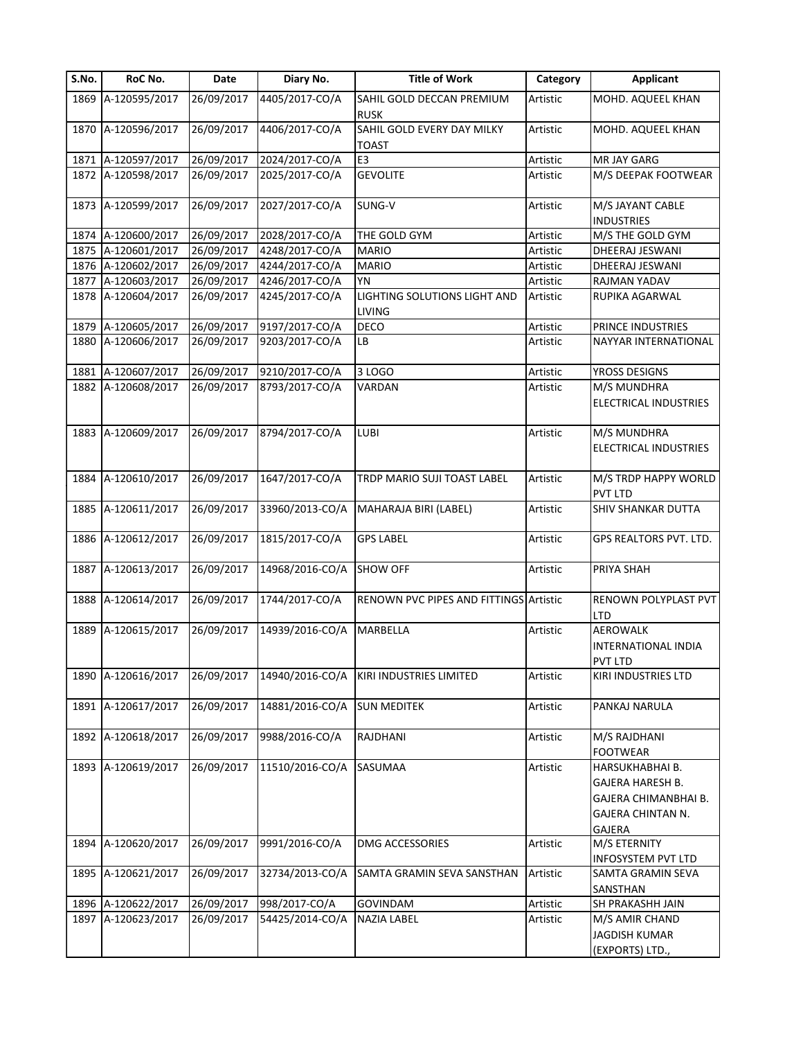| S.No. | RoC No.            | Date       | Diary No.       | <b>Title of Work</b>                          | Category | <b>Applicant</b>                   |
|-------|--------------------|------------|-----------------|-----------------------------------------------|----------|------------------------------------|
|       | 1869 A-120595/2017 | 26/09/2017 | 4405/2017-CO/A  | SAHIL GOLD DECCAN PREMIUM                     | Artistic | MOHD. AQUEEL KHAN                  |
|       |                    |            |                 | <b>RUSK</b>                                   |          |                                    |
|       | 1870 A-120596/2017 | 26/09/2017 | 4406/2017-CO/A  | SAHIL GOLD EVERY DAY MILKY<br><b>TOAST</b>    | Artistic | MOHD. AQUEEL KHAN                  |
| 1871  | A-120597/2017      | 26/09/2017 | 2024/2017-CO/A  | E <sub>3</sub>                                | Artistic | MR JAY GARG                        |
| 1872  | A-120598/2017      | 26/09/2017 | 2025/2017-CO/A  | <b>GEVOLITE</b>                               | Artistic | M/S DEEPAK FOOTWEAR                |
| 1873  | A-120599/2017      | 26/09/2017 | 2027/2017-CO/A  | SUNG-V                                        | Artistic | M/S JAYANT CABLE                   |
|       |                    |            |                 |                                               |          | <b>INDUSTRIES</b>                  |
|       | 1874 A-120600/2017 | 26/09/2017 | 2028/2017-CO/A  | THE GOLD GYM                                  | Artistic | M/S THE GOLD GYM                   |
|       | 1875 A-120601/2017 | 26/09/2017 | 4248/2017-CO/A  | <b>MARIO</b>                                  | Artistic | DHEERAJ JESWANI                    |
|       | 1876 A-120602/2017 | 26/09/2017 | 4244/2017-CO/A  | <b>MARIO</b>                                  | Artistic | DHEERAJ JESWANI                    |
| 1877  | A-120603/2017      | 26/09/2017 | 4246/2017-CO/A  | <b>YN</b>                                     | Artistic | RAJMAN YADAV                       |
|       | 1878 A-120604/2017 | 26/09/2017 | 4245/2017-CO/A  | LIGHTING SOLUTIONS LIGHT AND<br><b>LIVING</b> | Artistic | RUPIKA AGARWAL                     |
|       | 1879 A-120605/2017 | 26/09/2017 | 9197/2017-CO/A  | <b>DECO</b>                                   | Artistic | PRINCE INDUSTRIES                  |
| 1880  | A-120606/2017      | 26/09/2017 | 9203/2017-CO/A  | LB                                            | Artistic | NAYYAR INTERNATIONAL               |
| 1881  | A-120607/2017      | 26/09/2017 | 9210/2017-CO/A  | 3 LOGO                                        | Artistic | YROSS DESIGNS                      |
|       | 1882 A-120608/2017 | 26/09/2017 | 8793/2017-CO/A  | VARDAN                                        | Artistic | M/S MUNDHRA                        |
|       |                    |            |                 |                                               |          | ELECTRICAL INDUSTRIES              |
|       | 1883 A-120609/2017 | 26/09/2017 | 8794/2017-CO/A  | <b>LUBI</b>                                   | Artistic | M/S MUNDHRA                        |
|       |                    |            |                 |                                               |          | ELECTRICAL INDUSTRIES              |
|       | 1884 A-120610/2017 | 26/09/2017 | 1647/2017-CO/A  | TRDP MARIO SUJI TOAST LABEL                   | Artistic | M/S TRDP HAPPY WORLD<br>PVT LTD    |
|       | 1885 A-120611/2017 | 26/09/2017 | 33960/2013-CO/A | MAHARAJA BIRI (LABEL)                         | Artistic | <b>SHIV SHANKAR DUTTA</b>          |
|       | 1886 A-120612/2017 | 26/09/2017 | 1815/2017-CO/A  | <b>GPS LABEL</b>                              | Artistic | GPS REALTORS PVT. LTD.             |
| 1887  | A-120613/2017      | 26/09/2017 | 14968/2016-CO/A | <b>SHOW OFF</b>                               | Artistic | PRIYA SHAH                         |
|       |                    |            |                 |                                               |          |                                    |
| 1888  | A-120614/2017      | 26/09/2017 | 1744/2017-CO/A  | <b>RENOWN PVC PIPES AND FITTINGS Artistic</b> |          | RENOWN POLYPLAST PVT<br><b>LTD</b> |
| 1889  | A-120615/2017      | 26/09/2017 | 14939/2016-CO/A | MARBELLA                                      | Artistic | AEROWALK                           |
|       |                    |            |                 |                                               |          | INTERNATIONAL INDIA                |
|       |                    |            |                 |                                               |          | PVT LTD                            |
|       | 1890 A-120616/2017 | 26/09/2017 | 14940/2016-CO/A | KIRI INDUSTRIES LIMITED                       | Artistic | KIRI INDUSTRIES LTD                |
|       | 1891 A-120617/2017 | 26/09/2017 | 14881/2016-CO/A | <b>SUN MEDITEK</b>                            | Artistic | PANKAJ NARULA                      |
|       | 1892 A-120618/2017 | 26/09/2017 | 9988/2016-CO/A  | <b>RAJDHANI</b>                               | Artistic | M/S RAJDHANI                       |
|       |                    |            |                 |                                               |          | <b>FOOTWEAR</b>                    |
|       | 1893 A-120619/2017 | 26/09/2017 | 11510/2016-CO/A | SASUMAA                                       | Artistic | HARSUKHABHAI B.                    |
|       |                    |            |                 |                                               |          | GAJERA HARESH B.                   |
|       |                    |            |                 |                                               |          | GAJERA CHIMANBHAI B.               |
|       |                    |            |                 |                                               |          | GAJERA CHINTAN N.                  |
|       |                    |            |                 |                                               |          | GAJERA                             |
| 1894  | A-120620/2017      | 26/09/2017 | 9991/2016-CO/A  | DMG ACCESSORIES                               | Artistic | M/S ETERNITY                       |
|       |                    |            |                 |                                               |          | INFOSYSTEM PVT LTD                 |
| 1895  | A-120621/2017      | 26/09/2017 | 32734/2013-CO/A | SAMTA GRAMIN SEVA SANSTHAN                    | Artistic | SAMTA GRAMIN SEVA                  |
|       |                    |            |                 |                                               |          | SANSTHAN                           |
| 1896  | A-120622/2017      | 26/09/2017 | 998/2017-CO/A   | <b>GOVINDAM</b>                               | Artistic | SH PRAKASHH JAIN                   |
|       | 1897 A-120623/2017 | 26/09/2017 | 54425/2014-CO/A | <b>NAZIA LABEL</b>                            | Artistic | M/S AMIR CHAND                     |
|       |                    |            |                 |                                               |          | <b>JAGDISH KUMAR</b>               |
|       |                    |            |                 |                                               |          | (EXPORTS) LTD.,                    |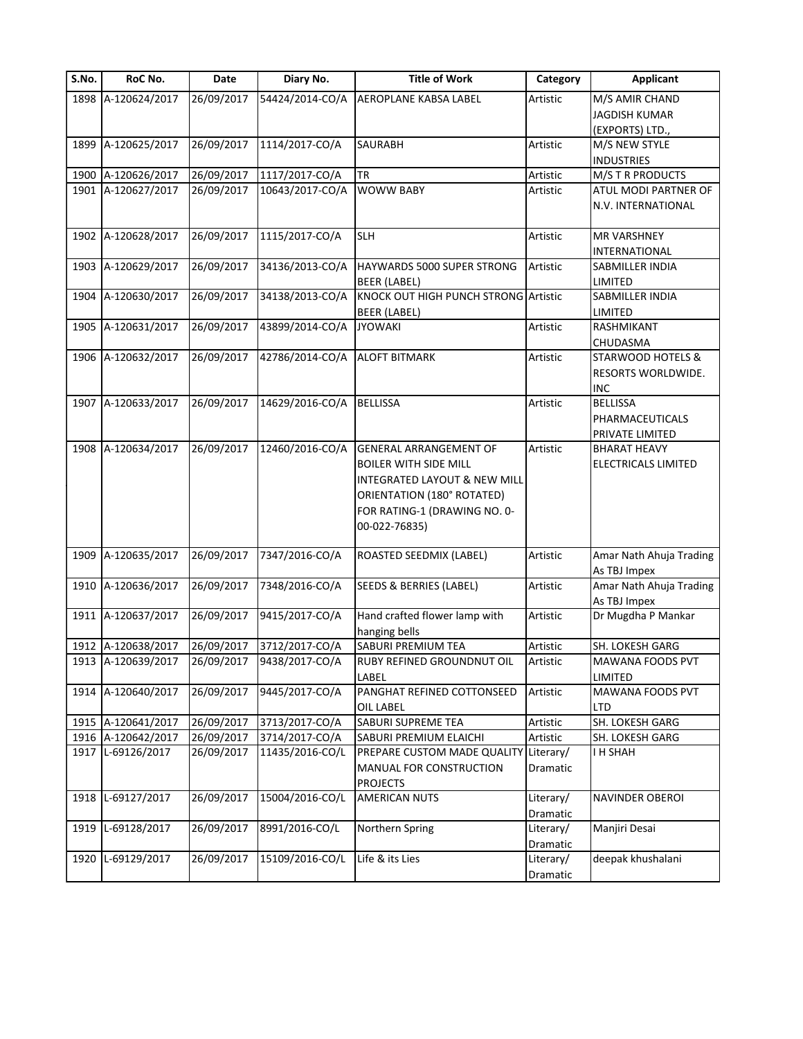| S.No. | RoC No.            | Date       | Diary No.       | <b>Title of Work</b>                    | Category  | <b>Applicant</b>        |
|-------|--------------------|------------|-----------------|-----------------------------------------|-----------|-------------------------|
|       | 1898 A-120624/2017 | 26/09/2017 | 54424/2014-CO/A | <b>AEROPLANE KABSA LABEL</b>            | Artistic  | M/S AMIR CHAND          |
|       |                    |            |                 |                                         |           | <b>JAGDISH KUMAR</b>    |
|       |                    |            |                 |                                         |           | (EXPORTS) LTD.,         |
|       | 1899 A-120625/2017 | 26/09/2017 | 1114/2017-CO/A  | <b>SAURABH</b>                          | Artistic  | M/S NEW STYLE           |
|       |                    |            |                 |                                         |           | <b>INDUSTRIES</b>       |
|       | 1900 A-120626/2017 | 26/09/2017 | 1117/2017-CO/A  | <b>TR</b>                               | Artistic  | M/S T R PRODUCTS        |
|       | 1901 A-120627/2017 | 26/09/2017 | 10643/2017-CO/A | <b>WOWW BABY</b>                        | Artistic  | ATUL MODI PARTNER OF    |
|       |                    |            |                 |                                         |           | N.V. INTERNATIONAL      |
|       | 1902 A-120628/2017 | 26/09/2017 | 1115/2017-CO/A  | <b>SLH</b>                              | Artistic  | <b>MR VARSHNEY</b>      |
|       |                    |            |                 |                                         |           | INTERNATIONAL           |
|       | 1903 A-120629/2017 | 26/09/2017 | 34136/2013-CO/A | HAYWARDS 5000 SUPER STRONG              | Artistic  | SABMILLER INDIA         |
|       |                    |            |                 | BEER (LABEL)                            |           | LIMITED                 |
|       | 1904 A-120630/2017 | 26/09/2017 | 34138/2013-CO/A | KNOCK OUT HIGH PUNCH STRONG Artistic    |           | SABMILLER INDIA         |
|       |                    |            |                 | BEER (LABEL)                            |           | LIMITED                 |
|       | 1905 A-120631/2017 | 26/09/2017 | 43899/2014-CO/A | <b>JYOWAKI</b>                          | Artistic  | RASHMIKANT              |
|       |                    |            |                 |                                         |           | CHUDASMA                |
|       | 1906 A-120632/2017 | 26/09/2017 | 42786/2014-CO/A | <b>ALOFT BITMARK</b>                    | Artistic  | STARWOOD HOTELS &       |
|       |                    |            |                 |                                         |           | RESORTS WORLDWIDE.      |
|       |                    |            |                 |                                         |           | <b>INC</b>              |
|       | 1907 A-120633/2017 | 26/09/2017 | 14629/2016-CO/A | <b>BELLISSA</b>                         | Artistic  | <b>BELLISSA</b>         |
|       |                    |            |                 |                                         |           |                         |
|       |                    |            |                 |                                         |           | PHARMACEUTICALS         |
|       |                    |            |                 |                                         |           | PRIVATE LIMITED         |
|       | 1908 A-120634/2017 | 26/09/2017 | 12460/2016-CO/A | <b>GENERAL ARRANGEMENT OF</b>           | Artistic  | <b>BHARAT HEAVY</b>     |
|       |                    |            |                 | <b>BOILER WITH SIDE MILL</b>            |           | ELECTRICALS LIMITED     |
|       |                    |            |                 | <b>INTEGRATED LAYOUT &amp; NEW MILL</b> |           |                         |
|       |                    |            |                 | ORIENTATION (180° ROTATED)              |           |                         |
|       |                    |            |                 | FOR RATING-1 (DRAWING NO. 0-            |           |                         |
|       |                    |            |                 | 00-022-76835)                           |           |                         |
|       | 1909 A-120635/2017 | 26/09/2017 | 7347/2016-CO/A  | ROASTED SEEDMIX (LABEL)                 | Artistic  | Amar Nath Ahuja Trading |
|       |                    |            |                 |                                         |           | As TBJ Impex            |
|       | 1910 A-120636/2017 | 26/09/2017 | 7348/2016-CO/A  | SEEDS & BERRIES (LABEL)                 | Artistic  | Amar Nath Ahuja Trading |
|       |                    |            |                 |                                         |           | As TBJ Impex            |
|       | 1911 A-120637/2017 | 26/09/2017 | 9415/2017-CO/A  | Hand crafted flower lamp with           | Artistic  | Dr Mugdha P Mankar      |
|       |                    |            |                 | hanging bells                           |           |                         |
|       | 1912 A-120638/2017 | 26/09/2017 | 3712/2017-CO/A  | SABURI PREMIUM TEA                      | Artistic  | SH. LOKESH GARG         |
|       | 1913 A-120639/2017 | 26/09/2017 | 9438/2017-CO/A  | RUBY REFINED GROUNDNUT OIL              | Artistic  | MAWANA FOODS PVT        |
|       |                    |            |                 | LABEL                                   |           | LIMITED                 |
|       | 1914 A-120640/2017 | 26/09/2017 | 9445/2017-CO/A  | PANGHAT REFINED COTTONSEED              | Artistic  | MAWANA FOODS PVT        |
|       |                    |            |                 | <b>OIL LABEL</b>                        |           | LTD                     |
|       | 1915 A-120641/2017 | 26/09/2017 | 3713/2017-CO/A  | SABURI SUPREME TEA                      | Artistic  | SH. LOKESH GARG         |
|       | 1916 A-120642/2017 | 26/09/2017 | 3714/2017-CO/A  | SABURI PREMIUM ELAICHI                  | Artistic  | SH. LOKESH GARG         |
|       | 1917 L-69126/2017  | 26/09/2017 | 11435/2016-CO/L | PREPARE CUSTOM MADE QUALITY             | Literary/ | I H SHAH                |
|       |                    |            |                 | MANUAL FOR CONSTRUCTION                 | Dramatic  |                         |
|       |                    |            |                 |                                         |           |                         |
|       | 1918 L-69127/2017  | 26/09/2017 | 15004/2016-CO/L | <b>PROJECTS</b><br><b>AMERICAN NUTS</b> | Literary/ | NAVINDER OBEROI         |
|       |                    |            |                 |                                         |           |                         |
|       |                    |            |                 |                                         | Dramatic  |                         |
| 1919  | L-69128/2017       | 26/09/2017 | 8991/2016-CO/L  | Northern Spring                         | Literary/ | Manjiri Desai           |
|       |                    |            |                 |                                         | Dramatic  |                         |
| 1920  | L-69129/2017       | 26/09/2017 | 15109/2016-CO/L | Life & its Lies                         | Literary/ | deepak khushalani       |
|       |                    |            |                 |                                         | Dramatic  |                         |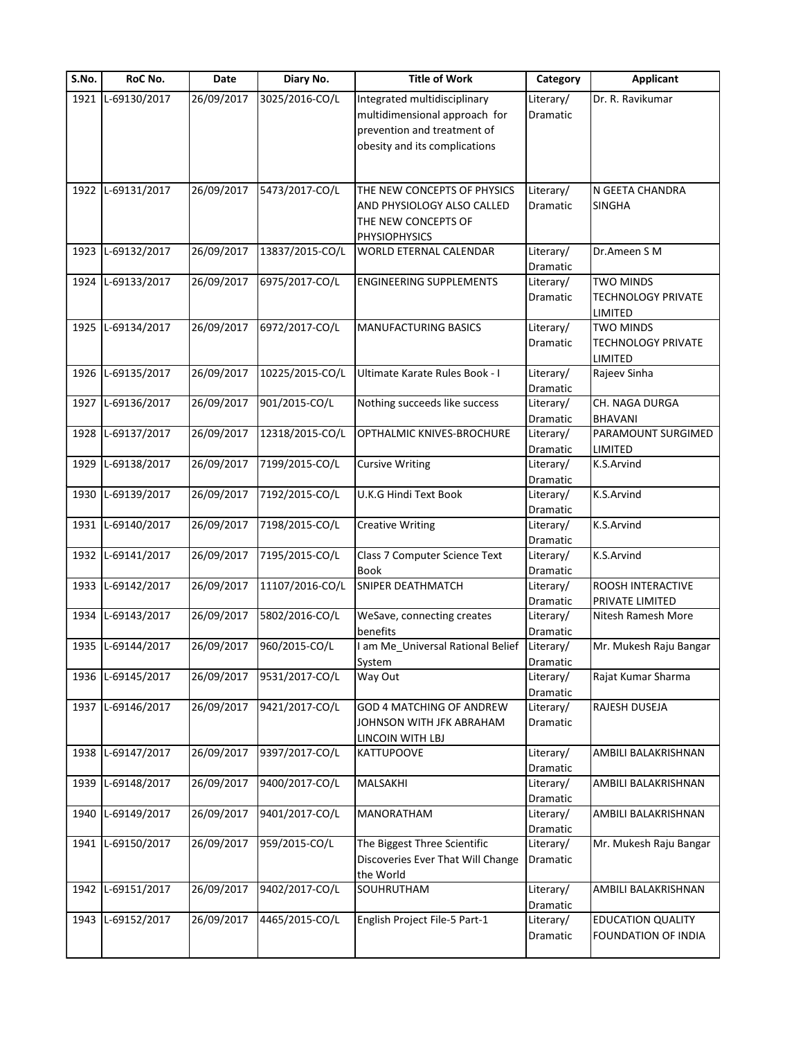| S.No. | RoC No.           | Date       | Diary No.       | <b>Title of Work</b>                           | Category  | <b>Applicant</b>            |
|-------|-------------------|------------|-----------------|------------------------------------------------|-----------|-----------------------------|
|       | 1921 L-69130/2017 | 26/09/2017 | 3025/2016-CO/L  | Integrated multidisciplinary                   | Literary/ | Dr. R. Ravikumar            |
|       |                   |            |                 | multidimensional approach for                  | Dramatic  |                             |
|       |                   |            |                 | prevention and treatment of                    |           |                             |
|       |                   |            |                 | obesity and its complications                  |           |                             |
|       |                   |            |                 |                                                |           |                             |
|       | 1922 L-69131/2017 | 26/09/2017 | 5473/2017-CO/L  | THE NEW CONCEPTS OF PHYSICS                    | Literary/ | N GEETA CHANDRA             |
|       |                   |            |                 |                                                |           | <b>SINGHA</b>               |
|       |                   |            |                 | AND PHYSIOLOGY ALSO CALLED                     | Dramatic  |                             |
|       |                   |            |                 | THE NEW CONCEPTS OF                            |           |                             |
| 1923  | L-69132/2017      | 26/09/2017 | 13837/2015-CO/L | <b>PHYSIOPHYSICS</b><br>WORLD ETERNAL CALENDAR | Literary/ | Dr.Ameen S M                |
|       |                   |            |                 |                                                | Dramatic  |                             |
| 1924  | L-69133/2017      | 26/09/2017 | 6975/2017-CO/L  | <b>ENGINEERING SUPPLEMENTS</b>                 | Literary/ | <b>TWO MINDS</b>            |
|       |                   |            |                 |                                                | Dramatic  | <b>TECHNOLOGY PRIVATE</b>   |
|       |                   |            |                 |                                                |           |                             |
|       | 1925 L-69134/2017 | 26/09/2017 | 6972/2017-CO/L  | <b>MANUFACTURING BASICS</b>                    | Literary/ | LIMITED<br><b>TWO MINDS</b> |
|       |                   |            |                 |                                                |           |                             |
|       |                   |            |                 |                                                | Dramatic  | TECHNOLOGY PRIVATE          |
|       |                   |            |                 |                                                |           | LIMITED                     |
|       | 1926 L-69135/2017 | 26/09/2017 | 10225/2015-CO/L | Ultimate Karate Rules Book - I                 | Literary/ | Rajeev Sinha                |
|       |                   |            |                 |                                                | Dramatic  |                             |
| 1927  | L-69136/2017      | 26/09/2017 | 901/2015-CO/L   | Nothing succeeds like success                  | Literary/ | CH. NAGA DURGA              |
|       |                   |            |                 |                                                | Dramatic  | <b>BHAVANI</b>              |
| 1928  | L-69137/2017      | 26/09/2017 | 12318/2015-CO/L | OPTHALMIC KNIVES-BROCHURE                      | Literary/ | PARAMOUNT SURGIMED          |
|       |                   |            |                 |                                                | Dramatic  | LIMITED                     |
| 1929  | L-69138/2017      | 26/09/2017 | 7199/2015-CO/L  | <b>Cursive Writing</b>                         | Literary/ | K.S.Arvind                  |
|       |                   |            |                 |                                                | Dramatic  |                             |
| 1930  | L-69139/2017      | 26/09/2017 | 7192/2015-CO/L  | U.K.G Hindi Text Book                          | Literary/ | K.S.Arvind                  |
|       |                   |            |                 |                                                | Dramatic  |                             |
| 1931  | L-69140/2017      | 26/09/2017 | 7198/2015-CO/L  | <b>Creative Writing</b>                        | Literary/ | K.S.Arvind                  |
|       |                   |            |                 |                                                | Dramatic  |                             |
| 1932  | L-69141/2017      | 26/09/2017 | 7195/2015-CO/L  | Class 7 Computer Science Text                  | Literary/ | K.S.Arvind                  |
|       |                   |            |                 | <b>Book</b>                                    | Dramatic  |                             |
| 1933  | L-69142/2017      | 26/09/2017 | 11107/2016-CO/L | SNIPER DEATHMATCH                              | Literary/ | ROOSH INTERACTIVE           |
|       |                   |            |                 |                                                | Dramatic  | PRIVATE LIMITED             |
| 1934  | L-69143/2017      | 26/09/2017 | 5802/2016-CO/L  | WeSave, connecting creates                     | Literary/ | Nitesh Ramesh More          |
|       |                   |            |                 | benefits                                       | Dramatic  |                             |
|       | 1935 L-69144/2017 | 26/09/2017 | 960/2015-CO/L   | am Me_Universal Rational Belief                | Literary/ | Mr. Mukesh Raju Bangar      |
|       |                   |            |                 | System                                         | Dramatic  |                             |
| 1936  | L-69145/2017      | 26/09/2017 | 9531/2017-CO/L  | Way Out                                        | Literary/ | Rajat Kumar Sharma          |
|       |                   |            |                 |                                                | Dramatic  |                             |
|       | 1937 L-69146/2017 | 26/09/2017 | 9421/2017-CO/L  | <b>GOD 4 MATCHING OF ANDREW</b>                | Literary/ | RAJESH DUSEJA               |
|       |                   |            |                 | JOHNSON WITH JFK ABRAHAM                       | Dramatic  |                             |
|       |                   |            |                 | LINCOIN WITH LBJ                               |           |                             |
|       | 1938 L-69147/2017 | 26/09/2017 | 9397/2017-CO/L  | <b>KATTUPOOVE</b>                              | Literary/ | AMBILI BALAKRISHNAN         |
|       |                   |            |                 |                                                | Dramatic  |                             |
| 1939  | L-69148/2017      | 26/09/2017 | 9400/2017-CO/L  | MALSAKHI                                       | Literary/ | AMBILI BALAKRISHNAN         |
|       |                   |            |                 |                                                | Dramatic  |                             |
| 1940  | L-69149/2017      | 26/09/2017 | 9401/2017-CO/L  | MANORATHAM                                     | Literary/ | AMBILI BALAKRISHNAN         |
|       |                   |            |                 |                                                | Dramatic  |                             |
| 1941  | L-69150/2017      | 26/09/2017 | 959/2015-CO/L   | The Biggest Three Scientific                   | Literary/ | Mr. Mukesh Raju Bangar      |
|       |                   |            |                 | Discoveries Ever That Will Change              | Dramatic  |                             |
|       |                   |            |                 | the World                                      |           |                             |
| 1942  | L-69151/2017      | 26/09/2017 | 9402/2017-CO/L  | SOUHRUTHAM                                     | Literary/ | AMBILI BALAKRISHNAN         |
|       |                   |            |                 |                                                | Dramatic  |                             |
| 1943  | L-69152/2017      | 26/09/2017 | 4465/2015-CO/L  | English Project File-5 Part-1                  | Literary/ | <b>EDUCATION QUALITY</b>    |
|       |                   |            |                 |                                                | Dramatic  | FOUNDATION OF INDIA         |
|       |                   |            |                 |                                                |           |                             |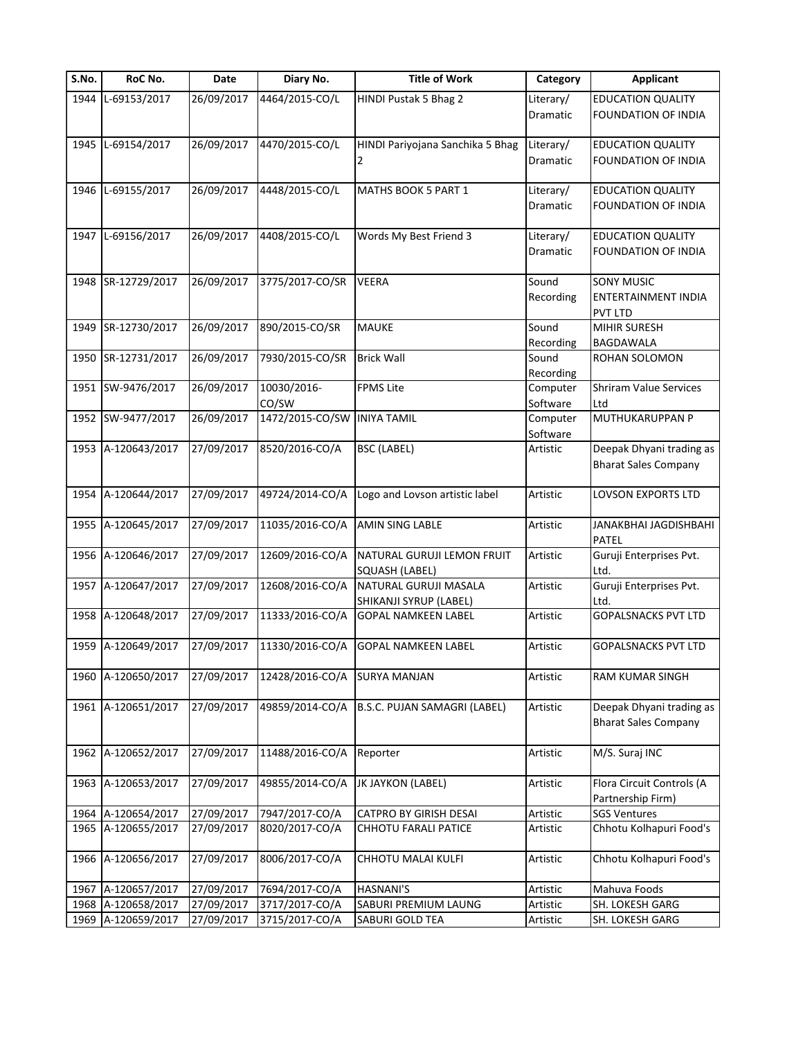| S.No. | RoC No.            | Date       | Diary No.       | <b>Title of Work</b>                                 | Category             | <b>Applicant</b>                        |
|-------|--------------------|------------|-----------------|------------------------------------------------------|----------------------|-----------------------------------------|
| 1944  | L-69153/2017       | 26/09/2017 | 4464/2015-CO/L  | HINDI Pustak 5 Bhag 2                                | Literary/            | <b>EDUCATION QUALITY</b>                |
|       |                    |            |                 |                                                      | <b>Dramatic</b>      | FOUNDATION OF INDIA                     |
|       | 1945 L-69154/2017  | 26/09/2017 | 4470/2015-CO/L  | HINDI Pariyojana Sanchika 5 Bhag                     | Literary/            | <b>EDUCATION QUALITY</b>                |
|       |                    |            |                 | 2                                                    | Dramatic             | FOUNDATION OF INDIA                     |
|       | 1946 L-69155/2017  | 26/09/2017 | 4448/2015-CO/L  | MATHS BOOK 5 PART 1                                  | Literary/            | <b>EDUCATION QUALITY</b>                |
|       |                    |            |                 |                                                      | Dramatic             | FOUNDATION OF INDIA                     |
|       | 1947 L-69156/2017  | 26/09/2017 | 4408/2015-CO/L  | Words My Best Friend 3                               | Literary/            | <b>EDUCATION QUALITY</b>                |
|       |                    |            |                 |                                                      | Dramatic             | FOUNDATION OF INDIA                     |
|       | 1948 SR-12729/2017 | 26/09/2017 | 3775/2017-CO/SR | <b>VEERA</b>                                         | Sound                | <b>SONY MUSIC</b>                       |
|       |                    |            |                 |                                                      | Recording            | ENTERTAINMENT INDIA<br><b>PVT LTD</b>   |
|       | 1949 SR-12730/2017 | 26/09/2017 | 890/2015-CO/SR  | <b>MAUKE</b>                                         | Sound                | <b>MIHIR SURESH</b>                     |
|       |                    |            |                 |                                                      | Recording            | <b>BAGDAWALA</b>                        |
|       | 1950 SR-12731/2017 | 26/09/2017 | 7930/2015-CO/SR | <b>Brick Wall</b>                                    | Sound                | ROHAN SOLOMON                           |
|       |                    |            |                 |                                                      | Recording            |                                         |
| 1951  | SW-9476/2017       | 26/09/2017 | 10030/2016-     | <b>FPMS Lite</b>                                     | Computer             | <b>Shriram Value Services</b>           |
|       |                    |            | CO/SW           |                                                      | Software             | Ltd                                     |
|       | 1952 SW-9477/2017  | 26/09/2017 | 1472/2015-CO/SW | <b>INIYA TAMIL</b>                                   | Computer<br>Software | MUTHUKARUPPAN P                         |
|       | 1953 A-120643/2017 | 27/09/2017 | 8520/2016-CO/A  | <b>BSC (LABEL)</b>                                   | Artistic             | Deepak Dhyani trading as                |
|       |                    |            |                 |                                                      |                      | <b>Bharat Sales Company</b>             |
|       | 1954 A-120644/2017 | 27/09/2017 | 49724/2014-CO/A | Logo and Lovson artistic label                       | Artistic             | LOVSON EXPORTS LTD                      |
|       | 1955 A-120645/2017 | 27/09/2017 | 11035/2016-CO/A | AMIN SING LABLE                                      | Artistic             | JANAKBHAI JAGDISHBAHI                   |
|       | 1956 A-120646/2017 | 27/09/2017 | 12609/2016-CO/A | NATURAL GURUJI LEMON FRUIT                           | Artistic             | <b>PATEL</b><br>Guruji Enterprises Pvt. |
|       |                    |            |                 | SQUASH (LABEL)                                       |                      | Ltd.                                    |
|       | 1957 A-120647/2017 | 27/09/2017 | 12608/2016-CO/A | NATURAL GURUJI MASALA                                | Artistic             | Guruji Enterprises Pvt.                 |
|       | 1958 A-120648/2017 | 27/09/2017 | 11333/2016-CO/A | SHIKANJI SYRUP (LABEL)<br><b>GOPAL NAMKEEN LABEL</b> | Artistic             | Ltd.<br><b>GOPALSNACKS PVT LTD</b>      |
|       |                    |            |                 |                                                      |                      |                                         |
|       | 1959 A-120649/2017 | 27/09/2017 | 11330/2016-CO/A | <b>GOPAL NAMKEEN LABEL</b>                           | Artistic             | <b>GOPALSNACKS PVT LTD</b>              |
| 1960  | A-120650/2017      | 27/09/2017 | 12428/2016-CO/A | <b>SURYA MANJAN</b>                                  | Artistic             | RAM KUMAR SINGH                         |
|       | 1961 A-120651/2017 | 27/09/2017 | 49859/2014-CO/A | B.S.C. PUJAN SAMAGRI (LABEL)                         | Artistic             | Deepak Dhyani trading as                |
|       |                    |            |                 |                                                      |                      | <b>Bharat Sales Company</b>             |
|       | 1962 A-120652/2017 | 27/09/2017 | 11488/2016-CO/A | Reporter                                             | Artistic             | M/S. Suraj INC                          |
|       | 1963 A-120653/2017 | 27/09/2017 | 49855/2014-CO/A | JK JAYKON (LABEL)                                    | Artistic             | Flora Circuit Controls (A               |
|       |                    |            |                 |                                                      |                      | Partnership Firm)                       |
|       | 1964 A-120654/2017 | 27/09/2017 | 7947/2017-CO/A  | CATPRO BY GIRISH DESAI                               | Artistic             | <b>SGS Ventures</b>                     |
|       | 1965 A-120655/2017 | 27/09/2017 | 8020/2017-CO/A  | CHHOTU FARALI PATICE                                 | Artistic             | Chhotu Kolhapuri Food's                 |
|       | 1966 A-120656/2017 | 27/09/2017 | 8006/2017-CO/A  | CHHOTU MALAI KULFI                                   | Artistic             | Chhotu Kolhapuri Food's                 |
| 1967  | A-120657/2017      | 27/09/2017 | 7694/2017-CO/A  | <b>HASNANI'S</b>                                     | Artistic             | Mahuva Foods                            |
|       | 1968 A-120658/2017 | 27/09/2017 | 3717/2017-CO/A  | SABURI PREMIUM LAUNG                                 | Artistic             | SH. LOKESH GARG                         |
|       | 1969 A-120659/2017 | 27/09/2017 | 3715/2017-CO/A  | SABURI GOLD TEA                                      | Artistic             | SH. LOKESH GARG                         |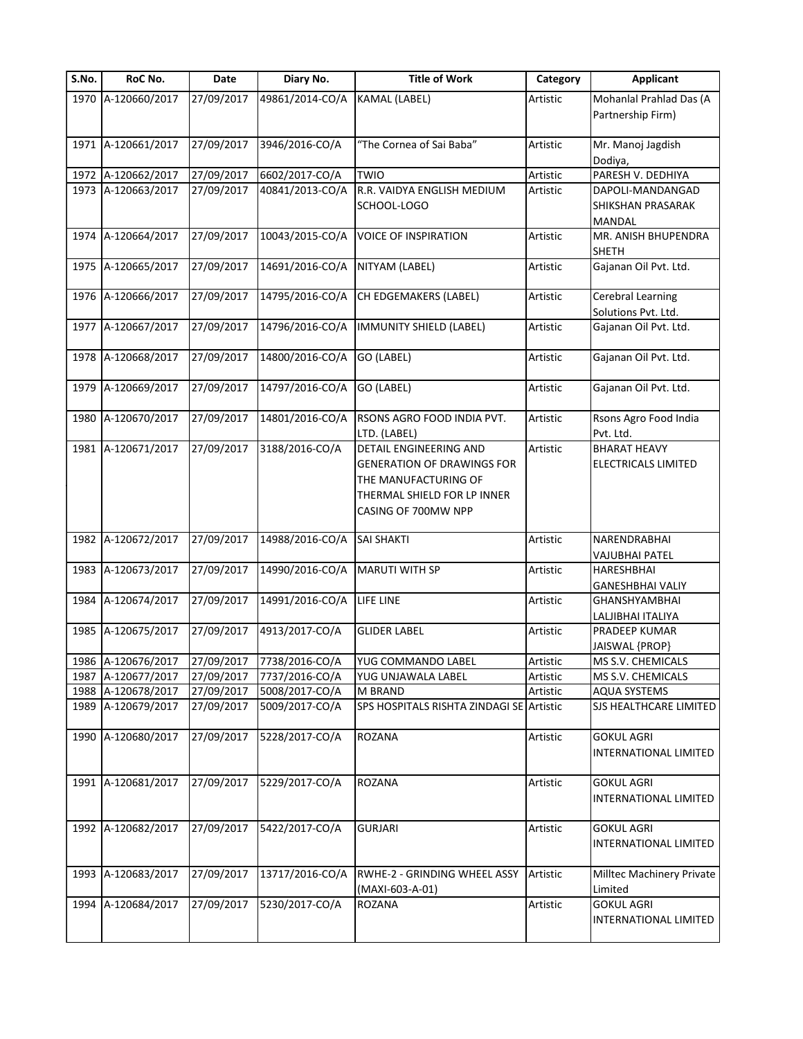| S.No. | RoC No.            | Date       | Diary No.       | <b>Title of Work</b>                                                                                                                             | Category | <b>Applicant</b>                                              |
|-------|--------------------|------------|-----------------|--------------------------------------------------------------------------------------------------------------------------------------------------|----------|---------------------------------------------------------------|
|       | 1970 A-120660/2017 | 27/09/2017 | 49861/2014-CO/A | <b>KAMAL (LABEL)</b>                                                                                                                             | Artistic | Mohanlal Prahlad Das (A<br>Partnership Firm)                  |
|       | 1971 A-120661/2017 | 27/09/2017 | 3946/2016-CO/A  | "The Cornea of Sai Baba"                                                                                                                         | Artistic | Mr. Manoj Jagdish<br>Dodiya,                                  |
| 1972  | A-120662/2017      | 27/09/2017 | 6602/2017-CO/A  | TWIO                                                                                                                                             | Artistic | PARESH V. DEDHIYA                                             |
| 1973  | A-120663/2017      | 27/09/2017 | 40841/2013-CO/A | R.R. VAIDYA ENGLISH MEDIUM<br>SCHOOL-LOGO                                                                                                        | Artistic | DAPOLI-MANDANGAD<br><b>SHIKSHAN PRASARAK</b><br><b>MANDAL</b> |
|       | 1974 A-120664/2017 | 27/09/2017 | 10043/2015-CO/A | <b>VOICE OF INSPIRATION</b>                                                                                                                      | Artistic | MR. ANISH BHUPENDRA<br><b>SHETH</b>                           |
| 1975  | A-120665/2017      | 27/09/2017 | 14691/2016-CO/A | NITYAM (LABEL)                                                                                                                                   | Artistic | Gajanan Oil Pvt. Ltd.                                         |
|       | 1976 A-120666/2017 | 27/09/2017 | 14795/2016-CO/A | <b>CH EDGEMAKERS (LABEL)</b>                                                                                                                     | Artistic | <b>Cerebral Learning</b><br>Solutions Pvt. Ltd.               |
| 1977  | A-120667/2017      | 27/09/2017 | 14796/2016-CO/A | IMMUNITY SHIELD (LABEL)                                                                                                                          | Artistic | Gajanan Oil Pvt. Ltd.                                         |
|       | 1978 A-120668/2017 | 27/09/2017 | 14800/2016-CO/A | GO (LABEL)                                                                                                                                       | Artistic | Gajanan Oil Pvt. Ltd.                                         |
| 1979  | A-120669/2017      | 27/09/2017 | 14797/2016-CO/A | GO (LABEL)                                                                                                                                       | Artistic | Gajanan Oil Pvt. Ltd.                                         |
| 1980  | A-120670/2017      | 27/09/2017 | 14801/2016-CO/A | RSONS AGRO FOOD INDIA PVT.<br>LTD. (LABEL)                                                                                                       | Artistic | Rsons Agro Food India<br>Pvt. Ltd.                            |
| 1981  | A-120671/2017      | 27/09/2017 | 3188/2016-CO/A  | <b>DETAIL ENGINEERING AND</b><br><b>GENERATION OF DRAWINGS FOR</b><br>THE MANUFACTURING OF<br>THERMAL SHIELD FOR LP INNER<br>CASING OF 700MW NPP | Artistic | <b>BHARAT HEAVY</b><br><b>ELECTRICALS LIMITED</b>             |
| 1982  | A-120672/2017      | 27/09/2017 | 14988/2016-CO/A | <b>SAI SHAKTI</b>                                                                                                                                | Artistic | NARENDRABHAI<br><b>VAJUBHAI PATEL</b>                         |
| 1983  | A-120673/2017      | 27/09/2017 | 14990/2016-CO/A | <b>MARUTI WITH SP</b>                                                                                                                            | Artistic | <b>HARESHBHAI</b>                                             |
| 1984  | A-120674/2017      | 27/09/2017 | 14991/2016-CO/A | LIFE LINE                                                                                                                                        | Artistic | <b>GANESHBHAI VALIY</b><br>GHANSHYAMBHAI                      |
|       |                    |            |                 |                                                                                                                                                  |          | LALJIBHAI ITALIYA                                             |
| 1985  | A-120675/2017      | 27/09/2017 | 4913/2017-CO/A  | <b>GLIDER LABEL</b>                                                                                                                              | Artistic | PRADEEP KUMAR<br>JAISWAL {PROP}                               |
|       | 1986 A-120676/2017 | 27/09/2017 | 7738/2016-CO/A  | YUG COMMANDO LABEL                                                                                                                               | Artistic | MS S.V. CHEMICALS                                             |
| 1987  | A-120677/2017      | 27/09/2017 | 7737/2016-CO/A  | YUG UNJAWALA LABEL                                                                                                                               | Artistic | MS S.V. CHEMICALS                                             |
| 1988  | A-120678/2017      | 27/09/2017 | 5008/2017-CO/A  | M BRAND                                                                                                                                          | Artistic | <b>AQUA SYSTEMS</b>                                           |
| 1989  | A-120679/2017      | 27/09/2017 | 5009/2017-CO/A  | SPS HOSPITALS RISHTA ZINDAGI SE Artistic                                                                                                         |          | SJS HEALTHCARE LIMITED                                        |
|       | 1990 A-120680/2017 | 27/09/2017 | 5228/2017-CO/A  | <b>ROZANA</b>                                                                                                                                    | Artistic | <b>GOKUL AGRI</b><br><b>INTERNATIONAL LIMITED</b>             |
|       | 1991 A-120681/2017 | 27/09/2017 | 5229/2017-CO/A  | <b>ROZANA</b>                                                                                                                                    | Artistic | <b>GOKUL AGRI</b><br><b>INTERNATIONAL LIMITED</b>             |
|       | 1992 A-120682/2017 | 27/09/2017 | 5422/2017-CO/A  | <b>GURJARI</b>                                                                                                                                   | Artistic | <b>GOKUL AGRI</b><br>INTERNATIONAL LIMITED                    |
| 1993  | A-120683/2017      | 27/09/2017 | 13717/2016-CO/A | RWHE-2 - GRINDING WHEEL ASSY<br>(MAXI-603-A-01)                                                                                                  | Artistic | Milltec Machinery Private<br>Limited                          |
| 1994  | A-120684/2017      | 27/09/2017 | 5230/2017-CO/A  | <b>ROZANA</b>                                                                                                                                    | Artistic | <b>GOKUL AGRI</b><br>INTERNATIONAL LIMITED                    |
|       |                    |            |                 |                                                                                                                                                  |          |                                                               |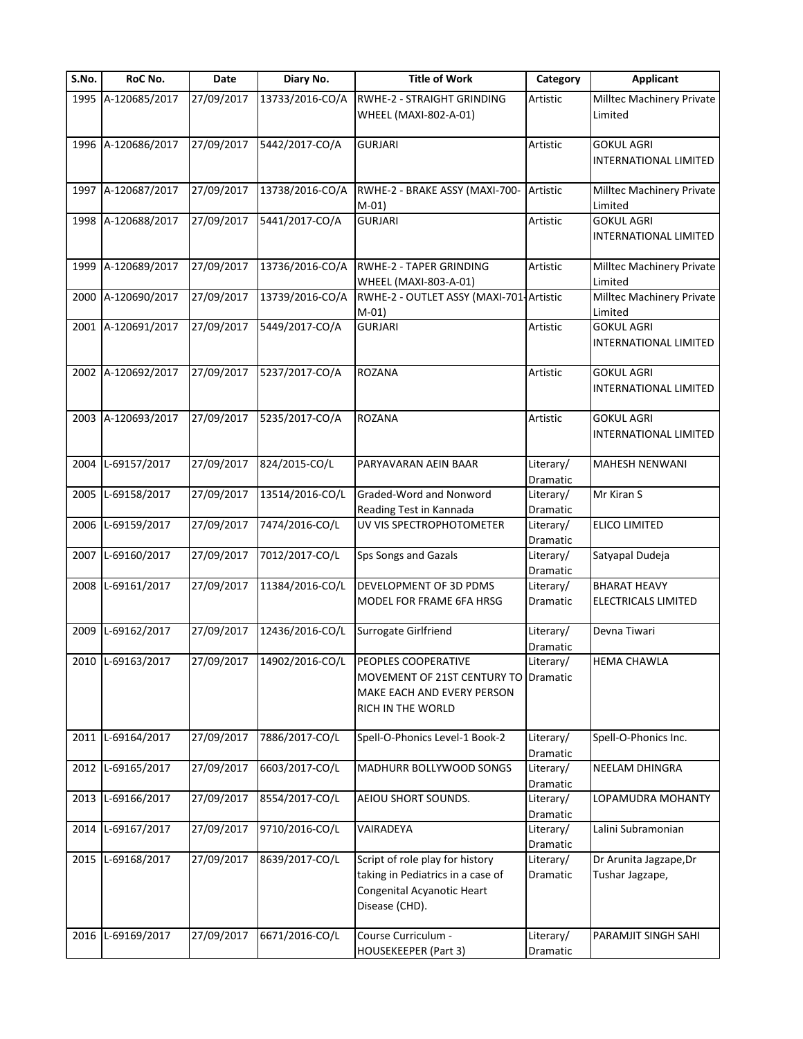| S.No. | RoC No.            | Date       | Diary No.                  | <b>Title of Work</b>                                                                                                 | Category              | <b>Applicant</b>                                  |
|-------|--------------------|------------|----------------------------|----------------------------------------------------------------------------------------------------------------------|-----------------------|---------------------------------------------------|
|       | 1995 A-120685/2017 | 27/09/2017 | 13733/2016-CO/A            | RWHE-2 - STRAIGHT GRINDING<br>WHEEL (MAXI-802-A-01)                                                                  | Artistic              | Milltec Machinery Private<br>Limited              |
|       | 1996 A-120686/2017 | 27/09/2017 | 5442/2017-CO/A             | <b>GURJARI</b>                                                                                                       | Artistic              | <b>GOKUL AGRI</b><br><b>INTERNATIONAL LIMITED</b> |
| 1997  | A-120687/2017      | 27/09/2017 | 13738/2016-CO/A            | RWHE-2 - BRAKE ASSY (MAXI-700-<br>$M-01$                                                                             | Artistic              | Milltec Machinery Private<br>Limited              |
| 1998  | A-120688/2017      | 27/09/2017 | 5441/2017-CO/A             | <b>GURJARI</b>                                                                                                       | Artistic              | <b>GOKUL AGRI</b><br>INTERNATIONAL LIMITED        |
| 1999  | A-120689/2017      | 27/09/2017 | 13736/2016-CO/A            | RWHE-2 - TAPER GRINDING<br>WHEEL (MAXI-803-A-01)                                                                     | Artistic              | Milltec Machinery Private<br>Limited              |
| 2000  | A-120690/2017      | 27/09/2017 | 13739/2016-CO/A            | RWHE-2 - OUTLET ASSY (MAXI-701-Artistic<br>$M-01)$                                                                   |                       | Milltec Machinery Private<br>Limited              |
| 2001  | A-120691/2017      | 27/09/2017 | 5449/2017-CO/A             | <b>GURJARI</b>                                                                                                       | Artistic              | <b>GOKUL AGRI</b><br>INTERNATIONAL LIMITED        |
|       | 2002 A-120692/2017 | 27/09/2017 | 5237/2017-CO/A             | <b>ROZANA</b>                                                                                                        | Artistic              | <b>GOKUL AGRI</b><br><b>INTERNATIONAL LIMITED</b> |
| 2003  | A-120693/2017      | 27/09/2017 | 5235/2017-CO/A             | <b>ROZANA</b>                                                                                                        | Artistic              | <b>GOKUL AGRI</b><br><b>INTERNATIONAL LIMITED</b> |
| 2004  | L-69157/2017       | 27/09/2017 | 824/2015-CO/L              | PARYAVARAN AEIN BAAR                                                                                                 | Literary/<br>Dramatic | <b>MAHESH NENWANI</b>                             |
| 2005  | L-69158/2017       | 27/09/2017 | 13514/2016-CO/L            | Graded-Word and Nonword<br>Reading Test in Kannada                                                                   | Literary/<br>Dramatic | Mr Kiran S                                        |
| 2006  | L-69159/2017       | 27/09/2017 | 7474/2016-CO/L             | UV VIS SPECTROPHOTOMETER                                                                                             | Literary/<br>Dramatic | ELICO LIMITED                                     |
| 2007  | L-69160/2017       | 27/09/2017 | 7012/2017-CO/L             | Sps Songs and Gazals                                                                                                 | Literary/<br>Dramatic | Satyapal Dudeja                                   |
| 2008  | L-69161/2017       | 27/09/2017 | 11384/2016-CO/L            | <b>DEVELOPMENT OF 3D PDMS</b><br>MODEL FOR FRAME 6FA HRSG                                                            | Literary/<br>Dramatic | <b>BHARAT HEAVY</b><br><b>ELECTRICALS LIMITED</b> |
| 2009  | L-69162/2017       | 27/09/2017 | 12436/2016-CO/L            | Surrogate Girlfriend                                                                                                 | Literary/<br>Dramatic | Devna Tiwari                                      |
|       | 2010 L-69163/2017  |            | 27/09/2017 14902/2016-CO/L | <b>PEOPLES COOPERATIVE</b><br>MOVEMENT OF 21ST CENTURY TO<br>MAKE EACH AND EVERY PERSON<br>RICH IN THE WORLD         | Literary/<br>Dramatic | <b>HEMA CHAWLA</b>                                |
|       | 2011 L-69164/2017  | 27/09/2017 | 7886/2017-CO/L             | Spell-O-Phonics Level-1 Book-2                                                                                       | Literary/<br>Dramatic | Spell-O-Phonics Inc.                              |
| 2012  | L-69165/2017       | 27/09/2017 | 6603/2017-CO/L             | MADHURR BOLLYWOOD SONGS                                                                                              | Literary/<br>Dramatic | NEELAM DHINGRA                                    |
|       | 2013 L-69166/2017  | 27/09/2017 | 8554/2017-CO/L             | AEIOU SHORT SOUNDS.                                                                                                  | Literary/<br>Dramatic | LOPAMUDRA MOHANTY                                 |
| 2014  | L-69167/2017       | 27/09/2017 | 9710/2016-CO/L             | VAIRADEYA                                                                                                            | Literary/<br>Dramatic | Lalini Subramonian                                |
| 2015  | L-69168/2017       | 27/09/2017 | 8639/2017-CO/L             | Script of role play for history<br>taking in Pediatrics in a case of<br>Congenital Acyanotic Heart<br>Disease (CHD). | Literary/<br>Dramatic | Dr Arunita Jagzape, Dr<br>Tushar Jagzape,         |
|       | 2016 L-69169/2017  | 27/09/2017 | 6671/2016-CO/L             | Course Curriculum -<br>HOUSEKEEPER (Part 3)                                                                          | Literary/<br>Dramatic | PARAMJIT SINGH SAHI                               |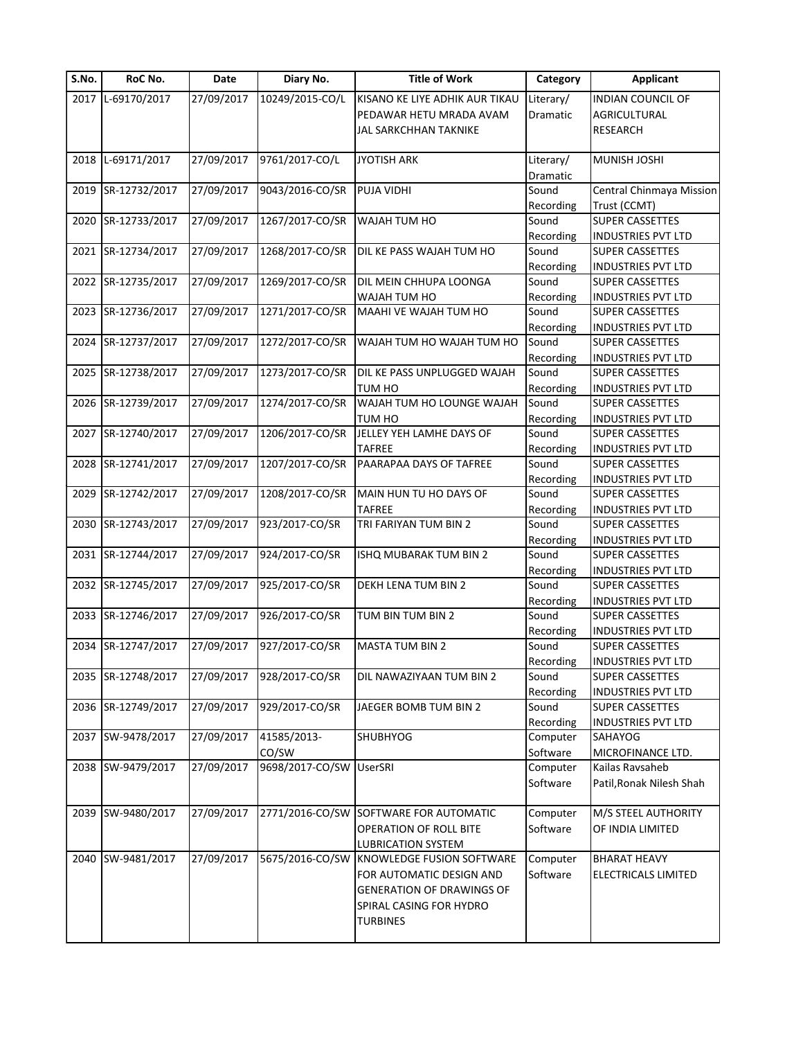| S.No. | RoC No.            | Date       | Diary No.       | <b>Title of Work</b>             | Category              | <b>Applicant</b>          |
|-------|--------------------|------------|-----------------|----------------------------------|-----------------------|---------------------------|
|       | 2017 L-69170/2017  | 27/09/2017 | 10249/2015-CO/L | KISANO KE LIYE ADHIK AUR TIKAU   | Literary/             | <b>INDIAN COUNCIL OF</b>  |
|       |                    |            |                 | PEDAWAR HETU MRADA AVAM          | Dramatic              | AGRICULTURAL              |
|       |                    |            |                 | JAL SARKCHHAN TAKNIKE            |                       | <b>RESEARCH</b>           |
|       | 2018 L-69171/2017  | 27/09/2017 | 9761/2017-CO/L  | <b>JYOTISH ARK</b>               | Literary/<br>Dramatic | <b>MUNISH JOSHI</b>       |
|       | 2019 SR-12732/2017 | 27/09/2017 | 9043/2016-CO/SR | PUJA VIDHI                       | Sound                 | Central Chinmaya Mission  |
|       |                    |            |                 |                                  | Recording             | Trust (CCMT)              |
| 2020  | SR-12733/2017      | 27/09/2017 | 1267/2017-CO/SR | WAJAH TUM HO                     | Sound                 | <b>SUPER CASSETTES</b>    |
|       |                    |            |                 |                                  | Recording             | <b>INDUSTRIES PVT LTD</b> |
|       | 2021 SR-12734/2017 | 27/09/2017 | 1268/2017-CO/SR | DIL KE PASS WAJAH TUM HO         | Sound                 | <b>SUPER CASSETTES</b>    |
|       |                    |            |                 |                                  | Recording             | <b>INDUSTRIES PVT LTD</b> |
|       | 2022 SR-12735/2017 | 27/09/2017 | 1269/2017-CO/SR | DIL MEIN CHHUPA LOONGA           | Sound                 | SUPER CASSETTES           |
|       |                    |            |                 | WAJAH TUM HO                     | Recording             | <b>INDUSTRIES PVT LTD</b> |
|       | 2023 SR-12736/2017 | 27/09/2017 | 1271/2017-CO/SR | MAAHI VE WAJAH TUM HO            | Sound                 | SUPER CASSETTES           |
|       |                    |            |                 |                                  | Recording             | <b>INDUSTRIES PVT LTD</b> |
|       | 2024 SR-12737/2017 | 27/09/2017 | 1272/2017-CO/SR | WAJAH TUM HO WAJAH TUM HO        | Sound                 | SUPER CASSETTES           |
|       |                    |            |                 |                                  | Recording             | <b>INDUSTRIES PVT LTD</b> |
|       | 2025 SR-12738/2017 | 27/09/2017 | 1273/2017-CO/SR | DIL KE PASS UNPLUGGED WAJAH      | Sound                 | <b>SUPER CASSETTES</b>    |
|       |                    |            |                 | <b>TUM HO</b>                    | Recording             | <b>INDUSTRIES PVT LTD</b> |
|       | 2026 SR-12739/2017 | 27/09/2017 | 1274/2017-CO/SR | WAJAH TUM HO LOUNGE WAJAH        | Sound                 | SUPER CASSETTES           |
|       |                    |            |                 | TUM HO                           | Recording             | <b>INDUSTRIES PVT LTD</b> |
|       | 2027 SR-12740/2017 | 27/09/2017 | 1206/2017-CO/SR | JELLEY YEH LAMHE DAYS OF         | Sound                 | <b>SUPER CASSETTES</b>    |
|       |                    |            |                 | <b>TAFREE</b>                    | Recording             | <b>INDUSTRIES PVT LTD</b> |
|       | 2028 SR-12741/2017 | 27/09/2017 | 1207/2017-CO/SR | PAARAPAA DAYS OF TAFREE          | Sound                 | SUPER CASSETTES           |
|       |                    |            |                 |                                  | Recording             | <b>INDUSTRIES PVT LTD</b> |
|       | 2029 SR-12742/2017 | 27/09/2017 | 1208/2017-CO/SR | MAIN HUN TU HO DAYS OF           | Sound                 | SUPER CASSETTES           |
|       |                    |            |                 | <b>TAFREE</b>                    | Recording             | <b>INDUSTRIES PVT LTD</b> |
|       | 2030 SR-12743/2017 | 27/09/2017 | 923/2017-CO/SR  | TRI FARIYAN TUM BIN 2            | Sound                 | SUPER CASSETTES           |
|       |                    |            |                 |                                  | Recording             | <b>INDUSTRIES PVT LTD</b> |
|       | 2031 SR-12744/2017 | 27/09/2017 | 924/2017-CO/SR  | ISHQ MUBARAK TUM BIN 2           | Sound                 | SUPER CASSETTES           |
|       |                    |            |                 |                                  | Recording             | <b>INDUSTRIES PVT LTD</b> |
|       | 2032 SR-12745/2017 | 27/09/2017 | 925/2017-CO/SR  | DEKH LENA TUM BIN 2              | Sound                 | <b>SUPER CASSETTES</b>    |
|       |                    |            |                 |                                  | Recording             | <b>INDUSTRIES PVT LTD</b> |
|       | 2033 SR-12746/2017 | 27/09/2017 | 926/2017-CO/SR  | TUM BIN TUM BIN 2                | Sound                 | SUPER CASSETTES           |
|       |                    |            |                 |                                  | Recording             | <b>INDUSTRIES PVT LTD</b> |
|       | 2034 SR-12747/2017 | 27/09/2017 | 927/2017-CO/SR  | <b>MASTA TUM BIN 2</b>           | Sound                 | <b>SUPER CASSETTES</b>    |
|       |                    |            |                 |                                  | Recording             | INDUSTRIES PVT LTD        |
|       | 2035 SR-12748/2017 | 27/09/2017 | 928/2017-CO/SR  | DIL NAWAZIYAAN TUM BIN 2         | Sound                 | <b>SUPER CASSETTES</b>    |
|       |                    |            |                 |                                  | Recording             | <b>INDUSTRIES PVT LTD</b> |
|       | 2036 SR-12749/2017 | 27/09/2017 | 929/2017-CO/SR  | JAEGER BOMB TUM BIN 2            | Sound                 | <b>SUPER CASSETTES</b>    |
|       |                    |            |                 |                                  | Recording             | INDUSTRIES PVT LTD        |
|       | 2037 SW-9478/2017  | 27/09/2017 | 41585/2013-     | <b>SHUBHYOG</b>                  | Computer              | SAHAYOG                   |
|       |                    |            | CO/SW           |                                  | Software              | MICROFINANCE LTD.         |
|       | 2038 SW-9479/2017  | 27/09/2017 | 9698/2017-CO/SW | <b>UserSRI</b>                   | Computer              | Kailas Ravsaheb           |
|       |                    |            |                 |                                  | Software              | Patil, Ronak Nilesh Shah  |
|       | 2039 SW-9480/2017  | 27/09/2017 | 2771/2016-CO/SW | SOFTWARE FOR AUTOMATIC           | Computer              | M/S STEEL AUTHORITY       |
|       |                    |            |                 | OPERATION OF ROLL BITE           | Software              | OF INDIA LIMITED          |
|       |                    |            |                 | <b>LUBRICATION SYSTEM</b>        |                       |                           |
|       | 2040 SW-9481/2017  | 27/09/2017 | 5675/2016-CO/SW | KNOWLEDGE FUSION SOFTWARE        | Computer              | <b>BHARAT HEAVY</b>       |
|       |                    |            |                 | FOR AUTOMATIC DESIGN AND         | Software              | ELECTRICALS LIMITED       |
|       |                    |            |                 | <b>GENERATION OF DRAWINGS OF</b> |                       |                           |
|       |                    |            |                 | SPIRAL CASING FOR HYDRO          |                       |                           |
|       |                    |            |                 | <b>TURBINES</b>                  |                       |                           |
|       |                    |            |                 |                                  |                       |                           |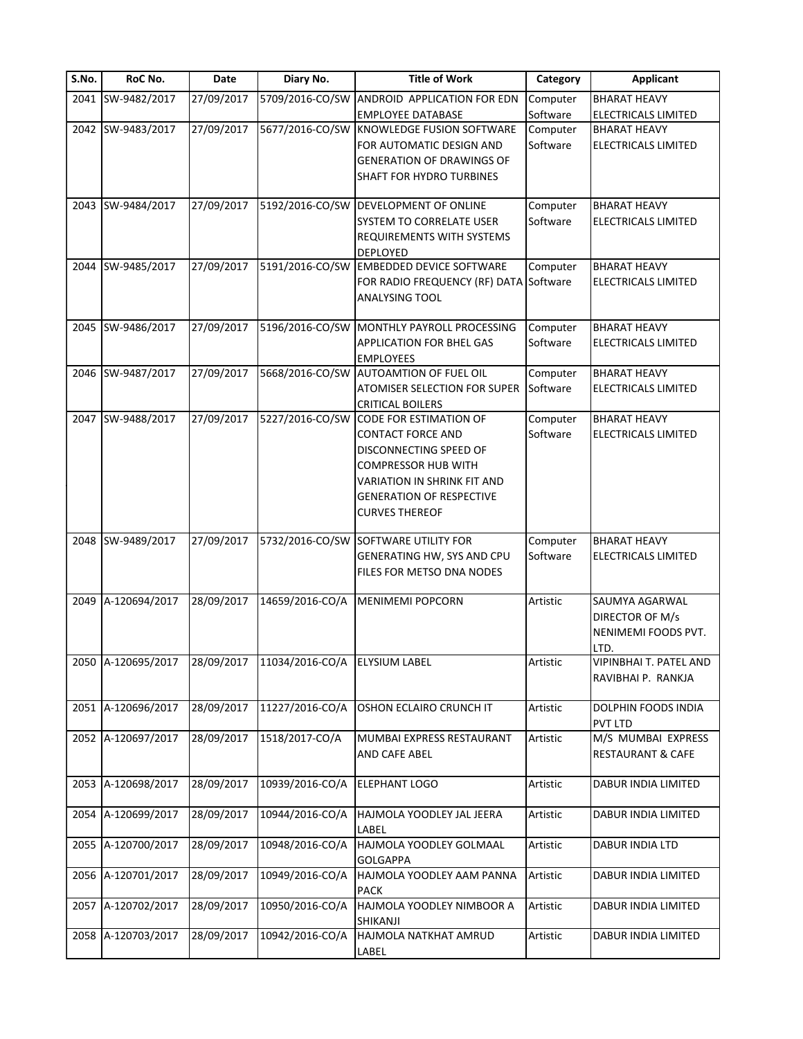| S.No. | RoC No.            | Date       | Diary No.                     | <b>Title of Work</b>                                                                                                                                                                                         | Category             | <b>Applicant</b>                                                 |
|-------|--------------------|------------|-------------------------------|--------------------------------------------------------------------------------------------------------------------------------------------------------------------------------------------------------------|----------------------|------------------------------------------------------------------|
|       | 2041 SW-9482/2017  | 27/09/2017 |                               | 5709/2016-CO/SW ANDROID APPLICATION FOR EDN                                                                                                                                                                  | Computer             | <b>BHARAT HEAVY</b>                                              |
|       |                    |            |                               | <b>EMPLOYEE DATABASE</b>                                                                                                                                                                                     | Software             | <b>ELECTRICALS LIMITED</b>                                       |
|       | 2042 SW-9483/2017  | 27/09/2017 |                               | 5677/2016-CO/SW KNOWLEDGE FUSION SOFTWARE<br>FOR AUTOMATIC DESIGN AND<br><b>GENERATION OF DRAWINGS OF</b><br>SHAFT FOR HYDRO TURBINES                                                                        | Computer<br>Software | <b>BHARAT HEAVY</b><br>ELECTRICALS LIMITED                       |
|       |                    |            |                               |                                                                                                                                                                                                              |                      |                                                                  |
|       | 2043 SW-9484/2017  | 27/09/2017 |                               | 5192/2016-CO/SW DEVELOPMENT OF ONLINE<br>SYSTEM TO CORRELATE USER<br><b>REQUIREMENTS WITH SYSTEMS</b><br>DEPLOYED                                                                                            | Computer<br>Software | <b>BHARAT HEAVY</b><br><b>ELECTRICALS LIMITED</b>                |
|       | 2044 SW-9485/2017  | 27/09/2017 |                               | 5191/2016-CO/SW EMBEDDED DEVICE SOFTWARE<br>FOR RADIO FREQUENCY (RF) DATA Software<br><b>ANALYSING TOOL</b>                                                                                                  | Computer             | <b>BHARAT HEAVY</b><br>ELECTRICALS LIMITED                       |
|       | 2045 SW-9486/2017  | 27/09/2017 |                               | 5196/2016-CO/SW MONTHLY PAYROLL PROCESSING<br>APPLICATION FOR BHEL GAS<br><b>EMPLOYEES</b>                                                                                                                   | Computer<br>Software | <b>BHARAT HEAVY</b><br><b>ELECTRICALS LIMITED</b>                |
|       | 2046 SW-9487/2017  | 27/09/2017 | 5668/2016-CO/SW               | <b>AUTOAMTION OF FUEL OIL</b><br>ATOMISER SELECTION FOR SUPER<br><b>CRITICAL BOILERS</b>                                                                                                                     | Computer<br>Software | <b>BHARAT HEAVY</b><br>ELECTRICALS LIMITED                       |
| 2047  | SW-9488/2017       | 27/09/2017 | 5227/2016-CO/SW               | <b>CODE FOR ESTIMATION OF</b><br><b>CONTACT FORCE AND</b><br>DISCONNECTING SPEED OF<br><b>COMPRESSOR HUB WITH</b><br>VARIATION IN SHRINK FIT AND<br><b>GENERATION OF RESPECTIVE</b><br><b>CURVES THEREOF</b> | Computer<br>Software | <b>BHARAT HEAVY</b><br><b>ELECTRICALS LIMITED</b>                |
|       | 2048 SW-9489/2017  | 27/09/2017 |                               | 5732/2016-CO/SW SOFTWARE UTILITY FOR<br>GENERATING HW, SYS AND CPU<br>FILES FOR METSO DNA NODES                                                                                                              | Computer<br>Software | <b>BHARAT HEAVY</b><br><b>ELECTRICALS LIMITED</b>                |
|       | 2049 A-120694/2017 | 28/09/2017 | 14659/2016-CO/A               | <b>MENIMEMI POPCORN</b>                                                                                                                                                                                      | Artistic             | SAUMYA AGARWAL<br>DIRECTOR OF M/s<br>NENIMEMI FOODS PVT.<br>LTD. |
|       | 2050 A-120695/2017 | 28/09/2017 | 11034/2016-CO/A ELYSIUM LABEL |                                                                                                                                                                                                              | Artistic             | VIPINBHAI T. PATEL AND<br>RAVIBHAI P. RANKJA                     |
|       | 2051 A-120696/2017 | 28/09/2017 | 11227/2016-CO/A               | OSHON ECLAIRO CRUNCH IT                                                                                                                                                                                      | Artistic             | DOLPHIN FOODS INDIA<br>PVT LTD                                   |
|       | 2052 A-120697/2017 | 28/09/2017 | 1518/2017-CO/A                | MUMBAI EXPRESS RESTAURANT<br>AND CAFE ABEL                                                                                                                                                                   | Artistic             | M/S MUMBAI EXPRESS<br>RESTAURANT & CAFE                          |
|       | 2053 A-120698/2017 | 28/09/2017 | 10939/2016-CO/A               | ELEPHANT LOGO                                                                                                                                                                                                | Artistic             | DABUR INDIA LIMITED                                              |
|       | 2054 A-120699/2017 | 28/09/2017 | 10944/2016-CO/A               | HAJMOLA YOODLEY JAL JEERA<br>LABEL                                                                                                                                                                           | Artistic             | DABUR INDIA LIMITED                                              |
|       | 2055 A-120700/2017 | 28/09/2017 | 10948/2016-CO/A               | HAJMOLA YOODLEY GOLMAAL<br><b>GOLGAPPA</b>                                                                                                                                                                   | Artistic             | DABUR INDIA LTD                                                  |
|       | 2056 A-120701/2017 | 28/09/2017 | 10949/2016-CO/A               | HAJMOLA YOODLEY AAM PANNA<br>PACK                                                                                                                                                                            | Artistic             | DABUR INDIA LIMITED                                              |
| 2057  | A-120702/2017      | 28/09/2017 | 10950/2016-CO/A               | HAJMOLA YOODLEY NIMBOOR A<br>SHIKANJI                                                                                                                                                                        | Artistic             | DABUR INDIA LIMITED                                              |
|       | 2058 A-120703/2017 | 28/09/2017 | 10942/2016-CO/A               | HAJMOLA NATKHAT AMRUD<br>LABEL                                                                                                                                                                               | Artistic             | DABUR INDIA LIMITED                                              |
|       |                    |            |                               |                                                                                                                                                                                                              |                      |                                                                  |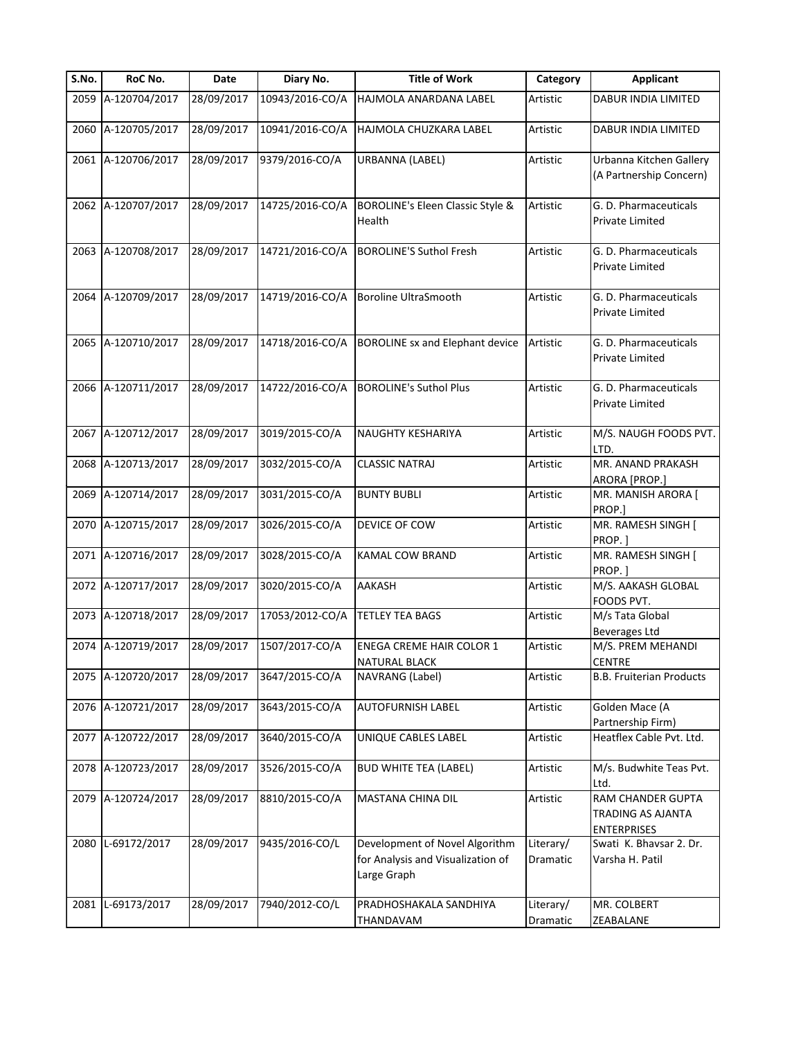| S.No. | RoC No.            | Date       | Diary No.       | <b>Title of Work</b>                                                               | Category              | <b>Applicant</b>                                             |
|-------|--------------------|------------|-----------------|------------------------------------------------------------------------------------|-----------------------|--------------------------------------------------------------|
|       | 2059 A-120704/2017 | 28/09/2017 | 10943/2016-CO/A | HAJMOLA ANARDANA LABEL                                                             | Artistic              | DABUR INDIA LIMITED                                          |
|       | 2060 A-120705/2017 | 28/09/2017 | 10941/2016-CO/A | HAJMOLA CHUZKARA LABEL                                                             | Artistic              | DABUR INDIA LIMITED                                          |
|       | 2061 A-120706/2017 | 28/09/2017 | 9379/2016-CO/A  | <b>URBANNA (LABEL)</b>                                                             | Artistic              | Urbanna Kitchen Gallery<br>(A Partnership Concern)           |
|       | 2062 A-120707/2017 | 28/09/2017 | 14725/2016-CO/A | <b>BOROLINE's Eleen Classic Style &amp;</b><br>Health                              | Artistic              | G. D. Pharmaceuticals<br>Private Limited                     |
|       | 2063 A-120708/2017 | 28/09/2017 | 14721/2016-CO/A | <b>BOROLINE'S Suthol Fresh</b>                                                     | Artistic              | G. D. Pharmaceuticals<br>Private Limited                     |
|       | 2064 A-120709/2017 | 28/09/2017 | 14719/2016-CO/A | Boroline UltraSmooth                                                               | Artistic              | G. D. Pharmaceuticals<br>Private Limited                     |
|       | 2065 A-120710/2017 | 28/09/2017 | 14718/2016-CO/A | <b>BOROLINE sx and Elephant device</b>                                             | Artistic              | G. D. Pharmaceuticals<br><b>Private Limited</b>              |
|       | 2066 A-120711/2017 | 28/09/2017 | 14722/2016-CO/A | <b>BOROLINE's Suthol Plus</b>                                                      | Artistic              | G. D. Pharmaceuticals<br><b>Private Limited</b>              |
|       | 2067 A-120712/2017 | 28/09/2017 | 3019/2015-CO/A  | NAUGHTY KESHARIYA                                                                  | Artistic              | M/S. NAUGH FOODS PVT.<br>LTD.                                |
|       | 2068 A-120713/2017 | 28/09/2017 | 3032/2015-CO/A  | <b>CLASSIC NATRAJ</b>                                                              | Artistic              | MR. ANAND PRAKASH<br>ARORA [PROP.]                           |
|       | 2069 A-120714/2017 | 28/09/2017 | 3031/2015-CO/A  | <b>BUNTY BUBLI</b>                                                                 | Artistic              | MR. MANISH ARORA [<br>PROP.]                                 |
|       | 2070 A-120715/2017 | 28/09/2017 | 3026/2015-CO/A  | DEVICE OF COW                                                                      | Artistic              | MR. RAMESH SINGH [<br>PROP.]                                 |
|       | 2071 A-120716/2017 | 28/09/2017 | 3028/2015-CO/A  | KAMAL COW BRAND                                                                    | Artistic              | MR. RAMESH SINGH [<br>PROP.                                  |
|       | 2072 A-120717/2017 | 28/09/2017 | 3020/2015-CO/A  | AAKASH                                                                             | Artistic              | M/S. AAKASH GLOBAL<br>FOODS PVT.                             |
|       | 2073 A-120718/2017 | 28/09/2017 | 17053/2012-CO/A | <b>TETLEY TEA BAGS</b>                                                             | Artistic              | M/s Tata Global<br><b>Beverages Ltd</b>                      |
|       | 2074 A-120719/2017 | 28/09/2017 | 1507/2017-CO/A  | <b>ENEGA CREME HAIR COLOR 1</b><br>NATURAL BLACK                                   | Artistic              | M/S. PREM MEHANDI<br>CENTRE                                  |
|       | 2075 A-120720/2017 | 28/09/2017 | 3647/2015-CO/A  | NAVRANG (Label)                                                                    | Artistic              | <b>B.B. Fruiterian Products</b>                              |
|       | 2076 A-120721/2017 | 28/09/2017 | 3643/2015-CO/A  | <b>AUTOFURNISH LABEL</b>                                                           | Artistic              | Golden Mace (A<br>Partnership Firm)                          |
|       | 2077 A-120722/2017 | 28/09/2017 | 3640/2015-CO/A  | UNIQUE CABLES LABEL                                                                | Artistic              | Heatflex Cable Pvt. Ltd.                                     |
|       | 2078 A-120723/2017 | 28/09/2017 | 3526/2015-CO/A  | <b>BUD WHITE TEA (LABEL)</b>                                                       | Artistic              | M/s. Budwhite Teas Pvt.<br>Ltd.                              |
|       | 2079 A-120724/2017 | 28/09/2017 | 8810/2015-CO/A  | MASTANA CHINA DIL                                                                  | Artistic              | RAM CHANDER GUPTA<br>TRADING AS AJANTA<br><b>ENTERPRISES</b> |
| 2080  | L-69172/2017       | 28/09/2017 | 9435/2016-CO/L  | Development of Novel Algorithm<br>for Analysis and Visualization of<br>Large Graph | Literary/<br>Dramatic | Swati K. Bhavsar 2. Dr.<br>Varsha H. Patil                   |
| 2081  | L-69173/2017       | 28/09/2017 | 7940/2012-CO/L  | PRADHOSHAKALA SANDHIYA<br>THANDAVAM                                                | Literary/<br>Dramatic | MR. COLBERT<br>ZEABALANE                                     |
|       |                    |            |                 |                                                                                    |                       |                                                              |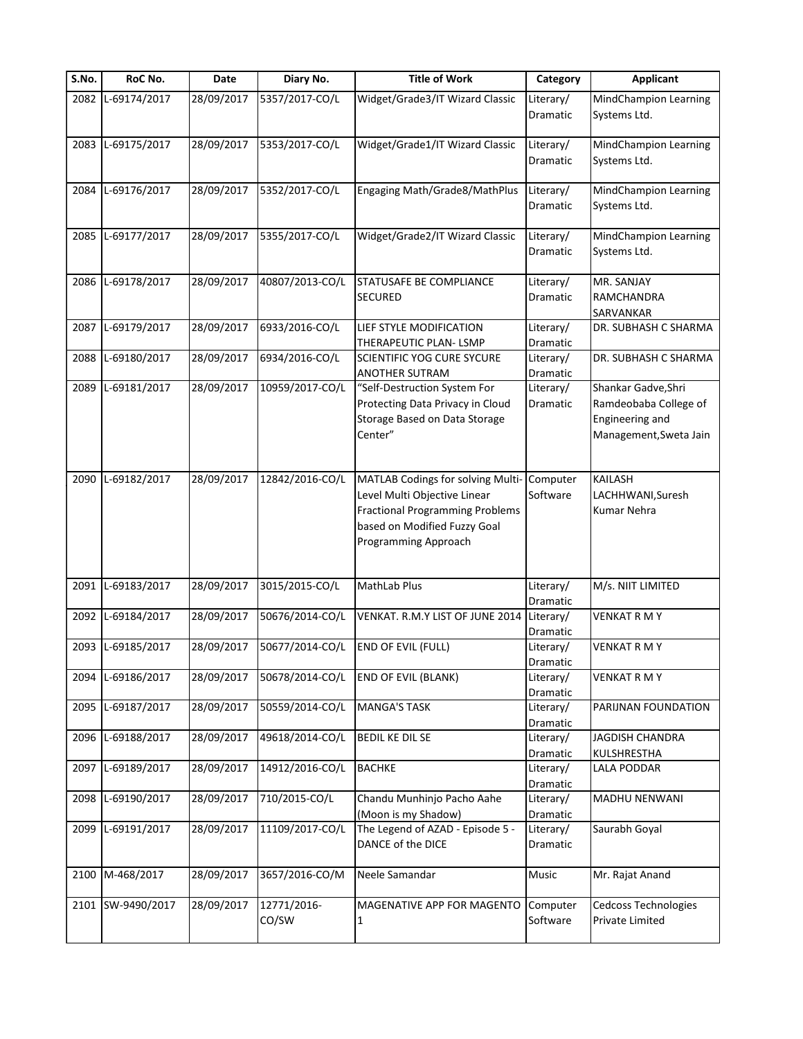| S.No. | RoC No.           | Date       | Diary No.       | <b>Title of Work</b>                                 | Category        | <b>Applicant</b>                 |
|-------|-------------------|------------|-----------------|------------------------------------------------------|-----------------|----------------------------------|
| 2082  | L-69174/2017      | 28/09/2017 | 5357/2017-CO/L  | Widget/Grade3/IT Wizard Classic                      | Literary/       | <b>MindChampion Learning</b>     |
|       |                   |            |                 |                                                      | Dramatic        | Systems Ltd.                     |
|       |                   |            |                 |                                                      |                 |                                  |
|       | 2083 L-69175/2017 | 28/09/2017 | 5353/2017-CO/L  | Widget/Grade1/IT Wizard Classic                      | Literary/       | <b>MindChampion Learning</b>     |
|       |                   |            |                 |                                                      | Dramatic        | Systems Ltd.                     |
|       | L-69176/2017      | 28/09/2017 |                 |                                                      |                 |                                  |
| 2084  |                   |            | 5352/2017-CO/L  | Engaging Math/Grade8/MathPlus                        | Literary/       | <b>MindChampion Learning</b>     |
|       |                   |            |                 |                                                      | <b>Dramatic</b> | Systems Ltd.                     |
| 2085  | L-69177/2017      | 28/09/2017 | 5355/2017-CO/L  | Widget/Grade2/IT Wizard Classic                      | Literary/       | <b>MindChampion Learning</b>     |
|       |                   |            |                 |                                                      | Dramatic        | Systems Ltd.                     |
|       |                   |            |                 |                                                      |                 |                                  |
|       | 2086 L-69178/2017 | 28/09/2017 | 40807/2013-CO/L | STATUSAFE BE COMPLIANCE                              | Literary/       | MR. SANJAY                       |
|       |                   |            |                 | <b>SECURED</b>                                       | Dramatic        | RAMCHANDRA                       |
|       |                   |            |                 |                                                      |                 | SARVANKAR                        |
| 2087  | L-69179/2017      | 28/09/2017 | 6933/2016-CO/L  | LIEF STYLE MODIFICATION                              | Literary/       | DR. SUBHASH C SHARMA             |
|       |                   |            |                 | THERAPEUTIC PLAN-LSMP                                | Dramatic        |                                  |
| 2088  | L-69180/2017      | 28/09/2017 | 6934/2016-CO/L  | <b>SCIENTIFIC YOG CURE SYCURE</b>                    | Literary/       | DR. SUBHASH C SHARMA             |
|       |                   |            |                 | ANOTHER SUTRAM                                       | Dramatic        |                                  |
| 2089  | L-69181/2017      | 28/09/2017 | 10959/2017-CO/L | "Self-Destruction System For                         | Literary/       | Shankar Gadve, Shri              |
|       |                   |            |                 | Protecting Data Privacy in Cloud                     | Dramatic        | Ramdeobaba College of            |
|       |                   |            |                 | Storage Based on Data Storage                        |                 | Engineering and                  |
|       |                   |            |                 | Center"                                              |                 | Management, Sweta Jain           |
|       |                   |            |                 |                                                      |                 |                                  |
|       | 2090 L-69182/2017 | 28/09/2017 | 12842/2016-CO/L |                                                      | Computer        | KAILASH                          |
|       |                   |            |                 | MATLAB Codings for solving Multi-                    | Software        |                                  |
|       |                   |            |                 | Level Multi Objective Linear                         |                 | LACHHWANI, Suresh<br>Kumar Nehra |
|       |                   |            |                 | <b>Fractional Programming Problems</b>               |                 |                                  |
|       |                   |            |                 | based on Modified Fuzzy Goal<br>Programming Approach |                 |                                  |
|       |                   |            |                 |                                                      |                 |                                  |
|       |                   |            |                 |                                                      |                 |                                  |
| 2091  | L-69183/2017      | 28/09/2017 | 3015/2015-CO/L  | MathLab Plus                                         | Literary/       | M/s. NIIT LIMITED                |
|       |                   |            |                 |                                                      | Dramatic        |                                  |
| 2092  | L-69184/2017      | 28/09/2017 | 50676/2014-CO/L | VENKAT. R.M.Y LIST OF JUNE 2014                      | Literary/       | <b>VENKAT R M Y</b>              |
|       |                   |            |                 |                                                      | Dramatic        |                                  |
|       | 2093 L-69185/2017 | 28/09/2017 | 50677/2014-CO/L | <b>END OF EVIL (FULL)</b>                            | Literary/       | <b>VENKAT R M Y</b>              |
|       |                   |            |                 |                                                      | Dramatic        |                                  |
| 2094  | L-69186/2017      | 28/09/2017 | 50678/2014-CO/L | <b>END OF EVIL (BLANK)</b>                           | Literary/       | <b>VENKAT R M Y</b>              |
|       |                   |            |                 |                                                      | Dramatic        |                                  |
| 2095  | L-69187/2017      | 28/09/2017 | 50559/2014-CO/L | <b>MANGA'S TASK</b>                                  | Literary/       | PARIJNAN FOUNDATION              |
|       |                   |            |                 |                                                      | Dramatic        |                                  |
|       | 2096 L-69188/2017 | 28/09/2017 | 49618/2014-CO/L | <b>BEDIL KE DIL SE</b>                               | Literary/       | JAGDISH CHANDRA                  |
|       |                   |            |                 |                                                      | Dramatic        | KULSHRESTHA                      |
|       | 2097 L-69189/2017 | 28/09/2017 | 14912/2016-CO/L | <b>BACHKE</b>                                        | Literary/       | LALA PODDAR                      |
|       |                   |            |                 |                                                      | Dramatic        |                                  |
| 2098  | L-69190/2017      | 28/09/2017 | 710/2015-CO/L   | Chandu Munhinjo Pacho Aahe                           | Literary/       | MADHU NENWANI                    |
|       |                   |            |                 | (Moon is my Shadow)                                  | Dramatic        |                                  |
| 2099  | L-69191/2017      | 28/09/2017 | 11109/2017-CO/L | The Legend of AZAD - Episode 5 -                     | Literary/       | Saurabh Goyal                    |
|       |                   |            |                 | DANCE of the DICE                                    | Dramatic        |                                  |
| 2100  | M-468/2017        | 28/09/2017 | 3657/2016-CO/M  | Neele Samandar                                       | Music           | Mr. Rajat Anand                  |
|       |                   |            |                 |                                                      |                 |                                  |
| 2101  | SW-9490/2017      | 28/09/2017 | 12771/2016-     | MAGENATIVE APP FOR MAGENTO                           | Computer        | <b>Cedcoss Technologies</b>      |
|       |                   |            | CO/SW           | 1                                                    | Software        | Private Limited                  |
|       |                   |            |                 |                                                      |                 |                                  |
|       |                   |            |                 |                                                      |                 |                                  |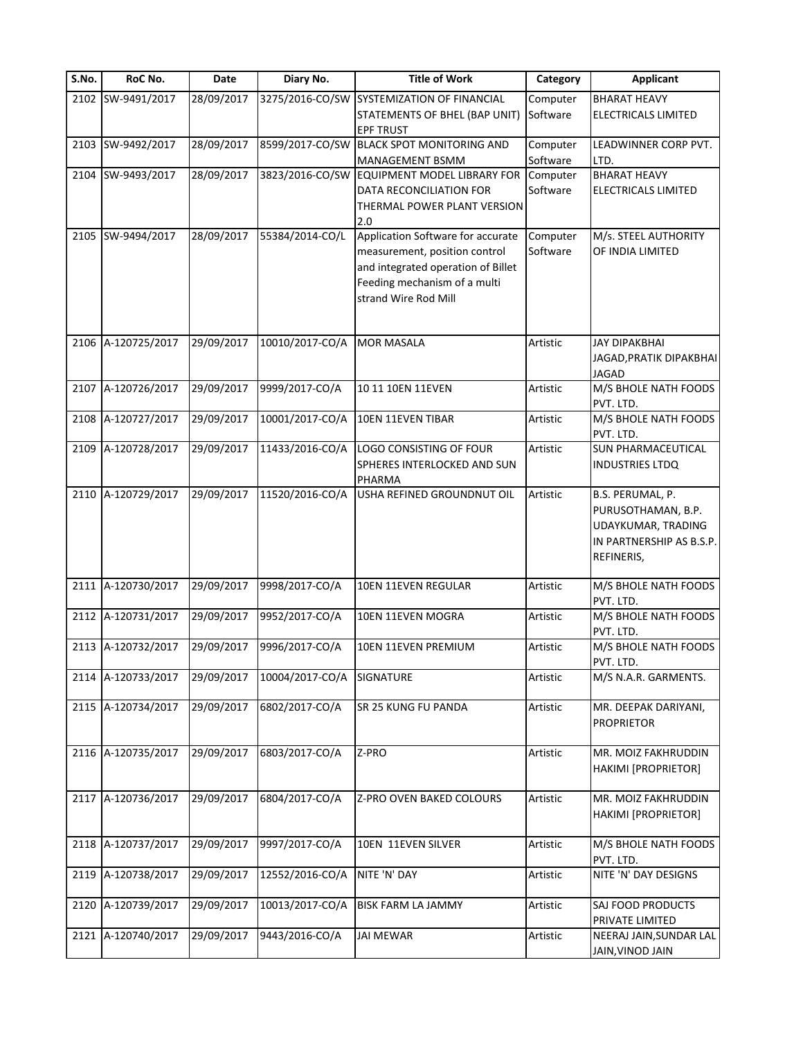| S.No. | RoC No.            | Date       | Diary No.       | <b>Title of Work</b>                       | Category | Applicant                         |
|-------|--------------------|------------|-----------------|--------------------------------------------|----------|-----------------------------------|
|       | 2102 SW-9491/2017  | 28/09/2017 |                 | 3275/2016-CO/SW SYSTEMIZATION OF FINANCIAL | Computer | <b>BHARAT HEAVY</b>               |
|       |                    |            |                 | STATEMENTS OF BHEL (BAP UNIT)              | Software | <b>ELECTRICALS LIMITED</b>        |
|       |                    |            |                 | <b>EPF TRUST</b>                           |          |                                   |
|       | 2103 SW-9492/2017  | 28/09/2017 | 8599/2017-CO/SW | <b>BLACK SPOT MONITORING AND</b>           | Computer | LEADWINNER CORP PVT.              |
|       |                    |            |                 | <b>MANAGEMENT BSMM</b>                     | Software | LTD.                              |
|       | 2104 SW-9493/2017  | 28/09/2017 | 3823/2016-CO/SW | EQUIPMENT MODEL LIBRARY FOR                | Computer | <b>BHARAT HEAVY</b>               |
|       |                    |            |                 | DATA RECONCILIATION FOR                    | Software | ELECTRICALS LIMITED               |
|       |                    |            |                 | THERMAL POWER PLANT VERSION                |          |                                   |
| 2105  | SW-9494/2017       | 28/09/2017 | 55384/2014-CO/L | 2.0<br>Application Software for accurate   | Computer | M/s. STEEL AUTHORITY              |
|       |                    |            |                 | measurement, position control              | Software | OF INDIA LIMITED                  |
|       |                    |            |                 | and integrated operation of Billet         |          |                                   |
|       |                    |            |                 | Feeding mechanism of a multi               |          |                                   |
|       |                    |            |                 | strand Wire Rod Mill                       |          |                                   |
|       | 2106 A-120725/2017 | 29/09/2017 | 10010/2017-CO/A | <b>MOR MASALA</b>                          | Artistic | <b>JAY DIPAKBHAI</b>              |
|       |                    |            |                 |                                            |          | JAGAD, PRATIK DIPAKBHAI           |
|       |                    |            |                 |                                            |          | <b>JAGAD</b>                      |
|       | 2107 A-120726/2017 | 29/09/2017 | 9999/2017-CO/A  | 10 11 10EN 11EVEN                          | Artistic | M/S BHOLE NATH FOODS              |
|       |                    |            |                 |                                            |          | PVT. LTD.                         |
|       | 2108 A-120727/2017 | 29/09/2017 | 10001/2017-CO/A | 10EN 11EVEN TIBAR                          | Artistic | M/S BHOLE NATH FOODS              |
|       |                    |            |                 |                                            |          | PVT. LTD.                         |
| 2109  | A-120728/2017      | 29/09/2017 | 11433/2016-CO/A | LOGO CONSISTING OF FOUR                    | Artistic | <b>SUN PHARMACEUTICAL</b>         |
|       |                    |            |                 | SPHERES INTERLOCKED AND SUN                |          | <b>INDUSTRIES LTDQ</b>            |
|       |                    |            |                 | PHARMA                                     |          |                                   |
|       | 2110 A-120729/2017 | 29/09/2017 | 11520/2016-CO/A | USHA REFINED GROUNDNUT OIL                 | Artistic | B.S. PERUMAL, P.                  |
|       |                    |            |                 |                                            |          | PURUSOTHAMAN, B.P.                |
|       |                    |            |                 |                                            |          | UDAYKUMAR, TRADING                |
|       |                    |            |                 |                                            |          | IN PARTNERSHIP AS B.S.P.          |
|       |                    |            |                 |                                            |          | REFINERIS,                        |
|       |                    |            |                 |                                            |          |                                   |
|       | 2111 A-120730/2017 | 29/09/2017 | 9998/2017-CO/A  | 10EN 11EVEN REGULAR                        | Artistic | M/S BHOLE NATH FOODS              |
|       | 2112 A-120731/2017 | 29/09/2017 | 9952/2017-CO/A  |                                            | Artistic | PVT. LTD.<br>M/S BHOLE NATH FOODS |
|       |                    |            |                 | 10EN 11EVEN MOGRA                          |          | PVT. LTD.                         |
|       | 2113 A-120732/2017 | 29/09/2017 | 9996/2017-CO/A  | 10EN 11EVEN PREMIUM                        | Artistic | M/S BHOLE NATH FOODS              |
|       |                    |            |                 |                                            |          | PVT. LTD.                         |
|       | 2114 A-120733/2017 | 29/09/2017 | 10004/2017-CO/A | SIGNATURE                                  | Artistic | M/S N.A.R. GARMENTS.              |
|       | 2115 A-120734/2017 | 29/09/2017 | 6802/2017-CO/A  | SR 25 KUNG FU PANDA                        | Artistic | MR. DEEPAK DARIYANI,              |
|       |                    |            |                 |                                            |          | <b>PROPRIETOR</b>                 |
|       |                    |            |                 |                                            |          |                                   |
|       | 2116 A-120735/2017 | 29/09/2017 | 6803/2017-CO/A  | Z-PRO                                      | Artistic | MR. MOIZ FAKHRUDDIN               |
|       |                    |            |                 |                                            |          | <b>HAKIMI [PROPRIETOR]</b>        |
|       | 2117 A-120736/2017 | 29/09/2017 | 6804/2017-CO/A  | Z-PRO OVEN BAKED COLOURS                   | Artistic | MR. MOIZ FAKHRUDDIN               |
|       |                    |            |                 |                                            |          | <b>HAKIMI [PROPRIETOR]</b>        |
|       |                    |            |                 |                                            |          |                                   |
|       | 2118 A-120737/2017 | 29/09/2017 | 9997/2017-CO/A  | 10EN 11EVEN SILVER                         | Artistic | M/S BHOLE NATH FOODS              |
|       |                    |            |                 |                                            |          | PVT. LTD.                         |
| 2119  | A-120738/2017      | 29/09/2017 | 12552/2016-CO/A | NITE 'N' DAY                               | Artistic | NITE 'N' DAY DESIGNS              |
| 2120  | A-120739/2017      | 29/09/2017 | 10013/2017-CO/A | BISK FARM LA JAMMY                         | Artistic | SAJ FOOD PRODUCTS                 |
|       |                    |            |                 |                                            |          | PRIVATE LIMITED                   |
| 2121  | A-120740/2017      | 29/09/2017 | 9443/2016-CO/A  | <b>JAI MEWAR</b>                           | Artistic | NEERAJ JAIN, SUNDAR LAL           |
|       |                    |            |                 |                                            |          | JAIN, VINOD JAIN                  |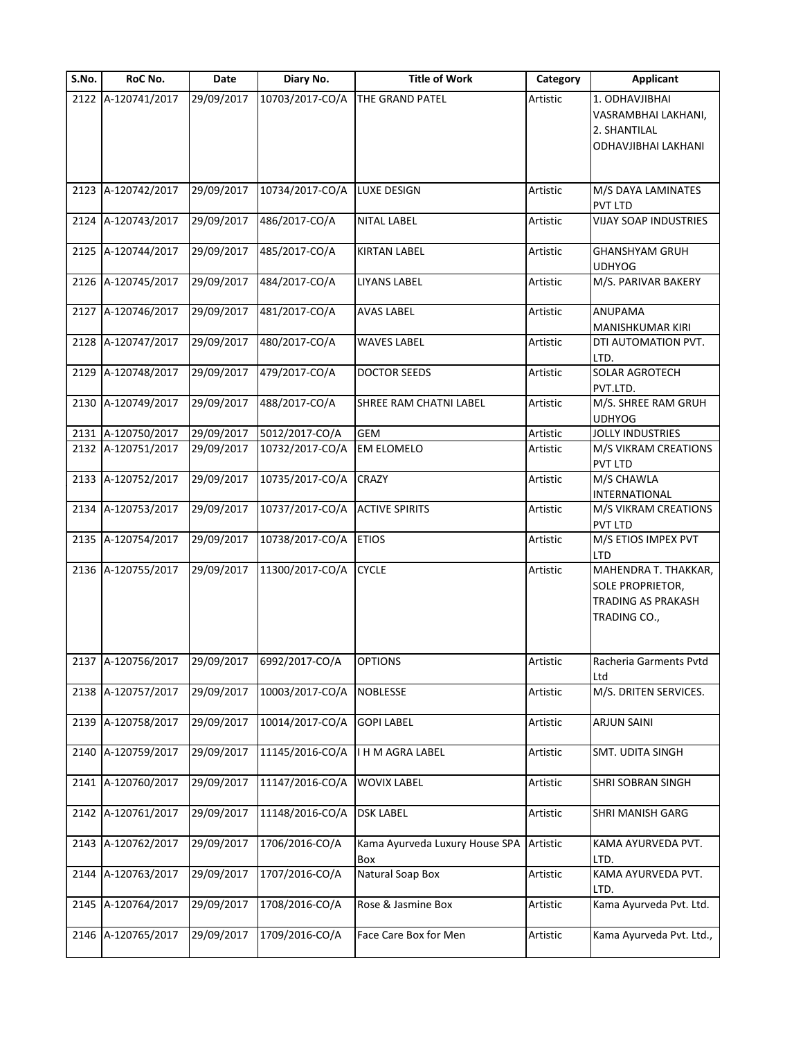|      |                    |            | Diary No.       | <b>Title of Work</b>                  | Category | <b>Applicant</b>                                                                             |
|------|--------------------|------------|-----------------|---------------------------------------|----------|----------------------------------------------------------------------------------------------|
|      | 2122 A-120741/2017 | 29/09/2017 | 10703/2017-CO/A | THE GRAND PATEL                       | Artistic | 1. ODHAVJIBHAI<br>VASRAMBHAI LAKHANI,<br>2. SHANTILAL<br>ODHAVJIBHAI LAKHANI                 |
|      | 2123 A-120742/2017 | 29/09/2017 | 10734/2017-CO/A | LUXE DESIGN                           | Artistic | M/S DAYA LAMINATES<br>PVT LTD                                                                |
|      | 2124 A-120743/2017 | 29/09/2017 | 486/2017-CO/A   | <b>NITAL LABEL</b>                    | Artistic | VIJAY SOAP INDUSTRIES                                                                        |
|      | 2125 A-120744/2017 | 29/09/2017 | 485/2017-CO/A   | <b>KIRTAN LABEL</b>                   | Artistic | <b>GHANSHYAM GRUH</b><br><b>UDHYOG</b>                                                       |
|      | 2126 A-120745/2017 | 29/09/2017 | 484/2017-CO/A   | LIYANS LABEL                          | Artistic | M/S. PARIVAR BAKERY                                                                          |
|      | 2127 A-120746/2017 | 29/09/2017 | 481/2017-CO/A   | <b>AVAS LABEL</b>                     | Artistic | ANUPAMA<br>MANISHKUMAR KIRI                                                                  |
|      | 2128 A-120747/2017 | 29/09/2017 | 480/2017-CO/A   | <b>WAVES LABEL</b>                    | Artistic | DTI AUTOMATION PVT.<br>LTD.                                                                  |
|      | 2129 A-120748/2017 | 29/09/2017 | 479/2017-CO/A   | <b>DOCTOR SEEDS</b>                   | Artistic | SOLAR AGROTECH<br>PVT.LTD.                                                                   |
|      | 2130 A-120749/2017 | 29/09/2017 | 488/2017-CO/A   | SHREE RAM CHATNI LABEL                | Artistic | M/S. SHREE RAM GRUH<br><b>UDHYOG</b>                                                         |
|      | 2131 A-120750/2017 | 29/09/2017 | 5012/2017-CO/A  | <b>GEM</b>                            | Artistic | JOLLY INDUSTRIES                                                                             |
|      | 2132 A-120751/2017 | 29/09/2017 | 10732/2017-CO/A | <b>EM ELOMELO</b>                     | Artistic | M/S VIKRAM CREATIONS<br>PVT LTD                                                              |
|      | 2133 A-120752/2017 | 29/09/2017 | 10735/2017-CO/A | <b>CRAZY</b>                          | Artistic | M/S CHAWLA<br>INTERNATIONAL                                                                  |
|      | 2134 A-120753/2017 | 29/09/2017 | 10737/2017-CO/A | <b>ACTIVE SPIRITS</b>                 | Artistic | M/S VIKRAM CREATIONS<br>PVT LTD                                                              |
|      | 2135 A-120754/2017 | 29/09/2017 | 10738/2017-CO/A | <b>ETIOS</b>                          | Artistic | M/S ETIOS IMPEX PVT<br>LTD                                                                   |
|      | 2136 A-120755/2017 | 29/09/2017 | 11300/2017-CO/A | <b>CYCLE</b>                          | Artistic | MAHENDRA T. THAKKAR,<br><b>SOLE PROPRIETOR,</b><br><b>TRADING AS PRAKASH</b><br>TRADING CO., |
|      | 2137 A-120756/2017 | 29/09/2017 | 6992/2017-CO/A  | <b>OPTIONS</b>                        | Artistic | Racheria Garments Pvtd<br>Ltd                                                                |
|      | 2138 A-120757/2017 | 29/09/2017 | 10003/2017-CO/A | <b>NOBLESSE</b>                       | Artistic | M/S. DRITEN SERVICES.                                                                        |
|      | 2139 A-120758/2017 | 29/09/2017 | 10014/2017-CO/A | <b>GOPI LABEL</b>                     | Artistic | <b>ARJUN SAINI</b>                                                                           |
|      | 2140 A-120759/2017 | 29/09/2017 | 11145/2016-CO/A | I H M AGRA LABEL                      | Artistic | SMT. UDITA SINGH                                                                             |
|      | 2141 A-120760/2017 | 29/09/2017 | 11147/2016-CO/A | WOVIX LABEL                           | Artistic | SHRI SOBRAN SINGH                                                                            |
| 2142 | A-120761/2017      | 29/09/2017 | 11148/2016-CO/A | <b>DSK LABEL</b>                      | Artistic | SHRI MANISH GARG                                                                             |
| 2143 | A-120762/2017      | 29/09/2017 | 1706/2016-CO/A  | Kama Ayurveda Luxury House SPA<br>Box | Artistic | KAMA AYURVEDA PVT.<br>LTD.                                                                   |
| 2144 | A-120763/2017      | 29/09/2017 | 1707/2016-CO/A  | Natural Soap Box                      | Artistic | KAMA AYURVEDA PVT.<br>LTD.                                                                   |
|      | 2145 A-120764/2017 | 29/09/2017 | 1708/2016-CO/A  | Rose & Jasmine Box                    | Artistic | Kama Ayurveda Pvt. Ltd.                                                                      |
|      |                    |            |                 |                                       |          |                                                                                              |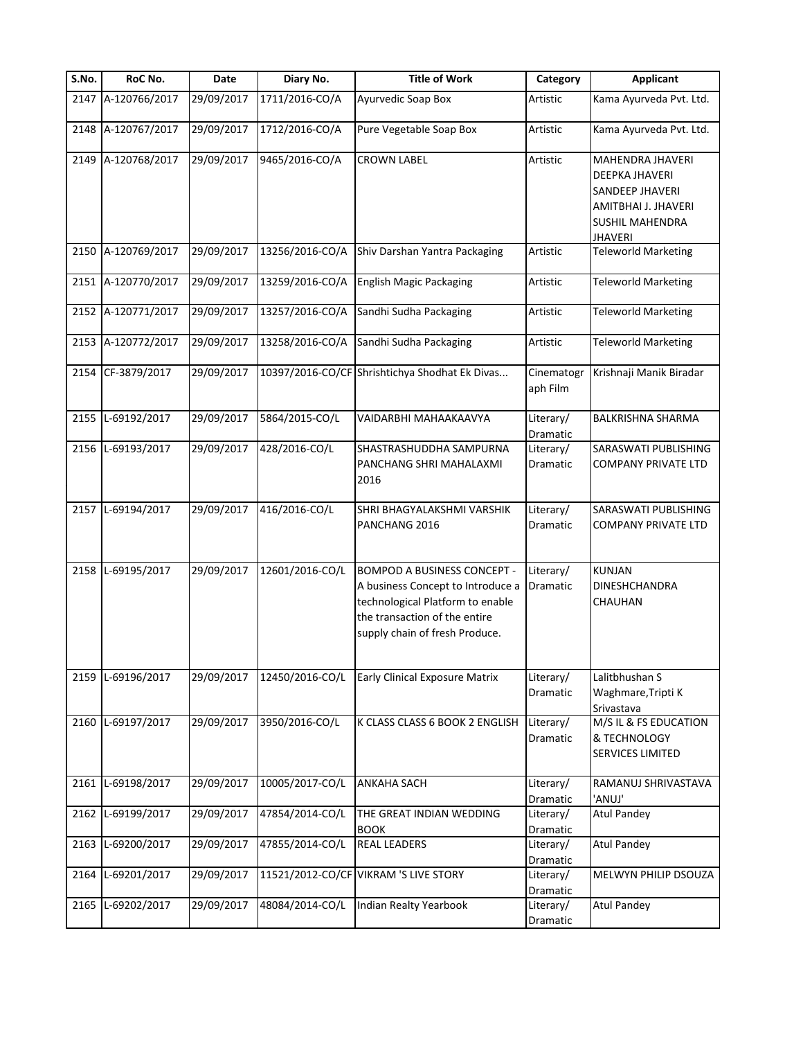| S.No. | RoC No.            | Date       | Diary No.       | <b>Title of Work</b>                                                                                                                                                           | Category               | <b>Applicant</b>                                                                                                                |
|-------|--------------------|------------|-----------------|--------------------------------------------------------------------------------------------------------------------------------------------------------------------------------|------------------------|---------------------------------------------------------------------------------------------------------------------------------|
|       | 2147 A-120766/2017 | 29/09/2017 | 1711/2016-CO/A  | Ayurvedic Soap Box                                                                                                                                                             | Artistic               | Kama Ayurveda Pvt. Ltd.                                                                                                         |
|       | 2148 A-120767/2017 | 29/09/2017 | 1712/2016-CO/A  | Pure Vegetable Soap Box                                                                                                                                                        | Artistic               | Kama Ayurveda Pvt. Ltd.                                                                                                         |
|       | 2149 A-120768/2017 | 29/09/2017 | 9465/2016-CO/A  | <b>CROWN LABEL</b>                                                                                                                                                             | Artistic               | MAHENDRA JHAVERI<br><b>DEEPKA JHAVERI</b><br><b>SANDEEP JHAVERI</b><br>AMITBHAI J. JHAVERI<br>SUSHIL MAHENDRA<br><b>JHAVERI</b> |
|       | 2150 A-120769/2017 | 29/09/2017 | 13256/2016-CO/A | Shiv Darshan Yantra Packaging                                                                                                                                                  | Artistic               | <b>Teleworld Marketing</b>                                                                                                      |
| 2151  | A-120770/2017      | 29/09/2017 | 13259/2016-CO/A | <b>English Magic Packaging</b>                                                                                                                                                 | Artistic               | <b>Teleworld Marketing</b>                                                                                                      |
|       | 2152 A-120771/2017 | 29/09/2017 | 13257/2016-CO/A | Sandhi Sudha Packaging                                                                                                                                                         | Artistic               | <b>Teleworld Marketing</b>                                                                                                      |
|       | 2153 A-120772/2017 | 29/09/2017 | 13258/2016-CO/A | Sandhi Sudha Packaging                                                                                                                                                         | Artistic               | <b>Teleworld Marketing</b>                                                                                                      |
| 2154  | CF-3879/2017       | 29/09/2017 |                 | 10397/2016-CO/CF Shrishtichya Shodhat Ek Divas                                                                                                                                 | Cinematogr<br>aph Film | Krishnaji Manik Biradar                                                                                                         |
| 2155  | L-69192/2017       | 29/09/2017 | 5864/2015-CO/L  | VAIDARBHI MAHAAKAAVYA                                                                                                                                                          | Literary/<br>Dramatic  | <b>BALKRISHNA SHARMA</b>                                                                                                        |
|       | 2156 L-69193/2017  | 29/09/2017 | 428/2016-CO/L   | SHASTRASHUDDHA SAMPURNA<br>PANCHANG SHRI MAHALAXMI<br>2016                                                                                                                     | Literary/<br>Dramatic  | SARASWATI PUBLISHING<br><b>COMPANY PRIVATE LTD</b>                                                                              |
|       | 2157 L-69194/2017  | 29/09/2017 | 416/2016-CO/L   | SHRI BHAGYALAKSHMI VARSHIK<br>PANCHANG 2016                                                                                                                                    | Literary/<br>Dramatic  | SARASWATI PUBLISHING<br><b>COMPANY PRIVATE LTD</b>                                                                              |
| 2158  | L-69195/2017       | 29/09/2017 | 12601/2016-CO/L | <b>BOMPOD A BUSINESS CONCEPT -</b><br>A business Concept to Introduce a<br>technological Platform to enable<br>the transaction of the entire<br>supply chain of fresh Produce. | Literary/<br>Dramatic  | KUNJAN<br>DINESHCHANDRA<br>CHAUHAN                                                                                              |
|       | 2159 L-69196/2017  | 29/09/2017 | 12450/2016-CO/L | <b>Early Clinical Exposure Matrix</b>                                                                                                                                          | Literary/<br>Dramatic  | Lalitbhushan S<br>Waghmare, Tripti K<br>Srivastava                                                                              |
|       | 2160 L-69197/2017  | 29/09/2017 | 3950/2016-CO/L  | K CLASS CLASS 6 BOOK 2 ENGLISH                                                                                                                                                 | Literary/<br>Dramatic  | M/S IL & FS EDUCATION<br>& TECHNOLOGY<br><b>SERVICES LIMITED</b>                                                                |
| 2161  | L-69198/2017       | 29/09/2017 | 10005/2017-CO/L | <b>ANKAHA SACH</b>                                                                                                                                                             | Literary/<br>Dramatic  | RAMANUJ SHRIVASTAVA<br>'ANUJ'                                                                                                   |
| 2162  | L-69199/2017       | 29/09/2017 | 47854/2014-CO/L | THE GREAT INDIAN WEDDING<br><b>BOOK</b>                                                                                                                                        | Literary/<br>Dramatic  | <b>Atul Pandey</b>                                                                                                              |
| 2163  | L-69200/2017       | 29/09/2017 | 47855/2014-CO/L | <b>REAL LEADERS</b>                                                                                                                                                            | Literary/<br>Dramatic  | <b>Atul Pandey</b>                                                                                                              |
| 2164  | L-69201/2017       | 29/09/2017 |                 | 11521/2012-CO/CF VIKRAM 'S LIVE STORY                                                                                                                                          | Literary/<br>Dramatic  | MELWYN PHILIP DSOUZA                                                                                                            |
| 2165  | L-69202/2017       | 29/09/2017 | 48084/2014-CO/L | Indian Realty Yearbook                                                                                                                                                         | Literary/<br>Dramatic  | <b>Atul Pandey</b>                                                                                                              |